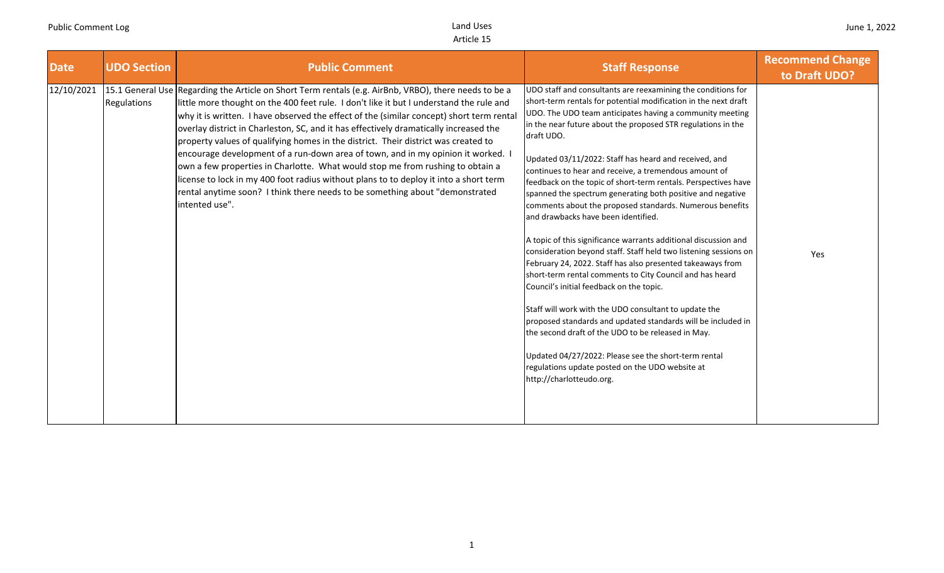| <b>Date</b> | <b>UDO Section</b> | <b>Public Comment</b>                                                                                                                                                                                                                                                                                                                                                                                                                                                                                                                                                                                                                                                                                                                                                                                                                        | <b>Staff Response</b>                                                                                                                                                                                                                                                                                                                                                                                                                                                                                                                                                                                                                                                                                                                                                                                                                                                                                                                                                                                                                                                                                                                                                                                                                                             | <b>Recommend Change</b><br>to Draft UDO? |
|-------------|--------------------|----------------------------------------------------------------------------------------------------------------------------------------------------------------------------------------------------------------------------------------------------------------------------------------------------------------------------------------------------------------------------------------------------------------------------------------------------------------------------------------------------------------------------------------------------------------------------------------------------------------------------------------------------------------------------------------------------------------------------------------------------------------------------------------------------------------------------------------------|-------------------------------------------------------------------------------------------------------------------------------------------------------------------------------------------------------------------------------------------------------------------------------------------------------------------------------------------------------------------------------------------------------------------------------------------------------------------------------------------------------------------------------------------------------------------------------------------------------------------------------------------------------------------------------------------------------------------------------------------------------------------------------------------------------------------------------------------------------------------------------------------------------------------------------------------------------------------------------------------------------------------------------------------------------------------------------------------------------------------------------------------------------------------------------------------------------------------------------------------------------------------|------------------------------------------|
| 12/10/2021  | Regulations        | 15.1 General Use Regarding the Article on Short Term rentals (e.g. AirBnb, VRBO), there needs to be a<br>little more thought on the 400 feet rule. I don't like it but I understand the rule and<br>why it is written. I have observed the effect of the (similar concept) short term rental<br>overlay district in Charleston, SC, and it has effectively dramatically increased the<br>property values of qualifying homes in the district. Their district was created to<br>encourage development of a run-down area of town, and in my opinion it worked. I<br>own a few properties in Charlotte. What would stop me from rushing to obtain a<br>license to lock in my 400 foot radius without plans to to deploy it into a short term<br>rental anytime soon? I think there needs to be something about "demonstrated<br>intented use". | UDO staff and consultants are reexamining the conditions for<br>short-term rentals for potential modification in the next draft<br>UDO. The UDO team anticipates having a community meeting<br>in the near future about the proposed STR regulations in the<br>draft UDO.<br>Updated 03/11/2022: Staff has heard and received, and<br>continues to hear and receive, a tremendous amount of<br>feedback on the topic of short-term rentals. Perspectives have<br>spanned the spectrum generating both positive and negative<br>comments about the proposed standards. Numerous benefits<br>and drawbacks have been identified.<br>A topic of this significance warrants additional discussion and<br>consideration beyond staff. Staff held two listening sessions on<br>February 24, 2022. Staff has also presented takeaways from<br>short-term rental comments to City Council and has heard<br>Council's initial feedback on the topic.<br>Staff will work with the UDO consultant to update the<br>proposed standards and updated standards will be included in<br>the second draft of the UDO to be released in May.<br>Updated 04/27/2022: Please see the short-term rental<br>regulations update posted on the UDO website at<br>http://charlotteudo.org. | Yes                                      |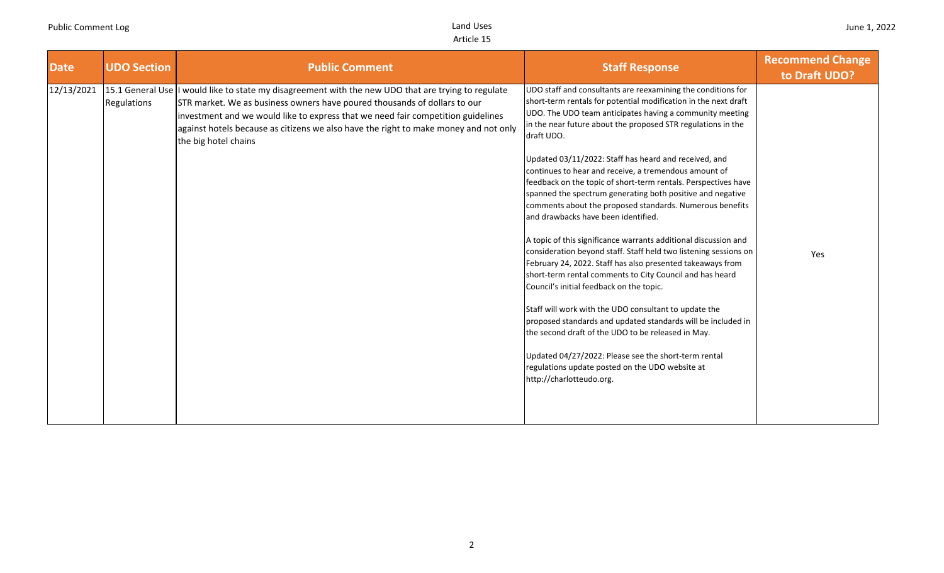| <b>Date</b> | <b>UDO Section</b> | <b>Public Comment</b>                                                                                                                                                                                                                                                                                                                                                                | <b>Staff Response</b>                                                                                                                                                                                                                                                                                                                                                                                                                                                                                                                                                                                                                                                                                                                                                                                                                                                                                                                                                                                                                                                                                                                                                                                                                                             | <b>Recommend Change</b><br>to Draft UDO? |
|-------------|--------------------|--------------------------------------------------------------------------------------------------------------------------------------------------------------------------------------------------------------------------------------------------------------------------------------------------------------------------------------------------------------------------------------|-------------------------------------------------------------------------------------------------------------------------------------------------------------------------------------------------------------------------------------------------------------------------------------------------------------------------------------------------------------------------------------------------------------------------------------------------------------------------------------------------------------------------------------------------------------------------------------------------------------------------------------------------------------------------------------------------------------------------------------------------------------------------------------------------------------------------------------------------------------------------------------------------------------------------------------------------------------------------------------------------------------------------------------------------------------------------------------------------------------------------------------------------------------------------------------------------------------------------------------------------------------------|------------------------------------------|
| 12/13/2021  | Regulations        | 15.1 General Use I would like to state my disagreement with the new UDO that are trying to regulate<br>STR market. We as business owners have poured thousands of dollars to our<br>investment and we would like to express that we need fair competition guidelines<br>against hotels because as citizens we also have the right to make money and not only<br>the big hotel chains | UDO staff and consultants are reexamining the conditions for<br>short-term rentals for potential modification in the next draft<br>UDO. The UDO team anticipates having a community meeting<br>in the near future about the proposed STR regulations in the<br>draft UDO.<br>Updated 03/11/2022: Staff has heard and received, and<br>continues to hear and receive, a tremendous amount of<br>feedback on the topic of short-term rentals. Perspectives have<br>spanned the spectrum generating both positive and negative<br>comments about the proposed standards. Numerous benefits<br>and drawbacks have been identified.<br>A topic of this significance warrants additional discussion and<br>consideration beyond staff. Staff held two listening sessions on<br>February 24, 2022. Staff has also presented takeaways from<br>short-term rental comments to City Council and has heard<br>Council's initial feedback on the topic.<br>Staff will work with the UDO consultant to update the<br>proposed standards and updated standards will be included in<br>the second draft of the UDO to be released in May.<br>Updated 04/27/2022: Please see the short-term rental<br>regulations update posted on the UDO website at<br>http://charlotteudo.org. | Yes                                      |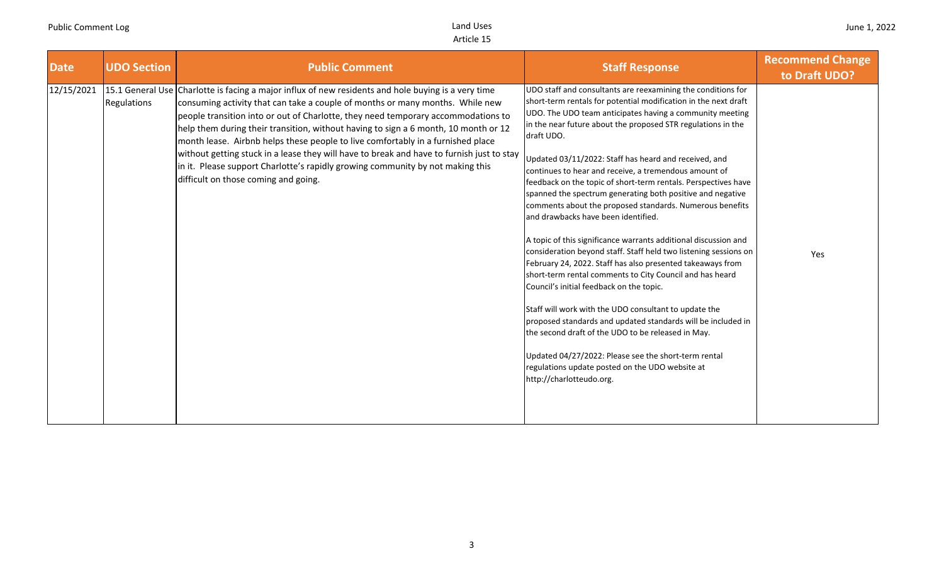| <b>Date</b> | <b>UDO Section</b> | <b>Public Comment</b>                                                                                                                                                                                                                                                                                                                                                                                                                                                                                                                                                                                                                                                      | <b>Staff Response</b>                                                                                                                                                                                                                                                                                                                                                                                                                                                                                                                                                                                                                                                                                                                                                                                                                                                                                                                                                                                                                                                                                                                                                                                                                                             | <b>Recommend Change</b><br>to Draft UDO? |
|-------------|--------------------|----------------------------------------------------------------------------------------------------------------------------------------------------------------------------------------------------------------------------------------------------------------------------------------------------------------------------------------------------------------------------------------------------------------------------------------------------------------------------------------------------------------------------------------------------------------------------------------------------------------------------------------------------------------------------|-------------------------------------------------------------------------------------------------------------------------------------------------------------------------------------------------------------------------------------------------------------------------------------------------------------------------------------------------------------------------------------------------------------------------------------------------------------------------------------------------------------------------------------------------------------------------------------------------------------------------------------------------------------------------------------------------------------------------------------------------------------------------------------------------------------------------------------------------------------------------------------------------------------------------------------------------------------------------------------------------------------------------------------------------------------------------------------------------------------------------------------------------------------------------------------------------------------------------------------------------------------------|------------------------------------------|
| 12/15/2021  | Regulations        | 15.1 General Use Charlotte is facing a major influx of new residents and hole buying is a very time<br>consuming activity that can take a couple of months or many months. While new<br>people transition into or out of Charlotte, they need temporary accommodations to<br>help them during their transition, without having to sign a 6 month, 10 month or 12<br>month lease. Airbnb helps these people to live comfortably in a furnished place<br>without getting stuck in a lease they will have to break and have to furnish just to stay<br>in it. Please support Charlotte's rapidly growing community by not making this<br>difficult on those coming and going. | UDO staff and consultants are reexamining the conditions for<br>short-term rentals for potential modification in the next draft<br>UDO. The UDO team anticipates having a community meeting<br>in the near future about the proposed STR regulations in the<br>draft UDO.<br>Updated 03/11/2022: Staff has heard and received, and<br>continues to hear and receive, a tremendous amount of<br>feedback on the topic of short-term rentals. Perspectives have<br>spanned the spectrum generating both positive and negative<br>comments about the proposed standards. Numerous benefits<br>and drawbacks have been identified.<br>A topic of this significance warrants additional discussion and<br>consideration beyond staff. Staff held two listening sessions on<br>February 24, 2022. Staff has also presented takeaways from<br>short-term rental comments to City Council and has heard<br>Council's initial feedback on the topic.<br>Staff will work with the UDO consultant to update the<br>proposed standards and updated standards will be included in<br>the second draft of the UDO to be released in May.<br>Updated 04/27/2022: Please see the short-term rental<br>regulations update posted on the UDO website at<br>http://charlotteudo.org. | Yes                                      |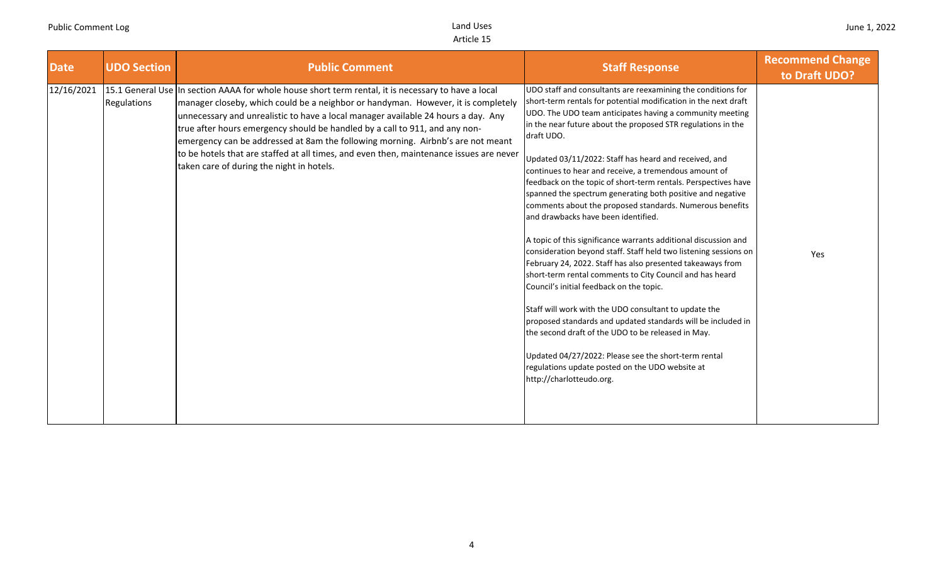| <b>Date</b> | <b>UDO Section</b>              | <b>Public Comment</b>                                                                                                                                                                                                                                                                                                                                                                                                                                                                                                                                                  | <b>Staff Response</b>                                                                                                                                                                                                                                                                                                                                                                                                                                                                                                                                                                                                                                                                                                                                                                                                                                                                                                                                                                                                                                                                                                                                                                                                                                             | <b>Recommend Change</b><br>to Draft UDO? |
|-------------|---------------------------------|------------------------------------------------------------------------------------------------------------------------------------------------------------------------------------------------------------------------------------------------------------------------------------------------------------------------------------------------------------------------------------------------------------------------------------------------------------------------------------------------------------------------------------------------------------------------|-------------------------------------------------------------------------------------------------------------------------------------------------------------------------------------------------------------------------------------------------------------------------------------------------------------------------------------------------------------------------------------------------------------------------------------------------------------------------------------------------------------------------------------------------------------------------------------------------------------------------------------------------------------------------------------------------------------------------------------------------------------------------------------------------------------------------------------------------------------------------------------------------------------------------------------------------------------------------------------------------------------------------------------------------------------------------------------------------------------------------------------------------------------------------------------------------------------------------------------------------------------------|------------------------------------------|
| 12/16/2021  | 15.1 General Use<br>Regulations | In section AAAA for whole house short term rental, it is necessary to have a local<br>manager closeby, which could be a neighbor or handyman. However, it is completely<br>unnecessary and unrealistic to have a local manager available 24 hours a day. Any<br>true after hours emergency should be handled by a call to 911, and any non-<br>emergency can be addressed at 8am the following morning. Airbnb's are not meant<br>to be hotels that are staffed at all times, and even then, maintenance issues are never<br>taken care of during the night in hotels. | UDO staff and consultants are reexamining the conditions for<br>short-term rentals for potential modification in the next draft<br>UDO. The UDO team anticipates having a community meeting<br>in the near future about the proposed STR regulations in the<br>draft UDO.<br>Updated 03/11/2022: Staff has heard and received, and<br>continues to hear and receive, a tremendous amount of<br>feedback on the topic of short-term rentals. Perspectives have<br>spanned the spectrum generating both positive and negative<br>comments about the proposed standards. Numerous benefits<br>and drawbacks have been identified.<br>A topic of this significance warrants additional discussion and<br>consideration beyond staff. Staff held two listening sessions on<br>February 24, 2022. Staff has also presented takeaways from<br>short-term rental comments to City Council and has heard<br>Council's initial feedback on the topic.<br>Staff will work with the UDO consultant to update the<br>proposed standards and updated standards will be included in<br>the second draft of the UDO to be released in May.<br>Updated 04/27/2022: Please see the short-term rental<br>regulations update posted on the UDO website at<br>http://charlotteudo.org. | Yes                                      |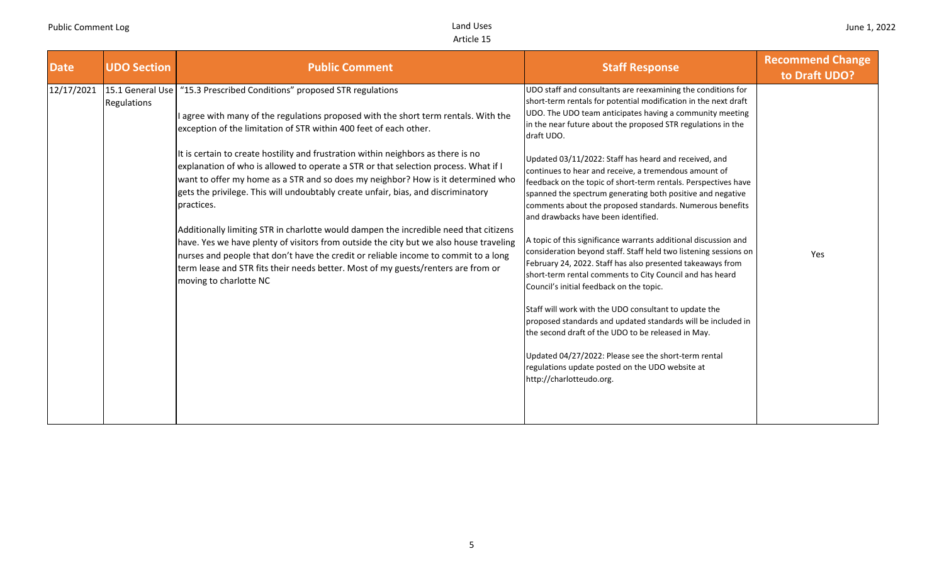| <b>Date</b> | <b>UDO Section</b> | <b>Public Comment</b>                                                                                                                                                                                                                                                                                                                                                                                                                                                                                                                                                                                                                                                                                                                                                                                                                                                                                                                                                                            | <b>Staff Response</b>                                                                                                                                                                                                                                                                                                                                                                                                                                                                                                                                                                                                                                                                                                                                                                                                                                                                                                                                                                                                                                                                                                                                                                                                                                             | <b>Recommend Change</b><br>to Draft UDO? |
|-------------|--------------------|--------------------------------------------------------------------------------------------------------------------------------------------------------------------------------------------------------------------------------------------------------------------------------------------------------------------------------------------------------------------------------------------------------------------------------------------------------------------------------------------------------------------------------------------------------------------------------------------------------------------------------------------------------------------------------------------------------------------------------------------------------------------------------------------------------------------------------------------------------------------------------------------------------------------------------------------------------------------------------------------------|-------------------------------------------------------------------------------------------------------------------------------------------------------------------------------------------------------------------------------------------------------------------------------------------------------------------------------------------------------------------------------------------------------------------------------------------------------------------------------------------------------------------------------------------------------------------------------------------------------------------------------------------------------------------------------------------------------------------------------------------------------------------------------------------------------------------------------------------------------------------------------------------------------------------------------------------------------------------------------------------------------------------------------------------------------------------------------------------------------------------------------------------------------------------------------------------------------------------------------------------------------------------|------------------------------------------|
| 12/17/2021  | Regulations        | 15.1 General Use   "15.3 Prescribed Conditions" proposed STR regulations<br>I agree with many of the regulations proposed with the short term rentals. With the<br>exception of the limitation of STR within 400 feet of each other.<br>It is certain to create hostility and frustration within neighbors as there is no<br>explanation of who is allowed to operate a STR or that selection process. What if I<br>want to offer my home as a STR and so does my neighbor? How is it determined who<br>gets the privilege. This will undoubtably create unfair, bias, and discriminatory<br>practices.<br>Additionally limiting STR in charlotte would dampen the incredible need that citizens<br>have. Yes we have plenty of visitors from outside the city but we also house traveling<br>nurses and people that don't have the credit or reliable income to commit to a long<br>term lease and STR fits their needs better. Most of my guests/renters are from or<br>moving to charlotte NC | UDO staff and consultants are reexamining the conditions for<br>short-term rentals for potential modification in the next draft<br>UDO. The UDO team anticipates having a community meeting<br>in the near future about the proposed STR regulations in the<br>draft UDO.<br>Updated 03/11/2022: Staff has heard and received, and<br>continues to hear and receive, a tremendous amount of<br>feedback on the topic of short-term rentals. Perspectives have<br>spanned the spectrum generating both positive and negative<br>comments about the proposed standards. Numerous benefits<br>and drawbacks have been identified.<br>A topic of this significance warrants additional discussion and<br>consideration beyond staff. Staff held two listening sessions on<br>February 24, 2022. Staff has also presented takeaways from<br>short-term rental comments to City Council and has heard<br>Council's initial feedback on the topic.<br>Staff will work with the UDO consultant to update the<br>proposed standards and updated standards will be included in<br>the second draft of the UDO to be released in May.<br>Updated 04/27/2022: Please see the short-term rental<br>regulations update posted on the UDO website at<br>http://charlotteudo.org. | Yes                                      |
|             |                    |                                                                                                                                                                                                                                                                                                                                                                                                                                                                                                                                                                                                                                                                                                                                                                                                                                                                                                                                                                                                  |                                                                                                                                                                                                                                                                                                                                                                                                                                                                                                                                                                                                                                                                                                                                                                                                                                                                                                                                                                                                                                                                                                                                                                                                                                                                   |                                          |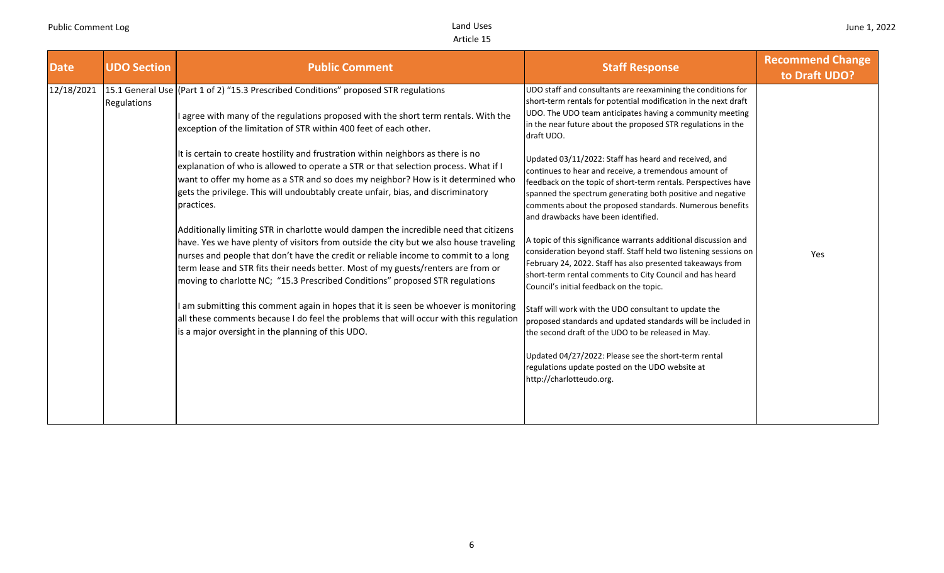| <b>Date</b> | <b>UDO Section</b> | <b>Public Comment</b>                                                                                                                                                                                                                                                                                                                                                                                                                        | <b>Staff Response</b>                                                                                                                                                                                                                                                                                                                             | <b>Recommend Change</b><br>to Draft UDO? |
|-------------|--------------------|----------------------------------------------------------------------------------------------------------------------------------------------------------------------------------------------------------------------------------------------------------------------------------------------------------------------------------------------------------------------------------------------------------------------------------------------|---------------------------------------------------------------------------------------------------------------------------------------------------------------------------------------------------------------------------------------------------------------------------------------------------------------------------------------------------|------------------------------------------|
| 12/18/2021  | Regulations        | 15.1 General Use (Part 1 of 2) "15.3 Prescribed Conditions" proposed STR regulations<br>I agree with many of the regulations proposed with the short term rentals. With the<br>exception of the limitation of STR within 400 feet of each other.                                                                                                                                                                                             | UDO staff and consultants are reexamining the conditions for<br>short-term rentals for potential modification in the next draft<br>UDO. The UDO team anticipates having a community meeting<br>in the near future about the proposed STR regulations in the<br>draft UDO.                                                                         |                                          |
|             |                    | It is certain to create hostility and frustration within neighbors as there is no<br>explanation of who is allowed to operate a STR or that selection process. What if I<br>want to offer my home as a STR and so does my neighbor? How is it determined who<br>gets the privilege. This will undoubtably create unfair, bias, and discriminatory<br>practices.                                                                              | Updated 03/11/2022: Staff has heard and received, and<br>continues to hear and receive, a tremendous amount of<br>feedback on the topic of short-term rentals. Perspectives have<br>spanned the spectrum generating both positive and negative<br>comments about the proposed standards. Numerous benefits<br>and drawbacks have been identified. |                                          |
|             |                    | Additionally limiting STR in charlotte would dampen the incredible need that citizens<br>have. Yes we have plenty of visitors from outside the city but we also house traveling<br>nurses and people that don't have the credit or reliable income to commit to a long<br>term lease and STR fits their needs better. Most of my guests/renters are from or<br>moving to charlotte NC; "15.3 Prescribed Conditions" proposed STR regulations | A topic of this significance warrants additional discussion and<br>consideration beyond staff. Staff held two listening sessions on<br>February 24, 2022. Staff has also presented takeaways from<br>short-term rental comments to City Council and has heard<br>Council's initial feedback on the topic.                                         | Yes                                      |
|             |                    | I am submitting this comment again in hopes that it is seen be whoever is monitoring<br>all these comments because I do feel the problems that will occur with this regulation<br>is a major oversight in the planning of this UDO.                                                                                                                                                                                                          | Staff will work with the UDO consultant to update the<br>proposed standards and updated standards will be included in<br>the second draft of the UDO to be released in May.<br>Updated 04/27/2022: Please see the short-term rental                                                                                                               |                                          |
|             |                    |                                                                                                                                                                                                                                                                                                                                                                                                                                              | regulations update posted on the UDO website at<br>http://charlotteudo.org.                                                                                                                                                                                                                                                                       |                                          |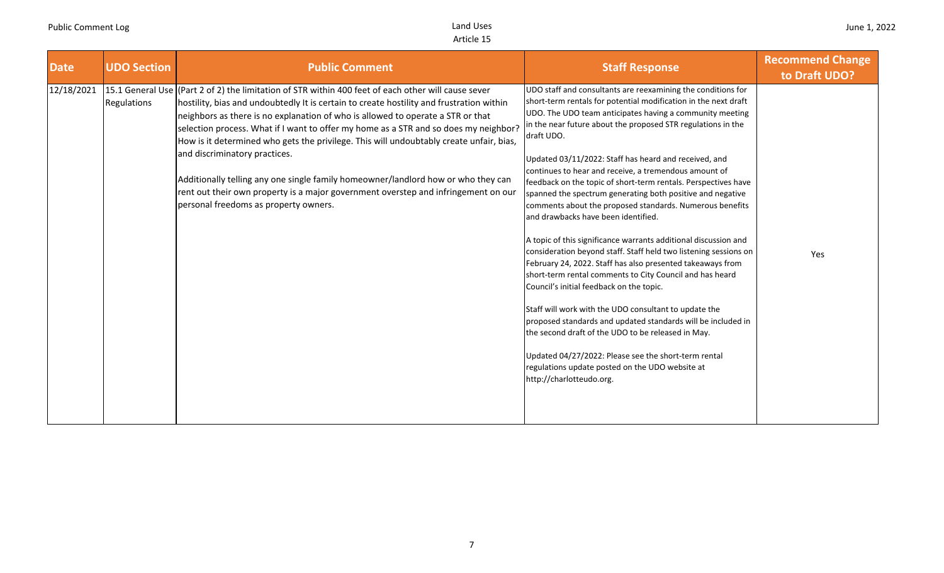| <b>Date</b> | <b>UDO Section</b> | <b>Public Comment</b>                                                                                                                                                                                                                                                                                                                                                                                                                                                                                                                                                                                                                                                                                                      | <b>Staff Response</b>                                                                                                                                                                                                                                                                                                                                                                                                                                                                                                                                                                                                                                                                                                                                                                                                                                                                                                                                                                                                                                                                                                                                                                                                                                             | <b>Recommend Change</b><br>to Draft UDO? |
|-------------|--------------------|----------------------------------------------------------------------------------------------------------------------------------------------------------------------------------------------------------------------------------------------------------------------------------------------------------------------------------------------------------------------------------------------------------------------------------------------------------------------------------------------------------------------------------------------------------------------------------------------------------------------------------------------------------------------------------------------------------------------------|-------------------------------------------------------------------------------------------------------------------------------------------------------------------------------------------------------------------------------------------------------------------------------------------------------------------------------------------------------------------------------------------------------------------------------------------------------------------------------------------------------------------------------------------------------------------------------------------------------------------------------------------------------------------------------------------------------------------------------------------------------------------------------------------------------------------------------------------------------------------------------------------------------------------------------------------------------------------------------------------------------------------------------------------------------------------------------------------------------------------------------------------------------------------------------------------------------------------------------------------------------------------|------------------------------------------|
| 12/18/2021  | <b>Regulations</b> | 15.1 General Use (Part 2 of 2) the limitation of STR within 400 feet of each other will cause sever<br>hostility, bias and undoubtedly It is certain to create hostility and frustration within<br>neighbors as there is no explanation of who is allowed to operate a STR or that<br>selection process. What if I want to offer my home as a STR and so does my neighbor?<br>How is it determined who gets the privilege. This will undoubtably create unfair, bias,<br>and discriminatory practices.<br>Additionally telling any one single family homeowner/landlord how or who they can<br>rent out their own property is a major government overstep and infringement on our<br>personal freedoms as property owners. | UDO staff and consultants are reexamining the conditions for<br>short-term rentals for potential modification in the next draft<br>UDO. The UDO team anticipates having a community meeting<br>in the near future about the proposed STR regulations in the<br>draft UDO.<br>Updated 03/11/2022: Staff has heard and received, and<br>continues to hear and receive, a tremendous amount of<br>feedback on the topic of short-term rentals. Perspectives have<br>spanned the spectrum generating both positive and negative<br>comments about the proposed standards. Numerous benefits<br>and drawbacks have been identified.<br>A topic of this significance warrants additional discussion and<br>consideration beyond staff. Staff held two listening sessions on<br>February 24, 2022. Staff has also presented takeaways from<br>short-term rental comments to City Council and has heard<br>Council's initial feedback on the topic.<br>Staff will work with the UDO consultant to update the<br>proposed standards and updated standards will be included in<br>the second draft of the UDO to be released in May.<br>Updated 04/27/2022: Please see the short-term rental<br>regulations update posted on the UDO website at<br>http://charlotteudo.org. | Yes                                      |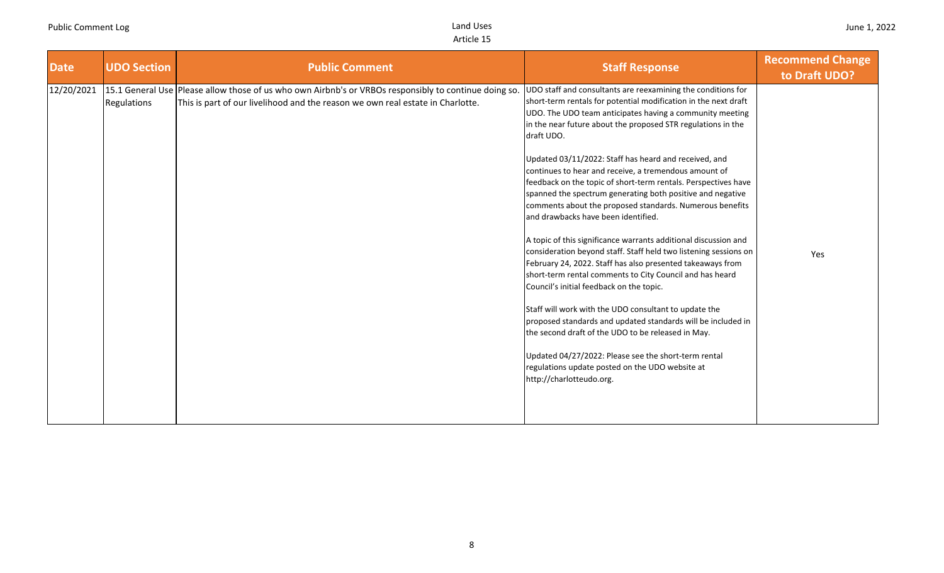| Date       | <b>UDO Section</b> | <b>Public Comment</b>                                                                                                                                                                   | <b>Staff Response</b>                                                                                                                                                                                                                                                                                                                                                                                                                                                                                                                                                                                                                                                                                                                                                                                                                                                                                                                                                                                                                                                                                                                                                                                                                                             | <b>Recommend Change</b><br>to Draft UDO? |
|------------|--------------------|-----------------------------------------------------------------------------------------------------------------------------------------------------------------------------------------|-------------------------------------------------------------------------------------------------------------------------------------------------------------------------------------------------------------------------------------------------------------------------------------------------------------------------------------------------------------------------------------------------------------------------------------------------------------------------------------------------------------------------------------------------------------------------------------------------------------------------------------------------------------------------------------------------------------------------------------------------------------------------------------------------------------------------------------------------------------------------------------------------------------------------------------------------------------------------------------------------------------------------------------------------------------------------------------------------------------------------------------------------------------------------------------------------------------------------------------------------------------------|------------------------------------------|
| 12/20/2021 | Regulations        | 15.1 General Use Please allow those of us who own Airbnb's or VRBOs responsibly to continue doing so.<br>This is part of our livelihood and the reason we own real estate in Charlotte. | UDO staff and consultants are reexamining the conditions for<br>short-term rentals for potential modification in the next draft<br>UDO. The UDO team anticipates having a community meeting<br>in the near future about the proposed STR regulations in the<br>draft UDO.<br>Updated 03/11/2022: Staff has heard and received, and<br>continues to hear and receive, a tremendous amount of<br>feedback on the topic of short-term rentals. Perspectives have<br>spanned the spectrum generating both positive and negative<br>comments about the proposed standards. Numerous benefits<br>and drawbacks have been identified.<br>A topic of this significance warrants additional discussion and<br>consideration beyond staff. Staff held two listening sessions on<br>February 24, 2022. Staff has also presented takeaways from<br>short-term rental comments to City Council and has heard<br>Council's initial feedback on the topic.<br>Staff will work with the UDO consultant to update the<br>proposed standards and updated standards will be included in<br>the second draft of the UDO to be released in May.<br>Updated 04/27/2022: Please see the short-term rental<br>regulations update posted on the UDO website at<br>http://charlotteudo.org. | Yes                                      |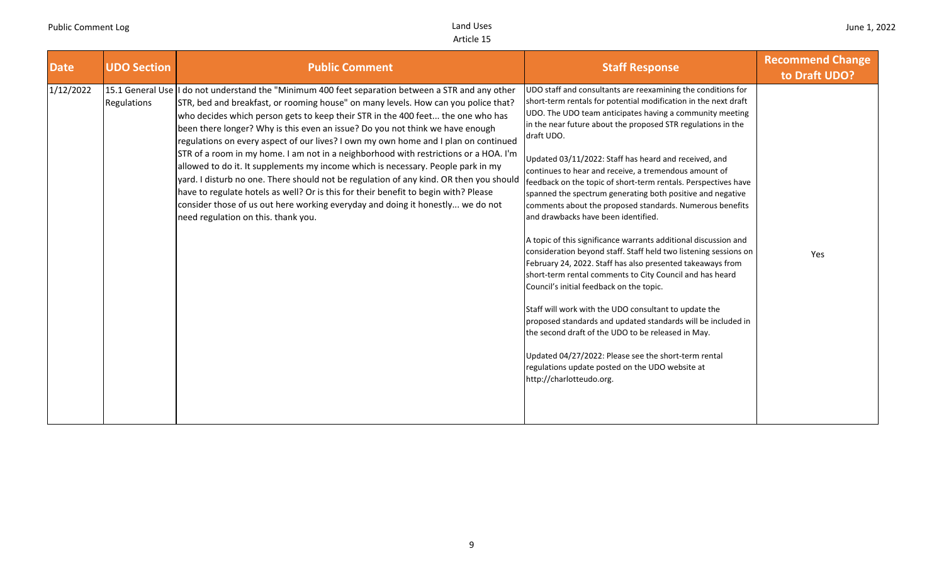| <b>Date</b> | <b>UDO Section</b> | <b>Public Comment</b>                                                                                                                                                                                                                                                                                                                                                                                                                                                                                                                                                                                                                                                                                                                                                                                                                                                                                                                     | <b>Staff Response</b>                                                                                                                                                                                                                                                                                                                                                                                                                                                                                                                                                                                                                                                                                                                                                                                                                                                                                                                                                                                                                                                                                                                                                                                                                                             | <b>Recommend Change</b><br>to Draft UDO? |
|-------------|--------------------|-------------------------------------------------------------------------------------------------------------------------------------------------------------------------------------------------------------------------------------------------------------------------------------------------------------------------------------------------------------------------------------------------------------------------------------------------------------------------------------------------------------------------------------------------------------------------------------------------------------------------------------------------------------------------------------------------------------------------------------------------------------------------------------------------------------------------------------------------------------------------------------------------------------------------------------------|-------------------------------------------------------------------------------------------------------------------------------------------------------------------------------------------------------------------------------------------------------------------------------------------------------------------------------------------------------------------------------------------------------------------------------------------------------------------------------------------------------------------------------------------------------------------------------------------------------------------------------------------------------------------------------------------------------------------------------------------------------------------------------------------------------------------------------------------------------------------------------------------------------------------------------------------------------------------------------------------------------------------------------------------------------------------------------------------------------------------------------------------------------------------------------------------------------------------------------------------------------------------|------------------------------------------|
| 1/12/2022   | Regulations        | 15.1 General Use II do not understand the "Minimum 400 feet separation between a STR and any other<br>STR, bed and breakfast, or rooming house" on many levels. How can you police that?<br>who decides which person gets to keep their STR in the 400 feet the one who has<br>been there longer? Why is this even an issue? Do you not think we have enough<br>regulations on every aspect of our lives? I own my own home and I plan on continued<br>STR of a room in my home. I am not in a neighborhood with restrictions or a HOA. I'm<br>allowed to do it. It supplements my income which is necessary. People park in my<br>yard. I disturb no one. There should not be regulation of any kind. OR then you should<br>have to regulate hotels as well? Or is this for their benefit to begin with? Please<br>consider those of us out here working everyday and doing it honestly we do not<br>need regulation on this. thank you. | UDO staff and consultants are reexamining the conditions for<br>short-term rentals for potential modification in the next draft<br>UDO. The UDO team anticipates having a community meeting<br>in the near future about the proposed STR regulations in the<br>draft UDO.<br>Updated 03/11/2022: Staff has heard and received, and<br>continues to hear and receive, a tremendous amount of<br>feedback on the topic of short-term rentals. Perspectives have<br>spanned the spectrum generating both positive and negative<br>comments about the proposed standards. Numerous benefits<br>and drawbacks have been identified.<br>A topic of this significance warrants additional discussion and<br>consideration beyond staff. Staff held two listening sessions on<br>February 24, 2022. Staff has also presented takeaways from<br>short-term rental comments to City Council and has heard<br>Council's initial feedback on the topic.<br>Staff will work with the UDO consultant to update the<br>proposed standards and updated standards will be included in<br>the second draft of the UDO to be released in May.<br>Updated 04/27/2022: Please see the short-term rental<br>regulations update posted on the UDO website at<br>http://charlotteudo.org. | Yes                                      |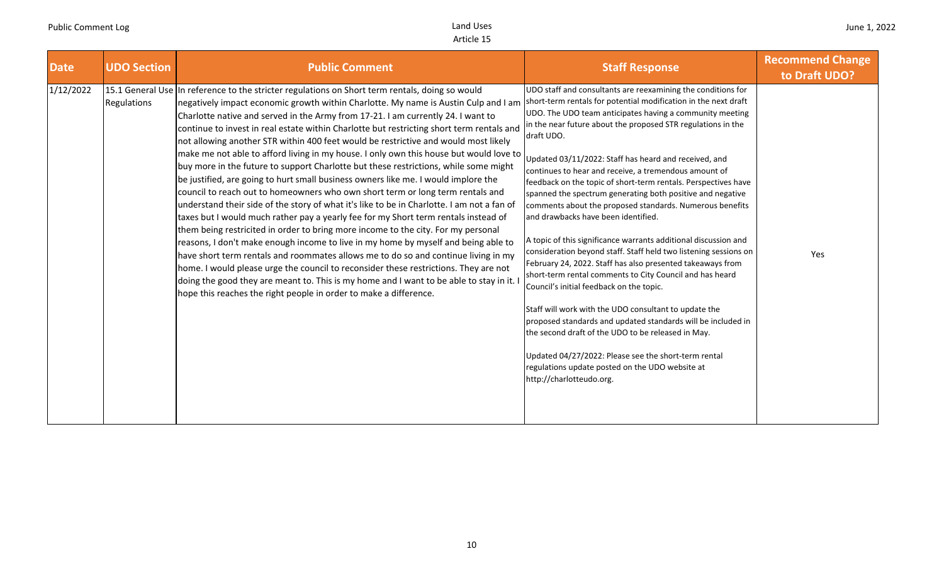| <b>Date</b> | <b>UDO Section</b> | <b>Public Comment</b>                                                                                                                                                                                                                                                                                                                                                                                                                                                                                                                                                                                                                                                                                                                                                                                                                                                                                                                                                                                                                                                                                                                                                                                                                                                                                                                                                                                                                                                                                                                                                                                                                                                         | <b>Staff Response</b>                                                                                                                                                                                                                                                                                                                                                                                                                                                                                                                                                                                                                                                                                                                                                                                                                                                                                                                                                                                                                                                                                                                                                                                    | <b>Recommend Change</b><br>to Draft UDO? |
|-------------|--------------------|-------------------------------------------------------------------------------------------------------------------------------------------------------------------------------------------------------------------------------------------------------------------------------------------------------------------------------------------------------------------------------------------------------------------------------------------------------------------------------------------------------------------------------------------------------------------------------------------------------------------------------------------------------------------------------------------------------------------------------------------------------------------------------------------------------------------------------------------------------------------------------------------------------------------------------------------------------------------------------------------------------------------------------------------------------------------------------------------------------------------------------------------------------------------------------------------------------------------------------------------------------------------------------------------------------------------------------------------------------------------------------------------------------------------------------------------------------------------------------------------------------------------------------------------------------------------------------------------------------------------------------------------------------------------------------|----------------------------------------------------------------------------------------------------------------------------------------------------------------------------------------------------------------------------------------------------------------------------------------------------------------------------------------------------------------------------------------------------------------------------------------------------------------------------------------------------------------------------------------------------------------------------------------------------------------------------------------------------------------------------------------------------------------------------------------------------------------------------------------------------------------------------------------------------------------------------------------------------------------------------------------------------------------------------------------------------------------------------------------------------------------------------------------------------------------------------------------------------------------------------------------------------------|------------------------------------------|
| 1/12/2022   | Regulations        | 15.1 General Use In reference to the stricter regulations on Short term rentals, doing so would<br>negatively impact economic growth within Charlotte. My name is Austin Culp and I am<br>Charlotte native and served in the Army from 17-21. I am currently 24. I want to<br>continue to invest in real estate within Charlotte but restricting short term rentals and<br>not allowing another STR within 400 feet would be restrictive and would most likely<br>make me not able to afford living in my house. I only own this house but would love to updated 03/11/2022: Staff has heard and received, and make me not able to afford living in my house. I only own this house but would lo<br>buy more in the future to support Charlotte but these restrictions, while some might<br>be justified, are going to hurt small business owners like me. I would implore the<br>council to reach out to homeowners who own short term or long term rentals and<br>understand their side of the story of what it's like to be in Charlotte. I am not a fan of<br>taxes but I would much rather pay a yearly fee for my Short term rentals instead of<br>them being restricited in order to bring more income to the city. For my personal<br>reasons, I don't make enough income to live in my home by myself and being able to<br>have short term rentals and roommates allows me to do so and continue living in my<br>home. I would please urge the council to reconsider these restrictions. They are not<br>doing the good they are meant to. This is my home and I want to be able to stay in it.<br>hope this reaches the right people in order to make a difference. | UDO staff and consultants are reexamining the conditions for<br>short-term rentals for potential modification in the next draft<br>UDO. The UDO team anticipates having a community meeting<br>in the near future about the proposed STR regulations in the<br>draft UDO.<br>continues to hear and receive, a tremendous amount of<br>feedback on the topic of short-term rentals. Perspectives have<br>spanned the spectrum generating both positive and negative<br>comments about the proposed standards. Numerous benefits<br>and drawbacks have been identified.<br>A topic of this significance warrants additional discussion and<br>consideration beyond staff. Staff held two listening sessions on<br>February 24, 2022. Staff has also presented takeaways from<br>short-term rental comments to City Council and has heard<br>Council's initial feedback on the topic.<br>Staff will work with the UDO consultant to update the<br>proposed standards and updated standards will be included in<br>the second draft of the UDO to be released in May.<br>Updated 04/27/2022: Please see the short-term rental<br>regulations update posted on the UDO website at<br>http://charlotteudo.org. | Yes                                      |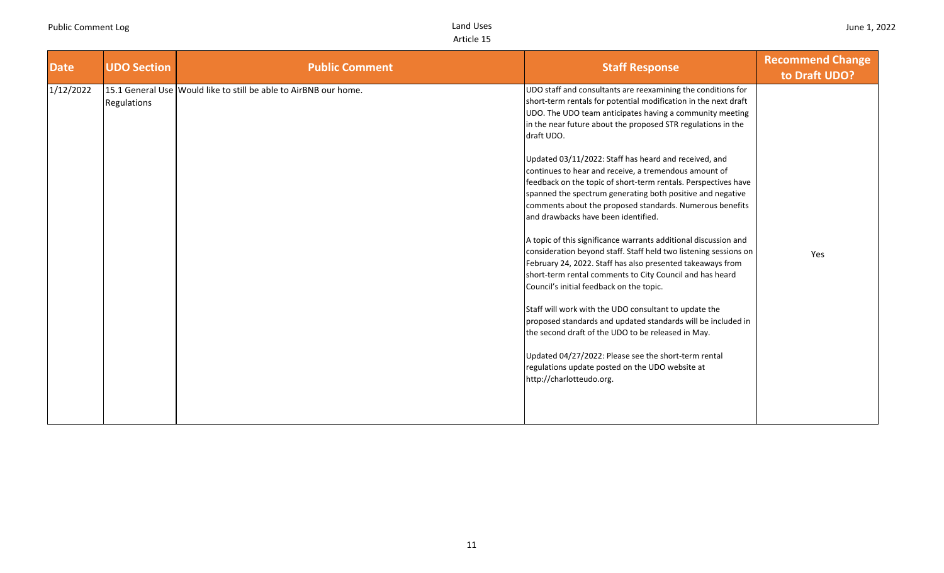| <b>Date</b> | <b>UDO Section</b> | <b>Public Comment</b>                                            | <b>Staff Response</b>                                                                                                                                                                                                                                                                                                                                                                                                                                                                                                                                                                                                                                                                                                                                                                                                                                                                                                                                                                                                                                                                                                                                                                                                                                             | <b>Recommend Change</b><br>to Draft UDO? |
|-------------|--------------------|------------------------------------------------------------------|-------------------------------------------------------------------------------------------------------------------------------------------------------------------------------------------------------------------------------------------------------------------------------------------------------------------------------------------------------------------------------------------------------------------------------------------------------------------------------------------------------------------------------------------------------------------------------------------------------------------------------------------------------------------------------------------------------------------------------------------------------------------------------------------------------------------------------------------------------------------------------------------------------------------------------------------------------------------------------------------------------------------------------------------------------------------------------------------------------------------------------------------------------------------------------------------------------------------------------------------------------------------|------------------------------------------|
| 1/12/2022   | Regulations        | 15.1 General Use Would like to still be able to AirBNB our home. | UDO staff and consultants are reexamining the conditions for<br>short-term rentals for potential modification in the next draft<br>UDO. The UDO team anticipates having a community meeting<br>in the near future about the proposed STR regulations in the<br>draft UDO.<br>Updated 03/11/2022: Staff has heard and received, and<br>continues to hear and receive, a tremendous amount of<br>feedback on the topic of short-term rentals. Perspectives have<br>spanned the spectrum generating both positive and negative<br>comments about the proposed standards. Numerous benefits<br>and drawbacks have been identified.<br>A topic of this significance warrants additional discussion and<br>consideration beyond staff. Staff held two listening sessions on<br>February 24, 2022. Staff has also presented takeaways from<br>short-term rental comments to City Council and has heard<br>Council's initial feedback on the topic.<br>Staff will work with the UDO consultant to update the<br>proposed standards and updated standards will be included in<br>the second draft of the UDO to be released in May.<br>Updated 04/27/2022: Please see the short-term rental<br>regulations update posted on the UDO website at<br>http://charlotteudo.org. | Yes                                      |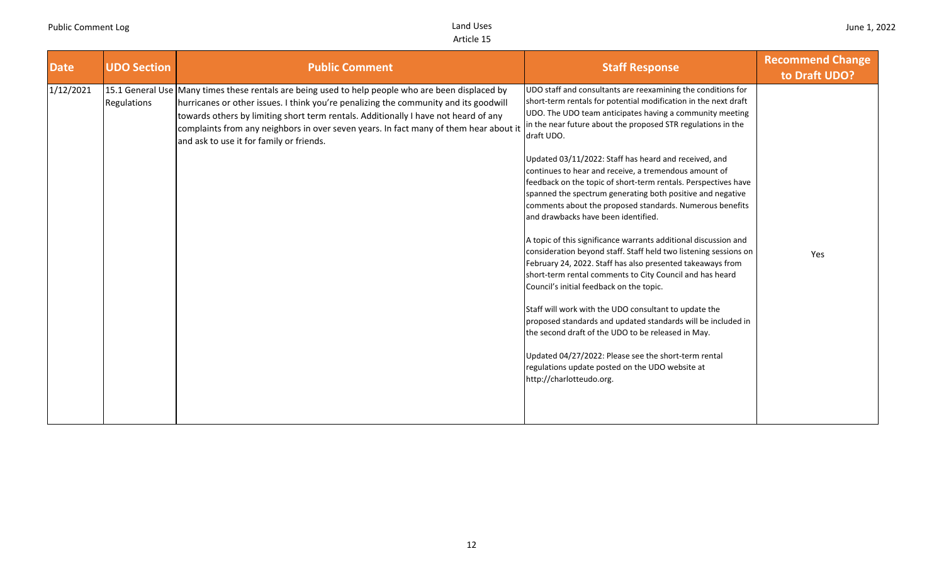| <b>Date</b> | <b>UDO Section</b> | <b>Public Comment</b>                                                                                                                                                                                                                                                                                                                                                                                                 | <b>Staff Response</b>                                                                                                                                                                                                                                                                                                                                                                                                                                                                                                                                                                                                                                                                                                                                                                                                                                                                                                                                                                                                                                                                                                                                                                                                                                             | <b>Recommend Change</b><br>to Draft UDO? |
|-------------|--------------------|-----------------------------------------------------------------------------------------------------------------------------------------------------------------------------------------------------------------------------------------------------------------------------------------------------------------------------------------------------------------------------------------------------------------------|-------------------------------------------------------------------------------------------------------------------------------------------------------------------------------------------------------------------------------------------------------------------------------------------------------------------------------------------------------------------------------------------------------------------------------------------------------------------------------------------------------------------------------------------------------------------------------------------------------------------------------------------------------------------------------------------------------------------------------------------------------------------------------------------------------------------------------------------------------------------------------------------------------------------------------------------------------------------------------------------------------------------------------------------------------------------------------------------------------------------------------------------------------------------------------------------------------------------------------------------------------------------|------------------------------------------|
| 1/12/2021   | Regulations        | 15.1 General Use Many times these rentals are being used to help people who are been displaced by<br>hurricanes or other issues. I think you're penalizing the community and its goodwill<br>towards others by limiting short term rentals. Additionally I have not heard of any<br>complaints from any neighbors in over seven years. In fact many of them hear about it<br>and ask to use it for family or friends. | UDO staff and consultants are reexamining the conditions for<br>short-term rentals for potential modification in the next draft<br>UDO. The UDO team anticipates having a community meeting<br>in the near future about the proposed STR regulations in the<br>draft UDO.<br>Updated 03/11/2022: Staff has heard and received, and<br>continues to hear and receive, a tremendous amount of<br>feedback on the topic of short-term rentals. Perspectives have<br>spanned the spectrum generating both positive and negative<br>comments about the proposed standards. Numerous benefits<br>and drawbacks have been identified.<br>A topic of this significance warrants additional discussion and<br>consideration beyond staff. Staff held two listening sessions on<br>February 24, 2022. Staff has also presented takeaways from<br>short-term rental comments to City Council and has heard<br>Council's initial feedback on the topic.<br>Staff will work with the UDO consultant to update the<br>proposed standards and updated standards will be included in<br>the second draft of the UDO to be released in May.<br>Updated 04/27/2022: Please see the short-term rental<br>regulations update posted on the UDO website at<br>http://charlotteudo.org. | Yes                                      |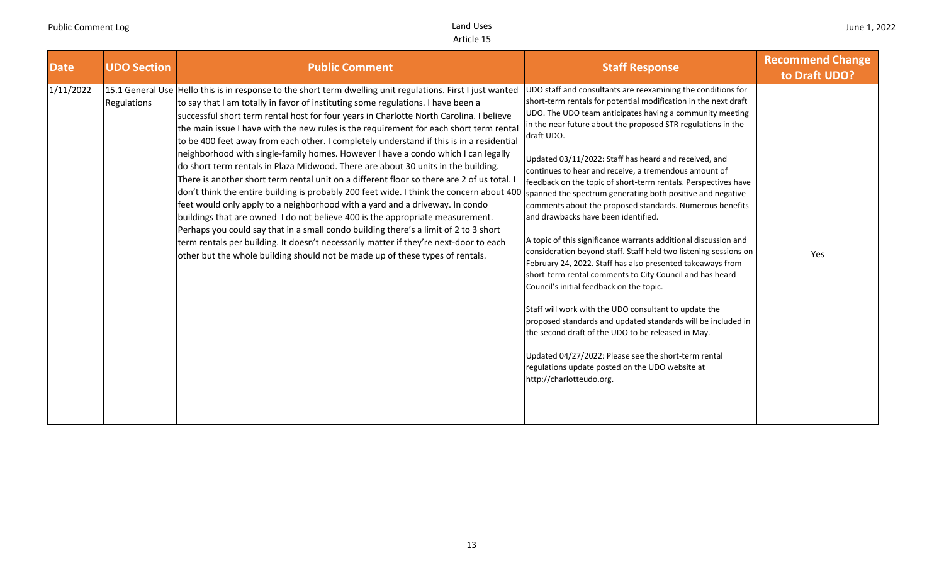| <b>Date</b> | <b>UDO Section</b> | <b>Public Comment</b>                                                                                                                                                                                                                                                                                                                                                                                                                                                                                                                                                                                                                                                                                                                                                                                                                                                                                                                                                                                                                                                                                                                                                                                                                                                                 | <b>Staff Response</b>                                                                                                                                                                                                                                                                                                                                                                                                                                                                                                                                                                                                                                                                                                                                                                                                                                                                                                                                                                                                                                                                                                                                                                                                                                             | <b>Recommend Change</b><br>to Draft UDO? |
|-------------|--------------------|---------------------------------------------------------------------------------------------------------------------------------------------------------------------------------------------------------------------------------------------------------------------------------------------------------------------------------------------------------------------------------------------------------------------------------------------------------------------------------------------------------------------------------------------------------------------------------------------------------------------------------------------------------------------------------------------------------------------------------------------------------------------------------------------------------------------------------------------------------------------------------------------------------------------------------------------------------------------------------------------------------------------------------------------------------------------------------------------------------------------------------------------------------------------------------------------------------------------------------------------------------------------------------------|-------------------------------------------------------------------------------------------------------------------------------------------------------------------------------------------------------------------------------------------------------------------------------------------------------------------------------------------------------------------------------------------------------------------------------------------------------------------------------------------------------------------------------------------------------------------------------------------------------------------------------------------------------------------------------------------------------------------------------------------------------------------------------------------------------------------------------------------------------------------------------------------------------------------------------------------------------------------------------------------------------------------------------------------------------------------------------------------------------------------------------------------------------------------------------------------------------------------------------------------------------------------|------------------------------------------|
| 1/11/2022   | Regulations        | 15.1 General Use Hello this is in response to the short term dwelling unit regulations. First I just wanted<br>to say that I am totally in favor of instituting some regulations. I have been a<br>successful short term rental host for four years in Charlotte North Carolina. I believe<br>the main issue I have with the new rules is the requirement for each short term rental<br>to be 400 feet away from each other. I completely understand if this is in a residential<br>neighborhood with single-family homes. However I have a condo which I can legally<br>do short term rentals in Plaza Midwood. There are about 30 units in the building.<br>There is another short term rental unit on a different floor so there are 2 of us total.<br>don't think the entire building is probably 200 feet wide. I think the concern about 400<br>feet would only apply to a neighborhood with a yard and a driveway. In condo<br>buildings that are owned I do not believe 400 is the appropriate measurement.<br>Perhaps you could say that in a small condo building there's a limit of 2 to 3 short<br>term rentals per building. It doesn't necessarily matter if they're next-door to each<br>other but the whole building should not be made up of these types of rentals. | UDO staff and consultants are reexamining the conditions for<br>short-term rentals for potential modification in the next draft<br>UDO. The UDO team anticipates having a community meeting<br>in the near future about the proposed STR regulations in the<br>draft UDO.<br>Updated 03/11/2022: Staff has heard and received, and<br>continues to hear and receive, a tremendous amount of<br>feedback on the topic of short-term rentals. Perspectives have<br>spanned the spectrum generating both positive and negative<br>comments about the proposed standards. Numerous benefits<br>and drawbacks have been identified.<br>A topic of this significance warrants additional discussion and<br>consideration beyond staff. Staff held two listening sessions on<br>February 24, 2022. Staff has also presented takeaways from<br>short-term rental comments to City Council and has heard<br>Council's initial feedback on the topic.<br>Staff will work with the UDO consultant to update the<br>proposed standards and updated standards will be included in<br>the second draft of the UDO to be released in May.<br>Updated 04/27/2022: Please see the short-term rental<br>regulations update posted on the UDO website at<br>http://charlotteudo.org. | Yes                                      |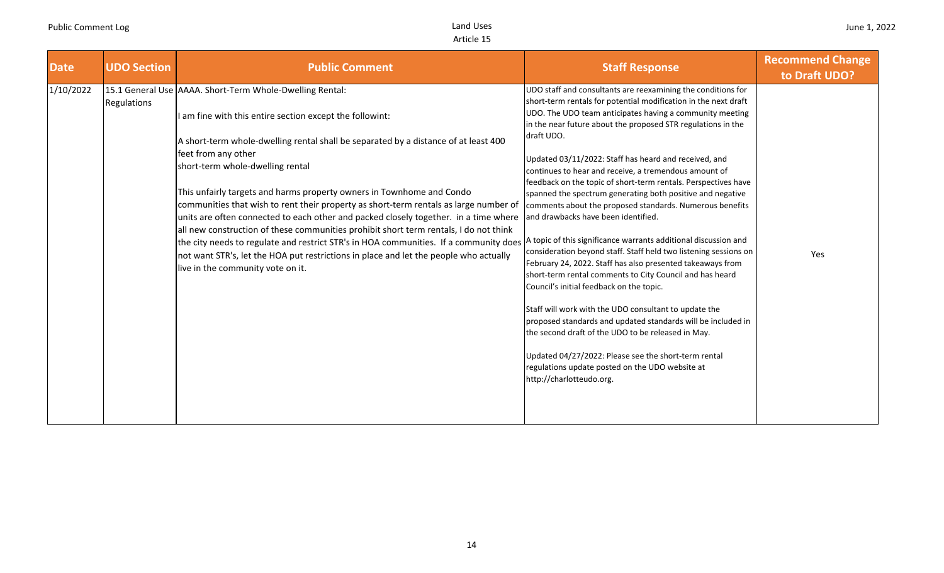| <b>Date</b> | <b>UDO Section</b> | <b>Public Comment</b>                                                                                                                                                                                                                                                                                                                                                                                                                                                                                                                                                                                                                                                                                                                                                                                                                                                                                          | <b>Staff Response</b>                                                                                                                                                                                                                                                                                                                                                                                                                                                                                                                                                                                                                                                                                                                                                                                                                                                                                                                                                                                                                                                                                                                                                                          | <b>Recommend Change</b><br>to Draft UDO? |
|-------------|--------------------|----------------------------------------------------------------------------------------------------------------------------------------------------------------------------------------------------------------------------------------------------------------------------------------------------------------------------------------------------------------------------------------------------------------------------------------------------------------------------------------------------------------------------------------------------------------------------------------------------------------------------------------------------------------------------------------------------------------------------------------------------------------------------------------------------------------------------------------------------------------------------------------------------------------|------------------------------------------------------------------------------------------------------------------------------------------------------------------------------------------------------------------------------------------------------------------------------------------------------------------------------------------------------------------------------------------------------------------------------------------------------------------------------------------------------------------------------------------------------------------------------------------------------------------------------------------------------------------------------------------------------------------------------------------------------------------------------------------------------------------------------------------------------------------------------------------------------------------------------------------------------------------------------------------------------------------------------------------------------------------------------------------------------------------------------------------------------------------------------------------------|------------------------------------------|
| 1/10/2022   | Regulations        | 15.1 General Use AAAA. Short-Term Whole-Dwelling Rental:<br>am fine with this entire section except the followint:<br>A short-term whole-dwelling rental shall be separated by a distance of at least 400<br>feet from any other<br>short-term whole-dwelling rental<br>This unfairly targets and harms property owners in Townhome and Condo<br>communities that wish to rent their property as short-term rentals as large number of<br>units are often connected to each other and packed closely together. in a time where<br>all new construction of these communities prohibit short term rentals, I do not think<br>the city needs to regulate and restrict STR's in HOA communities. If a community does A topic of this significance warrants additional discussion and<br>not want STR's, let the HOA put restrictions in place and let the people who actually<br>live in the community vote on it. | UDO staff and consultants are reexamining the conditions for<br>short-term rentals for potential modification in the next draft<br>UDO. The UDO team anticipates having a community meeting<br>in the near future about the proposed STR regulations in the<br>draft UDO.<br>Updated 03/11/2022: Staff has heard and received, and<br>continues to hear and receive, a tremendous amount of<br>feedback on the topic of short-term rentals. Perspectives have<br>spanned the spectrum generating both positive and negative<br>comments about the proposed standards. Numerous benefits<br>and drawbacks have been identified.<br>consideration beyond staff. Staff held two listening sessions on<br>February 24, 2022. Staff has also presented takeaways from<br>short-term rental comments to City Council and has heard<br>Council's initial feedback on the topic.<br>Staff will work with the UDO consultant to update the<br>proposed standards and updated standards will be included in<br>the second draft of the UDO to be released in May.<br>Updated 04/27/2022: Please see the short-term rental<br>regulations update posted on the UDO website at<br>http://charlotteudo.org. | Yes                                      |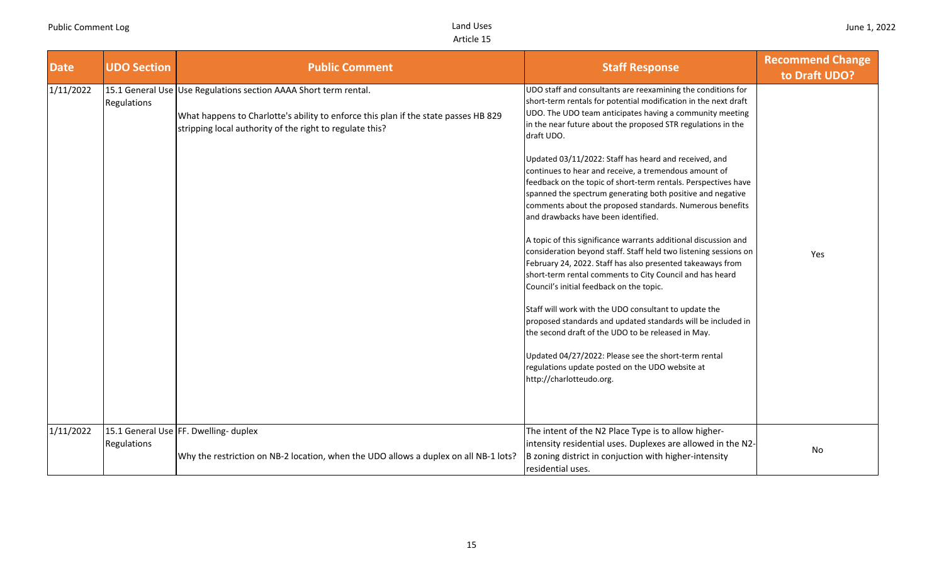| <b>Date</b> | <b>UDO Section</b> | <b>Public Comment</b>                                                                                                                                                                                               | <b>Staff Response</b>                                                                                                                                                                                                                                                                                                                                                                                                                                                                                                                                                                                                                                                                                                                                                                                                                                                                                                                                                                                                                                                                                                                                                                                                                                             | <b>Recommend Change</b><br>to Draft UDO? |
|-------------|--------------------|---------------------------------------------------------------------------------------------------------------------------------------------------------------------------------------------------------------------|-------------------------------------------------------------------------------------------------------------------------------------------------------------------------------------------------------------------------------------------------------------------------------------------------------------------------------------------------------------------------------------------------------------------------------------------------------------------------------------------------------------------------------------------------------------------------------------------------------------------------------------------------------------------------------------------------------------------------------------------------------------------------------------------------------------------------------------------------------------------------------------------------------------------------------------------------------------------------------------------------------------------------------------------------------------------------------------------------------------------------------------------------------------------------------------------------------------------------------------------------------------------|------------------------------------------|
| 1/11/2022   | Regulations        | 15.1 General Use Use Regulations section AAAA Short term rental.<br>What happens to Charlotte's ability to enforce this plan if the state passes HB 829<br>stripping local authority of the right to regulate this? | UDO staff and consultants are reexamining the conditions for<br>short-term rentals for potential modification in the next draft<br>UDO. The UDO team anticipates having a community meeting<br>in the near future about the proposed STR regulations in the<br>draft UDO.<br>Updated 03/11/2022: Staff has heard and received, and<br>continues to hear and receive, a tremendous amount of<br>feedback on the topic of short-term rentals. Perspectives have<br>spanned the spectrum generating both positive and negative<br>comments about the proposed standards. Numerous benefits<br>and drawbacks have been identified.<br>A topic of this significance warrants additional discussion and<br>consideration beyond staff. Staff held two listening sessions on<br>February 24, 2022. Staff has also presented takeaways from<br>short-term rental comments to City Council and has heard<br>Council's initial feedback on the topic.<br>Staff will work with the UDO consultant to update the<br>proposed standards and updated standards will be included in<br>the second draft of the UDO to be released in May.<br>Updated 04/27/2022: Please see the short-term rental<br>regulations update posted on the UDO website at<br>http://charlotteudo.org. | Yes                                      |
| 1/11/2022   | Regulations        | 15.1 General Use FF. Dwelling- duplex<br>Why the restriction on NB-2 location, when the UDO allows a duplex on all NB-1 lots?                                                                                       | The intent of the N2 Place Type is to allow higher-<br>intensity residential uses. Duplexes are allowed in the N2-<br>B zoning district in conjuction with higher-intensity<br>residential uses.                                                                                                                                                                                                                                                                                                                                                                                                                                                                                                                                                                                                                                                                                                                                                                                                                                                                                                                                                                                                                                                                  | No                                       |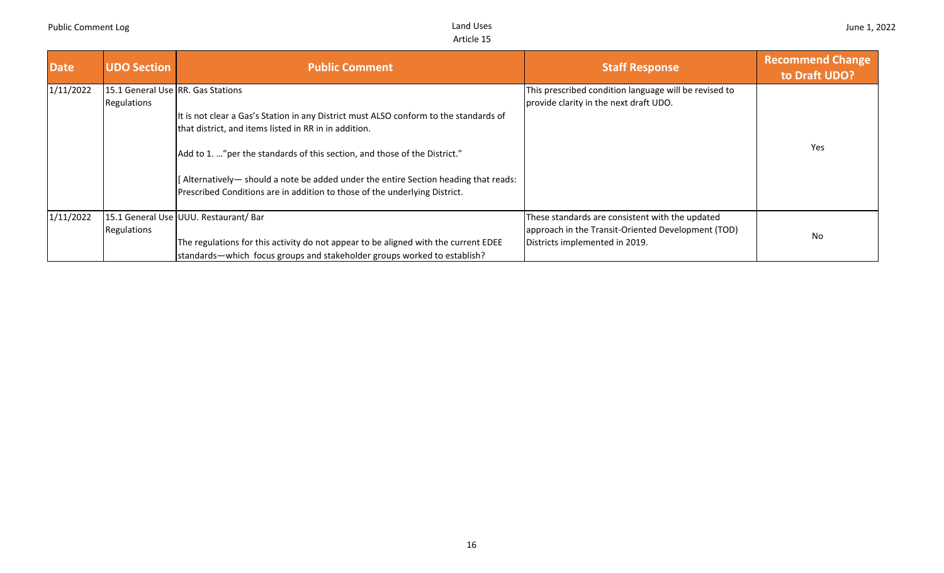| <b>Date</b> | <b>UDO Section</b>                                 | <b>Public Comment</b>                                                                                                                                                                                                                                                                                                                                                                             | <b>Staff Response</b>                                                                                                                   | <b>Recommend Change</b><br>to Draft UDO? |
|-------------|----------------------------------------------------|---------------------------------------------------------------------------------------------------------------------------------------------------------------------------------------------------------------------------------------------------------------------------------------------------------------------------------------------------------------------------------------------------|-----------------------------------------------------------------------------------------------------------------------------------------|------------------------------------------|
| 1/11/2022   | 115.1 General Use IRR. Gas Stations<br>Regulations | It is not clear a Gas's Station in any District must ALSO conform to the standards of<br>that district, and items listed in RR in in addition.<br>Add to 1. " per the standards of this section, and those of the District."<br>[Alternatively- should a note be added under the entire Section heading that reads:<br>Prescribed Conditions are in addition to those of the underlying District. | This prescribed condition language will be revised to<br>provide clarity in the next draft UDO.                                         | Yes                                      |
| 1/11/2022   | Regulations                                        | 15.1 General Use UUU. Restaurant/ Bar<br>The regulations for this activity do not appear to be aligned with the current EDEE<br>standards—which focus groups and stakeholder groups worked to establish?                                                                                                                                                                                          | These standards are consistent with the updated<br>approach in the Transit-Oriented Development (TOD)<br>Districts implemented in 2019. | No                                       |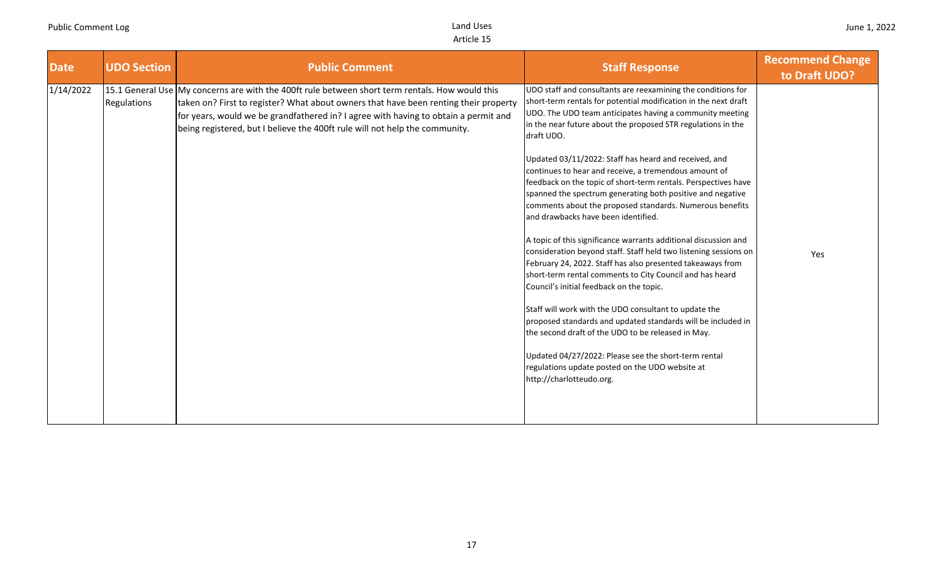| <b>Date</b> | <b>UDO Section</b> | <b>Public Comment</b>                                                                                                                                                                                                                                                                                                                                         | <b>Staff Response</b>                                                                                                                                                                                                                                                                                                                                                                                                                                                                                                                                                                                                                                                                                                                                                                                                                                                                                                                                                                                                                                                                                                                                                                                                                                             | <b>Recommend Change</b><br>to Draft UDO? |
|-------------|--------------------|---------------------------------------------------------------------------------------------------------------------------------------------------------------------------------------------------------------------------------------------------------------------------------------------------------------------------------------------------------------|-------------------------------------------------------------------------------------------------------------------------------------------------------------------------------------------------------------------------------------------------------------------------------------------------------------------------------------------------------------------------------------------------------------------------------------------------------------------------------------------------------------------------------------------------------------------------------------------------------------------------------------------------------------------------------------------------------------------------------------------------------------------------------------------------------------------------------------------------------------------------------------------------------------------------------------------------------------------------------------------------------------------------------------------------------------------------------------------------------------------------------------------------------------------------------------------------------------------------------------------------------------------|------------------------------------------|
| 1/14/2022   | Regulations        | 15.1 General Use My concerns are with the 400ft rule between short term rentals. How would this<br>taken on? First to register? What about owners that have been renting their property<br>for years, would we be grandfathered in? I agree with having to obtain a permit and<br>being registered, but I believe the 400ft rule will not help the community. | UDO staff and consultants are reexamining the conditions for<br>short-term rentals for potential modification in the next draft<br>UDO. The UDO team anticipates having a community meeting<br>in the near future about the proposed STR regulations in the<br>draft UDO.<br>Updated 03/11/2022: Staff has heard and received, and<br>continues to hear and receive, a tremendous amount of<br>feedback on the topic of short-term rentals. Perspectives have<br>spanned the spectrum generating both positive and negative<br>comments about the proposed standards. Numerous benefits<br>and drawbacks have been identified.<br>A topic of this significance warrants additional discussion and<br>consideration beyond staff. Staff held two listening sessions on<br>February 24, 2022. Staff has also presented takeaways from<br>short-term rental comments to City Council and has heard<br>Council's initial feedback on the topic.<br>Staff will work with the UDO consultant to update the<br>proposed standards and updated standards will be included in<br>the second draft of the UDO to be released in May.<br>Updated 04/27/2022: Please see the short-term rental<br>regulations update posted on the UDO website at<br>http://charlotteudo.org. | Yes                                      |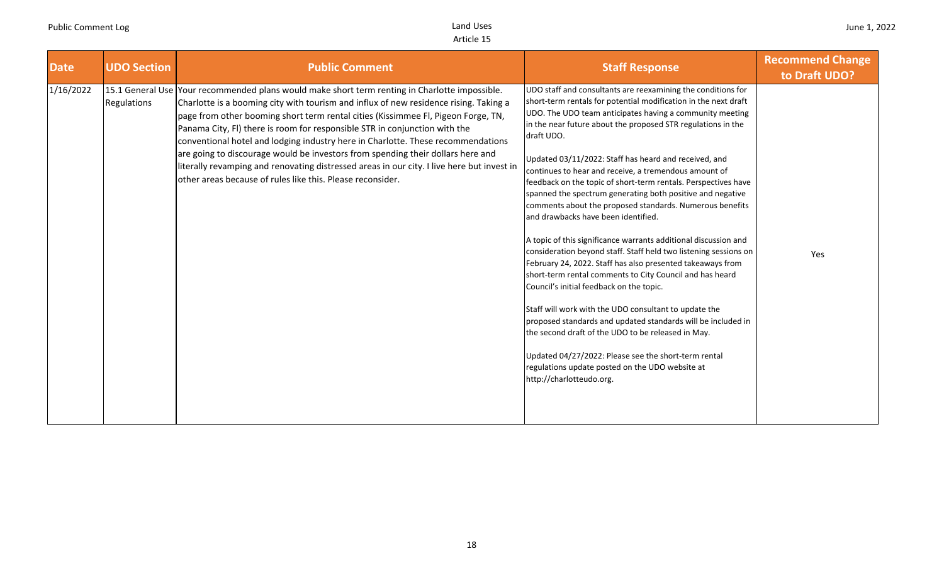| <b>Date</b> | <b>UDO Section</b> | <b>Public Comment</b>                                                                                                                                                                                                                                                                                                                                                                                                                                                                                                                                                                                                                                                                         | <b>Staff Response</b>                                                                                                                                                                                                                                                                                                                                                                                                                                                                                                                                                                                                                                                                                                                                                                                                                                                                                                                                                                                                                                                                                                                                                                                                                                             | <b>Recommend Change</b><br>to Draft UDO? |
|-------------|--------------------|-----------------------------------------------------------------------------------------------------------------------------------------------------------------------------------------------------------------------------------------------------------------------------------------------------------------------------------------------------------------------------------------------------------------------------------------------------------------------------------------------------------------------------------------------------------------------------------------------------------------------------------------------------------------------------------------------|-------------------------------------------------------------------------------------------------------------------------------------------------------------------------------------------------------------------------------------------------------------------------------------------------------------------------------------------------------------------------------------------------------------------------------------------------------------------------------------------------------------------------------------------------------------------------------------------------------------------------------------------------------------------------------------------------------------------------------------------------------------------------------------------------------------------------------------------------------------------------------------------------------------------------------------------------------------------------------------------------------------------------------------------------------------------------------------------------------------------------------------------------------------------------------------------------------------------------------------------------------------------|------------------------------------------|
| 1/16/2022   | Regulations        | 15.1 General Use Your recommended plans would make short term renting in Charlotte impossible.<br>Charlotte is a booming city with tourism and influx of new residence rising. Taking a<br>page from other booming short term rental cities (Kissimmee Fl, Pigeon Forge, TN,<br>Panama City, FI) there is room for responsible STR in conjunction with the<br>conventional hotel and lodging industry here in Charlotte. These recommendations<br>are going to discourage would be investors from spending their dollars here and<br>literally revamping and renovating distressed areas in our city. I live here but invest in<br>other areas because of rules like this. Please reconsider. | UDO staff and consultants are reexamining the conditions for<br>short-term rentals for potential modification in the next draft<br>UDO. The UDO team anticipates having a community meeting<br>in the near future about the proposed STR regulations in the<br>draft UDO.<br>Updated 03/11/2022: Staff has heard and received, and<br>continues to hear and receive, a tremendous amount of<br>feedback on the topic of short-term rentals. Perspectives have<br>spanned the spectrum generating both positive and negative<br>comments about the proposed standards. Numerous benefits<br>and drawbacks have been identified.<br>A topic of this significance warrants additional discussion and<br>consideration beyond staff. Staff held two listening sessions on<br>February 24, 2022. Staff has also presented takeaways from<br>short-term rental comments to City Council and has heard<br>Council's initial feedback on the topic.<br>Staff will work with the UDO consultant to update the<br>proposed standards and updated standards will be included in<br>the second draft of the UDO to be released in May.<br>Updated 04/27/2022: Please see the short-term rental<br>regulations update posted on the UDO website at<br>http://charlotteudo.org. | Yes                                      |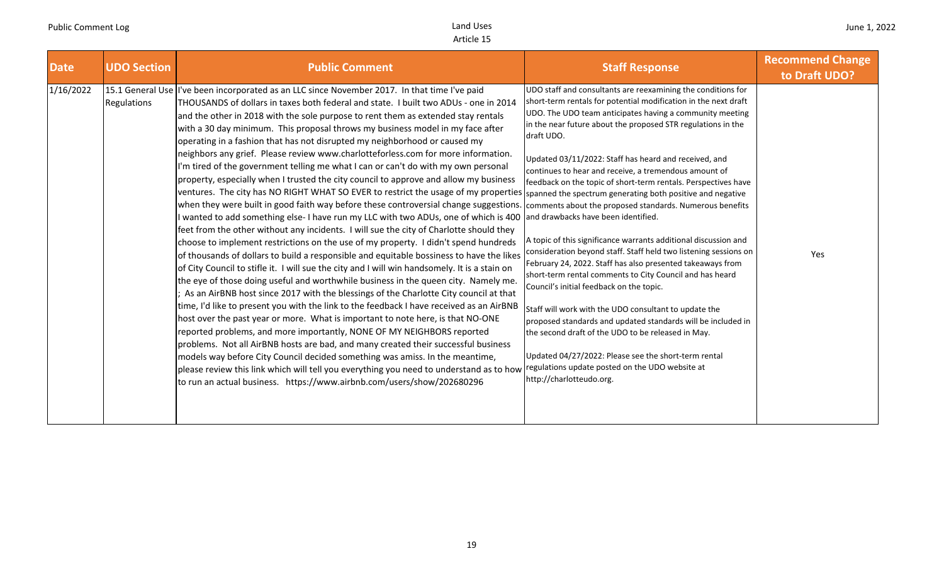| <b>Date</b> | <b>UDO Section</b> | <b>Public Comment</b>                                                                                                                                                                                                                                                                                                                                                                                                                                                                                                                                                                                                                                                                                                                                                                                                                                                                                                                                                                                                                                                                                                                                                                                                                                                                                                                                                                                                                                                                                                                                                                                                                                                                                                                                                                                                                                                                                                                                                                                                                                                                                                                                                                                                                                                                                                        | <b>Staff Response</b>                                                                                                                                                                                                                                                                                                                                                                                                                                                                                                                                                                                                                                                                                                                                                                                                                                                                                                                                                                                                                                                                | <b>Recommend Change</b><br>to Draft UDO? |
|-------------|--------------------|------------------------------------------------------------------------------------------------------------------------------------------------------------------------------------------------------------------------------------------------------------------------------------------------------------------------------------------------------------------------------------------------------------------------------------------------------------------------------------------------------------------------------------------------------------------------------------------------------------------------------------------------------------------------------------------------------------------------------------------------------------------------------------------------------------------------------------------------------------------------------------------------------------------------------------------------------------------------------------------------------------------------------------------------------------------------------------------------------------------------------------------------------------------------------------------------------------------------------------------------------------------------------------------------------------------------------------------------------------------------------------------------------------------------------------------------------------------------------------------------------------------------------------------------------------------------------------------------------------------------------------------------------------------------------------------------------------------------------------------------------------------------------------------------------------------------------------------------------------------------------------------------------------------------------------------------------------------------------------------------------------------------------------------------------------------------------------------------------------------------------------------------------------------------------------------------------------------------------------------------------------------------------------------------------------------------------|--------------------------------------------------------------------------------------------------------------------------------------------------------------------------------------------------------------------------------------------------------------------------------------------------------------------------------------------------------------------------------------------------------------------------------------------------------------------------------------------------------------------------------------------------------------------------------------------------------------------------------------------------------------------------------------------------------------------------------------------------------------------------------------------------------------------------------------------------------------------------------------------------------------------------------------------------------------------------------------------------------------------------------------------------------------------------------------|------------------------------------------|
| 1/16/2022   | Regulations        | 15.1 General Use I've been incorporated as an LLC since November 2017. In that time I've paid<br>THOUSANDS of dollars in taxes both federal and state. I built two ADUs - one in 2014<br>and the other in 2018 with the sole purpose to rent them as extended stay rentals<br>with a 30 day minimum. This proposal throws my business model in my face after<br>operating in a fashion that has not disrupted my neighborhood or caused my<br>neighbors any grief. Please review www.charlotteforless.com for more information.<br>I'm tired of the government telling me what I can or can't do with my own personal<br>property, especially when I trusted the city council to approve and allow my business<br>ventures. The city has NO RIGHT WHAT SO EVER to restrict the usage of my properties spanned the spectrum generating both positive and negative<br>when they were built in good faith way before these controversial change suggestions. comments about the proposed standards. Numerous benefits<br>I wanted to add something else-I have run my LLC with two ADUs, one of which is 400<br>feet from the other without any incidents. I will sue the city of Charlotte should they<br>choose to implement restrictions on the use of my property. I didn't spend hundreds<br>of thousands of dollars to build a responsible and equitable bossiness to have the likes<br>of City Council to stifle it. I will sue the city and I will win handsomely. It is a stain on<br>the eye of those doing useful and worthwhile business in the queen city. Namely me.<br>As an AirBNB host since 2017 with the blessings of the Charlotte City council at that<br>time, I'd like to present you with the link to the feedback I have received as an AirBNB<br>host over the past year or more. What is important to note here, is that NO-ONE<br>reported problems, and more importantly, NONE OF MY NEIGHBORS reported<br>problems. Not all AirBNB hosts are bad, and many created their successful business<br>models way before City Council decided something was amiss. In the meantime,<br>please review this link which will tell you everything you need to understand as to how regulations update posted on the UDO website at<br>to run an actual business. https://www.airbnb.com/users/show/202680296 | UDO staff and consultants are reexamining the conditions for<br>short-term rentals for potential modification in the next draft<br>UDO. The UDO team anticipates having a community meeting<br>in the near future about the proposed STR regulations in the<br>draft UDO.<br>Updated 03/11/2022: Staff has heard and received, and<br>continues to hear and receive, a tremendous amount of<br>feedback on the topic of short-term rentals. Perspectives have<br>and drawbacks have been identified.<br>A topic of this significance warrants additional discussion and<br>consideration beyond staff. Staff held two listening sessions on<br>February 24, 2022. Staff has also presented takeaways from<br>short-term rental comments to City Council and has heard<br>Council's initial feedback on the topic.<br>Staff will work with the UDO consultant to update the<br>proposed standards and updated standards will be included in<br>the second draft of the UDO to be released in May.<br>Updated 04/27/2022: Please see the short-term rental<br>http://charlotteudo.org. | Yes                                      |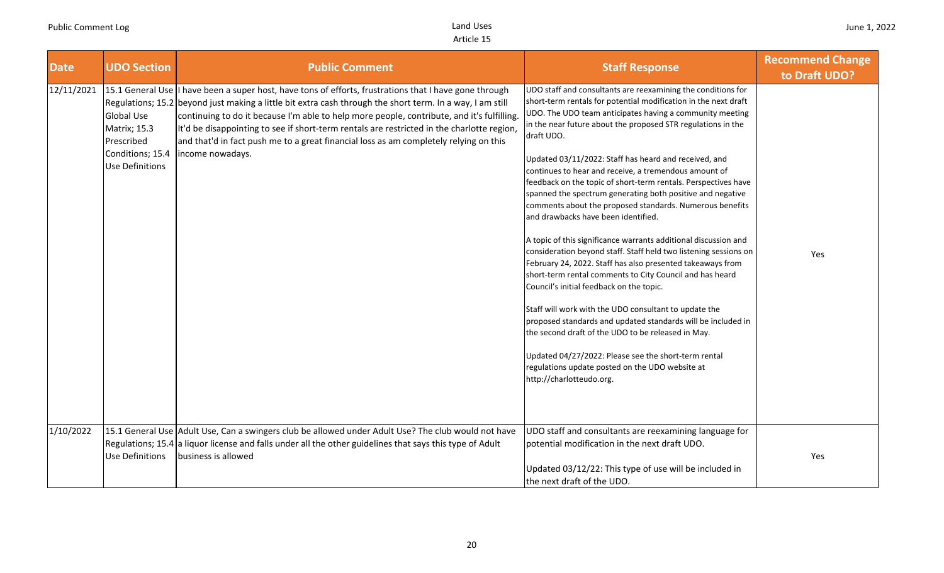| <b>Date</b> | <b>UDO Section</b>                                                                            | <b>Public Comment</b>                                                                                                                                                                                                                                                                                                                                                                                                                                                                                                        | <b>Staff Response</b>                                                                                                                                                                                                                                                                                                                                                                                                                                                                                                                                                                                                                                                                                                                                                                                                                                                                                                                                                                                                                                                                                                                                                                                                                                             | <b>Recommend Change</b><br>to Draft UDO? |
|-------------|-----------------------------------------------------------------------------------------------|------------------------------------------------------------------------------------------------------------------------------------------------------------------------------------------------------------------------------------------------------------------------------------------------------------------------------------------------------------------------------------------------------------------------------------------------------------------------------------------------------------------------------|-------------------------------------------------------------------------------------------------------------------------------------------------------------------------------------------------------------------------------------------------------------------------------------------------------------------------------------------------------------------------------------------------------------------------------------------------------------------------------------------------------------------------------------------------------------------------------------------------------------------------------------------------------------------------------------------------------------------------------------------------------------------------------------------------------------------------------------------------------------------------------------------------------------------------------------------------------------------------------------------------------------------------------------------------------------------------------------------------------------------------------------------------------------------------------------------------------------------------------------------------------------------|------------------------------------------|
| 12/11/2021  | <b>Global Use</b><br><b>Matrix; 15.3</b><br>Prescribed<br>Conditions; 15.4<br>Use Definitions | 15.1 General Use I have been a super host, have tons of efforts, frustrations that I have gone through<br>Regulations; 15.2 beyond just making a little bit extra cash through the short term. In a way, I am still<br>continuing to do it because I'm able to help more people, contribute, and it's fulfilling.<br>It'd be disappointing to see if short-term rentals are restricted in the charlotte region,<br>and that'd in fact push me to a great financial loss as am completely relying on this<br>income nowadays. | UDO staff and consultants are reexamining the conditions for<br>short-term rentals for potential modification in the next draft<br>UDO. The UDO team anticipates having a community meeting<br>in the near future about the proposed STR regulations in the<br>draft UDO.<br>Updated 03/11/2022: Staff has heard and received, and<br>continues to hear and receive, a tremendous amount of<br>feedback on the topic of short-term rentals. Perspectives have<br>spanned the spectrum generating both positive and negative<br>comments about the proposed standards. Numerous benefits<br>and drawbacks have been identified.<br>A topic of this significance warrants additional discussion and<br>consideration beyond staff. Staff held two listening sessions on<br>February 24, 2022. Staff has also presented takeaways from<br>short-term rental comments to City Council and has heard<br>Council's initial feedback on the topic.<br>Staff will work with the UDO consultant to update the<br>proposed standards and updated standards will be included in<br>the second draft of the UDO to be released in May.<br>Updated 04/27/2022: Please see the short-term rental<br>regulations update posted on the UDO website at<br>http://charlotteudo.org. | Yes                                      |
| 1/10/2022   | Use Definitions                                                                               | 15.1 General Use Adult Use, Can a swingers club be allowed under Adult Use? The club would not have<br>Regulations; 15.4 a liquor license and falls under all the other guidelines that says this type of Adult<br>business is allowed                                                                                                                                                                                                                                                                                       | UDO staff and consultants are reexamining language for<br>potential modification in the next draft UDO.<br>Updated 03/12/22: This type of use will be included in<br>the next draft of the UDO.                                                                                                                                                                                                                                                                                                                                                                                                                                                                                                                                                                                                                                                                                                                                                                                                                                                                                                                                                                                                                                                                   | Yes                                      |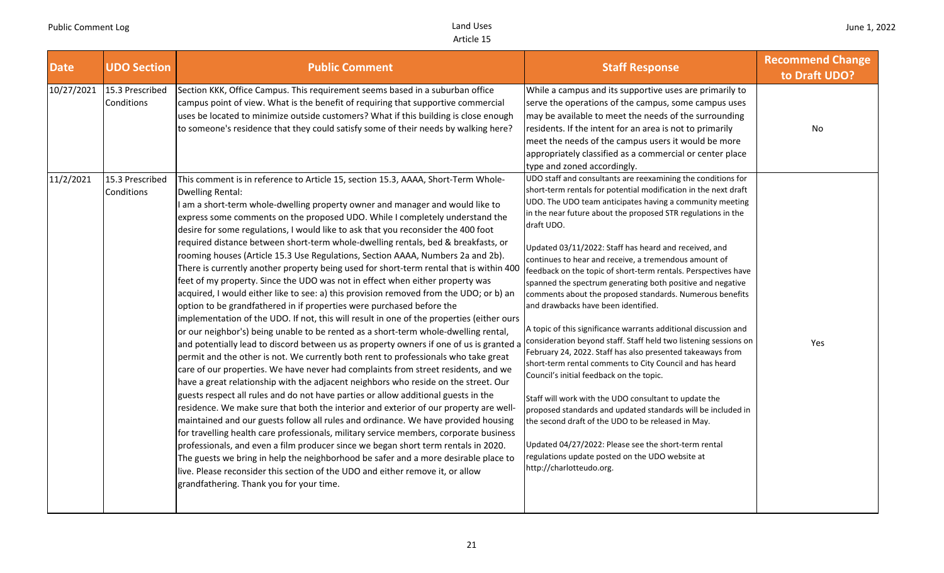| <b>Date</b> | <b>UDO Section</b>            | <b>Public Comment</b>                                                                                                                                                                                                                                                                                                                                                                                                                                                                                                                                                                                                                                                                                                                                                                                                                                                                                                                                                                                                                                                                                                                                                                                                                                                                                                                                                                                                                                                                                                                                                                                                                                                                                                                                                                                                                                                                                                                                                                                                                                                                                           | <b>Staff Response</b>                                                                                                                                                                                                                                                                                                                                                                                                                                                                                                                                                                                                                                                                                                                                                                                                                                                                                                                                                                                                                                                                                                                                                                                                                                             | <b>Recommend Change</b><br>to Draft UDO? |
|-------------|-------------------------------|-----------------------------------------------------------------------------------------------------------------------------------------------------------------------------------------------------------------------------------------------------------------------------------------------------------------------------------------------------------------------------------------------------------------------------------------------------------------------------------------------------------------------------------------------------------------------------------------------------------------------------------------------------------------------------------------------------------------------------------------------------------------------------------------------------------------------------------------------------------------------------------------------------------------------------------------------------------------------------------------------------------------------------------------------------------------------------------------------------------------------------------------------------------------------------------------------------------------------------------------------------------------------------------------------------------------------------------------------------------------------------------------------------------------------------------------------------------------------------------------------------------------------------------------------------------------------------------------------------------------------------------------------------------------------------------------------------------------------------------------------------------------------------------------------------------------------------------------------------------------------------------------------------------------------------------------------------------------------------------------------------------------------------------------------------------------------------------------------------------------|-------------------------------------------------------------------------------------------------------------------------------------------------------------------------------------------------------------------------------------------------------------------------------------------------------------------------------------------------------------------------------------------------------------------------------------------------------------------------------------------------------------------------------------------------------------------------------------------------------------------------------------------------------------------------------------------------------------------------------------------------------------------------------------------------------------------------------------------------------------------------------------------------------------------------------------------------------------------------------------------------------------------------------------------------------------------------------------------------------------------------------------------------------------------------------------------------------------------------------------------------------------------|------------------------------------------|
| 10/27/2021  | 15.3 Prescribed<br>Conditions | Section KKK, Office Campus. This requirement seems based in a suburban office<br>campus point of view. What is the benefit of requiring that supportive commercial<br>uses be located to minimize outside customers? What if this building is close enough<br>to someone's residence that they could satisfy some of their needs by walking here?                                                                                                                                                                                                                                                                                                                                                                                                                                                                                                                                                                                                                                                                                                                                                                                                                                                                                                                                                                                                                                                                                                                                                                                                                                                                                                                                                                                                                                                                                                                                                                                                                                                                                                                                                               | While a campus and its supportive uses are primarily to<br>serve the operations of the campus, some campus uses<br>may be available to meet the needs of the surrounding<br>residents. If the intent for an area is not to primarily<br>meet the needs of the campus users it would be more<br>appropriately classified as a commercial or center place<br>type and zoned accordingly.                                                                                                                                                                                                                                                                                                                                                                                                                                                                                                                                                                                                                                                                                                                                                                                                                                                                            | No                                       |
| 11/2/2021   | 15.3 Prescribed<br>Conditions | This comment is in reference to Article 15, section 15.3, AAAA, Short-Term Whole-<br>Dwelling Rental:<br>I am a short-term whole-dwelling property owner and manager and would like to<br>express some comments on the proposed UDO. While I completely understand the<br>desire for some regulations, I would like to ask that you reconsider the 400 foot<br>required distance between short-term whole-dwelling rentals, bed & breakfasts, or<br>rooming houses (Article 15.3 Use Regulations, Section AAAA, Numbers 2a and 2b).<br>There is currently another property being used for short-term rental that is within 400<br>feet of my property. Since the UDO was not in effect when either property was<br>acquired, I would either like to see: a) this provision removed from the UDO; or b) an<br>option to be grandfathered in if properties were purchased before the<br>implementation of the UDO. If not, this will result in one of the properties (either ours<br>or our neighbor's) being unable to be rented as a short-term whole-dwelling rental,<br>and potentially lead to discord between us as property owners if one of us is granted a<br>permit and the other is not. We currently both rent to professionals who take great<br>care of our properties. We have never had complaints from street residents, and we<br>have a great relationship with the adjacent neighbors who reside on the street. Our<br>guests respect all rules and do not have parties or allow additional guests in the<br>residence. We make sure that both the interior and exterior of our property are well-<br>maintained and our guests follow all rules and ordinance. We have provided housing<br>for travelling health care professionals, military service members, corporate business<br>professionals, and even a film producer since we began short term rentals in 2020.<br>The guests we bring in help the neighborhood be safer and a more desirable place to<br>live. Please reconsider this section of the UDO and either remove it, or allow<br>grandfathering. Thank you for your time. | UDO staff and consultants are reexamining the conditions for<br>short-term rentals for potential modification in the next draft<br>UDO. The UDO team anticipates having a community meeting<br>in the near future about the proposed STR regulations in the<br>draft UDO.<br>Updated 03/11/2022: Staff has heard and received, and<br>continues to hear and receive, a tremendous amount of<br>feedback on the topic of short-term rentals. Perspectives have<br>spanned the spectrum generating both positive and negative<br>comments about the proposed standards. Numerous benefits<br>and drawbacks have been identified.<br>A topic of this significance warrants additional discussion and<br>consideration beyond staff. Staff held two listening sessions on<br>February 24, 2022. Staff has also presented takeaways from<br>short-term rental comments to City Council and has heard<br>Council's initial feedback on the topic.<br>Staff will work with the UDO consultant to update the<br>proposed standards and updated standards will be included in<br>the second draft of the UDO to be released in May.<br>Updated 04/27/2022: Please see the short-term rental<br>regulations update posted on the UDO website at<br>http://charlotteudo.org. | Yes                                      |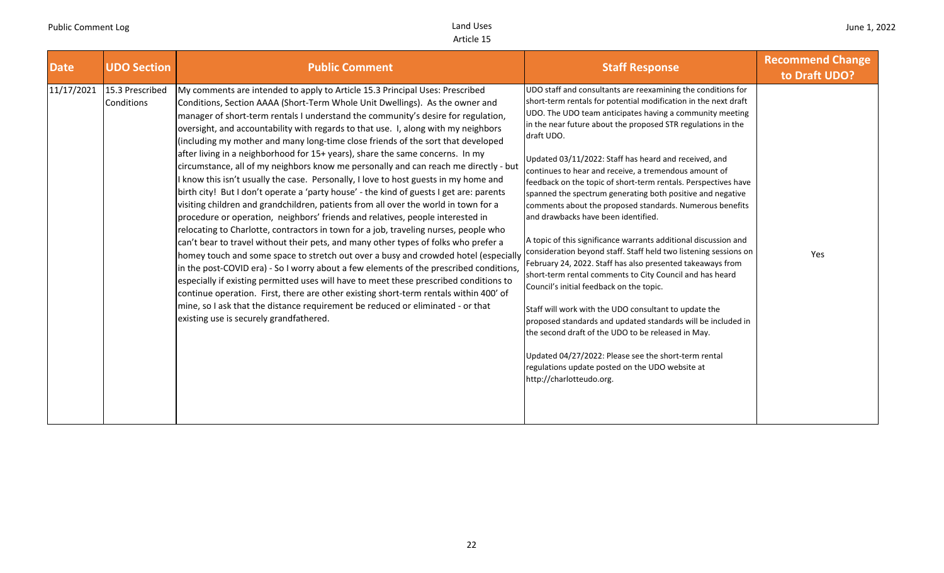| <b>Date</b> | <b>UDO Section</b>            | <b>Public Comment</b>                                                                                                                                                                                                                                                                                                                                                                                                                                                                                                                                                                                                                                                                                                                                                                                                                                                                                                                                                                                                                                                                                                                                                                                                                                                                                                                                                                                                                                                                                                                                                                                                                             | <b>Staff Response</b>                                                                                                                                                                                                                                                                                                                                                                                                                                                                                                                                                                                                                                                                                                                                                                                                                                                                                                                                                                                                                                                                                                                                                                                                                                             | <b>Recommend Change</b><br>to Draft UDO? |
|-------------|-------------------------------|---------------------------------------------------------------------------------------------------------------------------------------------------------------------------------------------------------------------------------------------------------------------------------------------------------------------------------------------------------------------------------------------------------------------------------------------------------------------------------------------------------------------------------------------------------------------------------------------------------------------------------------------------------------------------------------------------------------------------------------------------------------------------------------------------------------------------------------------------------------------------------------------------------------------------------------------------------------------------------------------------------------------------------------------------------------------------------------------------------------------------------------------------------------------------------------------------------------------------------------------------------------------------------------------------------------------------------------------------------------------------------------------------------------------------------------------------------------------------------------------------------------------------------------------------------------------------------------------------------------------------------------------------|-------------------------------------------------------------------------------------------------------------------------------------------------------------------------------------------------------------------------------------------------------------------------------------------------------------------------------------------------------------------------------------------------------------------------------------------------------------------------------------------------------------------------------------------------------------------------------------------------------------------------------------------------------------------------------------------------------------------------------------------------------------------------------------------------------------------------------------------------------------------------------------------------------------------------------------------------------------------------------------------------------------------------------------------------------------------------------------------------------------------------------------------------------------------------------------------------------------------------------------------------------------------|------------------------------------------|
| 11/17/2021  | 15.3 Prescribed<br>Conditions | My comments are intended to apply to Article 15.3 Principal Uses: Prescribed<br>Conditions, Section AAAA (Short-Term Whole Unit Dwellings). As the owner and<br>manager of short-term rentals I understand the community's desire for regulation,<br>oversight, and accountability with regards to that use. I, along with my neighbors<br>(including my mother and many long-time close friends of the sort that developed<br>after living in a neighborhood for 15+ years), share the same concerns. In my<br>circumstance, all of my neighbors know me personally and can reach me directly - but<br>I know this isn't usually the case. Personally, I love to host guests in my home and<br>birth city! But I don't operate a 'party house' - the kind of guests I get are: parents<br>visiting children and grandchildren, patients from all over the world in town for a<br>procedure or operation, neighbors' friends and relatives, people interested in<br>relocating to Charlotte, contractors in town for a job, traveling nurses, people who<br>can't bear to travel without their pets, and many other types of folks who prefer a<br>homey touch and some space to stretch out over a busy and crowded hotel (especially<br>in the post-COVID era) - So I worry about a few elements of the prescribed conditions,<br>especially if existing permitted uses will have to meet these prescribed conditions to<br>continue operation. First, there are other existing short-term rentals within 400' of<br>mine, so I ask that the distance requirement be reduced or eliminated - or that<br>existing use is securely grandfathered. | UDO staff and consultants are reexamining the conditions for<br>short-term rentals for potential modification in the next draft<br>UDO. The UDO team anticipates having a community meeting<br>in the near future about the proposed STR regulations in the<br>draft UDO.<br>Updated 03/11/2022: Staff has heard and received, and<br>continues to hear and receive, a tremendous amount of<br>feedback on the topic of short-term rentals. Perspectives have<br>spanned the spectrum generating both positive and negative<br>comments about the proposed standards. Numerous benefits<br>and drawbacks have been identified.<br>A topic of this significance warrants additional discussion and<br>consideration beyond staff. Staff held two listening sessions on<br>February 24, 2022. Staff has also presented takeaways from<br>short-term rental comments to City Council and has heard<br>Council's initial feedback on the topic.<br>Staff will work with the UDO consultant to update the<br>proposed standards and updated standards will be included in<br>the second draft of the UDO to be released in May.<br>Updated 04/27/2022: Please see the short-term rental<br>regulations update posted on the UDO website at<br>http://charlotteudo.org. | Yes                                      |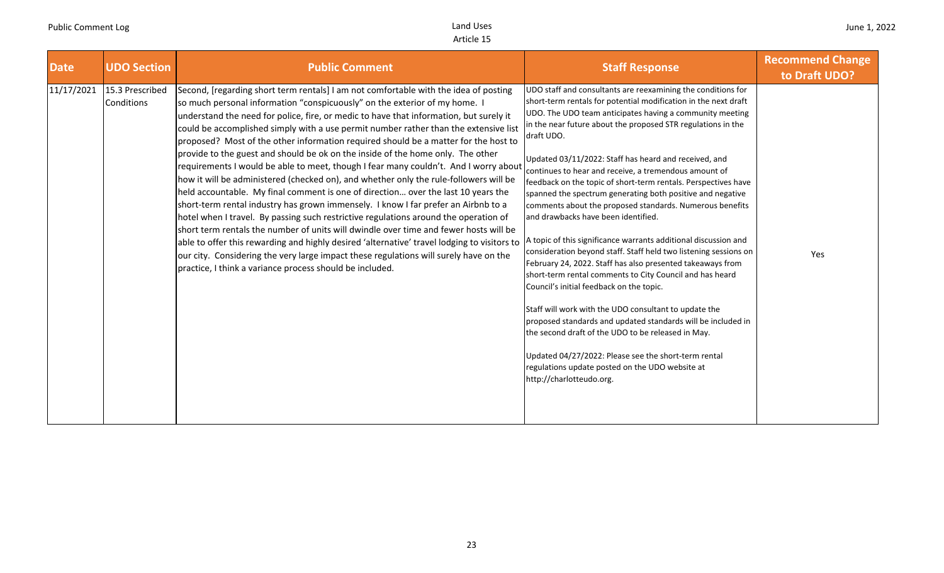| <b>Date</b> | <b>UDO Section</b>            | <b>Public Comment</b>                                                                                                                                                                                                                                                                                                                                                                                                                                                                                                                                                                                                                                                                                                                                                                                                                                                                                                                                                                                                                                                                                                                                                                                                                                                                                                           | <b>Staff Response</b>                                                                                                                                                                                                                                                                                                                                                                                                                                                                                                                                                                                                                                                                                                                                                                                                                                                                                                                                                                                                                                                                                                                                                                                                                                             | <b>Recommend Change</b><br>to Draft UDO? |
|-------------|-------------------------------|---------------------------------------------------------------------------------------------------------------------------------------------------------------------------------------------------------------------------------------------------------------------------------------------------------------------------------------------------------------------------------------------------------------------------------------------------------------------------------------------------------------------------------------------------------------------------------------------------------------------------------------------------------------------------------------------------------------------------------------------------------------------------------------------------------------------------------------------------------------------------------------------------------------------------------------------------------------------------------------------------------------------------------------------------------------------------------------------------------------------------------------------------------------------------------------------------------------------------------------------------------------------------------------------------------------------------------|-------------------------------------------------------------------------------------------------------------------------------------------------------------------------------------------------------------------------------------------------------------------------------------------------------------------------------------------------------------------------------------------------------------------------------------------------------------------------------------------------------------------------------------------------------------------------------------------------------------------------------------------------------------------------------------------------------------------------------------------------------------------------------------------------------------------------------------------------------------------------------------------------------------------------------------------------------------------------------------------------------------------------------------------------------------------------------------------------------------------------------------------------------------------------------------------------------------------------------------------------------------------|------------------------------------------|
| 11/17/2021  | 15.3 Prescribed<br>Conditions | Second, [regarding short term rentals] I am not comfortable with the idea of posting<br>so much personal information "conspicuously" on the exterior of my home. I<br>understand the need for police, fire, or medic to have that information, but surely it<br>could be accomplished simply with a use permit number rather than the extensive list<br>proposed? Most of the other information required should be a matter for the host to<br>provide to the guest and should be ok on the inside of the home only. The other<br>requirements I would be able to meet, though I fear many couldn't. And I worry about<br>how it will be administered (checked on), and whether only the rule-followers will be<br>held accountable. My final comment is one of direction over the last 10 years the<br>short-term rental industry has grown immensely. I know I far prefer an Airbnb to a<br>hotel when I travel. By passing such restrictive regulations around the operation of<br>short term rentals the number of units will dwindle over time and fewer hosts will be<br>able to offer this rewarding and highly desired 'alternative' travel lodging to visitors to<br>our city. Considering the very large impact these regulations will surely have on the<br>practice, I think a variance process should be included. | UDO staff and consultants are reexamining the conditions for<br>short-term rentals for potential modification in the next draft<br>UDO. The UDO team anticipates having a community meeting<br>in the near future about the proposed STR regulations in the<br>draft UDO.<br>Updated 03/11/2022: Staff has heard and received, and<br>continues to hear and receive, a tremendous amount of<br>feedback on the topic of short-term rentals. Perspectives have<br>spanned the spectrum generating both positive and negative<br>comments about the proposed standards. Numerous benefits<br>and drawbacks have been identified.<br>A topic of this significance warrants additional discussion and<br>consideration beyond staff. Staff held two listening sessions on<br>February 24, 2022. Staff has also presented takeaways from<br>short-term rental comments to City Council and has heard<br>Council's initial feedback on the topic.<br>Staff will work with the UDO consultant to update the<br>proposed standards and updated standards will be included in<br>the second draft of the UDO to be released in May.<br>Updated 04/27/2022: Please see the short-term rental<br>regulations update posted on the UDO website at<br>http://charlotteudo.org. | Yes                                      |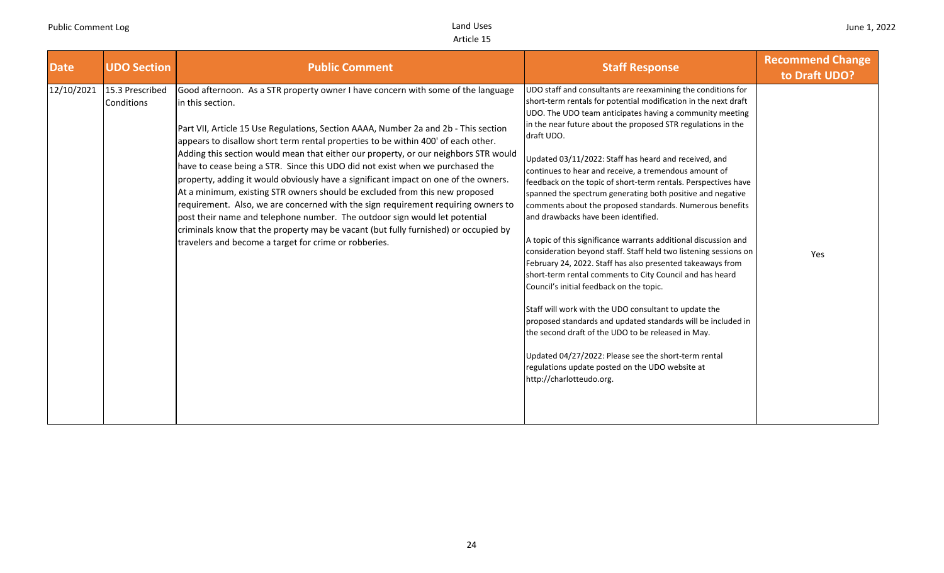| <b>Date</b> | <b>UDO Section</b>            | <b>Public Comment</b>                                                                                                                                                                                                                                                                                                                                                                                                                                                                                                                                                                                                                                                                                                                                                                                                                                                                                                                             | <b>Staff Response</b>                                                                                                                                                                                                                                                                                                                                                                                                                                                                                                                                                                                                                                                                                                                                                                                                                                                                                                                                                                                                                                                                                                                                                                                                                                             | <b>Recommend Change</b><br>to Draft UDO? |
|-------------|-------------------------------|---------------------------------------------------------------------------------------------------------------------------------------------------------------------------------------------------------------------------------------------------------------------------------------------------------------------------------------------------------------------------------------------------------------------------------------------------------------------------------------------------------------------------------------------------------------------------------------------------------------------------------------------------------------------------------------------------------------------------------------------------------------------------------------------------------------------------------------------------------------------------------------------------------------------------------------------------|-------------------------------------------------------------------------------------------------------------------------------------------------------------------------------------------------------------------------------------------------------------------------------------------------------------------------------------------------------------------------------------------------------------------------------------------------------------------------------------------------------------------------------------------------------------------------------------------------------------------------------------------------------------------------------------------------------------------------------------------------------------------------------------------------------------------------------------------------------------------------------------------------------------------------------------------------------------------------------------------------------------------------------------------------------------------------------------------------------------------------------------------------------------------------------------------------------------------------------------------------------------------|------------------------------------------|
| 12/10/2021  | 15.3 Prescribed<br>Conditions | Good afternoon. As a STR property owner I have concern with some of the language<br>in this section.<br>Part VII, Article 15 Use Regulations, Section AAAA, Number 2a and 2b - This section<br>appears to disallow short term rental properties to be within 400' of each other.<br>Adding this section would mean that either our property, or our neighbors STR would<br>have to cease being a STR. Since this UDO did not exist when we purchased the<br>property, adding it would obviously have a significant impact on one of the owners.<br>At a minimum, existing STR owners should be excluded from this new proposed<br>requirement. Also, we are concerned with the sign requirement requiring owners to<br>post their name and telephone number. The outdoor sign would let potential<br>criminals know that the property may be vacant (but fully furnished) or occupied by<br>travelers and become a target for crime or robberies. | UDO staff and consultants are reexamining the conditions for<br>short-term rentals for potential modification in the next draft<br>UDO. The UDO team anticipates having a community meeting<br>in the near future about the proposed STR regulations in the<br>draft UDO.<br>Updated 03/11/2022: Staff has heard and received, and<br>continues to hear and receive, a tremendous amount of<br>feedback on the topic of short-term rentals. Perspectives have<br>spanned the spectrum generating both positive and negative<br>comments about the proposed standards. Numerous benefits<br>and drawbacks have been identified.<br>A topic of this significance warrants additional discussion and<br>consideration beyond staff. Staff held two listening sessions on<br>February 24, 2022. Staff has also presented takeaways from<br>short-term rental comments to City Council and has heard<br>Council's initial feedback on the topic.<br>Staff will work with the UDO consultant to update the<br>proposed standards and updated standards will be included in<br>the second draft of the UDO to be released in May.<br>Updated 04/27/2022: Please see the short-term rental<br>regulations update posted on the UDO website at<br>http://charlotteudo.org. | Yes                                      |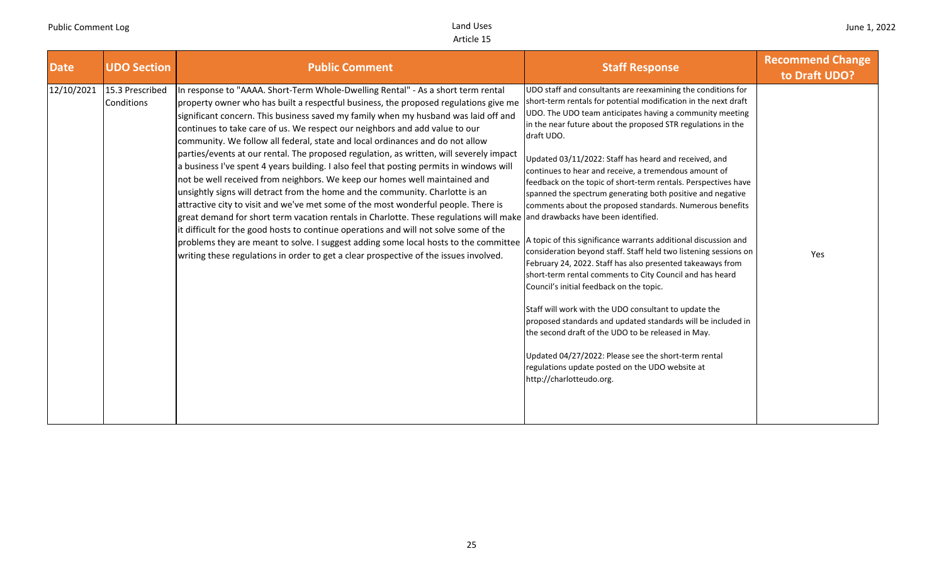| <b>Date</b> | <b>UDO Section</b>            | <b>Public Comment</b>                                                                                                                                                                                                                                                                                                                                                                                                                                                                                                                                                                                                                                                                                                                                                                                                                                                                                                                                                                                                                                                                                                                                                                                                                                                               | <b>Staff Response</b>                                                                                                                                                                                                                                                                                                                                                                                                                                                                                                                                                                                                                                                                                                                                                                                                                                                                                                                                                                                                                                                                                                                                                                                                      | <b>Recommend Change</b><br>to Draft UDO? |
|-------------|-------------------------------|-------------------------------------------------------------------------------------------------------------------------------------------------------------------------------------------------------------------------------------------------------------------------------------------------------------------------------------------------------------------------------------------------------------------------------------------------------------------------------------------------------------------------------------------------------------------------------------------------------------------------------------------------------------------------------------------------------------------------------------------------------------------------------------------------------------------------------------------------------------------------------------------------------------------------------------------------------------------------------------------------------------------------------------------------------------------------------------------------------------------------------------------------------------------------------------------------------------------------------------------------------------------------------------|----------------------------------------------------------------------------------------------------------------------------------------------------------------------------------------------------------------------------------------------------------------------------------------------------------------------------------------------------------------------------------------------------------------------------------------------------------------------------------------------------------------------------------------------------------------------------------------------------------------------------------------------------------------------------------------------------------------------------------------------------------------------------------------------------------------------------------------------------------------------------------------------------------------------------------------------------------------------------------------------------------------------------------------------------------------------------------------------------------------------------------------------------------------------------------------------------------------------------|------------------------------------------|
| 12/10/2021  | 15.3 Prescribed<br>Conditions | In response to "AAAA. Short-Term Whole-Dwelling Rental" - As a short term rental<br>property owner who has built a respectful business, the proposed regulations give me<br>significant concern. This business saved my family when my husband was laid off and<br>continues to take care of us. We respect our neighbors and add value to our<br>community. We follow all federal, state and local ordinances and do not allow<br>parties/events at our rental. The proposed regulation, as written, will severely impact<br>a business I've spent 4 years building. I also feel that posting permits in windows will<br>not be well received from neighbors. We keep our homes well maintained and<br>unsightly signs will detract from the home and the community. Charlotte is an<br>attractive city to visit and we've met some of the most wonderful people. There is<br>great demand for short term vacation rentals in Charlotte. These regulations will make and drawbacks have been identified.<br>it difficult for the good hosts to continue operations and will not solve some of the<br>problems they are meant to solve. I suggest adding some local hosts to the committee<br>writing these regulations in order to get a clear prospective of the issues involved. | UDO staff and consultants are reexamining the conditions for<br>short-term rentals for potential modification in the next draft<br>UDO. The UDO team anticipates having a community meeting<br>in the near future about the proposed STR regulations in the<br>draft UDO.<br>Updated 03/11/2022: Staff has heard and received, and<br>continues to hear and receive, a tremendous amount of<br>feedback on the topic of short-term rentals. Perspectives have<br>spanned the spectrum generating both positive and negative<br>comments about the proposed standards. Numerous benefits<br>A topic of this significance warrants additional discussion and<br>consideration beyond staff. Staff held two listening sessions on<br>February 24, 2022. Staff has also presented takeaways from<br>short-term rental comments to City Council and has heard<br>Council's initial feedback on the topic.<br>Staff will work with the UDO consultant to update the<br>proposed standards and updated standards will be included in<br>the second draft of the UDO to be released in May.<br>Updated 04/27/2022: Please see the short-term rental<br>regulations update posted on the UDO website at<br>http://charlotteudo.org. | Yes                                      |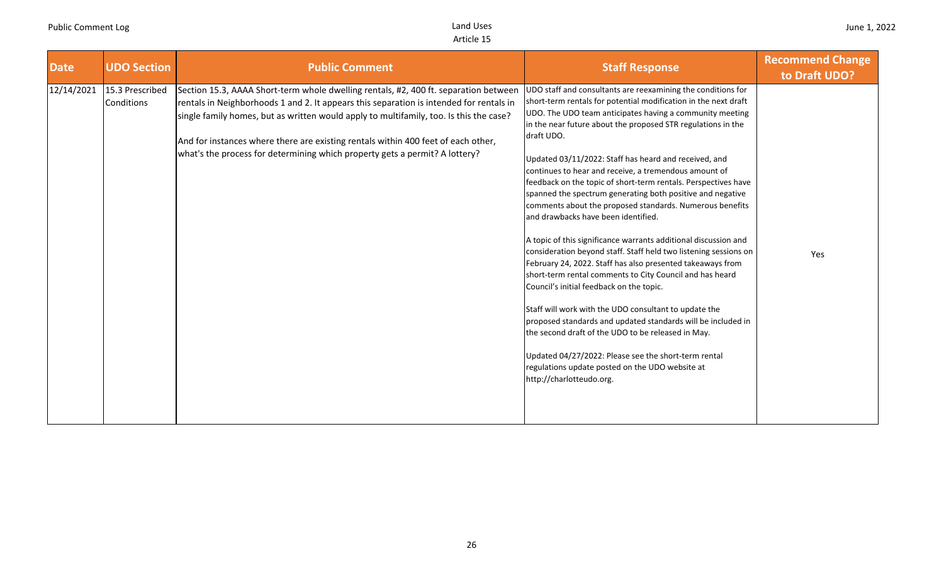| <b>Date</b> | <b>UDO Section</b>            | <b>Public Comment</b>                                                                                                                                                                                                                                                                                                                                                                                                                         | <b>Staff Response</b>                                                                                                                                                                                                                                                                                                                                                                                                                                                                                                                                                                                                                                                                                                                                                                                                                                                                                                                                                                                                                                                                                                                                                                                                                                             | <b>Recommend Change</b><br>to Draft UDO? |
|-------------|-------------------------------|-----------------------------------------------------------------------------------------------------------------------------------------------------------------------------------------------------------------------------------------------------------------------------------------------------------------------------------------------------------------------------------------------------------------------------------------------|-------------------------------------------------------------------------------------------------------------------------------------------------------------------------------------------------------------------------------------------------------------------------------------------------------------------------------------------------------------------------------------------------------------------------------------------------------------------------------------------------------------------------------------------------------------------------------------------------------------------------------------------------------------------------------------------------------------------------------------------------------------------------------------------------------------------------------------------------------------------------------------------------------------------------------------------------------------------------------------------------------------------------------------------------------------------------------------------------------------------------------------------------------------------------------------------------------------------------------------------------------------------|------------------------------------------|
| 12/14/2021  | 15.3 Prescribed<br>Conditions | Section 15.3, AAAA Short-term whole dwelling rentals, #2, 400 ft. separation between<br>rentals in Neighborhoods 1 and 2. It appears this separation is intended for rentals in<br>single family homes, but as written would apply to multifamily, too. Is this the case?<br>And for instances where there are existing rentals within 400 feet of each other,<br>what's the process for determining which property gets a permit? A lottery? | UDO staff and consultants are reexamining the conditions for<br>short-term rentals for potential modification in the next draft<br>UDO. The UDO team anticipates having a community meeting<br>in the near future about the proposed STR regulations in the<br>draft UDO.<br>Updated 03/11/2022: Staff has heard and received, and<br>continues to hear and receive, a tremendous amount of<br>feedback on the topic of short-term rentals. Perspectives have<br>spanned the spectrum generating both positive and negative<br>comments about the proposed standards. Numerous benefits<br>and drawbacks have been identified.<br>A topic of this significance warrants additional discussion and<br>consideration beyond staff. Staff held two listening sessions on<br>February 24, 2022. Staff has also presented takeaways from<br>short-term rental comments to City Council and has heard<br>Council's initial feedback on the topic.<br>Staff will work with the UDO consultant to update the<br>proposed standards and updated standards will be included in<br>the second draft of the UDO to be released in May.<br>Updated 04/27/2022: Please see the short-term rental<br>regulations update posted on the UDO website at<br>http://charlotteudo.org. | Yes                                      |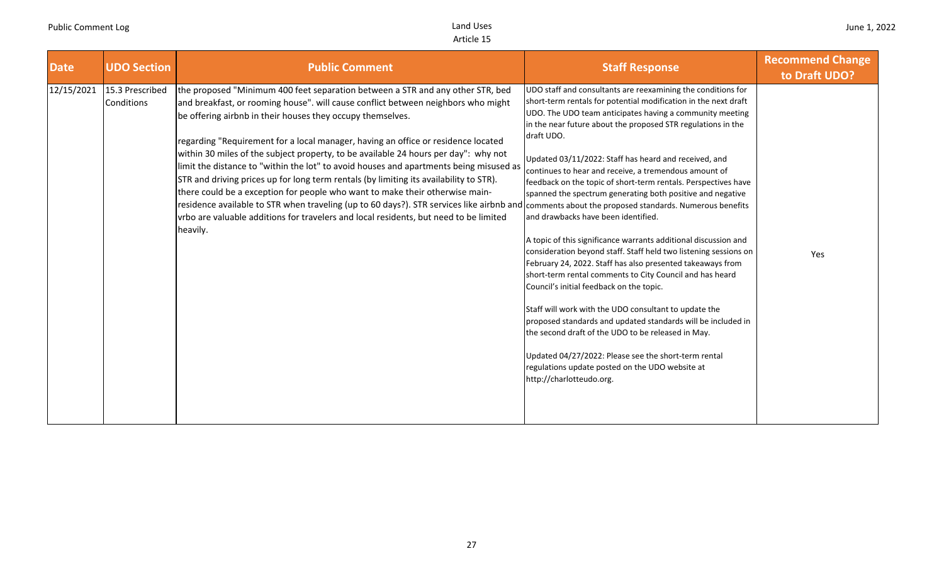| <b>Date</b> | <b>UDO Section</b>                   | <b>Public Comment</b>                                                                                                                                                                                                                                                                                                                                                                                                                                                                                                                                                                                                                                                                                                                                                                                                                                                                                                                       | <b>Staff Response</b>                                                                                                                                                                                                                                                                                                                                                                                                                                                                                                                                                                                                                                                                                                                                                                                                                                                                                                                                                                                                                                                                                                                                                                                 | <b>Recommend Change</b><br>to Draft UDO? |
|-------------|--------------------------------------|---------------------------------------------------------------------------------------------------------------------------------------------------------------------------------------------------------------------------------------------------------------------------------------------------------------------------------------------------------------------------------------------------------------------------------------------------------------------------------------------------------------------------------------------------------------------------------------------------------------------------------------------------------------------------------------------------------------------------------------------------------------------------------------------------------------------------------------------------------------------------------------------------------------------------------------------|-------------------------------------------------------------------------------------------------------------------------------------------------------------------------------------------------------------------------------------------------------------------------------------------------------------------------------------------------------------------------------------------------------------------------------------------------------------------------------------------------------------------------------------------------------------------------------------------------------------------------------------------------------------------------------------------------------------------------------------------------------------------------------------------------------------------------------------------------------------------------------------------------------------------------------------------------------------------------------------------------------------------------------------------------------------------------------------------------------------------------------------------------------------------------------------------------------|------------------------------------------|
| 12/15/2021  | 15.3 Prescribed<br><b>Conditions</b> | the proposed "Minimum 400 feet separation between a STR and any other STR, bed<br>and breakfast, or rooming house". will cause conflict between neighbors who might<br>be offering airbnb in their houses they occupy themselves.<br>regarding "Requirement for a local manager, having an office or residence located<br>within 30 miles of the subject property, to be available 24 hours per day": why not<br>limit the distance to "within the lot" to avoid houses and apartments being misused as<br>STR and driving prices up for long term rentals (by limiting its availability to STR).<br>there could be a exception for people who want to make their otherwise main-<br>residence available to STR when traveling (up to 60 days?). STR services like airbnb and comments about the proposed standards. Numerous benefits<br>vrbo are valuable additions for travelers and local residents, but need to be limited<br>heavily. | UDO staff and consultants are reexamining the conditions for<br>short-term rentals for potential modification in the next draft<br>UDO. The UDO team anticipates having a community meeting<br>in the near future about the proposed STR regulations in the<br>draft UDO.<br>Updated 03/11/2022: Staff has heard and received, and<br>continues to hear and receive, a tremendous amount of<br>feedback on the topic of short-term rentals. Perspectives have<br>spanned the spectrum generating both positive and negative<br>and drawbacks have been identified.<br>A topic of this significance warrants additional discussion and<br>consideration beyond staff. Staff held two listening sessions on<br>February 24, 2022. Staff has also presented takeaways from<br>short-term rental comments to City Council and has heard<br>Council's initial feedback on the topic.<br>Staff will work with the UDO consultant to update the<br>proposed standards and updated standards will be included in<br>the second draft of the UDO to be released in May.<br>Updated 04/27/2022: Please see the short-term rental<br>regulations update posted on the UDO website at<br>http://charlotteudo.org. | Yes                                      |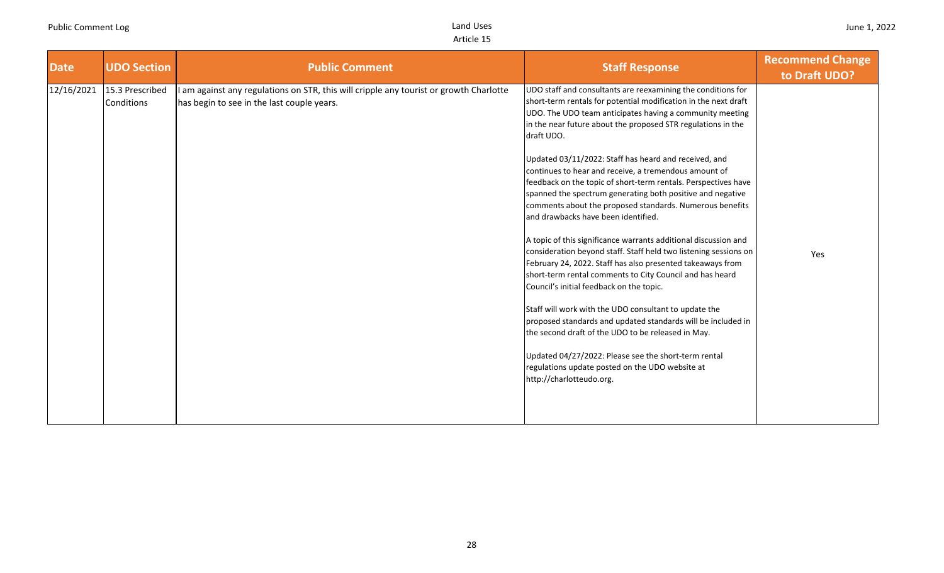| <b>Date</b> | <b>UDO Section</b>                   | <b>Public Comment</b>                                                                                                                | <b>Staff Response</b>                                                                                                                                                                                                                                                                                                                                                                                                                                                                                                                                                                                                                                                                                                                                                                                                                                                                                                                                                                                                                                                                                                                                                                                                                                             | <b>Recommend Change</b><br>to Draft UDO? |
|-------------|--------------------------------------|--------------------------------------------------------------------------------------------------------------------------------------|-------------------------------------------------------------------------------------------------------------------------------------------------------------------------------------------------------------------------------------------------------------------------------------------------------------------------------------------------------------------------------------------------------------------------------------------------------------------------------------------------------------------------------------------------------------------------------------------------------------------------------------------------------------------------------------------------------------------------------------------------------------------------------------------------------------------------------------------------------------------------------------------------------------------------------------------------------------------------------------------------------------------------------------------------------------------------------------------------------------------------------------------------------------------------------------------------------------------------------------------------------------------|------------------------------------------|
| 12/16/2021  | 15.3 Prescribed<br><b>Conditions</b> | I am against any regulations on STR, this will cripple any tourist or growth Charlotte<br>has begin to see in the last couple years. | UDO staff and consultants are reexamining the conditions for<br>short-term rentals for potential modification in the next draft<br>UDO. The UDO team anticipates having a community meeting<br>in the near future about the proposed STR regulations in the<br>draft UDO.<br>Updated 03/11/2022: Staff has heard and received, and<br>continues to hear and receive, a tremendous amount of<br>feedback on the topic of short-term rentals. Perspectives have<br>spanned the spectrum generating both positive and negative<br>comments about the proposed standards. Numerous benefits<br>and drawbacks have been identified.<br>A topic of this significance warrants additional discussion and<br>consideration beyond staff. Staff held two listening sessions on<br>February 24, 2022. Staff has also presented takeaways from<br>short-term rental comments to City Council and has heard<br>Council's initial feedback on the topic.<br>Staff will work with the UDO consultant to update the<br>proposed standards and updated standards will be included in<br>the second draft of the UDO to be released in May.<br>Updated 04/27/2022: Please see the short-term rental<br>regulations update posted on the UDO website at<br>http://charlotteudo.org. | Yes                                      |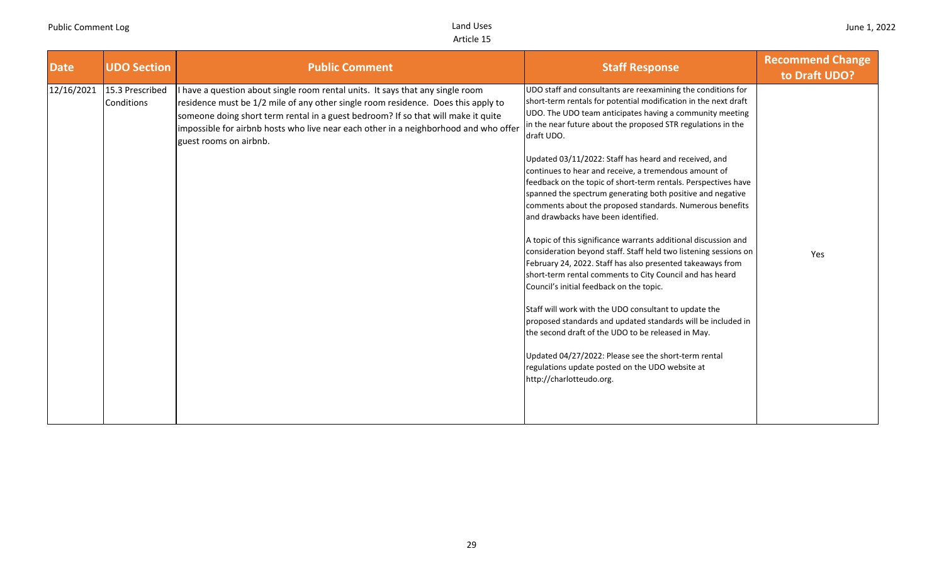| <b>Date</b> | <b>UDO Section</b>            | <b>Public Comment</b>                                                                                                                                                                                                                                                                                                                                                    | <b>Staff Response</b>                                                                                                                                                                                                                                                                                                                                                                                                                                                                                                                                                                                                                                                                                                                                                                                                                                                                                                                                                                                                                                                                                                                                                                                                                                             | <b>Recommend Change</b><br>to Draft UDO? |
|-------------|-------------------------------|--------------------------------------------------------------------------------------------------------------------------------------------------------------------------------------------------------------------------------------------------------------------------------------------------------------------------------------------------------------------------|-------------------------------------------------------------------------------------------------------------------------------------------------------------------------------------------------------------------------------------------------------------------------------------------------------------------------------------------------------------------------------------------------------------------------------------------------------------------------------------------------------------------------------------------------------------------------------------------------------------------------------------------------------------------------------------------------------------------------------------------------------------------------------------------------------------------------------------------------------------------------------------------------------------------------------------------------------------------------------------------------------------------------------------------------------------------------------------------------------------------------------------------------------------------------------------------------------------------------------------------------------------------|------------------------------------------|
| 12/16/2021  | 15.3 Prescribed<br>Conditions | have a question about single room rental units. It says that any single room<br>residence must be 1/2 mile of any other single room residence. Does this apply to<br>someone doing short term rental in a guest bedroom? If so that will make it quite<br>impossible for airbnb hosts who live near each other in a neighborhood and who offer<br>guest rooms on airbnb. | UDO staff and consultants are reexamining the conditions for<br>short-term rentals for potential modification in the next draft<br>UDO. The UDO team anticipates having a community meeting<br>in the near future about the proposed STR regulations in the<br>draft UDO.<br>Updated 03/11/2022: Staff has heard and received, and<br>continues to hear and receive, a tremendous amount of<br>feedback on the topic of short-term rentals. Perspectives have<br>spanned the spectrum generating both positive and negative<br>comments about the proposed standards. Numerous benefits<br>and drawbacks have been identified.<br>A topic of this significance warrants additional discussion and<br>consideration beyond staff. Staff held two listening sessions on<br>February 24, 2022. Staff has also presented takeaways from<br>short-term rental comments to City Council and has heard<br>Council's initial feedback on the topic.<br>Staff will work with the UDO consultant to update the<br>proposed standards and updated standards will be included in<br>the second draft of the UDO to be released in May.<br>Updated 04/27/2022: Please see the short-term rental<br>regulations update posted on the UDO website at<br>http://charlotteudo.org. | Yes                                      |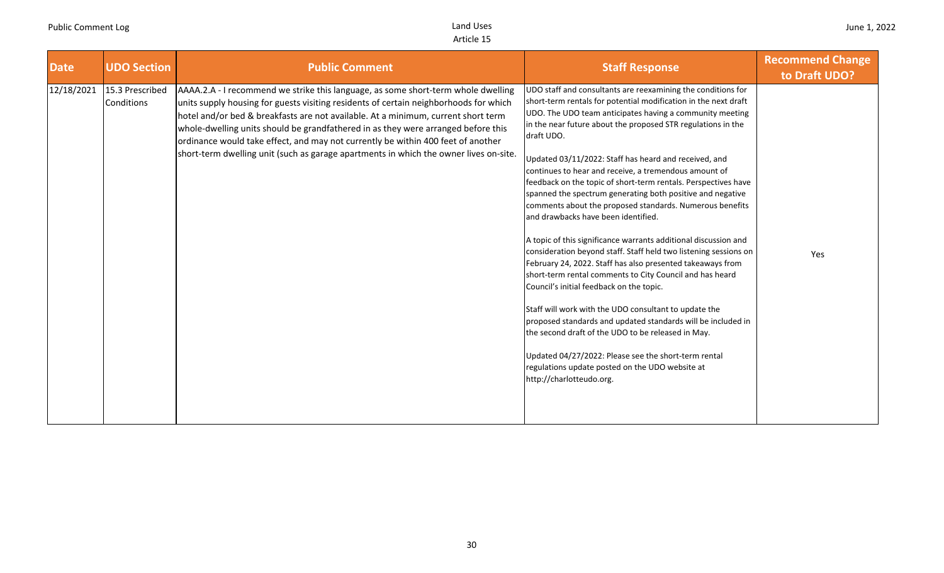| <b>Date</b> | <b>UDO Section</b>            | <b>Public Comment</b>                                                                                                                                                                                                                                                                                                                                                                                                                                                                                                             | <b>Staff Response</b>                                                                                                                                                                                                                                                                                                                                                                                                                                                                                                                                                                                                                                                                                                                                                                                                                                                                                                                                                                                                                                                                                                                                                                                                                                             | <b>Recommend Change</b><br>to Draft UDO? |
|-------------|-------------------------------|-----------------------------------------------------------------------------------------------------------------------------------------------------------------------------------------------------------------------------------------------------------------------------------------------------------------------------------------------------------------------------------------------------------------------------------------------------------------------------------------------------------------------------------|-------------------------------------------------------------------------------------------------------------------------------------------------------------------------------------------------------------------------------------------------------------------------------------------------------------------------------------------------------------------------------------------------------------------------------------------------------------------------------------------------------------------------------------------------------------------------------------------------------------------------------------------------------------------------------------------------------------------------------------------------------------------------------------------------------------------------------------------------------------------------------------------------------------------------------------------------------------------------------------------------------------------------------------------------------------------------------------------------------------------------------------------------------------------------------------------------------------------------------------------------------------------|------------------------------------------|
| 12/18/2021  | 15.3 Prescribed<br>Conditions | AAAA.2.A - I recommend we strike this language, as some short-term whole dwelling<br>units supply housing for guests visiting residents of certain neighborhoods for which<br>hotel and/or bed & breakfasts are not available. At a minimum, current short term<br>whole-dwelling units should be grandfathered in as they were arranged before this<br>ordinance would take effect, and may not currently be within 400 feet of another<br>short-term dwelling unit (such as garage apartments in which the owner lives on-site. | UDO staff and consultants are reexamining the conditions for<br>short-term rentals for potential modification in the next draft<br>UDO. The UDO team anticipates having a community meeting<br>in the near future about the proposed STR regulations in the<br>draft UDO.<br>Updated 03/11/2022: Staff has heard and received, and<br>continues to hear and receive, a tremendous amount of<br>feedback on the topic of short-term rentals. Perspectives have<br>spanned the spectrum generating both positive and negative<br>comments about the proposed standards. Numerous benefits<br>and drawbacks have been identified.<br>A topic of this significance warrants additional discussion and<br>consideration beyond staff. Staff held two listening sessions on<br>February 24, 2022. Staff has also presented takeaways from<br>short-term rental comments to City Council and has heard<br>Council's initial feedback on the topic.<br>Staff will work with the UDO consultant to update the<br>proposed standards and updated standards will be included in<br>the second draft of the UDO to be released in May.<br>Updated 04/27/2022: Please see the short-term rental<br>regulations update posted on the UDO website at<br>http://charlotteudo.org. | Yes                                      |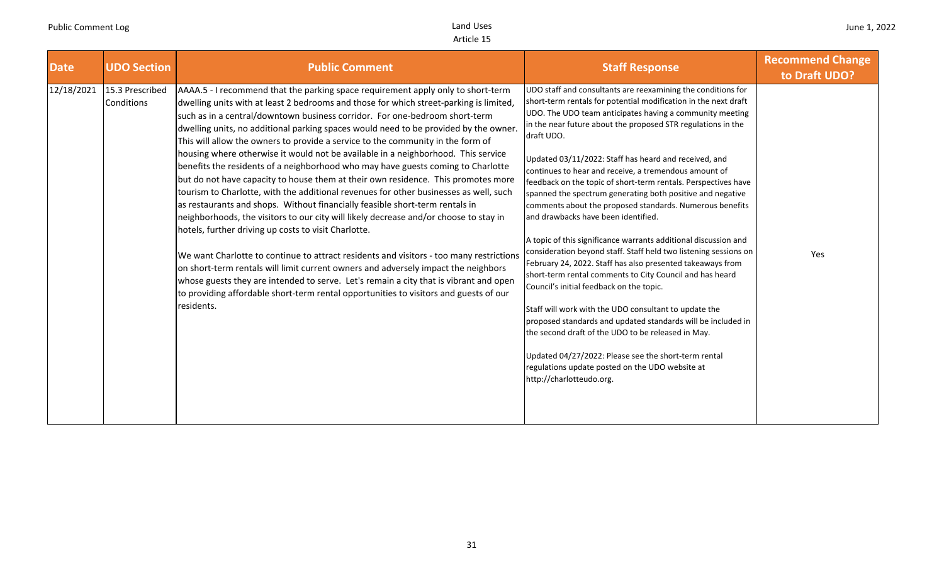| <b>Date</b> | <b>UDO Section</b>            | <b>Public Comment</b>                                                                                                                                                                                                                                                                                                                                                                                                                                                                                                                                                                                                                                                                                                                                                                                                                                                                                                                                                                                                                                                                                                                                                                                                                                                                                                                                                                                         | <b>Staff Response</b>                                                                                                                                                                                                                                                                                                                                                                                                                                                                                                                                                                                                                                                                                                                                                                                                                                                                                                                                                                                                                                                                                                                                                                                                                                             | <b>Recommend Change</b><br>to Draft UDO? |
|-------------|-------------------------------|---------------------------------------------------------------------------------------------------------------------------------------------------------------------------------------------------------------------------------------------------------------------------------------------------------------------------------------------------------------------------------------------------------------------------------------------------------------------------------------------------------------------------------------------------------------------------------------------------------------------------------------------------------------------------------------------------------------------------------------------------------------------------------------------------------------------------------------------------------------------------------------------------------------------------------------------------------------------------------------------------------------------------------------------------------------------------------------------------------------------------------------------------------------------------------------------------------------------------------------------------------------------------------------------------------------------------------------------------------------------------------------------------------------|-------------------------------------------------------------------------------------------------------------------------------------------------------------------------------------------------------------------------------------------------------------------------------------------------------------------------------------------------------------------------------------------------------------------------------------------------------------------------------------------------------------------------------------------------------------------------------------------------------------------------------------------------------------------------------------------------------------------------------------------------------------------------------------------------------------------------------------------------------------------------------------------------------------------------------------------------------------------------------------------------------------------------------------------------------------------------------------------------------------------------------------------------------------------------------------------------------------------------------------------------------------------|------------------------------------------|
| 12/18/2021  | 15.3 Prescribed<br>Conditions | AAAA.5 - I recommend that the parking space requirement apply only to short-term<br>dwelling units with at least 2 bedrooms and those for which street-parking is limited,<br>such as in a central/downtown business corridor. For one-bedroom short-term<br>dwelling units, no additional parking spaces would need to be provided by the owner.<br>This will allow the owners to provide a service to the community in the form of<br>housing where otherwise it would not be available in a neighborhood. This service<br>benefits the residents of a neighborhood who may have guests coming to Charlotte<br>but do not have capacity to house them at their own residence. This promotes more<br>tourism to Charlotte, with the additional revenues for other businesses as well, such<br>as restaurants and shops. Without financially feasible short-term rentals in<br>neighborhoods, the visitors to our city will likely decrease and/or choose to stay in<br>hotels, further driving up costs to visit Charlotte.<br>We want Charlotte to continue to attract residents and visitors - too many restrictions<br>on short-term rentals will limit current owners and adversely impact the neighbors<br>whose guests they are intended to serve. Let's remain a city that is vibrant and open<br>to providing affordable short-term rental opportunities to visitors and guests of our<br>residents. | UDO staff and consultants are reexamining the conditions for<br>short-term rentals for potential modification in the next draft<br>UDO. The UDO team anticipates having a community meeting<br>in the near future about the proposed STR regulations in the<br>draft UDO.<br>Updated 03/11/2022: Staff has heard and received, and<br>continues to hear and receive, a tremendous amount of<br>feedback on the topic of short-term rentals. Perspectives have<br>spanned the spectrum generating both positive and negative<br>comments about the proposed standards. Numerous benefits<br>and drawbacks have been identified.<br>A topic of this significance warrants additional discussion and<br>consideration beyond staff. Staff held two listening sessions on<br>February 24, 2022. Staff has also presented takeaways from<br>short-term rental comments to City Council and has heard<br>Council's initial feedback on the topic.<br>Staff will work with the UDO consultant to update the<br>proposed standards and updated standards will be included in<br>the second draft of the UDO to be released in May.<br>Updated 04/27/2022: Please see the short-term rental<br>regulations update posted on the UDO website at<br>http://charlotteudo.org. | Yes                                      |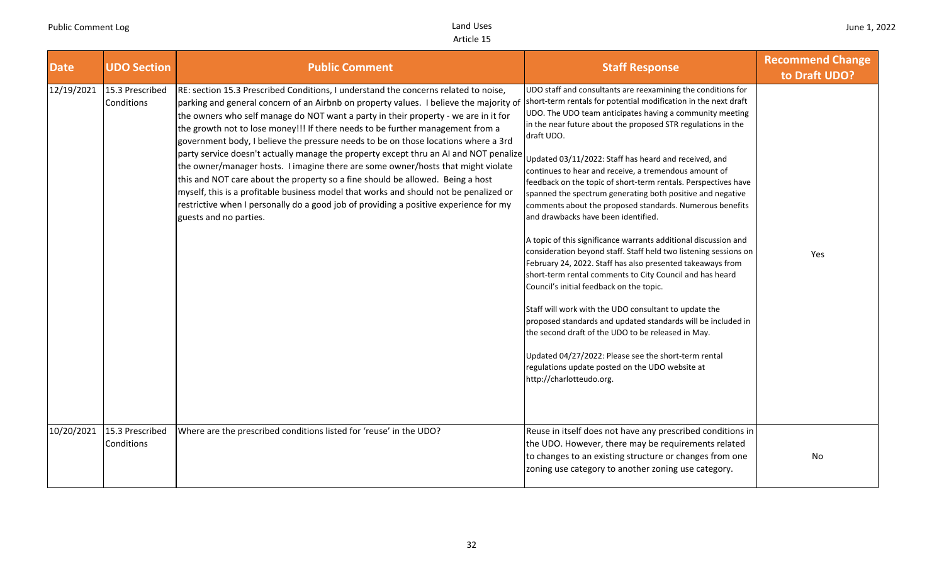| <b>Date</b> | <b>UDO Section</b>            | <b>Public Comment</b>                                                                                                                                                                                                                                                                                                                                                                                                                                                                                                                                                                                                                                                                                                                                                                                                                                                                                                   | <b>Staff Response</b>                                                                                                                                                                                                                                                                                                                                                                                                                                                                                                                                                                                                                                                                                                                                                                                                                                                                                                                                                                                                                                                                                                                                                                                                                                             | <b>Recommend Change</b><br>to Draft UDO? |
|-------------|-------------------------------|-------------------------------------------------------------------------------------------------------------------------------------------------------------------------------------------------------------------------------------------------------------------------------------------------------------------------------------------------------------------------------------------------------------------------------------------------------------------------------------------------------------------------------------------------------------------------------------------------------------------------------------------------------------------------------------------------------------------------------------------------------------------------------------------------------------------------------------------------------------------------------------------------------------------------|-------------------------------------------------------------------------------------------------------------------------------------------------------------------------------------------------------------------------------------------------------------------------------------------------------------------------------------------------------------------------------------------------------------------------------------------------------------------------------------------------------------------------------------------------------------------------------------------------------------------------------------------------------------------------------------------------------------------------------------------------------------------------------------------------------------------------------------------------------------------------------------------------------------------------------------------------------------------------------------------------------------------------------------------------------------------------------------------------------------------------------------------------------------------------------------------------------------------------------------------------------------------|------------------------------------------|
| 12/19/2021  | 15.3 Prescribed<br>Conditions | RE: section 15.3 Prescribed Conditions, I understand the concerns related to noise,<br>parking and general concern of an Airbnb on property values. I believe the majority of<br>the owners who self manage do NOT want a party in their property - we are in it for<br>the growth not to lose money!!! If there needs to be further management from a<br>government body, I believe the pressure needs to be on those locations where a 3rd<br>party service doesn't actually manage the property except thru an AI and NOT penalize<br>the owner/manager hosts. I imagine there are some owner/hosts that might violate<br>this and NOT care about the property so a fine should be allowed. Being a host<br>myself, this is a profitable business model that works and should not be penalized or<br>restrictive when I personally do a good job of providing a positive experience for my<br>guests and no parties. | UDO staff and consultants are reexamining the conditions for<br>short-term rentals for potential modification in the next draft<br>UDO. The UDO team anticipates having a community meeting<br>in the near future about the proposed STR regulations in the<br>draft UDO.<br>Updated 03/11/2022: Staff has heard and received, and<br>continues to hear and receive, a tremendous amount of<br>feedback on the topic of short-term rentals. Perspectives have<br>spanned the spectrum generating both positive and negative<br>comments about the proposed standards. Numerous benefits<br>and drawbacks have been identified.<br>A topic of this significance warrants additional discussion and<br>consideration beyond staff. Staff held two listening sessions on<br>February 24, 2022. Staff has also presented takeaways from<br>short-term rental comments to City Council and has heard<br>Council's initial feedback on the topic.<br>Staff will work with the UDO consultant to update the<br>proposed standards and updated standards will be included in<br>the second draft of the UDO to be released in May.<br>Updated 04/27/2022: Please see the short-term rental<br>regulations update posted on the UDO website at<br>http://charlotteudo.org. | Yes                                      |
| 10/20/2021  | 15.3 Prescribed<br>Conditions | Where are the prescribed conditions listed for 'reuse' in the UDO?                                                                                                                                                                                                                                                                                                                                                                                                                                                                                                                                                                                                                                                                                                                                                                                                                                                      | Reuse in itself does not have any prescribed conditions in<br>the UDO. However, there may be requirements related<br>to changes to an existing structure or changes from one<br>zoning use category to another zoning use category.                                                                                                                                                                                                                                                                                                                                                                                                                                                                                                                                                                                                                                                                                                                                                                                                                                                                                                                                                                                                                               | No.                                      |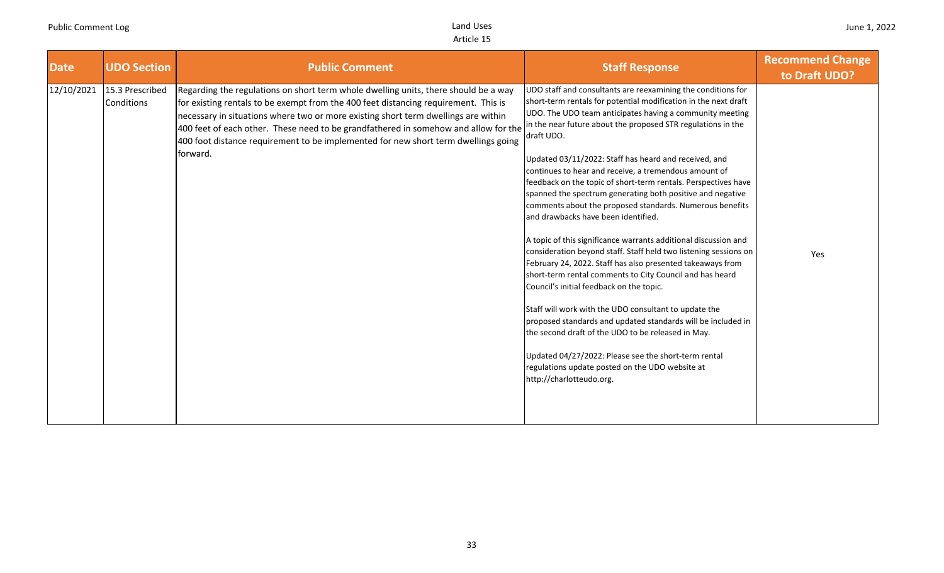| <b>Date</b> | <b>UDO Section</b>            | <b>Public Comment</b>                                                                                                                                                                                                                                                                                                                                                                                                                                     | <b>Staff Response</b>                                                                                                                                                                                                                                                                                                                                                                                                                                                                                                                                                                                                                                                                                                                                                                                                                                                                                                                                                                                                                                                                                                                                                                                                                                             | <b>Recommend Change</b><br>to Draft UDO? |
|-------------|-------------------------------|-----------------------------------------------------------------------------------------------------------------------------------------------------------------------------------------------------------------------------------------------------------------------------------------------------------------------------------------------------------------------------------------------------------------------------------------------------------|-------------------------------------------------------------------------------------------------------------------------------------------------------------------------------------------------------------------------------------------------------------------------------------------------------------------------------------------------------------------------------------------------------------------------------------------------------------------------------------------------------------------------------------------------------------------------------------------------------------------------------------------------------------------------------------------------------------------------------------------------------------------------------------------------------------------------------------------------------------------------------------------------------------------------------------------------------------------------------------------------------------------------------------------------------------------------------------------------------------------------------------------------------------------------------------------------------------------------------------------------------------------|------------------------------------------|
| 12/10/2021  | 15.3 Prescribed<br>Conditions | Regarding the regulations on short term whole dwelling units, there should be a way<br>for existing rentals to be exempt from the 400 feet distancing requirement. This is<br>necessary in situations where two or more existing short term dwellings are within<br>400 feet of each other. These need to be grandfathered in somehow and allow for the<br>400 foot distance requirement to be implemented for new short term dwellings going<br>forward. | UDO staff and consultants are reexamining the conditions for<br>short-term rentals for potential modification in the next draft<br>UDO. The UDO team anticipates having a community meeting<br>in the near future about the proposed STR regulations in the<br>draft UDO.<br>Updated 03/11/2022: Staff has heard and received, and<br>continues to hear and receive, a tremendous amount of<br>feedback on the topic of short-term rentals. Perspectives have<br>spanned the spectrum generating both positive and negative<br>comments about the proposed standards. Numerous benefits<br>and drawbacks have been identified.<br>A topic of this significance warrants additional discussion and<br>consideration beyond staff. Staff held two listening sessions on<br>February 24, 2022. Staff has also presented takeaways from<br>short-term rental comments to City Council and has heard<br>Council's initial feedback on the topic.<br>Staff will work with the UDO consultant to update the<br>proposed standards and updated standards will be included in<br>the second draft of the UDO to be released in May.<br>Updated 04/27/2022: Please see the short-term rental<br>regulations update posted on the UDO website at<br>http://charlotteudo.org. | Yes                                      |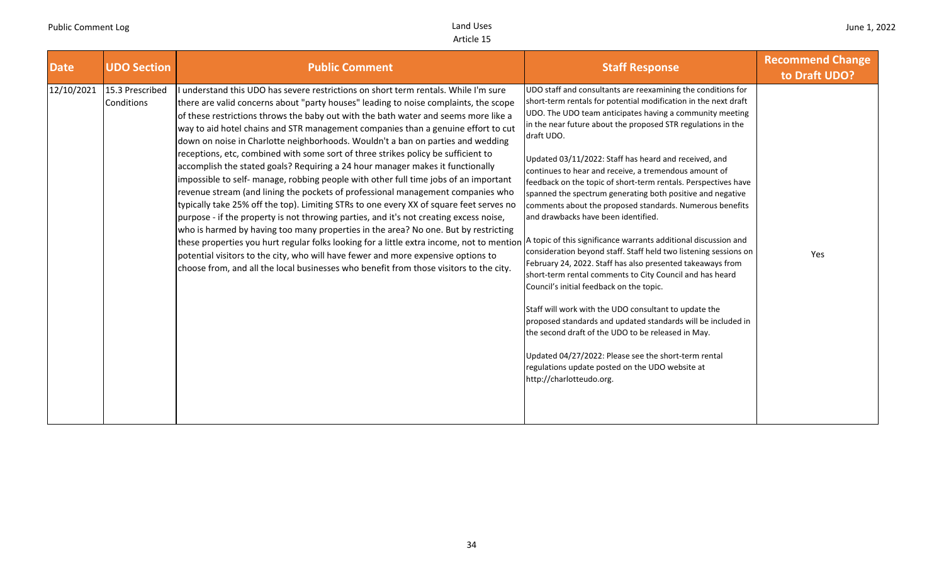| <b>Date</b> | <b>UDO Section</b>            | <b>Public Comment</b>                                                                                                                                                                                                                                                                                                                                                                                                                                                                                                                                                                                                                                                                                                                                                                                                                                                                                                                                                                                                                                                                                                                                                                                                                                                                                                                              | <b>Staff Response</b>                                                                                                                                                                                                                                                                                                                                                                                                                                                                                                                                                                                                                                                                                                                                                                                                                                                                                                                                                                                                                                                                                                                                                                                                                                             | <b>Recommend Change</b><br>to Draft UDO? |
|-------------|-------------------------------|----------------------------------------------------------------------------------------------------------------------------------------------------------------------------------------------------------------------------------------------------------------------------------------------------------------------------------------------------------------------------------------------------------------------------------------------------------------------------------------------------------------------------------------------------------------------------------------------------------------------------------------------------------------------------------------------------------------------------------------------------------------------------------------------------------------------------------------------------------------------------------------------------------------------------------------------------------------------------------------------------------------------------------------------------------------------------------------------------------------------------------------------------------------------------------------------------------------------------------------------------------------------------------------------------------------------------------------------------|-------------------------------------------------------------------------------------------------------------------------------------------------------------------------------------------------------------------------------------------------------------------------------------------------------------------------------------------------------------------------------------------------------------------------------------------------------------------------------------------------------------------------------------------------------------------------------------------------------------------------------------------------------------------------------------------------------------------------------------------------------------------------------------------------------------------------------------------------------------------------------------------------------------------------------------------------------------------------------------------------------------------------------------------------------------------------------------------------------------------------------------------------------------------------------------------------------------------------------------------------------------------|------------------------------------------|
| 12/10/2021  | 15.3 Prescribed<br>Conditions | understand this UDO has severe restrictions on short term rentals. While I'm sure<br>there are valid concerns about "party houses" leading to noise complaints, the scope<br>of these restrictions throws the baby out with the bath water and seems more like a<br>way to aid hotel chains and STR management companies than a genuine effort to cut<br>down on noise in Charlotte neighborhoods. Wouldn't a ban on parties and wedding<br>receptions, etc, combined with some sort of three strikes policy be sufficient to<br>accomplish the stated goals? Requiring a 24 hour manager makes it functionally<br>impossible to self- manage, robbing people with other full time jobs of an important<br>revenue stream (and lining the pockets of professional management companies who<br>typically take 25% off the top). Limiting STRs to one every XX of square feet serves no<br>purpose - if the property is not throwing parties, and it's not creating excess noise,<br>who is harmed by having too many properties in the area? No one. But by restricting<br>these properties you hurt regular folks looking for a little extra income, not to mention<br>potential visitors to the city, who will have fewer and more expensive options to<br>choose from, and all the local businesses who benefit from those visitors to the city. | UDO staff and consultants are reexamining the conditions for<br>short-term rentals for potential modification in the next draft<br>UDO. The UDO team anticipates having a community meeting<br>in the near future about the proposed STR regulations in the<br>draft UDO.<br>Updated 03/11/2022: Staff has heard and received, and<br>continues to hear and receive, a tremendous amount of<br>feedback on the topic of short-term rentals. Perspectives have<br>spanned the spectrum generating both positive and negative<br>comments about the proposed standards. Numerous benefits<br>and drawbacks have been identified.<br>A topic of this significance warrants additional discussion and<br>consideration beyond staff. Staff held two listening sessions on<br>February 24, 2022. Staff has also presented takeaways from<br>short-term rental comments to City Council and has heard<br>Council's initial feedback on the topic.<br>Staff will work with the UDO consultant to update the<br>proposed standards and updated standards will be included in<br>the second draft of the UDO to be released in May.<br>Updated 04/27/2022: Please see the short-term rental<br>regulations update posted on the UDO website at<br>http://charlotteudo.org. | Yes                                      |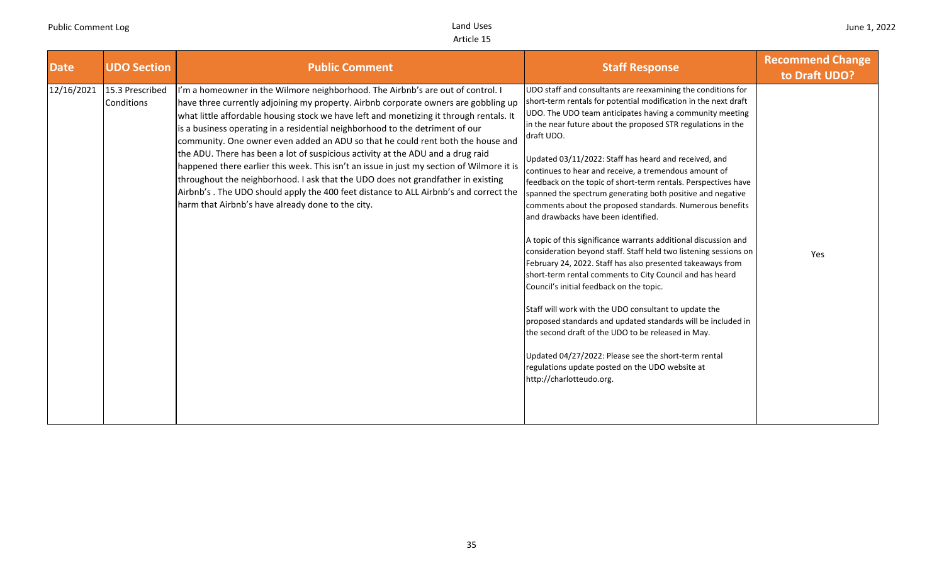| <b>Date</b> | <b>UDO Section</b>            | <b>Public Comment</b>                                                                                                                                                                                                                                                                                                                                                                                                                                                                                                                                                                                                                                                                                                                                                                                                                                   | <b>Staff Response</b>                                                                                                                                                                                                                                                                                                                                                                                                                                                                                                                                                                                                                                                                                                                                                                                                                                                                                                                                                                                                                                                                                                                                                                                                                                             | <b>Recommend Change</b><br>to Draft UDO? |
|-------------|-------------------------------|---------------------------------------------------------------------------------------------------------------------------------------------------------------------------------------------------------------------------------------------------------------------------------------------------------------------------------------------------------------------------------------------------------------------------------------------------------------------------------------------------------------------------------------------------------------------------------------------------------------------------------------------------------------------------------------------------------------------------------------------------------------------------------------------------------------------------------------------------------|-------------------------------------------------------------------------------------------------------------------------------------------------------------------------------------------------------------------------------------------------------------------------------------------------------------------------------------------------------------------------------------------------------------------------------------------------------------------------------------------------------------------------------------------------------------------------------------------------------------------------------------------------------------------------------------------------------------------------------------------------------------------------------------------------------------------------------------------------------------------------------------------------------------------------------------------------------------------------------------------------------------------------------------------------------------------------------------------------------------------------------------------------------------------------------------------------------------------------------------------------------------------|------------------------------------------|
| 12/16/2021  | 15.3 Prescribed<br>Conditions | I'm a homeowner in the Wilmore neighborhood. The Airbnb's are out of control. I<br>have three currently adjoining my property. Airbnb corporate owners are gobbling up<br>what little affordable housing stock we have left and monetizing it through rentals. It<br>is a business operating in a residential neighborhood to the detriment of our<br>community. One owner even added an ADU so that he could rent both the house and<br>the ADU. There has been a lot of suspicious activity at the ADU and a drug raid<br>happened there earlier this week. This isn't an issue in just my section of Wilmore it is<br>throughout the neighborhood. I ask that the UDO does not grandfather in existing<br>Airbnb's . The UDO should apply the 400 feet distance to ALL Airbnb's and correct the<br>harm that Airbnb's have already done to the city. | UDO staff and consultants are reexamining the conditions for<br>short-term rentals for potential modification in the next draft<br>UDO. The UDO team anticipates having a community meeting<br>in the near future about the proposed STR regulations in the<br>draft UDO.<br>Updated 03/11/2022: Staff has heard and received, and<br>continues to hear and receive, a tremendous amount of<br>feedback on the topic of short-term rentals. Perspectives have<br>spanned the spectrum generating both positive and negative<br>comments about the proposed standards. Numerous benefits<br>and drawbacks have been identified.<br>A topic of this significance warrants additional discussion and<br>consideration beyond staff. Staff held two listening sessions on<br>February 24, 2022. Staff has also presented takeaways from<br>short-term rental comments to City Council and has heard<br>Council's initial feedback on the topic.<br>Staff will work with the UDO consultant to update the<br>proposed standards and updated standards will be included in<br>the second draft of the UDO to be released in May.<br>Updated 04/27/2022: Please see the short-term rental<br>regulations update posted on the UDO website at<br>http://charlotteudo.org. | Yes                                      |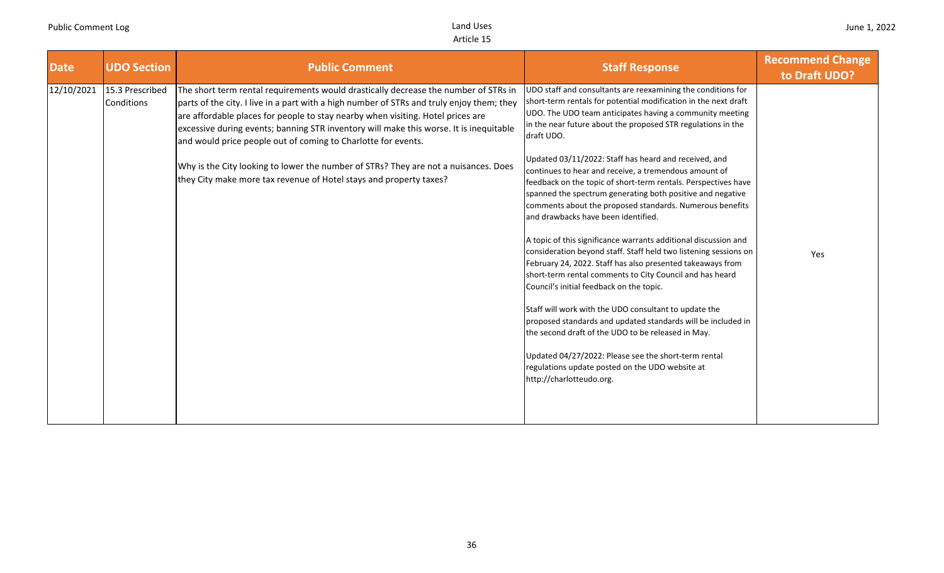| <b>Date</b> | <b>UDO Section</b>            | <b>Public Comment</b>                                                                                                                                                                                                                                                                                                                                                                                                                                                                                                                                                                       | <b>Staff Response</b>                                                                                                                                                                                                                                                                                                                                                                                                                                                                                                                                                                                                                                                                                                                                                                                                                                                                                                                                                                                                                                                                                                      | <b>Recommend Change</b><br>to Draft UDO? |
|-------------|-------------------------------|---------------------------------------------------------------------------------------------------------------------------------------------------------------------------------------------------------------------------------------------------------------------------------------------------------------------------------------------------------------------------------------------------------------------------------------------------------------------------------------------------------------------------------------------------------------------------------------------|----------------------------------------------------------------------------------------------------------------------------------------------------------------------------------------------------------------------------------------------------------------------------------------------------------------------------------------------------------------------------------------------------------------------------------------------------------------------------------------------------------------------------------------------------------------------------------------------------------------------------------------------------------------------------------------------------------------------------------------------------------------------------------------------------------------------------------------------------------------------------------------------------------------------------------------------------------------------------------------------------------------------------------------------------------------------------------------------------------------------------|------------------------------------------|
| 12/10/2021  | 15.3 Prescribed<br>Conditions | The short term rental requirements would drastically decrease the number of STRs in<br>parts of the city. I live in a part with a high number of STRs and truly enjoy them; they<br>are affordable places for people to stay nearby when visiting. Hotel prices are<br>excessive during events; banning STR inventory will make this worse. It is inequitable<br>and would price people out of coming to Charlotte for events.<br>Why is the City looking to lower the number of STRs? They are not a nuisances. Does<br>they City make more tax revenue of Hotel stays and property taxes? | UDO staff and consultants are reexamining the conditions for<br>short-term rentals for potential modification in the next draft<br>UDO. The UDO team anticipates having a community meeting<br>in the near future about the proposed STR regulations in the<br>draft UDO.<br>Updated 03/11/2022: Staff has heard and received, and<br>continues to hear and receive, a tremendous amount of<br>feedback on the topic of short-term rentals. Perspectives have<br>spanned the spectrum generating both positive and negative<br>comments about the proposed standards. Numerous benefits<br>and drawbacks have been identified.<br>A topic of this significance warrants additional discussion and<br>consideration beyond staff. Staff held two listening sessions on<br>February 24, 2022. Staff has also presented takeaways from<br>short-term rental comments to City Council and has heard<br>Council's initial feedback on the topic.<br>Staff will work with the UDO consultant to update the<br>proposed standards and updated standards will be included in<br>the second draft of the UDO to be released in May. | Yes                                      |
|             |                               |                                                                                                                                                                                                                                                                                                                                                                                                                                                                                                                                                                                             | Updated 04/27/2022: Please see the short-term rental<br>regulations update posted on the UDO website at<br>http://charlotteudo.org.                                                                                                                                                                                                                                                                                                                                                                                                                                                                                                                                                                                                                                                                                                                                                                                                                                                                                                                                                                                        |                                          |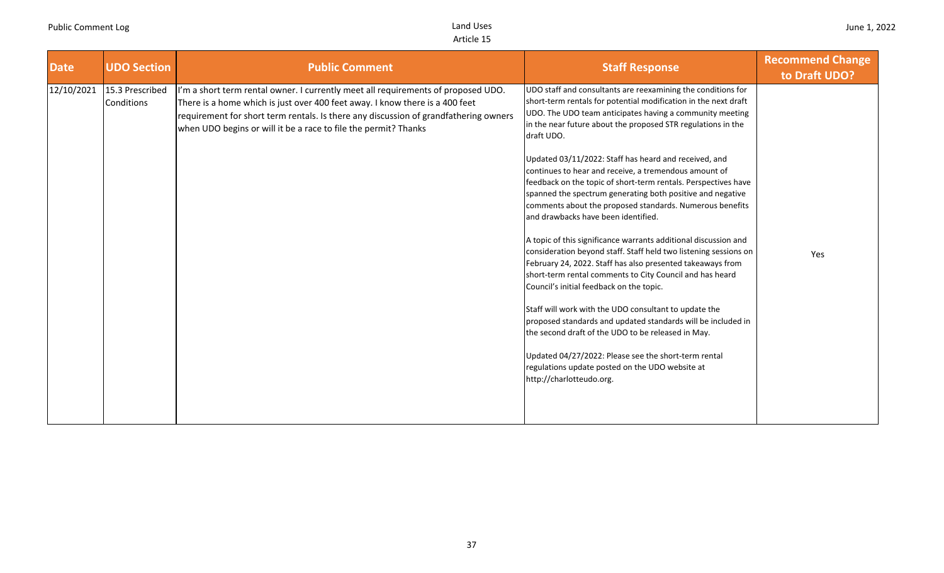| <b>Date</b> | <b>UDO Section</b>            | <b>Public Comment</b>                                                                                                                                                                                                                                                                                                        | <b>Staff Response</b>                                                                                                                                                                                                                                                                                                                                                                                                                                                                                                                                                                                                                                                                                                                                                                                                                                                                                                                                                                                                                                                                                                                                                                                                                                             | <b>Recommend Change</b><br>to Draft UDO? |
|-------------|-------------------------------|------------------------------------------------------------------------------------------------------------------------------------------------------------------------------------------------------------------------------------------------------------------------------------------------------------------------------|-------------------------------------------------------------------------------------------------------------------------------------------------------------------------------------------------------------------------------------------------------------------------------------------------------------------------------------------------------------------------------------------------------------------------------------------------------------------------------------------------------------------------------------------------------------------------------------------------------------------------------------------------------------------------------------------------------------------------------------------------------------------------------------------------------------------------------------------------------------------------------------------------------------------------------------------------------------------------------------------------------------------------------------------------------------------------------------------------------------------------------------------------------------------------------------------------------------------------------------------------------------------|------------------------------------------|
| 12/10/2021  | 15.3 Prescribed<br>Conditions | I'm a short term rental owner. I currently meet all requirements of proposed UDO.<br>There is a home which is just over 400 feet away. I know there is a 400 feet<br>requirement for short term rentals. Is there any discussion of grandfathering owners<br>when UDO begins or will it be a race to file the permit? Thanks | UDO staff and consultants are reexamining the conditions for<br>short-term rentals for potential modification in the next draft<br>UDO. The UDO team anticipates having a community meeting<br>in the near future about the proposed STR regulations in the<br>draft UDO.<br>Updated 03/11/2022: Staff has heard and received, and<br>continues to hear and receive, a tremendous amount of<br>feedback on the topic of short-term rentals. Perspectives have<br>spanned the spectrum generating both positive and negative<br>comments about the proposed standards. Numerous benefits<br>and drawbacks have been identified.<br>A topic of this significance warrants additional discussion and<br>consideration beyond staff. Staff held two listening sessions on<br>February 24, 2022. Staff has also presented takeaways from<br>short-term rental comments to City Council and has heard<br>Council's initial feedback on the topic.<br>Staff will work with the UDO consultant to update the<br>proposed standards and updated standards will be included in<br>the second draft of the UDO to be released in May.<br>Updated 04/27/2022: Please see the short-term rental<br>regulations update posted on the UDO website at<br>http://charlotteudo.org. | Yes                                      |
|             |                               |                                                                                                                                                                                                                                                                                                                              |                                                                                                                                                                                                                                                                                                                                                                                                                                                                                                                                                                                                                                                                                                                                                                                                                                                                                                                                                                                                                                                                                                                                                                                                                                                                   |                                          |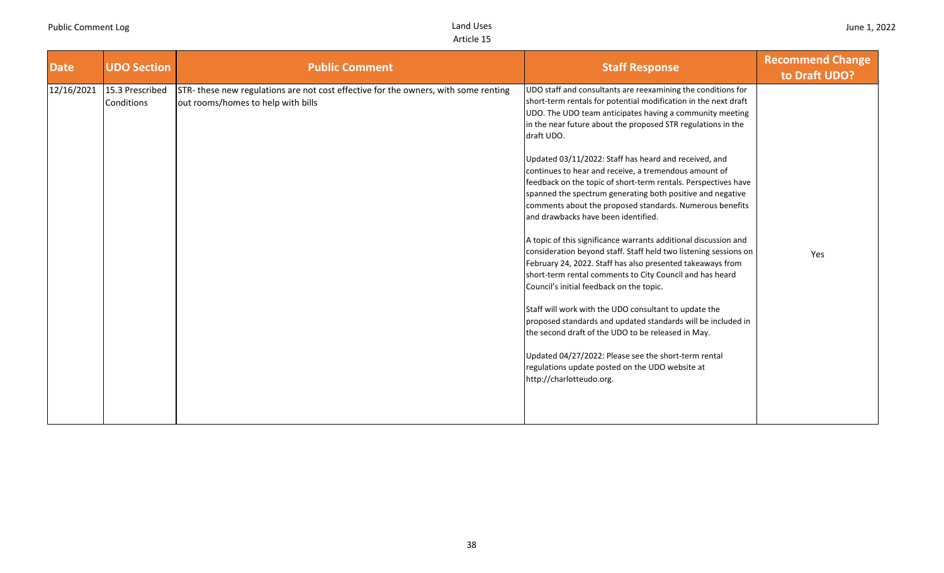| <b>Date</b> | <b>UDO Section</b>            | <b>Public Comment</b>                                                                                                    | <b>Staff Response</b>                                                                                                                                                                                                                                                                                                                                                                                                                                                                                                                                                                                                                                                                                                                                                                                                                                                                                                                                                                                                                                                                                                                                                                                                                                             | <b>Recommend Change</b><br>to Draft UDO? |
|-------------|-------------------------------|--------------------------------------------------------------------------------------------------------------------------|-------------------------------------------------------------------------------------------------------------------------------------------------------------------------------------------------------------------------------------------------------------------------------------------------------------------------------------------------------------------------------------------------------------------------------------------------------------------------------------------------------------------------------------------------------------------------------------------------------------------------------------------------------------------------------------------------------------------------------------------------------------------------------------------------------------------------------------------------------------------------------------------------------------------------------------------------------------------------------------------------------------------------------------------------------------------------------------------------------------------------------------------------------------------------------------------------------------------------------------------------------------------|------------------------------------------|
| 12/16/2021  | 15.3 Prescribed<br>Conditions | STR-these new regulations are not cost effective for the owners, with some renting<br>out rooms/homes to help with bills | UDO staff and consultants are reexamining the conditions for<br>short-term rentals for potential modification in the next draft<br>UDO. The UDO team anticipates having a community meeting<br>in the near future about the proposed STR regulations in the<br>draft UDO.<br>Updated 03/11/2022: Staff has heard and received, and<br>continues to hear and receive, a tremendous amount of<br>feedback on the topic of short-term rentals. Perspectives have<br>spanned the spectrum generating both positive and negative<br>comments about the proposed standards. Numerous benefits<br>and drawbacks have been identified.<br>A topic of this significance warrants additional discussion and<br>consideration beyond staff. Staff held two listening sessions on<br>February 24, 2022. Staff has also presented takeaways from<br>short-term rental comments to City Council and has heard<br>Council's initial feedback on the topic.<br>Staff will work with the UDO consultant to update the<br>proposed standards and updated standards will be included in<br>the second draft of the UDO to be released in May.<br>Updated 04/27/2022: Please see the short-term rental<br>regulations update posted on the UDO website at<br>http://charlotteudo.org. | Yes                                      |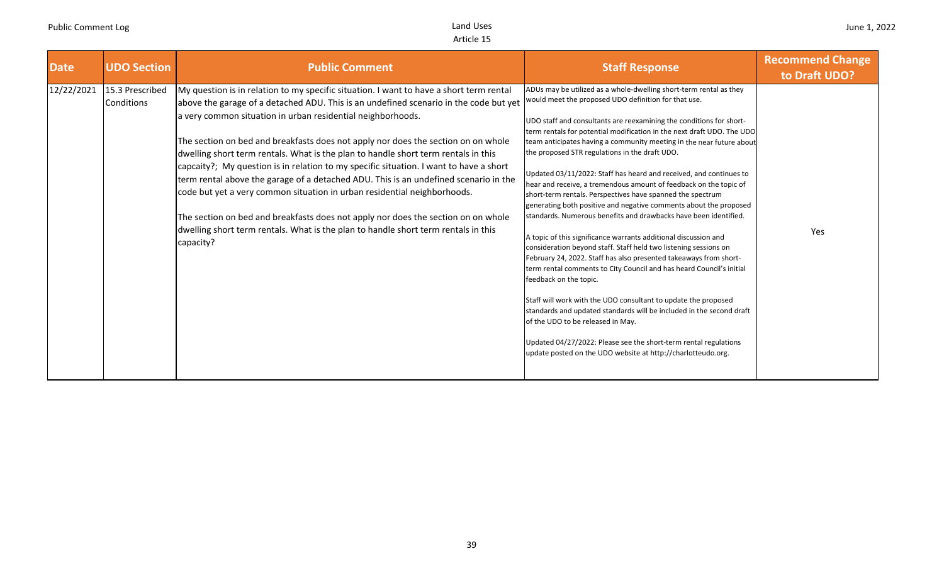| <b>Date</b> | <b>UDO Section</b>            | <b>Public Comment</b>                                                                                                                                                                                                                                                                                                                                                                                                                                                                                                                                                                                                                                                                                                                                                                                                                                                            | <b>Staff Response</b>                                                                                                                                                                                                                                                                                                                                                                                                                                                                                                                                                                                                                                                                                                                                                                                                                                                                                                                                                                                                                                                                                                                                                                                                                                                                                                                                                                    | <b>Recommend Change</b><br>to Draft UDO? |
|-------------|-------------------------------|----------------------------------------------------------------------------------------------------------------------------------------------------------------------------------------------------------------------------------------------------------------------------------------------------------------------------------------------------------------------------------------------------------------------------------------------------------------------------------------------------------------------------------------------------------------------------------------------------------------------------------------------------------------------------------------------------------------------------------------------------------------------------------------------------------------------------------------------------------------------------------|------------------------------------------------------------------------------------------------------------------------------------------------------------------------------------------------------------------------------------------------------------------------------------------------------------------------------------------------------------------------------------------------------------------------------------------------------------------------------------------------------------------------------------------------------------------------------------------------------------------------------------------------------------------------------------------------------------------------------------------------------------------------------------------------------------------------------------------------------------------------------------------------------------------------------------------------------------------------------------------------------------------------------------------------------------------------------------------------------------------------------------------------------------------------------------------------------------------------------------------------------------------------------------------------------------------------------------------------------------------------------------------|------------------------------------------|
| 12/22/2021  | 15.3 Prescribed<br>Conditions | My question is in relation to my specific situation. I want to have a short term rental<br>above the garage of a detached ADU. This is an undefined scenario in the code but yet<br>a very common situation in urban residential neighborhoods.<br>The section on bed and breakfasts does not apply nor does the section on on whole<br>dwelling short term rentals. What is the plan to handle short term rentals in this<br>capcaity?; My question is in relation to my specific situation. I want to have a short<br>term rental above the garage of a detached ADU. This is an undefined scenario in the<br>code but yet a very common situation in urban residential neighborhoods.<br>The section on bed and breakfasts does not apply nor does the section on on whole<br>dwelling short term rentals. What is the plan to handle short term rentals in this<br>capacity? | ADUs may be utilized as a whole-dwelling short-term rental as they<br>would meet the proposed UDO definition for that use.<br>UDO staff and consultants are reexamining the conditions for short-<br>term rentals for potential modification in the next draft UDO. The UDO<br>team anticipates having a community meeting in the near future about<br>the proposed STR regulations in the draft UDO.<br>Updated 03/11/2022: Staff has heard and received, and continues to<br>hear and receive, a tremendous amount of feedback on the topic of<br>short-term rentals. Perspectives have spanned the spectrum<br>generating both positive and negative comments about the proposed<br>standards. Numerous benefits and drawbacks have been identified.<br>A topic of this significance warrants additional discussion and<br>consideration beyond staff. Staff held two listening sessions on<br>February 24, 2022. Staff has also presented takeaways from short-<br>term rental comments to City Council and has heard Council's initial<br>feedback on the topic.<br>Staff will work with the UDO consultant to update the proposed<br>standards and updated standards will be included in the second draft<br>of the UDO to be released in May.<br>Updated 04/27/2022: Please see the short-term rental regulations<br>update posted on the UDO website at http://charlotteudo.org. | Yes                                      |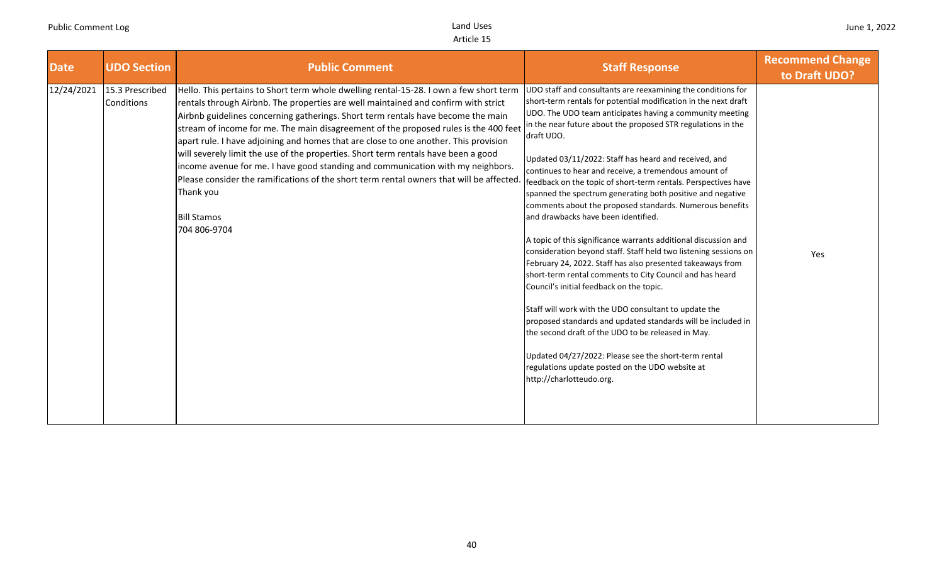| <b>Date</b> | <b>UDO Section</b>            | <b>Public Comment</b>                                                                                                                                                                                                                                                                                                                                                                                                                                                                                                                                                                                                                                                                                                                                                   | <b>Staff Response</b>                                                                                                                                                                                                                                                                                                                                                                                                                                                                                                                                                                                                                                                                                                                                                                                                                                                                                                                                                                                                                                                                                                                                                                                                                                             | <b>Recommend Change</b><br>to Draft UDO? |
|-------------|-------------------------------|-------------------------------------------------------------------------------------------------------------------------------------------------------------------------------------------------------------------------------------------------------------------------------------------------------------------------------------------------------------------------------------------------------------------------------------------------------------------------------------------------------------------------------------------------------------------------------------------------------------------------------------------------------------------------------------------------------------------------------------------------------------------------|-------------------------------------------------------------------------------------------------------------------------------------------------------------------------------------------------------------------------------------------------------------------------------------------------------------------------------------------------------------------------------------------------------------------------------------------------------------------------------------------------------------------------------------------------------------------------------------------------------------------------------------------------------------------------------------------------------------------------------------------------------------------------------------------------------------------------------------------------------------------------------------------------------------------------------------------------------------------------------------------------------------------------------------------------------------------------------------------------------------------------------------------------------------------------------------------------------------------------------------------------------------------|------------------------------------------|
| 12/24/2021  | 15.3 Prescribed<br>Conditions | Hello. This pertains to Short term whole dwelling rental-15-28. I own a few short term<br>rentals through Airbnb. The properties are well maintained and confirm with strict<br>Airbnb guidelines concerning gatherings. Short term rentals have become the main<br>stream of income for me. The main disagreement of the proposed rules is the 400 feet<br>apart rule. I have adjoining and homes that are close to one another. This provision<br>will severely limit the use of the properties. Short term rentals have been a good<br>income avenue for me. I have good standing and communication with my neighbors.<br>Please consider the ramifications of the short term rental owners that will be affected<br>Thank you<br><b>Bill Stamos</b><br>704 806-9704 | UDO staff and consultants are reexamining the conditions for<br>short-term rentals for potential modification in the next draft<br>UDO. The UDO team anticipates having a community meeting<br>in the near future about the proposed STR regulations in the<br>draft UDO.<br>Updated 03/11/2022: Staff has heard and received, and<br>continues to hear and receive, a tremendous amount of<br>feedback on the topic of short-term rentals. Perspectives have<br>spanned the spectrum generating both positive and negative<br>comments about the proposed standards. Numerous benefits<br>and drawbacks have been identified.<br>A topic of this significance warrants additional discussion and<br>consideration beyond staff. Staff held two listening sessions on<br>February 24, 2022. Staff has also presented takeaways from<br>short-term rental comments to City Council and has heard<br>Council's initial feedback on the topic.<br>Staff will work with the UDO consultant to update the<br>proposed standards and updated standards will be included in<br>the second draft of the UDO to be released in May.<br>Updated 04/27/2022: Please see the short-term rental<br>regulations update posted on the UDO website at<br>http://charlotteudo.org. | Yes                                      |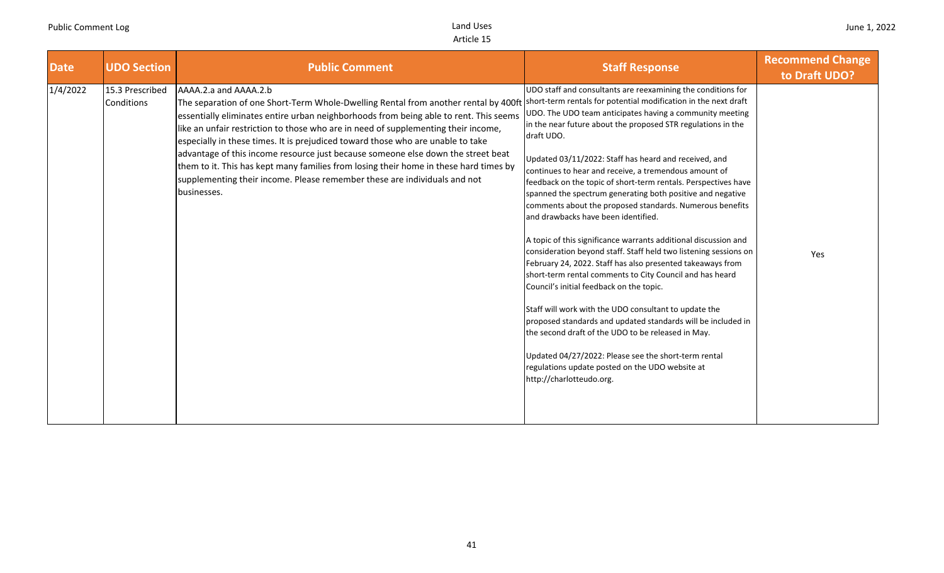| <b>Date</b> | <b>UDO Section</b>            | <b>Public Comment</b>                                                                                                                                                                                                                                                                                                                                                                                                                                                                                                                                                                                                                                                                                                   | <b>Staff Response</b>                                                                                                                                                                                                                                                                                                                                                                                                                                                                                                                                                                                                                                                                                                                                                                                                                                                                                                                                                                                                                                                                                                                                                                          | <b>Recommend Change</b><br>to Draft UDO? |
|-------------|-------------------------------|-------------------------------------------------------------------------------------------------------------------------------------------------------------------------------------------------------------------------------------------------------------------------------------------------------------------------------------------------------------------------------------------------------------------------------------------------------------------------------------------------------------------------------------------------------------------------------------------------------------------------------------------------------------------------------------------------------------------------|------------------------------------------------------------------------------------------------------------------------------------------------------------------------------------------------------------------------------------------------------------------------------------------------------------------------------------------------------------------------------------------------------------------------------------------------------------------------------------------------------------------------------------------------------------------------------------------------------------------------------------------------------------------------------------------------------------------------------------------------------------------------------------------------------------------------------------------------------------------------------------------------------------------------------------------------------------------------------------------------------------------------------------------------------------------------------------------------------------------------------------------------------------------------------------------------|------------------------------------------|
| 1/4/2022    | 15.3 Prescribed<br>Conditions | AAAA.2.a and AAAA.2.b<br>The separation of one Short-Term Whole-Dwelling Rental from another rental by 400ft Short-term rentals for potential modification in the next draft<br>essentially eliminates entire urban neighborhoods from being able to rent. This seems<br>like an unfair restriction to those who are in need of supplementing their income,<br>especially in these times. It is prejudiced toward those who are unable to take<br>advantage of this income resource just because someone else down the street beat<br>them to it. This has kept many families from losing their home in these hard times by<br>supplementing their income. Please remember these are individuals and not<br>businesses. | UDO staff and consultants are reexamining the conditions for<br>JDO. The UDO team anticipates having a community meeting<br>in the near future about the proposed STR regulations in the<br>draft UDO.<br>Updated 03/11/2022: Staff has heard and received, and<br>continues to hear and receive, a tremendous amount of<br>feedback on the topic of short-term rentals. Perspectives have<br>spanned the spectrum generating both positive and negative<br>comments about the proposed standards. Numerous benefits<br>and drawbacks have been identified.<br>A topic of this significance warrants additional discussion and<br>consideration beyond staff. Staff held two listening sessions on<br>February 24, 2022. Staff has also presented takeaways from<br>short-term rental comments to City Council and has heard<br>Council's initial feedback on the topic.<br>Staff will work with the UDO consultant to update the<br>proposed standards and updated standards will be included in<br>the second draft of the UDO to be released in May.<br>Updated 04/27/2022: Please see the short-term rental<br>regulations update posted on the UDO website at<br>http://charlotteudo.org. | Yes                                      |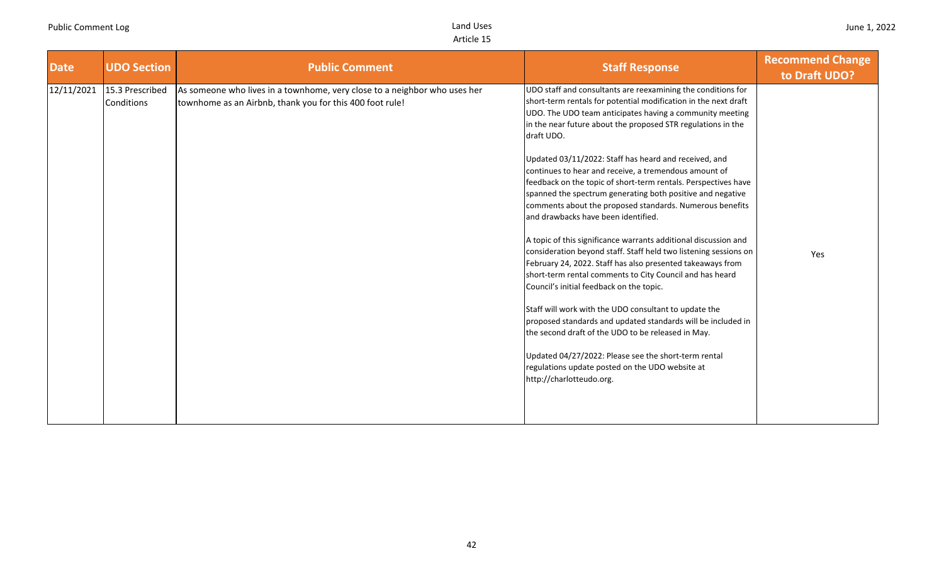| <b>Date</b> | <b>UDO Section</b>            | <b>Public Comment</b>                                                                                                                 | <b>Staff Response</b>                                                                                                                                                                                                                                                                                                                                                                                                                                                                                                                                                                                                                                                                                                                                                                                                                                                                                                                                                                                                                                                                                                                                                                                                                                             | <b>Recommend Change</b><br>to Draft UDO? |
|-------------|-------------------------------|---------------------------------------------------------------------------------------------------------------------------------------|-------------------------------------------------------------------------------------------------------------------------------------------------------------------------------------------------------------------------------------------------------------------------------------------------------------------------------------------------------------------------------------------------------------------------------------------------------------------------------------------------------------------------------------------------------------------------------------------------------------------------------------------------------------------------------------------------------------------------------------------------------------------------------------------------------------------------------------------------------------------------------------------------------------------------------------------------------------------------------------------------------------------------------------------------------------------------------------------------------------------------------------------------------------------------------------------------------------------------------------------------------------------|------------------------------------------|
| 12/11/2021  | 15.3 Prescribed<br>Conditions | As someone who lives in a townhome, very close to a neighbor who uses her<br>townhome as an Airbnb, thank you for this 400 foot rule! | UDO staff and consultants are reexamining the conditions for<br>short-term rentals for potential modification in the next draft<br>UDO. The UDO team anticipates having a community meeting<br>in the near future about the proposed STR regulations in the<br>draft UDO.<br>Updated 03/11/2022: Staff has heard and received, and<br>continues to hear and receive, a tremendous amount of<br>feedback on the topic of short-term rentals. Perspectives have<br>spanned the spectrum generating both positive and negative<br>comments about the proposed standards. Numerous benefits<br>and drawbacks have been identified.<br>A topic of this significance warrants additional discussion and<br>consideration beyond staff. Staff held two listening sessions on<br>February 24, 2022. Staff has also presented takeaways from<br>short-term rental comments to City Council and has heard<br>Council's initial feedback on the topic.<br>Staff will work with the UDO consultant to update the<br>proposed standards and updated standards will be included in<br>the second draft of the UDO to be released in May.<br>Updated 04/27/2022: Please see the short-term rental<br>regulations update posted on the UDO website at<br>http://charlotteudo.org. | Yes                                      |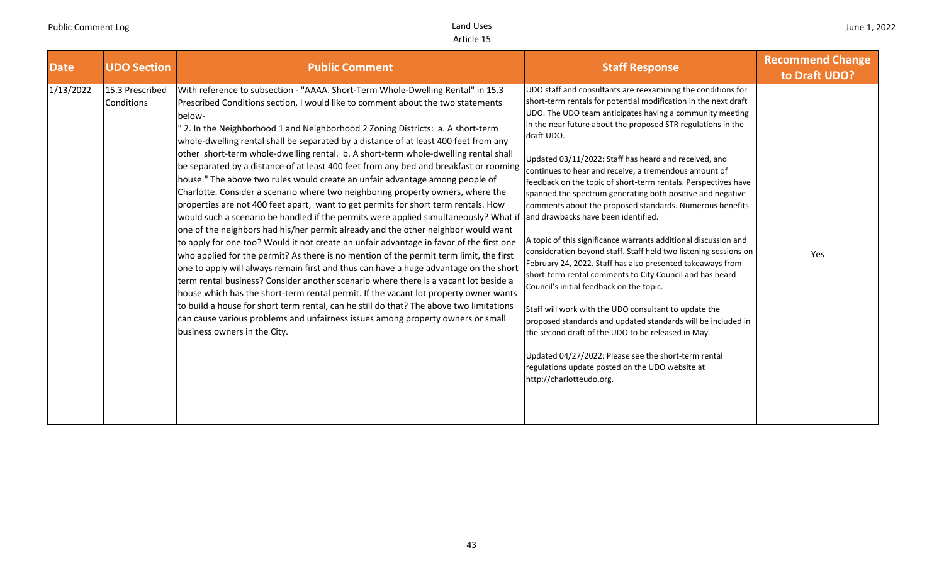| <b>Date</b> | <b>UDO Section</b>            | <b>Public Comment</b>                                                                                                                                                                                                                                                                                                                                                                                                                                                                                                                                                                                                                                                                                                                                                                                                                                                                                                                                                                                                                                                                                                                                                                                                                                                                                                                                                                                                                                                                                                                                                                                                                                     | <b>Staff Response</b>                                                                                                                                                                                                                                                                                                                                                                                                                                                                                                                                                                                                                                                                                                                                                                                                                                                                                                                                                                                                                                                                                                                                                                                                                                             | <b>Recommend Change</b><br>to Draft UDO? |
|-------------|-------------------------------|-----------------------------------------------------------------------------------------------------------------------------------------------------------------------------------------------------------------------------------------------------------------------------------------------------------------------------------------------------------------------------------------------------------------------------------------------------------------------------------------------------------------------------------------------------------------------------------------------------------------------------------------------------------------------------------------------------------------------------------------------------------------------------------------------------------------------------------------------------------------------------------------------------------------------------------------------------------------------------------------------------------------------------------------------------------------------------------------------------------------------------------------------------------------------------------------------------------------------------------------------------------------------------------------------------------------------------------------------------------------------------------------------------------------------------------------------------------------------------------------------------------------------------------------------------------------------------------------------------------------------------------------------------------|-------------------------------------------------------------------------------------------------------------------------------------------------------------------------------------------------------------------------------------------------------------------------------------------------------------------------------------------------------------------------------------------------------------------------------------------------------------------------------------------------------------------------------------------------------------------------------------------------------------------------------------------------------------------------------------------------------------------------------------------------------------------------------------------------------------------------------------------------------------------------------------------------------------------------------------------------------------------------------------------------------------------------------------------------------------------------------------------------------------------------------------------------------------------------------------------------------------------------------------------------------------------|------------------------------------------|
| 1/13/2022   | 15.3 Prescribed<br>Conditions | With reference to subsection - "AAAA. Short-Term Whole-Dwelling Rental" in 15.3<br>Prescribed Conditions section, I would like to comment about the two statements<br>below-<br>" 2. In the Neighborhood 1 and Neighborhood 2 Zoning Districts: a. A short-term<br>whole-dwelling rental shall be separated by a distance of at least 400 feet from any<br>other short-term whole-dwelling rental. b. A short-term whole-dwelling rental shall<br>be separated by a distance of at least 400 feet from any bed and breakfast or rooming<br>house." The above two rules would create an unfair advantage among people of<br>Charlotte. Consider a scenario where two neighboring property owners, where the<br>properties are not 400 feet apart, want to get permits for short term rentals. How<br>would such a scenario be handled if the permits were applied simultaneously? What if<br>one of the neighbors had his/her permit already and the other neighbor would want<br>to apply for one too? Would it not create an unfair advantage in favor of the first one<br>who applied for the permit? As there is no mention of the permit term limit, the first<br>one to apply will always remain first and thus can have a huge advantage on the short<br>term rental business? Consider another scenario where there is a vacant lot beside a<br>house which has the short-term rental permit. If the vacant lot property owner wants<br>to build a house for short term rental, can he still do that? The above two limitations<br>can cause various problems and unfairness issues among property owners or small<br>business owners in the City. | UDO staff and consultants are reexamining the conditions for<br>short-term rentals for potential modification in the next draft<br>JDO. The UDO team anticipates having a community meeting<br>in the near future about the proposed STR regulations in the<br>draft UDO.<br>Updated 03/11/2022: Staff has heard and received, and<br>continues to hear and receive, a tremendous amount of<br>feedback on the topic of short-term rentals. Perspectives have<br>spanned the spectrum generating both positive and negative<br>comments about the proposed standards. Numerous benefits<br>and drawbacks have been identified.<br>A topic of this significance warrants additional discussion and<br>consideration beyond staff. Staff held two listening sessions on<br>February 24, 2022. Staff has also presented takeaways from<br>short-term rental comments to City Council and has heard<br>Council's initial feedback on the topic.<br>Staff will work with the UDO consultant to update the<br>proposed standards and updated standards will be included in<br>the second draft of the UDO to be released in May.<br>Updated 04/27/2022: Please see the short-term rental<br>regulations update posted on the UDO website at<br>http://charlotteudo.org. | Yes                                      |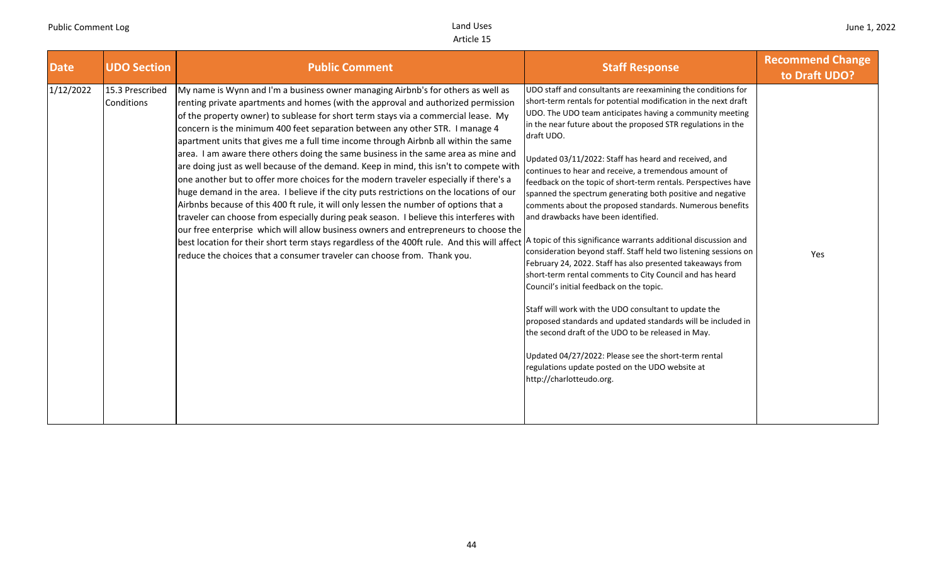| <b>Date</b> | <b>UDO Section</b>            | <b>Public Comment</b>                                                                                                                                                                                                                                                                                                                                                                                                                                                                                                                                                                                                                                                                                                                                                                                                                                                                                                                                                                                                                                                                                                                                                                                                                                                                                                        | <b>Staff Response</b>                                                                                                                                                                                                                                                                                                                                                                                                                                                                                                                                                                                                                                                                                                                                                                                                                                                                                                                                                                                                                                                                                                                                                                          | <b>Recommend Change</b><br>to Draft UDO? |
|-------------|-------------------------------|------------------------------------------------------------------------------------------------------------------------------------------------------------------------------------------------------------------------------------------------------------------------------------------------------------------------------------------------------------------------------------------------------------------------------------------------------------------------------------------------------------------------------------------------------------------------------------------------------------------------------------------------------------------------------------------------------------------------------------------------------------------------------------------------------------------------------------------------------------------------------------------------------------------------------------------------------------------------------------------------------------------------------------------------------------------------------------------------------------------------------------------------------------------------------------------------------------------------------------------------------------------------------------------------------------------------------|------------------------------------------------------------------------------------------------------------------------------------------------------------------------------------------------------------------------------------------------------------------------------------------------------------------------------------------------------------------------------------------------------------------------------------------------------------------------------------------------------------------------------------------------------------------------------------------------------------------------------------------------------------------------------------------------------------------------------------------------------------------------------------------------------------------------------------------------------------------------------------------------------------------------------------------------------------------------------------------------------------------------------------------------------------------------------------------------------------------------------------------------------------------------------------------------|------------------------------------------|
| 1/12/2022   | 15.3 Prescribed<br>Conditions | My name is Wynn and I'm a business owner managing Airbnb's for others as well as<br>renting private apartments and homes (with the approval and authorized permission<br>of the property owner) to sublease for short term stays via a commercial lease. My<br>concern is the minimum 400 feet separation between any other STR. I manage 4<br>apartment units that gives me a full time income through Airbnb all within the same<br>area. I am aware there others doing the same business in the same area as mine and<br>are doing just as well because of the demand. Keep in mind, this isn't to compete with<br>one another but to offer more choices for the modern traveler especially if there's a<br>huge demand in the area. I believe if the city puts restrictions on the locations of our<br>Airbnbs because of this 400 ft rule, it will only lessen the number of options that a<br>traveler can choose from especially during peak season. I believe this interferes with<br>our free enterprise which will allow business owners and entrepreneurs to choose the<br>best location for their short term stays regardless of the 400ft rule. And this will affect A topic of this significance warrants additional discussion and<br>reduce the choices that a consumer traveler can choose from. Thank you. | UDO staff and consultants are reexamining the conditions for<br>short-term rentals for potential modification in the next draft<br>UDO. The UDO team anticipates having a community meeting<br>in the near future about the proposed STR regulations in the<br>draft UDO.<br>Updated 03/11/2022: Staff has heard and received, and<br>continues to hear and receive, a tremendous amount of<br>feedback on the topic of short-term rentals. Perspectives have<br>spanned the spectrum generating both positive and negative<br>comments about the proposed standards. Numerous benefits<br>and drawbacks have been identified.<br>consideration beyond staff. Staff held two listening sessions on<br>February 24, 2022. Staff has also presented takeaways from<br>short-term rental comments to City Council and has heard<br>Council's initial feedback on the topic.<br>Staff will work with the UDO consultant to update the<br>proposed standards and updated standards will be included in<br>the second draft of the UDO to be released in May.<br>Updated 04/27/2022: Please see the short-term rental<br>regulations update posted on the UDO website at<br>http://charlotteudo.org. | Yes                                      |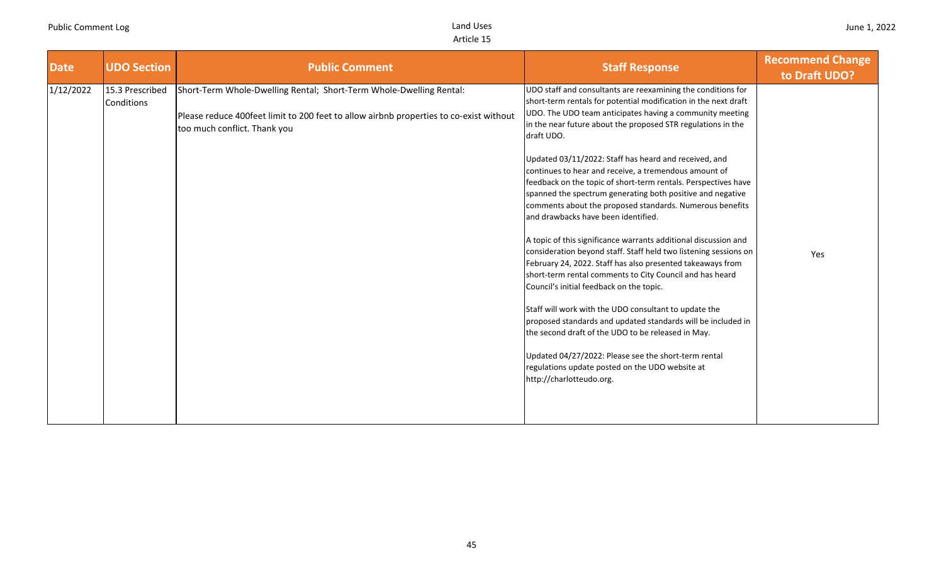| <b>Date</b> | <b>UDO Section</b>            | <b>Public Comment</b>                                                                                                                                                                         | <b>Staff Response</b>                                                                                                                                                                                                                                                                                                                                                                                                                                                                                                                                                                                                                                                                                                                                                                                                                                                                                                                                                                                                                                                                                                                                                                                                                                             | <b>Recommend Change</b><br>to Draft UDO? |
|-------------|-------------------------------|-----------------------------------------------------------------------------------------------------------------------------------------------------------------------------------------------|-------------------------------------------------------------------------------------------------------------------------------------------------------------------------------------------------------------------------------------------------------------------------------------------------------------------------------------------------------------------------------------------------------------------------------------------------------------------------------------------------------------------------------------------------------------------------------------------------------------------------------------------------------------------------------------------------------------------------------------------------------------------------------------------------------------------------------------------------------------------------------------------------------------------------------------------------------------------------------------------------------------------------------------------------------------------------------------------------------------------------------------------------------------------------------------------------------------------------------------------------------------------|------------------------------------------|
| 1/12/2022   | 15.3 Prescribed<br>Conditions | Short-Term Whole-Dwelling Rental; Short-Term Whole-Dwelling Rental:<br>Please reduce 400feet limit to 200 feet to allow airbnb properties to co-exist without<br>too much conflict. Thank you | UDO staff and consultants are reexamining the conditions for<br>short-term rentals for potential modification in the next draft<br>UDO. The UDO team anticipates having a community meeting<br>in the near future about the proposed STR regulations in the<br>draft UDO.<br>Updated 03/11/2022: Staff has heard and received, and<br>continues to hear and receive, a tremendous amount of<br>feedback on the topic of short-term rentals. Perspectives have<br>spanned the spectrum generating both positive and negative<br>comments about the proposed standards. Numerous benefits<br>and drawbacks have been identified.<br>A topic of this significance warrants additional discussion and<br>consideration beyond staff. Staff held two listening sessions on<br>February 24, 2022. Staff has also presented takeaways from<br>short-term rental comments to City Council and has heard<br>Council's initial feedback on the topic.<br>Staff will work with the UDO consultant to update the<br>proposed standards and updated standards will be included in<br>the second draft of the UDO to be released in May.<br>Updated 04/27/2022: Please see the short-term rental<br>regulations update posted on the UDO website at<br>http://charlotteudo.org. | Yes                                      |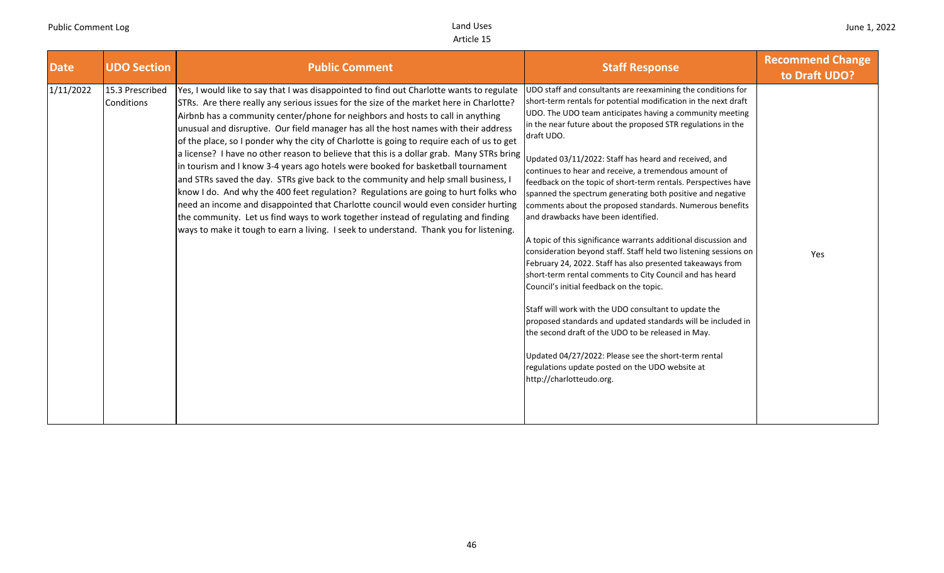| <b>Date</b> | <b>UDO Section</b>            | <b>Public Comment</b>                                                                                                                                                                                                                                                                                                                                                                                                                                                                                                                                                                                                                                                                                                                                                                                                                                                                                                                                                                                                                                                                         | <b>Staff Response</b>                                                                                                                                                                                                                                                                                                                                                                                                                                                                                                                                                                                                                                                                                                                                                                                                                                                                                                                                                                                                                                                                                                                                                                                                                                             | <b>Recommend Change</b><br>to Draft UDO? |
|-------------|-------------------------------|-----------------------------------------------------------------------------------------------------------------------------------------------------------------------------------------------------------------------------------------------------------------------------------------------------------------------------------------------------------------------------------------------------------------------------------------------------------------------------------------------------------------------------------------------------------------------------------------------------------------------------------------------------------------------------------------------------------------------------------------------------------------------------------------------------------------------------------------------------------------------------------------------------------------------------------------------------------------------------------------------------------------------------------------------------------------------------------------------|-------------------------------------------------------------------------------------------------------------------------------------------------------------------------------------------------------------------------------------------------------------------------------------------------------------------------------------------------------------------------------------------------------------------------------------------------------------------------------------------------------------------------------------------------------------------------------------------------------------------------------------------------------------------------------------------------------------------------------------------------------------------------------------------------------------------------------------------------------------------------------------------------------------------------------------------------------------------------------------------------------------------------------------------------------------------------------------------------------------------------------------------------------------------------------------------------------------------------------------------------------------------|------------------------------------------|
| 1/11/2022   | 15.3 Prescribed<br>Conditions | Yes, I would like to say that I was disappointed to find out Charlotte wants to regulate<br>STRs. Are there really any serious issues for the size of the market here in Charlotte?<br>Airbnb has a community center/phone for neighbors and hosts to call in anything<br>unusual and disruptive. Our field manager has all the host names with their address<br>of the place, so I ponder why the city of Charlotte is going to require each of us to get<br>a license? I have no other reason to believe that this is a dollar grab. Many STRs bring<br>in tourism and I know 3-4 years ago hotels were booked for basketball tournament<br>and STRs saved the day. STRs give back to the community and help small business, I<br>know I do. And why the 400 feet regulation? Regulations are going to hurt folks who<br>need an income and disappointed that Charlotte council would even consider hurting<br>the community. Let us find ways to work together instead of regulating and finding<br>ways to make it tough to earn a living. I seek to understand. Thank you for listening. | UDO staff and consultants are reexamining the conditions for<br>short-term rentals for potential modification in the next draft<br>UDO. The UDO team anticipates having a community meeting<br>in the near future about the proposed STR regulations in the<br>draft UDO.<br>Updated 03/11/2022: Staff has heard and received, and<br>continues to hear and receive, a tremendous amount of<br>feedback on the topic of short-term rentals. Perspectives have<br>spanned the spectrum generating both positive and negative<br>comments about the proposed standards. Numerous benefits<br>and drawbacks have been identified.<br>A topic of this significance warrants additional discussion and<br>consideration beyond staff. Staff held two listening sessions on<br>February 24, 2022. Staff has also presented takeaways from<br>short-term rental comments to City Council and has heard<br>Council's initial feedback on the topic.<br>Staff will work with the UDO consultant to update the<br>proposed standards and updated standards will be included in<br>the second draft of the UDO to be released in May.<br>Updated 04/27/2022: Please see the short-term rental<br>regulations update posted on the UDO website at<br>http://charlotteudo.org. | Yes                                      |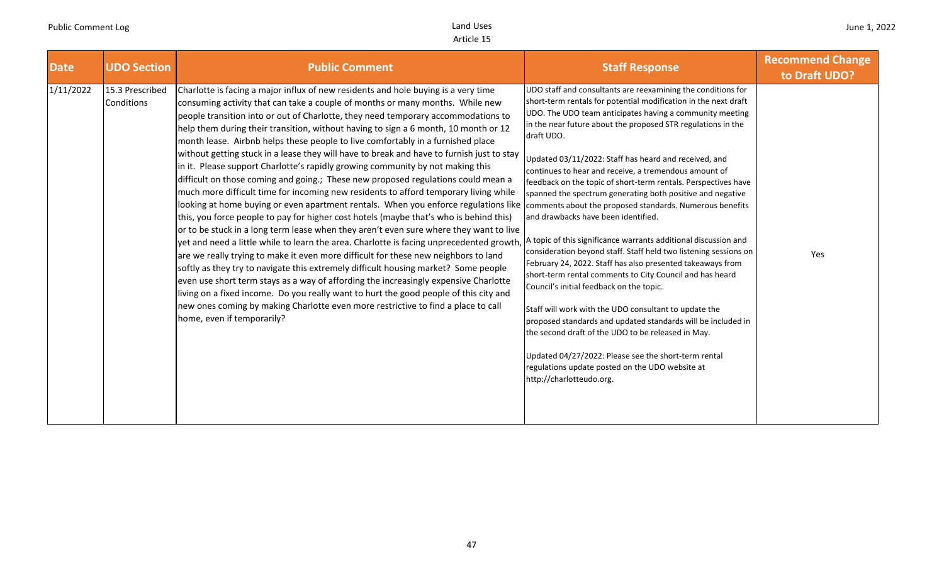| <b>Date</b> | <b>UDO Section</b>            | <b>Public Comment</b>                                                                                                                                                                                                                                                                                                                                                                                                                                                                                                                                                                                                                                                                                                                                                                                                                                                                                                                                                                                                                                                                                                                                                                                                                                                                                                                                                                                                                                                                                                                                                                                                                                                                                            | <b>Staff Response</b>                                                                                                                                                                                                                                                                                                                                                                                                                                                                                                                                                                                                                                                                                                                                                                                                                                                                                                                                                                                                                                                                                                                                                                                 | <b>Recommend Change</b><br>to Draft UDO? |
|-------------|-------------------------------|------------------------------------------------------------------------------------------------------------------------------------------------------------------------------------------------------------------------------------------------------------------------------------------------------------------------------------------------------------------------------------------------------------------------------------------------------------------------------------------------------------------------------------------------------------------------------------------------------------------------------------------------------------------------------------------------------------------------------------------------------------------------------------------------------------------------------------------------------------------------------------------------------------------------------------------------------------------------------------------------------------------------------------------------------------------------------------------------------------------------------------------------------------------------------------------------------------------------------------------------------------------------------------------------------------------------------------------------------------------------------------------------------------------------------------------------------------------------------------------------------------------------------------------------------------------------------------------------------------------------------------------------------------------------------------------------------------------|-------------------------------------------------------------------------------------------------------------------------------------------------------------------------------------------------------------------------------------------------------------------------------------------------------------------------------------------------------------------------------------------------------------------------------------------------------------------------------------------------------------------------------------------------------------------------------------------------------------------------------------------------------------------------------------------------------------------------------------------------------------------------------------------------------------------------------------------------------------------------------------------------------------------------------------------------------------------------------------------------------------------------------------------------------------------------------------------------------------------------------------------------------------------------------------------------------|------------------------------------------|
| 1/11/2022   | 15.3 Prescribed<br>Conditions | Charlotte is facing a major influx of new residents and hole buying is a very time<br>consuming activity that can take a couple of months or many months. While new<br>people transition into or out of Charlotte, they need temporary accommodations to<br>help them during their transition, without having to sign a 6 month, 10 month or 12<br>month lease. Airbnb helps these people to live comfortably in a furnished place<br>without getting stuck in a lease they will have to break and have to furnish just to stay<br>in it. Please support Charlotte's rapidly growing community by not making this<br>difficult on those coming and going.; These new proposed regulations could mean a<br>much more difficult time for incoming new residents to afford temporary living while<br>looking at home buying or even apartment rentals. When you enforce regulations like comments about the proposed standards. Numerous benefits<br>this, you force people to pay for higher cost hotels (maybe that's who is behind this)<br>or to be stuck in a long term lease when they aren't even sure where they want to live<br>yet and need a little while to learn the area. Charlotte is facing unprecedented growth,<br>are we really trying to make it even more difficult for these new neighbors to land<br>softly as they try to navigate this extremely difficult housing market? Some people<br>even use short term stays as a way of affording the increasingly expensive Charlotte<br>living on a fixed income. Do you really want to hurt the good people of this city and<br>new ones coming by making Charlotte even more restrictive to find a place to call<br>home, even if temporarily? | UDO staff and consultants are reexamining the conditions for<br>short-term rentals for potential modification in the next draft<br>UDO. The UDO team anticipates having a community meeting<br>in the near future about the proposed STR regulations in the<br>draft UDO.<br>Updated 03/11/2022: Staff has heard and received, and<br>continues to hear and receive, a tremendous amount of<br>feedback on the topic of short-term rentals. Perspectives have<br>spanned the spectrum generating both positive and negative<br>and drawbacks have been identified.<br>A topic of this significance warrants additional discussion and<br>consideration beyond staff. Staff held two listening sessions on<br>February 24, 2022. Staff has also presented takeaways from<br>short-term rental comments to City Council and has heard<br>Council's initial feedback on the topic.<br>Staff will work with the UDO consultant to update the<br>proposed standards and updated standards will be included in<br>the second draft of the UDO to be released in May.<br>Updated 04/27/2022: Please see the short-term rental<br>regulations update posted on the UDO website at<br>http://charlotteudo.org. | Yes                                      |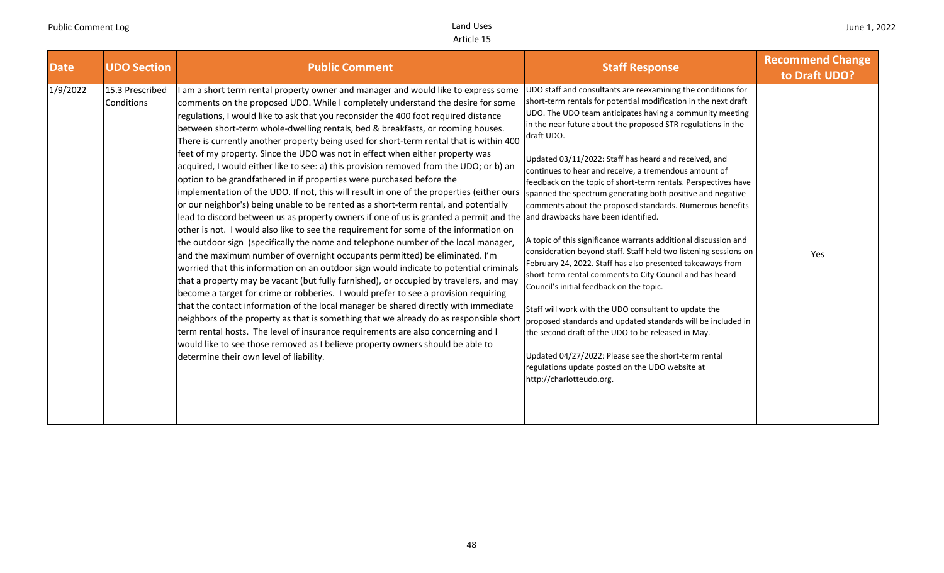| <b>Date</b> | <b>UDO Section</b>            | <b>Public Comment</b>                                                                                                                                                                                                                                                                                                                                                                                                                                                                                                                                                                                                                                                                                                                                                                                                                                                                                                                                                                                                                                                                                                                                                                                                                                                                                                                                                                                                                                                                                                                                                                                                                                                                                                                                                                                                                                                                                                                                        | <b>Staff Response</b>                                                                                                                                                                                                                                                                                                                                                                                                                                                                                                                                                                                                                                                                                                                                                                                                                                                                                                                                                                                                                                                                                                                                                                                                      | <b>Recommend Change</b><br>to Draft UDO? |
|-------------|-------------------------------|--------------------------------------------------------------------------------------------------------------------------------------------------------------------------------------------------------------------------------------------------------------------------------------------------------------------------------------------------------------------------------------------------------------------------------------------------------------------------------------------------------------------------------------------------------------------------------------------------------------------------------------------------------------------------------------------------------------------------------------------------------------------------------------------------------------------------------------------------------------------------------------------------------------------------------------------------------------------------------------------------------------------------------------------------------------------------------------------------------------------------------------------------------------------------------------------------------------------------------------------------------------------------------------------------------------------------------------------------------------------------------------------------------------------------------------------------------------------------------------------------------------------------------------------------------------------------------------------------------------------------------------------------------------------------------------------------------------------------------------------------------------------------------------------------------------------------------------------------------------------------------------------------------------------------------------------------------------|----------------------------------------------------------------------------------------------------------------------------------------------------------------------------------------------------------------------------------------------------------------------------------------------------------------------------------------------------------------------------------------------------------------------------------------------------------------------------------------------------------------------------------------------------------------------------------------------------------------------------------------------------------------------------------------------------------------------------------------------------------------------------------------------------------------------------------------------------------------------------------------------------------------------------------------------------------------------------------------------------------------------------------------------------------------------------------------------------------------------------------------------------------------------------------------------------------------------------|------------------------------------------|
| 1/9/2022    | 15.3 Prescribed<br>Conditions | I am a short term rental property owner and manager and would like to express some<br>comments on the proposed UDO. While I completely understand the desire for some<br>regulations, I would like to ask that you reconsider the 400 foot required distance<br>between short-term whole-dwelling rentals, bed & breakfasts, or rooming houses.<br>There is currently another property being used for short-term rental that is within 400<br>feet of my property. Since the UDO was not in effect when either property was<br>acquired, I would either like to see: a) this provision removed from the UDO; or b) an<br>option to be grandfathered in if properties were purchased before the<br>implementation of the UDO. If not, this will result in one of the properties (either ours<br>or our neighbor's) being unable to be rented as a short-term rental, and potentially<br>lead to discord between us as property owners if one of us is granted a permit and the and drawbacks have been identified.<br>other is not. I would also like to see the requirement for some of the information on<br>the outdoor sign (specifically the name and telephone number of the local manager,<br>and the maximum number of overnight occupants permitted) be eliminated. I'm<br>worried that this information on an outdoor sign would indicate to potential criminals<br>that a property may be vacant (but fully furnished), or occupied by travelers, and may<br>become a target for crime or robberies. I would prefer to see a provision requiring<br>that the contact information of the local manager be shared directly with immediate<br>neighbors of the property as that is something that we already do as responsible short<br>term rental hosts. The level of insurance requirements are also concerning and I<br>would like to see those removed as I believe property owners should be able to<br>determine their own level of liability. | UDO staff and consultants are reexamining the conditions for<br>short-term rentals for potential modification in the next draft<br>UDO. The UDO team anticipates having a community meeting<br>in the near future about the proposed STR regulations in the<br>draft UDO.<br>Updated 03/11/2022: Staff has heard and received, and<br>continues to hear and receive, a tremendous amount of<br>feedback on the topic of short-term rentals. Perspectives have<br>spanned the spectrum generating both positive and negative<br>comments about the proposed standards. Numerous benefits<br>A topic of this significance warrants additional discussion and<br>consideration beyond staff. Staff held two listening sessions on<br>February 24, 2022. Staff has also presented takeaways from<br>short-term rental comments to City Council and has heard<br>Council's initial feedback on the topic.<br>Staff will work with the UDO consultant to update the<br>proposed standards and updated standards will be included in<br>the second draft of the UDO to be released in May.<br>Updated 04/27/2022: Please see the short-term rental<br>regulations update posted on the UDO website at<br>http://charlotteudo.org. | Yes                                      |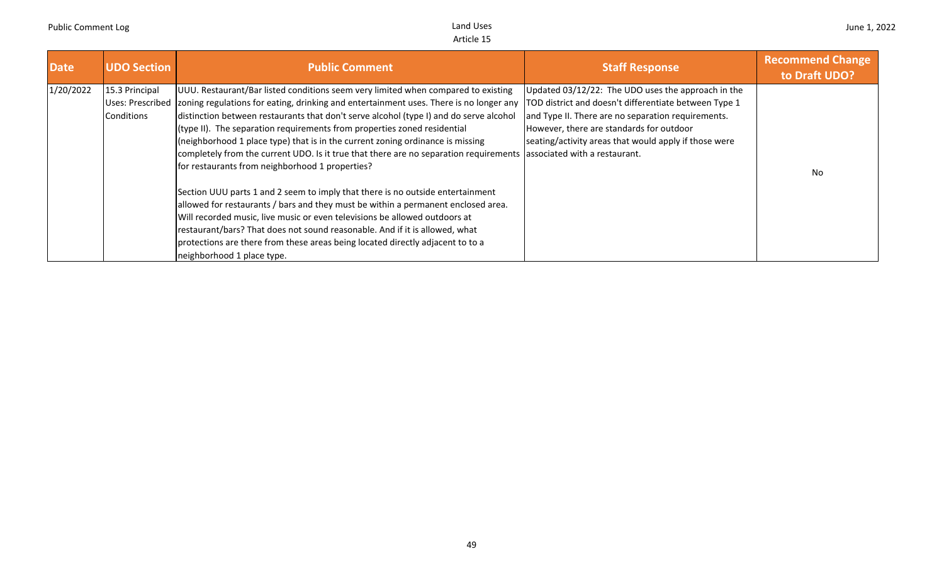| <b>Date</b> | <b>UDO Section</b>           | <b>Public Comment</b>                                                                                                                                                                                                                                                                                                                                                                                                                                                                                                                                                                                                                                                                                              | <b>Staff Response</b>                                                                                                                                                                                                                                                  | <b>Recommend Change</b><br>to Draft UDO? |
|-------------|------------------------------|--------------------------------------------------------------------------------------------------------------------------------------------------------------------------------------------------------------------------------------------------------------------------------------------------------------------------------------------------------------------------------------------------------------------------------------------------------------------------------------------------------------------------------------------------------------------------------------------------------------------------------------------------------------------------------------------------------------------|------------------------------------------------------------------------------------------------------------------------------------------------------------------------------------------------------------------------------------------------------------------------|------------------------------------------|
| 1/20/2022   | 15.3 Principal<br>Conditions | UUU. Restaurant/Bar listed conditions seem very limited when compared to existing<br>Uses: Prescribed   zoning regulations for eating, drinking and entertainment uses. There is no longer any<br>distinction between restaurants that don't serve alcohol (type I) and do serve alcohol<br>(type II). The separation requirements from properties zoned residential<br>(neighborhood 1 place type) that is in the current zoning ordinance is missing<br>completely from the current UDO. Is it true that there are no separation requirements associated with a restaurant.<br>for restaurants from neighborhood 1 properties?<br>Section UUU parts 1 and 2 seem to imply that there is no outside entertainment | Updated 03/12/22: The UDO uses the approach in the<br>TOD district and doesn't differentiate between Type 1<br>and Type II. There are no separation requirements.<br>However, there are standards for outdoor<br>seating/activity areas that would apply if those were | No                                       |
|             |                              | allowed for restaurants / bars and they must be within a permanent enclosed area.<br>Will recorded music, live music or even televisions be allowed outdoors at<br>restaurant/bars? That does not sound reasonable. And if it is allowed, what<br>protections are there from these areas being located directly adjacent to to a<br>neighborhood 1 place type.                                                                                                                                                                                                                                                                                                                                                     |                                                                                                                                                                                                                                                                        |                                          |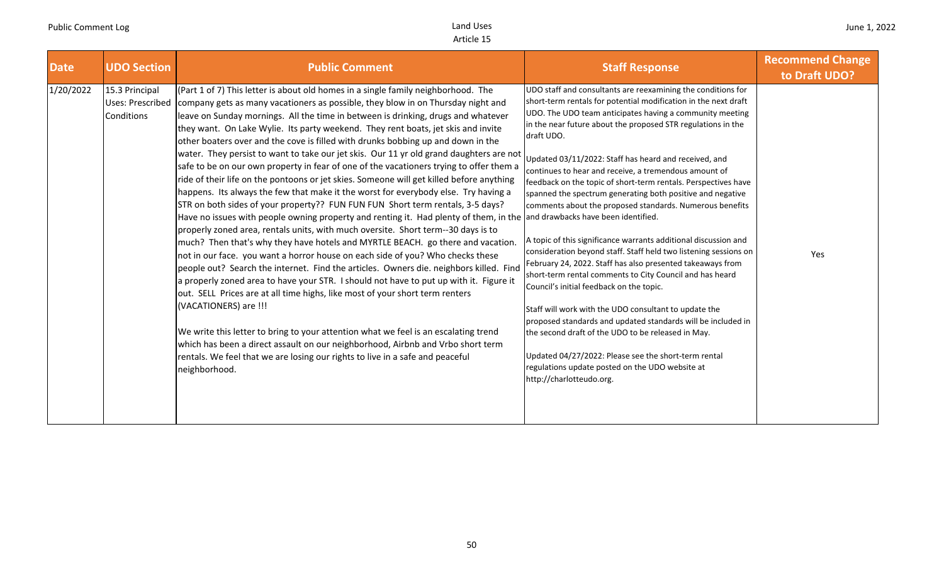| <b>Date</b> | <b>UDO Section</b>                               | <b>Public Comment</b>                                                                                                                                                                                                                                                                                                                                                                                                                                                                                                                                                                                                                                                                                                                                                                                                                                                                                                                                                                                                                                                                                                                                                                                                                                                                                                                                                                                                                                                                                                                                                                                                                                                                                                                                                                                                                                          | <b>Staff Response</b>                                                                                                                                                                                                                                                                                                                                                                                                                                                                                                                                                                                                                                                                                                                                                                                                                                                                                                                                                                                                                                                                                                                                                                                                      | <b>Recommend Change</b><br>to Draft UDO? |
|-------------|--------------------------------------------------|----------------------------------------------------------------------------------------------------------------------------------------------------------------------------------------------------------------------------------------------------------------------------------------------------------------------------------------------------------------------------------------------------------------------------------------------------------------------------------------------------------------------------------------------------------------------------------------------------------------------------------------------------------------------------------------------------------------------------------------------------------------------------------------------------------------------------------------------------------------------------------------------------------------------------------------------------------------------------------------------------------------------------------------------------------------------------------------------------------------------------------------------------------------------------------------------------------------------------------------------------------------------------------------------------------------------------------------------------------------------------------------------------------------------------------------------------------------------------------------------------------------------------------------------------------------------------------------------------------------------------------------------------------------------------------------------------------------------------------------------------------------------------------------------------------------------------------------------------------------|----------------------------------------------------------------------------------------------------------------------------------------------------------------------------------------------------------------------------------------------------------------------------------------------------------------------------------------------------------------------------------------------------------------------------------------------------------------------------------------------------------------------------------------------------------------------------------------------------------------------------------------------------------------------------------------------------------------------------------------------------------------------------------------------------------------------------------------------------------------------------------------------------------------------------------------------------------------------------------------------------------------------------------------------------------------------------------------------------------------------------------------------------------------------------------------------------------------------------|------------------------------------------|
| 1/20/2022   | 15.3 Principal<br>Uses: Prescribed<br>Conditions | (Part 1 of 7) This letter is about old homes in a single family neighborhood. The<br>company gets as many vacationers as possible, they blow in on Thursday night and<br>leave on Sunday mornings. All the time in between is drinking, drugs and whatever<br>they want. On Lake Wylie. Its party weekend. They rent boats, jet skis and invite<br>other boaters over and the cove is filled with drunks bobbing up and down in the<br>water. They persist to want to take our jet skis. Our 11 yr old grand daughters are not<br>safe to be on our own property in fear of one of the vacationers trying to offer them a<br>ride of their life on the pontoons or jet skies. Someone will get killed before anything<br>happens. Its always the few that make it the worst for everybody else. Try having a<br>STR on both sides of your property?? FUN FUN FUN Short term rentals, 3-5 days?<br>Have no issues with people owning property and renting it. Had plenty of them, in the and drawbacks have been identified.<br>properly zoned area, rentals units, with much oversite. Short term--30 days is to<br>much? Then that's why they have hotels and MYRTLE BEACH. go there and vacation.<br>not in our face. you want a horror house on each side of you? Who checks these<br>people out? Search the internet. Find the articles. Owners die. neighbors killed. Find<br>a properly zoned area to have your STR. I should not have to put up with it. Figure it<br>out. SELL Prices are at all time highs, like most of your short term renters<br>(VACATIONERS) are !!!<br>We write this letter to bring to your attention what we feel is an escalating trend<br>which has been a direct assault on our neighborhood, Airbnb and Vrbo short term<br>rentals. We feel that we are losing our rights to live in a safe and peaceful<br>neighborhood. | UDO staff and consultants are reexamining the conditions for<br>short-term rentals for potential modification in the next draft<br>UDO. The UDO team anticipates having a community meeting<br>in the near future about the proposed STR regulations in the<br>draft UDO.<br>Updated 03/11/2022: Staff has heard and received, and<br>continues to hear and receive, a tremendous amount of<br>feedback on the topic of short-term rentals. Perspectives have<br>spanned the spectrum generating both positive and negative<br>comments about the proposed standards. Numerous benefits<br>A topic of this significance warrants additional discussion and<br>consideration beyond staff. Staff held two listening sessions on<br>February 24, 2022. Staff has also presented takeaways from<br>short-term rental comments to City Council and has heard<br>Council's initial feedback on the topic.<br>Staff will work with the UDO consultant to update the<br>proposed standards and updated standards will be included in<br>the second draft of the UDO to be released in May.<br>Updated 04/27/2022: Please see the short-term rental<br>regulations update posted on the UDO website at<br>http://charlotteudo.org. | Yes                                      |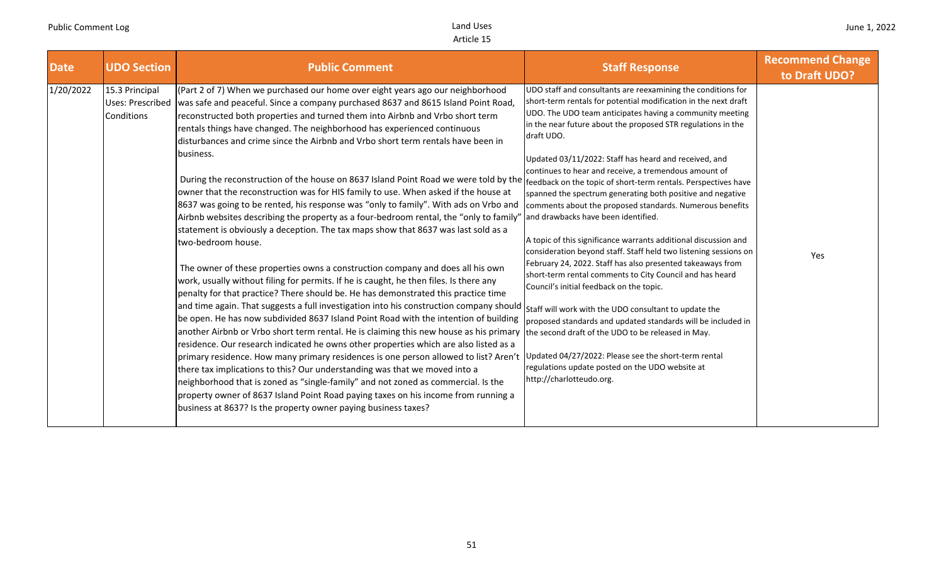| <b>Date</b> | <b>UDO Section</b>                               | <b>Public Comment</b>                                                                                                                                                                                                                                                                                                                                                                                                                                                                                                                                                                                                                                                                                                                                                                                                                                                                                                                                                                                                                                                                                                                                                                                                                                                                                                                                                                                                                                                                                                                                                                                                                                                                                                                                                                                                                                                                                                                                                                                                                    | <b>Staff Response</b>                                                                                                                                                                                                                                                                                                                                                                                                                                                                                                                                                                                                                                                                                                                                                                                                                                                                                                                                                                                                                                                                                                                                                                           | <b>Recommend Change</b><br>to Draft UDO? |
|-------------|--------------------------------------------------|------------------------------------------------------------------------------------------------------------------------------------------------------------------------------------------------------------------------------------------------------------------------------------------------------------------------------------------------------------------------------------------------------------------------------------------------------------------------------------------------------------------------------------------------------------------------------------------------------------------------------------------------------------------------------------------------------------------------------------------------------------------------------------------------------------------------------------------------------------------------------------------------------------------------------------------------------------------------------------------------------------------------------------------------------------------------------------------------------------------------------------------------------------------------------------------------------------------------------------------------------------------------------------------------------------------------------------------------------------------------------------------------------------------------------------------------------------------------------------------------------------------------------------------------------------------------------------------------------------------------------------------------------------------------------------------------------------------------------------------------------------------------------------------------------------------------------------------------------------------------------------------------------------------------------------------------------------------------------------------------------------------------------------------|-------------------------------------------------------------------------------------------------------------------------------------------------------------------------------------------------------------------------------------------------------------------------------------------------------------------------------------------------------------------------------------------------------------------------------------------------------------------------------------------------------------------------------------------------------------------------------------------------------------------------------------------------------------------------------------------------------------------------------------------------------------------------------------------------------------------------------------------------------------------------------------------------------------------------------------------------------------------------------------------------------------------------------------------------------------------------------------------------------------------------------------------------------------------------------------------------|------------------------------------------|
| 1/20/2022   | 15.3 Principal<br>Uses: Prescribed<br>Conditions | (Part 2 of 7) When we purchased our home over eight years ago our neighborhood<br>was safe and peaceful. Since a company purchased 8637 and 8615 Island Point Road,<br>reconstructed both properties and turned them into Airbnb and Vrbo short term<br>rentals things have changed. The neighborhood has experienced continuous<br>disturbances and crime since the Airbnb and Vrbo short term rentals have been in<br>business.<br>During the reconstruction of the house on 8637 Island Point Road we were told by the feedback on the topic of short-term rentals. Perspectives have<br>owner that the reconstruction was for HIS family to use. When asked if the house at<br>8637 was going to be rented, his response was "only to family". With ads on Vrbo and<br>Airbnb websites describing the property as a four-bedroom rental, the "only to family"<br>statement is obviously a deception. The tax maps show that 8637 was last sold as a<br>two-bedroom house.<br>The owner of these properties owns a construction company and does all his own<br>work, usually without filing for permits. If he is caught, he then files. Is there any<br>penalty for that practice? There should be. He has demonstrated this practice time<br>and time again. That suggests a full investigation into his construction company should<br>be open. He has now subdivided 8637 Island Point Road with the intention of building<br>another Airbnb or Vrbo short term rental. He is claiming this new house as his primary<br>residence. Our research indicated he owns other properties which are also listed as a<br>primary residence. How many primary residences is one person allowed to list? Aren't<br>there tax implications to this? Our understanding was that we moved into a<br>neighborhood that is zoned as "single-family" and not zoned as commercial. Is the<br>property owner of 8637 Island Point Road paying taxes on his income from running a<br>business at 8637? Is the property owner paying business taxes? | UDO staff and consultants are reexamining the conditions for<br>short-term rentals for potential modification in the next draft<br>UDO. The UDO team anticipates having a community meeting<br>in the near future about the proposed STR regulations in the<br>draft UDO.<br>Updated 03/11/2022: Staff has heard and received, and<br>continues to hear and receive, a tremendous amount of<br>spanned the spectrum generating both positive and negative<br>comments about the proposed standards. Numerous benefits<br>and drawbacks have been identified.<br>A topic of this significance warrants additional discussion and<br>consideration beyond staff. Staff held two listening sessions on<br>February 24, 2022. Staff has also presented takeaways from<br>short-term rental comments to City Council and has heard<br>Council's initial feedback on the topic.<br>Staff will work with the UDO consultant to update the<br>proposed standards and updated standards will be included in<br>the second draft of the UDO to be released in May.<br>Updated 04/27/2022: Please see the short-term rental<br>regulations update posted on the UDO website at<br>http://charlotteudo.org. | Yes                                      |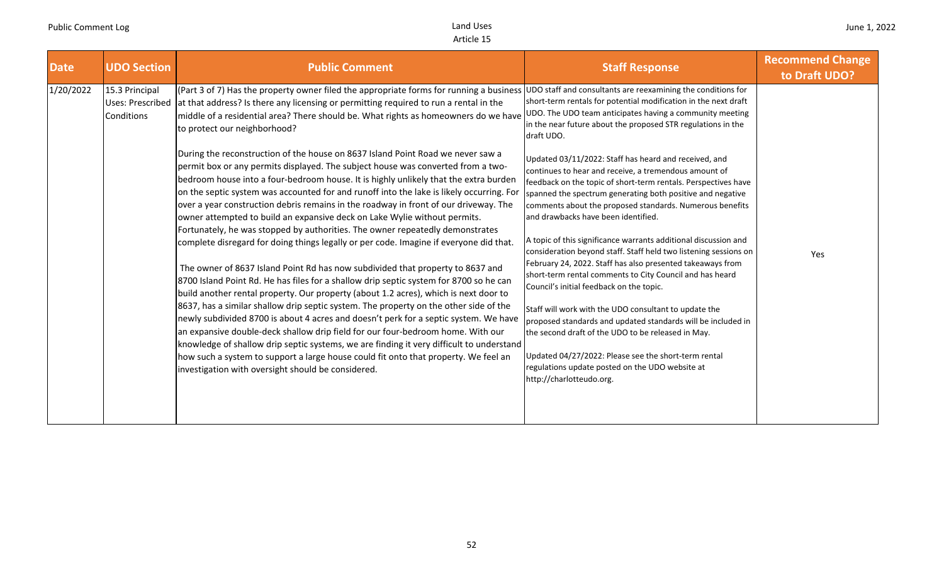|                          | <b>UDO Section</b>                                      | <b>Public Comment</b>                                                                                                                                                                                                                                                                                                                                                                                                                                                                                                                                                                                                                                                                                                                                                                                                                                                                                                                                                                                                                                                                                                                                                                                                                                                                                                                                                           | <b>Staff Response</b>                                                                                                                                                                                                                                                                                                                                                                                                                                                                                                                                                                                                                                                                                                                                                                                                                                                                                                                                                                                | <b>Recommend Change</b><br>to Draft UDO? |
|--------------------------|---------------------------------------------------------|---------------------------------------------------------------------------------------------------------------------------------------------------------------------------------------------------------------------------------------------------------------------------------------------------------------------------------------------------------------------------------------------------------------------------------------------------------------------------------------------------------------------------------------------------------------------------------------------------------------------------------------------------------------------------------------------------------------------------------------------------------------------------------------------------------------------------------------------------------------------------------------------------------------------------------------------------------------------------------------------------------------------------------------------------------------------------------------------------------------------------------------------------------------------------------------------------------------------------------------------------------------------------------------------------------------------------------------------------------------------------------|------------------------------------------------------------------------------------------------------------------------------------------------------------------------------------------------------------------------------------------------------------------------------------------------------------------------------------------------------------------------------------------------------------------------------------------------------------------------------------------------------------------------------------------------------------------------------------------------------------------------------------------------------------------------------------------------------------------------------------------------------------------------------------------------------------------------------------------------------------------------------------------------------------------------------------------------------------------------------------------------------|------------------------------------------|
| <b>Date</b><br>1/20/2022 | 15.3 Principal<br><b>Uses: Prescribed</b><br>Conditions | (Part 3 of 7) Has the property owner filed the appropriate forms for running a business<br>at that address? Is there any licensing or permitting required to run a rental in the<br>middle of a residential area? There should be. What rights as homeowners do we have<br>to protect our neighborhood?<br>During the reconstruction of the house on 8637 Island Point Road we never saw a<br>permit box or any permits displayed. The subject house was converted from a two-<br>bedroom house into a four-bedroom house. It is highly unlikely that the extra burden<br>on the septic system was accounted for and runoff into the lake is likely occurring. For<br>over a year construction debris remains in the roadway in front of our driveway. The<br>owner attempted to build an expansive deck on Lake Wylie without permits.<br>Fortunately, he was stopped by authorities. The owner repeatedly demonstrates<br>complete disregard for doing things legally or per code. Imagine if everyone did that.<br>The owner of 8637 Island Point Rd has now subdivided that property to 8637 and<br>8700 Island Point Rd. He has files for a shallow drip septic system for 8700 so he can<br>build another rental property. Our property (about 1.2 acres), which is next door to<br>8637, has a similar shallow drip septic system. The property on the other side of the | UDO staff and consultants are reexamining the conditions for<br>short-term rentals for potential modification in the next draft<br>UDO. The UDO team anticipates having a community meeting<br>in the near future about the proposed STR regulations in the<br>draft UDO.<br>Updated 03/11/2022: Staff has heard and received, and<br>continues to hear and receive, a tremendous amount of<br>feedback on the topic of short-term rentals. Perspectives have<br>spanned the spectrum generating both positive and negative<br>comments about the proposed standards. Numerous benefits<br>and drawbacks have been identified.<br>A topic of this significance warrants additional discussion and<br>consideration beyond staff. Staff held two listening sessions on<br>February 24, 2022. Staff has also presented takeaways from<br>short-term rental comments to City Council and has heard<br>Council's initial feedback on the topic.<br>Staff will work with the UDO consultant to update the | Yes                                      |
|                          |                                                         | newly subdivided 8700 is about 4 acres and doesn't perk for a septic system. We have<br>an expansive double-deck shallow drip field for our four-bedroom home. With our<br>knowledge of shallow drip septic systems, we are finding it very difficult to understand<br>how such a system to support a large house could fit onto that property. We feel an<br>investigation with oversight should be considered.                                                                                                                                                                                                                                                                                                                                                                                                                                                                                                                                                                                                                                                                                                                                                                                                                                                                                                                                                                | proposed standards and updated standards will be included in<br>the second draft of the UDO to be released in May.<br>Updated 04/27/2022: Please see the short-term rental<br>regulations update posted on the UDO website at<br>http://charlotteudo.org.                                                                                                                                                                                                                                                                                                                                                                                                                                                                                                                                                                                                                                                                                                                                            |                                          |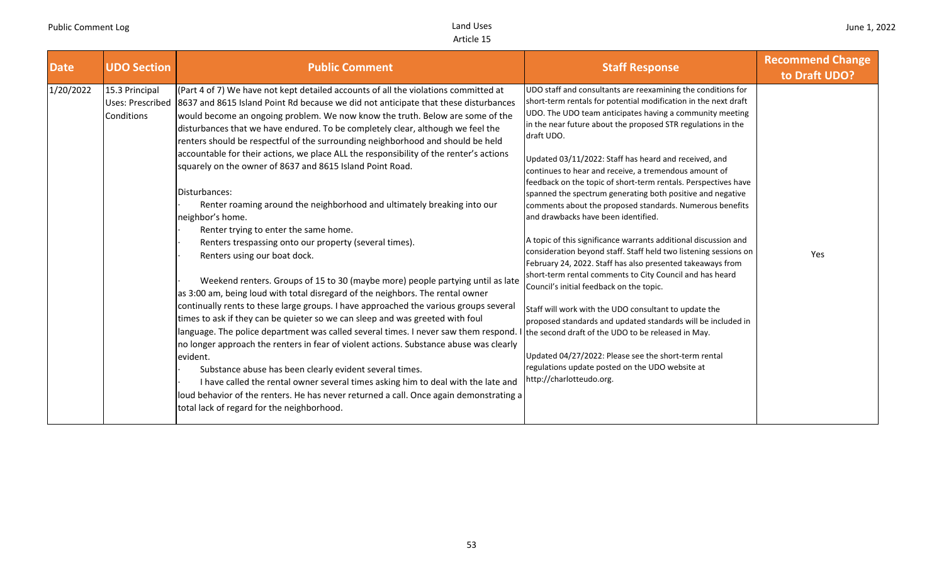| <b>Date</b> | <b>UDO Section</b>                                      | <b>Public Comment</b>                                                                                                                                                                                                                                                                                                                                                                                                                                                                                                                                                                                                                                                                                                                                                                                                                                                                                                                                                                                                                                                                                                                                                                                                                                                                                                                                                                                                                                                                                                                                                                                                                                                          | <b>Staff Response</b>                                                                                                                                                                                                                                                                                                                                                                                                                                                                                                                                                                                                                                                                                                                                                                                                                                                                                                                                                                                                                                                                                                                                                                                                                                             | <b>Recommend Change</b><br>to Draft UDO? |
|-------------|---------------------------------------------------------|--------------------------------------------------------------------------------------------------------------------------------------------------------------------------------------------------------------------------------------------------------------------------------------------------------------------------------------------------------------------------------------------------------------------------------------------------------------------------------------------------------------------------------------------------------------------------------------------------------------------------------------------------------------------------------------------------------------------------------------------------------------------------------------------------------------------------------------------------------------------------------------------------------------------------------------------------------------------------------------------------------------------------------------------------------------------------------------------------------------------------------------------------------------------------------------------------------------------------------------------------------------------------------------------------------------------------------------------------------------------------------------------------------------------------------------------------------------------------------------------------------------------------------------------------------------------------------------------------------------------------------------------------------------------------------|-------------------------------------------------------------------------------------------------------------------------------------------------------------------------------------------------------------------------------------------------------------------------------------------------------------------------------------------------------------------------------------------------------------------------------------------------------------------------------------------------------------------------------------------------------------------------------------------------------------------------------------------------------------------------------------------------------------------------------------------------------------------------------------------------------------------------------------------------------------------------------------------------------------------------------------------------------------------------------------------------------------------------------------------------------------------------------------------------------------------------------------------------------------------------------------------------------------------------------------------------------------------|------------------------------------------|
| 1/20/2022   | 15.3 Principal<br><b>Uses: Prescribed</b><br>Conditions | (Part 4 of 7) We have not kept detailed accounts of all the violations committed at<br>8637 and 8615 Island Point Rd because we did not anticipate that these disturbances<br>would become an ongoing problem. We now know the truth. Below are some of the<br>disturbances that we have endured. To be completely clear, although we feel the<br>renters should be respectful of the surrounding neighborhood and should be held<br>accountable for their actions, we place ALL the responsibility of the renter's actions<br>squarely on the owner of 8637 and 8615 Island Point Road.<br>Disturbances:<br>Renter roaming around the neighborhood and ultimately breaking into our<br>neighbor's home.<br>Renter trying to enter the same home.<br>Renters trespassing onto our property (several times).<br>Renters using our boat dock.<br>Weekend renters. Groups of 15 to 30 (maybe more) people partying until as late<br>as 3:00 am, being loud with total disregard of the neighbors. The rental owner<br>continually rents to these large groups. I have approached the various groups several<br>times to ask if they can be quieter so we can sleep and was greeted with foul<br>language. The police department was called several times. I never saw them respond.<br>no longer approach the renters in fear of violent actions. Substance abuse was clearly<br>evident.<br>Substance abuse has been clearly evident several times.<br>I have called the rental owner several times asking him to deal with the late and<br>loud behavior of the renters. He has never returned a call. Once again demonstrating a<br>total lack of regard for the neighborhood. | UDO staff and consultants are reexamining the conditions for<br>short-term rentals for potential modification in the next draft<br>UDO. The UDO team anticipates having a community meeting<br>in the near future about the proposed STR regulations in the<br>draft UDO.<br>Updated 03/11/2022: Staff has heard and received, and<br>continues to hear and receive, a tremendous amount of<br>feedback on the topic of short-term rentals. Perspectives have<br>spanned the spectrum generating both positive and negative<br>comments about the proposed standards. Numerous benefits<br>and drawbacks have been identified.<br>A topic of this significance warrants additional discussion and<br>consideration beyond staff. Staff held two listening sessions on<br>February 24, 2022. Staff has also presented takeaways from<br>short-term rental comments to City Council and has heard<br>Council's initial feedback on the topic.<br>Staff will work with the UDO consultant to update the<br>proposed standards and updated standards will be included in<br>the second draft of the UDO to be released in May.<br>Updated 04/27/2022: Please see the short-term rental<br>regulations update posted on the UDO website at<br>http://charlotteudo.org. | Yes                                      |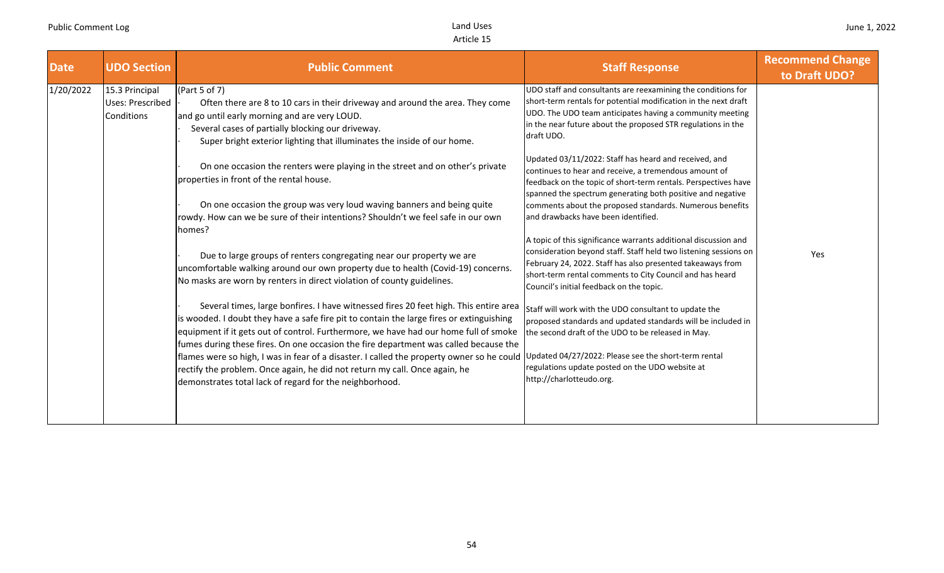| <b>Date</b> | <b>UDO Section</b>                                      | <b>Public Comment</b>                                                                                                                                                                                                                                                                                                                                                                                                                                                                                                                                                                                  | <b>Staff Response</b>                                                                                                                                                                                                                                                                                                                                                                                                                                                                    | <b>Recommend Change</b><br>to Draft UDO? |
|-------------|---------------------------------------------------------|--------------------------------------------------------------------------------------------------------------------------------------------------------------------------------------------------------------------------------------------------------------------------------------------------------------------------------------------------------------------------------------------------------------------------------------------------------------------------------------------------------------------------------------------------------------------------------------------------------|------------------------------------------------------------------------------------------------------------------------------------------------------------------------------------------------------------------------------------------------------------------------------------------------------------------------------------------------------------------------------------------------------------------------------------------------------------------------------------------|------------------------------------------|
| 1/20/2022   | 15.3 Principal<br><b>Uses: Prescribed</b><br>Conditions | (Part 5 of 7)<br>Often there are 8 to 10 cars in their driveway and around the area. They come<br>and go until early morning and are very LOUD.<br>Several cases of partially blocking our driveway.<br>Super bright exterior lighting that illuminates the inside of our home.                                                                                                                                                                                                                                                                                                                        | UDO staff and consultants are reexamining the conditions for<br>short-term rentals for potential modification in the next draft<br>UDO. The UDO team anticipates having a community meeting<br>in the near future about the proposed STR regulations in the<br>draft UDO.                                                                                                                                                                                                                |                                          |
|             |                                                         | On one occasion the renters were playing in the street and on other's private<br>properties in front of the rental house.<br>On one occasion the group was very loud waving banners and being quite<br>rowdy. How can we be sure of their intentions? Shouldn't we feel safe in our own<br>homes?                                                                                                                                                                                                                                                                                                      | Updated 03/11/2022: Staff has heard and received, and<br>continues to hear and receive, a tremendous amount of<br>feedback on the topic of short-term rentals. Perspectives have<br>spanned the spectrum generating both positive and negative<br>comments about the proposed standards. Numerous benefits<br>and drawbacks have been identified.<br>A topic of this significance warrants additional discussion and<br>consideration beyond staff. Staff held two listening sessions on | Yes                                      |
|             |                                                         | Due to large groups of renters congregating near our property we are<br>uncomfortable walking around our own property due to health (Covid-19) concerns.<br>No masks are worn by renters in direct violation of county guidelines.                                                                                                                                                                                                                                                                                                                                                                     | February 24, 2022. Staff has also presented takeaways from<br>short-term rental comments to City Council and has heard<br>Council's initial feedback on the topic.                                                                                                                                                                                                                                                                                                                       |                                          |
|             |                                                         | Several times, large bonfires. I have witnessed fires 20 feet high. This entire area<br>is wooded. I doubt they have a safe fire pit to contain the large fires or extinguishing<br>equipment if it gets out of control. Furthermore, we have had our home full of smoke<br>fumes during these fires. On one occasion the fire department was called because the<br>flames were so high, I was in fear of a disaster. I called the property owner so he could<br>rectify the problem. Once again, he did not return my call. Once again, he<br>demonstrates total lack of regard for the neighborhood. | Staff will work with the UDO consultant to update the<br>proposed standards and updated standards will be included in<br>the second draft of the UDO to be released in May.<br>Updated 04/27/2022: Please see the short-term rental<br>regulations update posted on the UDO website at<br>http://charlotteudo.org.                                                                                                                                                                       |                                          |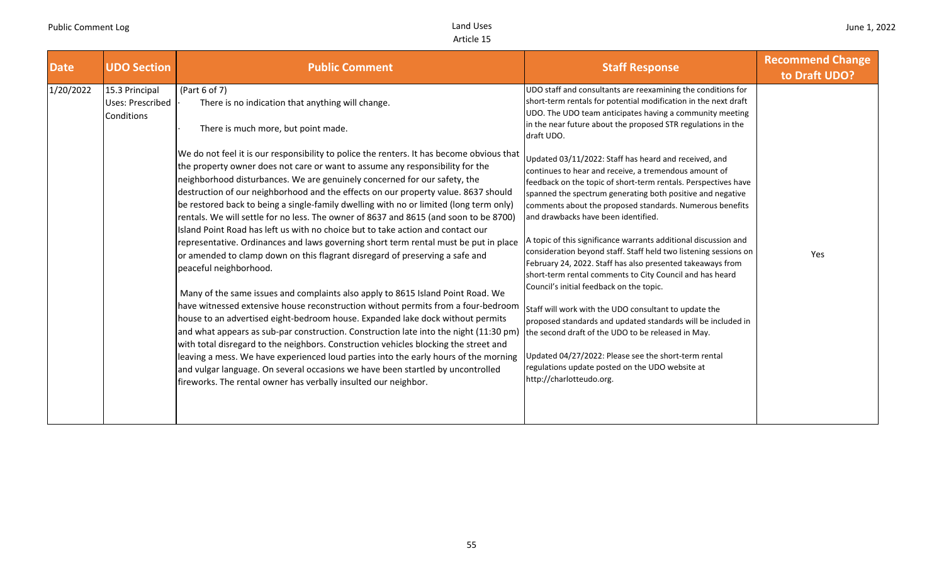| <b>Date</b> | <b>UDO Section</b>                                      | <b>Public Comment</b>                                                                                                                                                                                                                                                                                                                                                                                                                                                                                                                                                                                                                                                                                                                                                                                                                                                                                                                                                                                                                                                                                                                                                                                                                                                                                                                                                                                                                                                                                                                                                                                                      | <b>Staff Response</b>                                                                                                                                                                                                                                                                                                                                                                                                                                                                                                                                                                                                                                                                                                                                                                                                                                                                                                                                                                                                                                                                                                                                                                                                                                             | <b>Recommend Change</b><br>to Draft UDO? |
|-------------|---------------------------------------------------------|----------------------------------------------------------------------------------------------------------------------------------------------------------------------------------------------------------------------------------------------------------------------------------------------------------------------------------------------------------------------------------------------------------------------------------------------------------------------------------------------------------------------------------------------------------------------------------------------------------------------------------------------------------------------------------------------------------------------------------------------------------------------------------------------------------------------------------------------------------------------------------------------------------------------------------------------------------------------------------------------------------------------------------------------------------------------------------------------------------------------------------------------------------------------------------------------------------------------------------------------------------------------------------------------------------------------------------------------------------------------------------------------------------------------------------------------------------------------------------------------------------------------------------------------------------------------------------------------------------------------------|-------------------------------------------------------------------------------------------------------------------------------------------------------------------------------------------------------------------------------------------------------------------------------------------------------------------------------------------------------------------------------------------------------------------------------------------------------------------------------------------------------------------------------------------------------------------------------------------------------------------------------------------------------------------------------------------------------------------------------------------------------------------------------------------------------------------------------------------------------------------------------------------------------------------------------------------------------------------------------------------------------------------------------------------------------------------------------------------------------------------------------------------------------------------------------------------------------------------------------------------------------------------|------------------------------------------|
| 1/20/2022   | 15.3 Principal<br><b>Uses: Prescribed</b><br>Conditions | (Part 6 of 7)<br>There is no indication that anything will change.<br>There is much more, but point made.<br>We do not feel it is our responsibility to police the renters. It has become obvious that<br>the property owner does not care or want to assume any responsibility for the<br>neighborhood disturbances. We are genuinely concerned for our safety, the<br>destruction of our neighborhood and the effects on our property value. 8637 should<br>be restored back to being a single-family dwelling with no or limited (long term only)<br>rentals. We will settle for no less. The owner of 8637 and 8615 (and soon to be 8700)<br>Island Point Road has left us with no choice but to take action and contact our<br>representative. Ordinances and laws governing short term rental must be put in place<br>or amended to clamp down on this flagrant disregard of preserving a safe and<br>peaceful neighborhood.<br>Many of the same issues and complaints also apply to 8615 Island Point Road. We<br>have witnessed extensive house reconstruction without permits from a four-bedroom<br>house to an advertised eight-bedroom house. Expanded lake dock without permits<br>and what appears as sub-par construction. Construction late into the night (11:30 pm<br>with total disregard to the neighbors. Construction vehicles blocking the street and<br>leaving a mess. We have experienced loud parties into the early hours of the morning<br>and vulgar language. On several occasions we have been startled by uncontrolled<br>fireworks. The rental owner has verbally insulted our neighbor. | UDO staff and consultants are reexamining the conditions for<br>short-term rentals for potential modification in the next draft<br>UDO. The UDO team anticipates having a community meeting<br>in the near future about the proposed STR regulations in the<br>draft UDO.<br>Updated 03/11/2022: Staff has heard and received, and<br>continues to hear and receive, a tremendous amount of<br>feedback on the topic of short-term rentals. Perspectives have<br>spanned the spectrum generating both positive and negative<br>comments about the proposed standards. Numerous benefits<br>and drawbacks have been identified.<br>A topic of this significance warrants additional discussion and<br>consideration beyond staff. Staff held two listening sessions on<br>February 24, 2022. Staff has also presented takeaways from<br>short-term rental comments to City Council and has heard<br>Council's initial feedback on the topic.<br>Staff will work with the UDO consultant to update the<br>proposed standards and updated standards will be included in<br>the second draft of the UDO to be released in May.<br>Updated 04/27/2022: Please see the short-term rental<br>regulations update posted on the UDO website at<br>http://charlotteudo.org. | Yes                                      |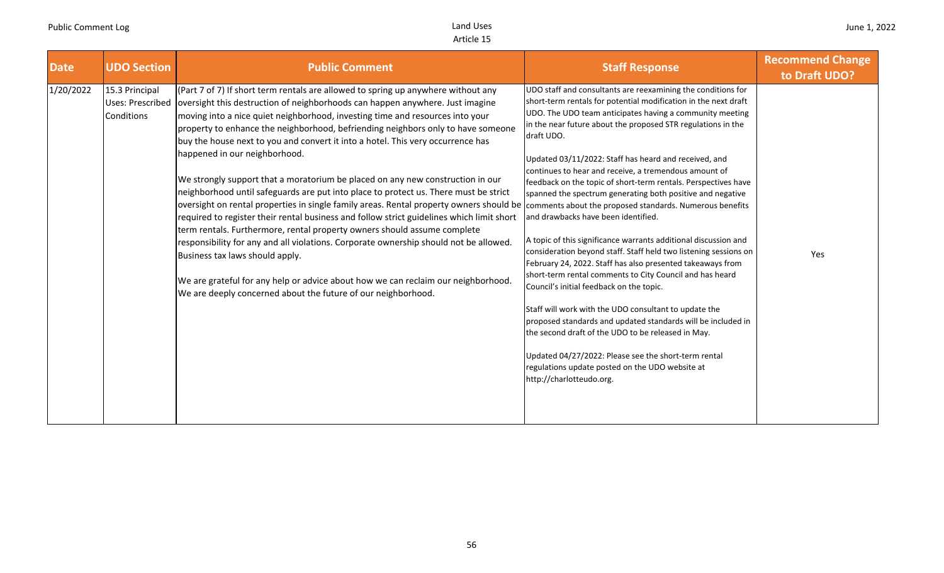| <b>Date</b> | <b>UDO Section</b>                               | <b>Public Comment</b>                                                                                                                                                                                                                                                                                                                                                                                                                                                                                                                                                                                                                                                                                                                                                                                                                                                                                                                                                                                                                                                                                                                                                                                                                                | <b>Staff Response</b>                                                                                                                                                                                                                                                                                                                                                                                                                                                                                                                                                                                                                                                                                                                                                                                                                                                                                                                                                                                                                                                                                                                                                                                 | <b>Recommend Change</b><br>to Draft UDO? |
|-------------|--------------------------------------------------|------------------------------------------------------------------------------------------------------------------------------------------------------------------------------------------------------------------------------------------------------------------------------------------------------------------------------------------------------------------------------------------------------------------------------------------------------------------------------------------------------------------------------------------------------------------------------------------------------------------------------------------------------------------------------------------------------------------------------------------------------------------------------------------------------------------------------------------------------------------------------------------------------------------------------------------------------------------------------------------------------------------------------------------------------------------------------------------------------------------------------------------------------------------------------------------------------------------------------------------------------|-------------------------------------------------------------------------------------------------------------------------------------------------------------------------------------------------------------------------------------------------------------------------------------------------------------------------------------------------------------------------------------------------------------------------------------------------------------------------------------------------------------------------------------------------------------------------------------------------------------------------------------------------------------------------------------------------------------------------------------------------------------------------------------------------------------------------------------------------------------------------------------------------------------------------------------------------------------------------------------------------------------------------------------------------------------------------------------------------------------------------------------------------------------------------------------------------------|------------------------------------------|
| 1/20/2022   | 15.3 Principal<br>Uses: Prescribed<br>Conditions | (Part 7 of 7) If short term rentals are allowed to spring up anywhere without any<br>oversight this destruction of neighborhoods can happen anywhere. Just imagine<br>moving into a nice quiet neighborhood, investing time and resources into your<br>property to enhance the neighborhood, befriending neighbors only to have someone<br>buy the house next to you and convert it into a hotel. This very occurrence has<br>happened in our neighborhood.<br>We strongly support that a moratorium be placed on any new construction in our<br>neighborhood until safeguards are put into place to protect us. There must be strict<br>oversight on rental properties in single family areas. Rental property owners should be comments about the proposed standards. Numerous benefits<br>required to register their rental business and follow strict guidelines which limit short<br>term rentals. Furthermore, rental property owners should assume complete<br>responsibility for any and all violations. Corporate ownership should not be allowed.<br>Business tax laws should apply.<br>We are grateful for any help or advice about how we can reclaim our neighborhood.<br>We are deeply concerned about the future of our neighborhood. | UDO staff and consultants are reexamining the conditions for<br>short-term rentals for potential modification in the next draft<br>UDO. The UDO team anticipates having a community meeting<br>in the near future about the proposed STR regulations in the<br>draft UDO.<br>Updated 03/11/2022: Staff has heard and received, and<br>continues to hear and receive, a tremendous amount of<br>feedback on the topic of short-term rentals. Perspectives have<br>spanned the spectrum generating both positive and negative<br>and drawbacks have been identified.<br>A topic of this significance warrants additional discussion and<br>consideration beyond staff. Staff held two listening sessions on<br>February 24, 2022. Staff has also presented takeaways from<br>short-term rental comments to City Council and has heard<br>Council's initial feedback on the topic.<br>Staff will work with the UDO consultant to update the<br>proposed standards and updated standards will be included in<br>the second draft of the UDO to be released in May.<br>Updated 04/27/2022: Please see the short-term rental<br>regulations update posted on the UDO website at<br>http://charlotteudo.org. | Yes                                      |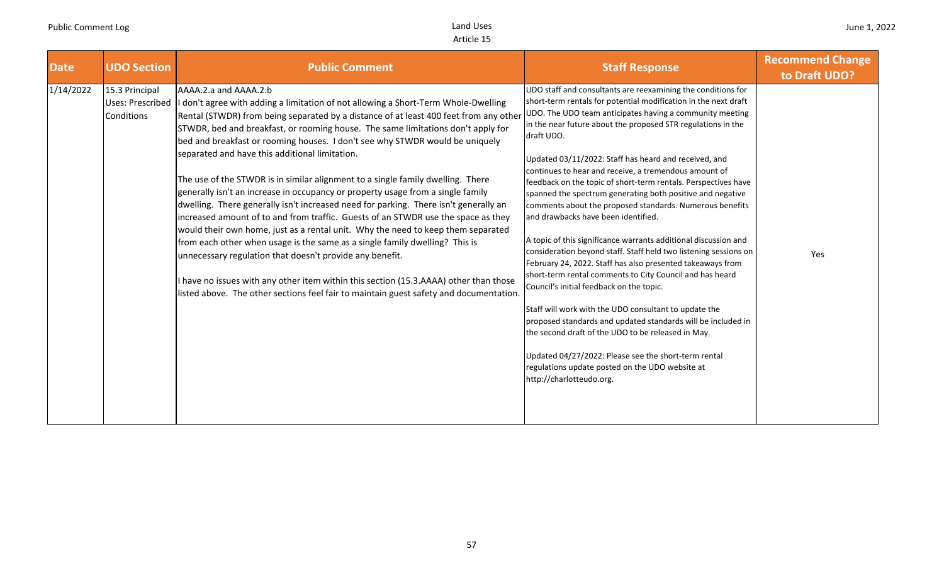| <b>Date</b> | <b>UDO Section</b>                                      | <b>Public Comment</b>                                                                                                                                                                                                                                                                                                                                                                                                                                                                                                                                                                                                                                                                                                                                                                                                                                                                                                                                                                                                                                                                                                                                                                           | <b>Staff Response</b>                                                                                                                                                                                                                                                                                                                                                                                                                                                                                                                                                                                                                                                                                                                                                                                                                                                                                                                                                                                                                                                                                                                                                                                                                                             | <b>Recommend Change</b><br>to Draft UDO? |
|-------------|---------------------------------------------------------|-------------------------------------------------------------------------------------------------------------------------------------------------------------------------------------------------------------------------------------------------------------------------------------------------------------------------------------------------------------------------------------------------------------------------------------------------------------------------------------------------------------------------------------------------------------------------------------------------------------------------------------------------------------------------------------------------------------------------------------------------------------------------------------------------------------------------------------------------------------------------------------------------------------------------------------------------------------------------------------------------------------------------------------------------------------------------------------------------------------------------------------------------------------------------------------------------|-------------------------------------------------------------------------------------------------------------------------------------------------------------------------------------------------------------------------------------------------------------------------------------------------------------------------------------------------------------------------------------------------------------------------------------------------------------------------------------------------------------------------------------------------------------------------------------------------------------------------------------------------------------------------------------------------------------------------------------------------------------------------------------------------------------------------------------------------------------------------------------------------------------------------------------------------------------------------------------------------------------------------------------------------------------------------------------------------------------------------------------------------------------------------------------------------------------------------------------------------------------------|------------------------------------------|
| 1/14/2022   | 15.3 Principal<br><b>Uses: Prescribed</b><br>Conditions | AAAA.2.a and AAAA.2.b<br>I don't agree with adding a limitation of not allowing a Short-Term Whole-Dwelling<br>Rental (STWDR) from being separated by a distance of at least 400 feet from any other<br>STWDR, bed and breakfast, or rooming house. The same limitations don't apply for<br>bed and breakfast or rooming houses. I don't see why STWDR would be uniquely<br>separated and have this additional limitation.<br>The use of the STWDR is in similar alignment to a single family dwelling. There<br>generally isn't an increase in occupancy or property usage from a single family<br>dwelling. There generally isn't increased need for parking. There isn't generally an<br>increased amount of to and from traffic. Guests of an STWDR use the space as they<br>would their own home, just as a rental unit. Why the need to keep them separated<br>from each other when usage is the same as a single family dwelling? This is<br>unnecessary regulation that doesn't provide any benefit.<br>I have no issues with any other item within this section (15.3.AAAA) other than those<br>listed above. The other sections feel fair to maintain guest safety and documentation. | UDO staff and consultants are reexamining the conditions for<br>short-term rentals for potential modification in the next draft<br>UDO. The UDO team anticipates having a community meeting<br>in the near future about the proposed STR regulations in the<br>draft UDO.<br>Updated 03/11/2022: Staff has heard and received, and<br>continues to hear and receive, a tremendous amount of<br>feedback on the topic of short-term rentals. Perspectives have<br>spanned the spectrum generating both positive and negative<br>comments about the proposed standards. Numerous benefits<br>and drawbacks have been identified.<br>A topic of this significance warrants additional discussion and<br>consideration beyond staff. Staff held two listening sessions on<br>February 24, 2022. Staff has also presented takeaways from<br>short-term rental comments to City Council and has heard<br>Council's initial feedback on the topic.<br>Staff will work with the UDO consultant to update the<br>proposed standards and updated standards will be included in<br>the second draft of the UDO to be released in May.<br>Updated 04/27/2022: Please see the short-term rental<br>regulations update posted on the UDO website at<br>http://charlotteudo.org. | Yes                                      |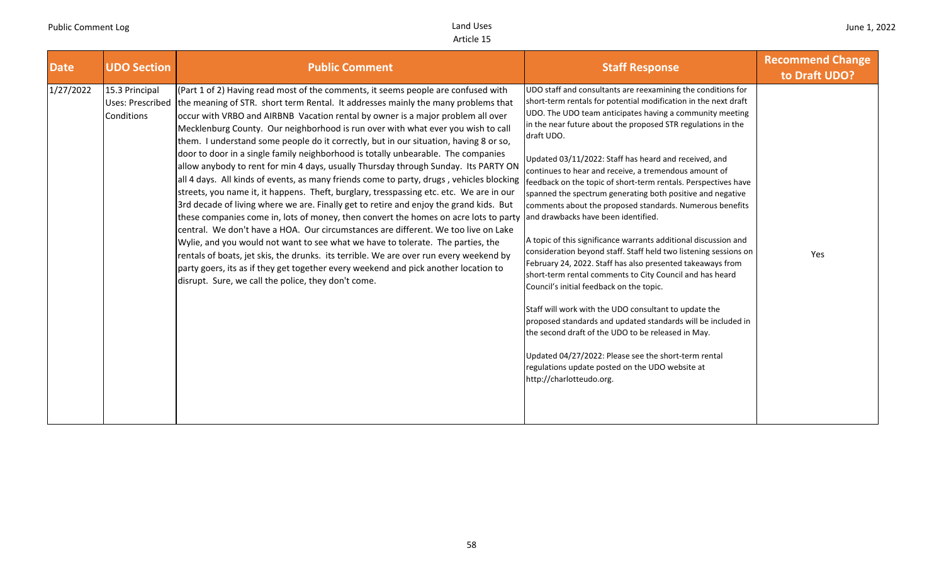| <b>Date</b> | <b>UDO Section</b>                                      | <b>Public Comment</b>                                                                                                                                                                                                                                                                                                                                                                                                                                                                                                                                                                                                                                                                                                                                                                                                                                                                                                                                                                                                                                                                                                                                                                                                                                                                                                                                                                                        | <b>Staff Response</b>                                                                                                                                                                                                                                                                                                                                                                                                                                                                                                                                                                                                                                                                                                                                                                                                                                                                                                                                                                                                                                                                                                                                                                                                                                             | <b>Recommend Change</b><br>to Draft UDO? |
|-------------|---------------------------------------------------------|--------------------------------------------------------------------------------------------------------------------------------------------------------------------------------------------------------------------------------------------------------------------------------------------------------------------------------------------------------------------------------------------------------------------------------------------------------------------------------------------------------------------------------------------------------------------------------------------------------------------------------------------------------------------------------------------------------------------------------------------------------------------------------------------------------------------------------------------------------------------------------------------------------------------------------------------------------------------------------------------------------------------------------------------------------------------------------------------------------------------------------------------------------------------------------------------------------------------------------------------------------------------------------------------------------------------------------------------------------------------------------------------------------------|-------------------------------------------------------------------------------------------------------------------------------------------------------------------------------------------------------------------------------------------------------------------------------------------------------------------------------------------------------------------------------------------------------------------------------------------------------------------------------------------------------------------------------------------------------------------------------------------------------------------------------------------------------------------------------------------------------------------------------------------------------------------------------------------------------------------------------------------------------------------------------------------------------------------------------------------------------------------------------------------------------------------------------------------------------------------------------------------------------------------------------------------------------------------------------------------------------------------------------------------------------------------|------------------------------------------|
| 1/27/2022   | 15.3 Principal<br><b>Uses: Prescribed</b><br>Conditions | (Part 1 of 2) Having read most of the comments, it seems people are confused with<br>the meaning of STR. short term Rental. It addresses mainly the many problems that<br>occur with VRBO and AIRBNB Vacation rental by owner is a major problem all over<br>Mecklenburg County. Our neighborhood is run over with what ever you wish to call<br>them. I understand some people do it correctly, but in our situation, having 8 or so,<br>door to door in a single family neighborhood is totally unbearable. The companies<br>allow anybody to rent for min 4 days, usually Thursday through Sunday. Its PARTY ON<br>all 4 days. All kinds of events, as many friends come to party, drugs, vehicles blocking<br>streets, you name it, it happens. Theft, burglary, tresspassing etc. etc. We are in our<br>3rd decade of living where we are. Finally get to retire and enjoy the grand kids. But<br>these companies come in, lots of money, then convert the homes on acre lots to party<br>central. We don't have a HOA. Our circumstances are different. We too live on Lake<br>Wylie, and you would not want to see what we have to tolerate. The parties, the<br>rentals of boats, jet skis, the drunks. its terrible. We are over run every weekend by<br>party goers, its as if they get together every weekend and pick another location to<br>disrupt. Sure, we call the police, they don't come. | UDO staff and consultants are reexamining the conditions for<br>short-term rentals for potential modification in the next draft<br>UDO. The UDO team anticipates having a community meeting<br>in the near future about the proposed STR regulations in the<br>draft UDO.<br>Updated 03/11/2022: Staff has heard and received, and<br>continues to hear and receive, a tremendous amount of<br>feedback on the topic of short-term rentals. Perspectives have<br>spanned the spectrum generating both positive and negative<br>comments about the proposed standards. Numerous benefits<br>and drawbacks have been identified.<br>A topic of this significance warrants additional discussion and<br>consideration beyond staff. Staff held two listening sessions on<br>February 24, 2022. Staff has also presented takeaways from<br>short-term rental comments to City Council and has heard<br>Council's initial feedback on the topic.<br>Staff will work with the UDO consultant to update the<br>proposed standards and updated standards will be included in<br>the second draft of the UDO to be released in May.<br>Updated 04/27/2022: Please see the short-term rental<br>regulations update posted on the UDO website at<br>http://charlotteudo.org. | Yes                                      |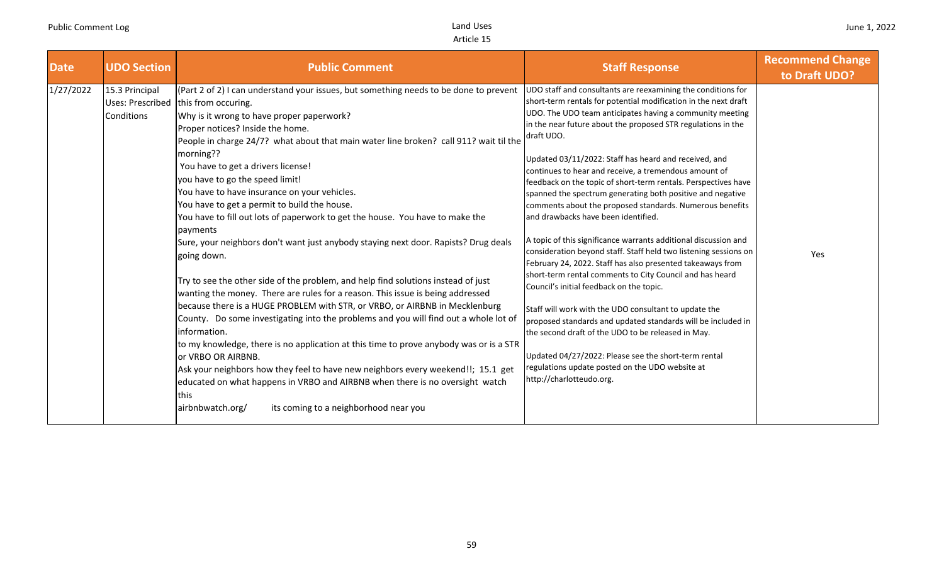| <b>Date</b> | <b>UDO Section</b>           | <b>Public Comment</b>                                                                                                                                                                                                                                                                                                                                                                                                                                                                                                                                                                                                                                                                                                                                                                                                                                                                                                                                                                                                                                                                                                                                                                                                                                                                                                                                                                                                           | <b>Staff Response</b>                                                                                                                                                                                                                                                                                                                                                                                                                                                                                                                                                                                                                                                                                                                                                                                                                                                                                                                                                                                                                                                                                                                                                                                                                                             | <b>Recommend Change</b><br>to Draft UDO? |
|-------------|------------------------------|---------------------------------------------------------------------------------------------------------------------------------------------------------------------------------------------------------------------------------------------------------------------------------------------------------------------------------------------------------------------------------------------------------------------------------------------------------------------------------------------------------------------------------------------------------------------------------------------------------------------------------------------------------------------------------------------------------------------------------------------------------------------------------------------------------------------------------------------------------------------------------------------------------------------------------------------------------------------------------------------------------------------------------------------------------------------------------------------------------------------------------------------------------------------------------------------------------------------------------------------------------------------------------------------------------------------------------------------------------------------------------------------------------------------------------|-------------------------------------------------------------------------------------------------------------------------------------------------------------------------------------------------------------------------------------------------------------------------------------------------------------------------------------------------------------------------------------------------------------------------------------------------------------------------------------------------------------------------------------------------------------------------------------------------------------------------------------------------------------------------------------------------------------------------------------------------------------------------------------------------------------------------------------------------------------------------------------------------------------------------------------------------------------------------------------------------------------------------------------------------------------------------------------------------------------------------------------------------------------------------------------------------------------------------------------------------------------------|------------------------------------------|
| 1/27/2022   | 15.3 Principal<br>Conditions | (Part 2 of 2) I can understand your issues, but something needs to be done to prevent<br>Uses: Prescribed this from occuring.<br>Why is it wrong to have proper paperwork?<br>Proper notices? Inside the home.<br>People in charge 24/7? what about that main water line broken? call 911? wait til the<br>morning??<br>You have to get a drivers license!<br>you have to go the speed limit!<br>You have to have insurance on your vehicles.<br>You have to get a permit to build the house.<br>You have to fill out lots of paperwork to get the house. You have to make the<br>payments<br>Sure, your neighbors don't want just anybody staying next door. Rapists? Drug deals<br>going down.<br>Try to see the other side of the problem, and help find solutions instead of just<br>wanting the money. There are rules for a reason. This issue is being addressed<br>because there is a HUGE PROBLEM with STR, or VRBO, or AIRBNB in Mecklenburg<br>County. Do some investigating into the problems and you will find out a whole lot of<br>information.<br>to my knowledge, there is no application at this time to prove anybody was or is a STR<br>or VRBO OR AIRBNB.<br>Ask your neighbors how they feel to have new neighbors every weekend!!; 15.1 get<br>educated on what happens in VRBO and AIRBNB when there is no oversight watch<br><b>Ithis</b><br>airbnbwatch.org/<br>its coming to a neighborhood near you | UDO staff and consultants are reexamining the conditions for<br>short-term rentals for potential modification in the next draft<br>UDO. The UDO team anticipates having a community meeting<br>in the near future about the proposed STR regulations in the<br>draft UDO.<br>Updated 03/11/2022: Staff has heard and received, and<br>continues to hear and receive, a tremendous amount of<br>feedback on the topic of short-term rentals. Perspectives have<br>spanned the spectrum generating both positive and negative<br>comments about the proposed standards. Numerous benefits<br>and drawbacks have been identified.<br>A topic of this significance warrants additional discussion and<br>consideration beyond staff. Staff held two listening sessions on<br>February 24, 2022. Staff has also presented takeaways from<br>short-term rental comments to City Council and has heard<br>Council's initial feedback on the topic.<br>Staff will work with the UDO consultant to update the<br>proposed standards and updated standards will be included in<br>the second draft of the UDO to be released in May.<br>Updated 04/27/2022: Please see the short-term rental<br>regulations update posted on the UDO website at<br>http://charlotteudo.org. | Yes                                      |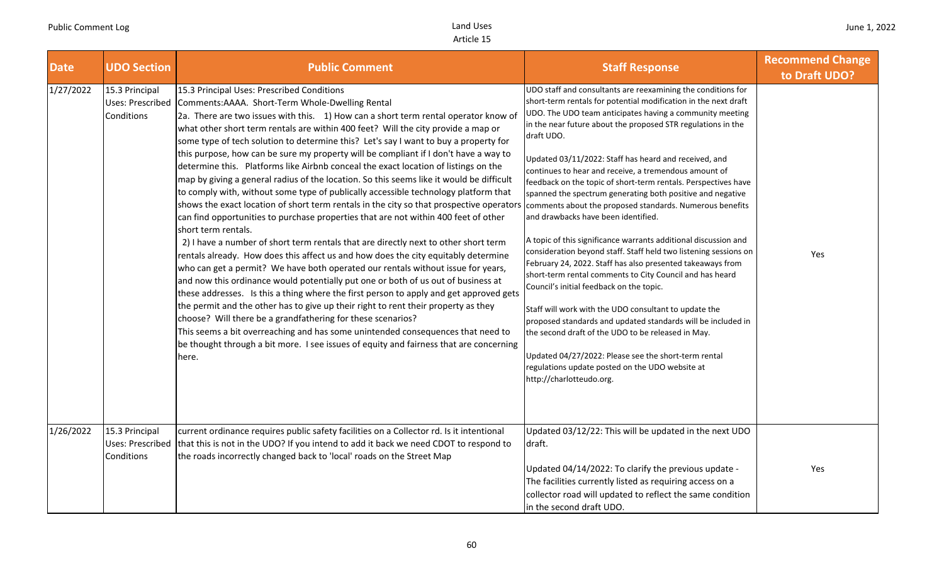| <b>Date</b> | <b>UDO Section</b>                                      | <b>Public Comment</b>                                                                                                                                                                                                                                                                                                                                                                                                                                                                                                                                                                                                                                                                                                                                                                                                                                                                                                                                                                                                                                                                                                                                                                                                                                                                                                                                                                                                                                                                                                                                                                                                                                                                                                                    | <b>Staff Response</b>                                                                                                                                                                                                                                                                                                                                                                                                                                                                                                                                                                                                                                                                                                                                                                                                                                                                                                                                                                                                                                                                                                                                                                                                                                             | <b>Recommend Change</b><br>to Draft UDO? |
|-------------|---------------------------------------------------------|------------------------------------------------------------------------------------------------------------------------------------------------------------------------------------------------------------------------------------------------------------------------------------------------------------------------------------------------------------------------------------------------------------------------------------------------------------------------------------------------------------------------------------------------------------------------------------------------------------------------------------------------------------------------------------------------------------------------------------------------------------------------------------------------------------------------------------------------------------------------------------------------------------------------------------------------------------------------------------------------------------------------------------------------------------------------------------------------------------------------------------------------------------------------------------------------------------------------------------------------------------------------------------------------------------------------------------------------------------------------------------------------------------------------------------------------------------------------------------------------------------------------------------------------------------------------------------------------------------------------------------------------------------------------------------------------------------------------------------------|-------------------------------------------------------------------------------------------------------------------------------------------------------------------------------------------------------------------------------------------------------------------------------------------------------------------------------------------------------------------------------------------------------------------------------------------------------------------------------------------------------------------------------------------------------------------------------------------------------------------------------------------------------------------------------------------------------------------------------------------------------------------------------------------------------------------------------------------------------------------------------------------------------------------------------------------------------------------------------------------------------------------------------------------------------------------------------------------------------------------------------------------------------------------------------------------------------------------------------------------------------------------|------------------------------------------|
| 1/27/2022   | 15.3 Principal<br>Uses: Prescribed<br>Conditions        | 15.3 Principal Uses: Prescribed Conditions<br>Comments:AAAA. Short-Term Whole-Dwelling Rental<br>2a. There are two issues with this. 1) How can a short term rental operator know of<br>what other short term rentals are within 400 feet? Will the city provide a map or<br>some type of tech solution to determine this? Let's say I want to buy a property for<br>this purpose, how can be sure my property will be compliant if I don't have a way to<br>determine this. Platforms like Airbnb conceal the exact location of listings on the<br>map by giving a general radius of the location. So this seems like it would be difficult<br>to comply with, without some type of publically accessible technology platform that<br>shows the exact location of short term rentals in the city so that prospective operator.<br>can find opportunities to purchase properties that are not within 400 feet of other<br>short term rentals.<br>2) I have a number of short term rentals that are directly next to other short term<br>rentals already. How does this affect us and how does the city equitably determine<br>who can get a permit? We have both operated our rentals without issue for years,<br>and now this ordinance would potentially put one or both of us out of business at<br>these addresses. Is this a thing where the first person to apply and get approved gets<br>the permit and the other has to give up their right to rent their property as they<br>choose? Will there be a grandfathering for these scenarios?<br>This seems a bit overreaching and has some unintended consequences that need to<br>be thought through a bit more. I see issues of equity and fairness that are concerning<br>here. | UDO staff and consultants are reexamining the conditions for<br>short-term rentals for potential modification in the next draft<br>UDO. The UDO team anticipates having a community meeting<br>in the near future about the proposed STR regulations in the<br>draft UDO.<br>Updated 03/11/2022: Staff has heard and received, and<br>continues to hear and receive, a tremendous amount of<br>feedback on the topic of short-term rentals. Perspectives have<br>spanned the spectrum generating both positive and negative<br>comments about the proposed standards. Numerous benefits<br>and drawbacks have been identified.<br>A topic of this significance warrants additional discussion and<br>consideration beyond staff. Staff held two listening sessions on<br>February 24, 2022. Staff has also presented takeaways from<br>short-term rental comments to City Council and has heard<br>Council's initial feedback on the topic.<br>Staff will work with the UDO consultant to update the<br>proposed standards and updated standards will be included in<br>the second draft of the UDO to be released in May.<br>Updated 04/27/2022: Please see the short-term rental<br>regulations update posted on the UDO website at<br>http://charlotteudo.org. | Yes                                      |
| 1/26/2022   | 15.3 Principal<br><b>Uses: Prescribed</b><br>Conditions | current ordinance requires public safety facilities on a Collector rd. Is it intentional<br>that this is not in the UDO? If you intend to add it back we need CDOT to respond to<br>the roads incorrectly changed back to 'local' roads on the Street Map                                                                                                                                                                                                                                                                                                                                                                                                                                                                                                                                                                                                                                                                                                                                                                                                                                                                                                                                                                                                                                                                                                                                                                                                                                                                                                                                                                                                                                                                                | Updated 03/12/22: This will be updated in the next UDO<br>draft.<br>Updated 04/14/2022: To clarify the previous update -<br>The facilities currently listed as requiring access on a<br>collector road will updated to reflect the same condition<br>in the second draft UDO.                                                                                                                                                                                                                                                                                                                                                                                                                                                                                                                                                                                                                                                                                                                                                                                                                                                                                                                                                                                     | Yes                                      |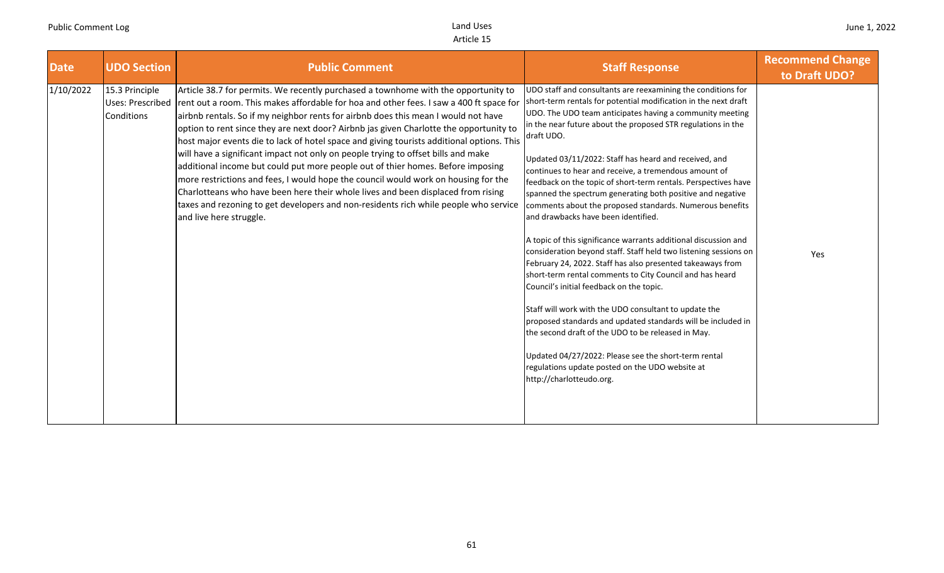| <b>Date</b> | <b>UDO Section</b>                                      | <b>Public Comment</b>                                                                                                                                                                                                                                                                                                                                                                                                                                                                                                                                                                                                                                                                                                                                                                                                                                                                                                           | <b>Staff Response</b>                                                                                                                                                                                                                                                                                                                                                                                                                                                                                                                                                                                                                                                                                                                                                                                                                                                                                                                                                                                                                                                                                                                                                                                                                                             | <b>Recommend Change</b><br>to Draft UDO? |
|-------------|---------------------------------------------------------|---------------------------------------------------------------------------------------------------------------------------------------------------------------------------------------------------------------------------------------------------------------------------------------------------------------------------------------------------------------------------------------------------------------------------------------------------------------------------------------------------------------------------------------------------------------------------------------------------------------------------------------------------------------------------------------------------------------------------------------------------------------------------------------------------------------------------------------------------------------------------------------------------------------------------------|-------------------------------------------------------------------------------------------------------------------------------------------------------------------------------------------------------------------------------------------------------------------------------------------------------------------------------------------------------------------------------------------------------------------------------------------------------------------------------------------------------------------------------------------------------------------------------------------------------------------------------------------------------------------------------------------------------------------------------------------------------------------------------------------------------------------------------------------------------------------------------------------------------------------------------------------------------------------------------------------------------------------------------------------------------------------------------------------------------------------------------------------------------------------------------------------------------------------------------------------------------------------|------------------------------------------|
| 1/10/2022   | 15.3 Principle<br><b>Uses: Prescribed</b><br>Conditions | Article 38.7 for permits. We recently purchased a townhome with the opportunity to<br>rent out a room. This makes affordable for hoa and other fees. I saw a 400 ft space for<br>airbnb rentals. So if my neighbor rents for airbnb does this mean I would not have<br>option to rent since they are next door? Airbnb jas given Charlotte the opportunity to<br>host major events die to lack of hotel space and giving tourists additional options. This<br>will have a significant impact not only on people trying to offset bills and make<br>additional income but could put more people out of thier homes. Before imposing<br>more restrictions and fees, I would hope the council would work on housing for the<br>Charlotteans who have been here their whole lives and been displaced from rising<br>taxes and rezoning to get developers and non-residents rich while people who service<br>and live here struggle. | UDO staff and consultants are reexamining the conditions for<br>short-term rentals for potential modification in the next draft<br>UDO. The UDO team anticipates having a community meeting<br>in the near future about the proposed STR regulations in the<br>draft UDO.<br>Updated 03/11/2022: Staff has heard and received, and<br>continues to hear and receive, a tremendous amount of<br>feedback on the topic of short-term rentals. Perspectives have<br>spanned the spectrum generating both positive and negative<br>comments about the proposed standards. Numerous benefits<br>and drawbacks have been identified.<br>A topic of this significance warrants additional discussion and<br>consideration beyond staff. Staff held two listening sessions on<br>February 24, 2022. Staff has also presented takeaways from<br>short-term rental comments to City Council and has heard<br>Council's initial feedback on the topic.<br>Staff will work with the UDO consultant to update the<br>proposed standards and updated standards will be included in<br>the second draft of the UDO to be released in May.<br>Updated 04/27/2022: Please see the short-term rental<br>regulations update posted on the UDO website at<br>http://charlotteudo.org. | Yes                                      |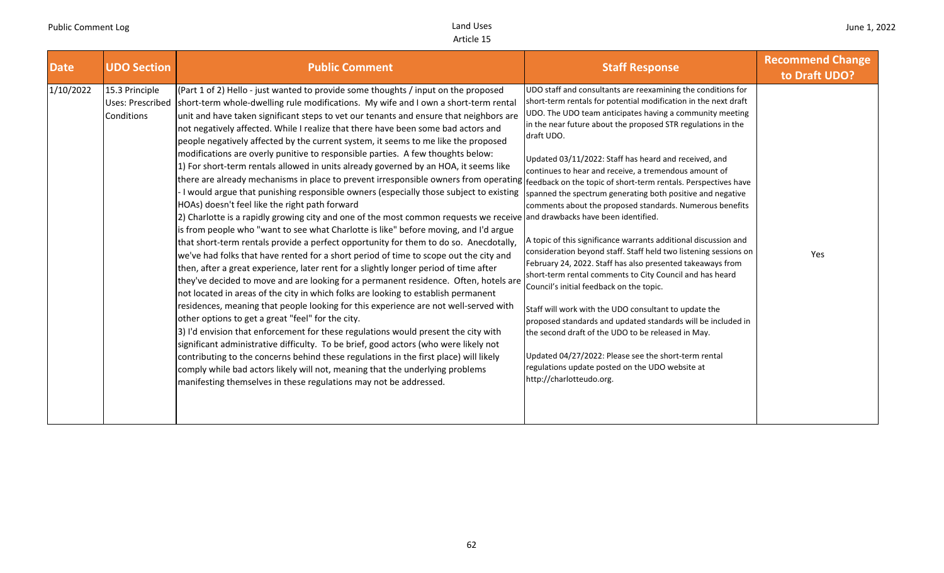| <b>Date</b> | <b>UDO Section</b>                               | <b>Public Comment</b>                                                                                                                                                                                                                                                                                                                                                                                                                                                                                                                                                                                                                                                                                                                                                                                                                                                                                                                                                                                                                                                                                                                                                                                                                                                                                                                                                                                                                                                                                                                                                                                                                                                                                                                                                                                                                                                                                                                                                                                                                                                                                                                                                                             | <b>Staff Response</b>                                                                                                                                                                                                                                                                                                                                                                                                                                                                                                                                                                                                                                                                                                                                                                                                                                                                                                                                                                                                                                                                                                                                    | <b>Recommend Change</b><br>to Draft UDO? |
|-------------|--------------------------------------------------|---------------------------------------------------------------------------------------------------------------------------------------------------------------------------------------------------------------------------------------------------------------------------------------------------------------------------------------------------------------------------------------------------------------------------------------------------------------------------------------------------------------------------------------------------------------------------------------------------------------------------------------------------------------------------------------------------------------------------------------------------------------------------------------------------------------------------------------------------------------------------------------------------------------------------------------------------------------------------------------------------------------------------------------------------------------------------------------------------------------------------------------------------------------------------------------------------------------------------------------------------------------------------------------------------------------------------------------------------------------------------------------------------------------------------------------------------------------------------------------------------------------------------------------------------------------------------------------------------------------------------------------------------------------------------------------------------------------------------------------------------------------------------------------------------------------------------------------------------------------------------------------------------------------------------------------------------------------------------------------------------------------------------------------------------------------------------------------------------------------------------------------------------------------------------------------------------|----------------------------------------------------------------------------------------------------------------------------------------------------------------------------------------------------------------------------------------------------------------------------------------------------------------------------------------------------------------------------------------------------------------------------------------------------------------------------------------------------------------------------------------------------------------------------------------------------------------------------------------------------------------------------------------------------------------------------------------------------------------------------------------------------------------------------------------------------------------------------------------------------------------------------------------------------------------------------------------------------------------------------------------------------------------------------------------------------------------------------------------------------------|------------------------------------------|
| 1/10/2022   | 15.3 Principle<br>Uses: Prescribed<br>Conditions | (Part 1 of 2) Hello - just wanted to provide some thoughts / input on the proposed<br>short-term whole-dwelling rule modifications. My wife and I own a short-term rental<br>unit and have taken significant steps to vet our tenants and ensure that neighbors are<br>not negatively affected. While I realize that there have been some bad actors and<br>people negatively affected by the current system, it seems to me like the proposed<br>modifications are overly punitive to responsible parties. A few thoughts below:<br>1) For short-term rentals allowed in units already governed by an HOA, it seems like<br>there are already mechanisms in place to prevent irresponsible owners from operating f <sub>feedback</sub> on the topic of short-term rentals. Perspectives have<br>I would argue that punishing responsible owners (especially those subject to existing<br>HOAs) doesn't feel like the right path forward<br>[2] Charlotte is a rapidly growing city and one of the most common requests we receive and drawbacks have been identified.<br>is from people who "want to see what Charlotte is like" before moving, and I'd argue<br>that short-term rentals provide a perfect opportunity for them to do so. Anecdotally,<br>we've had folks that have rented for a short period of time to scope out the city and<br>then, after a great experience, later rent for a slightly longer period of time after<br>they've decided to move and are looking for a permanent residence. Often, hotels are<br>not located in areas of the city in which folks are looking to establish permanent<br>residences, meaning that people looking for this experience are not well-served with<br>other options to get a great "feel" for the city.<br>3) I'd envision that enforcement for these regulations would present the city with<br>significant administrative difficulty. To be brief, good actors (who were likely not<br>contributing to the concerns behind these regulations in the first place) will likely<br>comply while bad actors likely will not, meaning that the underlying problems<br>manifesting themselves in these regulations may not be addressed. | UDO staff and consultants are reexamining the conditions for<br>short-term rentals for potential modification in the next draft<br>UDO. The UDO team anticipates having a community meeting<br>in the near future about the proposed STR regulations in the<br>draft UDO.<br>Updated 03/11/2022: Staff has heard and received, and<br>continues to hear and receive, a tremendous amount of<br>spanned the spectrum generating both positive and negative<br>comments about the proposed standards. Numerous benefits<br>A topic of this significance warrants additional discussion and<br>consideration beyond staff. Staff held two listening sessions on<br>February 24, 2022. Staff has also presented takeaways from<br>short-term rental comments to City Council and has heard<br>Council's initial feedback on the topic.<br>Staff will work with the UDO consultant to update the<br>proposed standards and updated standards will be included in<br>the second draft of the UDO to be released in May.<br>Updated 04/27/2022: Please see the short-term rental<br>regulations update posted on the UDO website at<br>http://charlotteudo.org. | Yes                                      |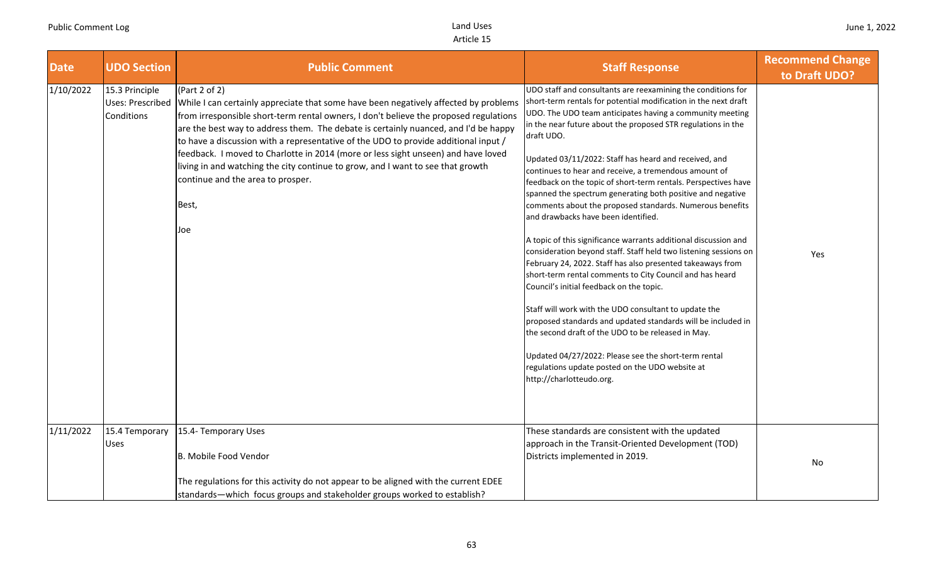| <b>Date</b> | <b>UDO Section</b>                               | <b>Public Comment</b>                                                                                                                                                                                                                                                                                                                                                                                                                                                                                                                                                                                     | <b>Staff Response</b>                                                                                                                                                                                                                                                                                                                                                                                                                                                                                                                                                                                                                                                                                                                                                                                                                                                                                                                                                                                                                                                                                                                                                                                                                                             | <b>Recommend Change</b><br>to Draft UDO? |
|-------------|--------------------------------------------------|-----------------------------------------------------------------------------------------------------------------------------------------------------------------------------------------------------------------------------------------------------------------------------------------------------------------------------------------------------------------------------------------------------------------------------------------------------------------------------------------------------------------------------------------------------------------------------------------------------------|-------------------------------------------------------------------------------------------------------------------------------------------------------------------------------------------------------------------------------------------------------------------------------------------------------------------------------------------------------------------------------------------------------------------------------------------------------------------------------------------------------------------------------------------------------------------------------------------------------------------------------------------------------------------------------------------------------------------------------------------------------------------------------------------------------------------------------------------------------------------------------------------------------------------------------------------------------------------------------------------------------------------------------------------------------------------------------------------------------------------------------------------------------------------------------------------------------------------------------------------------------------------|------------------------------------------|
| 1/10/2022   | 15.3 Principle<br>Uses: Prescribed<br>Conditions | (Part 2 of 2)<br>While I can certainly appreciate that some have been negatively affected by problems<br>from irresponsible short-term rental owners, I don't believe the proposed regulations<br>are the best way to address them. The debate is certainly nuanced, and I'd be happy<br>to have a discussion with a representative of the UDO to provide additional input /<br>feedback. I moved to Charlotte in 2014 (more or less sight unseen) and have loved<br>living in and watching the city continue to grow, and I want to see that growth<br>continue and the area to prosper.<br>Best,<br>Joe | UDO staff and consultants are reexamining the conditions for<br>short-term rentals for potential modification in the next draft<br>UDO. The UDO team anticipates having a community meeting<br>in the near future about the proposed STR regulations in the<br>draft UDO.<br>Updated 03/11/2022: Staff has heard and received, and<br>continues to hear and receive, a tremendous amount of<br>feedback on the topic of short-term rentals. Perspectives have<br>spanned the spectrum generating both positive and negative<br>comments about the proposed standards. Numerous benefits<br>and drawbacks have been identified.<br>A topic of this significance warrants additional discussion and<br>consideration beyond staff. Staff held two listening sessions on<br>February 24, 2022. Staff has also presented takeaways from<br>short-term rental comments to City Council and has heard<br>Council's initial feedback on the topic.<br>Staff will work with the UDO consultant to update the<br>proposed standards and updated standards will be included in<br>the second draft of the UDO to be released in May.<br>Updated 04/27/2022: Please see the short-term rental<br>regulations update posted on the UDO website at<br>http://charlotteudo.org. | Yes                                      |
| 1/11/2022   | 15.4 Temporary<br>Uses                           | 15.4- Temporary Uses<br>B. Mobile Food Vendor<br>The regulations for this activity do not appear to be aligned with the current EDEE<br>standards—which focus groups and stakeholder groups worked to establish?                                                                                                                                                                                                                                                                                                                                                                                          | These standards are consistent with the updated<br>approach in the Transit-Oriented Development (TOD)<br>Districts implemented in 2019.                                                                                                                                                                                                                                                                                                                                                                                                                                                                                                                                                                                                                                                                                                                                                                                                                                                                                                                                                                                                                                                                                                                           | No                                       |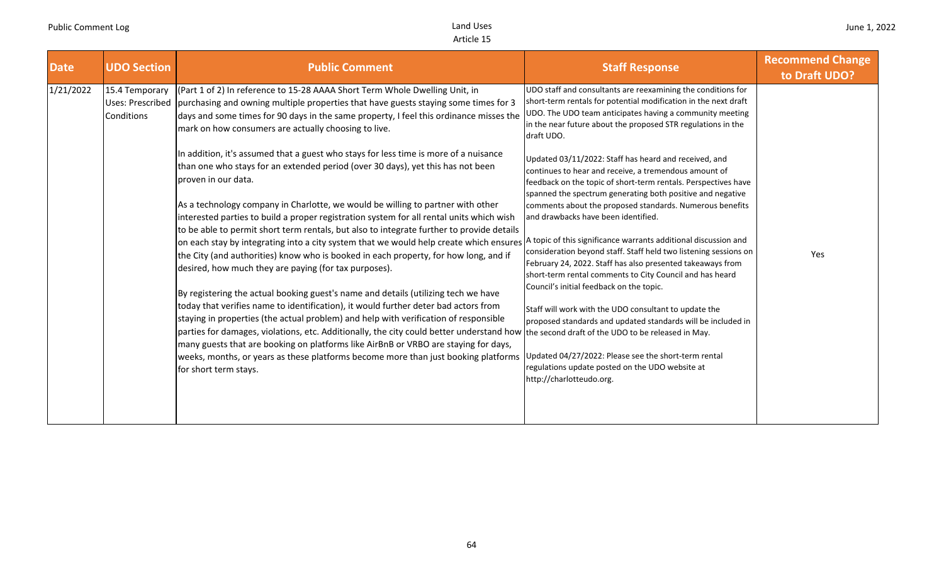| <b>Date</b> | <b>UDO Section</b>                                      | <b>Public Comment</b>                                                                                                                                                                                                                                                                                                                                                                                                                                                                                                                                                                                                                                                                                                                                                                                                                                                                                                                                                                                                                                                                                                                                                                                                                                                                                                                                                                                                                                                                                                                                                                                                                                                                                                                   | <b>Staff Response</b>                                                                                                                                                                                                                                                                                                                                                                                                                                                                                                                                                                                                                                                                                                                                                                                                                                                                                                                                                                                                                                                                                                                    | <b>Recommend Change</b><br>to Draft UDO? |
|-------------|---------------------------------------------------------|-----------------------------------------------------------------------------------------------------------------------------------------------------------------------------------------------------------------------------------------------------------------------------------------------------------------------------------------------------------------------------------------------------------------------------------------------------------------------------------------------------------------------------------------------------------------------------------------------------------------------------------------------------------------------------------------------------------------------------------------------------------------------------------------------------------------------------------------------------------------------------------------------------------------------------------------------------------------------------------------------------------------------------------------------------------------------------------------------------------------------------------------------------------------------------------------------------------------------------------------------------------------------------------------------------------------------------------------------------------------------------------------------------------------------------------------------------------------------------------------------------------------------------------------------------------------------------------------------------------------------------------------------------------------------------------------------------------------------------------------|------------------------------------------------------------------------------------------------------------------------------------------------------------------------------------------------------------------------------------------------------------------------------------------------------------------------------------------------------------------------------------------------------------------------------------------------------------------------------------------------------------------------------------------------------------------------------------------------------------------------------------------------------------------------------------------------------------------------------------------------------------------------------------------------------------------------------------------------------------------------------------------------------------------------------------------------------------------------------------------------------------------------------------------------------------------------------------------------------------------------------------------|------------------------------------------|
| 1/21/2022   | 15.4 Temporary<br><b>Uses: Prescribed</b><br>Conditions | (Part 1 of 2) In reference to 15-28 AAAA Short Term Whole Dwelling Unit, in<br>purchasing and owning multiple properties that have guests staying some times for 3<br>days and some times for 90 days in the same property, I feel this ordinance misses the<br>mark on how consumers are actually choosing to live.<br>In addition, it's assumed that a guest who stays for less time is more of a nuisance<br>than one who stays for an extended period (over 30 days), yet this has not been<br>proven in our data.<br>As a technology company in Charlotte, we would be willing to partner with other<br>interested parties to build a proper registration system for all rental units which wish<br>to be able to permit short term rentals, but also to integrate further to provide details<br>on each stay by integrating into a city system that we would help create which ensures A topic of this significance warrants additional discussion and<br>the City (and authorities) know who is booked in each property, for how long, and if<br>desired, how much they are paying (for tax purposes).<br>By registering the actual booking guest's name and details (utilizing tech we have<br>today that verifies name to identification), it would further deter bad actors from<br>staying in properties (the actual problem) and help with verification of responsible<br>parties for damages, violations, etc. Additionally, the city could better understand how the second draft of the UDO to be released in May.<br>many guests that are booking on platforms like AirBnB or VRBO are staying for days,<br>weeks, months, or years as these platforms become more than just booking platforms<br>for short term stays. | UDO staff and consultants are reexamining the conditions for<br>short-term rentals for potential modification in the next draft<br>UDO. The UDO team anticipates having a community meeting<br>in the near future about the proposed STR regulations in the<br>draft UDO.<br>Updated 03/11/2022: Staff has heard and received, and<br>continues to hear and receive, a tremendous amount of<br>feedback on the topic of short-term rentals. Perspectives have<br>spanned the spectrum generating both positive and negative<br>comments about the proposed standards. Numerous benefits<br>and drawbacks have been identified.<br>consideration beyond staff. Staff held two listening sessions on<br>February 24, 2022. Staff has also presented takeaways from<br>short-term rental comments to City Council and has heard<br>Council's initial feedback on the topic.<br>Staff will work with the UDO consultant to update the<br>proposed standards and updated standards will be included in<br>Updated 04/27/2022: Please see the short-term rental<br>regulations update posted on the UDO website at<br>http://charlotteudo.org. | Yes                                      |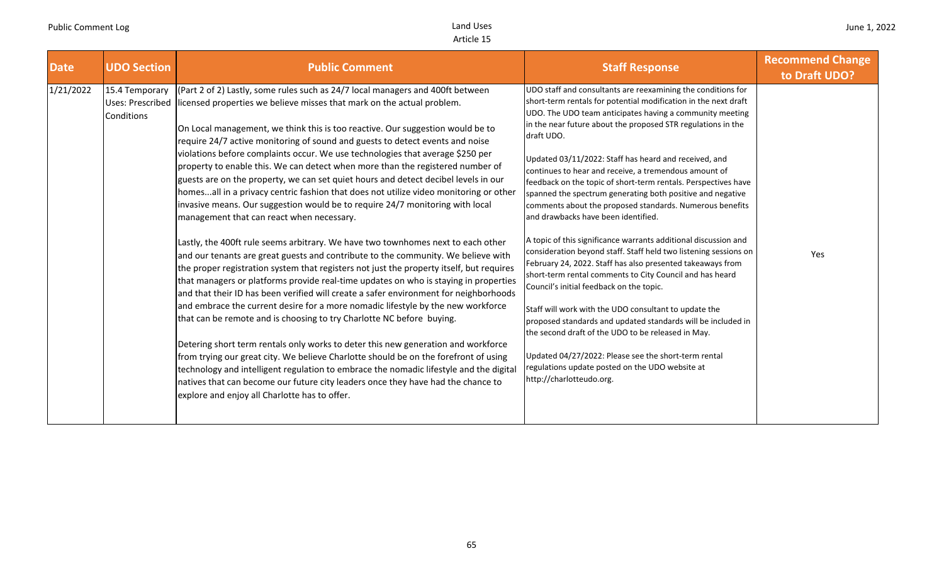| <b>Date</b> | <b>UDO Section</b>                               | <b>Public Comment</b>                                                                                                                                                                                                                                                                                                                                                                                                                                                                                                                                                                                                                                                                                                                                                                                                                                                                                                                                                                                                                                                                                                                                                                                                                                                                                                                                                                                                                                                                                                                                                                                                                                                                                                                                                                                                                        | <b>Staff Response</b>                                                                                                                                                                                                                                                                                                                                                                                                                                                                                                                                                                                                                                                                                                                                                                                                                                                                                                                                                                                                                                                                                                                                                                                                                                             | <b>Recommend Change</b><br>to Draft UDO? |
|-------------|--------------------------------------------------|----------------------------------------------------------------------------------------------------------------------------------------------------------------------------------------------------------------------------------------------------------------------------------------------------------------------------------------------------------------------------------------------------------------------------------------------------------------------------------------------------------------------------------------------------------------------------------------------------------------------------------------------------------------------------------------------------------------------------------------------------------------------------------------------------------------------------------------------------------------------------------------------------------------------------------------------------------------------------------------------------------------------------------------------------------------------------------------------------------------------------------------------------------------------------------------------------------------------------------------------------------------------------------------------------------------------------------------------------------------------------------------------------------------------------------------------------------------------------------------------------------------------------------------------------------------------------------------------------------------------------------------------------------------------------------------------------------------------------------------------------------------------------------------------------------------------------------------------|-------------------------------------------------------------------------------------------------------------------------------------------------------------------------------------------------------------------------------------------------------------------------------------------------------------------------------------------------------------------------------------------------------------------------------------------------------------------------------------------------------------------------------------------------------------------------------------------------------------------------------------------------------------------------------------------------------------------------------------------------------------------------------------------------------------------------------------------------------------------------------------------------------------------------------------------------------------------------------------------------------------------------------------------------------------------------------------------------------------------------------------------------------------------------------------------------------------------------------------------------------------------|------------------------------------------|
| 1/21/2022   | 15.4 Temporary<br>Uses: Prescribed<br>Conditions | (Part 2 of 2) Lastly, some rules such as 24/7 local managers and 400ft between<br>licensed properties we believe misses that mark on the actual problem.<br>On Local management, we think this is too reactive. Our suggestion would be to<br>require 24/7 active monitoring of sound and guests to detect events and noise<br>violations before complaints occur. We use technologies that average \$250 per<br>property to enable this. We can detect when more than the registered number of<br>guests are on the property, we can set quiet hours and detect decibel levels in our<br>homesall in a privacy centric fashion that does not utilize video monitoring or other<br>invasive means. Our suggestion would be to require 24/7 monitoring with local<br>management that can react when necessary.<br>Lastly, the 400ft rule seems arbitrary. We have two townhomes next to each other<br>and our tenants are great guests and contribute to the community. We believe with<br>the proper registration system that registers not just the property itself, but requires<br>that managers or platforms provide real-time updates on who is staying in properties<br>and that their ID has been verified will create a safer environment for neighborhoods<br>and embrace the current desire for a more nomadic lifestyle by the new workforce<br>that can be remote and is choosing to try Charlotte NC before buying.<br>Detering short term rentals only works to deter this new generation and workforce<br>from trying our great city. We believe Charlotte should be on the forefront of using<br>technology and intelligent regulation to embrace the nomadic lifestyle and the digital<br>natives that can become our future city leaders once they have had the chance to<br>explore and enjoy all Charlotte has to offer. | UDO staff and consultants are reexamining the conditions for<br>short-term rentals for potential modification in the next draft<br>UDO. The UDO team anticipates having a community meeting<br>in the near future about the proposed STR regulations in the<br>draft UDO.<br>Updated 03/11/2022: Staff has heard and received, and<br>continues to hear and receive, a tremendous amount of<br>feedback on the topic of short-term rentals. Perspectives have<br>spanned the spectrum generating both positive and negative<br>comments about the proposed standards. Numerous benefits<br>and drawbacks have been identified.<br>A topic of this significance warrants additional discussion and<br>consideration beyond staff. Staff held two listening sessions on<br>February 24, 2022. Staff has also presented takeaways from<br>short-term rental comments to City Council and has heard<br>Council's initial feedback on the topic.<br>Staff will work with the UDO consultant to update the<br>proposed standards and updated standards will be included in<br>the second draft of the UDO to be released in May.<br>Updated 04/27/2022: Please see the short-term rental<br>regulations update posted on the UDO website at<br>http://charlotteudo.org. | Yes                                      |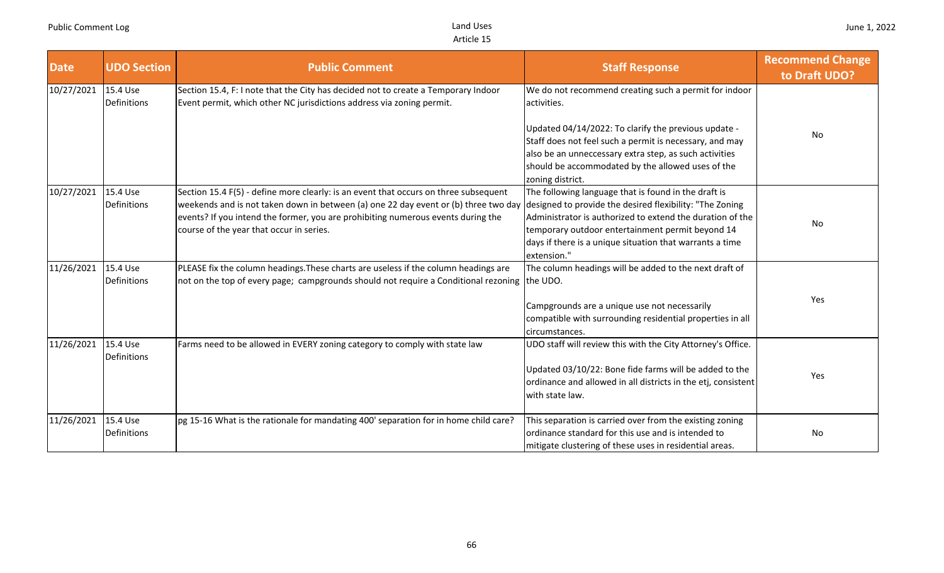| <b>Date</b> | <b>UDO Section</b>      | <b>Public Comment</b>                                                                                                                                                                                                                                                                                       | <b>Staff Response</b>                                                                                                                                                                                                                                                                                        | <b>Recommend Change</b><br>to Draft UDO? |
|-------------|-------------------------|-------------------------------------------------------------------------------------------------------------------------------------------------------------------------------------------------------------------------------------------------------------------------------------------------------------|--------------------------------------------------------------------------------------------------------------------------------------------------------------------------------------------------------------------------------------------------------------------------------------------------------------|------------------------------------------|
| 10/27/2021  | 15.4 Use<br>Definitions | Section 15.4, F: I note that the City has decided not to create a Temporary Indoor<br>Event permit, which other NC jurisdictions address via zoning permit.                                                                                                                                                 | We do not recommend creating such a permit for indoor<br>activities.                                                                                                                                                                                                                                         |                                          |
|             |                         |                                                                                                                                                                                                                                                                                                             | Updated 04/14/2022: To clarify the previous update -<br>Staff does not feel such a permit is necessary, and may<br>also be an unneccessary extra step, as such activities<br>should be accommodated by the allowed uses of the<br>zoning district.                                                           | <b>No</b>                                |
| 10/27/2021  | 15.4 Use<br>Definitions | Section 15.4 F(5) - define more clearly: is an event that occurs on three subsequent<br>weekends and is not taken down in between (a) one 22 day event or (b) three two day<br>events? If you intend the former, you are prohibiting numerous events during the<br>course of the year that occur in series. | The following language that is found in the draft is<br>designed to provide the desired flexibility: "The Zoning<br>Administrator is authorized to extend the duration of the<br>temporary outdoor entertainment permit beyond 14<br>days if there is a unique situation that warrants a time<br>extension." | No                                       |
| 11/26/2021  | 15.4 Use<br>Definitions | PLEASE fix the column headings. These charts are useless if the column headings are<br>not on the top of every page; campgrounds should not require a Conditional rezoning the UDO.                                                                                                                         | The column headings will be added to the next draft of                                                                                                                                                                                                                                                       |                                          |
|             |                         |                                                                                                                                                                                                                                                                                                             | Campgrounds are a unique use not necessarily<br>compatible with surrounding residential properties in all<br>circumstances.                                                                                                                                                                                  | Yes                                      |
| 11/26/2021  | 15.4 Use<br>Definitions | Farms need to be allowed in EVERY zoning category to comply with state law                                                                                                                                                                                                                                  | UDO staff will review this with the City Attorney's Office.                                                                                                                                                                                                                                                  |                                          |
|             |                         |                                                                                                                                                                                                                                                                                                             | Updated 03/10/22: Bone fide farms will be added to the<br>ordinance and allowed in all districts in the etj, consistent<br>with state law.                                                                                                                                                                   | Yes                                      |
| 11/26/2021  | 15.4 Use<br>Definitions | pg 15-16 What is the rationale for mandating 400' separation for in home child care?                                                                                                                                                                                                                        | This separation is carried over from the existing zoning<br>ordinance standard for this use and is intended to<br>mitigate clustering of these uses in residential areas.                                                                                                                                    | No                                       |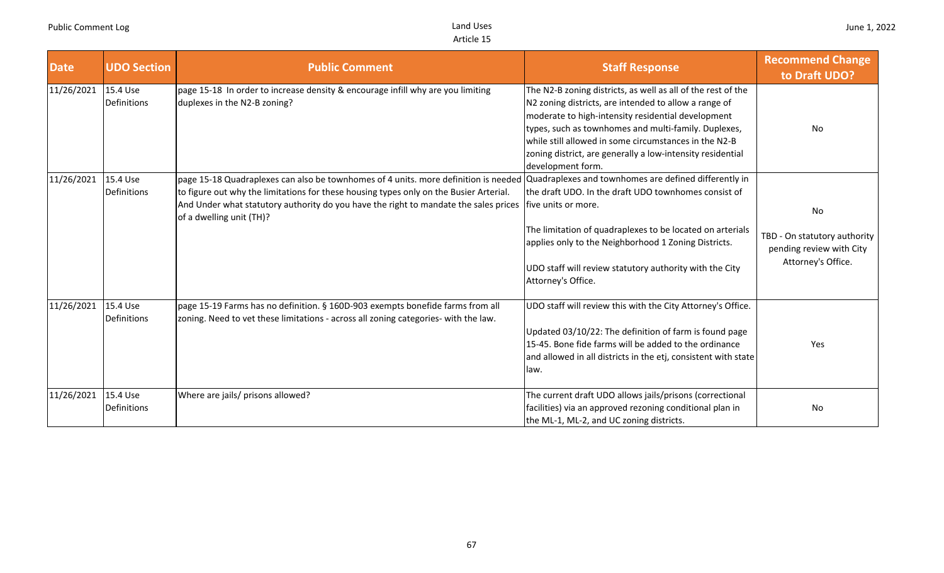| <b>Date</b> | <b>UDO Section</b>             | <b>Public Comment</b>                                                                                                                                                                                                                                                                             | <b>Staff Response</b>                                                                                                                                                                                                                                                                                                                                                           | <b>Recommend Change</b><br>to Draft UDO?                                                    |
|-------------|--------------------------------|---------------------------------------------------------------------------------------------------------------------------------------------------------------------------------------------------------------------------------------------------------------------------------------------------|---------------------------------------------------------------------------------------------------------------------------------------------------------------------------------------------------------------------------------------------------------------------------------------------------------------------------------------------------------------------------------|---------------------------------------------------------------------------------------------|
| 11/26/2021  | 15.4 Use<br><b>Definitions</b> | page 15-18 In order to increase density & encourage infill why are you limiting<br>duplexes in the N2-B zoning?                                                                                                                                                                                   | The N2-B zoning districts, as well as all of the rest of the<br>N2 zoning districts, are intended to allow a range of<br>moderate to high-intensity residential development<br>types, such as townhomes and multi-family. Duplexes,<br>while still allowed in some circumstances in the N2-B<br>zoning district, are generally a low-intensity residential<br>development form. | <b>No</b>                                                                                   |
| 11/26/2021  | 15.4 Use<br>Definitions        | page 15-18 Quadraplexes can also be townhomes of 4 units. more definition is needed<br>to figure out why the limitations for these housing types only on the Busier Arterial.<br>And Under what statutory authority do you have the right to mandate the sales prices<br>of a dwelling unit (TH)? | Quadraplexes and townhomes are defined differently in<br>the draft UDO. In the draft UDO townhomes consist of<br>Ifive units or more.<br>The limitation of quadraplexes to be located on arterials<br>applies only to the Neighborhood 1 Zoning Districts.<br>UDO staff will review statutory authority with the City<br>Attorney's Office.                                     | <b>No</b><br>TBD - On statutory authority<br>pending review with City<br>Attorney's Office. |
| 11/26/2021  | 15.4 Use<br>Definitions        | page 15-19 Farms has no definition. § 160D-903 exempts bonefide farms from all<br>zoning. Need to vet these limitations - across all zoning categories- with the law.                                                                                                                             | UDO staff will review this with the City Attorney's Office.<br>Updated 03/10/22: The definition of farm is found page<br>15-45. Bone fide farms will be added to the ordinance<br>and allowed in all districts in the etj, consistent with state<br>law.                                                                                                                        | Yes                                                                                         |
| 11/26/2021  | 15.4 Use<br>Definitions        | Where are jails/ prisons allowed?                                                                                                                                                                                                                                                                 | The current draft UDO allows jails/prisons (correctional<br>facilities) via an approved rezoning conditional plan in<br>the ML-1, ML-2, and UC zoning districts.                                                                                                                                                                                                                | No                                                                                          |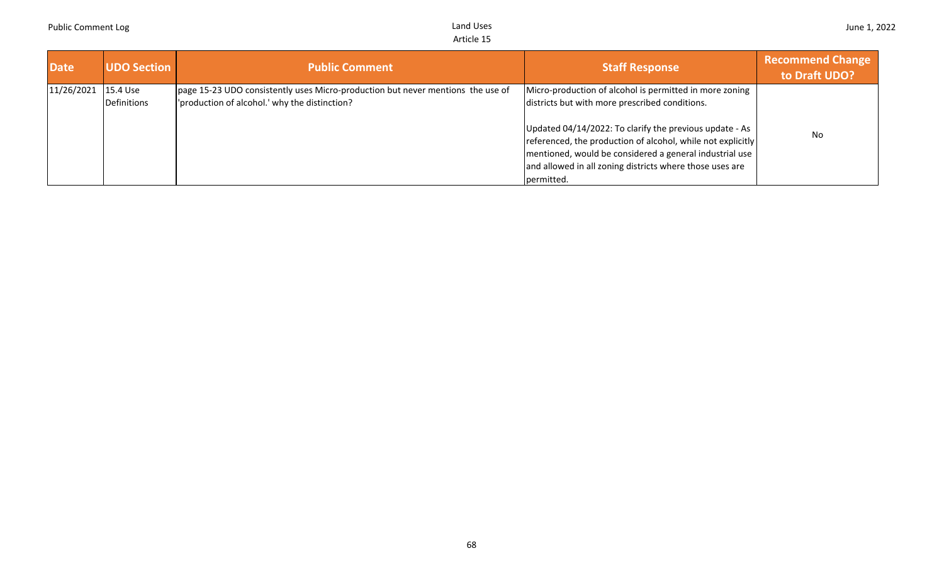| Date       | <b>UDO Section</b> | <b>Public Comment</b>                                                           | <b>Staff Response</b>                                                                                                                                                                                                                                       | <b>Recommend Change</b><br>to Draft UDO? |
|------------|--------------------|---------------------------------------------------------------------------------|-------------------------------------------------------------------------------------------------------------------------------------------------------------------------------------------------------------------------------------------------------------|------------------------------------------|
| 11/26/2021 | 15.4 Use           | page 15-23 UDO consistently uses Micro-production but never mentions the use of | Micro-production of alcohol is permitted in more zoning                                                                                                                                                                                                     |                                          |
|            | Definitions        | production of alcohol.' why the distinction?                                    | districts but with more prescribed conditions.                                                                                                                                                                                                              |                                          |
|            |                    |                                                                                 | Updated 04/14/2022: To clarify the previous update - As<br>referenced, the production of alcohol, while not explicitly<br>mentioned, would be considered a general industrial use<br>and allowed in all zoning districts where those uses are<br>permitted. | <b>No</b>                                |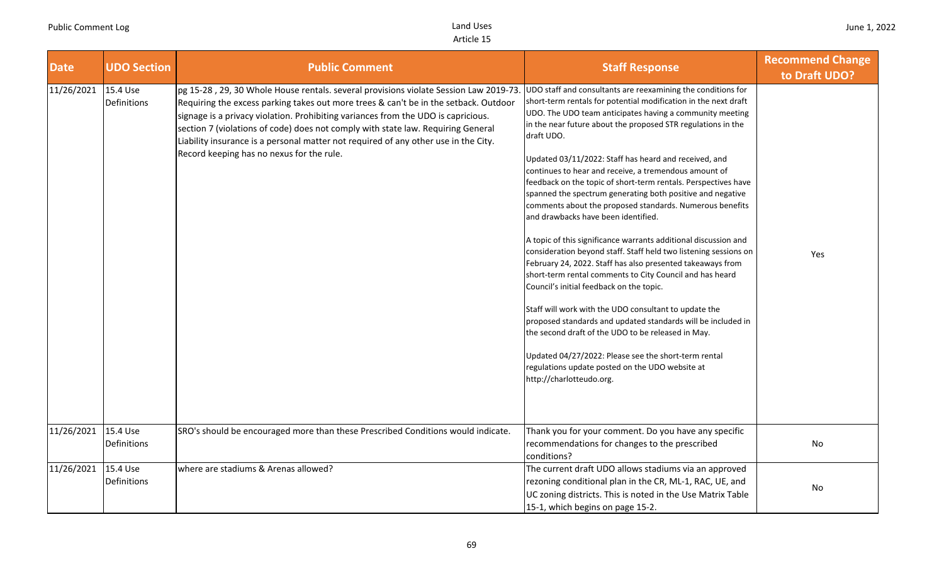| <b>Date</b> | <b>UDO Section</b>      | <b>Public Comment</b>                                                                                                                                                                                                                                                                                                                                                                                                                                                                     | <b>Staff Response</b>                                                                                                                                                                                                                                                                                                                                                                                                                                                                                                                                                                                                                                                                                                                                                                                                                                                                                                                                                                                                                                                                                                                                                                                                                                             | <b>Recommend Change</b><br>to Draft UDO? |
|-------------|-------------------------|-------------------------------------------------------------------------------------------------------------------------------------------------------------------------------------------------------------------------------------------------------------------------------------------------------------------------------------------------------------------------------------------------------------------------------------------------------------------------------------------|-------------------------------------------------------------------------------------------------------------------------------------------------------------------------------------------------------------------------------------------------------------------------------------------------------------------------------------------------------------------------------------------------------------------------------------------------------------------------------------------------------------------------------------------------------------------------------------------------------------------------------------------------------------------------------------------------------------------------------------------------------------------------------------------------------------------------------------------------------------------------------------------------------------------------------------------------------------------------------------------------------------------------------------------------------------------------------------------------------------------------------------------------------------------------------------------------------------------------------------------------------------------|------------------------------------------|
| 11/26/2021  | 15.4 Use<br>Definitions | pg 15-28, 29, 30 Whole House rentals. several provisions violate Session Law 2019-73<br>Requiring the excess parking takes out more trees & can't be in the setback. Outdoor<br>signage is a privacy violation. Prohibiting variances from the UDO is capricious.<br>section 7 (violations of code) does not comply with state law. Requiring General<br>Liability insurance is a personal matter not required of any other use in the City.<br>Record keeping has no nexus for the rule. | UDO staff and consultants are reexamining the conditions for<br>short-term rentals for potential modification in the next draft<br>UDO. The UDO team anticipates having a community meeting<br>in the near future about the proposed STR regulations in the<br>draft UDO.<br>Updated 03/11/2022: Staff has heard and received, and<br>continues to hear and receive, a tremendous amount of<br>feedback on the topic of short-term rentals. Perspectives have<br>spanned the spectrum generating both positive and negative<br>comments about the proposed standards. Numerous benefits<br>and drawbacks have been identified.<br>A topic of this significance warrants additional discussion and<br>consideration beyond staff. Staff held two listening sessions on<br>February 24, 2022. Staff has also presented takeaways from<br>short-term rental comments to City Council and has heard<br>Council's initial feedback on the topic.<br>Staff will work with the UDO consultant to update the<br>proposed standards and updated standards will be included in<br>the second draft of the UDO to be released in May.<br>Updated 04/27/2022: Please see the short-term rental<br>regulations update posted on the UDO website at<br>http://charlotteudo.org. | Yes                                      |
| 11/26/2021  | 15.4 Use<br>Definitions | SRO's should be encouraged more than these Prescribed Conditions would indicate.                                                                                                                                                                                                                                                                                                                                                                                                          | Thank you for your comment. Do you have any specific<br>recommendations for changes to the prescribed<br>conditions?                                                                                                                                                                                                                                                                                                                                                                                                                                                                                                                                                                                                                                                                                                                                                                                                                                                                                                                                                                                                                                                                                                                                              | No                                       |
| 11/26/2021  | 15.4 Use<br>Definitions | where are stadiums & Arenas allowed?                                                                                                                                                                                                                                                                                                                                                                                                                                                      | The current draft UDO allows stadiums via an approved<br>rezoning conditional plan in the CR, ML-1, RAC, UE, and<br>UC zoning districts. This is noted in the Use Matrix Table<br>15-1, which begins on page 15-2.                                                                                                                                                                                                                                                                                                                                                                                                                                                                                                                                                                                                                                                                                                                                                                                                                                                                                                                                                                                                                                                | No                                       |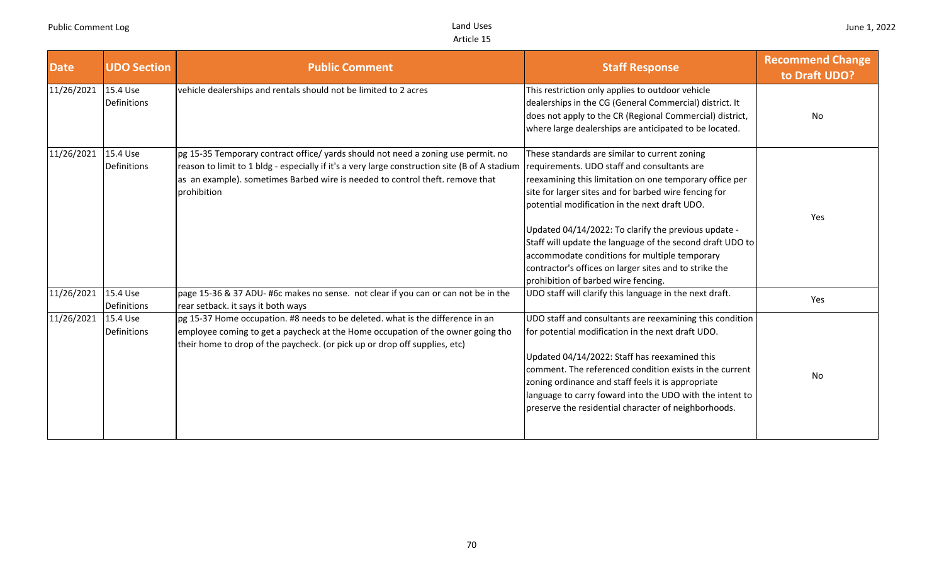| <b>Date</b> | <b>UDO Section</b>      | <b>Public Comment</b>                                                                                                                                                                                                                                                              | <b>Staff Response</b>                                                                                                                                                                                                                                                                                                                                                                                                                                                                                                                    | <b>Recommend Change</b><br>to Draft UDO? |
|-------------|-------------------------|------------------------------------------------------------------------------------------------------------------------------------------------------------------------------------------------------------------------------------------------------------------------------------|------------------------------------------------------------------------------------------------------------------------------------------------------------------------------------------------------------------------------------------------------------------------------------------------------------------------------------------------------------------------------------------------------------------------------------------------------------------------------------------------------------------------------------------|------------------------------------------|
| 11/26/2021  | 15.4 Use<br>Definitions | vehicle dealerships and rentals should not be limited to 2 acres                                                                                                                                                                                                                   | This restriction only applies to outdoor vehicle<br>dealerships in the CG (General Commercial) district. It<br>does not apply to the CR (Regional Commercial) district,<br>where large dealerships are anticipated to be located.                                                                                                                                                                                                                                                                                                        | No                                       |
| 11/26/2021  | 15.4 Use<br>Definitions | pg 15-35 Temporary contract office/ yards should not need a zoning use permit. no<br>reason to limit to 1 bldg - especially if it's a very large construction site (B of A stadium<br>as an example). sometimes Barbed wire is needed to control theft. remove that<br>prohibition | These standards are similar to current zoning<br>requirements. UDO staff and consultants are<br>reexamining this limitation on one temporary office per<br>site for larger sites and for barbed wire fencing for<br>potential modification in the next draft UDO.<br>Updated 04/14/2022: To clarify the previous update -<br>Staff will update the language of the second draft UDO to<br>accommodate conditions for multiple temporary<br>contractor's offices on larger sites and to strike the<br>prohibition of barbed wire fencing. | Yes                                      |
| 11/26/2021  | 15.4 Use<br>Definitions | page 15-36 & 37 ADU- #6c makes no sense. not clear if you can or can not be in the<br>rear setback. it says it both ways                                                                                                                                                           | UDO staff will clarify this language in the next draft.                                                                                                                                                                                                                                                                                                                                                                                                                                                                                  | Yes                                      |
| 11/26/2021  | 15.4 Use<br>Definitions | pg 15-37 Home occupation. #8 needs to be deleted. what is the difference in an<br>employee coming to get a paycheck at the Home occupation of the owner going tho<br>their home to drop of the paycheck. (or pick up or drop off supplies, etc)                                    | UDO staff and consultants are reexamining this condition<br>for potential modification in the next draft UDO.<br>Updated 04/14/2022: Staff has reexamined this<br>comment. The referenced condition exists in the current<br>zoning ordinance and staff feels it is appropriate<br>language to carry foward into the UDO with the intent to<br>preserve the residential character of neighborhoods.                                                                                                                                      | No                                       |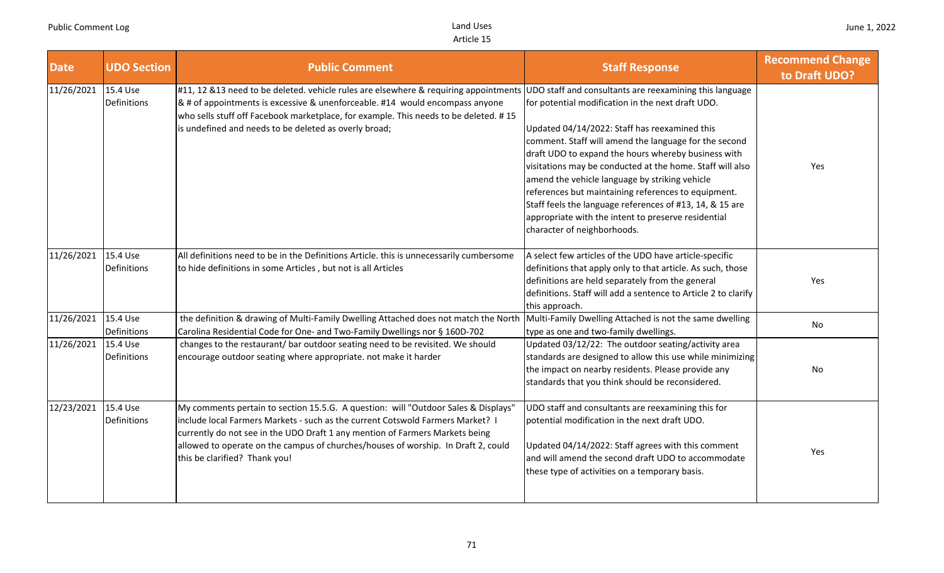| <b>Date</b>         | <b>UDO Section</b>             | <b>Public Comment</b>                                                                                                                                                                                                                                                                                                                                                      | <b>Staff Response</b>                                                                                                                                                                                                                                                                                                                                                                                                                                                                                                                                                                                 | <b>Recommend Change</b><br>to Draft UDO? |
|---------------------|--------------------------------|----------------------------------------------------------------------------------------------------------------------------------------------------------------------------------------------------------------------------------------------------------------------------------------------------------------------------------------------------------------------------|-------------------------------------------------------------------------------------------------------------------------------------------------------------------------------------------------------------------------------------------------------------------------------------------------------------------------------------------------------------------------------------------------------------------------------------------------------------------------------------------------------------------------------------------------------------------------------------------------------|------------------------------------------|
| 11/26/2021 15.4 Use | Definitions                    | #11, 12 & 13 need to be deleted. vehicle rules are elsewhere & requiring appointments<br>& # of appointments is excessive & unenforceable. #14 would encompass anyone<br>who sells stuff off Facebook marketplace, for example. This needs to be deleted. #15<br>is undefined and needs to be deleted as overly broad;                                                     | UDO staff and consultants are reexamining this language<br>for potential modification in the next draft UDO.<br>Updated 04/14/2022: Staff has reexamined this<br>comment. Staff will amend the language for the second<br>draft UDO to expand the hours whereby business with<br>visitations may be conducted at the home. Staff will also<br>amend the vehicle language by striking vehicle<br>references but maintaining references to equipment.<br>Staff feels the language references of #13, 14, & 15 are<br>appropriate with the intent to preserve residential<br>character of neighborhoods. | Yes                                      |
| 11/26/2021          | 15.4 Use<br>Definitions        | All definitions need to be in the Definitions Article. this is unnecessarily cumbersome<br>to hide definitions in some Articles, but not is all Articles                                                                                                                                                                                                                   | A select few articles of the UDO have article-specific<br>definitions that apply only to that article. As such, those<br>definitions are held separately from the general<br>definitions. Staff will add a sentence to Article 2 to clarify<br>this approach.                                                                                                                                                                                                                                                                                                                                         | Yes                                      |
| 11/26/2021          | 15.4 Use<br>Definitions        | the definition & drawing of Multi-Family Dwelling Attached does not match the North<br>Carolina Residential Code for One- and Two-Family Dwellings nor § 160D-702                                                                                                                                                                                                          | Multi-Family Dwelling Attached is not the same dwelling<br>type as one and two-family dwellings.                                                                                                                                                                                                                                                                                                                                                                                                                                                                                                      | No                                       |
| 11/26/2021          | 15.4 Use<br><b>Definitions</b> | changes to the restaurant/ bar outdoor seating need to be revisited. We should<br>encourage outdoor seating where appropriate. not make it harder                                                                                                                                                                                                                          | Updated 03/12/22: The outdoor seating/activity area<br>standards are designed to allow this use while minimizing<br>the impact on nearby residents. Please provide any<br>standards that you think should be reconsidered.                                                                                                                                                                                                                                                                                                                                                                            | No                                       |
| 12/23/2021          | 15.4 Use<br>Definitions        | My comments pertain to section 15.5.G. A question: will "Outdoor Sales & Displays"<br>include local Farmers Markets - such as the current Cotswold Farmers Market? I<br>currently do not see in the UDO Draft 1 any mention of Farmers Markets being<br>allowed to operate on the campus of churches/houses of worship. In Draft 2, could<br>this be clarified? Thank you! | UDO staff and consultants are reexamining this for<br>potential modification in the next draft UDO.<br>Updated 04/14/2022: Staff agrees with this comment<br>and will amend the second draft UDO to accommodate<br>these type of activities on a temporary basis.                                                                                                                                                                                                                                                                                                                                     | Yes                                      |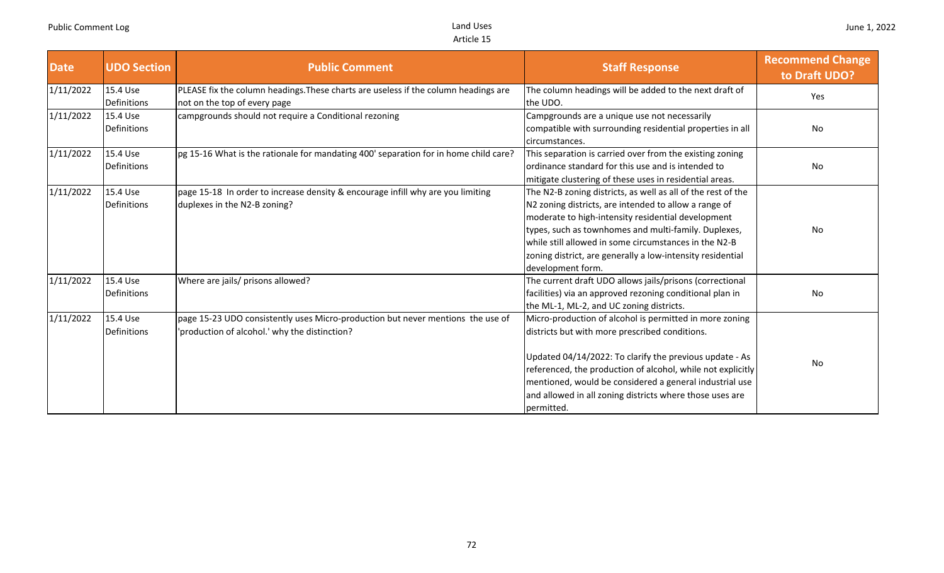| <b>Date</b> | <b>UDO Section</b>      | <b>Public Comment</b>                                                                                                            | <b>Staff Response</b>                                                                                                                                                                                                                                                                                                                                                           | <b>Recommend Change</b><br>to Draft UDO? |
|-------------|-------------------------|----------------------------------------------------------------------------------------------------------------------------------|---------------------------------------------------------------------------------------------------------------------------------------------------------------------------------------------------------------------------------------------------------------------------------------------------------------------------------------------------------------------------------|------------------------------------------|
| 1/11/2022   | 15.4 Use<br>Definitions | PLEASE fix the column headings. These charts are useless if the column headings are<br>not on the top of every page              | The column headings will be added to the next draft of<br>the UDO.                                                                                                                                                                                                                                                                                                              | Yes                                      |
| 1/11/2022   | 15.4 Use<br>Definitions | campgrounds should not require a Conditional rezoning                                                                            | Campgrounds are a unique use not necessarily<br>compatible with surrounding residential properties in all<br>circumstances.                                                                                                                                                                                                                                                     | No.                                      |
| 1/11/2022   | 15.4 Use<br>Definitions | pg 15-16 What is the rationale for mandating 400' separation for in home child care?                                             | This separation is carried over from the existing zoning<br>ordinance standard for this use and is intended to<br>mitigate clustering of these uses in residential areas.                                                                                                                                                                                                       | No                                       |
| 1/11/2022   | 15.4 Use<br>Definitions | page 15-18 In order to increase density & encourage infill why are you limiting<br>duplexes in the N2-B zoning?                  | The N2-B zoning districts, as well as all of the rest of the<br>N2 zoning districts, are intended to allow a range of<br>moderate to high-intensity residential development<br>types, such as townhomes and multi-family. Duplexes,<br>while still allowed in some circumstances in the N2-B<br>zoning district, are generally a low-intensity residential<br>development form. | No                                       |
| 1/11/2022   | 15.4 Use<br>Definitions | Where are jails/ prisons allowed?                                                                                                | The current draft UDO allows jails/prisons (correctional<br>facilities) via an approved rezoning conditional plan in<br>the ML-1, ML-2, and UC zoning districts.                                                                                                                                                                                                                | No                                       |
| 1/11/2022   | 15.4 Use<br>Definitions | page 15-23 UDO consistently uses Micro-production but never mentions the use of<br>'production of alcohol.' why the distinction? | Micro-production of alcohol is permitted in more zoning<br>districts but with more prescribed conditions.<br>Updated 04/14/2022: To clarify the previous update - As<br>referenced, the production of alcohol, while not explicitly<br>mentioned, would be considered a general industrial use<br>and allowed in all zoning districts where those uses are<br>permitted.        | No                                       |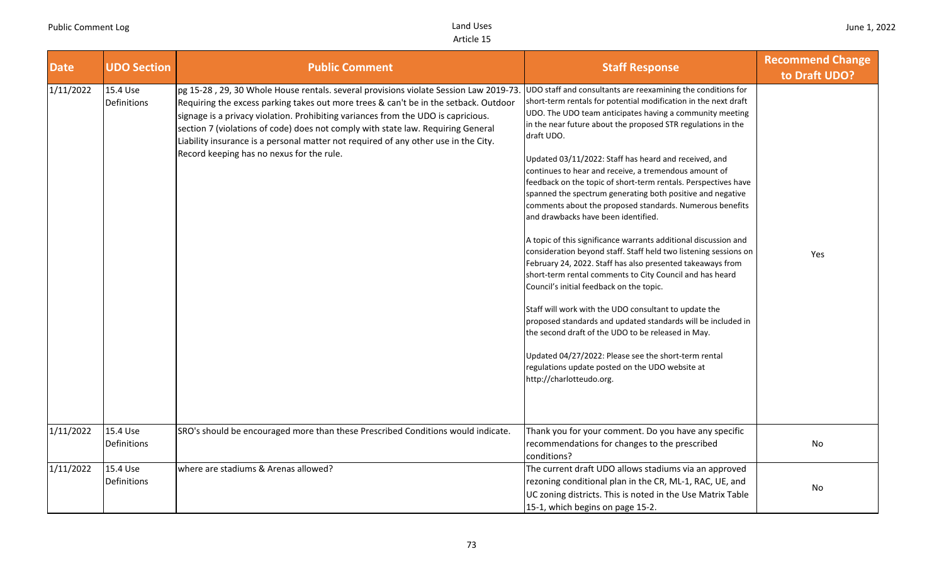| <b>Date</b> | <b>UDO Section</b>      | <b>Public Comment</b>                                                                                                                                                                                                                                                                                                                                                                                                                                                                     | <b>Staff Response</b>                                                                                                                                                                                                                                                                                                                                                                                                                                                                                                                                                                                                                                                                                                                                                                                                                                                                                                                                                                                                                                                                                                                                                                                                                                             | <b>Recommend Change</b><br>to Draft UDO? |
|-------------|-------------------------|-------------------------------------------------------------------------------------------------------------------------------------------------------------------------------------------------------------------------------------------------------------------------------------------------------------------------------------------------------------------------------------------------------------------------------------------------------------------------------------------|-------------------------------------------------------------------------------------------------------------------------------------------------------------------------------------------------------------------------------------------------------------------------------------------------------------------------------------------------------------------------------------------------------------------------------------------------------------------------------------------------------------------------------------------------------------------------------------------------------------------------------------------------------------------------------------------------------------------------------------------------------------------------------------------------------------------------------------------------------------------------------------------------------------------------------------------------------------------------------------------------------------------------------------------------------------------------------------------------------------------------------------------------------------------------------------------------------------------------------------------------------------------|------------------------------------------|
| 1/11/2022   | 15.4 Use<br>Definitions | pg 15-28, 29, 30 Whole House rentals. several provisions violate Session Law 2019-73<br>Requiring the excess parking takes out more trees & can't be in the setback. Outdoor<br>signage is a privacy violation. Prohibiting variances from the UDO is capricious.<br>section 7 (violations of code) does not comply with state law. Requiring General<br>Liability insurance is a personal matter not required of any other use in the City.<br>Record keeping has no nexus for the rule. | UDO staff and consultants are reexamining the conditions for<br>short-term rentals for potential modification in the next draft<br>UDO. The UDO team anticipates having a community meeting<br>in the near future about the proposed STR regulations in the<br>draft UDO.<br>Updated 03/11/2022: Staff has heard and received, and<br>continues to hear and receive, a tremendous amount of<br>feedback on the topic of short-term rentals. Perspectives have<br>spanned the spectrum generating both positive and negative<br>comments about the proposed standards. Numerous benefits<br>and drawbacks have been identified.<br>A topic of this significance warrants additional discussion and<br>consideration beyond staff. Staff held two listening sessions on<br>February 24, 2022. Staff has also presented takeaways from<br>short-term rental comments to City Council and has heard<br>Council's initial feedback on the topic.<br>Staff will work with the UDO consultant to update the<br>proposed standards and updated standards will be included in<br>the second draft of the UDO to be released in May.<br>Updated 04/27/2022: Please see the short-term rental<br>regulations update posted on the UDO website at<br>http://charlotteudo.org. | Yes                                      |
| 1/11/2022   | 15.4 Use<br>Definitions | SRO's should be encouraged more than these Prescribed Conditions would indicate.                                                                                                                                                                                                                                                                                                                                                                                                          | Thank you for your comment. Do you have any specific<br>recommendations for changes to the prescribed<br>conditions?                                                                                                                                                                                                                                                                                                                                                                                                                                                                                                                                                                                                                                                                                                                                                                                                                                                                                                                                                                                                                                                                                                                                              | No                                       |
| 1/11/2022   | 15.4 Use<br>Definitions | where are stadiums & Arenas allowed?                                                                                                                                                                                                                                                                                                                                                                                                                                                      | The current draft UDO allows stadiums via an approved<br>rezoning conditional plan in the CR, ML-1, RAC, UE, and<br>UC zoning districts. This is noted in the Use Matrix Table<br>15-1, which begins on page 15-2.                                                                                                                                                                                                                                                                                                                                                                                                                                                                                                                                                                                                                                                                                                                                                                                                                                                                                                                                                                                                                                                | No                                       |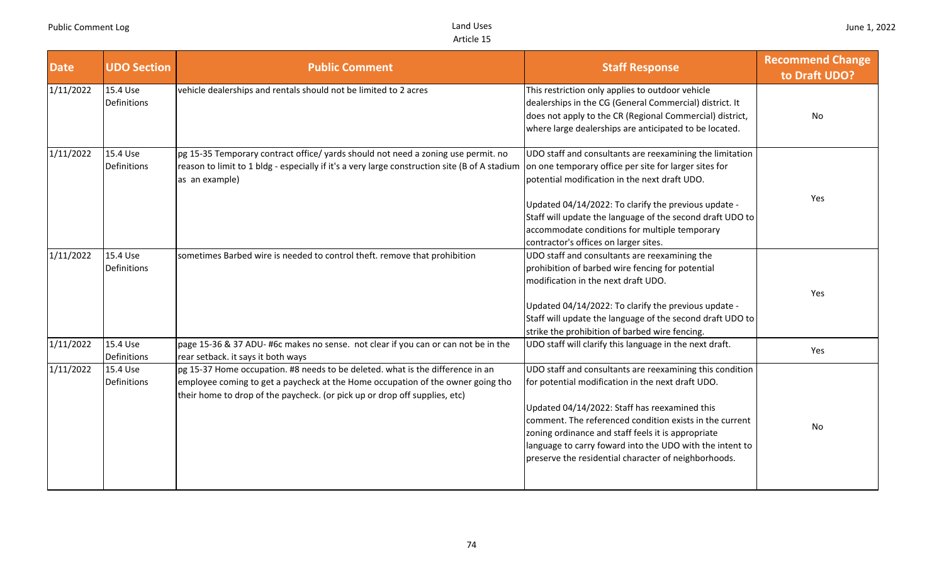| <b>Date</b> | <b>UDO Section</b>             | <b>Public Comment</b>                                                                                                                                                                                                                           | <b>Staff Response</b>                                                                                                                                                                                                                                                                                                                                                                               | <b>Recommend Change</b><br>to Draft UDO? |
|-------------|--------------------------------|-------------------------------------------------------------------------------------------------------------------------------------------------------------------------------------------------------------------------------------------------|-----------------------------------------------------------------------------------------------------------------------------------------------------------------------------------------------------------------------------------------------------------------------------------------------------------------------------------------------------------------------------------------------------|------------------------------------------|
| 1/11/2022   | 15.4 Use<br>Definitions        | vehicle dealerships and rentals should not be limited to 2 acres                                                                                                                                                                                | This restriction only applies to outdoor vehicle<br>dealerships in the CG (General Commercial) district. It<br>does not apply to the CR (Regional Commercial) district,<br>where large dealerships are anticipated to be located.                                                                                                                                                                   | No                                       |
| 1/11/2022   | 15.4 Use<br><b>Definitions</b> | pg 15-35 Temporary contract office/ yards should not need a zoning use permit. no<br>reason to limit to 1 bldg - especially if it's a very large construction site (B of A stadium<br>as an example)                                            | UDO staff and consultants are reexamining the limitation<br>on one temporary office per site for larger sites for<br>potential modification in the next draft UDO.<br>Updated 04/14/2022: To clarify the previous update -<br>Staff will update the language of the second draft UDO to<br>accommodate conditions for multiple temporary<br>contractor's offices on larger sites.                   | Yes                                      |
| 1/11/2022   | 15.4 Use<br>Definitions        | sometimes Barbed wire is needed to control theft. remove that prohibition                                                                                                                                                                       | UDO staff and consultants are reexamining the<br>prohibition of barbed wire fencing for potential<br>modification in the next draft UDO.<br>Updated 04/14/2022: To clarify the previous update -<br>Staff will update the language of the second draft UDO to<br>strike the prohibition of barbed wire fencing.                                                                                     | Yes                                      |
| 1/11/2022   | 15.4 Use<br>Definitions        | page 15-36 & 37 ADU- #6c makes no sense. not clear if you can or can not be in the<br>rear setback. it says it both ways                                                                                                                        | UDO staff will clarify this language in the next draft.                                                                                                                                                                                                                                                                                                                                             | Yes                                      |
| 1/11/2022   | 15.4 Use<br>Definitions        | pg 15-37 Home occupation. #8 needs to be deleted. what is the difference in an<br>employee coming to get a paycheck at the Home occupation of the owner going tho<br>their home to drop of the paycheck. (or pick up or drop off supplies, etc) | UDO staff and consultants are reexamining this condition<br>for potential modification in the next draft UDO.<br>Updated 04/14/2022: Staff has reexamined this<br>comment. The referenced condition exists in the current<br>zoning ordinance and staff feels it is appropriate<br>language to carry foward into the UDO with the intent to<br>preserve the residential character of neighborhoods. | No                                       |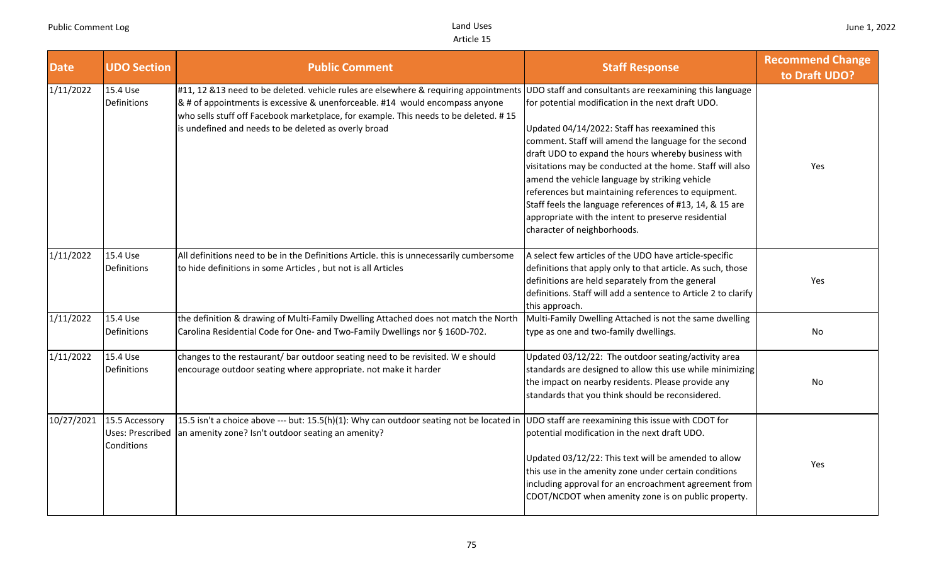| <b>Date</b> | <b>UDO Section</b>                                      | <b>Public Comment</b>                                                                                                                                                                                                                                                                                                | <b>Staff Response</b>                                                                                                                                                                                                                                                                                                                                                                                                                                                                                                                                                                                 | <b>Recommend Change</b><br>to Draft UDO? |
|-------------|---------------------------------------------------------|----------------------------------------------------------------------------------------------------------------------------------------------------------------------------------------------------------------------------------------------------------------------------------------------------------------------|-------------------------------------------------------------------------------------------------------------------------------------------------------------------------------------------------------------------------------------------------------------------------------------------------------------------------------------------------------------------------------------------------------------------------------------------------------------------------------------------------------------------------------------------------------------------------------------------------------|------------------------------------------|
| 1/11/2022   | 15.4 Use<br>Definitions                                 | #11, 12 &13 need to be deleted. vehicle rules are elsewhere & requiring appointments<br>& # of appointments is excessive & unenforceable. #14 would encompass anyone<br>who sells stuff off Facebook marketplace, for example. This needs to be deleted. #15<br>is undefined and needs to be deleted as overly broad | UDO staff and consultants are reexamining this language<br>for potential modification in the next draft UDO.<br>Updated 04/14/2022: Staff has reexamined this<br>comment. Staff will amend the language for the second<br>draft UDO to expand the hours whereby business with<br>visitations may be conducted at the home. Staff will also<br>amend the vehicle language by striking vehicle<br>references but maintaining references to equipment.<br>Staff feels the language references of #13, 14, & 15 are<br>appropriate with the intent to preserve residential<br>character of neighborhoods. | Yes                                      |
| 1/11/2022   | 15.4 Use<br>Definitions                                 | All definitions need to be in the Definitions Article. this is unnecessarily cumbersome<br>to hide definitions in some Articles, but not is all Articles                                                                                                                                                             | A select few articles of the UDO have article-specific<br>definitions that apply only to that article. As such, those<br>definitions are held separately from the general<br>definitions. Staff will add a sentence to Article 2 to clarify<br>this approach.                                                                                                                                                                                                                                                                                                                                         | Yes                                      |
| 1/11/2022   | 15.4 Use<br>Definitions                                 | the definition & drawing of Multi-Family Dwelling Attached does not match the North<br>Carolina Residential Code for One- and Two-Family Dwellings nor § 160D-702.                                                                                                                                                   | Multi-Family Dwelling Attached is not the same dwelling<br>type as one and two-family dwellings.                                                                                                                                                                                                                                                                                                                                                                                                                                                                                                      | No.                                      |
| 1/11/2022   | 15.4 Use<br>Definitions                                 | changes to the restaurant/ bar outdoor seating need to be revisited. We should<br>encourage outdoor seating where appropriate. not make it harder                                                                                                                                                                    | Updated 03/12/22: The outdoor seating/activity area<br>standards are designed to allow this use while minimizing<br>the impact on nearby residents. Please provide any<br>standards that you think should be reconsidered.                                                                                                                                                                                                                                                                                                                                                                            | No                                       |
| 10/27/2021  | 15.5 Accessory<br><b>Uses: Prescribed</b><br>Conditions | 15.5 isn't a choice above --- but: 15.5(h)(1): Why can outdoor seating not be located in UDO staff are reexamining this issue with CDOT for<br>an amenity zone? Isn't outdoor seating an amenity?                                                                                                                    | potential modification in the next draft UDO.<br>Updated 03/12/22: This text will be amended to allow<br>this use in the amenity zone under certain conditions<br>including approval for an encroachment agreement from<br>CDOT/NCDOT when amenity zone is on public property.                                                                                                                                                                                                                                                                                                                        | Yes                                      |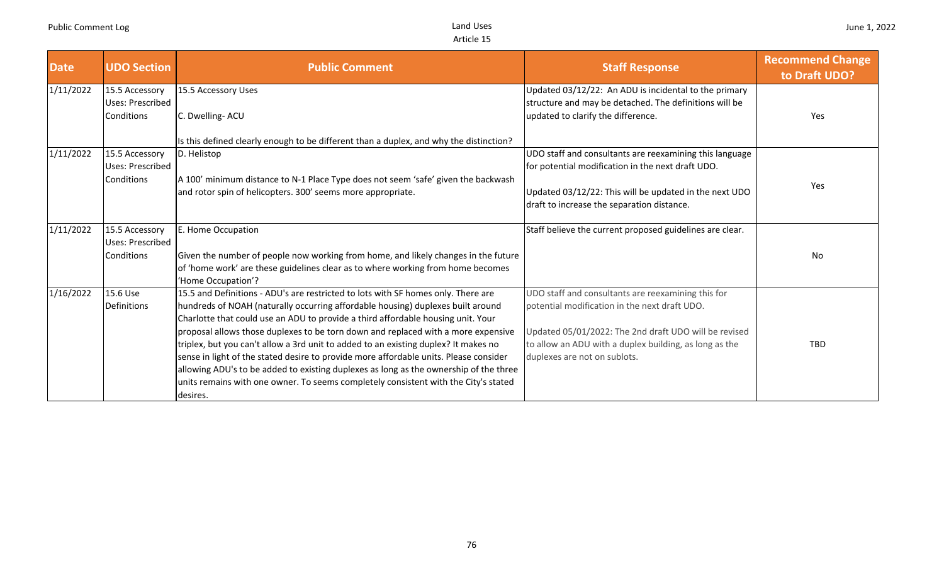| <b>Date</b> | <b>UDO Section</b> | <b>Public Comment</b>                                                                  | <b>Staff Response</b>                                    | <b>Recommend Change</b><br>to Draft UDO? |
|-------------|--------------------|----------------------------------------------------------------------------------------|----------------------------------------------------------|------------------------------------------|
| 1/11/2022   | 15.5 Accessory     | 15.5 Accessory Uses                                                                    | Updated 03/12/22: An ADU is incidental to the primary    |                                          |
|             | Uses: Prescribed   |                                                                                        | structure and may be detached. The definitions will be   |                                          |
|             | Conditions         | C. Dwelling- ACU                                                                       | updated to clarify the difference.                       | Yes                                      |
|             |                    | Is this defined clearly enough to be different than a duplex, and why the distinction? |                                                          |                                          |
| 1/11/2022   | 15.5 Accessory     | D. Helistop                                                                            | UDO staff and consultants are reexamining this language  |                                          |
|             | Uses: Prescribed   |                                                                                        | for potential modification in the next draft UDO.        |                                          |
|             | Conditions         | A 100' minimum distance to N-1 Place Type does not seem 'safe' given the backwash      |                                                          | Yes                                      |
|             |                    | and rotor spin of helicopters. 300' seems more appropriate.                            | Updated 03/12/22: This will be updated in the next UDO   |                                          |
|             |                    |                                                                                        | draft to increase the separation distance.               |                                          |
| 1/11/2022   | 15.5 Accessory     | E. Home Occupation                                                                     | Staff believe the current proposed guidelines are clear. |                                          |
|             | Uses: Prescribed   |                                                                                        |                                                          |                                          |
|             | Conditions         | Given the number of people now working from home, and likely changes in the future     |                                                          | No                                       |
|             |                    | of 'home work' are these guidelines clear as to where working from home becomes        |                                                          |                                          |
|             |                    | 'Home Occupation'?                                                                     |                                                          |                                          |
| 1/16/2022   | 15.6 Use           | 15.5 and Definitions - ADU's are restricted to lots with SF homes only. There are      | UDO staff and consultants are reexamining this for       |                                          |
|             | Definitions        | hundreds of NOAH (naturally occurring affordable housing) duplexes built around        | potential modification in the next draft UDO.            |                                          |
|             |                    | Charlotte that could use an ADU to provide a third affordable housing unit. Your       |                                                          |                                          |
|             |                    | proposal allows those duplexes to be torn down and replaced with a more expensive      | Updated 05/01/2022: The 2nd draft UDO will be revised    |                                          |
|             |                    | triplex, but you can't allow a 3rd unit to added to an existing duplex? It makes no    | to allow an ADU with a duplex building, as long as the   | <b>TBD</b>                               |
|             |                    | sense in light of the stated desire to provide more affordable units. Please consider  | duplexes are not on sublots.                             |                                          |
|             |                    | allowing ADU's to be added to existing duplexes as long as the ownership of the three  |                                                          |                                          |
|             |                    | units remains with one owner. To seems completely consistent with the City's stated    |                                                          |                                          |
|             |                    | desires.                                                                               |                                                          |                                          |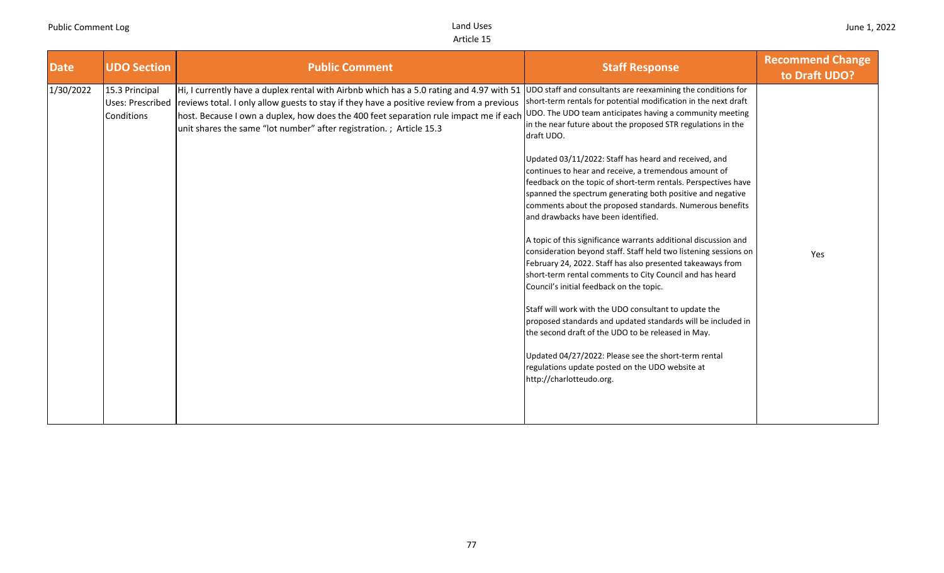| <b>Date</b> | <b>UDO Section</b>                                      | <b>Public Comment</b>                                                                                                                                                                                                                                                                                                                                 | <b>Staff Response</b>                                                                                                                                                                                                                                                                                                                                                                                                                                                                                                                                                                                                                                                                                                                                                                                                                                                                                                                                                                                                                                                                                                                                                                                                                                             | <b>Recommend Change</b><br>to Draft UDO? |
|-------------|---------------------------------------------------------|-------------------------------------------------------------------------------------------------------------------------------------------------------------------------------------------------------------------------------------------------------------------------------------------------------------------------------------------------------|-------------------------------------------------------------------------------------------------------------------------------------------------------------------------------------------------------------------------------------------------------------------------------------------------------------------------------------------------------------------------------------------------------------------------------------------------------------------------------------------------------------------------------------------------------------------------------------------------------------------------------------------------------------------------------------------------------------------------------------------------------------------------------------------------------------------------------------------------------------------------------------------------------------------------------------------------------------------------------------------------------------------------------------------------------------------------------------------------------------------------------------------------------------------------------------------------------------------------------------------------------------------|------------------------------------------|
| 1/30/2022   | 15.3 Principal<br><b>Uses: Prescribed</b><br>Conditions | Hi, I currently have a duplex rental with Airbnb which has a 5.0 rating and 4.97 with 51<br>reviews total. I only allow guests to stay if they have a positive review from a previous<br>host. Because I own a duplex, how does the 400 feet separation rule impact me if each<br>unit shares the same "lot number" after registration.; Article 15.3 | UDO staff and consultants are reexamining the conditions for<br>short-term rentals for potential modification in the next draft<br>UDO. The UDO team anticipates having a community meeting<br>in the near future about the proposed STR regulations in the<br>draft UDO.<br>Updated 03/11/2022: Staff has heard and received, and<br>continues to hear and receive, a tremendous amount of<br>feedback on the topic of short-term rentals. Perspectives have<br>spanned the spectrum generating both positive and negative<br>comments about the proposed standards. Numerous benefits<br>and drawbacks have been identified.<br>A topic of this significance warrants additional discussion and<br>consideration beyond staff. Staff held two listening sessions on<br>February 24, 2022. Staff has also presented takeaways from<br>short-term rental comments to City Council and has heard<br>Council's initial feedback on the topic.<br>Staff will work with the UDO consultant to update the<br>proposed standards and updated standards will be included in<br>the second draft of the UDO to be released in May.<br>Updated 04/27/2022: Please see the short-term rental<br>regulations update posted on the UDO website at<br>http://charlotteudo.org. | Yes                                      |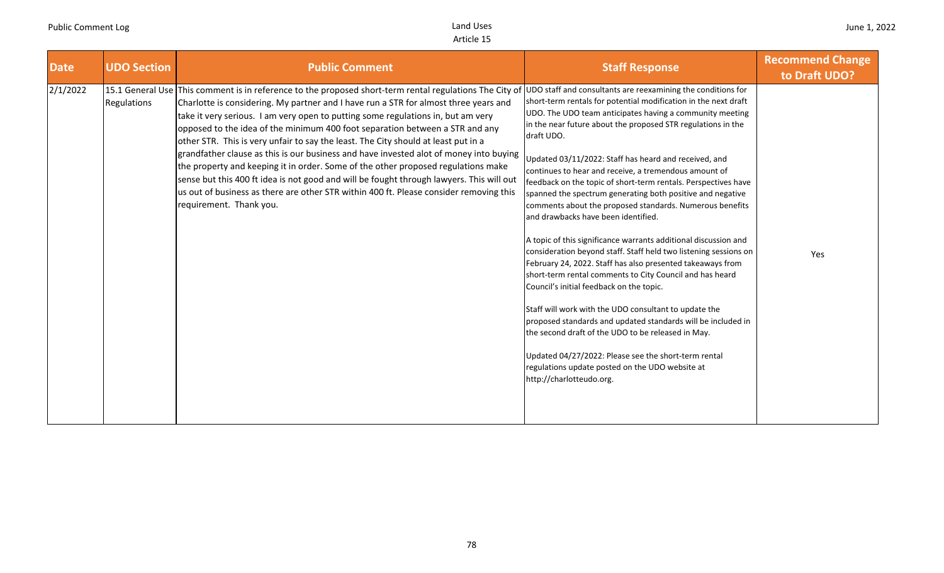| <b>Date</b> | <b>UDO Section</b> | <b>Public Comment</b>                                                                                                                                                                                                                                                                                                                                                                                                                                                                                                                                                                                                                                                                                                                                                                                                                                     | <b>Staff Response</b>                                                                                                                                                                                                                                                                                                                                                                                                                                                                                                                                                                                                                                                                                                                                                                                                                                                                                                                                                                                                                                                                                                                                                                                                                                             | <b>Recommend Change</b><br>to Draft UDO? |
|-------------|--------------------|-----------------------------------------------------------------------------------------------------------------------------------------------------------------------------------------------------------------------------------------------------------------------------------------------------------------------------------------------------------------------------------------------------------------------------------------------------------------------------------------------------------------------------------------------------------------------------------------------------------------------------------------------------------------------------------------------------------------------------------------------------------------------------------------------------------------------------------------------------------|-------------------------------------------------------------------------------------------------------------------------------------------------------------------------------------------------------------------------------------------------------------------------------------------------------------------------------------------------------------------------------------------------------------------------------------------------------------------------------------------------------------------------------------------------------------------------------------------------------------------------------------------------------------------------------------------------------------------------------------------------------------------------------------------------------------------------------------------------------------------------------------------------------------------------------------------------------------------------------------------------------------------------------------------------------------------------------------------------------------------------------------------------------------------------------------------------------------------------------------------------------------------|------------------------------------------|
| 2/1/2022    | Regulations        | 15.1 General Use This comment is in reference to the proposed short-term rental regulations The City of<br>Charlotte is considering. My partner and I have run a STR for almost three years and<br>take it very serious. I am very open to putting some regulations in, but am very<br>opposed to the idea of the minimum 400 foot separation between a STR and any<br>other STR. This is very unfair to say the least. The City should at least put in a<br>grandfather clause as this is our business and have invested alot of money into buying<br>the property and keeping it in order. Some of the other proposed regulations make<br>sense but this 400 ft idea is not good and will be fought through lawyers. This will out<br>us out of business as there are other STR within 400 ft. Please consider removing this<br>requirement. Thank you. | UDO staff and consultants are reexamining the conditions for<br>short-term rentals for potential modification in the next draft<br>UDO. The UDO team anticipates having a community meeting<br>in the near future about the proposed STR regulations in the<br>draft UDO.<br>Updated 03/11/2022: Staff has heard and received, and<br>continues to hear and receive, a tremendous amount of<br>feedback on the topic of short-term rentals. Perspectives have<br>spanned the spectrum generating both positive and negative<br>comments about the proposed standards. Numerous benefits<br>and drawbacks have been identified.<br>A topic of this significance warrants additional discussion and<br>consideration beyond staff. Staff held two listening sessions on<br>February 24, 2022. Staff has also presented takeaways from<br>short-term rental comments to City Council and has heard<br>Council's initial feedback on the topic.<br>Staff will work with the UDO consultant to update the<br>proposed standards and updated standards will be included in<br>the second draft of the UDO to be released in May.<br>Updated 04/27/2022: Please see the short-term rental<br>regulations update posted on the UDO website at<br>http://charlotteudo.org. | Yes                                      |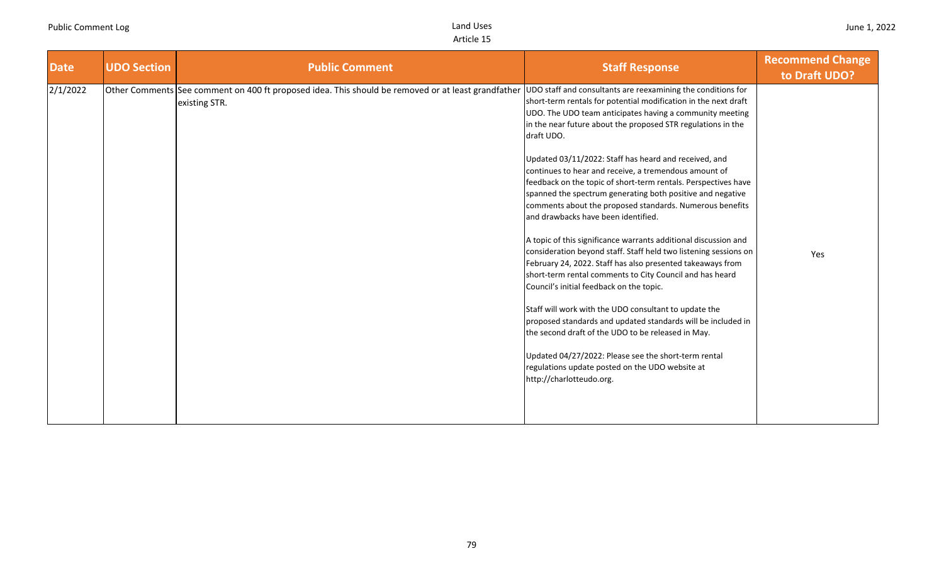| <b>Date</b> | <b>UDO Section</b> | <b>Public Comment</b>                                                                                               | <b>Staff Response</b>                                                                                                                                                                                                                                                                                                                             | <b>Recommend Change</b><br>to Draft UDO? |
|-------------|--------------------|---------------------------------------------------------------------------------------------------------------------|---------------------------------------------------------------------------------------------------------------------------------------------------------------------------------------------------------------------------------------------------------------------------------------------------------------------------------------------------|------------------------------------------|
| 2/1/2022    |                    | Other Comments See comment on 400 ft proposed idea. This should be removed or at least grandfather<br>existing STR. | UDO staff and consultants are reexamining the conditions for<br>short-term rentals for potential modification in the next draft<br>UDO. The UDO team anticipates having a community meeting<br>in the near future about the proposed STR regulations in the<br>draft UDO.                                                                         |                                          |
|             |                    |                                                                                                                     | Updated 03/11/2022: Staff has heard and received, and<br>continues to hear and receive, a tremendous amount of<br>feedback on the topic of short-term rentals. Perspectives have<br>spanned the spectrum generating both positive and negative<br>comments about the proposed standards. Numerous benefits<br>and drawbacks have been identified. |                                          |
|             |                    |                                                                                                                     | A topic of this significance warrants additional discussion and<br>consideration beyond staff. Staff held two listening sessions on<br>February 24, 2022. Staff has also presented takeaways from<br>short-term rental comments to City Council and has heard<br>Council's initial feedback on the topic.                                         | Yes                                      |
|             |                    |                                                                                                                     | Staff will work with the UDO consultant to update the<br>proposed standards and updated standards will be included in<br>the second draft of the UDO to be released in May.                                                                                                                                                                       |                                          |
|             |                    |                                                                                                                     | Updated 04/27/2022: Please see the short-term rental<br>regulations update posted on the UDO website at<br>http://charlotteudo.org.                                                                                                                                                                                                               |                                          |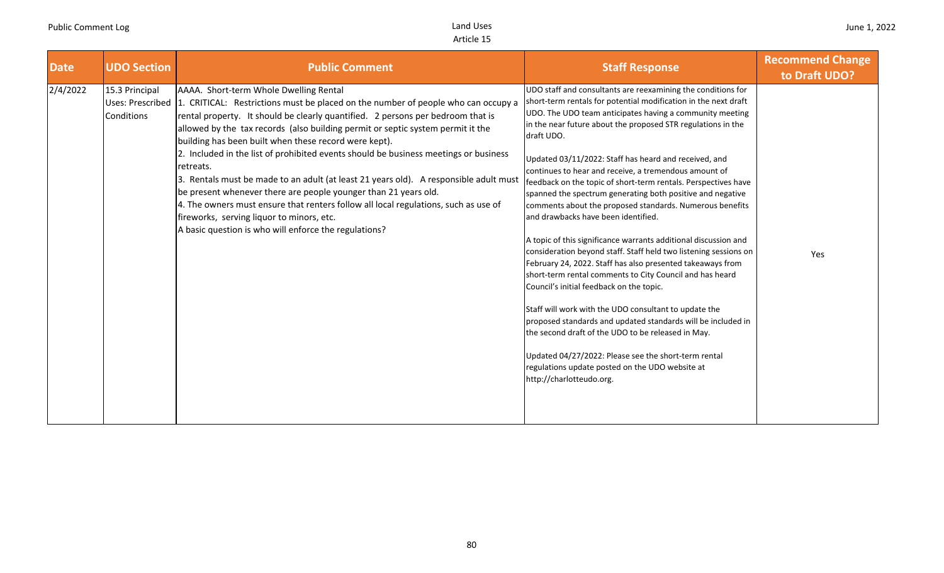| <b>Date</b> | <b>UDO Section</b>                               | <b>Public Comment</b>                                                                                                                                                                                                                                                                                                                                                                                                                                                                                                                                                                                                                                                                                                                                                                                                    | <b>Staff Response</b>                                                                                                                                                                                                                                                                                                                                                                                                                                                                                                                                                                                                                                                                                                                                                                                                                                                                                                                                                                                                                                                                                                                                                                                                                                             | <b>Recommend Change</b><br>to Draft UDO? |
|-------------|--------------------------------------------------|--------------------------------------------------------------------------------------------------------------------------------------------------------------------------------------------------------------------------------------------------------------------------------------------------------------------------------------------------------------------------------------------------------------------------------------------------------------------------------------------------------------------------------------------------------------------------------------------------------------------------------------------------------------------------------------------------------------------------------------------------------------------------------------------------------------------------|-------------------------------------------------------------------------------------------------------------------------------------------------------------------------------------------------------------------------------------------------------------------------------------------------------------------------------------------------------------------------------------------------------------------------------------------------------------------------------------------------------------------------------------------------------------------------------------------------------------------------------------------------------------------------------------------------------------------------------------------------------------------------------------------------------------------------------------------------------------------------------------------------------------------------------------------------------------------------------------------------------------------------------------------------------------------------------------------------------------------------------------------------------------------------------------------------------------------------------------------------------------------|------------------------------------------|
| 2/4/2022    | 15.3 Principal<br>Uses: Prescribed<br>Conditions | AAAA. Short-term Whole Dwelling Rental<br>1. CRITICAL: Restrictions must be placed on the number of people who can occupy a<br>rental property. It should be clearly quantified. 2 persons per bedroom that is<br>allowed by the tax records (also building permit or septic system permit it the<br>building has been built when these record were kept).<br>2. Included in the list of prohibited events should be business meetings or business<br>retreats.<br>3. Rentals must be made to an adult (at least 21 years old). A responsible adult must<br>be present whenever there are people younger than 21 years old.<br>4. The owners must ensure that renters follow all local regulations, such as use of<br>fireworks, serving liquor to minors, etc.<br>A basic question is who will enforce the regulations? | UDO staff and consultants are reexamining the conditions for<br>short-term rentals for potential modification in the next draft<br>UDO. The UDO team anticipates having a community meeting<br>in the near future about the proposed STR regulations in the<br>draft UDO.<br>Updated 03/11/2022: Staff has heard and received, and<br>continues to hear and receive, a tremendous amount of<br>feedback on the topic of short-term rentals. Perspectives have<br>spanned the spectrum generating both positive and negative<br>comments about the proposed standards. Numerous benefits<br>and drawbacks have been identified.<br>A topic of this significance warrants additional discussion and<br>consideration beyond staff. Staff held two listening sessions on<br>February 24, 2022. Staff has also presented takeaways from<br>short-term rental comments to City Council and has heard<br>Council's initial feedback on the topic.<br>Staff will work with the UDO consultant to update the<br>proposed standards and updated standards will be included in<br>the second draft of the UDO to be released in May.<br>Updated 04/27/2022: Please see the short-term rental<br>regulations update posted on the UDO website at<br>http://charlotteudo.org. | Yes                                      |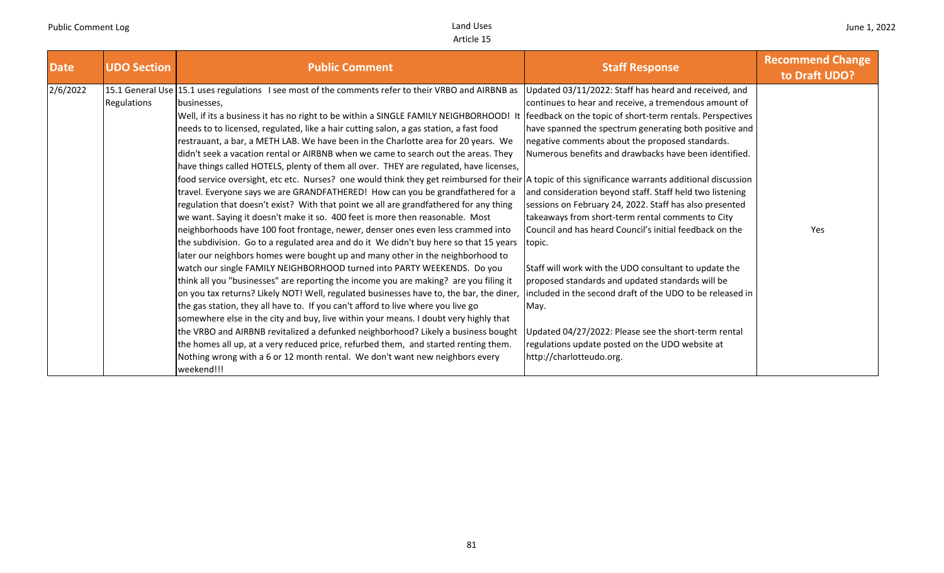| <b>Date</b> | <b>UDO Section</b> | <b>Public Comment</b>                                                                                                                              | <b>Staff Response</b>                                     | <b>Recommend Change</b><br>to Draft UDO? |
|-------------|--------------------|----------------------------------------------------------------------------------------------------------------------------------------------------|-----------------------------------------------------------|------------------------------------------|
| 2/6/2022    |                    | 15.1 General Use 15.1 uses regulations I see most of the comments refer to their VRBO and AIRBNB as                                                | Updated 03/11/2022: Staff has heard and received, and     |                                          |
|             | <b>Regulations</b> | businesses,                                                                                                                                        | continues to hear and receive, a tremendous amount of     |                                          |
|             |                    | Well, if its a business it has no right to be within a SINGLE FAMILY NEIGHBORHOOD! It                                                              | feedback on the topic of short-term rentals. Perspectives |                                          |
|             |                    | needs to to licensed, regulated, like a hair cutting salon, a gas station, a fast food                                                             | have spanned the spectrum generating both positive and    |                                          |
|             |                    | restrauant, a bar, a METH LAB. We have been in the Charlotte area for 20 years. We                                                                 | negative comments about the proposed standards.           |                                          |
|             |                    | didn't seek a vacation rental or AIRBNB when we came to search out the areas. They                                                                 | Numerous benefits and drawbacks have been identified.     |                                          |
|             |                    | have things called HOTELS, plenty of them all over. THEY are regulated, have licenses,                                                             |                                                           |                                          |
|             |                    | food service oversight, etc etc. Nurses? one would think they get reimbursed for their A topic of this significance warrants additional discussion |                                                           |                                          |
|             |                    | travel. Everyone says we are GRANDFATHERED! How can you be grandfathered for a                                                                     | and consideration beyond staff. Staff held two listening  |                                          |
|             |                    | regulation that doesn't exist? With that point we all are grandfathered for any thing                                                              | sessions on February 24, 2022. Staff has also presented   |                                          |
|             |                    | we want. Saying it doesn't make it so. 400 feet is more then reasonable. Most                                                                      | takeaways from short-term rental comments to City         |                                          |
|             |                    | neighborhoods have 100 foot frontage, newer, denser ones even less crammed into                                                                    | Council and has heard Council's initial feedback on the   | Yes                                      |
|             |                    | the subdivision. Go to a regulated area and do it We didn't buy here so that 15 years                                                              | topic.                                                    |                                          |
|             |                    | later our neighbors homes were bought up and many other in the neighborhood to                                                                     |                                                           |                                          |
|             |                    | watch our single FAMILY NEIGHBORHOOD turned into PARTY WEEKENDS. Do you                                                                            | Staff will work with the UDO consultant to update the     |                                          |
|             |                    | think all you "businesses" are reporting the income you are making? are you filing it                                                              | proposed standards and updated standards will be          |                                          |
|             |                    | on you tax returns? Likely NOT! Well, regulated businesses have to, the bar, the diner,                                                            | included in the second draft of the UDO to be released in |                                          |
|             |                    | the gas station, they all have to. If you can't afford to live where you live go                                                                   | May.                                                      |                                          |
|             |                    | somewhere else in the city and buy, live within your means. I doubt very highly that                                                               |                                                           |                                          |
|             |                    | the VRBO and AIRBNB revitalized a defunked neighborhood? Likely a business bought                                                                  | Jpdated 04/27/2022: Please see the short-term rental      |                                          |
|             |                    | the homes all up, at a very reduced price, refurbed them, and started renting them.                                                                | regulations update posted on the UDO website at           |                                          |
|             |                    | Nothing wrong with a 6 or 12 month rental. We don't want new neighbors every                                                                       | http://charlotteudo.org.                                  |                                          |
|             |                    | weekend!!!                                                                                                                                         |                                                           |                                          |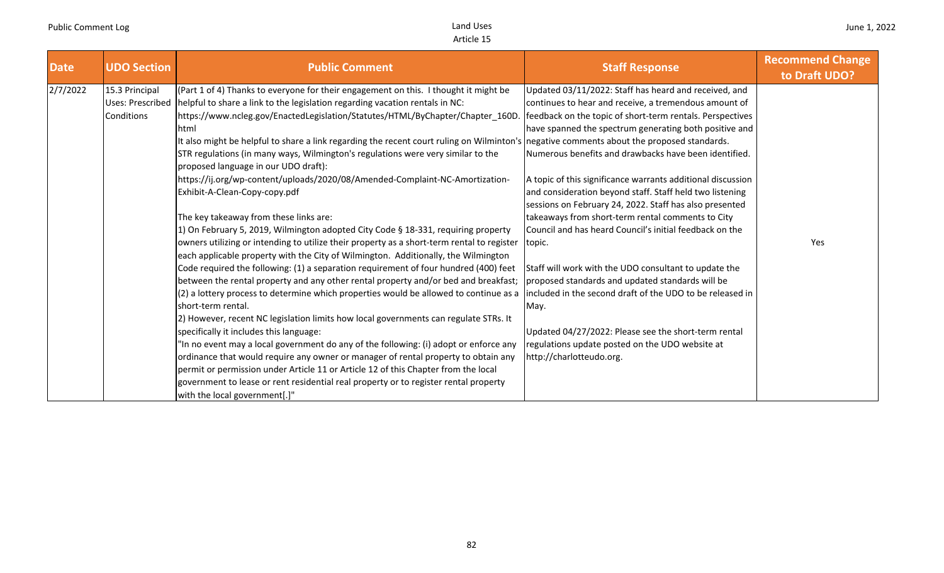| <b>Date</b> | <b>UDO Section</b>                               | <b>Public Comment</b>                                                                                                                                                                                                                                                                                                                                                                                                                                                                                                                                                                                                                                                                                                                                                                                                                                                                                                                                                                                                                                                                                                                                                                                                                                                                                                                                                                                                                                                                                                                                                                                                                                                             | <b>Staff Response</b>                                                                                                                                                                                                                                                                                                                                                                                                                                                                                                                                                                                                                                                                                                                                                                                                                                                                                                                   | <b>Recommend Change</b><br>to Draft UDO? |
|-------------|--------------------------------------------------|-----------------------------------------------------------------------------------------------------------------------------------------------------------------------------------------------------------------------------------------------------------------------------------------------------------------------------------------------------------------------------------------------------------------------------------------------------------------------------------------------------------------------------------------------------------------------------------------------------------------------------------------------------------------------------------------------------------------------------------------------------------------------------------------------------------------------------------------------------------------------------------------------------------------------------------------------------------------------------------------------------------------------------------------------------------------------------------------------------------------------------------------------------------------------------------------------------------------------------------------------------------------------------------------------------------------------------------------------------------------------------------------------------------------------------------------------------------------------------------------------------------------------------------------------------------------------------------------------------------------------------------------------------------------------------------|-----------------------------------------------------------------------------------------------------------------------------------------------------------------------------------------------------------------------------------------------------------------------------------------------------------------------------------------------------------------------------------------------------------------------------------------------------------------------------------------------------------------------------------------------------------------------------------------------------------------------------------------------------------------------------------------------------------------------------------------------------------------------------------------------------------------------------------------------------------------------------------------------------------------------------------------|------------------------------------------|
| 2/7/2022    | 15.3 Principal<br>Uses: Prescribed<br>Conditions | (Part 1 of 4) Thanks to everyone for their engagement on this. I thought it might be<br>helpful to share a link to the legislation regarding vacation rentals in NC:<br>https://www.ncleg.gov/EnactedLegislation/Statutes/HTML/ByChapter/Chapter_160D<br>lhtml<br>It also might be helpful to share a link regarding the recent court ruling on Wilminton's negative comments about the proposed standards.<br>STR regulations (in many ways, Wilmington's regulations were very similar to the<br>proposed language in our UDO draft):<br>https://ij.org/wp-content/uploads/2020/08/Amended-Complaint-NC-Amortization-<br>Exhibit-A-Clean-Copy-copy.pdf<br>The key takeaway from these links are:<br>1) On February 5, 2019, Wilmington adopted City Code § 18-331, requiring property<br>owners utilizing or intending to utilize their property as a short-term rental to register<br>each applicable property with the City of Wilmington. Additionally, the Wilmington<br>Code required the following: (1) a separation requirement of four hundred (400) feet<br>between the rental property and any other rental property and/or bed and breakfast;<br>(2) a lottery process to determine which properties would be allowed to continue as a<br>short-term rental.<br>2) However, recent NC legislation limits how local governments can regulate STRs. It<br>specifically it includes this language:<br>'In no event may a local government do any of the following: (i) adopt or enforce any<br>ordinance that would require any owner or manager of rental property to obtain any<br>permit or permission under Article 11 or Article 12 of this Chapter from the local | Updated 03/11/2022: Staff has heard and received, and<br>continues to hear and receive, a tremendous amount of<br>feedback on the topic of short-term rentals. Perspectives<br>have spanned the spectrum generating both positive and<br>Numerous benefits and drawbacks have been identified.<br>A topic of this significance warrants additional discussion<br>and consideration beyond staff. Staff held two listening<br>sessions on February 24, 2022. Staff has also presented<br>takeaways from short-term rental comments to City<br>Council and has heard Council's initial feedback on the<br>topic.<br>Staff will work with the UDO consultant to update the<br>proposed standards and updated standards will be<br>included in the second draft of the UDO to be released in<br>May.<br>Updated 04/27/2022: Please see the short-term rental<br>regulations update posted on the UDO website at<br>http://charlotteudo.org. | Yes                                      |
|             |                                                  | government to lease or rent residential real property or to register rental property<br>with the local government[.]"                                                                                                                                                                                                                                                                                                                                                                                                                                                                                                                                                                                                                                                                                                                                                                                                                                                                                                                                                                                                                                                                                                                                                                                                                                                                                                                                                                                                                                                                                                                                                             |                                                                                                                                                                                                                                                                                                                                                                                                                                                                                                                                                                                                                                                                                                                                                                                                                                                                                                                                         |                                          |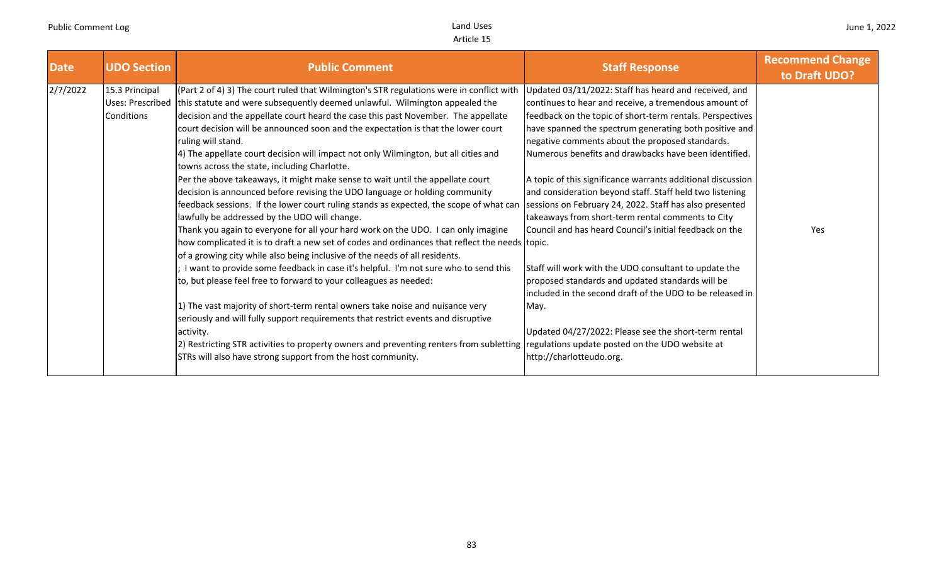| <b>Date</b> | <b>UDO Section</b>                                      | <b>Public Comment</b>                                                                                                                                                                                                                                                                                                                                                                                                                                                                                                                                                                                                                                                                                                                                                                                                                                                                                                                                                                                                                                                                                                                                                                                                                                                                                                                                                                                                                                                                                                                                                                      | <b>Staff Response</b>                                                                                                                                                                                                                                                                                                                                                                                                                                                                                                                                                                                                                                                                                                                                                                                                                                                                             | <b>Recommend Change</b><br>to Draft UDO? |
|-------------|---------------------------------------------------------|--------------------------------------------------------------------------------------------------------------------------------------------------------------------------------------------------------------------------------------------------------------------------------------------------------------------------------------------------------------------------------------------------------------------------------------------------------------------------------------------------------------------------------------------------------------------------------------------------------------------------------------------------------------------------------------------------------------------------------------------------------------------------------------------------------------------------------------------------------------------------------------------------------------------------------------------------------------------------------------------------------------------------------------------------------------------------------------------------------------------------------------------------------------------------------------------------------------------------------------------------------------------------------------------------------------------------------------------------------------------------------------------------------------------------------------------------------------------------------------------------------------------------------------------------------------------------------------------|---------------------------------------------------------------------------------------------------------------------------------------------------------------------------------------------------------------------------------------------------------------------------------------------------------------------------------------------------------------------------------------------------------------------------------------------------------------------------------------------------------------------------------------------------------------------------------------------------------------------------------------------------------------------------------------------------------------------------------------------------------------------------------------------------------------------------------------------------------------------------------------------------|------------------------------------------|
| 2/7/2022    | 15.3 Principal<br>Uses: Prescribed<br><b>Conditions</b> | (Part 2 of 4) 3) The court ruled that Wilmington's STR regulations were in conflict with<br>this statute and were subsequently deemed unlawful. Wilmington appealed the<br>decision and the appellate court heard the case this past November. The appellate<br>court decision will be announced soon and the expectation is that the lower court<br>ruling will stand.<br>4) The appellate court decision will impact not only Wilmington, but all cities and<br>towns across the state, including Charlotte.<br>Per the above takeaways, it might make sense to wait until the appellate court<br>decision is announced before revising the UDO language or holding community<br>feedback sessions. If the lower court ruling stands as expected, the scope of what can<br>lawfully be addressed by the UDO will change.<br>Thank you again to everyone for all your hard work on the UDO. I can only imagine<br>how complicated it is to draft a new set of codes and ordinances that reflect the needs topic.<br>of a growing city while also being inclusive of the needs of all residents.<br>I want to provide some feedback in case it's helpful. I'm not sure who to send this<br>to, but please feel free to forward to your colleagues as needed:<br>1) The vast majority of short-term rental owners take noise and nuisance very<br>seriously and will fully support requirements that restrict events and disruptive<br>activity.<br>2) Restricting STR activities to property owners and preventing renters from subletting regulations update posted on the UDO website at | Updated 03/11/2022: Staff has heard and received, and<br>continues to hear and receive, a tremendous amount of<br>feedback on the topic of short-term rentals. Perspectives<br>have spanned the spectrum generating both positive and<br>negative comments about the proposed standards.<br>Numerous benefits and drawbacks have been identified.<br>A topic of this significance warrants additional discussion<br>and consideration beyond staff. Staff held two listening<br>sessions on February 24, 2022. Staff has also presented<br>takeaways from short-term rental comments to City<br>Council and has heard Council's initial feedback on the<br>Staff will work with the UDO consultant to update the<br>proposed standards and updated standards will be<br>included in the second draft of the UDO to be released in<br>May.<br>Updated 04/27/2022: Please see the short-term rental | Yes                                      |
|             |                                                         | STRs will also have strong support from the host community.                                                                                                                                                                                                                                                                                                                                                                                                                                                                                                                                                                                                                                                                                                                                                                                                                                                                                                                                                                                                                                                                                                                                                                                                                                                                                                                                                                                                                                                                                                                                | http://charlotteudo.org.                                                                                                                                                                                                                                                                                                                                                                                                                                                                                                                                                                                                                                                                                                                                                                                                                                                                          |                                          |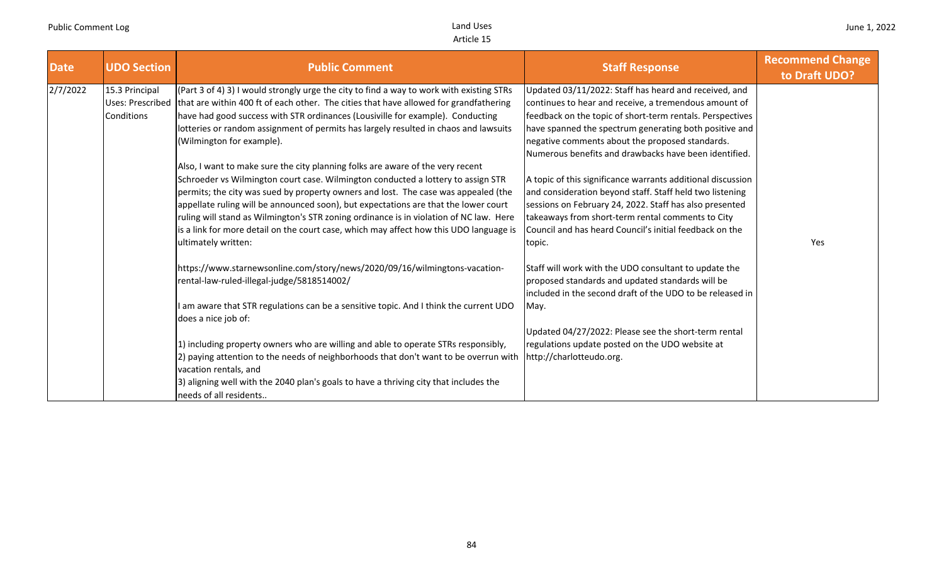| <b>Date</b> | <b>UDO Section</b>                               | <b>Public Comment</b>                                                                                                                                                                                                                                                                                                                                                                                                                                                                                                                                      | <b>Staff Response</b>                                                                                                                                                                                                                                                                                                                             | <b>Recommend Change</b><br>to Draft UDO? |
|-------------|--------------------------------------------------|------------------------------------------------------------------------------------------------------------------------------------------------------------------------------------------------------------------------------------------------------------------------------------------------------------------------------------------------------------------------------------------------------------------------------------------------------------------------------------------------------------------------------------------------------------|---------------------------------------------------------------------------------------------------------------------------------------------------------------------------------------------------------------------------------------------------------------------------------------------------------------------------------------------------|------------------------------------------|
| 2/7/2022    | 15.3 Principal<br>Uses: Prescribed<br>Conditions | (Part 3 of 4) 3) I would strongly urge the city to find a way to work with existing STRs<br>that are within 400 ft of each other. The cities that have allowed for grandfathering<br>have had good success with STR ordinances (Lousiville for example). Conducting<br>lotteries or random assignment of permits has largely resulted in chaos and lawsuits<br>(Wilmington for example).                                                                                                                                                                   | Updated 03/11/2022: Staff has heard and received, and<br>continues to hear and receive, a tremendous amount of<br>feedback on the topic of short-term rentals. Perspectives<br>have spanned the spectrum generating both positive and<br>negative comments about the proposed standards.<br>Numerous benefits and drawbacks have been identified. |                                          |
|             |                                                  | Also, I want to make sure the city planning folks are aware of the very recent<br>Schroeder vs Wilmington court case. Wilmington conducted a lottery to assign STR<br>permits; the city was sued by property owners and lost. The case was appealed (the<br>appellate ruling will be announced soon), but expectations are that the lower court<br>ruling will stand as Wilmington's STR zoning ordinance is in violation of NC law. Here<br>is a link for more detail on the court case, which may affect how this UDO language is<br>ultimately written: | A topic of this significance warrants additional discussion<br>and consideration beyond staff. Staff held two listening<br>sessions on February 24, 2022. Staff has also presented<br>takeaways from short-term rental comments to City<br>Council and has heard Council's initial feedback on the<br>topic.                                      | Yes                                      |
|             |                                                  | https://www.starnewsonline.com/story/news/2020/09/16/wilmingtons-vacation-<br>rental-law-ruled-illegal-judge/5818514002/<br>I am aware that STR regulations can be a sensitive topic. And I think the current UDO<br>does a nice job of:                                                                                                                                                                                                                                                                                                                   | Staff will work with the UDO consultant to update the<br>proposed standards and updated standards will be<br>included in the second draft of the UDO to be released in<br>May.<br>Updated 04/27/2022: Please see the short-term rental                                                                                                            |                                          |
|             |                                                  | 1) including property owners who are willing and able to operate STRs responsibly,<br>2) paying attention to the needs of neighborhoods that don't want to be overrun with<br>vacation rentals, and<br>3) aligning well with the 2040 plan's goals to have a thriving city that includes the<br>needs of all residents                                                                                                                                                                                                                                     | regulations update posted on the UDO website at<br>http://charlotteudo.org.                                                                                                                                                                                                                                                                       |                                          |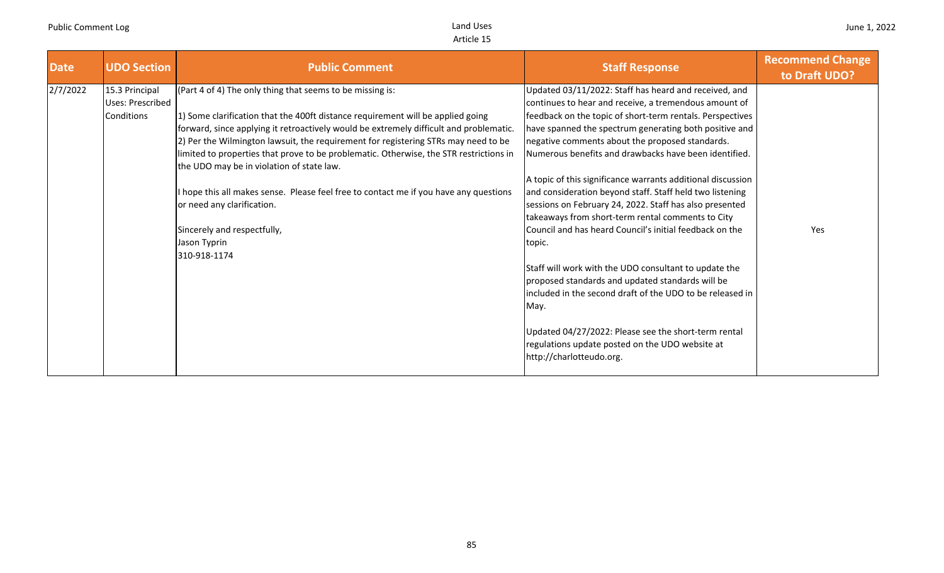| <b>Date</b> | <b>UDO Section</b>                               | <b>Public Comment</b>                                                                                                                                                                                                                                                                                                                                                                                                                                                                                                                                                                                                                                      | <b>Staff Response</b>                                                                                                                                                                                                                                                                                                                                                                                                                                                                                                                                                                                                                                                                                                                                                                                                                                                                                                                                                                      | <b>Recommend Change</b><br>to Draft UDO? |
|-------------|--------------------------------------------------|------------------------------------------------------------------------------------------------------------------------------------------------------------------------------------------------------------------------------------------------------------------------------------------------------------------------------------------------------------------------------------------------------------------------------------------------------------------------------------------------------------------------------------------------------------------------------------------------------------------------------------------------------------|--------------------------------------------------------------------------------------------------------------------------------------------------------------------------------------------------------------------------------------------------------------------------------------------------------------------------------------------------------------------------------------------------------------------------------------------------------------------------------------------------------------------------------------------------------------------------------------------------------------------------------------------------------------------------------------------------------------------------------------------------------------------------------------------------------------------------------------------------------------------------------------------------------------------------------------------------------------------------------------------|------------------------------------------|
| 2/7/2022    | 15.3 Principal<br>Uses: Prescribed<br>Conditions | (Part 4 of 4) The only thing that seems to be missing is:<br>1) Some clarification that the 400ft distance requirement will be applied going<br>forward, since applying it retroactively would be extremely difficult and problematic.<br>[2] Per the Wilmington lawsuit, the requirement for registering STRs may need to be<br>limited to properties that prove to be problematic. Otherwise, the STR restrictions in<br>the UDO may be in violation of state law.<br>I hope this all makes sense. Please feel free to contact me if you have any questions<br>or need any clarification.<br>Sincerely and respectfully,<br>Jason Typrin<br>310-918-1174 | Updated 03/11/2022: Staff has heard and received, and<br>continues to hear and receive, a tremendous amount of<br>feedback on the topic of short-term rentals. Perspectives<br>have spanned the spectrum generating both positive and<br>negative comments about the proposed standards.<br>Numerous benefits and drawbacks have been identified.<br>A topic of this significance warrants additional discussion<br>and consideration beyond staff. Staff held two listening<br>sessions on February 24, 2022. Staff has also presented<br>takeaways from short-term rental comments to City<br>Council and has heard Council's initial feedback on the<br>topic.<br>Staff will work with the UDO consultant to update the<br>proposed standards and updated standards will be<br>included in the second draft of the UDO to be released in<br>May.<br>Updated 04/27/2022: Please see the short-term rental<br>regulations update posted on the UDO website at<br>http://charlotteudo.org. | Yes                                      |
|             |                                                  |                                                                                                                                                                                                                                                                                                                                                                                                                                                                                                                                                                                                                                                            |                                                                                                                                                                                                                                                                                                                                                                                                                                                                                                                                                                                                                                                                                                                                                                                                                                                                                                                                                                                            |                                          |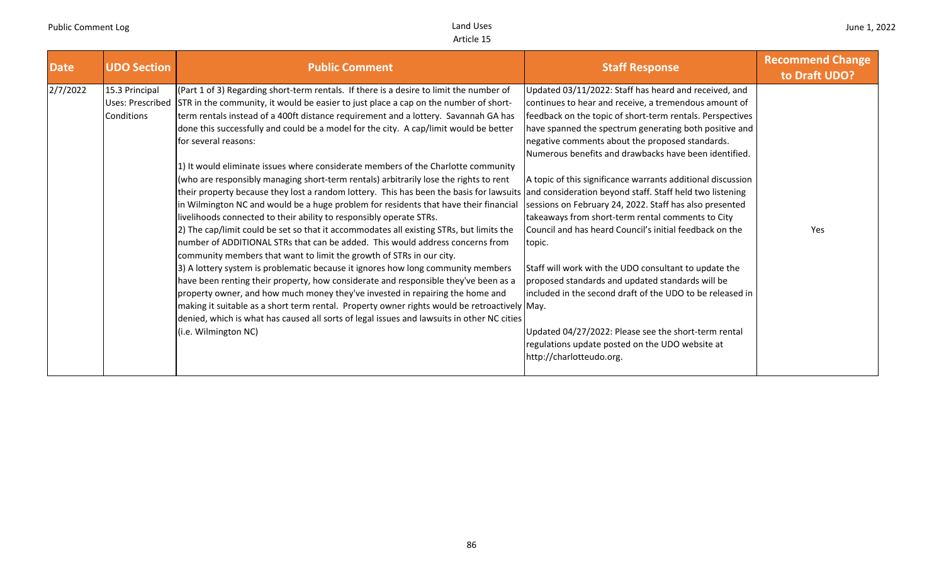| <b>UDO Section</b><br><b>Date</b>                            | <b>Public Comment</b>                                                                                                                                                                                                                                                                                                                                                                                                                                                                                                                                                                                                                                                                                                                                                                                                                                                                                                                                                                                                                                                                                                                                                                                                                                                                                                                                                                                                                                                                                                                                                  | <b>Staff Response</b>                                                                                                                                                                                                                                                                                                                                                                                                                                                                                                                                                                                                                                                                                                                                                                                                                                                                                                                                                              | <b>Recommend Change</b><br>to Draft UDO? |
|--------------------------------------------------------------|------------------------------------------------------------------------------------------------------------------------------------------------------------------------------------------------------------------------------------------------------------------------------------------------------------------------------------------------------------------------------------------------------------------------------------------------------------------------------------------------------------------------------------------------------------------------------------------------------------------------------------------------------------------------------------------------------------------------------------------------------------------------------------------------------------------------------------------------------------------------------------------------------------------------------------------------------------------------------------------------------------------------------------------------------------------------------------------------------------------------------------------------------------------------------------------------------------------------------------------------------------------------------------------------------------------------------------------------------------------------------------------------------------------------------------------------------------------------------------------------------------------------------------------------------------------------|------------------------------------------------------------------------------------------------------------------------------------------------------------------------------------------------------------------------------------------------------------------------------------------------------------------------------------------------------------------------------------------------------------------------------------------------------------------------------------------------------------------------------------------------------------------------------------------------------------------------------------------------------------------------------------------------------------------------------------------------------------------------------------------------------------------------------------------------------------------------------------------------------------------------------------------------------------------------------------|------------------------------------------|
| 2/7/2022<br>15.3 Principal<br>Uses: Prescribed<br>Conditions | (Part 1 of 3) Regarding short-term rentals. If there is a desire to limit the number of<br>STR in the community, it would be easier to just place a cap on the number of short-<br>term rentals instead of a 400ft distance requirement and a lottery. Savannah GA has<br>done this successfully and could be a model for the city. A cap/limit would be better<br>for several reasons:<br>1) It would eliminate issues where considerate members of the Charlotte community<br>(who are responsibly managing short-term rentals) arbitrarily lose the rights to rent<br>their property because they lost a random lottery. This has been the basis for lawsuits<br>in Wilmington NC and would be a huge problem for residents that have their financial<br>livelihoods connected to their ability to responsibly operate STRs.<br>[2] The cap/limit could be set so that it accommodates all existing STRs, but limits the<br>number of ADDITIONAL STRs that can be added. This would address concerns from<br>community members that want to limit the growth of STRs in our city.<br>3) A lottery system is problematic because it ignores how long community members<br>have been renting their property, how considerate and responsible they've been as a<br>property owner, and how much money they've invested in repairing the home and<br>making it suitable as a short term rental. Property owner rights would be retroactively May.<br>denied, which is what has caused all sorts of legal issues and lawsuits in other NC cities<br>(i.e. Wilmington NC) | Updated 03/11/2022: Staff has heard and received, and<br>continues to hear and receive, a tremendous amount of<br>feedback on the topic of short-term rentals. Perspectives<br>have spanned the spectrum generating both positive and<br>negative comments about the proposed standards.<br>Numerous benefits and drawbacks have been identified.<br>A topic of this significance warrants additional discussion<br>and consideration beyond staff. Staff held two listening<br>sessions on February 24, 2022. Staff has also presented<br>takeaways from short-term rental comments to City<br>Council and has heard Council's initial feedback on the<br>topic.<br>Staff will work with the UDO consultant to update the<br>proposed standards and updated standards will be<br>included in the second draft of the UDO to be released in<br>Updated 04/27/2022: Please see the short-term rental<br>regulations update posted on the UDO website at<br>http://charlotteudo.org. | Yes                                      |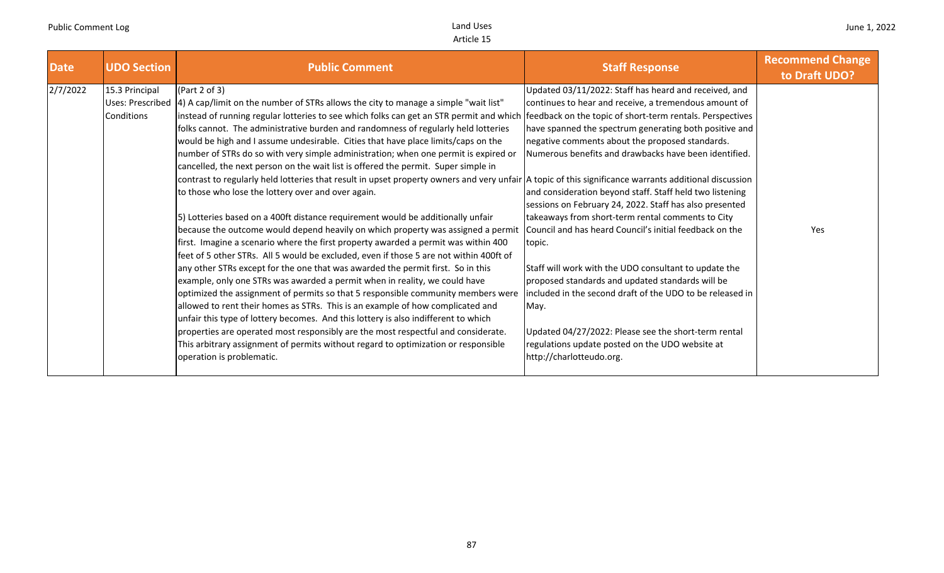| <b>Date</b> | <b>UDO Section</b> | <b>Public Comment</b>                                                                                                                                  | <b>Staff Response</b>                                     | <b>Recommend Change</b><br>to Draft UDO? |
|-------------|--------------------|--------------------------------------------------------------------------------------------------------------------------------------------------------|-----------------------------------------------------------|------------------------------------------|
| 2/7/2022    | 15.3 Principal     | (Part 2 of 3)                                                                                                                                          | Updated 03/11/2022: Staff has heard and received, and     |                                          |
|             | Uses: Prescribed   | 4) A cap/limit on the number of STRs allows the city to manage a simple "wait list"                                                                    | continues to hear and receive, a tremendous amount of     |                                          |
|             | Conditions         | instead of running regular lotteries to see which folks can get an STR permit and which                                                                | feedback on the topic of short-term rentals. Perspectives |                                          |
|             |                    | folks cannot. The administrative burden and randomness of regularly held lotteries                                                                     | have spanned the spectrum generating both positive and    |                                          |
|             |                    | would be high and I assume undesirable. Cities that have place limits/caps on the                                                                      | negative comments about the proposed standards.           |                                          |
|             |                    | number of STRs do so with very simple administration; when one permit is expired or                                                                    | Numerous benefits and drawbacks have been identified.     |                                          |
|             |                    | cancelled, the next person on the wait list is offered the permit. Super simple in                                                                     |                                                           |                                          |
|             |                    | contrast to regularly held lotteries that result in upset property owners and very unfair  A topic of this significance warrants additional discussion |                                                           |                                          |
|             |                    | to those who lose the lottery over and over again.                                                                                                     | and consideration beyond staff. Staff held two listening  |                                          |
|             |                    |                                                                                                                                                        | sessions on February 24, 2022. Staff has also presented   |                                          |
|             |                    | 5) Lotteries based on a 400ft distance requirement would be additionally unfair                                                                        | takeaways from short-term rental comments to City         |                                          |
|             |                    | because the outcome would depend heavily on which property was assigned a permit                                                                       | Council and has heard Council's initial feedback on the   | Yes                                      |
|             |                    | first. Imagine a scenario where the first property awarded a permit was within 400                                                                     | topic.                                                    |                                          |
|             |                    | feet of 5 other STRs. All 5 would be excluded, even if those 5 are not within 400ft of                                                                 |                                                           |                                          |
|             |                    | any other STRs except for the one that was awarded the permit first. So in this                                                                        | Staff will work with the UDO consultant to update the     |                                          |
|             |                    | example, only one STRs was awarded a permit when in reality, we could have                                                                             | proposed standards and updated standards will be          |                                          |
|             |                    | optimized the assignment of permits so that 5 responsible community members were                                                                       | included in the second draft of the UDO to be released in |                                          |
|             |                    | allowed to rent their homes as STRs. This is an example of how complicated and                                                                         | May.                                                      |                                          |
|             |                    | unfair this type of lottery becomes. And this lottery is also indifferent to which                                                                     |                                                           |                                          |
|             |                    | properties are operated most responsibly are the most respectful and considerate.                                                                      | Updated 04/27/2022: Please see the short-term rental      |                                          |
|             |                    | This arbitrary assignment of permits without regard to optimization or responsible                                                                     | regulations update posted on the UDO website at           |                                          |
|             |                    | operation is problematic.                                                                                                                              | http://charlotteudo.org.                                  |                                          |
|             |                    |                                                                                                                                                        |                                                           |                                          |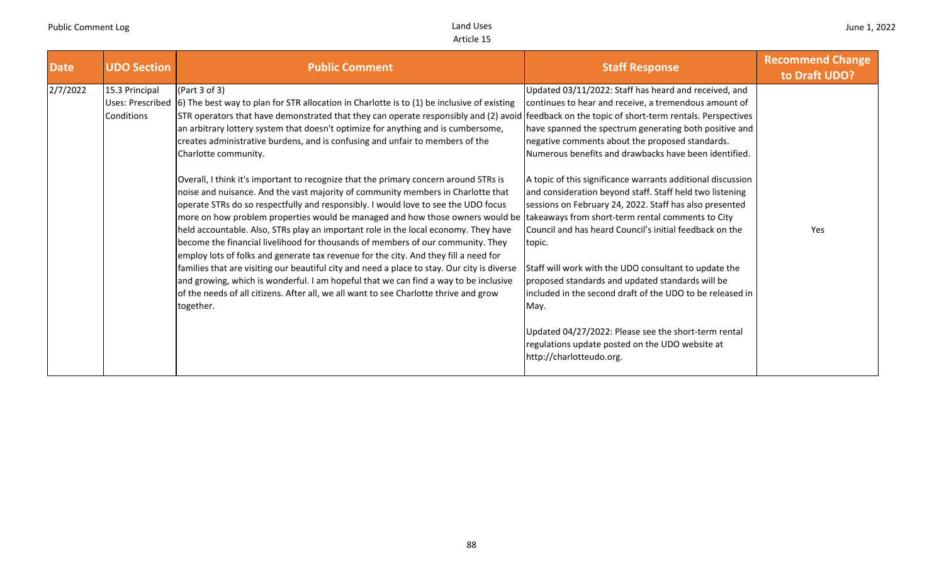| <b>Date</b><br><b>UDO Section</b>               | <b>Public Comment</b>                                                                                                                                                                                                                                                                                                                                                                                                                                                                                                                                                                                                                                                                                                                                                                                                                                                                                                                                                                                                                                                                                                                                                                                                                                                                                                                                                                          | <b>Staff Response</b>                                                                                                                                                                                                                                                                                                                                                                                                                                                                                                                                                                                                                                                                                                                                                                                                                                                                                                         | <b>Recommend Change</b><br>to Draft UDO? |
|-------------------------------------------------|------------------------------------------------------------------------------------------------------------------------------------------------------------------------------------------------------------------------------------------------------------------------------------------------------------------------------------------------------------------------------------------------------------------------------------------------------------------------------------------------------------------------------------------------------------------------------------------------------------------------------------------------------------------------------------------------------------------------------------------------------------------------------------------------------------------------------------------------------------------------------------------------------------------------------------------------------------------------------------------------------------------------------------------------------------------------------------------------------------------------------------------------------------------------------------------------------------------------------------------------------------------------------------------------------------------------------------------------------------------------------------------------|-------------------------------------------------------------------------------------------------------------------------------------------------------------------------------------------------------------------------------------------------------------------------------------------------------------------------------------------------------------------------------------------------------------------------------------------------------------------------------------------------------------------------------------------------------------------------------------------------------------------------------------------------------------------------------------------------------------------------------------------------------------------------------------------------------------------------------------------------------------------------------------------------------------------------------|------------------------------------------|
| 2/7/2022<br>15.3 Principal<br><b>Conditions</b> | (Part 3 of 3)<br>Uses: Prescribed 6) The best way to plan for STR allocation in Charlotte is to (1) be inclusive of existing<br>STR operators that have demonstrated that they can operate responsibly and (2) avoid feedback on the topic of short-term rentals. Perspectives<br>an arbitrary lottery system that doesn't optimize for anything and is cumbersome,<br>creates administrative burdens, and is confusing and unfair to members of the<br>Charlotte community.<br>Overall, I think it's important to recognize that the primary concern around STRs is<br>noise and nuisance. And the vast majority of community members in Charlotte that<br>operate STRs do so respectfully and responsibly. I would love to see the UDO focus<br>more on how problem properties would be managed and how those owners would be<br>held accountable. Also, STRs play an important role in the local economy. They have<br>become the financial livelihood for thousands of members of our community. They<br>employ lots of folks and generate tax revenue for the city. And they fill a need for<br>families that are visiting our beautiful city and need a place to stay. Our city is diverse<br>and growing, which is wonderful. I am hopeful that we can find a way to be inclusive<br>of the needs of all citizens. After all, we all want to see Charlotte thrive and grow<br>together. | Updated 03/11/2022: Staff has heard and received, and<br>continues to hear and receive, a tremendous amount of<br>have spanned the spectrum generating both positive and<br>negative comments about the proposed standards.<br>Numerous benefits and drawbacks have been identified.<br>A topic of this significance warrants additional discussion<br>and consideration beyond staff. Staff held two listening<br>sessions on February 24, 2022. Staff has also presented<br>takeaways from short-term rental comments to City<br>Council and has heard Council's initial feedback on the<br>topic.<br>Staff will work with the UDO consultant to update the<br>proposed standards and updated standards will be<br>included in the second draft of the UDO to be released in<br>May.<br>Updated 04/27/2022: Please see the short-term rental<br>regulations update posted on the UDO website at<br>http://charlotteudo.org. | Yes                                      |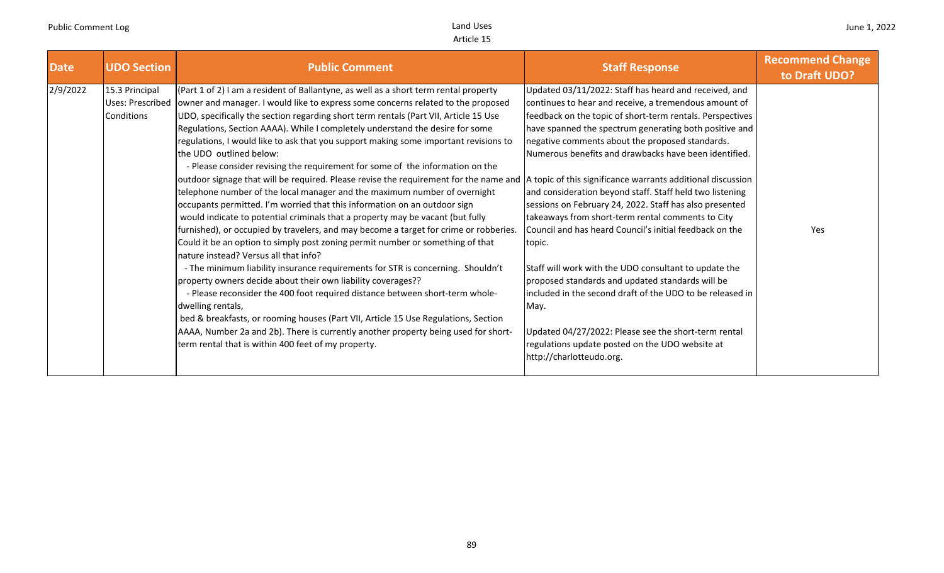| <b>UDO Section</b><br><b>Date</b>                                   | <b>Public Comment</b>                                                                                                                                                                                                                                                                                                                                                                                                                                                                                                                                                                                                                                                                                                                                                                                                                                                                                                                                                                                                                                                                                                                                                                                                                                                                                                                                                                                                                                                                                                                                                                                                                                                     | <b>Staff Response</b>                                                                                                                                                                                                                                                                                                                                                                                                                                                                                                                                                                                                                                                                                                                                                                                                                                                                                                       | <b>Recommend Change</b><br>to Draft UDO? |
|---------------------------------------------------------------------|---------------------------------------------------------------------------------------------------------------------------------------------------------------------------------------------------------------------------------------------------------------------------------------------------------------------------------------------------------------------------------------------------------------------------------------------------------------------------------------------------------------------------------------------------------------------------------------------------------------------------------------------------------------------------------------------------------------------------------------------------------------------------------------------------------------------------------------------------------------------------------------------------------------------------------------------------------------------------------------------------------------------------------------------------------------------------------------------------------------------------------------------------------------------------------------------------------------------------------------------------------------------------------------------------------------------------------------------------------------------------------------------------------------------------------------------------------------------------------------------------------------------------------------------------------------------------------------------------------------------------------------------------------------------------|-----------------------------------------------------------------------------------------------------------------------------------------------------------------------------------------------------------------------------------------------------------------------------------------------------------------------------------------------------------------------------------------------------------------------------------------------------------------------------------------------------------------------------------------------------------------------------------------------------------------------------------------------------------------------------------------------------------------------------------------------------------------------------------------------------------------------------------------------------------------------------------------------------------------------------|------------------------------------------|
| 2/9/2022<br>15.3 Principal<br><b>Uses: Prescribed</b><br>Conditions | $(Part 1 of 2)$ I am a resident of Ballantyne, as well as a short term rental property<br>owner and manager. I would like to express some concerns related to the proposed<br>UDO, specifically the section regarding short term rentals (Part VII, Article 15 Use<br>Regulations, Section AAAA). While I completely understand the desire for some<br>regulations, I would like to ask that you support making some important revisions to<br>the UDO outlined below:<br>- Please consider revising the requirement for some of the information on the<br>outdoor signage that will be required. Please revise the requirement for the name and  A topic of this significance warrants additional discussion<br>telephone number of the local manager and the maximum number of overnight<br>occupants permitted. I'm worried that this information on an outdoor sign<br>would indicate to potential criminals that a property may be vacant (but fully<br>furnished), or occupied by travelers, and may become a target for crime or robberies.<br>Could it be an option to simply post zoning permit number or something of that<br>Inature instead? Versus all that info?<br>- The minimum liability insurance requirements for STR is concerning. Shouldn't<br>property owners decide about their own liability coverages??<br>- Please reconsider the 400 foot required distance between short-term whole-<br>dwelling rentals,<br>bed & breakfasts, or rooming houses (Part VII, Article 15 Use Regulations, Section<br>AAAA, Number 2a and 2b). There is currently another property being used for short-<br>term rental that is within 400 feet of my property. | Updated 03/11/2022: Staff has heard and received, and<br>continues to hear and receive, a tremendous amount of<br>feedback on the topic of short-term rentals. Perspectives<br>have spanned the spectrum generating both positive and<br>negative comments about the proposed standards.<br>Numerous benefits and drawbacks have been identified.<br>and consideration beyond staff. Staff held two listening<br>sessions on February 24, 2022. Staff has also presented<br>takeaways from short-term rental comments to City<br>Council and has heard Council's initial feedback on the<br>topic.<br>Staff will work with the UDO consultant to update the<br>proposed standards and updated standards will be<br>included in the second draft of the UDO to be released in<br>May.<br>Updated 04/27/2022: Please see the short-term rental<br>regulations update posted on the UDO website at<br>http://charlotteudo.org. | Yes                                      |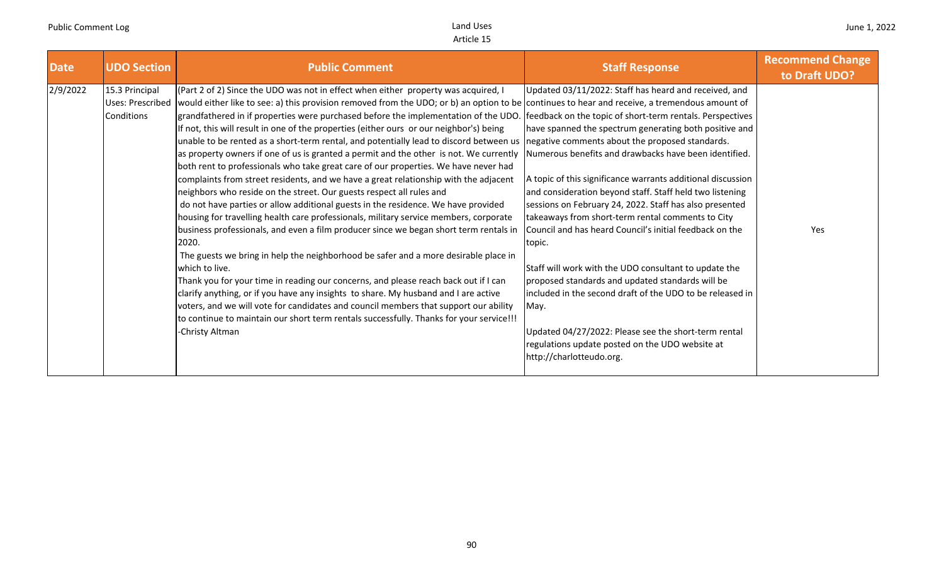| <b>UDO Section</b><br><b>Date</b>                            | <b>Public Comment</b>                                                                                                                                                                                                                                                                                                                                                                                                                                                                                                                                                                                                                                                                                                                                                                                                                                                                                                                                                                                                                                                                                                                                                                                                                                                                                                                                                                                                                                                                                                                                                                                                                         | <b>Staff Response</b>                                                                                                                                                                                                                                                                                                                                                                                                                                                                                                                                                                                                                                                                                                                                                                                                                                                                                                             | <b>Recommend Change</b><br>to Draft UDO? |
|--------------------------------------------------------------|-----------------------------------------------------------------------------------------------------------------------------------------------------------------------------------------------------------------------------------------------------------------------------------------------------------------------------------------------------------------------------------------------------------------------------------------------------------------------------------------------------------------------------------------------------------------------------------------------------------------------------------------------------------------------------------------------------------------------------------------------------------------------------------------------------------------------------------------------------------------------------------------------------------------------------------------------------------------------------------------------------------------------------------------------------------------------------------------------------------------------------------------------------------------------------------------------------------------------------------------------------------------------------------------------------------------------------------------------------------------------------------------------------------------------------------------------------------------------------------------------------------------------------------------------------------------------------------------------------------------------------------------------|-----------------------------------------------------------------------------------------------------------------------------------------------------------------------------------------------------------------------------------------------------------------------------------------------------------------------------------------------------------------------------------------------------------------------------------------------------------------------------------------------------------------------------------------------------------------------------------------------------------------------------------------------------------------------------------------------------------------------------------------------------------------------------------------------------------------------------------------------------------------------------------------------------------------------------------|------------------------------------------|
| 2/9/2022<br>15.3 Principal<br>Uses: Prescribed<br>Conditions | (Part 2 of 2) Since the UDO was not in effect when either property was acquired, I<br>would either like to see: a) this provision removed from the UDO; or b) an option to be continues to hear and receive, a tremendous amount of<br>grandfathered in if properties were purchased before the implementation of the UDO.<br>If not, this will result in one of the properties (either ours or our neighbor's) being<br>unable to be rented as a short-term rental, and potentially lead to discord between us<br>as property owners if one of us is granted a permit and the other is not. We currently<br>both rent to professionals who take great care of our properties. We have never had<br>complaints from street residents, and we have a great relationship with the adjacent<br>neighbors who reside on the street. Our guests respect all rules and<br>do not have parties or allow additional guests in the residence. We have provided<br>housing for travelling health care professionals, military service members, corporate<br>business professionals, and even a film producer since we began short term rentals in<br>2020.<br>The guests we bring in help the neighborhood be safer and a more desirable place in<br>which to live.<br>Thank you for your time in reading our concerns, and please reach back out if I can<br>clarify anything, or if you have any insights to share. My husband and I are active<br>voters, and we will vote for candidates and council members that support our ability<br>to continue to maintain our short term rentals successfully. Thanks for your service!!!<br>-Christy Altman | Updated 03/11/2022: Staff has heard and received, and<br>feedback on the topic of short-term rentals. Perspectives<br>have spanned the spectrum generating both positive and<br>negative comments about the proposed standards.<br>Numerous benefits and drawbacks have been identified.<br>A topic of this significance warrants additional discussion<br>and consideration beyond staff. Staff held two listening<br>sessions on February 24, 2022. Staff has also presented<br>takeaways from short-term rental comments to City<br>Council and has heard Council's initial feedback on the<br>topic.<br>Staff will work with the UDO consultant to update the<br>proposed standards and updated standards will be<br>included in the second draft of the UDO to be released in<br>May.<br>Updated 04/27/2022: Please see the short-term rental<br>regulations update posted on the UDO website at<br>http://charlotteudo.org. | Yes                                      |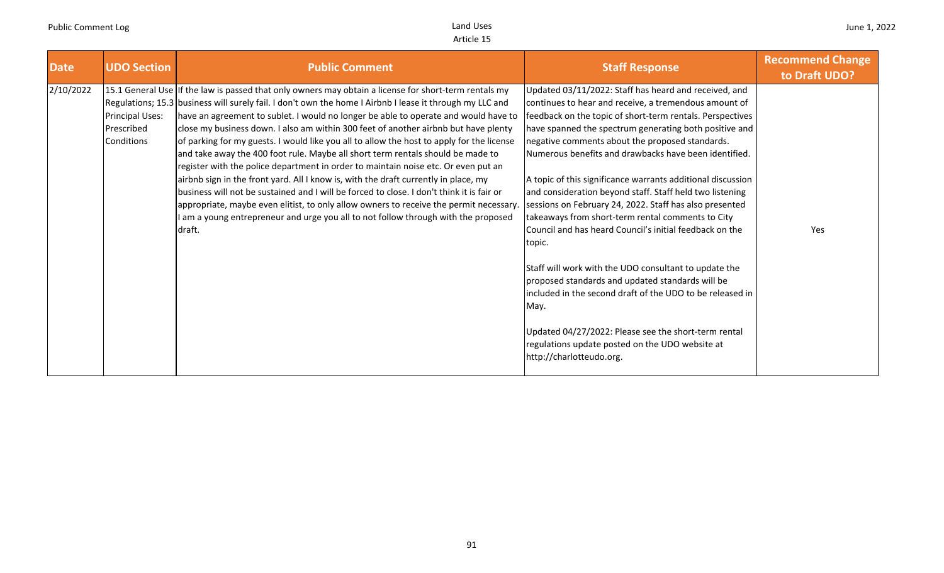| Date      | <b>UDO Section</b>                                 | <b>Public Comment</b>                                                                                                                                                                                                                                                                                                                                                                                                                                                                                                                                                                                                                                                                                                                                                                                                                                                                                                                                                                                                                             | <b>Staff Response</b>                                                                                                                                                                                                                                                                                                                                                                                                                                                                                                                                                                                                                                                                                                                                                                                                                                                                                                                                                                      | <b>Recommend Change</b><br>to Draft UDO? |
|-----------|----------------------------------------------------|---------------------------------------------------------------------------------------------------------------------------------------------------------------------------------------------------------------------------------------------------------------------------------------------------------------------------------------------------------------------------------------------------------------------------------------------------------------------------------------------------------------------------------------------------------------------------------------------------------------------------------------------------------------------------------------------------------------------------------------------------------------------------------------------------------------------------------------------------------------------------------------------------------------------------------------------------------------------------------------------------------------------------------------------------|--------------------------------------------------------------------------------------------------------------------------------------------------------------------------------------------------------------------------------------------------------------------------------------------------------------------------------------------------------------------------------------------------------------------------------------------------------------------------------------------------------------------------------------------------------------------------------------------------------------------------------------------------------------------------------------------------------------------------------------------------------------------------------------------------------------------------------------------------------------------------------------------------------------------------------------------------------------------------------------------|------------------------------------------|
| 2/10/2022 | <b>Principal Uses:</b><br>Prescribed<br>Conditions | 15.1 General Use If the law is passed that only owners may obtain a license for short-term rentals my<br>Regulations; 15.3 business will surely fail. I don't own the home I Airbnb I lease it through my LLC and<br>have an agreement to sublet. I would no longer be able to operate and would have to<br>close my business down. I also am within 300 feet of another airbnb but have plenty<br>of parking for my guests. I would like you all to allow the host to apply for the license<br>and take away the 400 foot rule. Maybe all short term rentals should be made to<br>register with the police department in order to maintain noise etc. Or even put an<br>airbnb sign in the front yard. All I know is, with the draft currently in place, my<br>business will not be sustained and I will be forced to close. I don't think it is fair or<br>appropriate, maybe even elitist, to only allow owners to receive the permit necessary.<br>am a young entrepreneur and urge you all to not follow through with the proposed<br>draft. | Updated 03/11/2022: Staff has heard and received, and<br>continues to hear and receive, a tremendous amount of<br>feedback on the topic of short-term rentals. Perspectives<br>have spanned the spectrum generating both positive and<br>negative comments about the proposed standards.<br>Numerous benefits and drawbacks have been identified.<br>A topic of this significance warrants additional discussion<br>and consideration beyond staff. Staff held two listening<br>sessions on February 24, 2022. Staff has also presented<br>takeaways from short-term rental comments to City<br>Council and has heard Council's initial feedback on the<br>topic.<br>Staff will work with the UDO consultant to update the<br>proposed standards and updated standards will be<br>included in the second draft of the UDO to be released in<br>May.<br>Updated 04/27/2022: Please see the short-term rental<br>regulations update posted on the UDO website at<br>http://charlotteudo.org. | Yes                                      |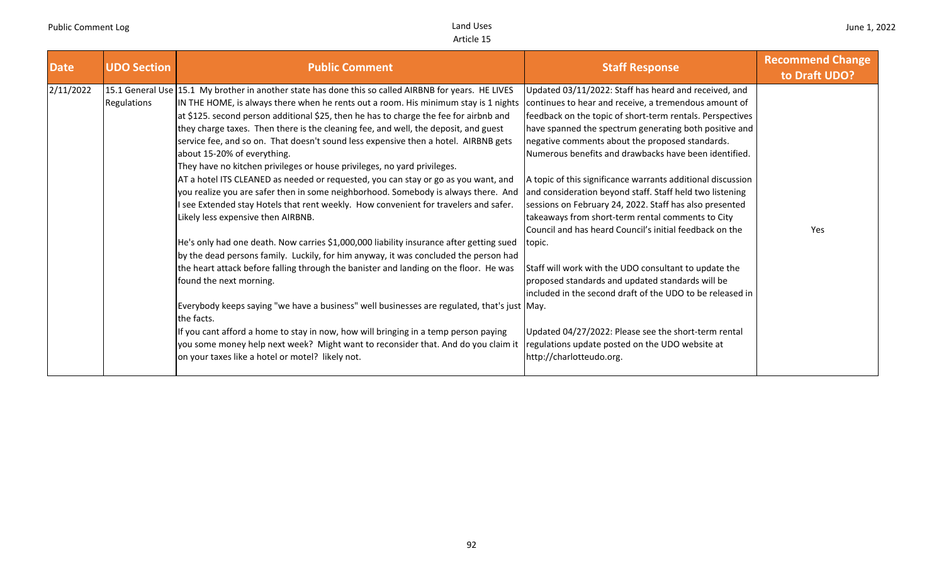| <b>Date</b> | <b>UDO Section</b> | <b>Public Comment</b>                                                                                | <b>Staff Response</b>                                       | <b>Recommend Change</b><br>to Draft UDO? |
|-------------|--------------------|------------------------------------------------------------------------------------------------------|-------------------------------------------------------------|------------------------------------------|
| 2/11/2022   |                    | 15.1 General Use 15.1 My brother in another state has done this so called AIRBNB for years. HE LIVES | Updated 03/11/2022: Staff has heard and received, and       |                                          |
|             | Regulations        | IN THE HOME, is always there when he rents out a room. His minimum stay is 1 nights                  | continues to hear and receive, a tremendous amount of       |                                          |
|             |                    | at \$125. second person additional \$25, then he has to charge the fee for airbnb and                | feedback on the topic of short-term rentals. Perspectives   |                                          |
|             |                    | they charge taxes. Then there is the cleaning fee, and well, the deposit, and guest                  | have spanned the spectrum generating both positive and      |                                          |
|             |                    | service fee, and so on. That doesn't sound less expensive then a hotel. AIRBNB gets                  | negative comments about the proposed standards.             |                                          |
|             |                    | about 15-20% of everything.                                                                          | Numerous benefits and drawbacks have been identified.       |                                          |
|             |                    | They have no kitchen privileges or house privileges, no yard privileges.                             |                                                             |                                          |
|             |                    | AT a hotel ITS CLEANED as needed or requested, you can stay or go as you want, and                   | A topic of this significance warrants additional discussion |                                          |
|             |                    | you realize you are safer then in some neighborhood. Somebody is always there. And                   | and consideration beyond staff. Staff held two listening    |                                          |
|             |                    | I see Extended stay Hotels that rent weekly. How convenient for travelers and safer.                 | sessions on February 24, 2022. Staff has also presented     |                                          |
|             |                    | Likely less expensive then AIRBNB.                                                                   | takeaways from short-term rental comments to City           |                                          |
|             |                    |                                                                                                      | Council and has heard Council's initial feedback on the     | Yes                                      |
|             |                    | He's only had one death. Now carries \$1,000,000 liability insurance after getting sued              | topic.                                                      |                                          |
|             |                    | by the dead persons family. Luckily, for him anyway, it was concluded the person had                 |                                                             |                                          |
|             |                    | the heart attack before falling through the banister and landing on the floor. He was                | Staff will work with the UDO consultant to update the       |                                          |
|             |                    | found the next morning.                                                                              | proposed standards and updated standards will be            |                                          |
|             |                    |                                                                                                      | included in the second draft of the UDO to be released in   |                                          |
|             |                    | Everybody keeps saying "we have a business" well businesses are regulated, that's just May.          |                                                             |                                          |
|             |                    | the facts.                                                                                           |                                                             |                                          |
|             |                    | If you cant afford a home to stay in now, how will bringing in a temp person paying                  | Updated 04/27/2022: Please see the short-term rental        |                                          |
|             |                    | you some money help next week? Might want to reconsider that. And do you claim it                    | regulations update posted on the UDO website at             |                                          |
|             |                    | on your taxes like a hotel or motel? likely not.                                                     | http://charlotteudo.org.                                    |                                          |
|             |                    |                                                                                                      |                                                             |                                          |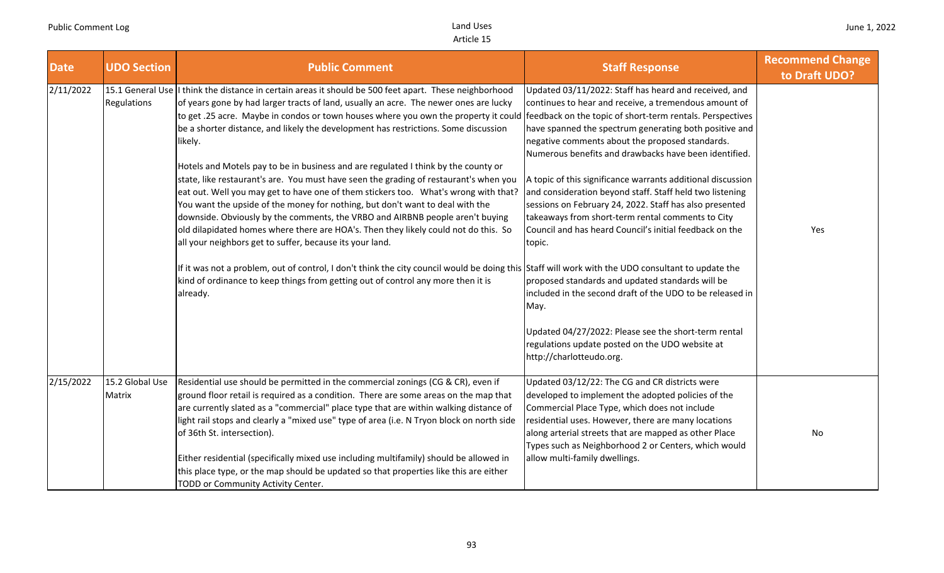| <b>Date</b> | <b>UDO Section</b>        | <b>Public Comment</b>                                                                                                                                                                                                                                                                                                                                                                                                                                                                                                                                                                                                                                                                                                                                                                                                                                                                                                                                                                                                                                                                                                                                                                                                                                                                               | <b>Staff Response</b>                                                                                                                                                                                                                                                                                                                                                                                                                                                                                                                                                                                                                                                                                                                                                                                                                                                | <b>Recommend Change</b><br>to Draft UDO? |
|-------------|---------------------------|-----------------------------------------------------------------------------------------------------------------------------------------------------------------------------------------------------------------------------------------------------------------------------------------------------------------------------------------------------------------------------------------------------------------------------------------------------------------------------------------------------------------------------------------------------------------------------------------------------------------------------------------------------------------------------------------------------------------------------------------------------------------------------------------------------------------------------------------------------------------------------------------------------------------------------------------------------------------------------------------------------------------------------------------------------------------------------------------------------------------------------------------------------------------------------------------------------------------------------------------------------------------------------------------------------|----------------------------------------------------------------------------------------------------------------------------------------------------------------------------------------------------------------------------------------------------------------------------------------------------------------------------------------------------------------------------------------------------------------------------------------------------------------------------------------------------------------------------------------------------------------------------------------------------------------------------------------------------------------------------------------------------------------------------------------------------------------------------------------------------------------------------------------------------------------------|------------------------------------------|
| 2/11/2022   | Regulations               | 15.1 General Use I think the distance in certain areas it should be 500 feet apart. These neighborhood<br>of years gone by had larger tracts of land, usually an acre. The newer ones are lucky<br>to get .25 acre. Maybe in condos or town houses where you own the property it could feedback on the topic of short-term rentals. Perspectives<br>be a shorter distance, and likely the development has restrictions. Some discussion<br>likely.<br>Hotels and Motels pay to be in business and are regulated I think by the county or<br>state, like restaurant's are. You must have seen the grading of restaurant's when you<br>eat out. Well you may get to have one of them stickers too.  What's wrong with that?<br>You want the upside of the money for nothing, but don't want to deal with the<br>downside. Obviously by the comments, the VRBO and AIRBNB people aren't buying<br>old dilapidated homes where there are HOA's. Then they likely could not do this. So<br>all your neighbors get to suffer, because its your land.<br>If it was not a problem, out of control, I don't think the city council would be doing this Staff will work with the UDO consultant to update the<br>kind of ordinance to keep things from getting out of control any more then it is<br>already. | Updated 03/11/2022: Staff has heard and received, and<br>continues to hear and receive, a tremendous amount of<br>have spanned the spectrum generating both positive and<br>negative comments about the proposed standards.<br>Numerous benefits and drawbacks have been identified.<br>A topic of this significance warrants additional discussion<br>and consideration beyond staff. Staff held two listening<br>sessions on February 24, 2022. Staff has also presented<br>takeaways from short-term rental comments to City<br>Council and has heard Council's initial feedback on the<br>topic.<br>proposed standards and updated standards will be<br>included in the second draft of the UDO to be released in<br>May.<br>Updated 04/27/2022: Please see the short-term rental<br>regulations update posted on the UDO website at<br>http://charlotteudo.org. | Yes                                      |
| 2/15/2022   | 15.2 Global Use<br>Matrix | Residential use should be permitted in the commercial zonings (CG & CR), even if<br>ground floor retail is required as a condition. There are some areas on the map that<br>are currently slated as a "commercial" place type that are within walking distance of<br>light rail stops and clearly a "mixed use" type of area (i.e. N Tryon block on north side<br>of 36th St. intersection).<br>Either residential (specifically mixed use including multifamily) should be allowed in<br>this place type, or the map should be updated so that properties like this are either<br>TODD or Community Activity Center.                                                                                                                                                                                                                                                                                                                                                                                                                                                                                                                                                                                                                                                                               | Updated 03/12/22: The CG and CR districts were<br>developed to implement the adopted policies of the<br>Commercial Place Type, which does not include<br>residential uses. However, there are many locations<br>along arterial streets that are mapped as other Place<br>Types such as Neighborhood 2 or Centers, which would<br>allow multi-family dwellings.                                                                                                                                                                                                                                                                                                                                                                                                                                                                                                       | No                                       |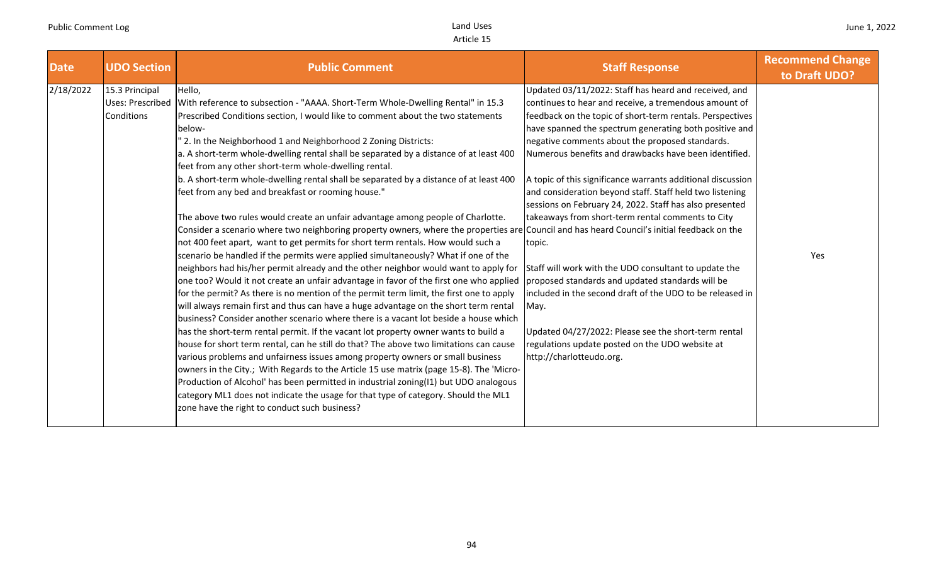| <b>Date</b><br><b>UDO Section</b>                             | <b>Public Comment</b>                                                                                                                                                                                                                                                                                                                                                                                                                                                                                                                                                                                                                                                                                                                                                                                                                                                                                                                                                                                                                                                                                                                                                                                                                                                                                                                                                                                                                                                                                                                                                                                                                                                                                                                                                                                                                                                                                                                                                                                                           | <b>Staff Response</b>                                                                                                                                                                                                                                                                                                                                                                                                                                                                                                                                                                                                                                                                                                                                                                                                                                                                                                           | <b>Recommend Change</b><br>to Draft UDO? |
|---------------------------------------------------------------|---------------------------------------------------------------------------------------------------------------------------------------------------------------------------------------------------------------------------------------------------------------------------------------------------------------------------------------------------------------------------------------------------------------------------------------------------------------------------------------------------------------------------------------------------------------------------------------------------------------------------------------------------------------------------------------------------------------------------------------------------------------------------------------------------------------------------------------------------------------------------------------------------------------------------------------------------------------------------------------------------------------------------------------------------------------------------------------------------------------------------------------------------------------------------------------------------------------------------------------------------------------------------------------------------------------------------------------------------------------------------------------------------------------------------------------------------------------------------------------------------------------------------------------------------------------------------------------------------------------------------------------------------------------------------------------------------------------------------------------------------------------------------------------------------------------------------------------------------------------------------------------------------------------------------------------------------------------------------------------------------------------------------------|---------------------------------------------------------------------------------------------------------------------------------------------------------------------------------------------------------------------------------------------------------------------------------------------------------------------------------------------------------------------------------------------------------------------------------------------------------------------------------------------------------------------------------------------------------------------------------------------------------------------------------------------------------------------------------------------------------------------------------------------------------------------------------------------------------------------------------------------------------------------------------------------------------------------------------|------------------------------------------|
| 2/18/2022<br>15.3 Principal<br>Uses: Prescribed<br>Conditions | Hello,<br>With reference to subsection - "AAAA. Short-Term Whole-Dwelling Rental" in 15.3<br>Prescribed Conditions section, I would like to comment about the two statements<br>below-<br>2. In the Neighborhood 1 and Neighborhood 2 Zoning Districts:<br>a. A short-term whole-dwelling rental shall be separated by a distance of at least 400<br>feet from any other short-term whole-dwelling rental.<br>b. A short-term whole-dwelling rental shall be separated by a distance of at least 400<br>feet from any bed and breakfast or rooming house."<br>The above two rules would create an unfair advantage among people of Charlotte.<br>Consider a scenario where two neighboring property owners, where the properties are Council and has heard Council's initial feedback on the<br>not 400 feet apart, want to get permits for short term rentals. How would such a<br>scenario be handled if the permits were applied simultaneously? What if one of the<br>neighbors had his/her permit already and the other neighbor would want to apply for<br>one too? Would it not create an unfair advantage in favor of the first one who applied<br>for the permit? As there is no mention of the permit term limit, the first one to apply<br>will always remain first and thus can have a huge advantage on the short term rental<br>business? Consider another scenario where there is a vacant lot beside a house which<br>has the short-term rental permit. If the vacant lot property owner wants to build a<br>house for short term rental, can he still do that? The above two limitations can cause<br>various problems and unfairness issues among property owners or small business<br>owners in the City.; With Regards to the Article 15 use matrix (page 15-8). The 'Micro-<br>Production of Alcohol' has been permitted in industrial zoning(I1) but UDO analogous<br>category ML1 does not indicate the usage for that type of category. Should the ML1<br>zone have the right to conduct such business? | Updated 03/11/2022: Staff has heard and received, and<br>continues to hear and receive, a tremendous amount of<br>feedback on the topic of short-term rentals. Perspectives<br>have spanned the spectrum generating both positive and<br>negative comments about the proposed standards.<br>Numerous benefits and drawbacks have been identified.<br>A topic of this significance warrants additional discussion<br>and consideration beyond staff. Staff held two listening<br>sessions on February 24, 2022. Staff has also presented<br>takeaways from short-term rental comments to City<br>topic.<br>Staff will work with the UDO consultant to update the<br>proposed standards and updated standards will be<br>included in the second draft of the UDO to be released in<br>May.<br>Updated 04/27/2022: Please see the short-term rental<br>regulations update posted on the UDO website at<br>http://charlotteudo.org. | Yes                                      |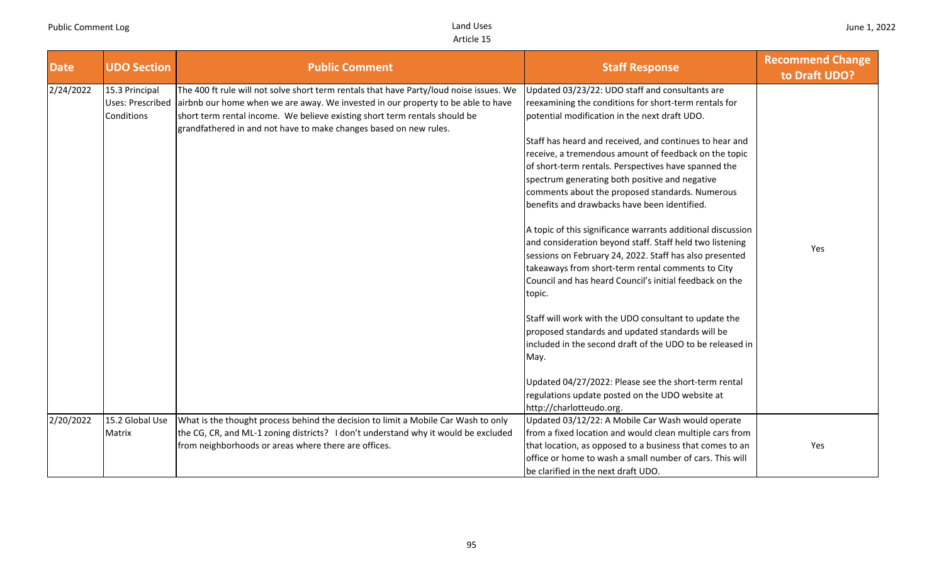| <b>Date</b> | <b>UDO Section</b>                                      | <b>Public Comment</b>                                                                                                                                                                                                                                                                                                          | <b>Staff Response</b>                                                                                                                                                                                                                                                                                                                                                                                                                                                                                                                                                                                                                                                                                                                                                                                                                                                                                                                                                                                                                                                                                   | <b>Recommend Change</b><br>to Draft UDO? |
|-------------|---------------------------------------------------------|--------------------------------------------------------------------------------------------------------------------------------------------------------------------------------------------------------------------------------------------------------------------------------------------------------------------------------|---------------------------------------------------------------------------------------------------------------------------------------------------------------------------------------------------------------------------------------------------------------------------------------------------------------------------------------------------------------------------------------------------------------------------------------------------------------------------------------------------------------------------------------------------------------------------------------------------------------------------------------------------------------------------------------------------------------------------------------------------------------------------------------------------------------------------------------------------------------------------------------------------------------------------------------------------------------------------------------------------------------------------------------------------------------------------------------------------------|------------------------------------------|
| 2/24/2022   | 15.3 Principal<br><b>Uses: Prescribed</b><br>Conditions | The 400 ft rule will not solve short term rentals that have Party/loud noise issues. We<br>airbnb our home when we are away. We invested in our property to be able to have<br>short term rental income. We believe existing short term rentals should be<br>grandfathered in and not have to make changes based on new rules. | Updated 03/23/22: UDO staff and consultants are<br>reexamining the conditions for short-term rentals for<br>potential modification in the next draft UDO.<br>Staff has heard and received, and continues to hear and<br>receive, a tremendous amount of feedback on the topic<br>of short-term rentals. Perspectives have spanned the<br>spectrum generating both positive and negative<br>comments about the proposed standards. Numerous<br>benefits and drawbacks have been identified.<br>A topic of this significance warrants additional discussion<br>and consideration beyond staff. Staff held two listening<br>sessions on February 24, 2022. Staff has also presented<br>takeaways from short-term rental comments to City<br>Council and has heard Council's initial feedback on the<br>topic.<br>Staff will work with the UDO consultant to update the<br>proposed standards and updated standards will be<br>included in the second draft of the UDO to be released in<br>May.<br>Updated 04/27/2022: Please see the short-term rental<br>regulations update posted on the UDO website at | Yes                                      |
| 2/20/2022   | 15.2 Global Use                                         | What is the thought process behind the decision to limit a Mobile Car Wash to only                                                                                                                                                                                                                                             | http://charlotteudo.org.<br>Updated 03/12/22: A Mobile Car Wash would operate                                                                                                                                                                                                                                                                                                                                                                                                                                                                                                                                                                                                                                                                                                                                                                                                                                                                                                                                                                                                                           |                                          |
|             | Matrix                                                  | the CG, CR, and ML-1 zoning districts? I don't understand why it would be excluded<br>from neighborhoods or areas where there are offices.                                                                                                                                                                                     | from a fixed location and would clean multiple cars from<br>that location, as opposed to a business that comes to an<br>office or home to wash a small number of cars. This will<br>be clarified in the next draft UDO.                                                                                                                                                                                                                                                                                                                                                                                                                                                                                                                                                                                                                                                                                                                                                                                                                                                                                 | Yes                                      |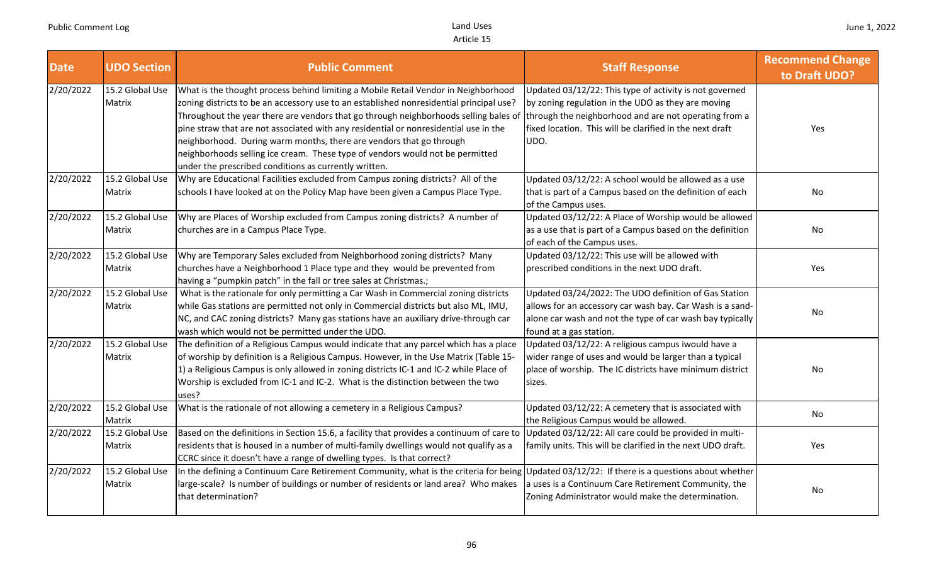| <b>Date</b> | <b>UDO Section</b>        | <b>Public Comment</b>                                                                                                                                                                                                                                                                                                                                                                                                                                                                                                                                                          | <b>Staff Response</b>                                                                                                                                                                                                                      | <b>Recommend Change</b><br>to Draft UDO? |
|-------------|---------------------------|--------------------------------------------------------------------------------------------------------------------------------------------------------------------------------------------------------------------------------------------------------------------------------------------------------------------------------------------------------------------------------------------------------------------------------------------------------------------------------------------------------------------------------------------------------------------------------|--------------------------------------------------------------------------------------------------------------------------------------------------------------------------------------------------------------------------------------------|------------------------------------------|
| 2/20/2022   | 15.2 Global Use<br>Matrix | What is the thought process behind limiting a Mobile Retail Vendor in Neighborhood<br>zoning districts to be an accessory use to an established nonresidential principal use?<br>Throughout the year there are vendors that go through neighborhoods selling bales of<br>pine straw that are not associated with any residential or nonresidential use in the<br>neighborhood. During warm months, there are vendors that go through<br>neighborhoods selling ice cream. These type of vendors would not be permitted<br>under the prescribed conditions as currently written. | Updated 03/12/22: This type of activity is not governed<br>by zoning regulation in the UDO as they are moving<br>through the neighborhood and are not operating from a<br>fixed location. This will be clarified in the next draft<br>UDO. | Yes                                      |
| 2/20/2022   | 15.2 Global Use<br>Matrix | Why are Educational Facilities excluded from Campus zoning districts? All of the<br>schools I have looked at on the Policy Map have been given a Campus Place Type.                                                                                                                                                                                                                                                                                                                                                                                                            | Updated 03/12/22: A school would be allowed as a use<br>that is part of a Campus based on the definition of each<br>of the Campus uses.                                                                                                    | No                                       |
| 2/20/2022   | 15.2 Global Use<br>Matrix | Why are Places of Worship excluded from Campus zoning districts? A number of<br>churches are in a Campus Place Type.                                                                                                                                                                                                                                                                                                                                                                                                                                                           | Updated 03/12/22: A Place of Worship would be allowed<br>as a use that is part of a Campus based on the definition<br>of each of the Campus uses.                                                                                          | No                                       |
| 2/20/2022   | 15.2 Global Use<br>Matrix | Why are Temporary Sales excluded from Neighborhood zoning districts? Many<br>churches have a Neighborhood 1 Place type and they would be prevented from<br>having a "pumpkin patch" in the fall or tree sales at Christmas.;                                                                                                                                                                                                                                                                                                                                                   | Updated 03/12/22: This use will be allowed with<br>prescribed conditions in the next UDO draft.                                                                                                                                            | Yes                                      |
| 2/20/2022   | 15.2 Global Use<br>Matrix | What is the rationale for only permitting a Car Wash in Commercial zoning districts<br>while Gas stations are permitted not only in Commercial districts but also ML, IMU,<br>NC, and CAC zoning districts? Many gas stations have an auxiliary drive-through car<br>wash which would not be permitted under the UDO.                                                                                                                                                                                                                                                          | Updated 03/24/2022: The UDO definition of Gas Station<br>allows for an accessory car wash bay. Car Wash is a sand-<br>alone car wash and not the type of car wash bay typically<br>found at a gas station.                                 | No                                       |
| 2/20/2022   | 15.2 Global Use<br>Matrix | The definition of a Religious Campus would indicate that any parcel which has a place<br>of worship by definition is a Religious Campus. However, in the Use Matrix (Table 15-<br>1) a Religious Campus is only allowed in zoning districts IC-1 and IC-2 while Place of<br>Worship is excluded from IC-1 and IC-2. What is the distinction between the two<br>uses?                                                                                                                                                                                                           | Updated 03/12/22: A religious campus iwould have a<br>wider range of uses and would be larger than a typical<br>place of worship. The IC districts have minimum district<br>sizes.                                                         | No                                       |
| 2/20/2022   | 15.2 Global Use<br>Matrix | What is the rationale of not allowing a cemetery in a Religious Campus?                                                                                                                                                                                                                                                                                                                                                                                                                                                                                                        | Updated 03/12/22: A cemetery that is associated with<br>the Religious Campus would be allowed.                                                                                                                                             | No                                       |
| 2/20/2022   | 15.2 Global Use<br>Matrix | Based on the definitions in Section 15.6, a facility that provides a continuum of care to<br>residents that is housed in a number of multi-family dwellings would not qualify as a<br>CCRC since it doesn't have a range of dwelling types. Is that correct?                                                                                                                                                                                                                                                                                                                   | Updated 03/12/22: All care could be provided in multi-<br>family units. This will be clarified in the next UDO draft.                                                                                                                      | Yes                                      |
| 2/20/2022   | 15.2 Global Use<br>Matrix | In the defining a Continuum Care Retirement Community, what is the criteria for being Updated 03/12/22: If there is a questions about whether<br>large-scale? Is number of buildings or number of residents or land area? Who makes<br>that determination?                                                                                                                                                                                                                                                                                                                     | a uses is a Continuum Care Retirement Community, the<br>Zoning Administrator would make the determination.                                                                                                                                 | No                                       |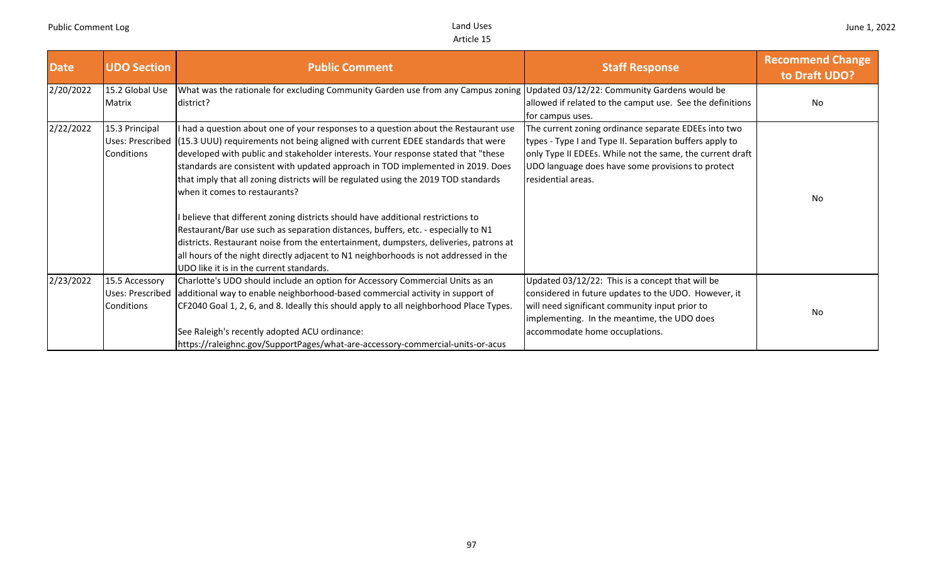| <b>Date</b> | <b>UDO Section</b>                               | <b>Public Comment</b>                                                                                                                                                                                                                                                                                                                                                                                                                                                                                                                                                                                                                                                                                                                                                                                                                                                                         | <b>Staff Response</b>                                                                                                                                                                                                                                   | <b>Recommend Change</b><br>to Draft UDO? |
|-------------|--------------------------------------------------|-----------------------------------------------------------------------------------------------------------------------------------------------------------------------------------------------------------------------------------------------------------------------------------------------------------------------------------------------------------------------------------------------------------------------------------------------------------------------------------------------------------------------------------------------------------------------------------------------------------------------------------------------------------------------------------------------------------------------------------------------------------------------------------------------------------------------------------------------------------------------------------------------|---------------------------------------------------------------------------------------------------------------------------------------------------------------------------------------------------------------------------------------------------------|------------------------------------------|
| 2/20/2022   | 15.2 Global Use<br><b>Matrix</b>                 | What was the rationale for excluding Community Garden use from any Campus zoning Updated 03/12/22: Community Gardens would be<br>district?                                                                                                                                                                                                                                                                                                                                                                                                                                                                                                                                                                                                                                                                                                                                                    | allowed if related to the camput use. See the definitions<br>for campus uses.                                                                                                                                                                           | <b>No</b>                                |
| 2/22/2022   | 15.3 Principal<br>Conditions                     | I had a question about one of your responses to a question about the Restaurant use<br>Uses: Prescribed (15.3 UUU) requirements not being aligned with current EDEE standards that were<br>developed with public and stakeholder interests. Your response stated that "these<br>standards are consistent with updated approach in TOD implemented in 2019. Does<br>that imply that all zoning districts will be regulated using the 2019 TOD standards<br>when it comes to restaurants?<br>I believe that different zoning districts should have additional restrictions to<br>Restaurant/Bar use such as separation distances, buffers, etc. - especially to N1<br>districts. Restaurant noise from the entertainment, dumpsters, deliveries, patrons at<br>all hours of the night directly adjacent to N1 neighborhoods is not addressed in the<br>UDO like it is in the current standards. | The current zoning ordinance separate EDEEs into two<br>types - Type I and Type II. Separation buffers apply to<br>only Type II EDEEs. While not the same, the current draft<br>UDO language does have some provisions to protect<br>residential areas. | <b>No</b>                                |
| 2/23/2022   | 15.5 Accessory<br>Uses: Prescribed<br>Conditions | Charlotte's UDO should include an option for Accessory Commercial Units as an<br>additional way to enable neighborhood-based commercial activity in support of<br>CF2040 Goal 1, 2, 6, and 8. Ideally this should apply to all neighborhood Place Types.<br>See Raleigh's recently adopted ACU ordinance:<br>https://raleighnc.gov/SupportPages/what-are-accessory-commercial-units-or-acus                                                                                                                                                                                                                                                                                                                                                                                                                                                                                                   | Updated 03/12/22: This is a concept that will be<br>considered in future updates to the UDO. However, it<br>will need significant community input prior to<br>implementing. In the meantime, the UDO does<br>accommodate home occuplations.             | <b>No</b>                                |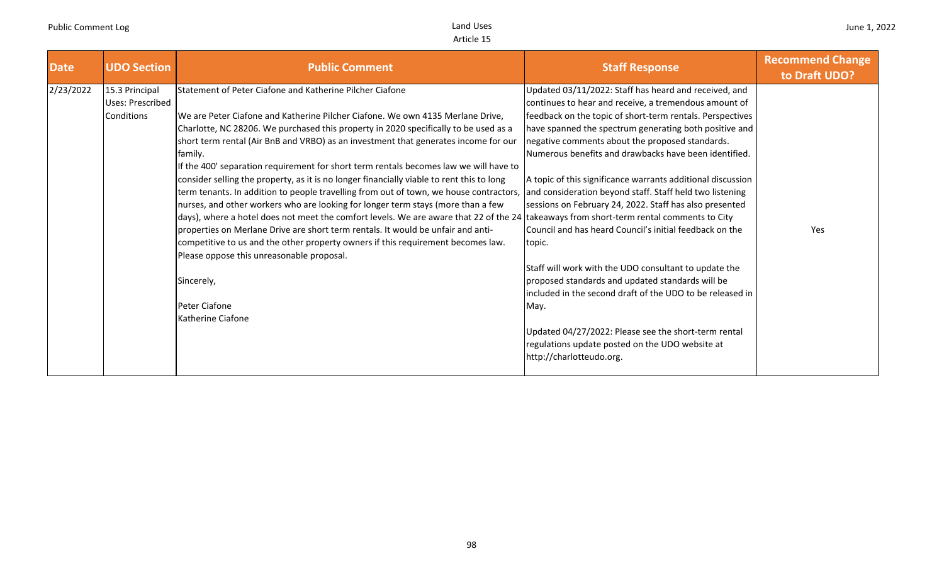| <b>Date</b> | <b>UDO Section</b> | <b>Public Comment</b>                                                                     | <b>Staff Response</b>                                       | <b>Recommend Change</b><br>to Draft UDO? |
|-------------|--------------------|-------------------------------------------------------------------------------------------|-------------------------------------------------------------|------------------------------------------|
| 2/23/2022   | 15.3 Principal     | Statement of Peter Ciafone and Katherine Pilcher Ciafone                                  | Updated 03/11/2022: Staff has heard and received, and       |                                          |
|             | Uses: Prescribed   |                                                                                           | continues to hear and receive, a tremendous amount of       |                                          |
|             | Conditions         | We are Peter Ciafone and Katherine Pilcher Ciafone. We own 4135 Merlane Drive,            | feedback on the topic of short-term rentals. Perspectives   |                                          |
|             |                    | Charlotte, NC 28206. We purchased this property in 2020 specifically to be used as a      | have spanned the spectrum generating both positive and      |                                          |
|             |                    | short term rental (Air BnB and VRBO) as an investment that generates income for our       | negative comments about the proposed standards.             |                                          |
|             |                    | family.                                                                                   | Numerous benefits and drawbacks have been identified.       |                                          |
|             |                    | If the 400' separation requirement for short term rentals becomes law we will have to     |                                                             |                                          |
|             |                    | consider selling the property, as it is no longer financially viable to rent this to long | A topic of this significance warrants additional discussion |                                          |
|             |                    | term tenants. In addition to people travelling from out of town, we house contractors,    | and consideration beyond staff. Staff held two listening    |                                          |
|             |                    | nurses, and other workers who are looking for longer term stays (more than a few          | sessions on February 24, 2022. Staff has also presented     |                                          |
|             |                    | days), where a hotel does not meet the comfort levels. We are aware that 22 of the 24     | takeaways from short-term rental comments to City           |                                          |
|             |                    | properties on Merlane Drive are short term rentals. It would be unfair and anti-          | Council and has heard Council's initial feedback on the     | Yes                                      |
|             |                    | competitive to us and the other property owners if this requirement becomes law.          | topic.                                                      |                                          |
|             |                    | Please oppose this unreasonable proposal.                                                 |                                                             |                                          |
|             |                    |                                                                                           | Staff will work with the UDO consultant to update the       |                                          |
|             |                    | Sincerely,                                                                                | proposed standards and updated standards will be            |                                          |
|             |                    |                                                                                           | included in the second draft of the UDO to be released in   |                                          |
|             |                    | Peter Ciafone                                                                             | May.                                                        |                                          |
|             |                    | Katherine Ciafone                                                                         |                                                             |                                          |
|             |                    |                                                                                           | Updated 04/27/2022: Please see the short-term rental        |                                          |
|             |                    |                                                                                           | regulations update posted on the UDO website at             |                                          |
|             |                    |                                                                                           | http://charlotteudo.org.                                    |                                          |
|             |                    |                                                                                           |                                                             |                                          |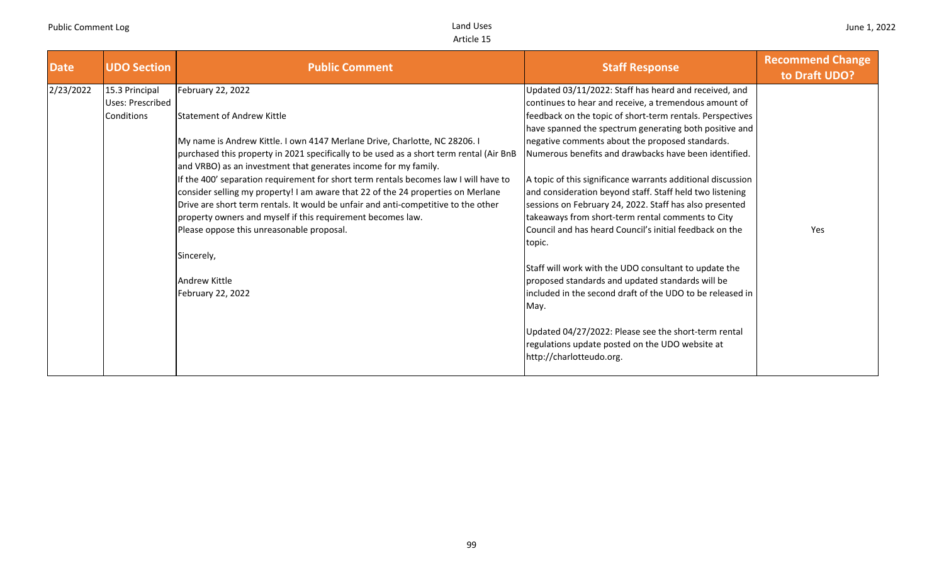| <b>Date</b> | <b>UDO Section</b>      | <b>Public Comment</b>                                                                   | <b>Staff Response</b>                                       | <b>Recommend Change</b><br>to Draft UDO? |
|-------------|-------------------------|-----------------------------------------------------------------------------------------|-------------------------------------------------------------|------------------------------------------|
| 2/23/2022   | 15.3 Principal          | February 22, 2022                                                                       | Updated 03/11/2022: Staff has heard and received, and       |                                          |
|             | <b>Uses: Prescribed</b> |                                                                                         | continues to hear and receive, a tremendous amount of       |                                          |
|             | Conditions              | Statement of Andrew Kittle                                                              | feedback on the topic of short-term rentals. Perspectives   |                                          |
|             |                         |                                                                                         | have spanned the spectrum generating both positive and      |                                          |
|             |                         | My name is Andrew Kittle. I own 4147 Merlane Drive, Charlotte, NC 28206. I              | negative comments about the proposed standards.             |                                          |
|             |                         | purchased this property in 2021 specifically to be used as a short term rental (Air BnB | Numerous benefits and drawbacks have been identified.       |                                          |
|             |                         | and VRBO) as an investment that generates income for my family.                         |                                                             |                                          |
|             |                         | If the 400' separation requirement for short term rentals becomes law I will have to    | A topic of this significance warrants additional discussion |                                          |
|             |                         | consider selling my property! I am aware that 22 of the 24 properties on Merlane        | and consideration beyond staff. Staff held two listening    |                                          |
|             |                         | Drive are short term rentals. It would be unfair and anti-competitive to the other      | sessions on February 24, 2022. Staff has also presented     |                                          |
|             |                         | property owners and myself if this requirement becomes law.                             | takeaways from short-term rental comments to City           |                                          |
|             |                         | Please oppose this unreasonable proposal.                                               | Council and has heard Council's initial feedback on the     | Yes                                      |
|             |                         |                                                                                         | topic.                                                      |                                          |
|             |                         | Sincerely,                                                                              |                                                             |                                          |
|             |                         |                                                                                         | Staff will work with the UDO consultant to update the       |                                          |
|             |                         | <b>Andrew Kittle</b>                                                                    | proposed standards and updated standards will be            |                                          |
|             |                         | February 22, 2022                                                                       | included in the second draft of the UDO to be released in   |                                          |
|             |                         |                                                                                         | May.                                                        |                                          |
|             |                         |                                                                                         |                                                             |                                          |
|             |                         |                                                                                         | Updated 04/27/2022: Please see the short-term rental        |                                          |
|             |                         |                                                                                         | regulations update posted on the UDO website at             |                                          |
|             |                         |                                                                                         | http://charlotteudo.org.                                    |                                          |
|             |                         |                                                                                         |                                                             |                                          |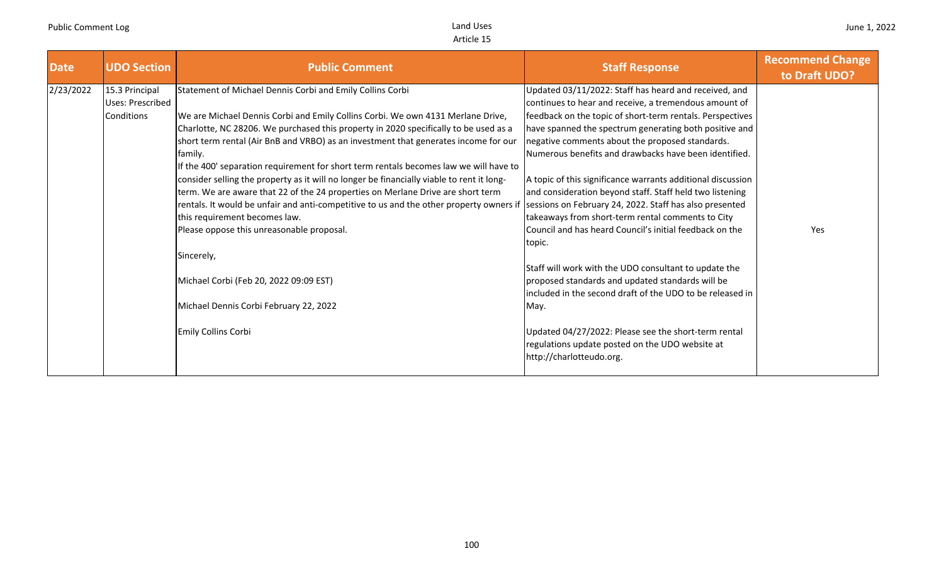| <b>Date</b> | <b>UDO Section</b> | <b>Public Comment</b>                                                                     | <b>Staff Response</b>                                       | <b>Recommend Change</b><br>to Draft UDO? |
|-------------|--------------------|-------------------------------------------------------------------------------------------|-------------------------------------------------------------|------------------------------------------|
| 2/23/2022   | 15.3 Principal     | Statement of Michael Dennis Corbi and Emily Collins Corbi                                 | Updated 03/11/2022: Staff has heard and received, and       |                                          |
|             | Uses: Prescribed   |                                                                                           | continues to hear and receive, a tremendous amount of       |                                          |
|             | Conditions         | We are Michael Dennis Corbi and Emily Collins Corbi. We own 4131 Merlane Drive,           | feedback on the topic of short-term rentals. Perspectives   |                                          |
|             |                    | Charlotte, NC 28206. We purchased this property in 2020 specifically to be used as a      | have spanned the spectrum generating both positive and      |                                          |
|             |                    | short term rental (Air BnB and VRBO) as an investment that generates income for our       | negative comments about the proposed standards.             |                                          |
|             |                    | family.                                                                                   | Numerous benefits and drawbacks have been identified.       |                                          |
|             |                    | If the 400' separation requirement for short term rentals becomes law we will have to     |                                                             |                                          |
|             |                    | consider selling the property as it will no longer be financially viable to rent it long- | A topic of this significance warrants additional discussion |                                          |
|             |                    | term. We are aware that 22 of the 24 properties on Merlane Drive are short term           | and consideration beyond staff. Staff held two listening    |                                          |
|             |                    | rentals. It would be unfair and anti-competitive to us and the other property owners if   | sessions on February 24, 2022. Staff has also presented     |                                          |
|             |                    | this requirement becomes law.                                                             | takeaways from short-term rental comments to City           |                                          |
|             |                    | Please oppose this unreasonable proposal.                                                 | Council and has heard Council's initial feedback on the     | Yes                                      |
|             |                    |                                                                                           | topic.                                                      |                                          |
|             |                    | Sincerely,                                                                                |                                                             |                                          |
|             |                    |                                                                                           | Staff will work with the UDO consultant to update the       |                                          |
|             |                    | Michael Corbi (Feb 20, 2022 09:09 EST)                                                    | proposed standards and updated standards will be            |                                          |
|             |                    |                                                                                           | included in the second draft of the UDO to be released in   |                                          |
|             |                    | Michael Dennis Corbi February 22, 2022                                                    | May.                                                        |                                          |
|             |                    |                                                                                           |                                                             |                                          |
|             |                    | Emily Collins Corbi                                                                       | Updated 04/27/2022: Please see the short-term rental        |                                          |
|             |                    |                                                                                           | regulations update posted on the UDO website at             |                                          |
|             |                    |                                                                                           | http://charlotteudo.org.                                    |                                          |
|             |                    |                                                                                           |                                                             |                                          |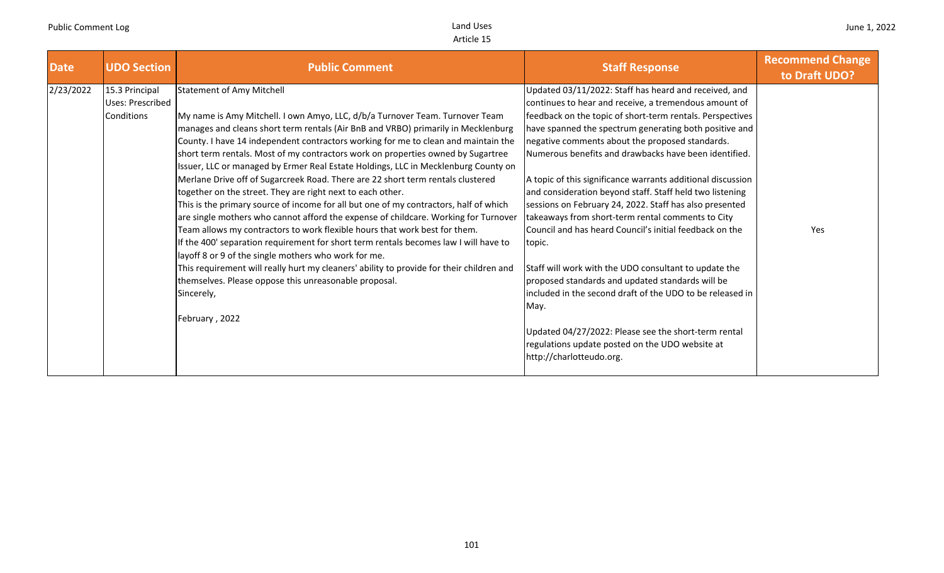| <b>Date</b> | <b>UDO Section</b>                               | <b>Public Comment</b>                                                                                                                                                                                                                                                                                                                                                                                                                                                                                                                                                                                                  | <b>Staff Response</b>                                                                                                                                                                                                                                                                                                                                                                                                                                                        | <b>Recommend Change</b><br>to Draft UDO? |
|-------------|--------------------------------------------------|------------------------------------------------------------------------------------------------------------------------------------------------------------------------------------------------------------------------------------------------------------------------------------------------------------------------------------------------------------------------------------------------------------------------------------------------------------------------------------------------------------------------------------------------------------------------------------------------------------------------|------------------------------------------------------------------------------------------------------------------------------------------------------------------------------------------------------------------------------------------------------------------------------------------------------------------------------------------------------------------------------------------------------------------------------------------------------------------------------|------------------------------------------|
| 2/23/2022   | 15.3 Principal<br>Uses: Prescribed<br>Conditions | <b>Statement of Amy Mitchell</b><br>My name is Amy Mitchell. I own Amyo, LLC, d/b/a Turnover Team. Turnover Team<br>manages and cleans short term rentals (Air BnB and VRBO) primarily in Mecklenburg<br>County. I have 14 independent contractors working for me to clean and maintain the<br>short term rentals. Most of my contractors work on properties owned by Sugartree<br>Issuer, LLC or managed by Ermer Real Estate Holdings, LLC in Mecklenburg County on<br>Merlane Drive off of Sugarcreek Road. There are 22 short term rentals clustered<br>together on the street. They are right next to each other. | Updated 03/11/2022: Staff has heard and received, and<br>continues to hear and receive, a tremendous amount of<br>feedback on the topic of short-term rentals. Perspectives<br>have spanned the spectrum generating both positive and<br>negative comments about the proposed standards.<br>Numerous benefits and drawbacks have been identified.<br>A topic of this significance warrants additional discussion<br>and consideration beyond staff. Staff held two listening |                                          |
|             |                                                  | This is the primary source of income for all but one of my contractors, half of which<br>are single mothers who cannot afford the expense of childcare. Working for Turnover<br>Team allows my contractors to work flexible hours that work best for them.<br>If the 400' separation requirement for short term rentals becomes law I will have to<br>layoff 8 or 9 of the single mothers who work for me.                                                                                                                                                                                                             | sessions on February 24, 2022. Staff has also presented<br>takeaways from short-term rental comments to City<br>Council and has heard Council's initial feedback on the<br>topic.                                                                                                                                                                                                                                                                                            | Yes                                      |
|             |                                                  | This requirement will really hurt my cleaners' ability to provide for their children and<br>themselves. Please oppose this unreasonable proposal.<br>Sincerely,<br>February, 2022                                                                                                                                                                                                                                                                                                                                                                                                                                      | Staff will work with the UDO consultant to update the<br>proposed standards and updated standards will be<br>included in the second draft of the UDO to be released in<br>May.<br>Updated 04/27/2022: Please see the short-term rental<br>regulations update posted on the UDO website at<br>http://charlotteudo.org.                                                                                                                                                        |                                          |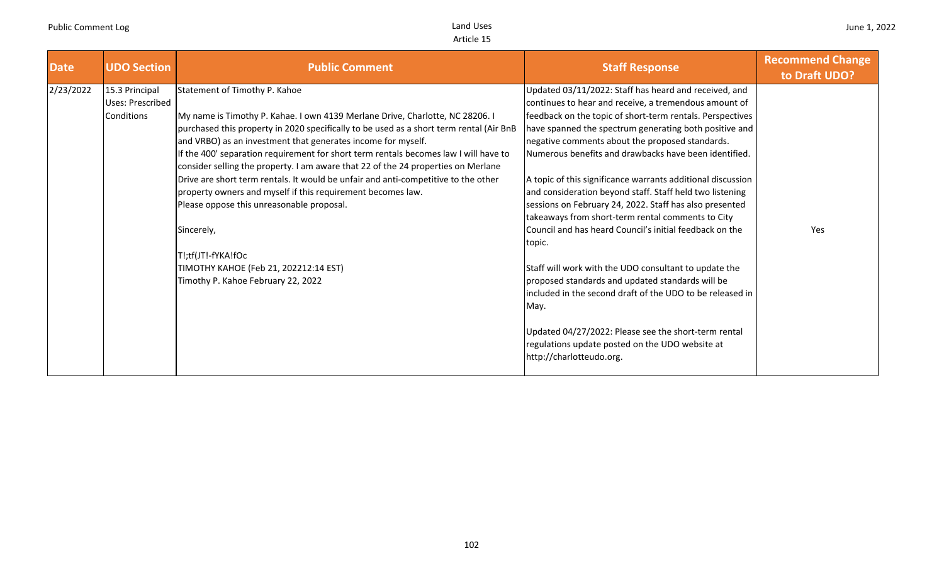| <b>Date</b> | <b>UDO Section</b>                 | <b>Public Comment</b>                                                                                                                                                                                                                  | <b>Staff Response</b>                                                                                                                                                          | <b>Recommend Change</b><br>to Draft UDO? |
|-------------|------------------------------------|----------------------------------------------------------------------------------------------------------------------------------------------------------------------------------------------------------------------------------------|--------------------------------------------------------------------------------------------------------------------------------------------------------------------------------|------------------------------------------|
| 2/23/2022   | 15.3 Principal<br>Uses: Prescribed | Statement of Timothy P. Kahoe                                                                                                                                                                                                          | Updated 03/11/2022: Staff has heard and received, and<br>continues to hear and receive, a tremendous amount of                                                                 |                                          |
|             | <b>Conditions</b>                  | My name is Timothy P. Kahae. I own 4139 Merlane Drive, Charlotte, NC 28206. I<br>purchased this property in 2020 specifically to be used as a short term rental (Air BnB                                                               | feedback on the topic of short-term rentals. Perspectives<br>have spanned the spectrum generating both positive and                                                            |                                          |
|             |                                    | and VRBO) as an investment that generates income for myself.<br>If the 400' separation requirement for short term rentals becomes law I will have to                                                                                   | negative comments about the proposed standards.<br>Numerous benefits and drawbacks have been identified.                                                                       |                                          |
|             |                                    | consider selling the property. I am aware that 22 of the 24 properties on Merlane<br>Drive are short term rentals. It would be unfair and anti-competitive to the other<br>property owners and myself if this requirement becomes law. | A topic of this significance warrants additional discussion<br>and consideration beyond staff. Staff held two listening                                                        |                                          |
|             |                                    | Please oppose this unreasonable proposal.                                                                                                                                                                                              | sessions on February 24, 2022. Staff has also presented<br>takeaways from short-term rental comments to City                                                                   |                                          |
|             |                                    | Sincerely,                                                                                                                                                                                                                             | Council and has heard Council's initial feedback on the<br>topic.                                                                                                              | Yes                                      |
|             |                                    | T!;tf(JT!-fYKA!fOc                                                                                                                                                                                                                     |                                                                                                                                                                                |                                          |
|             |                                    | TIMOTHY KAHOE (Feb 21, 202212:14 EST)<br>Timothy P. Kahoe February 22, 2022                                                                                                                                                            | Staff will work with the UDO consultant to update the<br>proposed standards and updated standards will be<br>included in the second draft of the UDO to be released in<br>May. |                                          |
|             |                                    |                                                                                                                                                                                                                                        | Updated 04/27/2022: Please see the short-term rental<br>regulations update posted on the UDO website at<br>http://charlotteudo.org.                                            |                                          |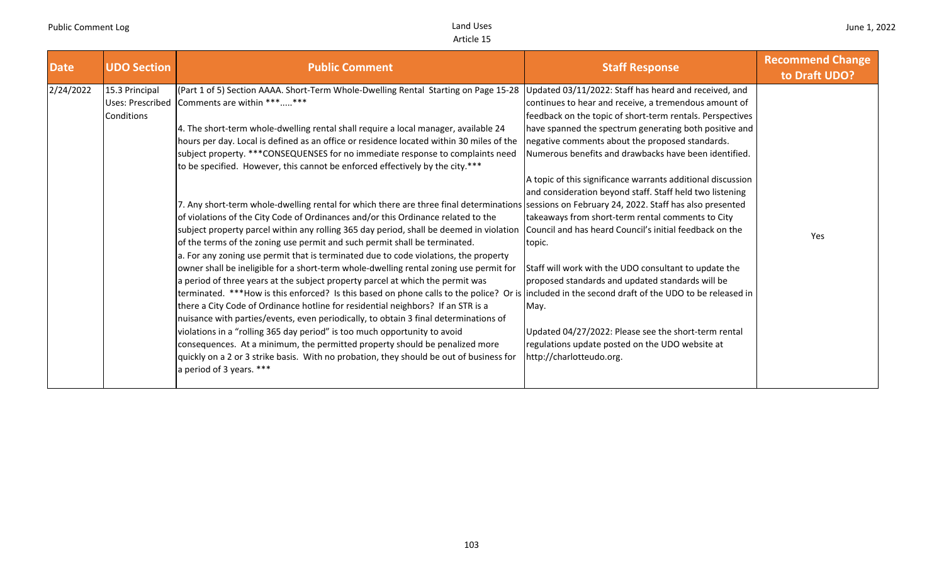| <b>Date</b> | <b>UDO Section</b>                               | <b>Public Comment</b>                                                                                                                                                                                                                                                                                                                                                                                                                                                                                                                                                                                                                                                                                                                                                                                                                                                                                                                                                                                                                                                                                                                                                                                                                                                                                                                                                                                                                                                                                                                                                                                                                                                                                                                                                          | <b>Staff Response</b>                                                                                                                                                                                                                                                                                                                                                                                                                                                                                                                                                                                                                                                                                                                                                                                                                                              | <b>Recommend Change</b><br>to Draft UDO? |
|-------------|--------------------------------------------------|--------------------------------------------------------------------------------------------------------------------------------------------------------------------------------------------------------------------------------------------------------------------------------------------------------------------------------------------------------------------------------------------------------------------------------------------------------------------------------------------------------------------------------------------------------------------------------------------------------------------------------------------------------------------------------------------------------------------------------------------------------------------------------------------------------------------------------------------------------------------------------------------------------------------------------------------------------------------------------------------------------------------------------------------------------------------------------------------------------------------------------------------------------------------------------------------------------------------------------------------------------------------------------------------------------------------------------------------------------------------------------------------------------------------------------------------------------------------------------------------------------------------------------------------------------------------------------------------------------------------------------------------------------------------------------------------------------------------------------------------------------------------------------|--------------------------------------------------------------------------------------------------------------------------------------------------------------------------------------------------------------------------------------------------------------------------------------------------------------------------------------------------------------------------------------------------------------------------------------------------------------------------------------------------------------------------------------------------------------------------------------------------------------------------------------------------------------------------------------------------------------------------------------------------------------------------------------------------------------------------------------------------------------------|------------------------------------------|
| 2/24/2022   | 15.3 Principal<br>Uses: Prescribed<br>Conditions | (Part 1 of 5) Section AAAA. Short-Term Whole-Dwelling Rental Starting on Page 15-28<br>Comments are within ******<br>4. The short-term whole-dwelling rental shall require a local manager, available 24<br>hours per day. Local is defined as an office or residence located within 30 miles of the<br>subject property. ***CONSEQUENSES for no immediate response to complaints need<br>to be specified. However, this cannot be enforced effectively by the city.***<br>7. Any short-term whole-dwelling rental for which there are three final determinations sessions on February 24, 2022. Staff has also presented<br>of violations of the City Code of Ordinances and/or this Ordinance related to the<br>subject property parcel within any rolling 365 day period, shall be deemed in violation<br>of the terms of the zoning use permit and such permit shall be terminated.<br>a. For any zoning use permit that is terminated due to code violations, the property<br>owner shall be ineligible for a short-term whole-dwelling rental zoning use permit for<br>a period of three years at the subject property parcel at which the permit was<br>terminated. ***How is this enforced? Is this based on phone calls to the police? Or is included in the second draft of the UDO to be released in<br>there a City Code of Ordinance hotline for residential neighbors? If an STR is a<br>nuisance with parties/events, even periodically, to obtain 3 final determinations of<br>violations in a "rolling 365 day period" is too much opportunity to avoid<br>consequences. At a minimum, the permitted property should be penalized more<br>quickly on a 2 or 3 strike basis. With no probation, they should be out of business for<br>a period of 3 years. *** | Updated 03/11/2022: Staff has heard and received, and<br>continues to hear and receive, a tremendous amount of<br>feedback on the topic of short-term rentals. Perspectives<br>have spanned the spectrum generating both positive and<br>negative comments about the proposed standards.<br>Numerous benefits and drawbacks have been identified.<br>A topic of this significance warrants additional discussion<br>and consideration beyond staff. Staff held two listening<br>takeaways from short-term rental comments to City<br>Council and has heard Council's initial feedback on the<br>topic.<br>Staff will work with the UDO consultant to update the<br>proposed standards and updated standards will be<br>May.<br>Updated 04/27/2022: Please see the short-term rental<br>regulations update posted on the UDO website at<br>http://charlotteudo.org. | Yes                                      |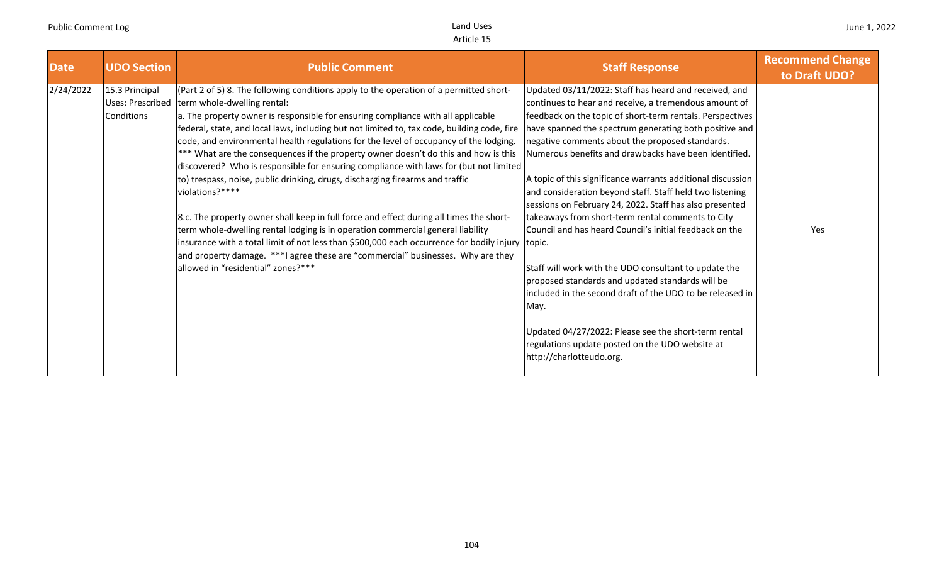| <b>Date</b><br><b>UDO Section</b>         | <b>Public Comment</b>                                                                                                                                                                                                                                                                                                                                                                                                                                                                                                                                                                                                                                                                                                                                                                                                                                                                                                                                                                                                                                                                                             | <b>Staff Response</b>                                                                                                                                                                                                                                                                                                                                                                                                                                                                                                                                                                                                                                                                                                                                                                                                                                                                                                                                                            | <b>Recommend Change</b><br>to Draft UDO? |
|-------------------------------------------|-------------------------------------------------------------------------------------------------------------------------------------------------------------------------------------------------------------------------------------------------------------------------------------------------------------------------------------------------------------------------------------------------------------------------------------------------------------------------------------------------------------------------------------------------------------------------------------------------------------------------------------------------------------------------------------------------------------------------------------------------------------------------------------------------------------------------------------------------------------------------------------------------------------------------------------------------------------------------------------------------------------------------------------------------------------------------------------------------------------------|----------------------------------------------------------------------------------------------------------------------------------------------------------------------------------------------------------------------------------------------------------------------------------------------------------------------------------------------------------------------------------------------------------------------------------------------------------------------------------------------------------------------------------------------------------------------------------------------------------------------------------------------------------------------------------------------------------------------------------------------------------------------------------------------------------------------------------------------------------------------------------------------------------------------------------------------------------------------------------|------------------------------------------|
| 2/24/2022<br>15.3 Principal<br>Conditions | (Part 2 of 5) 8. The following conditions apply to the operation of a permitted short-<br>Uses: Prescribed term whole-dwelling rental:<br>a. The property owner is responsible for ensuring compliance with all applicable<br>federal, state, and local laws, including but not limited to, tax code, building code, fire<br>code, and environmental health regulations for the level of occupancy of the lodging.<br>*** What are the consequences if the property owner doesn't do this and how is this<br>discovered? Who is responsible for ensuring compliance with laws for (but not limited<br>to) trespass, noise, public drinking, drugs, discharging firearms and traffic<br>violations?****<br>8.c. The property owner shall keep in full force and effect during all times the short-<br>term whole-dwelling rental lodging is in operation commercial general liability<br>insurance with a total limit of not less than \$500,000 each occurrence for bodily injury topic.<br>and property damage. ***I agree these are "commercial" businesses. Why are they<br>allowed in "residential" zones?*** | Updated 03/11/2022: Staff has heard and received, and<br>continues to hear and receive, a tremendous amount of<br>feedback on the topic of short-term rentals. Perspectives<br>have spanned the spectrum generating both positive and<br>negative comments about the proposed standards.<br>Numerous benefits and drawbacks have been identified.<br>A topic of this significance warrants additional discussion<br>and consideration beyond staff. Staff held two listening<br>sessions on February 24, 2022. Staff has also presented<br>takeaways from short-term rental comments to City<br>Council and has heard Council's initial feedback on the<br>Staff will work with the UDO consultant to update the<br>proposed standards and updated standards will be<br>included in the second draft of the UDO to be released in<br>May.<br>Updated 04/27/2022: Please see the short-term rental<br>regulations update posted on the UDO website at<br>http://charlotteudo.org. | Yes                                      |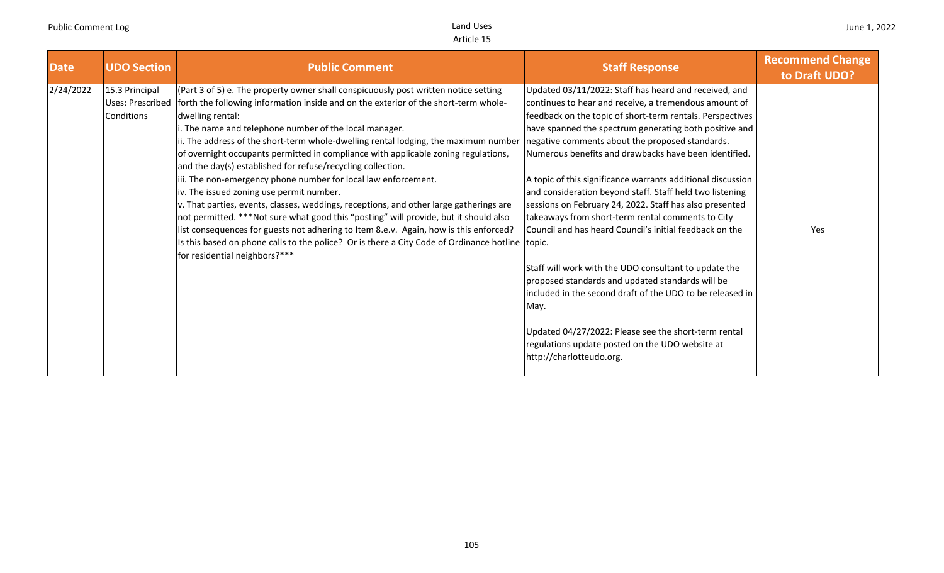| <b>Date</b> | <b>UDO Section</b>                                      | <b>Public Comment</b>                                                                                                                                                                                                                                                                                                                                                                                                                                                                                                                                                                                                                                                                                                                                                                                                                                                                                                                                                                                                             | <b>Staff Response</b>                                                                                                                                                                                                                                                                                                                                                                                                                                                                                                                                                                                                                                                                                                                                                                                                                                                                                                                                                             | <b>Recommend Change</b><br>to Draft UDO? |
|-------------|---------------------------------------------------------|-----------------------------------------------------------------------------------------------------------------------------------------------------------------------------------------------------------------------------------------------------------------------------------------------------------------------------------------------------------------------------------------------------------------------------------------------------------------------------------------------------------------------------------------------------------------------------------------------------------------------------------------------------------------------------------------------------------------------------------------------------------------------------------------------------------------------------------------------------------------------------------------------------------------------------------------------------------------------------------------------------------------------------------|-----------------------------------------------------------------------------------------------------------------------------------------------------------------------------------------------------------------------------------------------------------------------------------------------------------------------------------------------------------------------------------------------------------------------------------------------------------------------------------------------------------------------------------------------------------------------------------------------------------------------------------------------------------------------------------------------------------------------------------------------------------------------------------------------------------------------------------------------------------------------------------------------------------------------------------------------------------------------------------|------------------------------------------|
| 2/24/2022   | 15.3 Principal<br>Uses: Prescribed<br><b>Conditions</b> | (Part 3 of 5) e. The property owner shall conspicuously post written notice setting<br>forth the following information inside and on the exterior of the short-term whole-<br>dwelling rental:<br>i. The name and telephone number of the local manager.<br>ii. The address of the short-term whole-dwelling rental lodging, the maximum number<br>of overnight occupants permitted in compliance with applicable zoning regulations,<br>and the day(s) established for refuse/recycling collection.<br>iii. The non-emergency phone number for local law enforcement.<br>iv. The issued zoning use permit number.<br>v. That parties, events, classes, weddings, receptions, and other large gatherings are<br>not permitted. ***Not sure what good this "posting" will provide, but it should also<br>list consequences for guests not adhering to Item 8.e.v. Again, how is this enforced?<br>Is this based on phone calls to the police? Or is there a City Code of Ordinance hotline topic.<br>for residential neighbors?*** | Updated 03/11/2022: Staff has heard and received, and<br>continues to hear and receive, a tremendous amount of<br>feedback on the topic of short-term rentals. Perspectives<br>have spanned the spectrum generating both positive and<br>negative comments about the proposed standards.<br>Numerous benefits and drawbacks have been identified.<br>A topic of this significance warrants additional discussion<br>and consideration beyond staff. Staff held two listening<br>sessions on February 24, 2022. Staff has also presented<br>takeaways from short-term rental comments to City<br>Council and has heard Council's initial feedback on the<br>Staff will work with the UDO consultant to update the<br>proposed standards and updated standards will be<br>lincluded in the second draft of the UDO to be released in<br>May.<br>Updated 04/27/2022: Please see the short-term rental<br>regulations update posted on the UDO website at<br>http://charlotteudo.org. | Yes                                      |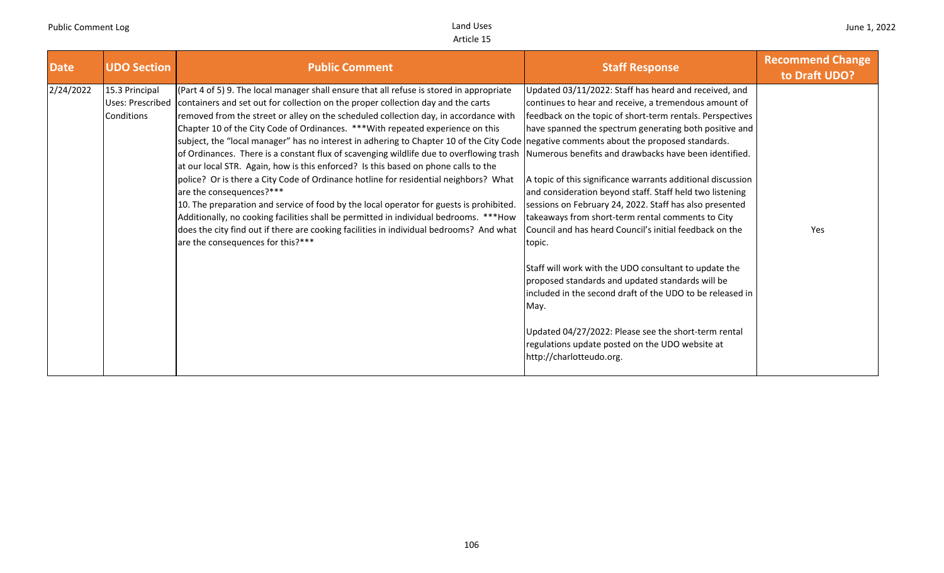| <b>Date</b> | <b>UDO Section</b>                               | <b>Public Comment</b>                                                                                                                                                                                                                                                                                                                                                                                                                                                                                                                                                                                                                                                                                                                                                                                                                                                                                                                                                                                                                                                                                                       | <b>Staff Response</b>                                                                                                                                                                                                                                                                                                                                                                                                                                                                                                                                                                                                                                                                                                                                                                                                                                                                                                                   | <b>Recommend Change</b><br>to Draft UDO? |
|-------------|--------------------------------------------------|-----------------------------------------------------------------------------------------------------------------------------------------------------------------------------------------------------------------------------------------------------------------------------------------------------------------------------------------------------------------------------------------------------------------------------------------------------------------------------------------------------------------------------------------------------------------------------------------------------------------------------------------------------------------------------------------------------------------------------------------------------------------------------------------------------------------------------------------------------------------------------------------------------------------------------------------------------------------------------------------------------------------------------------------------------------------------------------------------------------------------------|-----------------------------------------------------------------------------------------------------------------------------------------------------------------------------------------------------------------------------------------------------------------------------------------------------------------------------------------------------------------------------------------------------------------------------------------------------------------------------------------------------------------------------------------------------------------------------------------------------------------------------------------------------------------------------------------------------------------------------------------------------------------------------------------------------------------------------------------------------------------------------------------------------------------------------------------|------------------------------------------|
| 2/24/2022   | 15.3 Principal<br>Uses: Prescribed<br>Conditions | (Part 4 of 5) 9. The local manager shall ensure that all refuse is stored in appropriate<br>containers and set out for collection on the proper collection day and the carts<br>removed from the street or alley on the scheduled collection day, in accordance with<br>Chapter 10 of the City Code of Ordinances. *** With repeated experience on this<br>subject, the "local manager" has no interest in adhering to Chapter 10 of the City Code negative comments about the proposed standards.<br>of Ordinances. There is a constant flux of scavenging wildlife due to overflowing trash<br>at our local STR. Again, how is this enforced? Is this based on phone calls to the<br>police? Or is there a City Code of Ordinance hotline for residential neighbors? What<br>are the consequences?***<br>10. The preparation and service of food by the local operator for guests is prohibited.<br>Additionally, no cooking facilities shall be permitted in individual bedrooms. ***How<br>does the city find out if there are cooking facilities in individual bedrooms? And what<br>are the consequences for this?*** | Updated 03/11/2022: Staff has heard and received, and<br>continues to hear and receive, a tremendous amount of<br>feedback on the topic of short-term rentals. Perspectives<br>have spanned the spectrum generating both positive and<br>Numerous benefits and drawbacks have been identified.<br>A topic of this significance warrants additional discussion<br>and consideration beyond staff. Staff held two listening<br>sessions on February 24, 2022. Staff has also presented<br>takeaways from short-term rental comments to City<br>Council and has heard Council's initial feedback on the<br>topic.<br>Staff will work with the UDO consultant to update the<br>proposed standards and updated standards will be<br>included in the second draft of the UDO to be released in<br>May.<br>Updated 04/27/2022: Please see the short-term rental<br>regulations update posted on the UDO website at<br>http://charlotteudo.org. | Yes                                      |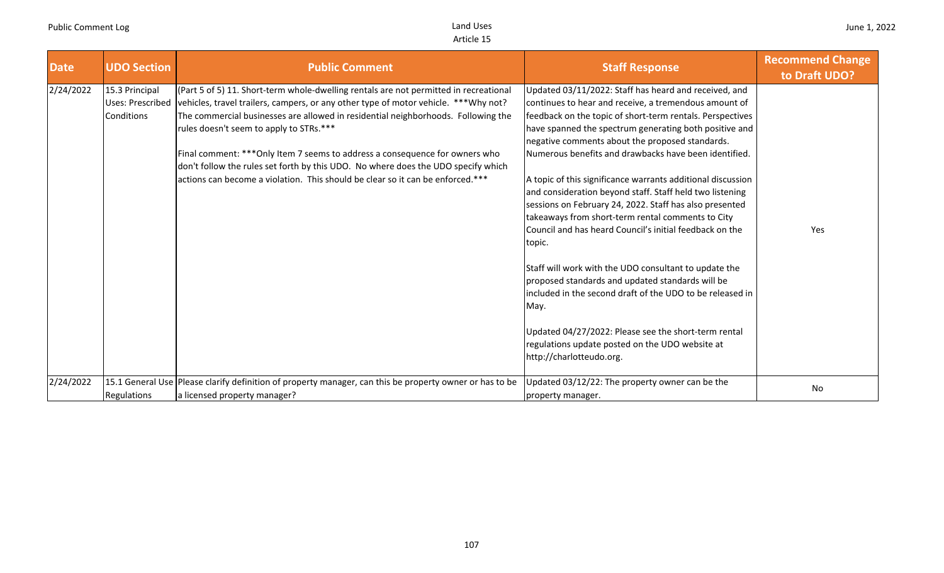| <b>Date</b> | <b>UDO Section</b>                               | <b>Public Comment</b>                                                                                                                                                                                                                                                                                                                                                                                                                                                                                                                                                 | <b>Staff Response</b>                                                                                                                                                                                                                                                                                                                                                                                                                                                                                                                                                                                                                                                                                                                                                                                                                                                                                                                                                                      | <b>Recommend Change</b><br>to Draft UDO? |
|-------------|--------------------------------------------------|-----------------------------------------------------------------------------------------------------------------------------------------------------------------------------------------------------------------------------------------------------------------------------------------------------------------------------------------------------------------------------------------------------------------------------------------------------------------------------------------------------------------------------------------------------------------------|--------------------------------------------------------------------------------------------------------------------------------------------------------------------------------------------------------------------------------------------------------------------------------------------------------------------------------------------------------------------------------------------------------------------------------------------------------------------------------------------------------------------------------------------------------------------------------------------------------------------------------------------------------------------------------------------------------------------------------------------------------------------------------------------------------------------------------------------------------------------------------------------------------------------------------------------------------------------------------------------|------------------------------------------|
| 2/24/2022   | 15.3 Principal<br>Uses: Prescribed<br>Conditions | (Part 5 of 5) 11. Short-term whole-dwelling rentals are not permitted in recreational<br> vehicles, travel trailers, campers, or any other type of motor vehicle. *** Why not?<br>The commercial businesses are allowed in residential neighborhoods. Following the<br>rules doesn't seem to apply to STRs.***<br>Final comment: *** Only Item 7 seems to address a consequence for owners who<br>don't follow the rules set forth by this UDO. No where does the UDO specify which<br>actions can become a violation. This should be clear so it can be enforced.*** | Updated 03/11/2022: Staff has heard and received, and<br>continues to hear and receive, a tremendous amount of<br>feedback on the topic of short-term rentals. Perspectives<br>have spanned the spectrum generating both positive and<br>negative comments about the proposed standards.<br>Numerous benefits and drawbacks have been identified.<br>A topic of this significance warrants additional discussion<br>and consideration beyond staff. Staff held two listening<br>sessions on February 24, 2022. Staff has also presented<br>takeaways from short-term rental comments to City<br>Council and has heard Council's initial feedback on the<br>topic.<br>Staff will work with the UDO consultant to update the<br>proposed standards and updated standards will be<br>included in the second draft of the UDO to be released in<br>May.<br>Updated 04/27/2022: Please see the short-term rental<br>regulations update posted on the UDO website at<br>http://charlotteudo.org. | Yes                                      |
| 2/24/2022   | Regulations                                      | 15.1 General Use Please clarify definition of property manager, can this be property owner or has to be<br>a licensed property manager?                                                                                                                                                                                                                                                                                                                                                                                                                               | Updated 03/12/22: The property owner can be the<br>property manager.                                                                                                                                                                                                                                                                                                                                                                                                                                                                                                                                                                                                                                                                                                                                                                                                                                                                                                                       | No                                       |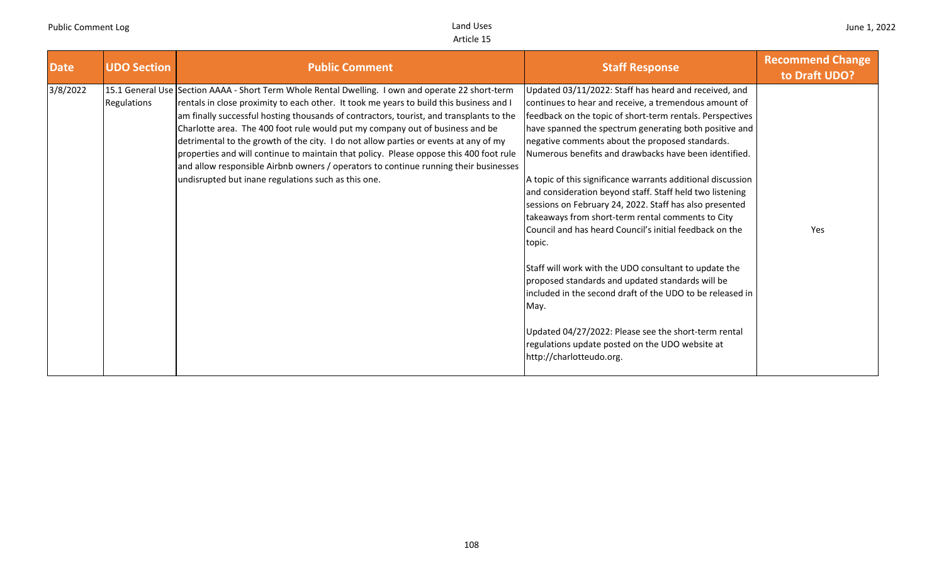| <b>Date</b> | <b>UDO Section</b> | <b>Public Comment</b>                                                                                                                                                                                                                                                                                                                                                                                                                                                                                                                                                                                                                                                                                     | <b>Staff Response</b>                                                                                                                                                                                                                                                                                                                                                                                                                                                                                                                                                                                                                                                                                                                                                                                                                                                                                                                                                                      | <b>Recommend Change</b><br>to Draft UDO? |
|-------------|--------------------|-----------------------------------------------------------------------------------------------------------------------------------------------------------------------------------------------------------------------------------------------------------------------------------------------------------------------------------------------------------------------------------------------------------------------------------------------------------------------------------------------------------------------------------------------------------------------------------------------------------------------------------------------------------------------------------------------------------|--------------------------------------------------------------------------------------------------------------------------------------------------------------------------------------------------------------------------------------------------------------------------------------------------------------------------------------------------------------------------------------------------------------------------------------------------------------------------------------------------------------------------------------------------------------------------------------------------------------------------------------------------------------------------------------------------------------------------------------------------------------------------------------------------------------------------------------------------------------------------------------------------------------------------------------------------------------------------------------------|------------------------------------------|
| 3/8/2022    | Regulations        | 15.1 General Use Section AAAA - Short Term Whole Rental Dwelling. I own and operate 22 short-term<br>rentals in close proximity to each other. It took me years to build this business and I<br>am finally successful hosting thousands of contractors, tourist, and transplants to the<br>Charlotte area. The 400 foot rule would put my company out of business and be<br>detrimental to the growth of the city. I do not allow parties or events at any of my<br>properties and will continue to maintain that policy. Please oppose this 400 foot rule<br>and allow responsible Airbnb owners / operators to continue running their businesses<br>undisrupted but inane regulations such as this one. | Updated 03/11/2022: Staff has heard and received, and<br>continues to hear and receive, a tremendous amount of<br>feedback on the topic of short-term rentals. Perspectives<br>have spanned the spectrum generating both positive and<br>negative comments about the proposed standards.<br>Numerous benefits and drawbacks have been identified.<br>A topic of this significance warrants additional discussion<br>and consideration beyond staff. Staff held two listening<br>sessions on February 24, 2022. Staff has also presented<br>takeaways from short-term rental comments to City<br>Council and has heard Council's initial feedback on the<br>topic.<br>Staff will work with the UDO consultant to update the<br>proposed standards and updated standards will be<br>included in the second draft of the UDO to be released in<br>May.<br>Updated 04/27/2022: Please see the short-term rental<br>regulations update posted on the UDO website at<br>http://charlotteudo.org. | Yes                                      |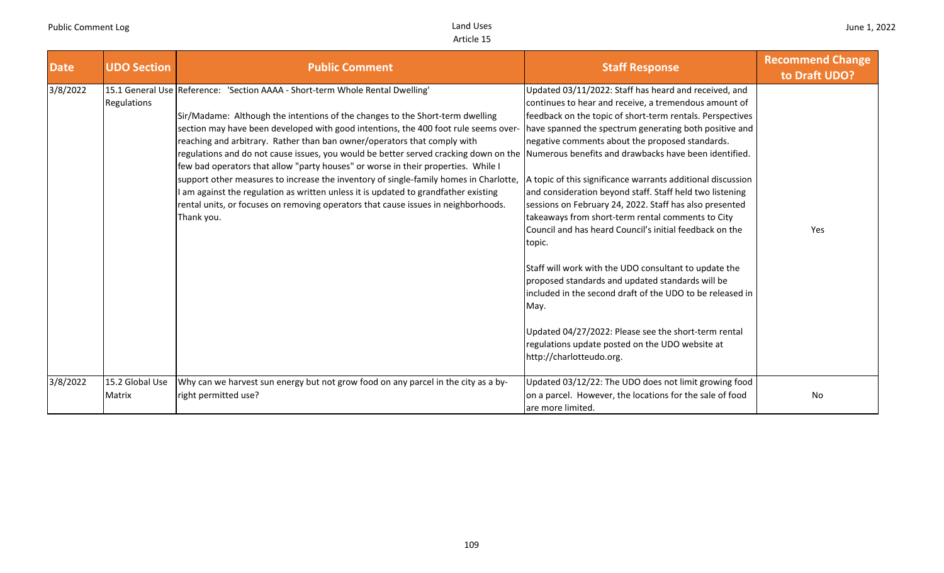| <b>Date</b> | <b>UDO Section</b>        | <b>Public Comment</b>                                                                                                                                                                                                                                                                                                                                                                                                                                                                                                                                                                                                                                                                                                                                                                                                                                    | <b>Staff Response</b>                                                                                                                                                                                                                                                                                                                                                                                                                                                                                                                                                                                                                                                                                                                                                                                                                                                                                                             | <b>Recommend Change</b><br>to Draft UDO? |
|-------------|---------------------------|----------------------------------------------------------------------------------------------------------------------------------------------------------------------------------------------------------------------------------------------------------------------------------------------------------------------------------------------------------------------------------------------------------------------------------------------------------------------------------------------------------------------------------------------------------------------------------------------------------------------------------------------------------------------------------------------------------------------------------------------------------------------------------------------------------------------------------------------------------|-----------------------------------------------------------------------------------------------------------------------------------------------------------------------------------------------------------------------------------------------------------------------------------------------------------------------------------------------------------------------------------------------------------------------------------------------------------------------------------------------------------------------------------------------------------------------------------------------------------------------------------------------------------------------------------------------------------------------------------------------------------------------------------------------------------------------------------------------------------------------------------------------------------------------------------|------------------------------------------|
| 3/8/2022    | Regulations               | 15.1 General Use Reference: 'Section AAAA - Short-term Whole Rental Dwelling'<br>Sir/Madame: Although the intentions of the changes to the Short-term dwelling<br>section may have been developed with good intentions, the 400 foot rule seems over-<br>reaching and arbitrary. Rather than ban owner/operators that comply with<br>regulations and do not cause issues, you would be better served cracking down on the Numerous benefits and drawbacks have been identified.<br>few bad operators that allow "party houses" or worse in their properties. While I<br>support other measures to increase the inventory of single-family homes in Charlotte,<br>I am against the regulation as written unless it is updated to grandfather existing<br>rental units, or focuses on removing operators that cause issues in neighborhoods.<br>Thank you. | Updated 03/11/2022: Staff has heard and received, and<br>continues to hear and receive, a tremendous amount of<br>feedback on the topic of short-term rentals. Perspectives<br>have spanned the spectrum generating both positive and<br>negative comments about the proposed standards.<br>A topic of this significance warrants additional discussion<br>and consideration beyond staff. Staff held two listening<br>sessions on February 24, 2022. Staff has also presented<br>takeaways from short-term rental comments to City<br>Council and has heard Council's initial feedback on the<br>topic.<br>Staff will work with the UDO consultant to update the<br>proposed standards and updated standards will be<br>included in the second draft of the UDO to be released in<br>May.<br>Updated 04/27/2022: Please see the short-term rental<br>regulations update posted on the UDO website at<br>http://charlotteudo.org. | Yes                                      |
| 3/8/2022    | 15.2 Global Use<br>Matrix | Why can we harvest sun energy but not grow food on any parcel in the city as a by-<br>right permitted use?                                                                                                                                                                                                                                                                                                                                                                                                                                                                                                                                                                                                                                                                                                                                               | Updated 03/12/22: The UDO does not limit growing food<br>on a parcel. However, the locations for the sale of food<br>are more limited.                                                                                                                                                                                                                                                                                                                                                                                                                                                                                                                                                                                                                                                                                                                                                                                            | No                                       |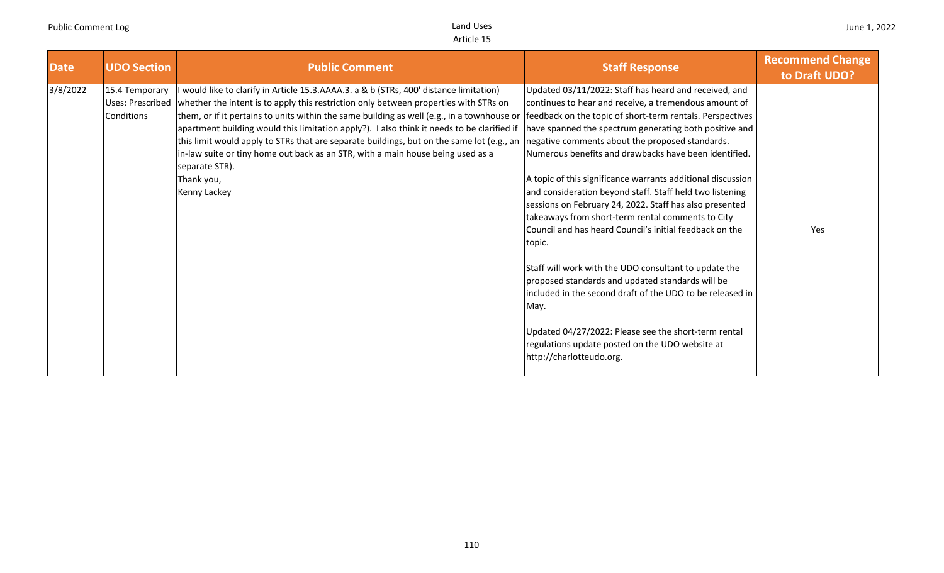| <b>Date</b><br><b>UDO Section</b>                                   | <b>Public Comment</b>                                                                                                                                                                                                                                                                                                                                                                                                                                                                                                                                                                                                                                      | <b>Staff Response</b>                                                                                                                                                                                                                                                                                                                                                                                                                                                                                                                                                                                                                                                                                                                                                                                                                                                                                                                   | <b>Recommend Change</b><br>to Draft UDO? |
|---------------------------------------------------------------------|------------------------------------------------------------------------------------------------------------------------------------------------------------------------------------------------------------------------------------------------------------------------------------------------------------------------------------------------------------------------------------------------------------------------------------------------------------------------------------------------------------------------------------------------------------------------------------------------------------------------------------------------------------|-----------------------------------------------------------------------------------------------------------------------------------------------------------------------------------------------------------------------------------------------------------------------------------------------------------------------------------------------------------------------------------------------------------------------------------------------------------------------------------------------------------------------------------------------------------------------------------------------------------------------------------------------------------------------------------------------------------------------------------------------------------------------------------------------------------------------------------------------------------------------------------------------------------------------------------------|------------------------------------------|
| 3/8/2022<br>15.4 Temporary<br><b>Uses: Prescribed</b><br>Conditions | I would like to clarify in Article 15.3.AAAA.3. a & b (STRs, 400' distance limitation)<br>whether the intent is to apply this restriction only between properties with STRs on<br>them, or if it pertains to units within the same building as well (e.g., in a townhouse or<br>apartment building would this limitation apply?). I also think it needs to be clarified if<br>this limit would apply to STRs that are separate buildings, but on the same lot (e.g., an negative comments about the proposed standards.<br>in-law suite or tiny home out back as an STR, with a main house being used as a<br>separate STR).<br>Thank you,<br>Kenny Lackey | Updated 03/11/2022: Staff has heard and received, and<br>continues to hear and receive, a tremendous amount of<br>feedback on the topic of short-term rentals. Perspectives<br>have spanned the spectrum generating both positive and<br>Numerous benefits and drawbacks have been identified.<br>A topic of this significance warrants additional discussion<br>and consideration beyond staff. Staff held two listening<br>sessions on February 24, 2022. Staff has also presented<br>takeaways from short-term rental comments to City<br>Council and has heard Council's initial feedback on the<br>topic.<br>Staff will work with the UDO consultant to update the<br>proposed standards and updated standards will be<br>included in the second draft of the UDO to be released in<br>May.<br>Updated 04/27/2022: Please see the short-term rental<br>regulations update posted on the UDO website at<br>http://charlotteudo.org. | Yes                                      |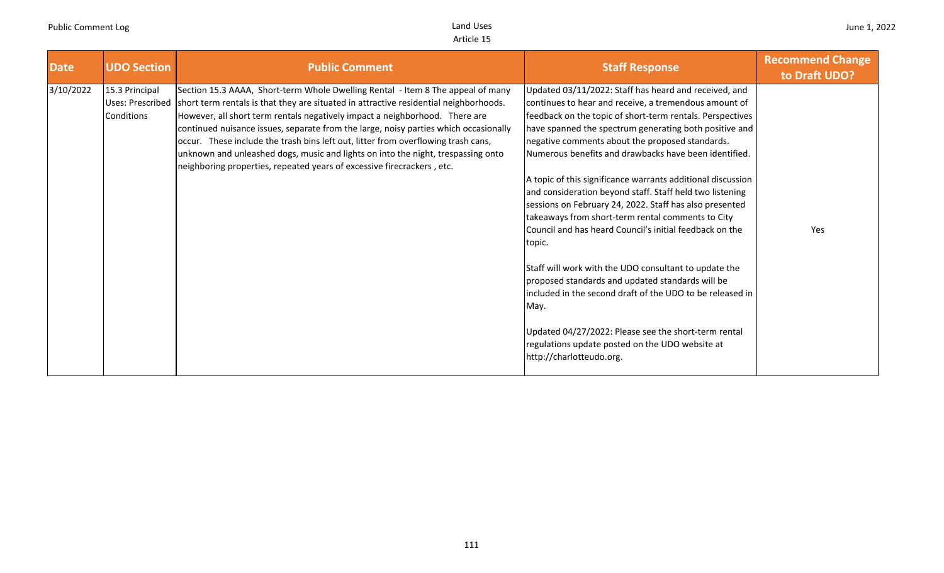| <b>Date</b> | <b>UDO Section</b>                               | <b>Public Comment</b>                                                                                                                                                                                                                                                                                                                                                                                                                                                                                                                                                                              | <b>Staff Response</b>                                                                                                                                                                                                                                                                                                                                                                                                                                                                                                                                                                                                                                                                                                                                                                                                                                                                                                                                                                      | <b>Recommend Change</b><br>to Draft UDO? |
|-------------|--------------------------------------------------|----------------------------------------------------------------------------------------------------------------------------------------------------------------------------------------------------------------------------------------------------------------------------------------------------------------------------------------------------------------------------------------------------------------------------------------------------------------------------------------------------------------------------------------------------------------------------------------------------|--------------------------------------------------------------------------------------------------------------------------------------------------------------------------------------------------------------------------------------------------------------------------------------------------------------------------------------------------------------------------------------------------------------------------------------------------------------------------------------------------------------------------------------------------------------------------------------------------------------------------------------------------------------------------------------------------------------------------------------------------------------------------------------------------------------------------------------------------------------------------------------------------------------------------------------------------------------------------------------------|------------------------------------------|
| 3/10/2022   | 15.3 Principal<br>Uses: Prescribed<br>Conditions | Section 15.3 AAAA, Short-term Whole Dwelling Rental - Item 8 The appeal of many<br>short term rentals is that they are situated in attractive residential neighborhoods.<br>However, all short term rentals negatively impact a neighborhood. There are<br>continued nuisance issues, separate from the large, noisy parties which occasionally<br>occur. These include the trash bins left out, litter from overflowing trash cans,<br>unknown and unleashed dogs, music and lights on into the night, trespassing onto<br>neighboring properties, repeated years of excessive firecrackers, etc. | Updated 03/11/2022: Staff has heard and received, and<br>continues to hear and receive, a tremendous amount of<br>feedback on the topic of short-term rentals. Perspectives<br>have spanned the spectrum generating both positive and<br>negative comments about the proposed standards.<br>Numerous benefits and drawbacks have been identified.<br>A topic of this significance warrants additional discussion<br>and consideration beyond staff. Staff held two listening<br>sessions on February 24, 2022. Staff has also presented<br>takeaways from short-term rental comments to City<br>Council and has heard Council's initial feedback on the<br>topic.<br>Staff will work with the UDO consultant to update the<br>proposed standards and updated standards will be<br>included in the second draft of the UDO to be released in<br>May.<br>Updated 04/27/2022: Please see the short-term rental<br>regulations update posted on the UDO website at<br>http://charlotteudo.org. | Yes                                      |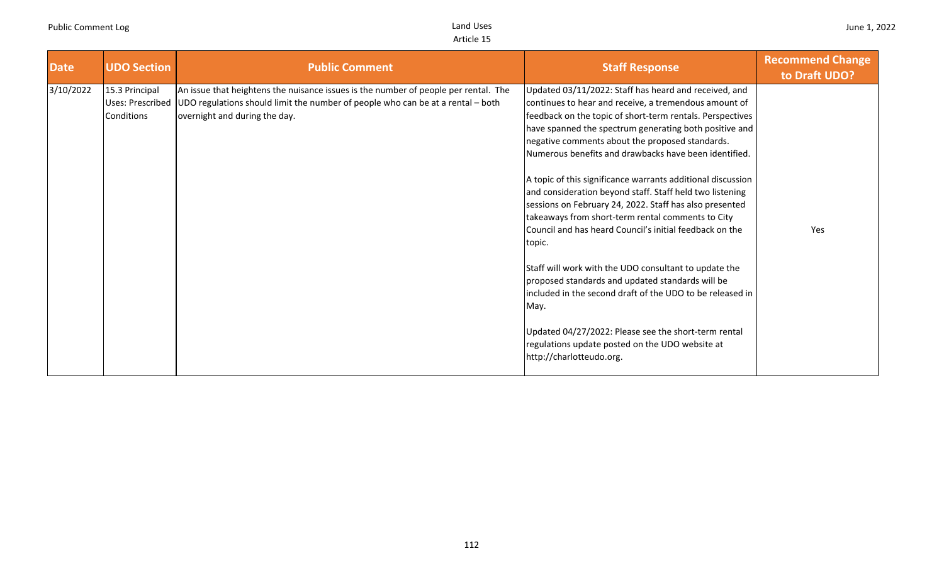| <b>Date</b> | <b>UDO Section</b>                               | <b>Public Comment</b>                                                                                                                                                                                   | <b>Staff Response</b>                                                                                                                                                                                                                                                                                                                                                                                                                                                                                                                                                                                                                                                                                                                                                                                                                       | <b>Recommend Change</b><br>to Draft UDO? |
|-------------|--------------------------------------------------|---------------------------------------------------------------------------------------------------------------------------------------------------------------------------------------------------------|---------------------------------------------------------------------------------------------------------------------------------------------------------------------------------------------------------------------------------------------------------------------------------------------------------------------------------------------------------------------------------------------------------------------------------------------------------------------------------------------------------------------------------------------------------------------------------------------------------------------------------------------------------------------------------------------------------------------------------------------------------------------------------------------------------------------------------------------|------------------------------------------|
| 3/10/2022   | 15.3 Principal<br>Uses: Prescribed<br>Conditions | An issue that heightens the nuisance issues is the number of people per rental. The<br>UDO regulations should limit the number of people who can be at a rental – both<br>overnight and during the day. | Updated 03/11/2022: Staff has heard and received, and<br>continues to hear and receive, a tremendous amount of<br>feedback on the topic of short-term rentals. Perspectives<br>have spanned the spectrum generating both positive and<br>negative comments about the proposed standards.<br>Numerous benefits and drawbacks have been identified.<br>A topic of this significance warrants additional discussion<br>and consideration beyond staff. Staff held two listening<br>sessions on February 24, 2022. Staff has also presented<br>takeaways from short-term rental comments to City<br>Council and has heard Council's initial feedback on the<br>topic.<br>Staff will work with the UDO consultant to update the<br>proposed standards and updated standards will be<br>included in the second draft of the UDO to be released in | Yes                                      |
|             |                                                  |                                                                                                                                                                                                         | May.<br>Updated 04/27/2022: Please see the short-term rental<br>regulations update posted on the UDO website at<br>http://charlotteudo.org.                                                                                                                                                                                                                                                                                                                                                                                                                                                                                                                                                                                                                                                                                                 |                                          |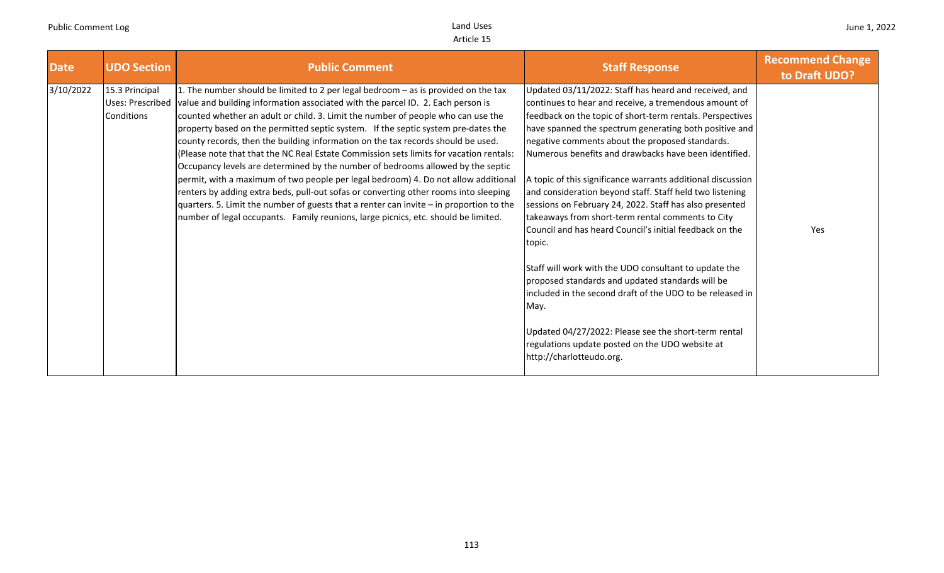| <b>Date</b> | <b>UDO Section</b>                               | <b>Public Comment</b>                                                                                                                                                                                                                                                                                                                                                                                                                                                                                                                                                                                                                                                                                                                                                                                                                                                                                                                                                          | <b>Staff Response</b>                                                                                                                                                                                                                                                                                                                                                                                                                                                                                                                                                                                                                                                                                                                                                                                                                                                                                                                                                                      | <b>Recommend Change</b><br>to Draft UDO? |
|-------------|--------------------------------------------------|--------------------------------------------------------------------------------------------------------------------------------------------------------------------------------------------------------------------------------------------------------------------------------------------------------------------------------------------------------------------------------------------------------------------------------------------------------------------------------------------------------------------------------------------------------------------------------------------------------------------------------------------------------------------------------------------------------------------------------------------------------------------------------------------------------------------------------------------------------------------------------------------------------------------------------------------------------------------------------|--------------------------------------------------------------------------------------------------------------------------------------------------------------------------------------------------------------------------------------------------------------------------------------------------------------------------------------------------------------------------------------------------------------------------------------------------------------------------------------------------------------------------------------------------------------------------------------------------------------------------------------------------------------------------------------------------------------------------------------------------------------------------------------------------------------------------------------------------------------------------------------------------------------------------------------------------------------------------------------------|------------------------------------------|
| 3/10/2022   | 15.3 Principal<br>Uses: Prescribed<br>Conditions | 1. The number should be limited to 2 per legal bedroom - as is provided on the tax<br>value and building information associated with the parcel ID. 2. Each person is<br>counted whether an adult or child. 3. Limit the number of people who can use the<br>property based on the permitted septic system. If the septic system pre-dates the<br>county records, then the building information on the tax records should be used.<br>(Please note that that the NC Real Estate Commission sets limits for vacation rentals:<br>Occupancy levels are determined by the number of bedrooms allowed by the septic<br>permit, with a maximum of two people per legal bedroom) 4. Do not allow additional<br>renters by adding extra beds, pull-out sofas or converting other rooms into sleeping<br>quarters. 5. Limit the number of guests that a renter can invite - in proportion to the<br>number of legal occupants. Family reunions, large picnics, etc. should be limited. | Updated 03/11/2022: Staff has heard and received, and<br>continues to hear and receive, a tremendous amount of<br>feedback on the topic of short-term rentals. Perspectives<br>have spanned the spectrum generating both positive and<br>negative comments about the proposed standards.<br>Numerous benefits and drawbacks have been identified.<br>A topic of this significance warrants additional discussion<br>and consideration beyond staff. Staff held two listening<br>sessions on February 24, 2022. Staff has also presented<br>takeaways from short-term rental comments to City<br>Council and has heard Council's initial feedback on the<br>topic.<br>Staff will work with the UDO consultant to update the<br>proposed standards and updated standards will be<br>included in the second draft of the UDO to be released in<br>May.<br>Updated 04/27/2022: Please see the short-term rental<br>regulations update posted on the UDO website at<br>http://charlotteudo.org. | Yes                                      |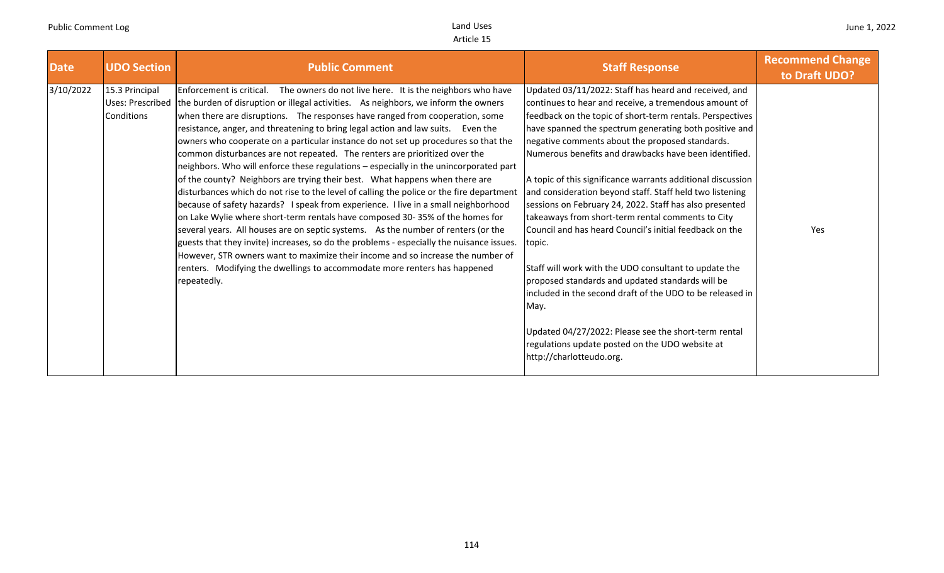| <b>Date</b>                               | <b>UDO Section</b>      | <b>Public Comment</b>                                                                                                                                                                                                                                                                                                                                                                                                                                                                                                                                                                                                                                                                                                                                                                                                                                                                                                                                                                                                                                                                                                                                                                                                                                                                                                      | <b>Staff Response</b>                                                                                                                                                                                                                                                                                                                                                                                                                                                                                                                                                                                                                                                                                                                                                                                                                                                                                                                                                                      | <b>Recommend Change</b><br>to Draft UDO? |
|-------------------------------------------|-------------------------|----------------------------------------------------------------------------------------------------------------------------------------------------------------------------------------------------------------------------------------------------------------------------------------------------------------------------------------------------------------------------------------------------------------------------------------------------------------------------------------------------------------------------------------------------------------------------------------------------------------------------------------------------------------------------------------------------------------------------------------------------------------------------------------------------------------------------------------------------------------------------------------------------------------------------------------------------------------------------------------------------------------------------------------------------------------------------------------------------------------------------------------------------------------------------------------------------------------------------------------------------------------------------------------------------------------------------|--------------------------------------------------------------------------------------------------------------------------------------------------------------------------------------------------------------------------------------------------------------------------------------------------------------------------------------------------------------------------------------------------------------------------------------------------------------------------------------------------------------------------------------------------------------------------------------------------------------------------------------------------------------------------------------------------------------------------------------------------------------------------------------------------------------------------------------------------------------------------------------------------------------------------------------------------------------------------------------------|------------------------------------------|
| 3/10/2022<br>15.3 Principal<br>Conditions | <b>Uses: Prescribed</b> | Enforcement is critical. The owners do not live here. It is the neighbors who have<br>the burden of disruption or illegal activities. As neighbors, we inform the owners<br>when there are disruptions. The responses have ranged from cooperation, some<br>resistance, anger, and threatening to bring legal action and law suits. Even the<br>owners who cooperate on a particular instance do not set up procedures so that the<br>common disturbances are not repeated. The renters are prioritized over the<br>neighbors. Who will enforce these regulations - especially in the unincorporated part<br>of the county? Neighbors are trying their best. What happens when there are<br>disturbances which do not rise to the level of calling the police or the fire department<br>because of safety hazards? I speak from experience. I live in a small neighborhood<br>on Lake Wylie where short-term rentals have composed 30-35% of the homes for<br>several years. All houses are on septic systems. As the number of renters (or the<br>guests that they invite) increases, so do the problems - especially the nuisance issues.<br>However, STR owners want to maximize their income and so increase the number of<br>renters. Modifying the dwellings to accommodate more renters has happened<br>repeatedly. | Updated 03/11/2022: Staff has heard and received, and<br>continues to hear and receive, a tremendous amount of<br>feedback on the topic of short-term rentals. Perspectives<br>have spanned the spectrum generating both positive and<br>negative comments about the proposed standards.<br>Numerous benefits and drawbacks have been identified.<br>A topic of this significance warrants additional discussion<br>and consideration beyond staff. Staff held two listening<br>sessions on February 24, 2022. Staff has also presented<br>takeaways from short-term rental comments to City<br>Council and has heard Council's initial feedback on the<br>topic.<br>Staff will work with the UDO consultant to update the<br>proposed standards and updated standards will be<br>included in the second draft of the UDO to be released in<br>May.<br>Updated 04/27/2022: Please see the short-term rental<br>regulations update posted on the UDO website at<br>http://charlotteudo.org. | Yes                                      |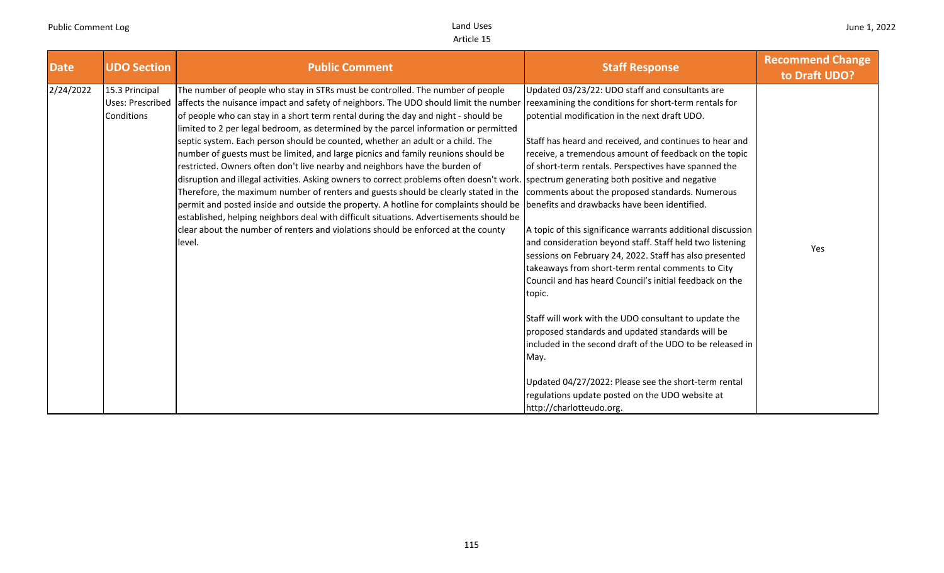| <b>Date</b> | <b>UDO Section</b>                                      | <b>Public Comment</b>                                                                                                                                                                                                                                                                                                                                                                                                                                                                                                                                                                                                                                                                                                                                                                                                                                                                                                                                                                                                                                                            | <b>Staff Response</b>                                                                                                                                                                                                                                                                                                                                                                                                                                                                                                                                                                                                                                                                                                                                                                                                                                                                                                                                                                                                                                                                                                               | <b>Recommend Change</b><br>to Draft UDO? |
|-------------|---------------------------------------------------------|----------------------------------------------------------------------------------------------------------------------------------------------------------------------------------------------------------------------------------------------------------------------------------------------------------------------------------------------------------------------------------------------------------------------------------------------------------------------------------------------------------------------------------------------------------------------------------------------------------------------------------------------------------------------------------------------------------------------------------------------------------------------------------------------------------------------------------------------------------------------------------------------------------------------------------------------------------------------------------------------------------------------------------------------------------------------------------|-------------------------------------------------------------------------------------------------------------------------------------------------------------------------------------------------------------------------------------------------------------------------------------------------------------------------------------------------------------------------------------------------------------------------------------------------------------------------------------------------------------------------------------------------------------------------------------------------------------------------------------------------------------------------------------------------------------------------------------------------------------------------------------------------------------------------------------------------------------------------------------------------------------------------------------------------------------------------------------------------------------------------------------------------------------------------------------------------------------------------------------|------------------------------------------|
| 2/24/2022   | 15.3 Principal<br><b>Uses: Prescribed</b><br>Conditions | The number of people who stay in STRs must be controlled. The number of people<br>affects the nuisance impact and safety of neighbors. The UDO should limit the number<br>of people who can stay in a short term rental during the day and night - should be<br>limited to 2 per legal bedroom, as determined by the parcel information or permitted<br>septic system. Each person should be counted, whether an adult or a child. The<br>number of guests must be limited, and large picnics and family reunions should be<br>restricted. Owners often don't live nearby and neighbors have the burden of<br>disruption and illegal activities. Asking owners to correct problems often doesn't work.<br>Therefore, the maximum number of renters and guests should be clearly stated in the<br>permit and posted inside and outside the property. A hotline for complaints should be<br>established, helping neighbors deal with difficult situations. Advertisements should be<br>clear about the number of renters and violations should be enforced at the county<br>level. | Updated 03/23/22: UDO staff and consultants are<br>reexamining the conditions for short-term rentals for<br>potential modification in the next draft UDO.<br>Staff has heard and received, and continues to hear and<br>receive, a tremendous amount of feedback on the topic<br>of short-term rentals. Perspectives have spanned the<br>spectrum generating both positive and negative<br>comments about the proposed standards. Numerous<br>benefits and drawbacks have been identified.<br>A topic of this significance warrants additional discussion<br>and consideration beyond staff. Staff held two listening<br>sessions on February 24, 2022. Staff has also presented<br>takeaways from short-term rental comments to City<br>Council and has heard Council's initial feedback on the<br>topic.<br>Staff will work with the UDO consultant to update the<br>proposed standards and updated standards will be<br>included in the second draft of the UDO to be released in<br>May.<br>Updated 04/27/2022: Please see the short-term rental<br>regulations update posted on the UDO website at<br>http://charlotteudo.org. | Yes                                      |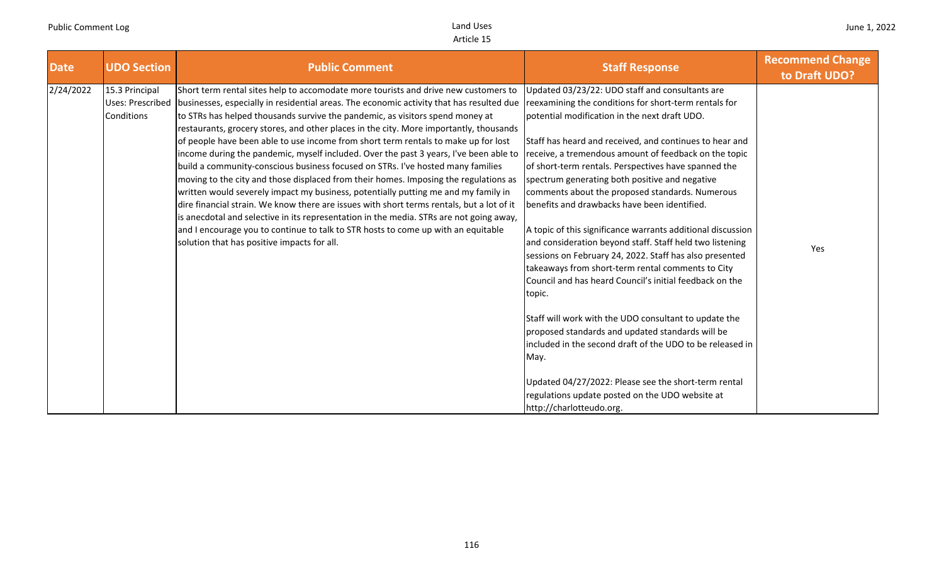| <b>Date</b> | <b>UDO Section</b>                                      | <b>Public Comment</b>                                                                                                                                                                                                                                                                                                                                                                                                                                                                                                                                                                                                                                                                                                                                                                                                                                                                                                                                                                                                                                                                                                                  | <b>Staff Response</b>                                                                                                                                                                                                                                                                                                                                                                                                                                                                                                                                                                                                                                                                                                                                                                                                                                                                                                                                                                                                                                                                                                                 | <b>Recommend Change</b><br>to Draft UDO? |
|-------------|---------------------------------------------------------|----------------------------------------------------------------------------------------------------------------------------------------------------------------------------------------------------------------------------------------------------------------------------------------------------------------------------------------------------------------------------------------------------------------------------------------------------------------------------------------------------------------------------------------------------------------------------------------------------------------------------------------------------------------------------------------------------------------------------------------------------------------------------------------------------------------------------------------------------------------------------------------------------------------------------------------------------------------------------------------------------------------------------------------------------------------------------------------------------------------------------------------|---------------------------------------------------------------------------------------------------------------------------------------------------------------------------------------------------------------------------------------------------------------------------------------------------------------------------------------------------------------------------------------------------------------------------------------------------------------------------------------------------------------------------------------------------------------------------------------------------------------------------------------------------------------------------------------------------------------------------------------------------------------------------------------------------------------------------------------------------------------------------------------------------------------------------------------------------------------------------------------------------------------------------------------------------------------------------------------------------------------------------------------|------------------------------------------|
| 2/24/2022   | 15.3 Principal<br><b>Uses: Prescribed</b><br>Conditions | Short term rental sites help to accomodate more tourists and drive new customers to<br>businesses, especially in residential areas. The economic activity that has resulted due<br>to STRs has helped thousands survive the pandemic, as visitors spend money at<br>restaurants, grocery stores, and other places in the city. More importantly, thousands<br>of people have been able to use income from short term rentals to make up for lost<br>income during the pandemic, myself included. Over the past 3 years, I've been able to<br>build a community-conscious business focused on STRs. I've hosted many families<br>moving to the city and those displaced from their homes. Imposing the regulations as<br>written would severely impact my business, potentially putting me and my family in<br>dire financial strain. We know there are issues with short terms rentals, but a lot of it<br>is anecdotal and selective in its representation in the media. STRs are not going away,<br>and I encourage you to continue to talk to STR hosts to come up with an equitable<br>solution that has positive impacts for all. | Updated 03/23/22: UDO staff and consultants are<br>reexamining the conditions for short-term rentals for<br>obpotential modification in the next draft UDO.<br>Staff has heard and received, and continues to hear and<br>receive, a tremendous amount of feedback on the topic<br>of short-term rentals. Perspectives have spanned the<br>spectrum generating both positive and negative<br>comments about the proposed standards. Numerous<br>benefits and drawbacks have been identified.<br>A topic of this significance warrants additional discussion<br>and consideration beyond staff. Staff held two listening<br>sessions on February 24, 2022. Staff has also presented<br>takeaways from short-term rental comments to City<br>Council and has heard Council's initial feedback on the<br>topic.<br>Staff will work with the UDO consultant to update the<br>proposed standards and updated standards will be<br>included in the second draft of the UDO to be released in<br>May.<br>Updated 04/27/2022: Please see the short-term rental<br>regulations update posted on the UDO website at<br>http://charlotteudo.org. | Yes                                      |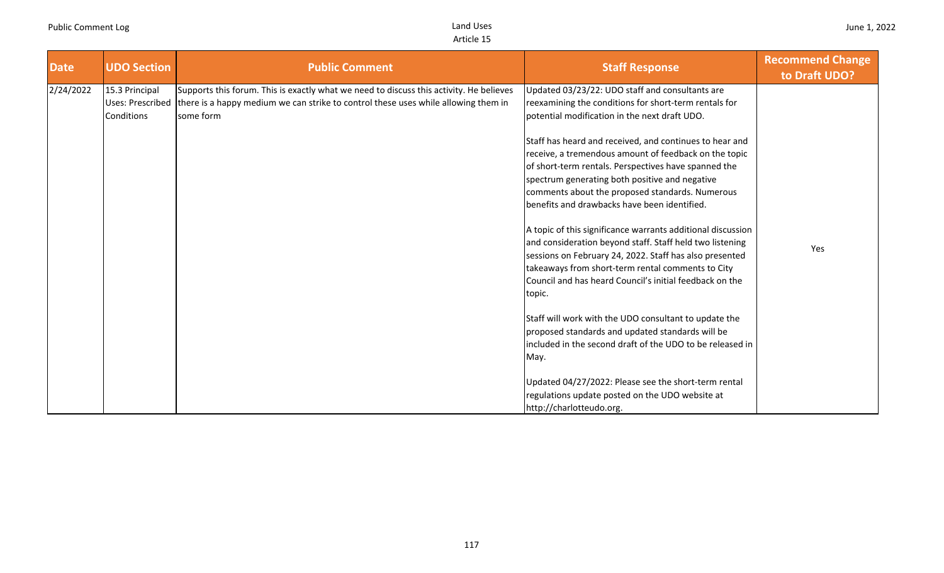| <b>Date</b> | <b>UDO Section</b>                               | <b>Public Comment</b>                                                                                                                                                                      | <b>Staff Response</b>                                                                                                                                                                                                                                                                                                                                                                                                                                                                                                                                                                                                                                                                                                                                                                                                                                                                                                                                                                                                                                                                                   | <b>Recommend Change</b><br>to Draft UDO? |
|-------------|--------------------------------------------------|--------------------------------------------------------------------------------------------------------------------------------------------------------------------------------------------|---------------------------------------------------------------------------------------------------------------------------------------------------------------------------------------------------------------------------------------------------------------------------------------------------------------------------------------------------------------------------------------------------------------------------------------------------------------------------------------------------------------------------------------------------------------------------------------------------------------------------------------------------------------------------------------------------------------------------------------------------------------------------------------------------------------------------------------------------------------------------------------------------------------------------------------------------------------------------------------------------------------------------------------------------------------------------------------------------------|------------------------------------------|
| 2/24/2022   | 15.3 Principal<br>Uses: Prescribed<br>Conditions | Supports this forum. This is exactly what we need to discuss this activity. He believes<br>there is a happy medium we can strike to control these uses while allowing them in<br>some form | Updated 03/23/22: UDO staff and consultants are<br>reexamining the conditions for short-term rentals for<br>potential modification in the next draft UDO.<br>Staff has heard and received, and continues to hear and<br>receive, a tremendous amount of feedback on the topic<br>of short-term rentals. Perspectives have spanned the<br>spectrum generating both positive and negative<br>comments about the proposed standards. Numerous<br>benefits and drawbacks have been identified.<br>A topic of this significance warrants additional discussion<br>and consideration beyond staff. Staff held two listening<br>sessions on February 24, 2022. Staff has also presented<br>takeaways from short-term rental comments to City<br>Council and has heard Council's initial feedback on the<br>topic.<br>Staff will work with the UDO consultant to update the<br>proposed standards and updated standards will be<br>included in the second draft of the UDO to be released in<br>May.<br>Updated 04/27/2022: Please see the short-term rental<br>regulations update posted on the UDO website at | Yes                                      |
|             |                                                  |                                                                                                                                                                                            | http://charlotteudo.org.                                                                                                                                                                                                                                                                                                                                                                                                                                                                                                                                                                                                                                                                                                                                                                                                                                                                                                                                                                                                                                                                                |                                          |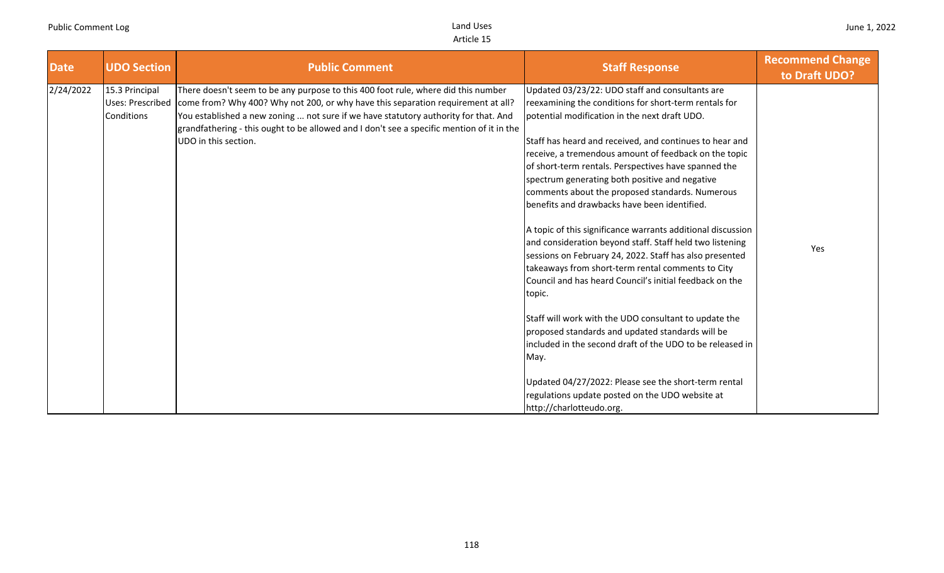| <b>UDO Section</b>                                      | <b>Public Comment</b>                                                                                                                                                                                  | <b>Staff Response</b>                                                                                                                                                                                                                                                                                                                                                                                                                                                                                                                                                                                                                                                                                                                                                                                                                                                                                                   | <b>Recommend Change</b><br>to Draft UDO? |
|---------------------------------------------------------|--------------------------------------------------------------------------------------------------------------------------------------------------------------------------------------------------------|-------------------------------------------------------------------------------------------------------------------------------------------------------------------------------------------------------------------------------------------------------------------------------------------------------------------------------------------------------------------------------------------------------------------------------------------------------------------------------------------------------------------------------------------------------------------------------------------------------------------------------------------------------------------------------------------------------------------------------------------------------------------------------------------------------------------------------------------------------------------------------------------------------------------------|------------------------------------------|
| 15.3 Principal<br><b>Uses: Prescribed</b><br>Conditions | There doesn't seem to be any purpose to this 400 foot rule, where did this number<br>grandfathering - this ought to be allowed and I don't see a specific mention of it in the<br>UDO in this section. | Updated 03/23/22: UDO staff and consultants are<br>reexamining the conditions for short-term rentals for<br>potential modification in the next draft UDO.<br>Staff has heard and received, and continues to hear and<br>receive, a tremendous amount of feedback on the topic<br>of short-term rentals. Perspectives have spanned the<br>spectrum generating both positive and negative<br>comments about the proposed standards. Numerous<br>benefits and drawbacks have been identified.<br>A topic of this significance warrants additional discussion<br>and consideration beyond staff. Staff held two listening<br>sessions on February 24, 2022. Staff has also presented<br>takeaways from short-term rental comments to City<br>Council and has heard Council's initial feedback on the<br>topic.<br>Staff will work with the UDO consultant to update the<br>proposed standards and updated standards will be | Yes                                      |
|                                                         |                                                                                                                                                                                                        | included in the second draft of the UDO to be released in<br>May.<br>Updated 04/27/2022: Please see the short-term rental<br>regulations update posted on the UDO website at                                                                                                                                                                                                                                                                                                                                                                                                                                                                                                                                                                                                                                                                                                                                            |                                          |
|                                                         |                                                                                                                                                                                                        | come from? Why 400? Why not 200, or why have this separation requirement at all?<br>You established a new zoning  not sure if we have statutory authority for that. And                                                                                                                                                                                                                                                                                                                                                                                                                                                                                                                                                                                                                                                                                                                                                 | http://charlotteudo.org.                 |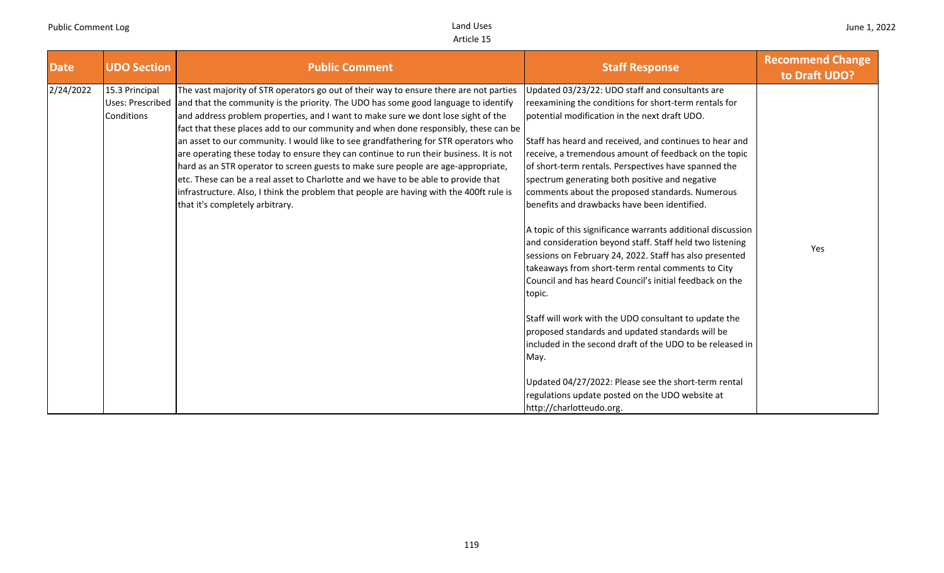| <b>Date</b> | <b>UDO Section</b>                               | <b>Public Comment</b>                                                                                                                                                                                                                                                                                                                                                                                                                                                                                                                                                                                                                                                                                                                                                                                                                              | <b>Staff Response</b>                                                                                                                                                                                                                                                                                                                                                                                                                                                                                                                                                                                                                                                                                                                                                                                                                                                                                                                                                                                                                                                                                                               | <b>Recommend Change</b><br>to Draft UDO? |
|-------------|--------------------------------------------------|----------------------------------------------------------------------------------------------------------------------------------------------------------------------------------------------------------------------------------------------------------------------------------------------------------------------------------------------------------------------------------------------------------------------------------------------------------------------------------------------------------------------------------------------------------------------------------------------------------------------------------------------------------------------------------------------------------------------------------------------------------------------------------------------------------------------------------------------------|-------------------------------------------------------------------------------------------------------------------------------------------------------------------------------------------------------------------------------------------------------------------------------------------------------------------------------------------------------------------------------------------------------------------------------------------------------------------------------------------------------------------------------------------------------------------------------------------------------------------------------------------------------------------------------------------------------------------------------------------------------------------------------------------------------------------------------------------------------------------------------------------------------------------------------------------------------------------------------------------------------------------------------------------------------------------------------------------------------------------------------------|------------------------------------------|
| 2/24/2022   | 15.3 Principal<br>Uses: Prescribed<br>Conditions | The vast majority of STR operators go out of their way to ensure there are not parties<br>and that the community is the priority. The UDO has some good language to identify<br>and address problem properties, and I want to make sure we dont lose sight of the<br>fact that these places add to our community and when done responsibly, these can be<br>an asset to our community. I would like to see grandfathering for STR operators who<br>are operating these today to ensure they can continue to run their business. It is not<br>hard as an STR operator to screen guests to make sure people are age-appropriate,<br>etc. These can be a real asset to Charlotte and we have to be able to provide that<br>infrastructure. Also, I think the problem that people are having with the 400ft rule is<br>that it's completely arbitrary. | Updated 03/23/22: UDO staff and consultants are<br>reexamining the conditions for short-term rentals for<br>potential modification in the next draft UDO.<br>Staff has heard and received, and continues to hear and<br>receive, a tremendous amount of feedback on the topic<br>of short-term rentals. Perspectives have spanned the<br>spectrum generating both positive and negative<br>comments about the proposed standards. Numerous<br>benefits and drawbacks have been identified.<br>A topic of this significance warrants additional discussion<br>and consideration beyond staff. Staff held two listening<br>sessions on February 24, 2022. Staff has also presented<br>takeaways from short-term rental comments to City<br>Council and has heard Council's initial feedback on the<br>topic.<br>Staff will work with the UDO consultant to update the<br>proposed standards and updated standards will be<br>included in the second draft of the UDO to be released in<br>May.<br>Updated 04/27/2022: Please see the short-term rental<br>regulations update posted on the UDO website at<br>http://charlotteudo.org. | Yes                                      |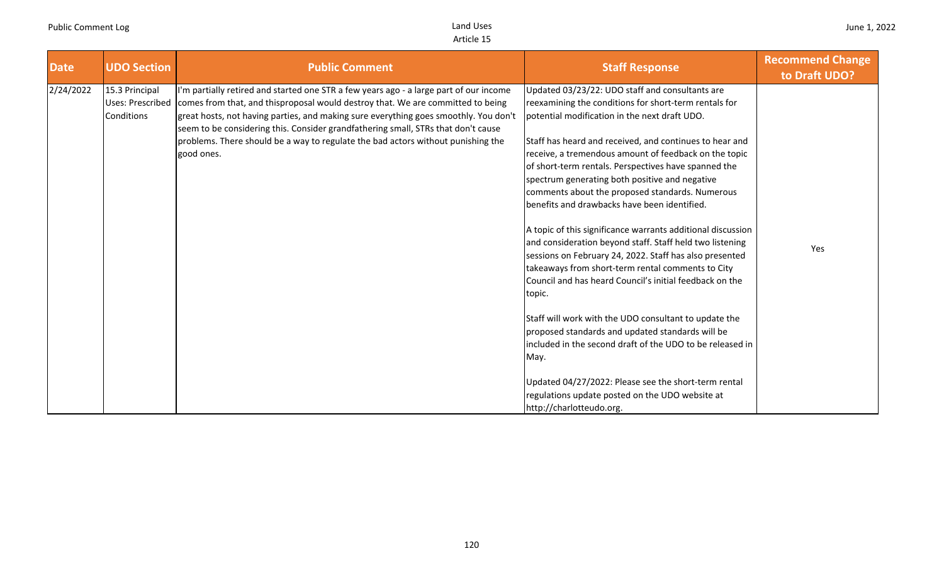| <b>Date</b> | <b>UDO Section</b>                                      | <b>Public Comment</b>                                                                                                                                                                                                                                                                                                                                                                                                                                    | <b>Staff Response</b>                                                                                                                                                                                                                                                                                                                                                                                                                                                                                                                                                                                                                                                                                                                                                                                      | <b>Recommend Change</b><br>to Draft UDO? |
|-------------|---------------------------------------------------------|----------------------------------------------------------------------------------------------------------------------------------------------------------------------------------------------------------------------------------------------------------------------------------------------------------------------------------------------------------------------------------------------------------------------------------------------------------|------------------------------------------------------------------------------------------------------------------------------------------------------------------------------------------------------------------------------------------------------------------------------------------------------------------------------------------------------------------------------------------------------------------------------------------------------------------------------------------------------------------------------------------------------------------------------------------------------------------------------------------------------------------------------------------------------------------------------------------------------------------------------------------------------------|------------------------------------------|
| 2/24/2022   | 15.3 Principal<br><b>Uses: Prescribed</b><br>Conditions | I'm partially retired and started one STR a few years ago - a large part of our income<br>comes from that, and thisproposal would destroy that. We are committed to being<br>great hosts, not having parties, and making sure everything goes smoothly. You don't<br>seem to be considering this. Consider grandfathering small, STRs that don't cause<br>problems. There should be a way to regulate the bad actors without punishing the<br>good ones. | Updated 03/23/22: UDO staff and consultants are<br>reexamining the conditions for short-term rentals for<br>potential modification in the next draft UDO.<br>Staff has heard and received, and continues to hear and<br>receive, a tremendous amount of feedback on the topic<br>of short-term rentals. Perspectives have spanned the<br>spectrum generating both positive and negative<br>comments about the proposed standards. Numerous<br>benefits and drawbacks have been identified.<br>A topic of this significance warrants additional discussion<br>and consideration beyond staff. Staff held two listening<br>sessions on February 24, 2022. Staff has also presented<br>takeaways from short-term rental comments to City<br>Council and has heard Council's initial feedback on the<br>topic. | Yes                                      |
|             |                                                         |                                                                                                                                                                                                                                                                                                                                                                                                                                                          | Staff will work with the UDO consultant to update the<br>proposed standards and updated standards will be<br>lincluded in the second draft of the UDO to be released in<br>May.<br>Updated 04/27/2022: Please see the short-term rental<br>regulations update posted on the UDO website at<br>http://charlotteudo.org.                                                                                                                                                                                                                                                                                                                                                                                                                                                                                     |                                          |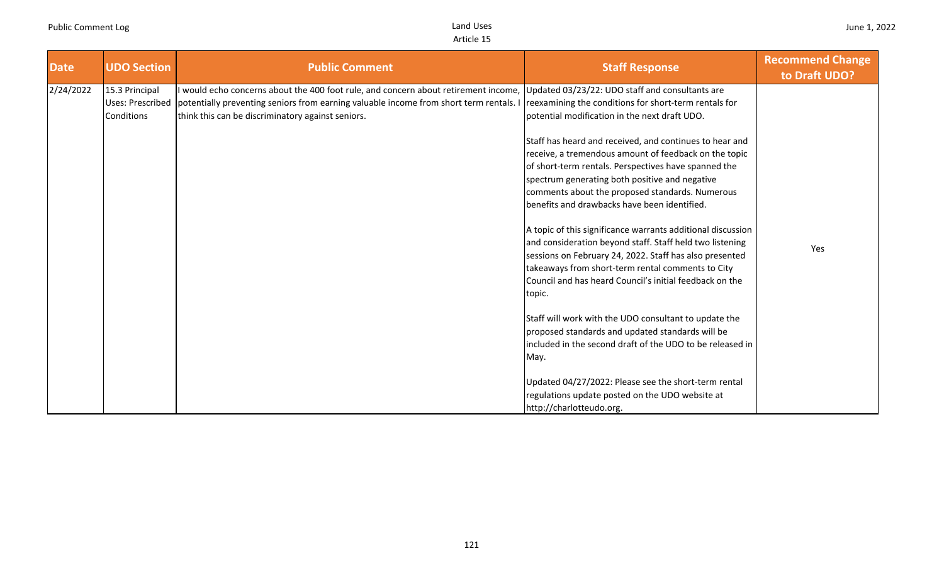| <b>Date</b> | <b>UDO Section</b>                                      | <b>Public Comment</b>                                                                                                                                                                                                          | <b>Staff Response</b>                                                                                                                                                                                                                                                                                                                                                                                                                                                                                                                                     | <b>Recommend Change</b><br>to Draft UDO? |
|-------------|---------------------------------------------------------|--------------------------------------------------------------------------------------------------------------------------------------------------------------------------------------------------------------------------------|-----------------------------------------------------------------------------------------------------------------------------------------------------------------------------------------------------------------------------------------------------------------------------------------------------------------------------------------------------------------------------------------------------------------------------------------------------------------------------------------------------------------------------------------------------------|------------------------------------------|
| 2/24/2022   | 15.3 Principal<br><b>Uses: Prescribed</b><br>Conditions | would echo concerns about the 400 foot rule, and concern about retirement income,<br>potentially preventing seniors from earning valuable income from short term rentals.<br>think this can be discriminatory against seniors. | Updated 03/23/22: UDO staff and consultants are<br>reexamining the conditions for short-term rentals for<br>potential modification in the next draft UDO.<br>Staff has heard and received, and continues to hear and<br>receive, a tremendous amount of feedback on the topic<br>of short-term rentals. Perspectives have spanned the<br>spectrum generating both positive and negative<br>comments about the proposed standards. Numerous<br>benefits and drawbacks have been identified.<br>A topic of this significance warrants additional discussion |                                          |
|             |                                                         |                                                                                                                                                                                                                                | and consideration beyond staff. Staff held two listening<br>sessions on February 24, 2022. Staff has also presented<br>takeaways from short-term rental comments to City<br>Council and has heard Council's initial feedback on the<br>topic.<br>Staff will work with the UDO consultant to update the<br>proposed standards and updated standards will be<br>included in the second draft of the UDO to be released in                                                                                                                                   | Yes                                      |
|             |                                                         |                                                                                                                                                                                                                                | May.<br>Updated 04/27/2022: Please see the short-term rental<br>regulations update posted on the UDO website at<br>http://charlotteudo.org.                                                                                                                                                                                                                                                                                                                                                                                                               |                                          |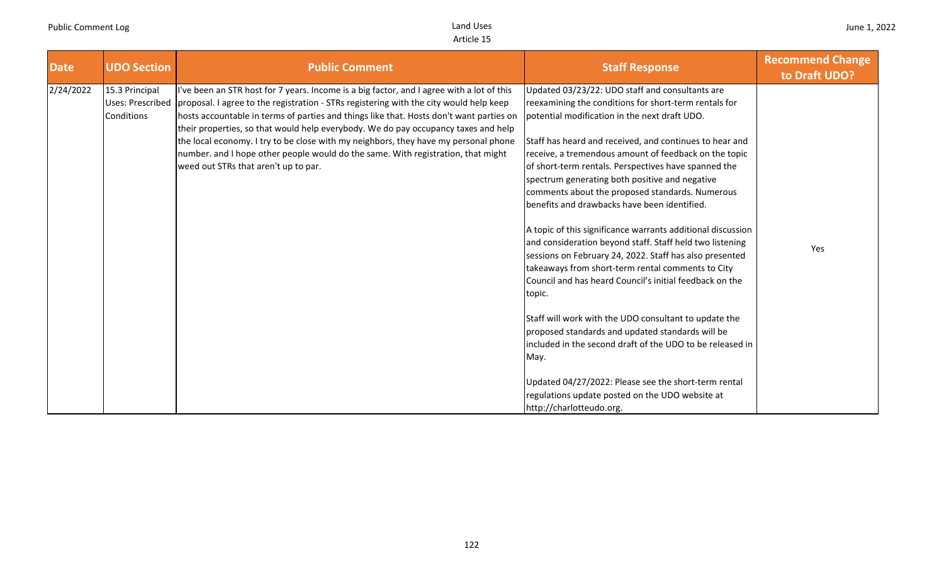| <b>Date</b> | <b>UDO Section</b>                                      | <b>Public Comment</b>                                                                                                                                                                                                                                                                                                                                                                                                                                                                                                                                                                   | <b>Staff Response</b>                                                                                                                                                                                                                                                                                                                                                                                                                                                                                                                                                                                                                                                                                                                                                                                                                                                                                                                                                                        | <b>Recommend Change</b><br>to Draft UDO? |
|-------------|---------------------------------------------------------|-----------------------------------------------------------------------------------------------------------------------------------------------------------------------------------------------------------------------------------------------------------------------------------------------------------------------------------------------------------------------------------------------------------------------------------------------------------------------------------------------------------------------------------------------------------------------------------------|----------------------------------------------------------------------------------------------------------------------------------------------------------------------------------------------------------------------------------------------------------------------------------------------------------------------------------------------------------------------------------------------------------------------------------------------------------------------------------------------------------------------------------------------------------------------------------------------------------------------------------------------------------------------------------------------------------------------------------------------------------------------------------------------------------------------------------------------------------------------------------------------------------------------------------------------------------------------------------------------|------------------------------------------|
| 2/24/2022   | 15.3 Principal<br><b>Uses: Prescribed</b><br>Conditions | I've been an STR host for 7 years. Income is a big factor, and I agree with a lot of this<br>proposal. I agree to the registration - STRs registering with the city would help keep<br>hosts accountable in terms of parties and things like that. Hosts don't want parties on<br>their properties, so that would help everybody. We do pay occupancy taxes and help<br>the local economy. I try to be close with my neighbors, they have my personal phone<br>number. and I hope other people would do the same. With registration, that might<br>weed out STRs that aren't up to par. | Updated 03/23/22: UDO staff and consultants are<br>reexamining the conditions for short-term rentals for<br>potential modification in the next draft UDO.<br>Staff has heard and received, and continues to hear and<br>receive, a tremendous amount of feedback on the topic<br>of short-term rentals. Perspectives have spanned the<br>spectrum generating both positive and negative<br>comments about the proposed standards. Numerous<br>benefits and drawbacks have been identified.<br>A topic of this significance warrants additional discussion<br>and consideration beyond staff. Staff held two listening<br>sessions on February 24, 2022. Staff has also presented<br>takeaways from short-term rental comments to City<br>Council and has heard Council's initial feedback on the<br>topic.<br>Staff will work with the UDO consultant to update the<br>proposed standards and updated standards will be<br>included in the second draft of the UDO to be released in<br>May. | Yes                                      |
|             |                                                         |                                                                                                                                                                                                                                                                                                                                                                                                                                                                                                                                                                                         | Updated 04/27/2022: Please see the short-term rental<br>regulations update posted on the UDO website at<br>http://charlotteudo.org.                                                                                                                                                                                                                                                                                                                                                                                                                                                                                                                                                                                                                                                                                                                                                                                                                                                          |                                          |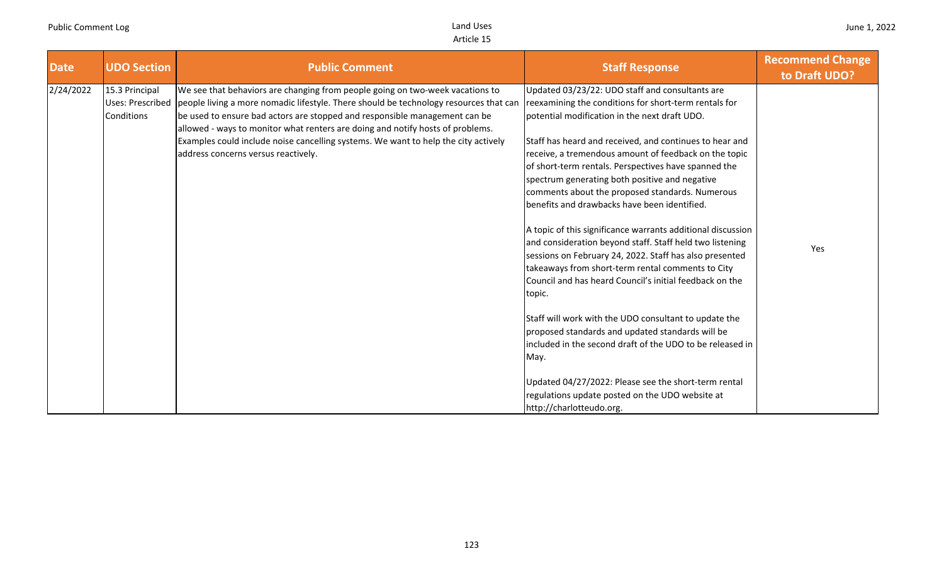| <b>Date</b> | <b>UDO Section</b>                               | <b>Public Comment</b>                                                                                                                                                                                                                                                                                                                                                                                                                                               | <b>Staff Response</b>                                                                                                                                                                                                                                                                                                                                                                                                                                                                                                                                                                                                                                                                                                                                                                                                                                                                                                                                                                                                                                                                                                               | <b>Recommend Change</b><br>to Draft UDO? |
|-------------|--------------------------------------------------|---------------------------------------------------------------------------------------------------------------------------------------------------------------------------------------------------------------------------------------------------------------------------------------------------------------------------------------------------------------------------------------------------------------------------------------------------------------------|-------------------------------------------------------------------------------------------------------------------------------------------------------------------------------------------------------------------------------------------------------------------------------------------------------------------------------------------------------------------------------------------------------------------------------------------------------------------------------------------------------------------------------------------------------------------------------------------------------------------------------------------------------------------------------------------------------------------------------------------------------------------------------------------------------------------------------------------------------------------------------------------------------------------------------------------------------------------------------------------------------------------------------------------------------------------------------------------------------------------------------------|------------------------------------------|
| 2/24/2022   | 15.3 Principal<br>Uses: Prescribed<br>Conditions | We see that behaviors are changing from people going on two-week vacations to<br>people living a more nomadic lifestyle. There should be technology resources that can<br>be used to ensure bad actors are stopped and responsible management can be<br>allowed - ways to monitor what renters are doing and notify hosts of problems.<br>Examples could include noise cancelling systems. We want to help the city actively<br>address concerns versus reactively. | Updated 03/23/22: UDO staff and consultants are<br>reexamining the conditions for short-term rentals for<br>potential modification in the next draft UDO.<br>Staff has heard and received, and continues to hear and<br>receive, a tremendous amount of feedback on the topic<br>of short-term rentals. Perspectives have spanned the<br>spectrum generating both positive and negative<br>comments about the proposed standards. Numerous<br>benefits and drawbacks have been identified.<br>A topic of this significance warrants additional discussion<br>and consideration beyond staff. Staff held two listening<br>sessions on February 24, 2022. Staff has also presented<br>takeaways from short-term rental comments to City<br>Council and has heard Council's initial feedback on the<br>topic.<br>Staff will work with the UDO consultant to update the<br>proposed standards and updated standards will be<br>included in the second draft of the UDO to be released in<br>May.<br>Updated 04/27/2022: Please see the short-term rental<br>regulations update posted on the UDO website at<br>http://charlotteudo.org. | Yes                                      |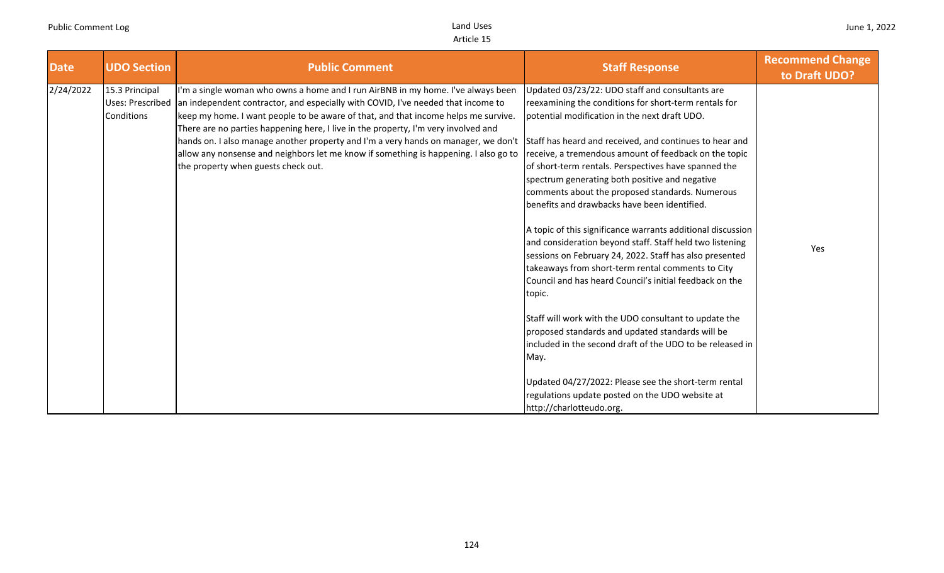| <b>Date</b> | <b>UDO Section</b>                                      | <b>Public Comment</b>                                                                                                                                                                                                                                                                                                                                                                                                                                                                                                                                                 | <b>Staff Response</b>                                                                                                                                                                                                                                                                                                                                                                                                                                                                                                                                                                                                                                                                                                                                                                                                                                                                                                                                                                                                                                                                                                               | <b>Recommend Change</b><br>to Draft UDO? |
|-------------|---------------------------------------------------------|-----------------------------------------------------------------------------------------------------------------------------------------------------------------------------------------------------------------------------------------------------------------------------------------------------------------------------------------------------------------------------------------------------------------------------------------------------------------------------------------------------------------------------------------------------------------------|-------------------------------------------------------------------------------------------------------------------------------------------------------------------------------------------------------------------------------------------------------------------------------------------------------------------------------------------------------------------------------------------------------------------------------------------------------------------------------------------------------------------------------------------------------------------------------------------------------------------------------------------------------------------------------------------------------------------------------------------------------------------------------------------------------------------------------------------------------------------------------------------------------------------------------------------------------------------------------------------------------------------------------------------------------------------------------------------------------------------------------------|------------------------------------------|
| 2/24/2022   | 15.3 Principal<br><b>Uses: Prescribed</b><br>Conditions | I'm a single woman who owns a home and I run AirBNB in my home. I've always been<br>an independent contractor, and especially with COVID, I've needed that income to<br>keep my home. I want people to be aware of that, and that income helps me survive.<br>There are no parties happening here, I live in the property, I'm very involved and<br>hands on. I also manage another property and I'm a very hands on manager, we don't<br>allow any nonsense and neighbors let me know if something is happening. I also go to<br>the property when guests check out. | Updated 03/23/22: UDO staff and consultants are<br>reexamining the conditions for short-term rentals for<br>potential modification in the next draft UDO.<br>Staff has heard and received, and continues to hear and<br>receive, a tremendous amount of feedback on the topic<br>of short-term rentals. Perspectives have spanned the<br>spectrum generating both positive and negative<br>comments about the proposed standards. Numerous<br>benefits and drawbacks have been identified.<br>A topic of this significance warrants additional discussion<br>and consideration beyond staff. Staff held two listening<br>sessions on February 24, 2022. Staff has also presented<br>takeaways from short-term rental comments to City<br>Council and has heard Council's initial feedback on the<br>topic.<br>Staff will work with the UDO consultant to update the<br>proposed standards and updated standards will be<br>included in the second draft of the UDO to be released in<br>May.<br>Updated 04/27/2022: Please see the short-term rental<br>regulations update posted on the UDO website at<br>http://charlotteudo.org. | Yes                                      |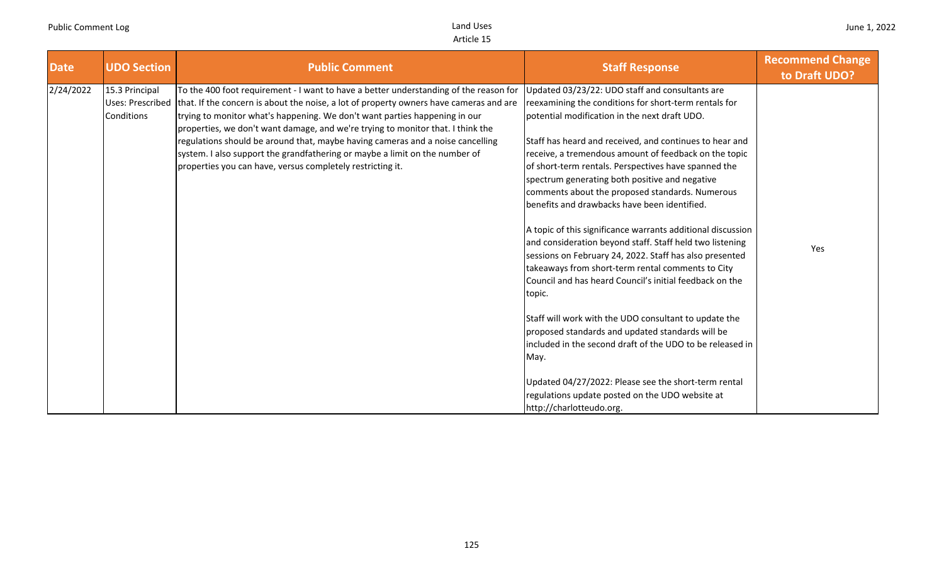| <b>Date</b> | <b>UDO Section</b>                                             | <b>Public Comment</b>                                                                                                                                                                                                                                                                                                                                                                                                                                                                                                                                                           | <b>Staff Response</b>                                                                                                                                                                                                                                                                                                                                                                                                                                                                                                                                                                                                                                                                                                                                                                                                                                                                                                                                                                                                                                                                                                                | <b>Recommend Change</b><br>to Draft UDO? |
|-------------|----------------------------------------------------------------|---------------------------------------------------------------------------------------------------------------------------------------------------------------------------------------------------------------------------------------------------------------------------------------------------------------------------------------------------------------------------------------------------------------------------------------------------------------------------------------------------------------------------------------------------------------------------------|--------------------------------------------------------------------------------------------------------------------------------------------------------------------------------------------------------------------------------------------------------------------------------------------------------------------------------------------------------------------------------------------------------------------------------------------------------------------------------------------------------------------------------------------------------------------------------------------------------------------------------------------------------------------------------------------------------------------------------------------------------------------------------------------------------------------------------------------------------------------------------------------------------------------------------------------------------------------------------------------------------------------------------------------------------------------------------------------------------------------------------------|------------------------------------------|
| 2/24/2022   | 15.3 Principal<br><b>Uses: Prescribed</b><br><b>Conditions</b> | To the 400 foot requirement - I want to have a better understanding of the reason for<br>that. If the concern is about the noise, a lot of property owners have cameras and are<br>trying to monitor what's happening. We don't want parties happening in our<br>properties, we don't want damage, and we're trying to monitor that. I think the<br>regulations should be around that, maybe having cameras and a noise cancelling<br>system. I also support the grandfathering or maybe a limit on the number of<br>properties you can have, versus completely restricting it. | Updated 03/23/22: UDO staff and consultants are<br>reexamining the conditions for short-term rentals for<br>potential modification in the next draft UDO.<br>Staff has heard and received, and continues to hear and<br>receive, a tremendous amount of feedback on the topic<br>of short-term rentals. Perspectives have spanned the<br>spectrum generating both positive and negative<br>comments about the proposed standards. Numerous<br>benefits and drawbacks have been identified.<br>A topic of this significance warrants additional discussion<br>and consideration beyond staff. Staff held two listening<br>sessions on February 24, 2022. Staff has also presented<br>takeaways from short-term rental comments to City<br>Council and has heard Council's initial feedback on the<br>topic.<br>Staff will work with the UDO consultant to update the<br>proposed standards and updated standards will be<br>lincluded in the second draft of the UDO to be released in<br>May.<br>Updated 04/27/2022: Please see the short-term rental<br>regulations update posted on the UDO website at<br>http://charlotteudo.org. | Yes                                      |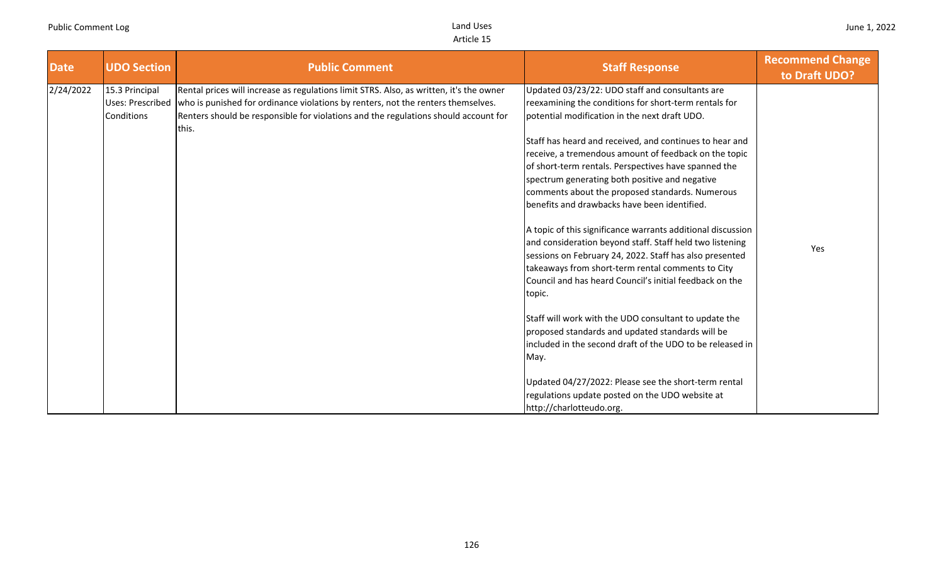| <b>Date</b> | <b>UDO Section</b>                               | <b>Public Comment</b>                                                                                                                                                                                                                                                       | <b>Staff Response</b>                                                                                                                                                                                                                                                                                                                                                                                                                                                                                                                                                                                                                                                                                                                                                                                      | <b>Recommend Change</b><br>to Draft UDO? |
|-------------|--------------------------------------------------|-----------------------------------------------------------------------------------------------------------------------------------------------------------------------------------------------------------------------------------------------------------------------------|------------------------------------------------------------------------------------------------------------------------------------------------------------------------------------------------------------------------------------------------------------------------------------------------------------------------------------------------------------------------------------------------------------------------------------------------------------------------------------------------------------------------------------------------------------------------------------------------------------------------------------------------------------------------------------------------------------------------------------------------------------------------------------------------------------|------------------------------------------|
| 2/24/2022   | 15.3 Principal<br>Uses: Prescribed<br>Conditions | Rental prices will increase as regulations limit STRS. Also, as written, it's the owner<br>who is punished for ordinance violations by renters, not the renters themselves.<br>Renters should be responsible for violations and the regulations should account for<br>this. | Updated 03/23/22: UDO staff and consultants are<br>reexamining the conditions for short-term rentals for<br>potential modification in the next draft UDO.<br>Staff has heard and received, and continues to hear and<br>receive, a tremendous amount of feedback on the topic<br>of short-term rentals. Perspectives have spanned the<br>spectrum generating both positive and negative<br>comments about the proposed standards. Numerous<br>benefits and drawbacks have been identified.<br>A topic of this significance warrants additional discussion<br>and consideration beyond staff. Staff held two listening<br>sessions on February 24, 2022. Staff has also presented<br>takeaways from short-term rental comments to City<br>Council and has heard Council's initial feedback on the<br>topic. | Yes                                      |
|             |                                                  |                                                                                                                                                                                                                                                                             | Staff will work with the UDO consultant to update the<br>proposed standards and updated standards will be<br>included in the second draft of the UDO to be released in<br>May.<br>Updated 04/27/2022: Please see the short-term rental<br>regulations update posted on the UDO website at<br>http://charlotteudo.org.                                                                                                                                                                                                                                                                                                                                                                                                                                                                                      |                                          |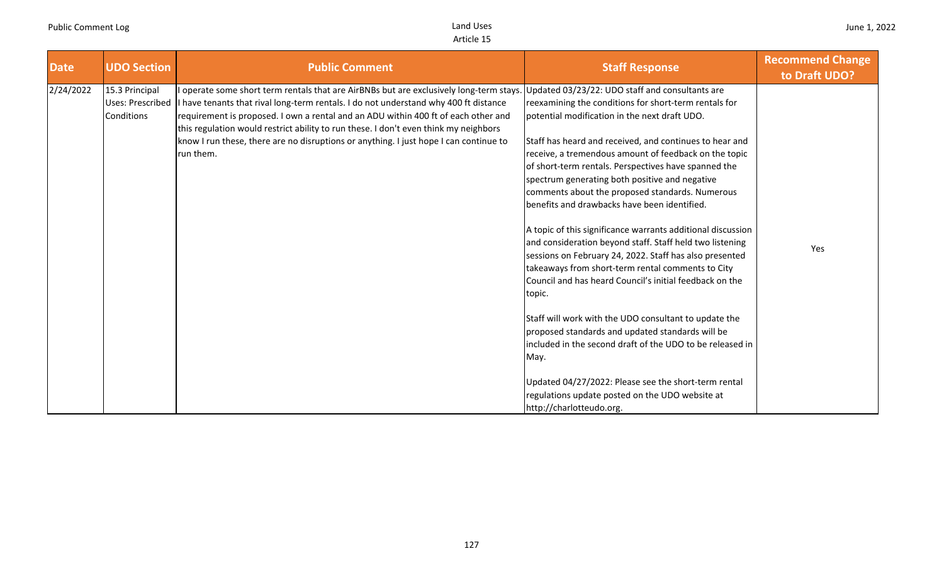| <b>Date</b> | <b>UDO Section</b>                                      | <b>Public Comment</b>                                                                                                                                                                                                                                                                                                                                                                                                                                               | <b>Staff Response</b>                                                                                                                                                                                                                                                                                                                                                                                                                                                                                                                                                                                                                                                                                                                                                                                                                                                                                                                                                                                                                                                                                                               | <b>Recommend Change</b><br>to Draft UDO? |
|-------------|---------------------------------------------------------|---------------------------------------------------------------------------------------------------------------------------------------------------------------------------------------------------------------------------------------------------------------------------------------------------------------------------------------------------------------------------------------------------------------------------------------------------------------------|-------------------------------------------------------------------------------------------------------------------------------------------------------------------------------------------------------------------------------------------------------------------------------------------------------------------------------------------------------------------------------------------------------------------------------------------------------------------------------------------------------------------------------------------------------------------------------------------------------------------------------------------------------------------------------------------------------------------------------------------------------------------------------------------------------------------------------------------------------------------------------------------------------------------------------------------------------------------------------------------------------------------------------------------------------------------------------------------------------------------------------------|------------------------------------------|
| 2/24/2022   | 15.3 Principal<br><b>Uses: Prescribed</b><br>Conditions | I operate some short term rentals that are AirBNBs but are exclusively long-term stays.<br>I have tenants that rival long-term rentals. I do not understand why 400 ft distance<br>requirement is proposed. I own a rental and an ADU within 400 ft of each other and<br>this regulation would restrict ability to run these. I don't even think my neighbors<br>know I run these, there are no disruptions or anything. I just hope I can continue to<br>run them. | Updated 03/23/22: UDO staff and consultants are<br>reexamining the conditions for short-term rentals for<br>potential modification in the next draft UDO.<br>Staff has heard and received, and continues to hear and<br>receive, a tremendous amount of feedback on the topic<br>of short-term rentals. Perspectives have spanned the<br>spectrum generating both positive and negative<br>comments about the proposed standards. Numerous<br>benefits and drawbacks have been identified.<br>A topic of this significance warrants additional discussion<br>and consideration beyond staff. Staff held two listening<br>sessions on February 24, 2022. Staff has also presented<br>takeaways from short-term rental comments to City<br>Council and has heard Council's initial feedback on the<br>topic.<br>Staff will work with the UDO consultant to update the<br>proposed standards and updated standards will be<br>included in the second draft of the UDO to be released in<br>May.<br>Updated 04/27/2022: Please see the short-term rental<br>regulations update posted on the UDO website at<br>http://charlotteudo.org. | Yes                                      |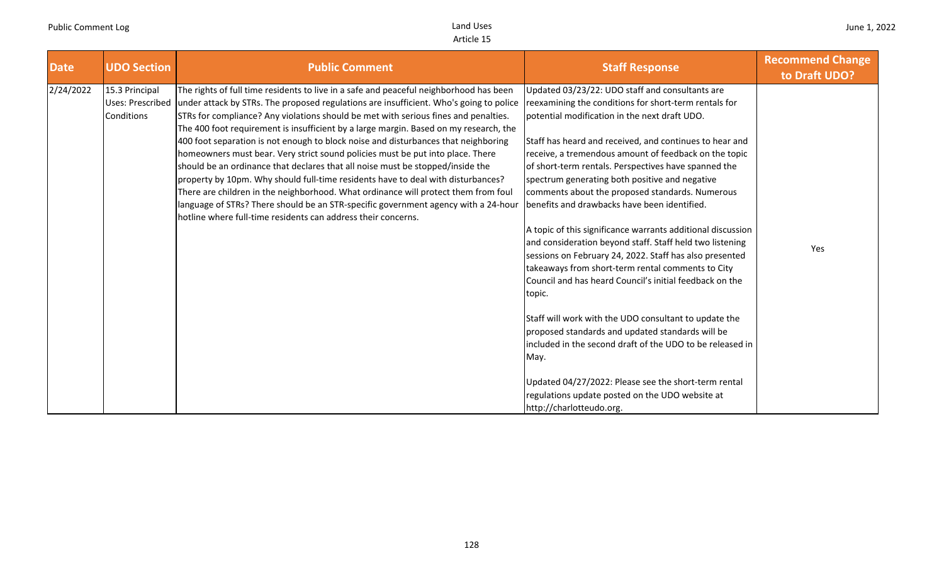| <b>Date</b> | <b>UDO Section</b>                               | <b>Public Comment</b>                                                                                                                                                                                                                                                                                                                                                                                                                                                                                                                                                                                                                                                                                                                                                                                                                                                                                                                                       | <b>Staff Response</b>                                                                                                                                                                                                                                                                                                                                                                                                                                                                                                                                                                                                                                                                                                                                                                                                                                                                                                                                                                                                                                                                                                               | <b>Recommend Change</b><br>to Draft UDO? |
|-------------|--------------------------------------------------|-------------------------------------------------------------------------------------------------------------------------------------------------------------------------------------------------------------------------------------------------------------------------------------------------------------------------------------------------------------------------------------------------------------------------------------------------------------------------------------------------------------------------------------------------------------------------------------------------------------------------------------------------------------------------------------------------------------------------------------------------------------------------------------------------------------------------------------------------------------------------------------------------------------------------------------------------------------|-------------------------------------------------------------------------------------------------------------------------------------------------------------------------------------------------------------------------------------------------------------------------------------------------------------------------------------------------------------------------------------------------------------------------------------------------------------------------------------------------------------------------------------------------------------------------------------------------------------------------------------------------------------------------------------------------------------------------------------------------------------------------------------------------------------------------------------------------------------------------------------------------------------------------------------------------------------------------------------------------------------------------------------------------------------------------------------------------------------------------------------|------------------------------------------|
| 2/24/2022   | 15.3 Principal<br>Uses: Prescribed<br>Conditions | The rights of full time residents to live in a safe and peaceful neighborhood has been<br>under attack by STRs. The proposed regulations are insufficient. Who's going to police<br>STRs for compliance? Any violations should be met with serious fines and penalties.<br>The 400 foot requirement is insufficient by a large margin. Based on my research, the<br>400 foot separation is not enough to block noise and disturbances that neighboring<br>homeowners must bear. Very strict sound policies must be put into place. There<br>should be an ordinance that declares that all noise must be stopped/inside the<br>property by 10pm. Why should full-time residents have to deal with disturbances?<br>There are children in the neighborhood. What ordinance will protect them from foul<br>language of STRs? There should be an STR-specific government agency with a 24-hour<br>hotline where full-time residents can address their concerns. | Updated 03/23/22: UDO staff and consultants are<br>reexamining the conditions for short-term rentals for<br>potential modification in the next draft UDO.<br>Staff has heard and received, and continues to hear and<br>receive, a tremendous amount of feedback on the topic<br>of short-term rentals. Perspectives have spanned the<br>spectrum generating both positive and negative<br>comments about the proposed standards. Numerous<br>benefits and drawbacks have been identified.<br>A topic of this significance warrants additional discussion<br>and consideration beyond staff. Staff held two listening<br>sessions on February 24, 2022. Staff has also presented<br>takeaways from short-term rental comments to City<br>Council and has heard Council's initial feedback on the<br>topic.<br>Staff will work with the UDO consultant to update the<br>proposed standards and updated standards will be<br>included in the second draft of the UDO to be released in<br>May.<br>Updated 04/27/2022: Please see the short-term rental<br>regulations update posted on the UDO website at<br>http://charlotteudo.org. | Yes                                      |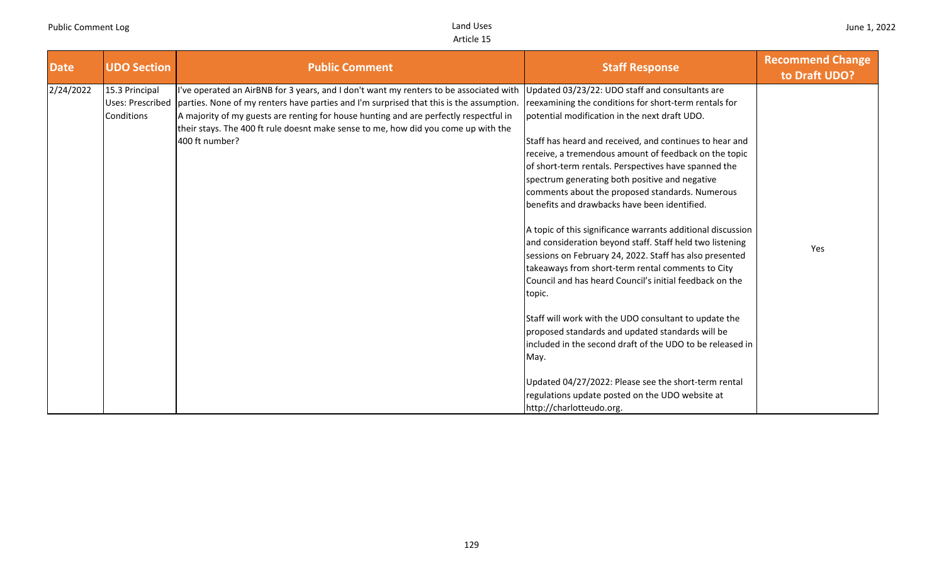| <b>Date</b> | <b>UDO Section</b>           | <b>Public Comment</b>                                                                                                                                                                                                                                                                                                                                                                                 | <b>Staff Response</b>                                                                                                                                                                                                                                                                                                                                                                                                                                                                                                                                                                                                                                                                                                                                                                                                                                                                                                                                                                                                                                                                                   | <b>Recommend Change</b><br>to Draft UDO? |
|-------------|------------------------------|-------------------------------------------------------------------------------------------------------------------------------------------------------------------------------------------------------------------------------------------------------------------------------------------------------------------------------------------------------------------------------------------------------|---------------------------------------------------------------------------------------------------------------------------------------------------------------------------------------------------------------------------------------------------------------------------------------------------------------------------------------------------------------------------------------------------------------------------------------------------------------------------------------------------------------------------------------------------------------------------------------------------------------------------------------------------------------------------------------------------------------------------------------------------------------------------------------------------------------------------------------------------------------------------------------------------------------------------------------------------------------------------------------------------------------------------------------------------------------------------------------------------------|------------------------------------------|
| 2/24/2022   | 15.3 Principal<br>Conditions | I've operated an AirBNB for 3 years, and I don't want my renters to be associated with<br>Uses: Prescribed   parties. None of my renters have parties and I'm surprised that this is the assumption.<br>A majority of my guests are renting for house hunting and are perfectly respectful in<br>their stays. The 400 ft rule doesnt make sense to me, how did you come up with the<br>400 ft number? | Updated 03/23/22: UDO staff and consultants are<br>reexamining the conditions for short-term rentals for<br>potential modification in the next draft UDO.<br>Staff has heard and received, and continues to hear and<br>receive, a tremendous amount of feedback on the topic<br>of short-term rentals. Perspectives have spanned the<br>spectrum generating both positive and negative<br>comments about the proposed standards. Numerous<br>benefits and drawbacks have been identified.<br>A topic of this significance warrants additional discussion<br>and consideration beyond staff. Staff held two listening<br>sessions on February 24, 2022. Staff has also presented<br>takeaways from short-term rental comments to City<br>Council and has heard Council's initial feedback on the<br>topic.<br>Staff will work with the UDO consultant to update the<br>proposed standards and updated standards will be<br>included in the second draft of the UDO to be released in<br>May.<br>Updated 04/27/2022: Please see the short-term rental<br>regulations update posted on the UDO website at | Yes                                      |
|             |                              |                                                                                                                                                                                                                                                                                                                                                                                                       | http://charlotteudo.org.                                                                                                                                                                                                                                                                                                                                                                                                                                                                                                                                                                                                                                                                                                                                                                                                                                                                                                                                                                                                                                                                                |                                          |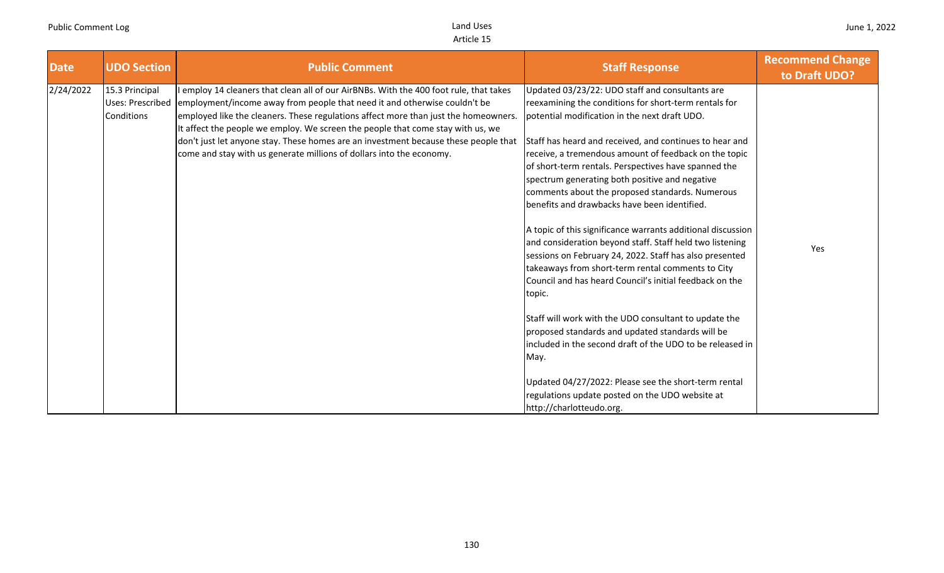| <b>Date</b> | <b>UDO Section</b>                                      | <b>Public Comment</b>                                                                                                                                                                                                                                                                                                                                                                                                                                                                                        | <b>Staff Response</b>                                                                                                                                                                                                                                                                                                                                                                                                                                                                                                                                                                                                                                                                                                                                                                            | <b>Recommend Change</b><br>to Draft UDO? |
|-------------|---------------------------------------------------------|--------------------------------------------------------------------------------------------------------------------------------------------------------------------------------------------------------------------------------------------------------------------------------------------------------------------------------------------------------------------------------------------------------------------------------------------------------------------------------------------------------------|--------------------------------------------------------------------------------------------------------------------------------------------------------------------------------------------------------------------------------------------------------------------------------------------------------------------------------------------------------------------------------------------------------------------------------------------------------------------------------------------------------------------------------------------------------------------------------------------------------------------------------------------------------------------------------------------------------------------------------------------------------------------------------------------------|------------------------------------------|
| 2/24/2022   | 15.3 Principal<br><b>Uses: Prescribed</b><br>Conditions | I employ 14 cleaners that clean all of our AirBNBs. With the 400 foot rule, that takes<br>employment/income away from people that need it and otherwise couldn't be<br>employed like the cleaners. These regulations affect more than just the homeowners.<br>It affect the people we employ. We screen the people that come stay with us, we<br>don't just let anyone stay. These homes are an investment because these people that<br>come and stay with us generate millions of dollars into the economy. | Updated 03/23/22: UDO staff and consultants are<br>reexamining the conditions for short-term rentals for<br>potential modification in the next draft UDO.<br>Staff has heard and received, and continues to hear and<br>receive, a tremendous amount of feedback on the topic<br>of short-term rentals. Perspectives have spanned the<br>spectrum generating both positive and negative<br>comments about the proposed standards. Numerous<br>benefits and drawbacks have been identified.<br>A topic of this significance warrants additional discussion<br>and consideration beyond staff. Staff held two listening<br>sessions on February 24, 2022. Staff has also presented<br>takeaways from short-term rental comments to City<br>Council and has heard Council's initial feedback on the | Yes                                      |
|             |                                                         |                                                                                                                                                                                                                                                                                                                                                                                                                                                                                                              | topic.<br>Staff will work with the UDO consultant to update the<br>proposed standards and updated standards will be<br>included in the second draft of the UDO to be released in<br>May.<br>Updated 04/27/2022: Please see the short-term rental<br>regulations update posted on the UDO website at<br>http://charlotteudo.org.                                                                                                                                                                                                                                                                                                                                                                                                                                                                  |                                          |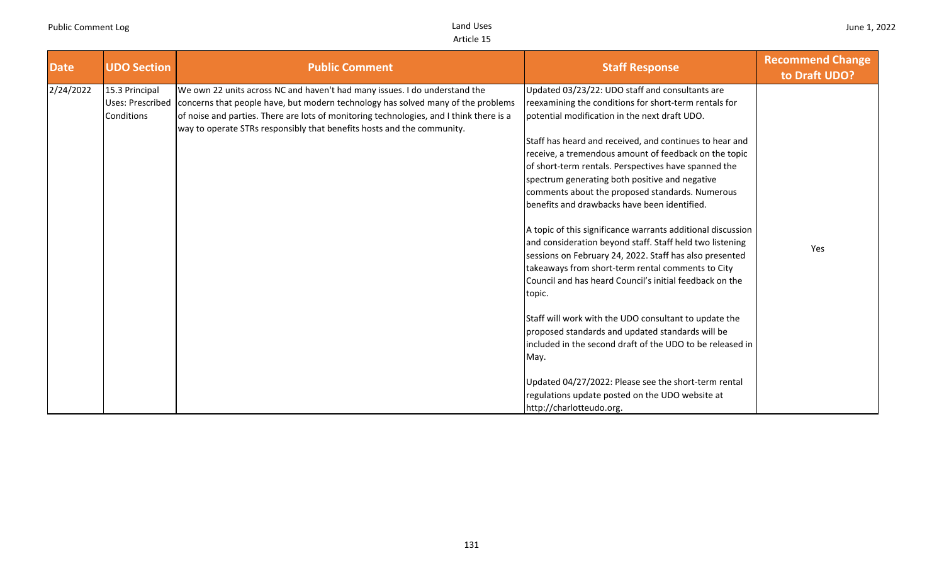| <b>Date</b> | <b>UDO Section</b>           | <b>Public Comment</b>                                                                                                                                                                                                                                                                                                                                | <b>Staff Response</b>                                                                                                                                                                                                                                                                                                                                                                                                                                                                                                                                                                                                                                                                                                                                                                                                                                               | <b>Recommend Change</b><br>to Draft UDO? |
|-------------|------------------------------|------------------------------------------------------------------------------------------------------------------------------------------------------------------------------------------------------------------------------------------------------------------------------------------------------------------------------------------------------|---------------------------------------------------------------------------------------------------------------------------------------------------------------------------------------------------------------------------------------------------------------------------------------------------------------------------------------------------------------------------------------------------------------------------------------------------------------------------------------------------------------------------------------------------------------------------------------------------------------------------------------------------------------------------------------------------------------------------------------------------------------------------------------------------------------------------------------------------------------------|------------------------------------------|
| 2/24/2022   | 15.3 Principal<br>Conditions | We own 22 units across NC and haven't had many issues. I do understand the<br>Uses: Prescribed concerns that people have, but modern technology has solved many of the problems<br>of noise and parties. There are lots of monitoring technologies, and I think there is a<br>way to operate STRs responsibly that benefits hosts and the community. | Updated 03/23/22: UDO staff and consultants are<br>reexamining the conditions for short-term rentals for<br>potential modification in the next draft UDO.<br>Staff has heard and received, and continues to hear and<br>receive, a tremendous amount of feedback on the topic<br>of short-term rentals. Perspectives have spanned the<br>spectrum generating both positive and negative<br>comments about the proposed standards. Numerous<br>benefits and drawbacks have been identified.<br>A topic of this significance warrants additional discussion<br>and consideration beyond staff. Staff held two listening<br>sessions on February 24, 2022. Staff has also presented<br>takeaways from short-term rental comments to City<br>Council and has heard Council's initial feedback on the<br>topic.<br>Staff will work with the UDO consultant to update the | Yes                                      |
|             |                              |                                                                                                                                                                                                                                                                                                                                                      | proposed standards and updated standards will be<br>included in the second draft of the UDO to be released in<br>May.<br>Updated 04/27/2022: Please see the short-term rental<br>regulations update posted on the UDO website at<br>http://charlotteudo.org.                                                                                                                                                                                                                                                                                                                                                                                                                                                                                                                                                                                                        |                                          |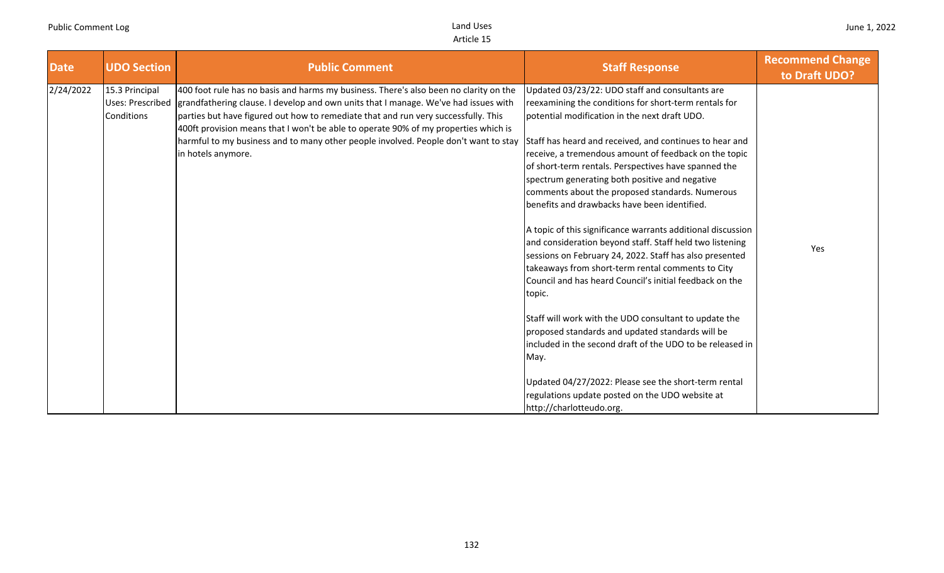| <b>Date</b> | <b>UDO Section</b>                               | <b>Public Comment</b>                                                                                                                                                                                                                                                                                                                                                                                                                                                  | <b>Staff Response</b>                                                                                                                                                                                                                                                                                                                                                                                                                                                                                                                                                                                                                                                                                                                                                                                                                                                                                                                                                                                                                                                                                   | <b>Recommend Change</b><br>to Draft UDO? |
|-------------|--------------------------------------------------|------------------------------------------------------------------------------------------------------------------------------------------------------------------------------------------------------------------------------------------------------------------------------------------------------------------------------------------------------------------------------------------------------------------------------------------------------------------------|---------------------------------------------------------------------------------------------------------------------------------------------------------------------------------------------------------------------------------------------------------------------------------------------------------------------------------------------------------------------------------------------------------------------------------------------------------------------------------------------------------------------------------------------------------------------------------------------------------------------------------------------------------------------------------------------------------------------------------------------------------------------------------------------------------------------------------------------------------------------------------------------------------------------------------------------------------------------------------------------------------------------------------------------------------------------------------------------------------|------------------------------------------|
| 2/24/2022   | 15.3 Principal<br>Uses: Prescribed<br>Conditions | 400 foot rule has no basis and harms my business. There's also been no clarity on the<br>grandfathering clause. I develop and own units that I manage. We've had issues with<br>parties but have figured out how to remediate that and run very successfully. This<br>400ft provision means that I won't be able to operate 90% of my properties which is<br>harmful to my business and to many other people involved. People don't want to stay<br>in hotels anymore. | Updated 03/23/22: UDO staff and consultants are<br>reexamining the conditions for short-term rentals for<br>potential modification in the next draft UDO.<br>Staff has heard and received, and continues to hear and<br>receive, a tremendous amount of feedback on the topic<br>of short-term rentals. Perspectives have spanned the<br>spectrum generating both positive and negative<br>comments about the proposed standards. Numerous<br>benefits and drawbacks have been identified.<br>A topic of this significance warrants additional discussion<br>and consideration beyond staff. Staff held two listening<br>sessions on February 24, 2022. Staff has also presented<br>takeaways from short-term rental comments to City<br>Council and has heard Council's initial feedback on the<br>topic.<br>Staff will work with the UDO consultant to update the<br>proposed standards and updated standards will be<br>included in the second draft of the UDO to be released in<br>May.<br>Updated 04/27/2022: Please see the short-term rental<br>regulations update posted on the UDO website at | Yes                                      |
|             |                                                  |                                                                                                                                                                                                                                                                                                                                                                                                                                                                        | http://charlotteudo.org.                                                                                                                                                                                                                                                                                                                                                                                                                                                                                                                                                                                                                                                                                                                                                                                                                                                                                                                                                                                                                                                                                |                                          |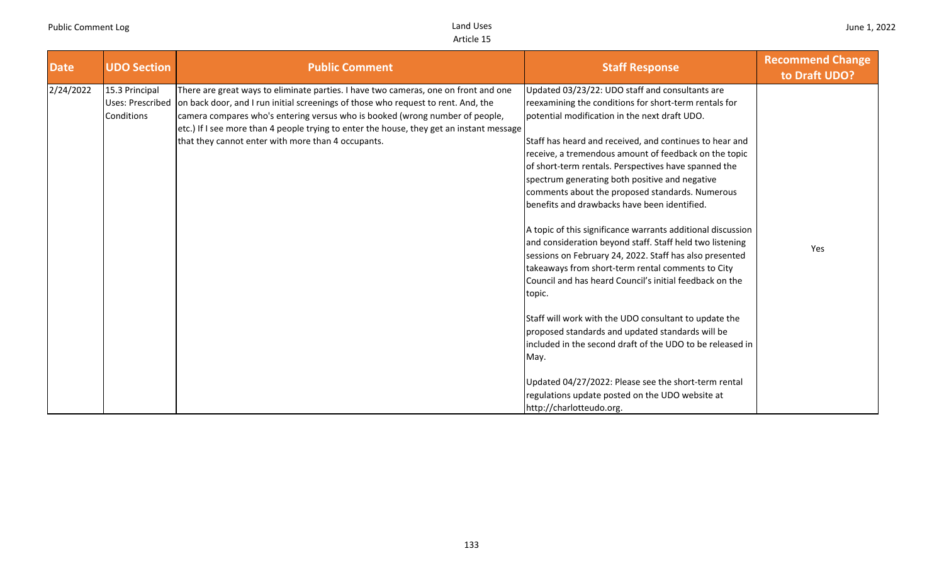| <b>Date</b> | <b>UDO Section</b>           | <b>Public Comment</b>                                                                                                                                                                                                                                                                                                                                                                                                       | <b>Staff Response</b>                                                                                                                                                                                                                                                                                                                                                                                                                                                                                                                                                                                                 | <b>Recommend Change</b><br>to Draft UDO? |
|-------------|------------------------------|-----------------------------------------------------------------------------------------------------------------------------------------------------------------------------------------------------------------------------------------------------------------------------------------------------------------------------------------------------------------------------------------------------------------------------|-----------------------------------------------------------------------------------------------------------------------------------------------------------------------------------------------------------------------------------------------------------------------------------------------------------------------------------------------------------------------------------------------------------------------------------------------------------------------------------------------------------------------------------------------------------------------------------------------------------------------|------------------------------------------|
| 2/24/2022   | 15.3 Principal<br>Conditions | There are great ways to eliminate parties. I have two cameras, one on front and one<br>Uses: Prescribed on back door, and I run initial screenings of those who request to rent. And, the<br>camera compares who's entering versus who is booked (wrong number of people,<br>etc.) If I see more than 4 people trying to enter the house, they get an instant message<br>that they cannot enter with more than 4 occupants. | Updated 03/23/22: UDO staff and consultants are<br>reexamining the conditions for short-term rentals for<br>potential modification in the next draft UDO.<br>Staff has heard and received, and continues to hear and<br>receive, a tremendous amount of feedback on the topic<br>of short-term rentals. Perspectives have spanned the<br>spectrum generating both positive and negative<br>comments about the proposed standards. Numerous<br>benefits and drawbacks have been identified.<br>A topic of this significance warrants additional discussion<br>and consideration beyond staff. Staff held two listening | Yes                                      |
|             |                              |                                                                                                                                                                                                                                                                                                                                                                                                                             | sessions on February 24, 2022. Staff has also presented<br>takeaways from short-term rental comments to City<br>Council and has heard Council's initial feedback on the<br>topic.<br>Staff will work with the UDO consultant to update the<br>proposed standards and updated standards will be<br>included in the second draft of the UDO to be released in<br>May.<br>Updated 04/27/2022: Please see the short-term rental<br>regulations update posted on the UDO website at<br>http://charlotteudo.org.                                                                                                            |                                          |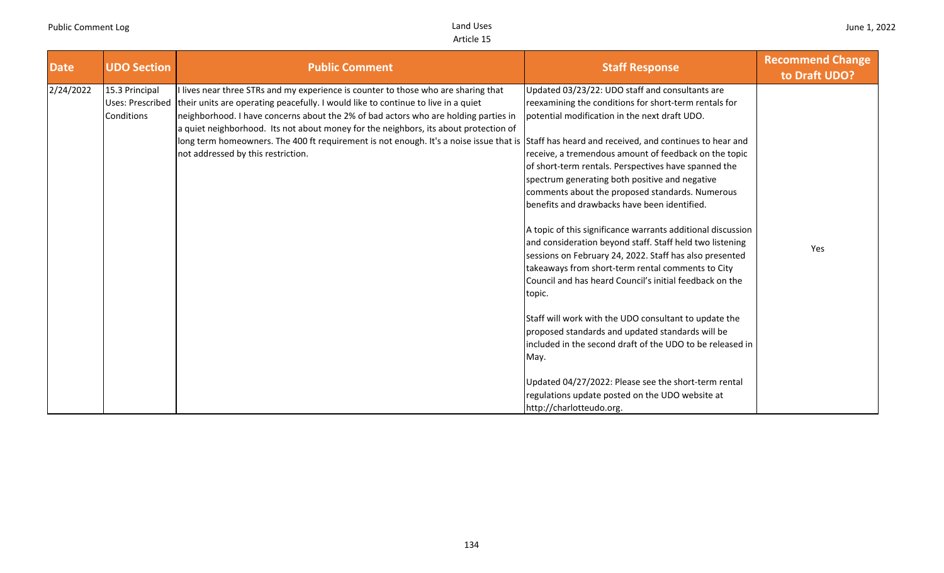| <b>Date</b> | <b>UDO Section</b>           | <b>Public Comment</b>                                                                                                                                                                                                                                                                                                                                                                                                                                                                                                                                         | <b>Staff Response</b>                                                                                                                                                                                                                                                                                        | <b>Recommend Change</b><br>to Draft UDO? |
|-------------|------------------------------|---------------------------------------------------------------------------------------------------------------------------------------------------------------------------------------------------------------------------------------------------------------------------------------------------------------------------------------------------------------------------------------------------------------------------------------------------------------------------------------------------------------------------------------------------------------|--------------------------------------------------------------------------------------------------------------------------------------------------------------------------------------------------------------------------------------------------------------------------------------------------------------|------------------------------------------|
| 2/24/2022   | 15.3 Principal<br>Conditions | lives near three STRs and my experience is counter to those who are sharing that<br>Uses: Prescribed their units are operating peacefully. I would like to continue to live in a quiet<br>neighborhood. I have concerns about the 2% of bad actors who are holding parties in<br>a quiet neighborhood. Its not about money for the neighbors, its about protection of<br>long term homeowners. The 400 ft requirement is not enough. It's a noise issue that is Staff has heard and received, and continues to hear and<br>not addressed by this restriction. | Updated 03/23/22: UDO staff and consultants are<br>reexamining the conditions for short-term rentals for<br>potential modification in the next draft UDO.<br>receive, a tremendous amount of feedback on the topic                                                                                           |                                          |
|             |                              |                                                                                                                                                                                                                                                                                                                                                                                                                                                                                                                                                               | of short-term rentals. Perspectives have spanned the<br>spectrum generating both positive and negative<br>comments about the proposed standards. Numerous<br>benefits and drawbacks have been identified.                                                                                                    |                                          |
|             |                              |                                                                                                                                                                                                                                                                                                                                                                                                                                                                                                                                                               | A topic of this significance warrants additional discussion<br>and consideration beyond staff. Staff held two listening<br>sessions on February 24, 2022. Staff has also presented<br>takeaways from short-term rental comments to City<br>Council and has heard Council's initial feedback on the<br>topic. | Yes                                      |
|             |                              |                                                                                                                                                                                                                                                                                                                                                                                                                                                                                                                                                               | Staff will work with the UDO consultant to update the<br>proposed standards and updated standards will be<br>included in the second draft of the UDO to be released in<br>May.                                                                                                                               |                                          |
|             |                              |                                                                                                                                                                                                                                                                                                                                                                                                                                                                                                                                                               | Updated 04/27/2022: Please see the short-term rental<br>regulations update posted on the UDO website at<br>http://charlotteudo.org.                                                                                                                                                                          |                                          |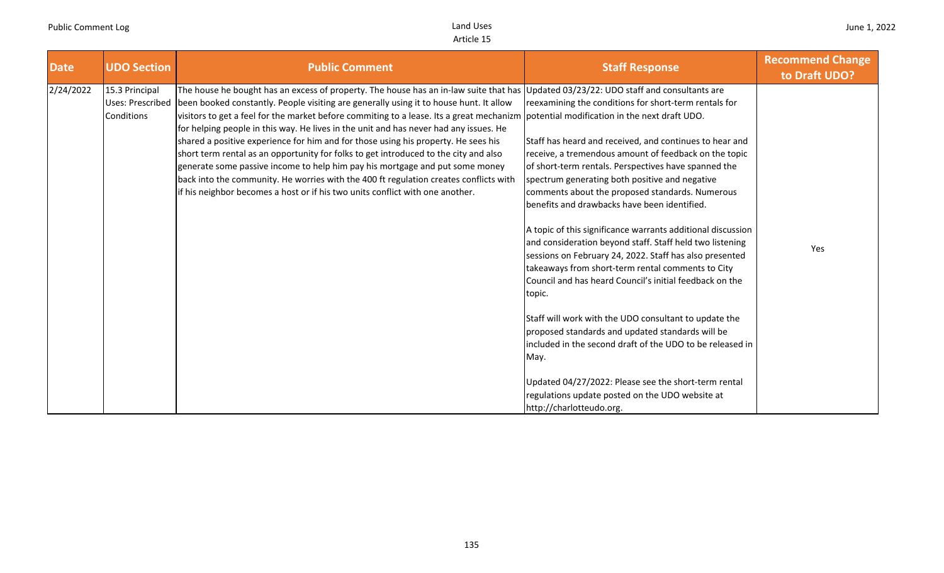| <b>Date</b> | <b>UDO Section</b>                               | <b>Public Comment</b>                                                                                                                                                                                                                                                                                                                                                                                                                                                                                                                                                                                                                                                                                                                                                                                        | <b>Staff Response</b>                                                                                                                                                                                                                                                                                                                                                                                                                                                                                                                                                                                                                                                                                                                                                                                                                                                                                                                                                                                                                                                                                                               | <b>Recommend Change</b><br>to Draft UDO? |
|-------------|--------------------------------------------------|--------------------------------------------------------------------------------------------------------------------------------------------------------------------------------------------------------------------------------------------------------------------------------------------------------------------------------------------------------------------------------------------------------------------------------------------------------------------------------------------------------------------------------------------------------------------------------------------------------------------------------------------------------------------------------------------------------------------------------------------------------------------------------------------------------------|-------------------------------------------------------------------------------------------------------------------------------------------------------------------------------------------------------------------------------------------------------------------------------------------------------------------------------------------------------------------------------------------------------------------------------------------------------------------------------------------------------------------------------------------------------------------------------------------------------------------------------------------------------------------------------------------------------------------------------------------------------------------------------------------------------------------------------------------------------------------------------------------------------------------------------------------------------------------------------------------------------------------------------------------------------------------------------------------------------------------------------------|------------------------------------------|
| 2/24/2022   | 15.3 Principal<br>Uses: Prescribed<br>Conditions | The house he bought has an excess of property. The house has an in-law suite that has<br>been booked constantly. People visiting are generally using it to house hunt. It allow<br>visitors to get a feel for the market before commiting to a lease. Its a great mechanizm<br>for helping people in this way. He lives in the unit and has never had any issues. He<br>shared a positive experience for him and for those using his property. He sees his<br>short term rental as an opportunity for folks to get introduced to the city and also<br>generate some passive income to help him pay his mortgage and put some money<br>back into the community. He worries with the 400 ft regulation creates conflicts with<br>if his neighbor becomes a host or if his two units conflict with one another. | Updated 03/23/22: UDO staff and consultants are<br>reexamining the conditions for short-term rentals for<br>potential modification in the next draft UDO.<br>Staff has heard and received, and continues to hear and<br>receive, a tremendous amount of feedback on the topic<br>of short-term rentals. Perspectives have spanned the<br>spectrum generating both positive and negative<br>comments about the proposed standards. Numerous<br>benefits and drawbacks have been identified.<br>A topic of this significance warrants additional discussion<br>and consideration beyond staff. Staff held two listening<br>sessions on February 24, 2022. Staff has also presented<br>takeaways from short-term rental comments to City<br>Council and has heard Council's initial feedback on the<br>topic.<br>Staff will work with the UDO consultant to update the<br>proposed standards and updated standards will be<br>included in the second draft of the UDO to be released in<br>May.<br>Updated 04/27/2022: Please see the short-term rental<br>regulations update posted on the UDO website at<br>http://charlotteudo.org. | Yes                                      |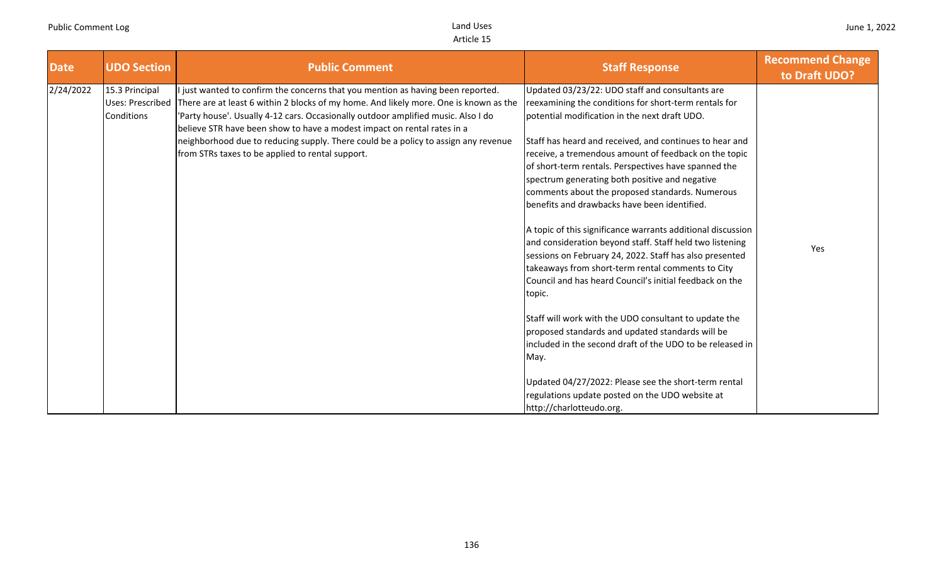| <b>Date</b> | <b>UDO Section</b>                                      | <b>Public Comment</b>                                                                                                                                                                                                                                                                                                                                                                                                                                                            | <b>Staff Response</b>                                                                                                                                                                                                                                                                                                                                                                                                                                                                                                                                                                                                                                                                                                                                                                                                                                                                                                                                                                        | <b>Recommend Change</b><br>to Draft UDO? |
|-------------|---------------------------------------------------------|----------------------------------------------------------------------------------------------------------------------------------------------------------------------------------------------------------------------------------------------------------------------------------------------------------------------------------------------------------------------------------------------------------------------------------------------------------------------------------|----------------------------------------------------------------------------------------------------------------------------------------------------------------------------------------------------------------------------------------------------------------------------------------------------------------------------------------------------------------------------------------------------------------------------------------------------------------------------------------------------------------------------------------------------------------------------------------------------------------------------------------------------------------------------------------------------------------------------------------------------------------------------------------------------------------------------------------------------------------------------------------------------------------------------------------------------------------------------------------------|------------------------------------------|
| 2/24/2022   | 15.3 Principal<br><b>Uses: Prescribed</b><br>Conditions | just wanted to confirm the concerns that you mention as having been reported.<br>There are at least 6 within 2 blocks of my home. And likely more. One is known as the<br>'Party house'. Usually 4-12 cars. Occasionally outdoor amplified music. Also I do<br>believe STR have been show to have a modest impact on rental rates in a<br>neighborhood due to reducing supply. There could be a policy to assign any revenue<br>from STRs taxes to be applied to rental support. | Updated 03/23/22: UDO staff and consultants are<br>reexamining the conditions for short-term rentals for<br>potential modification in the next draft UDO.<br>Staff has heard and received, and continues to hear and<br>receive, a tremendous amount of feedback on the topic<br>of short-term rentals. Perspectives have spanned the<br>spectrum generating both positive and negative<br>comments about the proposed standards. Numerous<br>benefits and drawbacks have been identified.<br>A topic of this significance warrants additional discussion<br>and consideration beyond staff. Staff held two listening<br>sessions on February 24, 2022. Staff has also presented<br>takeaways from short-term rental comments to City<br>Council and has heard Council's initial feedback on the<br>topic.<br>Staff will work with the UDO consultant to update the<br>proposed standards and updated standards will be<br>included in the second draft of the UDO to be released in<br>May. | Yes                                      |
|             |                                                         |                                                                                                                                                                                                                                                                                                                                                                                                                                                                                  | Updated 04/27/2022: Please see the short-term rental<br>regulations update posted on the UDO website at<br>http://charlotteudo.org.                                                                                                                                                                                                                                                                                                                                                                                                                                                                                                                                                                                                                                                                                                                                                                                                                                                          |                                          |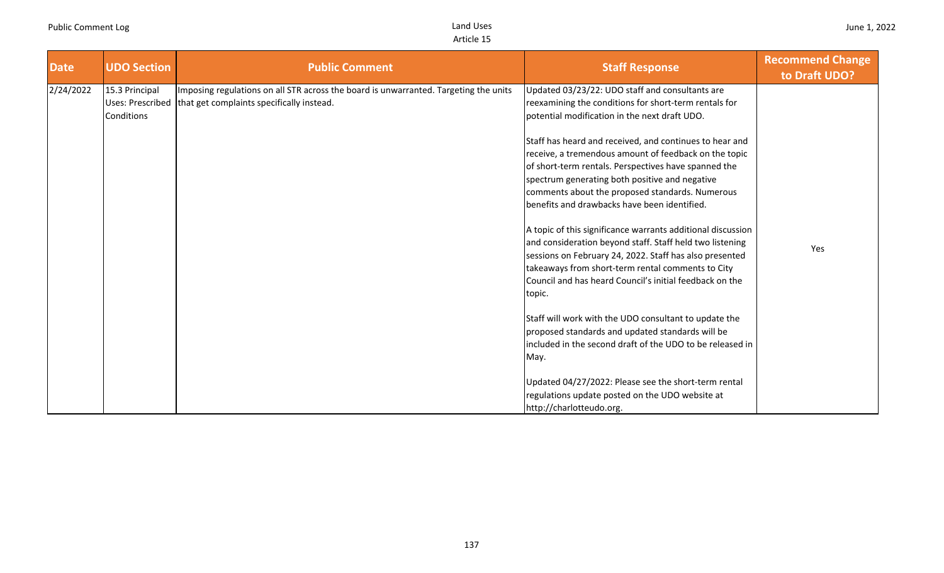| <b>Date</b> | <b>UDO Section</b>                               | <b>Public Comment</b>                                                                                                             | <b>Staff Response</b>                                                                                                                                                                                                                                                                                                                                                                                                                                                                                                                                                                                                                                                                                                                                                                                                                                                                                                   | <b>Recommend Change</b><br>to Draft UDO? |
|-------------|--------------------------------------------------|-----------------------------------------------------------------------------------------------------------------------------------|-------------------------------------------------------------------------------------------------------------------------------------------------------------------------------------------------------------------------------------------------------------------------------------------------------------------------------------------------------------------------------------------------------------------------------------------------------------------------------------------------------------------------------------------------------------------------------------------------------------------------------------------------------------------------------------------------------------------------------------------------------------------------------------------------------------------------------------------------------------------------------------------------------------------------|------------------------------------------|
| 2/24/2022   | 15.3 Principal<br>Uses: Prescribed<br>Conditions | Imposing regulations on all STR across the board is unwarranted. Targeting the units<br>that get complaints specifically instead. | Updated 03/23/22: UDO staff and consultants are<br>reexamining the conditions for short-term rentals for<br>potential modification in the next draft UDO.<br>Staff has heard and received, and continues to hear and<br>receive, a tremendous amount of feedback on the topic<br>of short-term rentals. Perspectives have spanned the<br>spectrum generating both positive and negative<br>comments about the proposed standards. Numerous<br>benefits and drawbacks have been identified.<br>A topic of this significance warrants additional discussion<br>and consideration beyond staff. Staff held two listening<br>sessions on February 24, 2022. Staff has also presented<br>takeaways from short-term rental comments to City<br>Council and has heard Council's initial feedback on the<br>topic.<br>Staff will work with the UDO consultant to update the<br>proposed standards and updated standards will be | Yes                                      |
|             |                                                  |                                                                                                                                   | included in the second draft of the UDO to be released in<br>May.                                                                                                                                                                                                                                                                                                                                                                                                                                                                                                                                                                                                                                                                                                                                                                                                                                                       |                                          |
|             |                                                  |                                                                                                                                   | Updated 04/27/2022: Please see the short-term rental<br>regulations update posted on the UDO website at<br>http://charlotteudo.org.                                                                                                                                                                                                                                                                                                                                                                                                                                                                                                                                                                                                                                                                                                                                                                                     |                                          |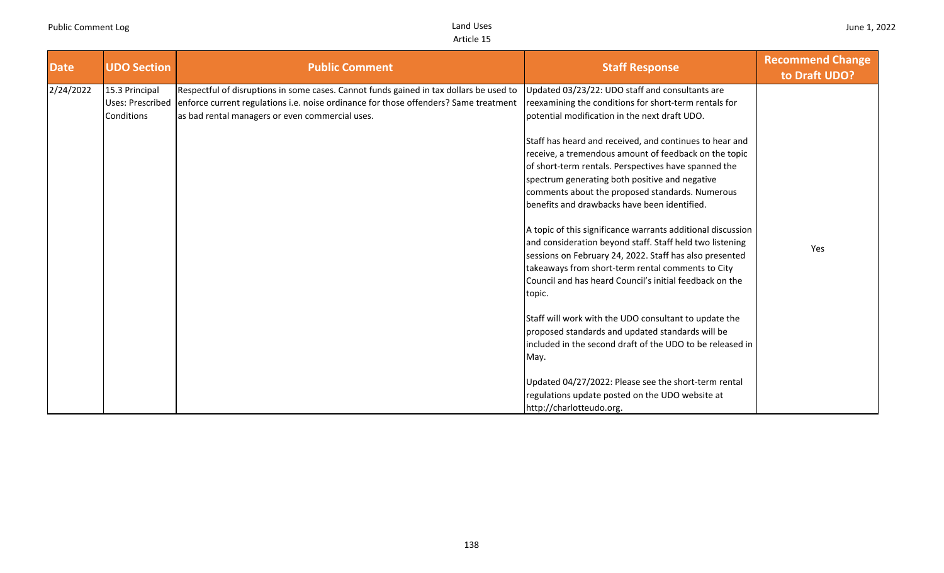| <b>Date</b> | <b>UDO Section</b>                               | <b>Public Comment</b>                                                                                                                                                                                                             | <b>Staff Response</b>                                                                                                                                                                                                                                                                                                                                                                                                                                                                                                                                                                                                                                                                                                                                                                                                                                                                                                                                                                                                                                | <b>Recommend Change</b><br>to Draft UDO? |
|-------------|--------------------------------------------------|-----------------------------------------------------------------------------------------------------------------------------------------------------------------------------------------------------------------------------------|------------------------------------------------------------------------------------------------------------------------------------------------------------------------------------------------------------------------------------------------------------------------------------------------------------------------------------------------------------------------------------------------------------------------------------------------------------------------------------------------------------------------------------------------------------------------------------------------------------------------------------------------------------------------------------------------------------------------------------------------------------------------------------------------------------------------------------------------------------------------------------------------------------------------------------------------------------------------------------------------------------------------------------------------------|------------------------------------------|
| 2/24/2022   | 15.3 Principal<br>Uses: Prescribed<br>Conditions | Respectful of disruptions in some cases. Cannot funds gained in tax dollars be used to<br>enforce current regulations i.e. noise ordinance for those offenders? Same treatment<br>as bad rental managers or even commercial uses. | Updated 03/23/22: UDO staff and consultants are<br>reexamining the conditions for short-term rentals for<br>potential modification in the next draft UDO.<br>Staff has heard and received, and continues to hear and<br>receive, a tremendous amount of feedback on the topic<br>of short-term rentals. Perspectives have spanned the<br>spectrum generating both positive and negative<br>comments about the proposed standards. Numerous<br>benefits and drawbacks have been identified.<br>A topic of this significance warrants additional discussion<br>and consideration beyond staff. Staff held two listening<br>sessions on February 24, 2022. Staff has also presented<br>takeaways from short-term rental comments to City<br>Council and has heard Council's initial feedback on the<br>topic.<br>Staff will work with the UDO consultant to update the<br>proposed standards and updated standards will be<br>included in the second draft of the UDO to be released in<br>May.<br>Updated 04/27/2022: Please see the short-term rental | Yes                                      |
|             |                                                  |                                                                                                                                                                                                                                   | regulations update posted on the UDO website at<br>http://charlotteudo.org.                                                                                                                                                                                                                                                                                                                                                                                                                                                                                                                                                                                                                                                                                                                                                                                                                                                                                                                                                                          |                                          |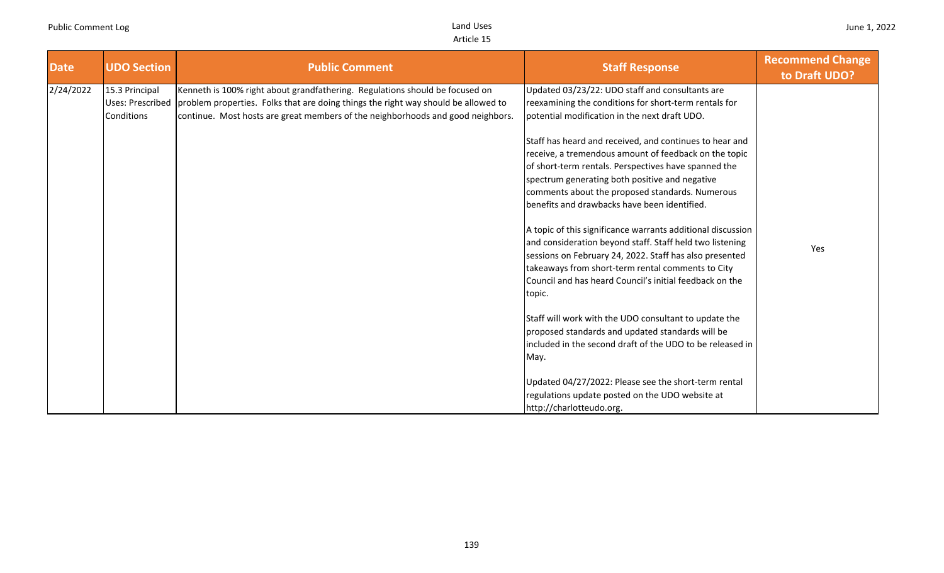| <b>Date</b> | <b>UDO Section</b>                                             | <b>Public Comment</b>                                                                                                                                                                                                                                 | <b>Staff Response</b>                                                                                                                                                                                                                                                                                                                                                                                                                                                                                                                                                                                                                                                                                                                                                                            | <b>Recommend Change</b><br>to Draft UDO? |
|-------------|----------------------------------------------------------------|-------------------------------------------------------------------------------------------------------------------------------------------------------------------------------------------------------------------------------------------------------|--------------------------------------------------------------------------------------------------------------------------------------------------------------------------------------------------------------------------------------------------------------------------------------------------------------------------------------------------------------------------------------------------------------------------------------------------------------------------------------------------------------------------------------------------------------------------------------------------------------------------------------------------------------------------------------------------------------------------------------------------------------------------------------------------|------------------------------------------|
| 2/24/2022   | 15.3 Principal<br><b>Uses: Prescribed</b><br><b>Conditions</b> | Kenneth is 100% right about grandfathering. Regulations should be focused on<br>problem properties. Folks that are doing things the right way should be allowed to<br>continue. Most hosts are great members of the neighborhoods and good neighbors. | Updated 03/23/22: UDO staff and consultants are<br>reexamining the conditions for short-term rentals for<br>potential modification in the next draft UDO.<br>Staff has heard and received, and continues to hear and<br>receive, a tremendous amount of feedback on the topic<br>of short-term rentals. Perspectives have spanned the<br>spectrum generating both positive and negative<br>comments about the proposed standards. Numerous<br>benefits and drawbacks have been identified.<br>A topic of this significance warrants additional discussion<br>and consideration beyond staff. Staff held two listening<br>sessions on February 24, 2022. Staff has also presented<br>takeaways from short-term rental comments to City<br>Council and has heard Council's initial feedback on the | Yes                                      |
|             |                                                                |                                                                                                                                                                                                                                                       | topic.<br>Staff will work with the UDO consultant to update the<br>proposed standards and updated standards will be<br>included in the second draft of the UDO to be released in<br>May.<br>Updated 04/27/2022: Please see the short-term rental<br>regulations update posted on the UDO website at<br>http://charlotteudo.org.                                                                                                                                                                                                                                                                                                                                                                                                                                                                  |                                          |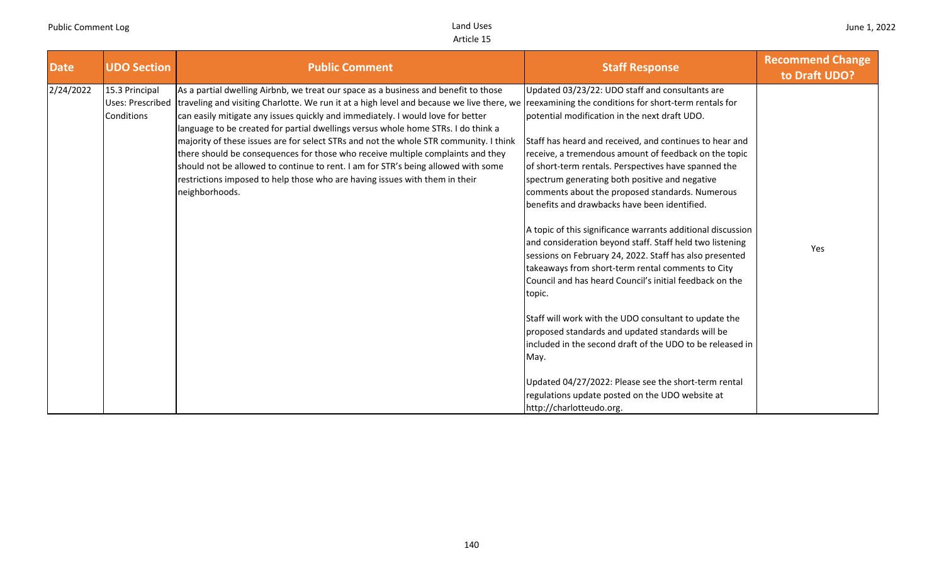| <b>Date</b> | <b>UDO Section</b>                                      | <b>Public Comment</b>                                                                                                                                                                                                                                                                                                                                                                                                                                                                                                                                                                                                                                                                                                                                                            | <b>Staff Response</b>                                                                                                                                                                                                                                                                                                                                                                                                                                                                                                                                                                                                   | <b>Recommend Change</b><br>to Draft UDO? |
|-------------|---------------------------------------------------------|----------------------------------------------------------------------------------------------------------------------------------------------------------------------------------------------------------------------------------------------------------------------------------------------------------------------------------------------------------------------------------------------------------------------------------------------------------------------------------------------------------------------------------------------------------------------------------------------------------------------------------------------------------------------------------------------------------------------------------------------------------------------------------|-------------------------------------------------------------------------------------------------------------------------------------------------------------------------------------------------------------------------------------------------------------------------------------------------------------------------------------------------------------------------------------------------------------------------------------------------------------------------------------------------------------------------------------------------------------------------------------------------------------------------|------------------------------------------|
| 2/24/2022   | 15.3 Principal<br><b>Uses: Prescribed</b><br>Conditions | As a partial dwelling Airbnb, we treat our space as a business and benefit to those<br>traveling and visiting Charlotte. We run it at a high level and because we live there, we reexamining the conditions for short-term rentals for<br>can easily mitigate any issues quickly and immediately. I would love for better<br>language to be created for partial dwellings versus whole home STRs. I do think a<br>majority of these issues are for select STRs and not the whole STR community. I think<br>there should be consequences for those who receive multiple complaints and they<br>should not be allowed to continue to rent. I am for STR's being allowed with some<br>restrictions imposed to help those who are having issues with them in their<br>neighborhoods. | Updated 03/23/22: UDO staff and consultants are<br>potential modification in the next draft UDO.<br>Staff has heard and received, and continues to hear and<br>receive, a tremendous amount of feedback on the topic<br>of short-term rentals. Perspectives have spanned the<br>spectrum generating both positive and negative<br>comments about the proposed standards. Numerous<br>benefits and drawbacks have been identified.<br>A topic of this significance warrants additional discussion<br>and consideration beyond staff. Staff held two listening<br>sessions on February 24, 2022. Staff has also presented | Yes                                      |
|             |                                                         |                                                                                                                                                                                                                                                                                                                                                                                                                                                                                                                                                                                                                                                                                                                                                                                  | takeaways from short-term rental comments to City<br>Council and has heard Council's initial feedback on the<br>topic.<br>Staff will work with the UDO consultant to update the<br>proposed standards and updated standards will be<br>lincluded in the second draft of the UDO to be released in<br>May.<br>Updated 04/27/2022: Please see the short-term rental<br>regulations update posted on the UDO website at<br>http://charlotteudo.org.                                                                                                                                                                        |                                          |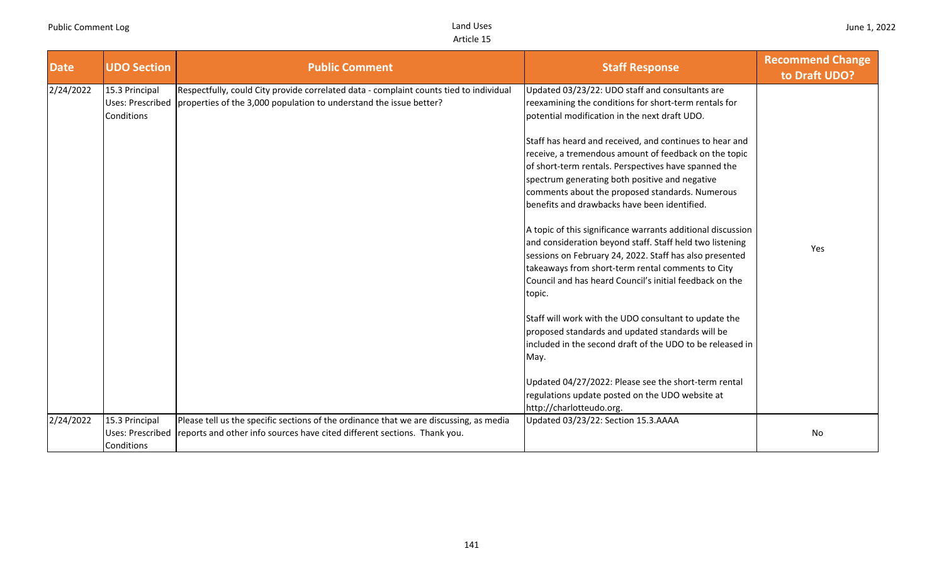| <b>Date</b> | <b>UDO Section</b>                                      | <b>Public Comment</b>                                                                                                                                              | <b>Staff Response</b>                                                                                                                                                                                                                                                                                                                                                                                                                                                                                                                                                                                                                                                                                                                                                                                                                                                                                                                                                                                                                                                                                   | <b>Recommend Change</b><br>to Draft UDO? |
|-------------|---------------------------------------------------------|--------------------------------------------------------------------------------------------------------------------------------------------------------------------|---------------------------------------------------------------------------------------------------------------------------------------------------------------------------------------------------------------------------------------------------------------------------------------------------------------------------------------------------------------------------------------------------------------------------------------------------------------------------------------------------------------------------------------------------------------------------------------------------------------------------------------------------------------------------------------------------------------------------------------------------------------------------------------------------------------------------------------------------------------------------------------------------------------------------------------------------------------------------------------------------------------------------------------------------------------------------------------------------------|------------------------------------------|
| 2/24/2022   | 15.3 Principal<br><b>Uses: Prescribed</b><br>Conditions | Respectfully, could City provide correlated data - complaint counts tied to individual<br>properties of the 3,000 population to understand the issue better?       | Updated 03/23/22: UDO staff and consultants are<br>reexamining the conditions for short-term rentals for<br>potential modification in the next draft UDO.<br>Staff has heard and received, and continues to hear and<br>receive, a tremendous amount of feedback on the topic<br>of short-term rentals. Perspectives have spanned the<br>spectrum generating both positive and negative<br>comments about the proposed standards. Numerous<br>benefits and drawbacks have been identified.<br>A topic of this significance warrants additional discussion<br>and consideration beyond staff. Staff held two listening<br>sessions on February 24, 2022. Staff has also presented<br>takeaways from short-term rental comments to City<br>Council and has heard Council's initial feedback on the<br>topic.<br>Staff will work with the UDO consultant to update the<br>proposed standards and updated standards will be<br>included in the second draft of the UDO to be released in<br>May.<br>Updated 04/27/2022: Please see the short-term rental<br>regulations update posted on the UDO website at | Yes                                      |
| 2/24/2022   | 15.3 Principal<br><b>Uses: Prescribed</b><br>Conditions | Please tell us the specific sections of the ordinance that we are discussing, as media<br>reports and other info sources have cited different sections. Thank you. | http://charlotteudo.org.<br>Updated 03/23/22: Section 15.3.AAAA                                                                                                                                                                                                                                                                                                                                                                                                                                                                                                                                                                                                                                                                                                                                                                                                                                                                                                                                                                                                                                         | No                                       |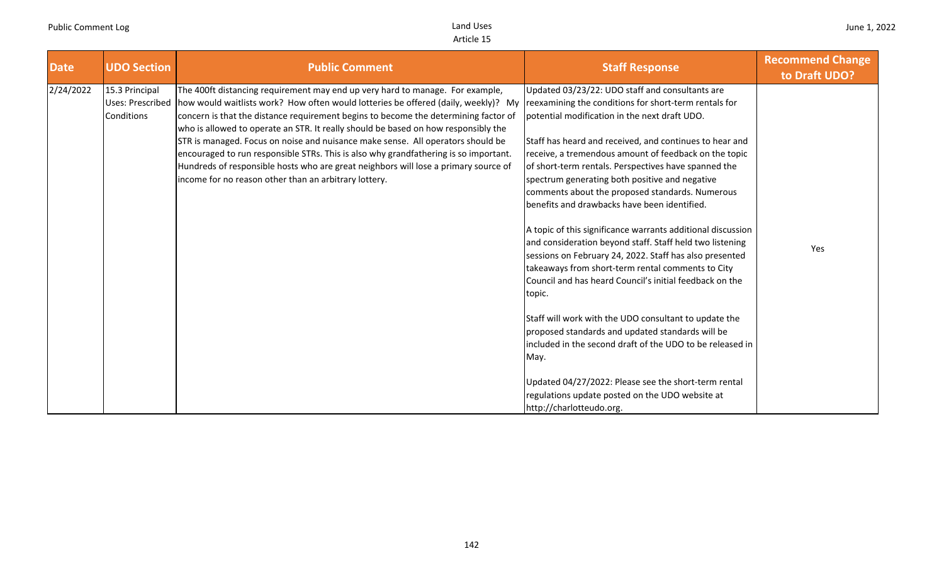| <b>Date</b> | <b>UDO Section</b>                                      | <b>Public Comment</b>                                                                                                                                                                                                                                                                                                                                                                                                                                                                                                                                                                                                                                                       | <b>Staff Response</b>                                                                                                                                                                                                                                                                                                                                                                                                                                                                                                                                                                                                                                                                                                                                                                                                                                                                                                                                                                                                                                                                                   | <b>Recommend Change</b><br>to Draft UDO? |
|-------------|---------------------------------------------------------|-----------------------------------------------------------------------------------------------------------------------------------------------------------------------------------------------------------------------------------------------------------------------------------------------------------------------------------------------------------------------------------------------------------------------------------------------------------------------------------------------------------------------------------------------------------------------------------------------------------------------------------------------------------------------------|---------------------------------------------------------------------------------------------------------------------------------------------------------------------------------------------------------------------------------------------------------------------------------------------------------------------------------------------------------------------------------------------------------------------------------------------------------------------------------------------------------------------------------------------------------------------------------------------------------------------------------------------------------------------------------------------------------------------------------------------------------------------------------------------------------------------------------------------------------------------------------------------------------------------------------------------------------------------------------------------------------------------------------------------------------------------------------------------------------|------------------------------------------|
| 2/24/2022   | 15.3 Principal<br><b>Uses: Prescribed</b><br>Conditions | The 400ft distancing requirement may end up very hard to manage. For example,<br>how would waitlists work? How often would lotteries be offered (daily, weekly)? My<br>concern is that the distance requirement begins to become the determining factor of<br>who is allowed to operate an STR. It really should be based on how responsibly the<br>STR is managed. Focus on noise and nuisance make sense. All operators should be<br>encouraged to run responsible STRs. This is also why grandfathering is so important.<br>Hundreds of responsible hosts who are great neighbors will lose a primary source of<br>income for no reason other than an arbitrary lottery. | Updated 03/23/22: UDO staff and consultants are<br>reexamining the conditions for short-term rentals for<br>potential modification in the next draft UDO.<br>Staff has heard and received, and continues to hear and<br>receive, a tremendous amount of feedback on the topic<br>of short-term rentals. Perspectives have spanned the<br>spectrum generating both positive and negative<br>comments about the proposed standards. Numerous<br>benefits and drawbacks have been identified.<br>A topic of this significance warrants additional discussion<br>and consideration beyond staff. Staff held two listening<br>sessions on February 24, 2022. Staff has also presented<br>takeaways from short-term rental comments to City<br>Council and has heard Council's initial feedback on the<br>topic.<br>Staff will work with the UDO consultant to update the<br>proposed standards and updated standards will be<br>included in the second draft of the UDO to be released in<br>May.<br>Updated 04/27/2022: Please see the short-term rental<br>regulations update posted on the UDO website at | Yes                                      |
|             |                                                         |                                                                                                                                                                                                                                                                                                                                                                                                                                                                                                                                                                                                                                                                             | http://charlotteudo.org.                                                                                                                                                                                                                                                                                                                                                                                                                                                                                                                                                                                                                                                                                                                                                                                                                                                                                                                                                                                                                                                                                |                                          |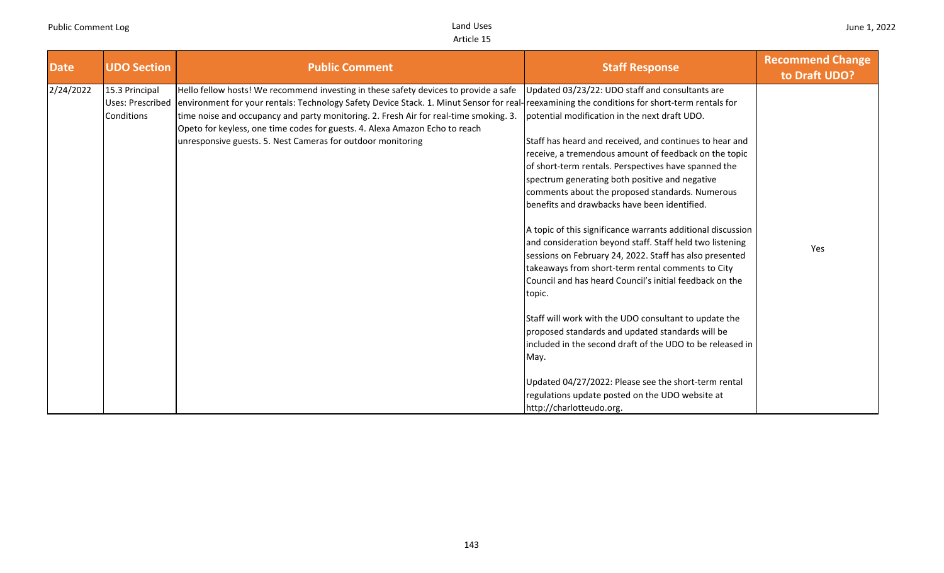| <b>Date</b> | <b>UDO Section</b>                               | <b>Public Comment</b>                                                                                                                                                                                                                                                                                                                                                                                                                                                       | <b>Staff Response</b>                                                                                                                                                                                                                                                                                                                                                                                                                                                                                                                                                                                                                                                                                                                   | <b>Recommend Change</b><br>to Draft UDO? |
|-------------|--------------------------------------------------|-----------------------------------------------------------------------------------------------------------------------------------------------------------------------------------------------------------------------------------------------------------------------------------------------------------------------------------------------------------------------------------------------------------------------------------------------------------------------------|-----------------------------------------------------------------------------------------------------------------------------------------------------------------------------------------------------------------------------------------------------------------------------------------------------------------------------------------------------------------------------------------------------------------------------------------------------------------------------------------------------------------------------------------------------------------------------------------------------------------------------------------------------------------------------------------------------------------------------------------|------------------------------------------|
| 2/24/2022   | 15.3 Principal<br>Uses: Prescribed<br>Conditions | Hello fellow hosts! We recommend investing in these safety devices to provide a safe<br>environment for your rentals: Technology Safety Device Stack. 1. Minut Sensor for real-reexamining the conditions for short-term rentals for<br>time noise and occupancy and party monitoring. 2. Fresh Air for real-time smoking. 3.<br>Opeto for keyless, one time codes for guests. 4. Alexa Amazon Echo to reach<br>unresponsive guests. 5. Nest Cameras for outdoor monitoring | Updated 03/23/22: UDO staff and consultants are<br>potential modification in the next draft UDO.<br>Staff has heard and received, and continues to hear and<br>receive, a tremendous amount of feedback on the topic<br>of short-term rentals. Perspectives have spanned the<br>spectrum generating both positive and negative<br>comments about the proposed standards. Numerous<br>benefits and drawbacks have been identified.<br>A topic of this significance warrants additional discussion<br>and consideration beyond staff. Staff held two listening<br>sessions on February 24, 2022. Staff has also presented<br>takeaways from short-term rental comments to City<br>Council and has heard Council's initial feedback on the | Yes                                      |
|             |                                                  |                                                                                                                                                                                                                                                                                                                                                                                                                                                                             | topic.<br>Staff will work with the UDO consultant to update the<br>proposed standards and updated standards will be<br>included in the second draft of the UDO to be released in<br>May.<br>Updated 04/27/2022: Please see the short-term rental<br>regulations update posted on the UDO website at<br>http://charlotteudo.org.                                                                                                                                                                                                                                                                                                                                                                                                         |                                          |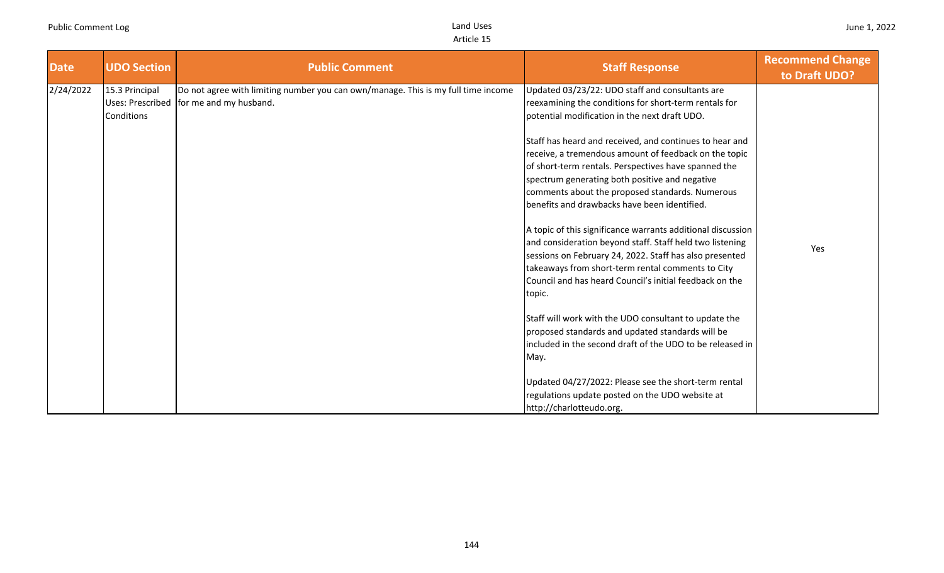| <b>UDO Section</b>                                      | <b>Public Comment</b>                                                             | <b>Staff Response</b>                                                                                                                                                                                                                                                                                                                                                                                                                                                                                                                                     | <b>Recommend Change</b><br>to Draft UDO? |
|---------------------------------------------------------|-----------------------------------------------------------------------------------|-----------------------------------------------------------------------------------------------------------------------------------------------------------------------------------------------------------------------------------------------------------------------------------------------------------------------------------------------------------------------------------------------------------------------------------------------------------------------------------------------------------------------------------------------------------|------------------------------------------|
| 15.3 Principal<br><b>Uses: Prescribed</b><br>Conditions | Do not agree with limiting number you can own/manage. This is my full time income | Updated 03/23/22: UDO staff and consultants are<br>reexamining the conditions for short-term rentals for<br>potential modification in the next draft UDO.<br>Staff has heard and received, and continues to hear and<br>receive, a tremendous amount of feedback on the topic<br>of short-term rentals. Perspectives have spanned the<br>spectrum generating both positive and negative<br>comments about the proposed standards. Numerous<br>benefits and drawbacks have been identified.<br>A topic of this significance warrants additional discussion |                                          |
|                                                         |                                                                                   | and consideration beyond staff. Staff held two listening<br>sessions on February 24, 2022. Staff has also presented<br>takeaways from short-term rental comments to City<br>Council and has heard Council's initial feedback on the<br>topic.<br>Staff will work with the UDO consultant to update the<br>proposed standards and updated standards will be<br>included in the second draft of the UDO to be released in<br>May.<br>Updated 04/27/2022: Please see the short-term rental<br>regulations update posted on the UDO website at                | Yes                                      |
|                                                         |                                                                                   | for me and my husband.                                                                                                                                                                                                                                                                                                                                                                                                                                                                                                                                    | http://charlotteudo.org.                 |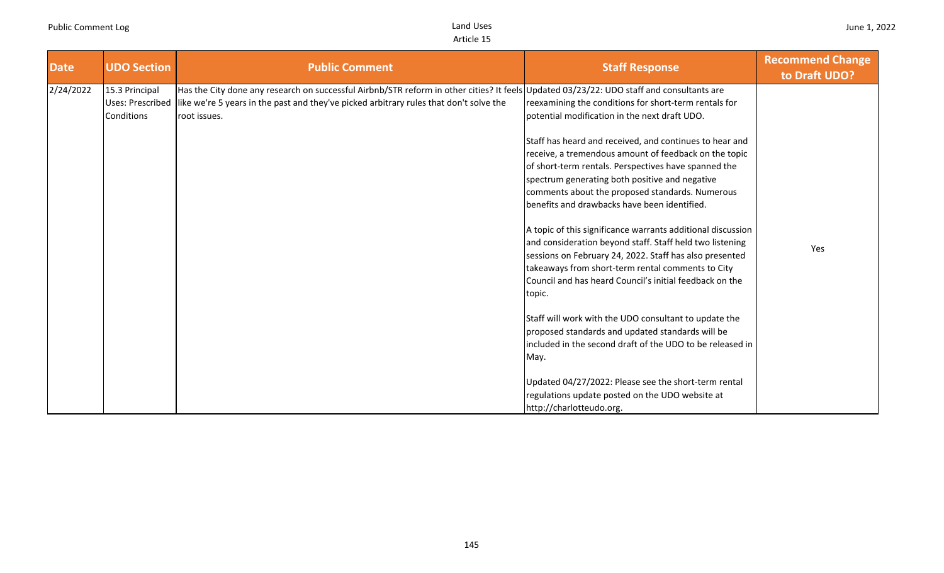| <b>Date</b> | <b>UDO Section</b>                                      | <b>Public Comment</b>                                                                                                                                                                                                                              | <b>Staff Response</b>                                                                                                                                                                                                                                                                                                                                                                                                                                                                                                                                                                                                                                                                                                                                                                                                                                                                                                                                                                                                                                                             | <b>Recommend Change</b><br>to Draft UDO? |
|-------------|---------------------------------------------------------|----------------------------------------------------------------------------------------------------------------------------------------------------------------------------------------------------------------------------------------------------|-----------------------------------------------------------------------------------------------------------------------------------------------------------------------------------------------------------------------------------------------------------------------------------------------------------------------------------------------------------------------------------------------------------------------------------------------------------------------------------------------------------------------------------------------------------------------------------------------------------------------------------------------------------------------------------------------------------------------------------------------------------------------------------------------------------------------------------------------------------------------------------------------------------------------------------------------------------------------------------------------------------------------------------------------------------------------------------|------------------------------------------|
| 2/24/2022   | 15.3 Principal<br><b>Uses: Prescribed</b><br>Conditions | Has the City done any research on successful Airbnb/STR reform in other cities? It feels Updated 03/23/22: UDO staff and consultants are<br>like we're 5 years in the past and they've picked arbitrary rules that don't solve the<br>root issues. | reexamining the conditions for short-term rentals for<br>potential modification in the next draft UDO.<br>Staff has heard and received, and continues to hear and<br>receive, a tremendous amount of feedback on the topic<br>of short-term rentals. Perspectives have spanned the<br>spectrum generating both positive and negative<br>comments about the proposed standards. Numerous<br>benefits and drawbacks have been identified.<br>A topic of this significance warrants additional discussion<br>and consideration beyond staff. Staff held two listening<br>sessions on February 24, 2022. Staff has also presented<br>takeaways from short-term rental comments to City<br>Council and has heard Council's initial feedback on the<br>topic.<br>Staff will work with the UDO consultant to update the<br>proposed standards and updated standards will be<br>lincluded in the second draft of the UDO to be released in<br>May.<br>Updated 04/27/2022: Please see the short-term rental<br>regulations update posted on the UDO website at<br>http://charlotteudo.org. | Yes                                      |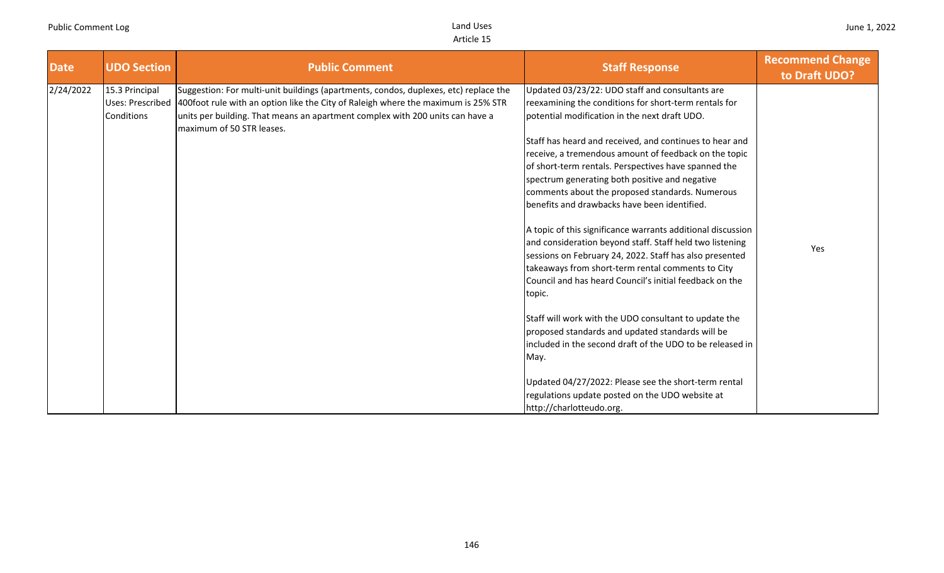| <b>Date</b> | <b>UDO Section</b>                                      | <b>Public Comment</b>                                                                                                                                                                                                                                                                   | <b>Staff Response</b>                                                                                                                                                                                                                                                                                                                                                                                                                                                                      | <b>Recommend Change</b><br>to Draft UDO? |
|-------------|---------------------------------------------------------|-----------------------------------------------------------------------------------------------------------------------------------------------------------------------------------------------------------------------------------------------------------------------------------------|--------------------------------------------------------------------------------------------------------------------------------------------------------------------------------------------------------------------------------------------------------------------------------------------------------------------------------------------------------------------------------------------------------------------------------------------------------------------------------------------|------------------------------------------|
| 2/24/2022   | 15.3 Principal<br><b>Uses: Prescribed</b><br>Conditions | Suggestion: For multi-unit buildings (apartments, condos, duplexes, etc) replace the<br>400foot rule with an option like the City of Raleigh where the maximum is 25% STR<br>units per building. That means an apartment complex with 200 units can have a<br>maximum of 50 STR leases. | Updated 03/23/22: UDO staff and consultants are<br>reexamining the conditions for short-term rentals for<br>potential modification in the next draft UDO.<br>Staff has heard and received, and continues to hear and<br>receive, a tremendous amount of feedback on the topic<br>of short-term rentals. Perspectives have spanned the<br>spectrum generating both positive and negative<br>comments about the proposed standards. Numerous<br>benefits and drawbacks have been identified. |                                          |
|             |                                                         |                                                                                                                                                                                                                                                                                         | A topic of this significance warrants additional discussion<br>and consideration beyond staff. Staff held two listening<br>sessions on February 24, 2022. Staff has also presented<br>takeaways from short-term rental comments to City<br>Council and has heard Council's initial feedback on the<br>topic.                                                                                                                                                                               | Yes                                      |
|             |                                                         |                                                                                                                                                                                                                                                                                         | Staff will work with the UDO consultant to update the<br>proposed standards and updated standards will be<br>included in the second draft of the UDO to be released in<br>May.                                                                                                                                                                                                                                                                                                             |                                          |
|             |                                                         |                                                                                                                                                                                                                                                                                         | Updated 04/27/2022: Please see the short-term rental<br>regulations update posted on the UDO website at<br>http://charlotteudo.org.                                                                                                                                                                                                                                                                                                                                                        |                                          |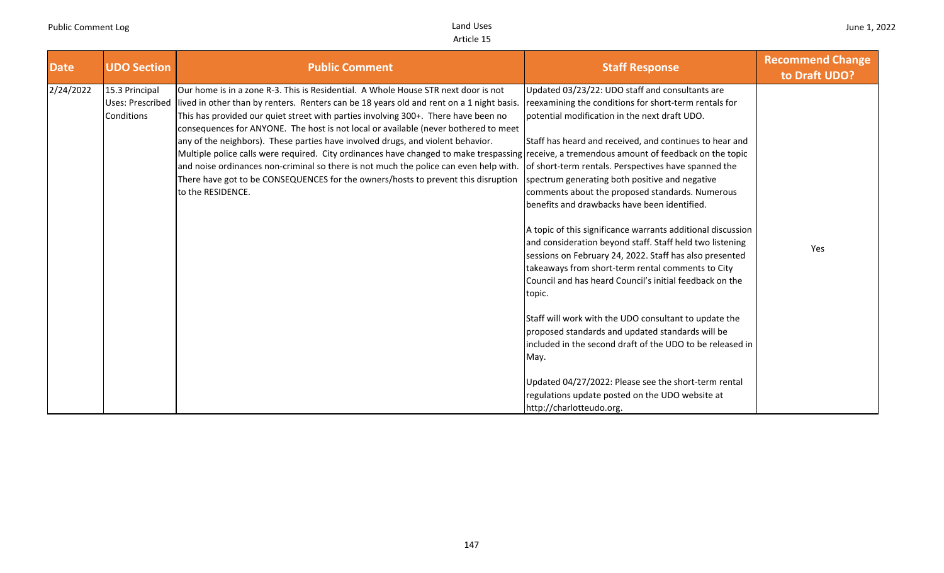| <b>Date</b> | <b>UDO Section</b>                                             | <b>Public Comment</b>                                                                                                                                                                                                                                                                                                                                                                                                                                                                                                                                                                                                                                                                                                                                                                            | <b>Staff Response</b>                                                                                                                                                                                                                                                                                                                                                                                                                                                                                                                                                                                                                                                                                                                                                                                                                                                                                                               | <b>Recommend Change</b><br>to Draft UDO? |
|-------------|----------------------------------------------------------------|--------------------------------------------------------------------------------------------------------------------------------------------------------------------------------------------------------------------------------------------------------------------------------------------------------------------------------------------------------------------------------------------------------------------------------------------------------------------------------------------------------------------------------------------------------------------------------------------------------------------------------------------------------------------------------------------------------------------------------------------------------------------------------------------------|-------------------------------------------------------------------------------------------------------------------------------------------------------------------------------------------------------------------------------------------------------------------------------------------------------------------------------------------------------------------------------------------------------------------------------------------------------------------------------------------------------------------------------------------------------------------------------------------------------------------------------------------------------------------------------------------------------------------------------------------------------------------------------------------------------------------------------------------------------------------------------------------------------------------------------------|------------------------------------------|
| 2/24/2022   | 15.3 Principal<br><b>Uses: Prescribed</b><br><b>Conditions</b> | Our home is in a zone R-3. This is Residential. A Whole House STR next door is not<br>lived in other than by renters. Renters can be 18 years old and rent on a 1 night basis.<br>This has provided our quiet street with parties involving 300+. There have been no<br>consequences for ANYONE. The host is not local or available (never bothered to meet<br>any of the neighbors). These parties have involved drugs, and violent behavior.<br>Multiple police calls were required. City ordinances have changed to make trespassing receive, a tremendous amount of feedback on the topic<br>and noise ordinances non-criminal so there is not much the police can even help with.<br>There have got to be CONSEQUENCES for the owners/hosts to prevent this disruption<br>to the RESIDENCE. | Updated 03/23/22: UDO staff and consultants are<br>reexamining the conditions for short-term rentals for<br>potential modification in the next draft UDO.<br>Staff has heard and received, and continues to hear and<br>of short-term rentals. Perspectives have spanned the<br>spectrum generating both positive and negative<br>comments about the proposed standards. Numerous<br>benefits and drawbacks have been identified.<br>A topic of this significance warrants additional discussion<br>and consideration beyond staff. Staff held two listening<br>sessions on February 24, 2022. Staff has also presented<br>takeaways from short-term rental comments to City<br>Council and has heard Council's initial feedback on the<br>topic.<br>Staff will work with the UDO consultant to update the<br>proposed standards and updated standards will be<br>included in the second draft of the UDO to be released in<br>May. | Yes                                      |
|             |                                                                |                                                                                                                                                                                                                                                                                                                                                                                                                                                                                                                                                                                                                                                                                                                                                                                                  | Updated 04/27/2022: Please see the short-term rental<br>regulations update posted on the UDO website at<br>http://charlotteudo.org.                                                                                                                                                                                                                                                                                                                                                                                                                                                                                                                                                                                                                                                                                                                                                                                                 |                                          |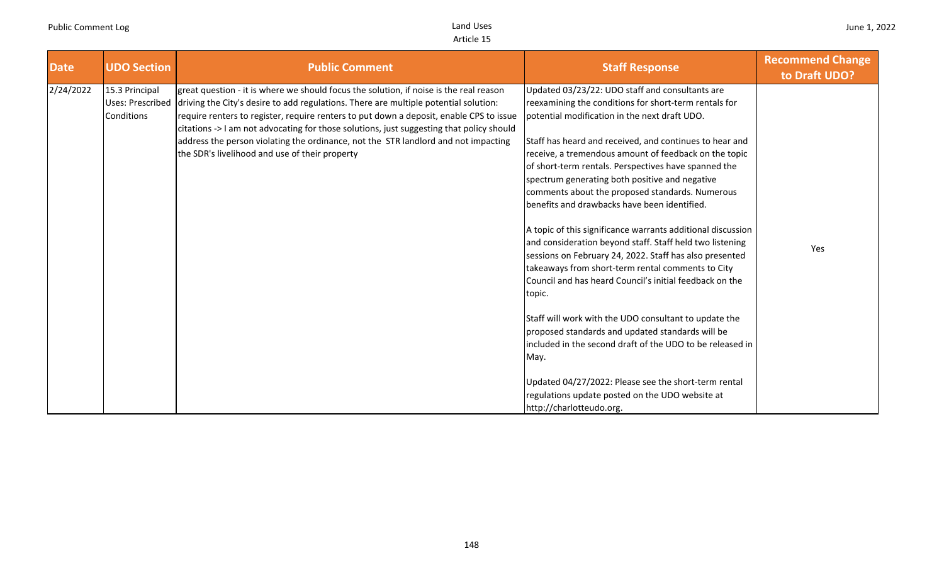| <b>Date</b> | <b>UDO Section</b>                               | <b>Public Comment</b>                                                                                                                                                                                                                                                                                                                                                                                                                                                                                         | <b>Staff Response</b>                                                                                                                                                                                                                                                                                                                                                                                                                                                                                                                                                                                                                                                                                                                                                                                                                                                                                                                                                                        | <b>Recommend Change</b><br>to Draft UDO? |
|-------------|--------------------------------------------------|---------------------------------------------------------------------------------------------------------------------------------------------------------------------------------------------------------------------------------------------------------------------------------------------------------------------------------------------------------------------------------------------------------------------------------------------------------------------------------------------------------------|----------------------------------------------------------------------------------------------------------------------------------------------------------------------------------------------------------------------------------------------------------------------------------------------------------------------------------------------------------------------------------------------------------------------------------------------------------------------------------------------------------------------------------------------------------------------------------------------------------------------------------------------------------------------------------------------------------------------------------------------------------------------------------------------------------------------------------------------------------------------------------------------------------------------------------------------------------------------------------------------|------------------------------------------|
| 2/24/2022   | 15.3 Principal<br>Uses: Prescribed<br>Conditions | great question - it is where we should focus the solution, if noise is the real reason<br>driving the City's desire to add regulations. There are multiple potential solution:<br>require renters to register, require renters to put down a deposit, enable CPS to issue<br>citations -> I am not advocating for those solutions, just suggesting that policy should<br>address the person violating the ordinance, not the STR landlord and not impacting<br>the SDR's livelihood and use of their property | Updated 03/23/22: UDO staff and consultants are<br>reexamining the conditions for short-term rentals for<br>potential modification in the next draft UDO.<br>Staff has heard and received, and continues to hear and<br>receive, a tremendous amount of feedback on the topic<br>of short-term rentals. Perspectives have spanned the<br>spectrum generating both positive and negative<br>comments about the proposed standards. Numerous<br>benefits and drawbacks have been identified.<br>A topic of this significance warrants additional discussion<br>and consideration beyond staff. Staff held two listening<br>sessions on February 24, 2022. Staff has also presented<br>takeaways from short-term rental comments to City<br>Council and has heard Council's initial feedback on the<br>topic.<br>Staff will work with the UDO consultant to update the<br>proposed standards and updated standards will be<br>included in the second draft of the UDO to be released in<br>May. | Yes                                      |
|             |                                                  |                                                                                                                                                                                                                                                                                                                                                                                                                                                                                                               | Updated 04/27/2022: Please see the short-term rental<br>regulations update posted on the UDO website at<br>http://charlotteudo.org.                                                                                                                                                                                                                                                                                                                                                                                                                                                                                                                                                                                                                                                                                                                                                                                                                                                          |                                          |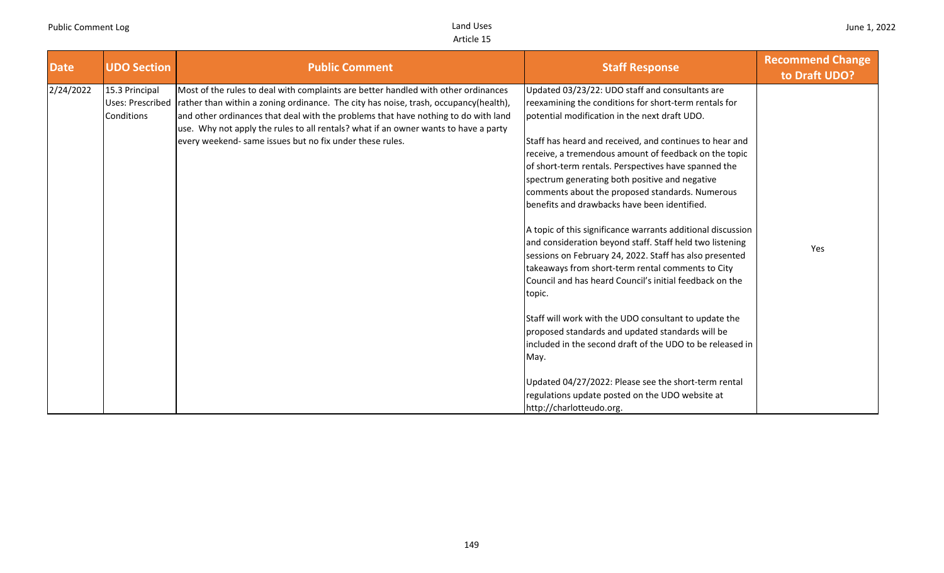| <b>Date</b> | <b>UDO Section</b>                               | <b>Public Comment</b>                                                                                                                                                                                                                                                                                                                                                                                               | <b>Staff Response</b>                                                                                                                                                                                                                                                                                                                                                                                                                                                                                                                                                                                                                                                                                                                                                                                      | <b>Recommend Change</b><br>to Draft UDO? |
|-------------|--------------------------------------------------|---------------------------------------------------------------------------------------------------------------------------------------------------------------------------------------------------------------------------------------------------------------------------------------------------------------------------------------------------------------------------------------------------------------------|------------------------------------------------------------------------------------------------------------------------------------------------------------------------------------------------------------------------------------------------------------------------------------------------------------------------------------------------------------------------------------------------------------------------------------------------------------------------------------------------------------------------------------------------------------------------------------------------------------------------------------------------------------------------------------------------------------------------------------------------------------------------------------------------------------|------------------------------------------|
| 2/24/2022   | 15.3 Principal<br>Uses: Prescribed<br>Conditions | Most of the rules to deal with complaints are better handled with other ordinances<br>rather than within a zoning ordinance. The city has noise, trash, occupancy(health),<br>and other ordinances that deal with the problems that have nothing to do with land<br>use. Why not apply the rules to all rentals? what if an owner wants to have a party<br>every weekend- same issues but no fix under these rules. | Updated 03/23/22: UDO staff and consultants are<br>reexamining the conditions for short-term rentals for<br>potential modification in the next draft UDO.<br>Staff has heard and received, and continues to hear and<br>receive, a tremendous amount of feedback on the topic<br>of short-term rentals. Perspectives have spanned the<br>spectrum generating both positive and negative<br>comments about the proposed standards. Numerous<br>benefits and drawbacks have been identified.<br>A topic of this significance warrants additional discussion<br>and consideration beyond staff. Staff held two listening<br>sessions on February 24, 2022. Staff has also presented<br>takeaways from short-term rental comments to City<br>Council and has heard Council's initial feedback on the<br>topic. | Yes                                      |
|             |                                                  |                                                                                                                                                                                                                                                                                                                                                                                                                     | Staff will work with the UDO consultant to update the<br>proposed standards and updated standards will be<br>included in the second draft of the UDO to be released in<br>May.<br>Updated 04/27/2022: Please see the short-term rental<br>regulations update posted on the UDO website at<br>http://charlotteudo.org.                                                                                                                                                                                                                                                                                                                                                                                                                                                                                      |                                          |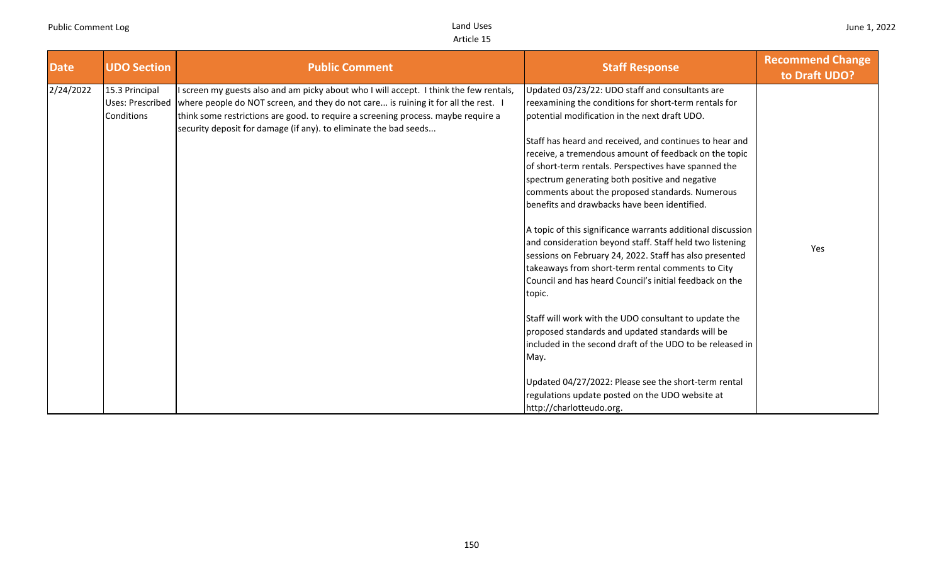| <b>Date</b> | <b>UDO Section</b>                                      | <b>Public Comment</b>                                                                                                                                                                                                                                                                                                                 | <b>Staff Response</b>                                                                                                                                                                                                                                                                                                                                                                                                                                                                                                                                                                                                                                                                                                                                                                                                                                                                                                                                                                                                                                                                                                               | <b>Recommend Change</b><br>to Draft UDO? |
|-------------|---------------------------------------------------------|---------------------------------------------------------------------------------------------------------------------------------------------------------------------------------------------------------------------------------------------------------------------------------------------------------------------------------------|-------------------------------------------------------------------------------------------------------------------------------------------------------------------------------------------------------------------------------------------------------------------------------------------------------------------------------------------------------------------------------------------------------------------------------------------------------------------------------------------------------------------------------------------------------------------------------------------------------------------------------------------------------------------------------------------------------------------------------------------------------------------------------------------------------------------------------------------------------------------------------------------------------------------------------------------------------------------------------------------------------------------------------------------------------------------------------------------------------------------------------------|------------------------------------------|
| 2/24/2022   | 15.3 Principal<br><b>Uses: Prescribed</b><br>Conditions | I screen my guests also and am picky about who I will accept. I think the few rentals,<br>where people do NOT screen, and they do not care is ruining it for all the rest. I<br>think some restrictions are good. to require a screening process. maybe require a<br>security deposit for damage (if any). to eliminate the bad seeds | Updated 03/23/22: UDO staff and consultants are<br>reexamining the conditions for short-term rentals for<br>potential modification in the next draft UDO.<br>Staff has heard and received, and continues to hear and<br>receive, a tremendous amount of feedback on the topic<br>of short-term rentals. Perspectives have spanned the<br>spectrum generating both positive and negative<br>comments about the proposed standards. Numerous<br>benefits and drawbacks have been identified.<br>A topic of this significance warrants additional discussion<br>and consideration beyond staff. Staff held two listening<br>sessions on February 24, 2022. Staff has also presented<br>takeaways from short-term rental comments to City<br>Council and has heard Council's initial feedback on the<br>topic.<br>Staff will work with the UDO consultant to update the<br>proposed standards and updated standards will be<br>included in the second draft of the UDO to be released in<br>May.<br>Updated 04/27/2022: Please see the short-term rental<br>regulations update posted on the UDO website at<br>http://charlotteudo.org. | Yes                                      |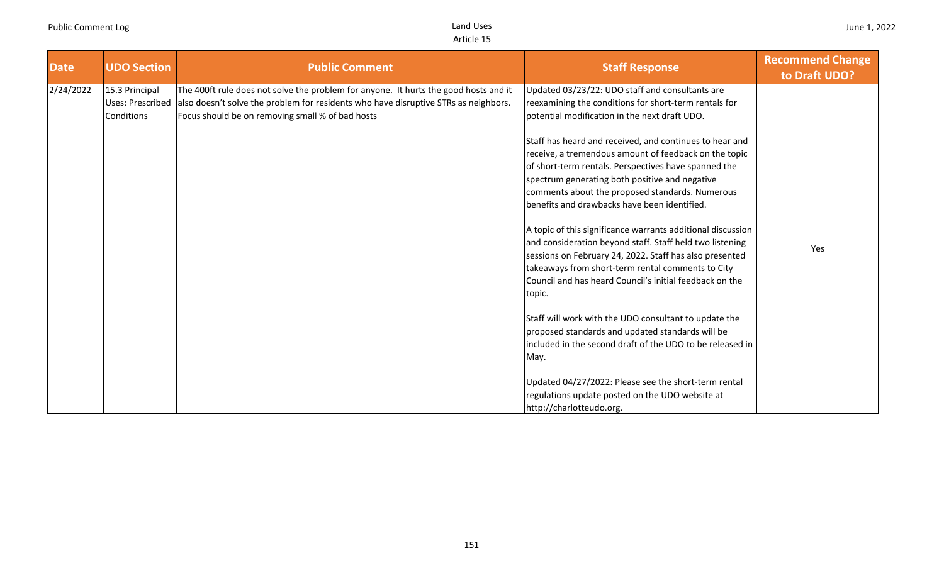| <b>Date</b> | <b>UDO Section</b>                                      | <b>Public Comment</b>                                                                                                                                                                                                           | <b>Staff Response</b>                                                                                                                                                                                                                                                                                                         | <b>Recommend Change</b><br>to Draft UDO? |
|-------------|---------------------------------------------------------|---------------------------------------------------------------------------------------------------------------------------------------------------------------------------------------------------------------------------------|-------------------------------------------------------------------------------------------------------------------------------------------------------------------------------------------------------------------------------------------------------------------------------------------------------------------------------|------------------------------------------|
| 2/24/2022   | 15.3 Principal<br><b>Uses: Prescribed</b><br>Conditions | The 400ft rule does not solve the problem for anyone. It hurts the good hosts and it<br>also doesn't solve the problem for residents who have disruptive STRs as neighbors.<br>Focus should be on removing small % of bad hosts | Updated 03/23/22: UDO staff and consultants are<br>reexamining the conditions for short-term rentals for<br>potential modification in the next draft UDO.                                                                                                                                                                     |                                          |
|             |                                                         |                                                                                                                                                                                                                                 | Staff has heard and received, and continues to hear and<br>receive, a tremendous amount of feedback on the topic<br>of short-term rentals. Perspectives have spanned the<br>spectrum generating both positive and negative<br>comments about the proposed standards. Numerous<br>benefits and drawbacks have been identified. |                                          |
|             |                                                         |                                                                                                                                                                                                                                 | A topic of this significance warrants additional discussion<br>and consideration beyond staff. Staff held two listening<br>sessions on February 24, 2022. Staff has also presented<br>takeaways from short-term rental comments to City<br>Council and has heard Council's initial feedback on the<br>topic.                  | Yes                                      |
|             |                                                         |                                                                                                                                                                                                                                 | Staff will work with the UDO consultant to update the<br>proposed standards and updated standards will be<br>included in the second draft of the UDO to be released in<br>May.                                                                                                                                                |                                          |
|             |                                                         |                                                                                                                                                                                                                                 | Updated 04/27/2022: Please see the short-term rental<br>regulations update posted on the UDO website at<br>http://charlotteudo.org.                                                                                                                                                                                           |                                          |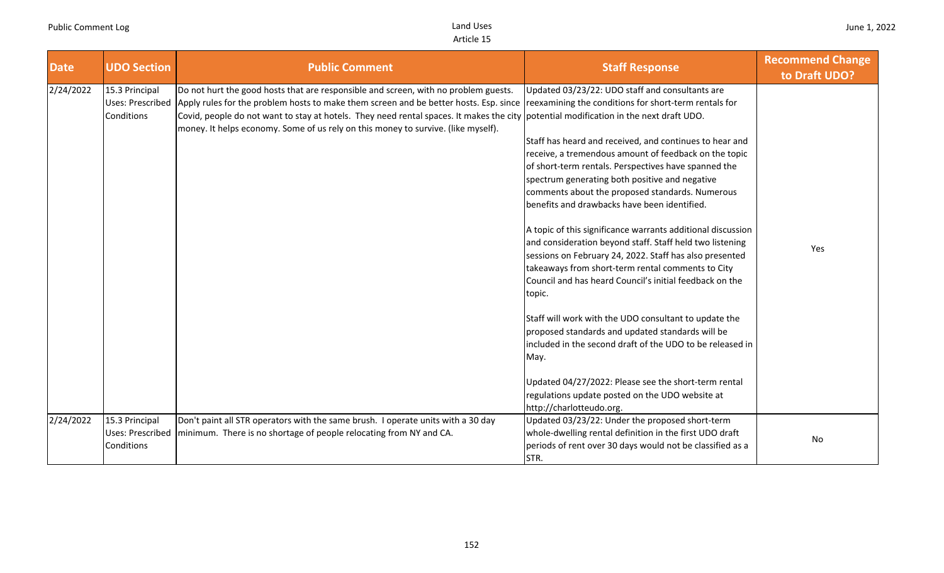| <b>Date</b> | <b>UDO Section</b>                                      | <b>Public Comment</b>                                                                                                                                                                                                                                                                                                                                                                                                                                            | <b>Staff Response</b>                                                                                                                                                                                                                                                                                                                                                                                                                                                                                                                                                                                                                                                                                                                                                                                         | <b>Recommend Change</b><br>to Draft UDO? |
|-------------|---------------------------------------------------------|------------------------------------------------------------------------------------------------------------------------------------------------------------------------------------------------------------------------------------------------------------------------------------------------------------------------------------------------------------------------------------------------------------------------------------------------------------------|---------------------------------------------------------------------------------------------------------------------------------------------------------------------------------------------------------------------------------------------------------------------------------------------------------------------------------------------------------------------------------------------------------------------------------------------------------------------------------------------------------------------------------------------------------------------------------------------------------------------------------------------------------------------------------------------------------------------------------------------------------------------------------------------------------------|------------------------------------------|
| 2/24/2022   | 15.3 Principal<br><b>Uses: Prescribed</b><br>Conditions | Do not hurt the good hosts that are responsible and screen, with no problem guests.<br>Apply rules for the problem hosts to make them screen and be better hosts. Esp. since reexamining the conditions for short-term rentals for<br>Covid, people do not want to stay at hotels. They need rental spaces. It makes the city potential modification in the next draft UDO.<br>money. It helps economy. Some of us rely on this money to survive. (like myself). | Updated 03/23/22: UDO staff and consultants are<br>Staff has heard and received, and continues to hear and<br>receive, a tremendous amount of feedback on the topic<br>of short-term rentals. Perspectives have spanned the<br>spectrum generating both positive and negative<br>comments about the proposed standards. Numerous<br>benefits and drawbacks have been identified.<br>A topic of this significance warrants additional discussion<br>and consideration beyond staff. Staff held two listening<br>sessions on February 24, 2022. Staff has also presented<br>takeaways from short-term rental comments to City<br>Council and has heard Council's initial feedback on the<br>topic.<br>Staff will work with the UDO consultant to update the<br>proposed standards and updated standards will be | Yes                                      |
|             |                                                         |                                                                                                                                                                                                                                                                                                                                                                                                                                                                  | included in the second draft of the UDO to be released in<br>May.<br>Updated 04/27/2022: Please see the short-term rental                                                                                                                                                                                                                                                                                                                                                                                                                                                                                                                                                                                                                                                                                     |                                          |
|             |                                                         |                                                                                                                                                                                                                                                                                                                                                                                                                                                                  | regulations update posted on the UDO website at<br>http://charlotteudo.org.                                                                                                                                                                                                                                                                                                                                                                                                                                                                                                                                                                                                                                                                                                                                   |                                          |
| 2/24/2022   | 15.3 Principal<br>Uses: Prescribed<br>Conditions        | Don't paint all STR operators with the same brush. I operate units with a 30 day<br>minimum. There is no shortage of people relocating from NY and CA.                                                                                                                                                                                                                                                                                                           | Updated 03/23/22: Under the proposed short-term<br>whole-dwelling rental definition in the first UDO draft<br>periods of rent over 30 days would not be classified as a<br>STR.                                                                                                                                                                                                                                                                                                                                                                                                                                                                                                                                                                                                                               | No                                       |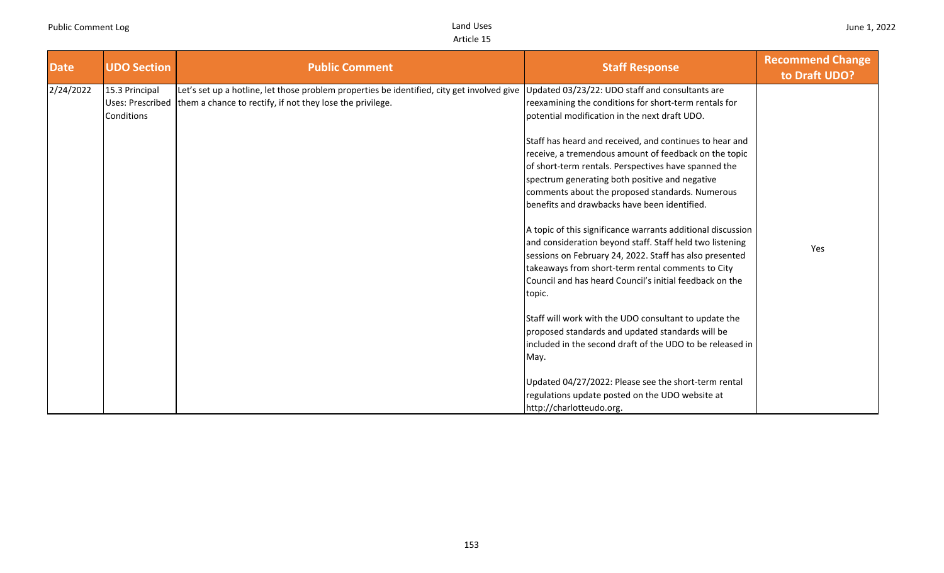| <b>Date</b> | <b>UDO Section</b>                                      | <b>Public Comment</b>                                                                                                                                   | <b>Staff Response</b>                                                                                                                                                                                                                                                                                                                                                                                                                                                                                                                                                                                                                                                                                                                                                                                      | <b>Recommend Change</b><br>to Draft UDO? |
|-------------|---------------------------------------------------------|---------------------------------------------------------------------------------------------------------------------------------------------------------|------------------------------------------------------------------------------------------------------------------------------------------------------------------------------------------------------------------------------------------------------------------------------------------------------------------------------------------------------------------------------------------------------------------------------------------------------------------------------------------------------------------------------------------------------------------------------------------------------------------------------------------------------------------------------------------------------------------------------------------------------------------------------------------------------------|------------------------------------------|
| 2/24/2022   | 15.3 Principal<br><b>Uses: Prescribed</b><br>Conditions | Let's set up a hotline, let those problem properties be identified, city get involved give<br>them a chance to rectify, if not they lose the privilege. | Updated 03/23/22: UDO staff and consultants are<br>reexamining the conditions for short-term rentals for<br>potential modification in the next draft UDO.<br>Staff has heard and received, and continues to hear and<br>receive, a tremendous amount of feedback on the topic<br>of short-term rentals. Perspectives have spanned the<br>spectrum generating both positive and negative<br>comments about the proposed standards. Numerous<br>benefits and drawbacks have been identified.<br>A topic of this significance warrants additional discussion<br>and consideration beyond staff. Staff held two listening<br>sessions on February 24, 2022. Staff has also presented<br>takeaways from short-term rental comments to City<br>Council and has heard Council's initial feedback on the<br>topic. | Yes                                      |
|             |                                                         |                                                                                                                                                         | Staff will work with the UDO consultant to update the<br>proposed standards and updated standards will be<br>included in the second draft of the UDO to be released in<br>May.<br>Updated 04/27/2022: Please see the short-term rental<br>regulations update posted on the UDO website at<br>http://charlotteudo.org.                                                                                                                                                                                                                                                                                                                                                                                                                                                                                      |                                          |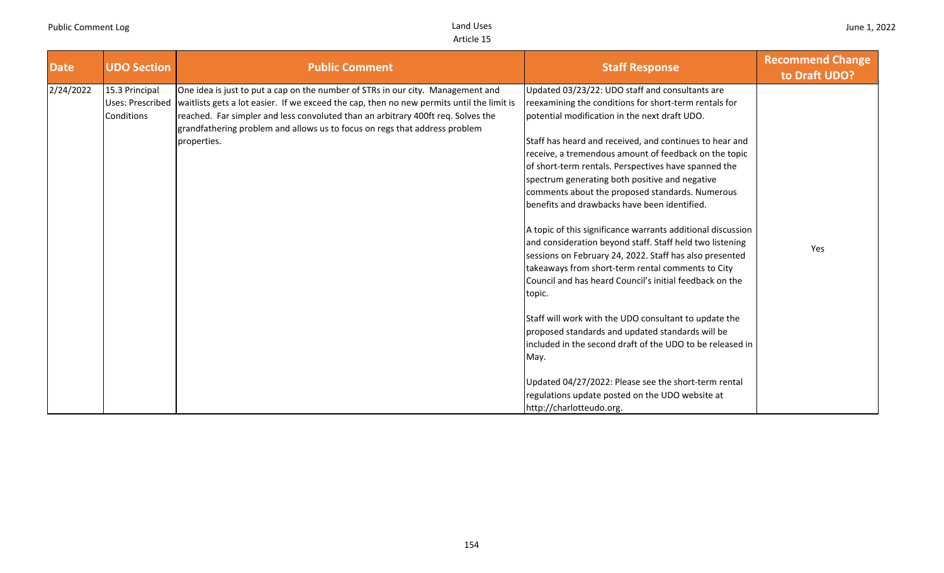| <b>Date</b> | <b>UDO Section</b>           | <b>Public Comment</b>                                                                                                                                                                                                                                                                                                                                                            | <b>Staff Response</b>                                                                                                                                                                                                                                                                                                                                                                                                                                                                                                                                     | <b>Recommend Change</b><br>to Draft UDO? |
|-------------|------------------------------|----------------------------------------------------------------------------------------------------------------------------------------------------------------------------------------------------------------------------------------------------------------------------------------------------------------------------------------------------------------------------------|-----------------------------------------------------------------------------------------------------------------------------------------------------------------------------------------------------------------------------------------------------------------------------------------------------------------------------------------------------------------------------------------------------------------------------------------------------------------------------------------------------------------------------------------------------------|------------------------------------------|
| 2/24/2022   | 15.3 Principal<br>Conditions | One idea is just to put a cap on the number of STRs in our city. Management and<br>Uses: Prescribed   waitlists gets a lot easier. If we exceed the cap, then no new permits until the limit is<br>reached. Far simpler and less convoluted than an arbitrary 400ft req. Solves the<br>grandfathering problem and allows us to focus on regs that address problem<br>properties. | Updated 03/23/22: UDO staff and consultants are<br>reexamining the conditions for short-term rentals for<br>potential modification in the next draft UDO.<br>Staff has heard and received, and continues to hear and<br>receive, a tremendous amount of feedback on the topic<br>of short-term rentals. Perspectives have spanned the<br>spectrum generating both positive and negative<br>comments about the proposed standards. Numerous<br>benefits and drawbacks have been identified.<br>A topic of this significance warrants additional discussion |                                          |
|             |                              |                                                                                                                                                                                                                                                                                                                                                                                  | and consideration beyond staff. Staff held two listening<br>sessions on February 24, 2022. Staff has also presented<br>takeaways from short-term rental comments to City<br>Council and has heard Council's initial feedback on the<br>topic.                                                                                                                                                                                                                                                                                                             | Yes                                      |
|             |                              |                                                                                                                                                                                                                                                                                                                                                                                  | Staff will work with the UDO consultant to update the<br>proposed standards and updated standards will be<br>included in the second draft of the UDO to be released in<br>May.<br>Updated 04/27/2022: Please see the short-term rental<br>regulations update posted on the UDO website at<br>http://charlotteudo.org.                                                                                                                                                                                                                                     |                                          |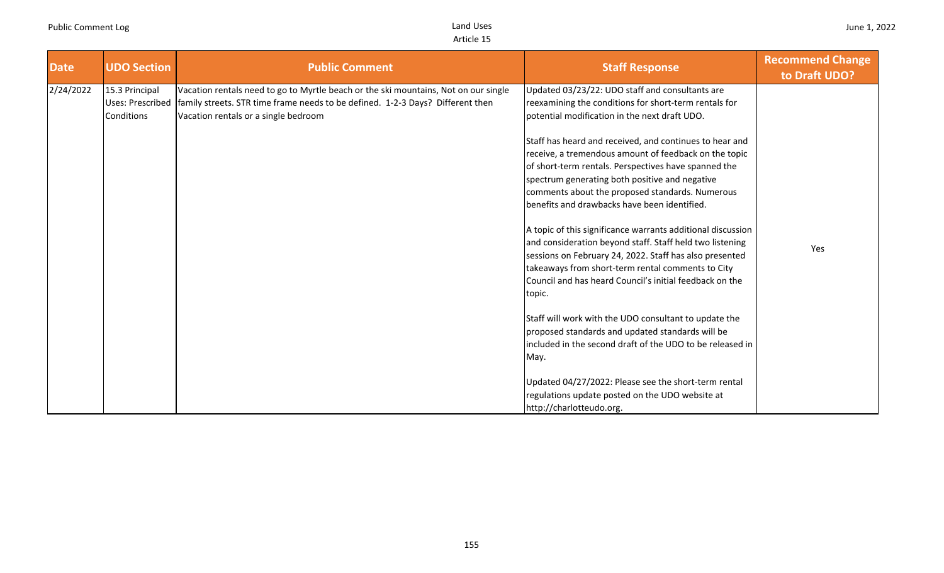| <b>Date</b> | <b>UDO Section</b>                               | <b>Public Comment</b>                                                                                                                                                                                         | <b>Staff Response</b>                                                                                                                                                                                                                                                                                                         | <b>Recommend Change</b><br>to Draft UDO? |
|-------------|--------------------------------------------------|---------------------------------------------------------------------------------------------------------------------------------------------------------------------------------------------------------------|-------------------------------------------------------------------------------------------------------------------------------------------------------------------------------------------------------------------------------------------------------------------------------------------------------------------------------|------------------------------------------|
| 2/24/2022   | 15.3 Principal<br>Uses: Prescribed<br>Conditions | Vacation rentals need to go to Myrtle beach or the ski mountains, Not on our single<br>family streets. STR time frame needs to be defined. 1-2-3 Days? Different then<br>Vacation rentals or a single bedroom | Updated 03/23/22: UDO staff and consultants are<br>reexamining the conditions for short-term rentals for<br>potential modification in the next draft UDO.                                                                                                                                                                     |                                          |
|             |                                                  |                                                                                                                                                                                                               | Staff has heard and received, and continues to hear and<br>receive, a tremendous amount of feedback on the topic<br>of short-term rentals. Perspectives have spanned the<br>spectrum generating both positive and negative<br>comments about the proposed standards. Numerous<br>benefits and drawbacks have been identified. |                                          |
|             |                                                  |                                                                                                                                                                                                               | A topic of this significance warrants additional discussion<br>and consideration beyond staff. Staff held two listening<br>sessions on February 24, 2022. Staff has also presented<br>takeaways from short-term rental comments to City<br>Council and has heard Council's initial feedback on the<br>topic.                  | Yes                                      |
|             |                                                  |                                                                                                                                                                                                               | Staff will work with the UDO consultant to update the<br>proposed standards and updated standards will be<br>included in the second draft of the UDO to be released in<br>May.                                                                                                                                                |                                          |
|             |                                                  |                                                                                                                                                                                                               | Updated 04/27/2022: Please see the short-term rental<br>regulations update posted on the UDO website at<br>http://charlotteudo.org.                                                                                                                                                                                           |                                          |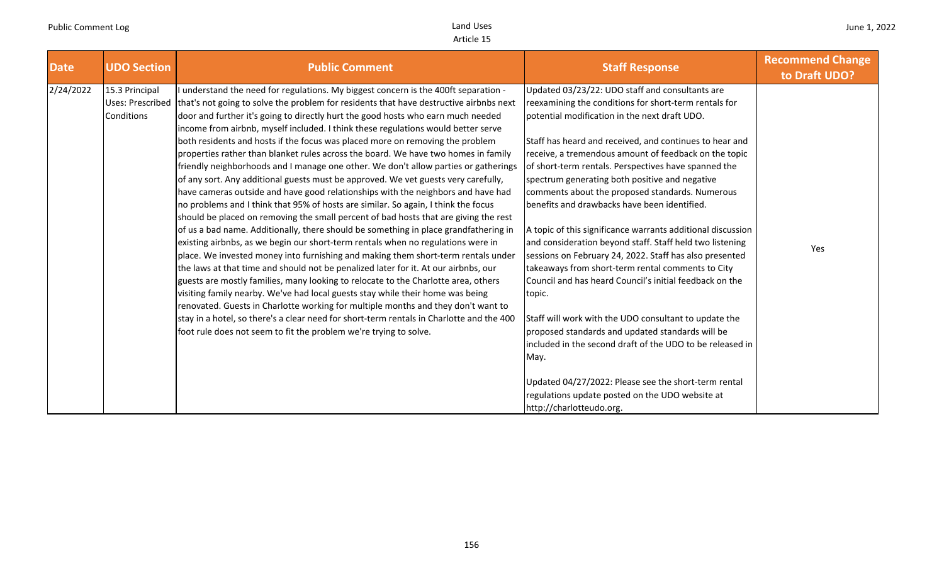| <b>Date</b> | <b>UDO Section</b>                               | <b>Public Comment</b>                                                                                                                                                                                                                                                                                                                                                                                                                                                                                                                                                                                                                                                                                                                                                                                                                                                                                                                                                                                                                                                                                                                                                                                                                                                                                                                                                                                                                                                                                                                                                                                                                                                                                                                                            | <b>Staff Response</b>                                                                                                                                                                                                                                                                                                                                                                                                                                                                                                                                                                                                                                                                                                                                                                                                                                                                                                                                                                                                                                                                                                               | <b>Recommend Change</b><br>to Draft UDO? |
|-------------|--------------------------------------------------|------------------------------------------------------------------------------------------------------------------------------------------------------------------------------------------------------------------------------------------------------------------------------------------------------------------------------------------------------------------------------------------------------------------------------------------------------------------------------------------------------------------------------------------------------------------------------------------------------------------------------------------------------------------------------------------------------------------------------------------------------------------------------------------------------------------------------------------------------------------------------------------------------------------------------------------------------------------------------------------------------------------------------------------------------------------------------------------------------------------------------------------------------------------------------------------------------------------------------------------------------------------------------------------------------------------------------------------------------------------------------------------------------------------------------------------------------------------------------------------------------------------------------------------------------------------------------------------------------------------------------------------------------------------------------------------------------------------------------------------------------------------|-------------------------------------------------------------------------------------------------------------------------------------------------------------------------------------------------------------------------------------------------------------------------------------------------------------------------------------------------------------------------------------------------------------------------------------------------------------------------------------------------------------------------------------------------------------------------------------------------------------------------------------------------------------------------------------------------------------------------------------------------------------------------------------------------------------------------------------------------------------------------------------------------------------------------------------------------------------------------------------------------------------------------------------------------------------------------------------------------------------------------------------|------------------------------------------|
| 2/24/2022   | 15.3 Principal<br>Uses: Prescribed<br>Conditions | understand the need for regulations. My biggest concern is the 400ft separation -<br>that's not going to solve the problem for residents that have destructive airbnbs next<br>door and further it's going to directly hurt the good hosts who earn much needed<br>income from airbnb, myself included. I think these regulations would better serve<br>both residents and hosts if the focus was placed more on removing the problem<br>properties rather than blanket rules across the board. We have two homes in family<br>friendly neighborhoods and I manage one other. We don't allow parties or gatherings<br>of any sort. Any additional guests must be approved. We vet guests very carefully,<br>have cameras outside and have good relationships with the neighbors and have had<br>no problems and I think that 95% of hosts are similar. So again, I think the focus<br>should be placed on removing the small percent of bad hosts that are giving the rest<br>of us a bad name. Additionally, there should be something in place grandfathering in<br>existing airbnbs, as we begin our short-term rentals when no regulations were in<br>place. We invested money into furnishing and making them short-term rentals under<br>the laws at that time and should not be penalized later for it. At our airbnbs, our<br>guests are mostly families, many looking to relocate to the Charlotte area, others<br>visiting family nearby. We've had local guests stay while their home was being<br>renovated. Guests in Charlotte working for multiple months and they don't want to<br>stay in a hotel, so there's a clear need for short-term rentals in Charlotte and the 400<br>foot rule does not seem to fit the problem we're trying to solve. | Updated 03/23/22: UDO staff and consultants are<br>reexamining the conditions for short-term rentals for<br>potential modification in the next draft UDO.<br>Staff has heard and received, and continues to hear and<br>receive, a tremendous amount of feedback on the topic<br>of short-term rentals. Perspectives have spanned the<br>spectrum generating both positive and negative<br>comments about the proposed standards. Numerous<br>benefits and drawbacks have been identified.<br>A topic of this significance warrants additional discussion<br>and consideration beyond staff. Staff held two listening<br>sessions on February 24, 2022. Staff has also presented<br>takeaways from short-term rental comments to City<br>Council and has heard Council's initial feedback on the<br>topic.<br>Staff will work with the UDO consultant to update the<br>proposed standards and updated standards will be<br>included in the second draft of the UDO to be released in<br>May.<br>Updated 04/27/2022: Please see the short-term rental<br>regulations update posted on the UDO website at<br>http://charlotteudo.org. | Yes                                      |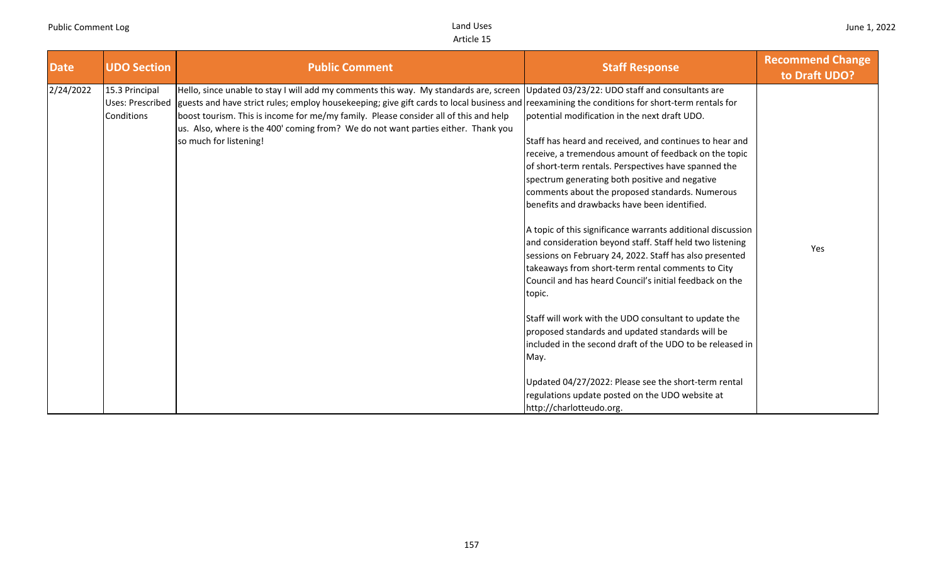| <b>Date</b> | <b>UDO Section</b>                                      | <b>Public Comment</b>                                                                                                                                                                                                                                                                                                                                                                                                                                                                          | <b>Staff Response</b>                                                                                                                                                                                                                                                                                                                                                                                                                                                                                                                                                                                                                                                                                                                                                                                                                                                                                                                                                                                                   | <b>Recommend Change</b><br>to Draft UDO? |
|-------------|---------------------------------------------------------|------------------------------------------------------------------------------------------------------------------------------------------------------------------------------------------------------------------------------------------------------------------------------------------------------------------------------------------------------------------------------------------------------------------------------------------------------------------------------------------------|-------------------------------------------------------------------------------------------------------------------------------------------------------------------------------------------------------------------------------------------------------------------------------------------------------------------------------------------------------------------------------------------------------------------------------------------------------------------------------------------------------------------------------------------------------------------------------------------------------------------------------------------------------------------------------------------------------------------------------------------------------------------------------------------------------------------------------------------------------------------------------------------------------------------------------------------------------------------------------------------------------------------------|------------------------------------------|
| 2/24/2022   | 15.3 Principal<br><b>Uses: Prescribed</b><br>Conditions | Hello, since unable to stay I will add my comments this way. My standards are, screen Updated 03/23/22: UDO staff and consultants are<br>guests and have strict rules; employ housekeeping; give gift cards to local business and reexamining the conditions for short-term rentals for<br>boost tourism. This is income for me/my family. Please consider all of this and help<br>us. Also, where is the 400' coming from? We do not want parties either. Thank you<br>so much for listening! | potential modification in the next draft UDO.<br>Staff has heard and received, and continues to hear and<br>receive, a tremendous amount of feedback on the topic<br>of short-term rentals. Perspectives have spanned the<br>spectrum generating both positive and negative<br>comments about the proposed standards. Numerous<br>benefits and drawbacks have been identified.<br>A topic of this significance warrants additional discussion<br>and consideration beyond staff. Staff held two listening<br>sessions on February 24, 2022. Staff has also presented<br>takeaways from short-term rental comments to City<br>Council and has heard Council's initial feedback on the<br>topic.<br>Staff will work with the UDO consultant to update the<br>proposed standards and updated standards will be<br>included in the second draft of the UDO to be released in<br>May.<br>Updated 04/27/2022: Please see the short-term rental<br>regulations update posted on the UDO website at<br>http://charlotteudo.org. | Yes                                      |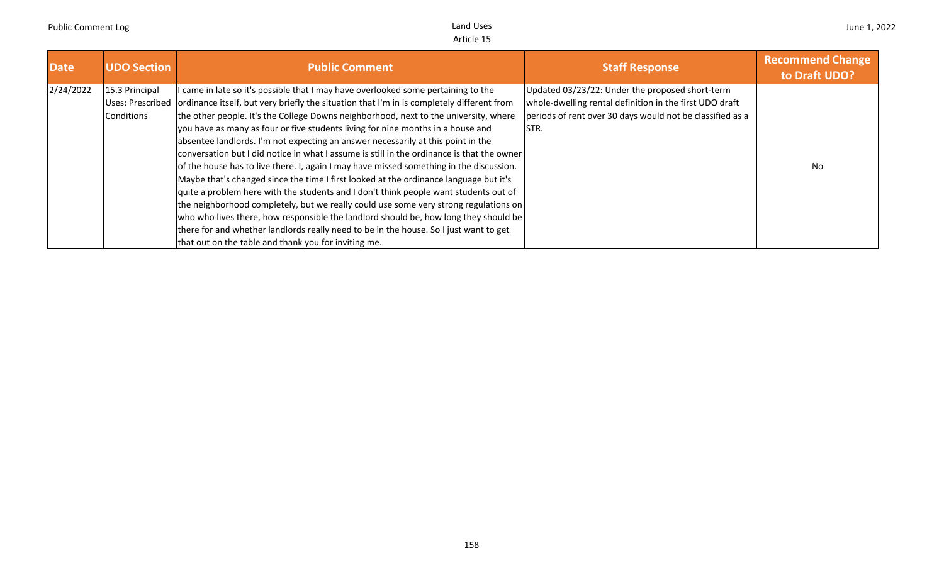| <b>Date</b> | <b>UDO Section</b>           | <b>Public Comment</b>                                                                                                                                                                                                                                                                                                                                                                                                                                                                                                                                                                                                                                                                                                                                                                                                                                                                                                                                                                                                                                                                                             | <b>Staff Response</b>                                                                                                                                                            | <b>Recommend Change</b><br>to Draft UDO? |
|-------------|------------------------------|-------------------------------------------------------------------------------------------------------------------------------------------------------------------------------------------------------------------------------------------------------------------------------------------------------------------------------------------------------------------------------------------------------------------------------------------------------------------------------------------------------------------------------------------------------------------------------------------------------------------------------------------------------------------------------------------------------------------------------------------------------------------------------------------------------------------------------------------------------------------------------------------------------------------------------------------------------------------------------------------------------------------------------------------------------------------------------------------------------------------|----------------------------------------------------------------------------------------------------------------------------------------------------------------------------------|------------------------------------------|
| 2/24/2022   | 15.3 Principal<br>Conditions | I came in late so it's possible that I may have overlooked some pertaining to the<br>Uses: Prescribed ordinance itself, but very briefly the situation that I'm in is completely different from<br>the other people. It's the College Downs neighborhood, next to the university, where<br>you have as many as four or five students living for nine months in a house and<br>absentee landlords. I'm not expecting an answer necessarily at this point in the<br>conversation but I did notice in what I assume is still in the ordinance is that the owner<br>of the house has to live there. I, again I may have missed something in the discussion.<br>Maybe that's changed since the time I first looked at the ordinance language but it's<br>quite a problem here with the students and I don't think people want students out of<br>the neighborhood completely, but we really could use some very strong regulations on<br>who who lives there, how responsible the landlord should be, how long they should be<br>there for and whether landlords really need to be in the house. So I just want to get | Updated 03/23/22: Under the proposed short-term<br>whole-dwelling rental definition in the first UDO draft<br>periods of rent over 30 days would not be classified as a<br>ISTR. | <b>No</b>                                |
|             |                              | that out on the table and thank you for inviting me.                                                                                                                                                                                                                                                                                                                                                                                                                                                                                                                                                                                                                                                                                                                                                                                                                                                                                                                                                                                                                                                              |                                                                                                                                                                                  |                                          |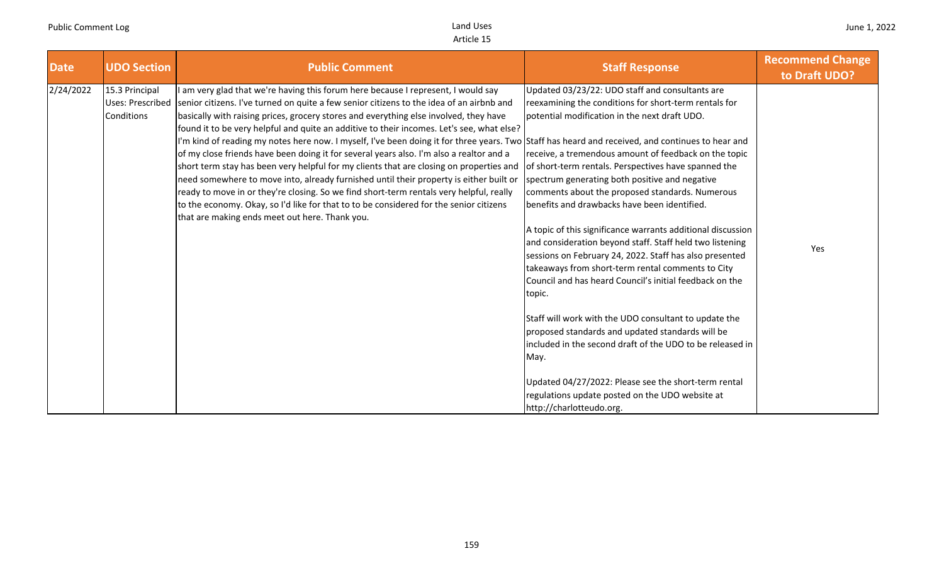| <b>Date</b> | <b>UDO Section</b>                                      | <b>Public Comment</b>                                                                                                                                                                                                                                                                                                                                                                                                                                                                                                                                                                                                                                                                                                                                                                                                                                                                                                                                                                                                                        | <b>Staff Response</b>                                                                                                                                                                                                                                                                                                                                                                                                                                                                                                                                                                                                                                                                                                                                                                                                                                                                                                                                                                                                                                                    | <b>Recommend Change</b><br>to Draft UDO? |
|-------------|---------------------------------------------------------|----------------------------------------------------------------------------------------------------------------------------------------------------------------------------------------------------------------------------------------------------------------------------------------------------------------------------------------------------------------------------------------------------------------------------------------------------------------------------------------------------------------------------------------------------------------------------------------------------------------------------------------------------------------------------------------------------------------------------------------------------------------------------------------------------------------------------------------------------------------------------------------------------------------------------------------------------------------------------------------------------------------------------------------------|--------------------------------------------------------------------------------------------------------------------------------------------------------------------------------------------------------------------------------------------------------------------------------------------------------------------------------------------------------------------------------------------------------------------------------------------------------------------------------------------------------------------------------------------------------------------------------------------------------------------------------------------------------------------------------------------------------------------------------------------------------------------------------------------------------------------------------------------------------------------------------------------------------------------------------------------------------------------------------------------------------------------------------------------------------------------------|------------------------------------------|
| 2/24/2022   | 15.3 Principal<br><b>Uses: Prescribed</b><br>Conditions | am very glad that we're having this forum here because I represent, I would say<br>senior citizens. I've turned on quite a few senior citizens to the idea of an airbnb and<br>basically with raising prices, grocery stores and everything else involved, they have<br>found it to be very helpful and quite an additive to their incomes. Let's see, what else?<br>I'm kind of reading my notes here now. I myself, I've been doing it for three years. Two Staff has heard and received, and continues to hear and<br>of my close friends have been doing it for several years also. I'm also a realtor and a<br>short term stay has been very helpful for my clients that are closing on properties and<br>need somewhere to move into, already furnished until their property is either built or<br>ready to move in or they're closing. So we find short-term rentals very helpful, really<br>to the economy. Okay, so I'd like for that to to be considered for the senior citizens<br>that are making ends meet out here. Thank you. | Updated 03/23/22: UDO staff and consultants are<br>reexamining the conditions for short-term rentals for<br>potential modification in the next draft UDO.<br>receive, a tremendous amount of feedback on the topic<br>of short-term rentals. Perspectives have spanned the<br>spectrum generating both positive and negative<br>comments about the proposed standards. Numerous<br>benefits and drawbacks have been identified.<br>A topic of this significance warrants additional discussion<br>and consideration beyond staff. Staff held two listening<br>sessions on February 24, 2022. Staff has also presented<br>takeaways from short-term rental comments to City<br>Council and has heard Council's initial feedback on the<br>topic.<br>Staff will work with the UDO consultant to update the<br>proposed standards and updated standards will be<br>included in the second draft of the UDO to be released in<br>May.<br>Updated 04/27/2022: Please see the short-term rental<br>regulations update posted on the UDO website at<br>http://charlotteudo.org. | Yes                                      |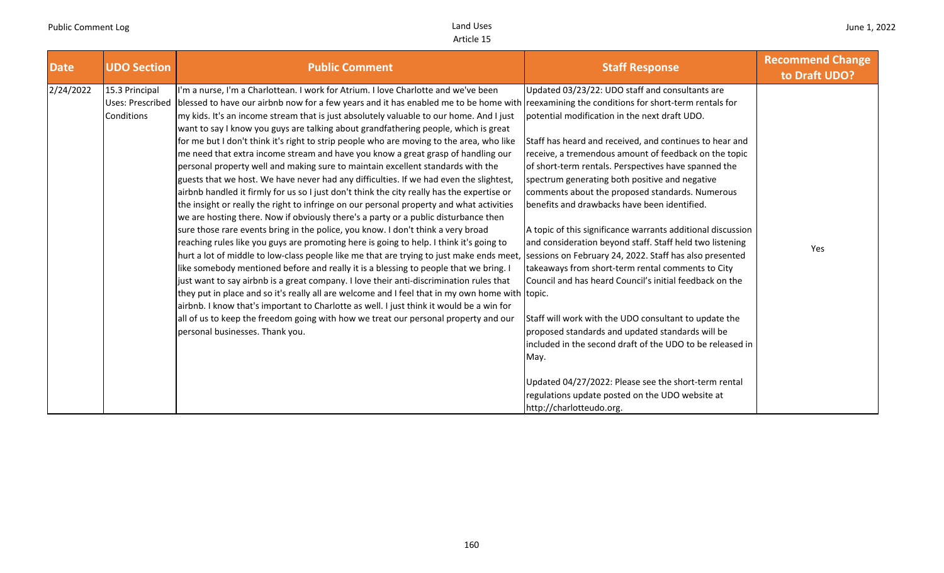| <b>Date</b> | <b>UDO Section</b>                                             | <b>Public Comment</b>                                                                                                                                                                                                                                                                                                                                                                                                                                                                                                                                                                                                                                                                                                                                                                                                                                                                                                                                                                                                                                                                                                                                                                                                                                                                                                                                                                                                                                                                                                                                                                                                                                                                                                                                                                                                                                 | <b>Staff Response</b>                                                                                                                                                                                                                                                                                                                                                                                                                                                                                                                                                                                                                                                                                                                                                                                                                                                                                                                                                                                                                                            | <b>Recommend Change</b><br>to Draft UDO? |
|-------------|----------------------------------------------------------------|-------------------------------------------------------------------------------------------------------------------------------------------------------------------------------------------------------------------------------------------------------------------------------------------------------------------------------------------------------------------------------------------------------------------------------------------------------------------------------------------------------------------------------------------------------------------------------------------------------------------------------------------------------------------------------------------------------------------------------------------------------------------------------------------------------------------------------------------------------------------------------------------------------------------------------------------------------------------------------------------------------------------------------------------------------------------------------------------------------------------------------------------------------------------------------------------------------------------------------------------------------------------------------------------------------------------------------------------------------------------------------------------------------------------------------------------------------------------------------------------------------------------------------------------------------------------------------------------------------------------------------------------------------------------------------------------------------------------------------------------------------------------------------------------------------------------------------------------------------|------------------------------------------------------------------------------------------------------------------------------------------------------------------------------------------------------------------------------------------------------------------------------------------------------------------------------------------------------------------------------------------------------------------------------------------------------------------------------------------------------------------------------------------------------------------------------------------------------------------------------------------------------------------------------------------------------------------------------------------------------------------------------------------------------------------------------------------------------------------------------------------------------------------------------------------------------------------------------------------------------------------------------------------------------------------|------------------------------------------|
| 2/24/2022   | 15.3 Principal<br><b>Uses: Prescribed</b><br><b>Conditions</b> | I'm a nurse, I'm a Charlottean. I work for Atrium. I love Charlotte and we've been<br>blessed to have our airbnb now for a few years and it has enabled me to be home with reexamining the conditions for short-term rentals for<br>my kids. It's an income stream that is just absolutely valuable to our home. And I just<br>want to say I know you guys are talking about grandfathering people, which is great<br>for me but I don't think it's right to strip people who are moving to the area, who like<br>me need that extra income stream and have you know a great grasp of handling our<br>personal property well and making sure to maintain excellent standards with the<br>guests that we host. We have never had any difficulties. If we had even the slightest,<br>airbnb handled it firmly for us so I just don't think the city really has the expertise or<br>the insight or really the right to infringe on our personal property and what activities<br>we are hosting there. Now if obviously there's a party or a public disturbance then<br>sure those rare events bring in the police, you know. I don't think a very broad<br>reaching rules like you guys are promoting here is going to help. I think it's going to<br>hurt a lot of middle to low-class people like me that are trying to just make ends meet<br>like somebody mentioned before and really it is a blessing to people that we bring.<br>just want to say airbnb is a great company. I love their anti-discrimination rules that<br>they put in place and so it's really all are welcome and I feel that in my own home with topic.<br>airbnb. I know that's important to Charlotte as well. I just think it would be a win for<br>all of us to keep the freedom going with how we treat our personal property and our<br>personal businesses. Thank you. | Updated 03/23/22: UDO staff and consultants are<br>potential modification in the next draft UDO.<br>Staff has heard and received, and continues to hear and<br>receive, a tremendous amount of feedback on the topic<br>of short-term rentals. Perspectives have spanned the<br>spectrum generating both positive and negative<br>comments about the proposed standards. Numerous<br>benefits and drawbacks have been identified.<br>A topic of this significance warrants additional discussion<br>and consideration beyond staff. Staff held two listening<br>sessions on February 24, 2022. Staff has also presented<br>takeaways from short-term rental comments to City<br>Council and has heard Council's initial feedback on the<br>Staff will work with the UDO consultant to update the<br>proposed standards and updated standards will be<br>included in the second draft of the UDO to be released in<br>May.<br>Updated 04/27/2022: Please see the short-term rental<br>regulations update posted on the UDO website at<br>http://charlotteudo.org. | Yes                                      |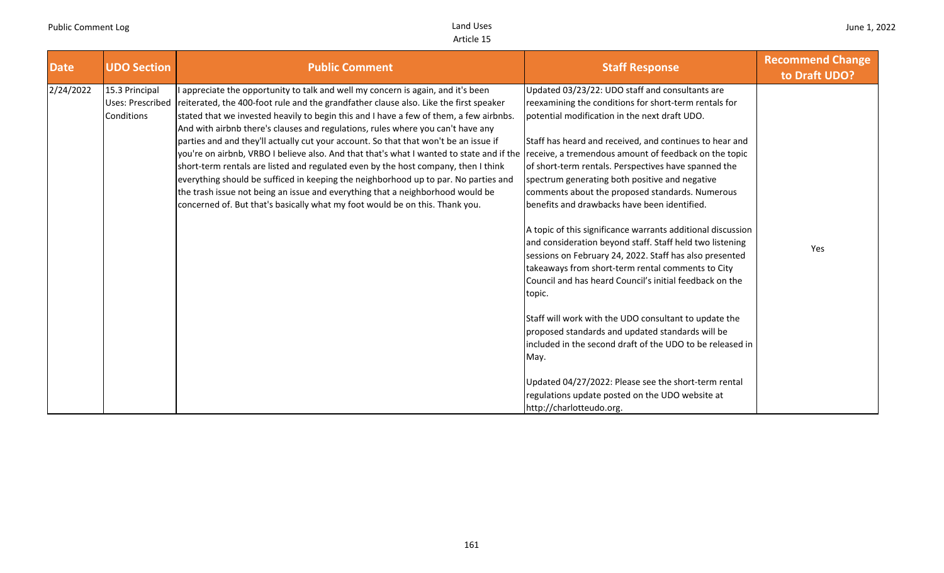| <b>Date</b> | <b>UDO Section</b>                               | <b>Public Comment</b>                                                                                                                                                                                                                                                                                                                                                                                                                                                                                                                                                                                                                                                                                                                                                                                                                                                                                                                         | <b>Staff Response</b>                                                                                                                                                                                                                                                                                                                                                                                                                                                                                                                                                                                                   | <b>Recommend Change</b><br>to Draft UDO? |
|-------------|--------------------------------------------------|-----------------------------------------------------------------------------------------------------------------------------------------------------------------------------------------------------------------------------------------------------------------------------------------------------------------------------------------------------------------------------------------------------------------------------------------------------------------------------------------------------------------------------------------------------------------------------------------------------------------------------------------------------------------------------------------------------------------------------------------------------------------------------------------------------------------------------------------------------------------------------------------------------------------------------------------------|-------------------------------------------------------------------------------------------------------------------------------------------------------------------------------------------------------------------------------------------------------------------------------------------------------------------------------------------------------------------------------------------------------------------------------------------------------------------------------------------------------------------------------------------------------------------------------------------------------------------------|------------------------------------------|
| 2/24/2022   | 15.3 Principal<br>Uses: Prescribed<br>Conditions | appreciate the opportunity to talk and well my concern is again, and it's been<br>reiterated, the 400-foot rule and the grandfather clause also. Like the first speaker<br>stated that we invested heavily to begin this and I have a few of them, a few airbnbs.<br>And with airbnb there's clauses and regulations, rules where you can't have any<br>parties and and they'll actually cut your account. So that that won't be an issue if<br>you're on airbnb, VRBO I believe also. And that that's what I wanted to state and if the receive, a tremendous amount of feedback on the topic<br>short-term rentals are listed and regulated even by the host company, then I think<br>everything should be sufficed in keeping the neighborhood up to par. No parties and<br>the trash issue not being an issue and everything that a neighborhood would be<br>concerned of. But that's basically what my foot would be on this. Thank you. | Updated 03/23/22: UDO staff and consultants are<br>reexamining the conditions for short-term rentals for<br>potential modification in the next draft UDO.<br>Staff has heard and received, and continues to hear and<br>of short-term rentals. Perspectives have spanned the<br>spectrum generating both positive and negative<br>comments about the proposed standards. Numerous<br>benefits and drawbacks have been identified.<br>A topic of this significance warrants additional discussion<br>and consideration beyond staff. Staff held two listening<br>sessions on February 24, 2022. Staff has also presented | Yes                                      |
|             |                                                  |                                                                                                                                                                                                                                                                                                                                                                                                                                                                                                                                                                                                                                                                                                                                                                                                                                                                                                                                               | takeaways from short-term rental comments to City<br>Council and has heard Council's initial feedback on the<br>topic.<br>Staff will work with the UDO consultant to update the<br>proposed standards and updated standards will be<br>included in the second draft of the UDO to be released in<br>May.<br>Updated 04/27/2022: Please see the short-term rental<br>regulations update posted on the UDO website at<br>http://charlotteudo.org.                                                                                                                                                                         |                                          |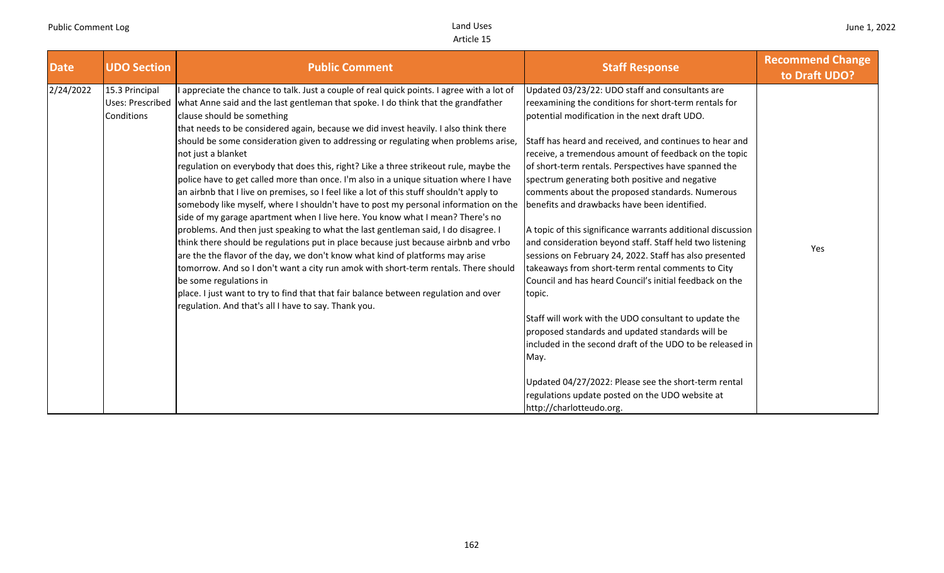| <b>Date</b> | <b>UDO Section</b>                               | <b>Public Comment</b>                                                                                                                                                                                                                                                                                                                                                                                                                                                                                                                                                                                                                                                                                                                                                                                                                                                                                                                                                                                                                                                                                                                                                                                                                                                                                                                                                                                    | <b>Staff Response</b>                                                                                                                                                                                                                                                                                                                                                                                                                                                                                                                                                                                                                                                                                                                                                                                                                                                                                                                                                                                                                                                                                                               | <b>Recommend Change</b><br>to Draft UDO? |
|-------------|--------------------------------------------------|----------------------------------------------------------------------------------------------------------------------------------------------------------------------------------------------------------------------------------------------------------------------------------------------------------------------------------------------------------------------------------------------------------------------------------------------------------------------------------------------------------------------------------------------------------------------------------------------------------------------------------------------------------------------------------------------------------------------------------------------------------------------------------------------------------------------------------------------------------------------------------------------------------------------------------------------------------------------------------------------------------------------------------------------------------------------------------------------------------------------------------------------------------------------------------------------------------------------------------------------------------------------------------------------------------------------------------------------------------------------------------------------------------|-------------------------------------------------------------------------------------------------------------------------------------------------------------------------------------------------------------------------------------------------------------------------------------------------------------------------------------------------------------------------------------------------------------------------------------------------------------------------------------------------------------------------------------------------------------------------------------------------------------------------------------------------------------------------------------------------------------------------------------------------------------------------------------------------------------------------------------------------------------------------------------------------------------------------------------------------------------------------------------------------------------------------------------------------------------------------------------------------------------------------------------|------------------------------------------|
| 2/24/2022   | 15.3 Principal<br>Uses: Prescribed<br>Conditions | I appreciate the chance to talk. Just a couple of real quick points. I agree with a lot of<br>what Anne said and the last gentleman that spoke. I do think that the grandfather<br>clause should be something<br>that needs to be considered again, because we did invest heavily. I also think there<br>should be some consideration given to addressing or regulating when problems arise,<br>not just a blanket<br>regulation on everybody that does this, right? Like a three strikeout rule, maybe the<br>police have to get called more than once. I'm also in a unique situation where I have<br>an airbnb that I live on premises, so I feel like a lot of this stuff shouldn't apply to<br>somebody like myself, where I shouldn't have to post my personal information on the<br>side of my garage apartment when I live here. You know what I mean? There's no<br>problems. And then just speaking to what the last gentleman said, I do disagree. I<br>think there should be regulations put in place because just because airbnb and vrbo<br>are the the flavor of the day, we don't know what kind of platforms may arise<br>tomorrow. And so I don't want a city run amok with short-term rentals. There should<br>be some regulations in<br>place. I just want to try to find that that fair balance between regulation and over<br>regulation. And that's all I have to say. Thank you. | Updated 03/23/22: UDO staff and consultants are<br>reexamining the conditions for short-term rentals for<br>potential modification in the next draft UDO.<br>Staff has heard and received, and continues to hear and<br>receive, a tremendous amount of feedback on the topic<br>of short-term rentals. Perspectives have spanned the<br>spectrum generating both positive and negative<br>comments about the proposed standards. Numerous<br>benefits and drawbacks have been identified.<br>A topic of this significance warrants additional discussion<br>and consideration beyond staff. Staff held two listening<br>sessions on February 24, 2022. Staff has also presented<br>takeaways from short-term rental comments to City<br>Council and has heard Council's initial feedback on the<br>topic.<br>Staff will work with the UDO consultant to update the<br>proposed standards and updated standards will be<br>included in the second draft of the UDO to be released in<br>May.<br>Updated 04/27/2022: Please see the short-term rental<br>regulations update posted on the UDO website at<br>http://charlotteudo.org. | Yes                                      |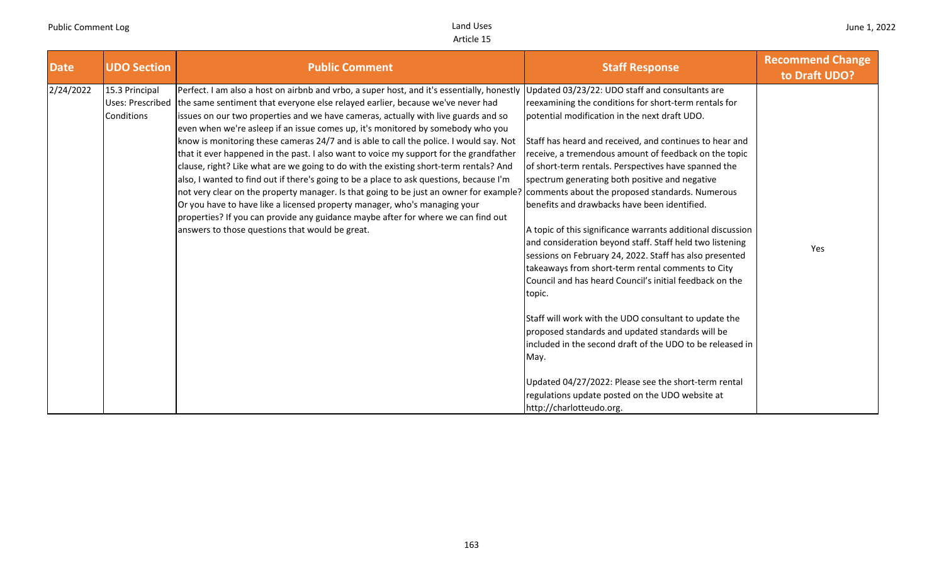| <b>Date</b> | <b>UDO Section</b>                                      | <b>Public Comment</b>                                                                                                                                                                                                                                                                                                                                                                                                                                                                                                                                                                                                                                                                                                                                                                                                                                                                                                                                                                                                                        | <b>Staff Response</b>                                                                                                                                                                                                                                                                                                                                                                                                                                                                                                                                                                                                                                                                                                                                                                                                                                                                                                                                                                                                                                | <b>Recommend Change</b><br>to Draft UDO? |
|-------------|---------------------------------------------------------|----------------------------------------------------------------------------------------------------------------------------------------------------------------------------------------------------------------------------------------------------------------------------------------------------------------------------------------------------------------------------------------------------------------------------------------------------------------------------------------------------------------------------------------------------------------------------------------------------------------------------------------------------------------------------------------------------------------------------------------------------------------------------------------------------------------------------------------------------------------------------------------------------------------------------------------------------------------------------------------------------------------------------------------------|------------------------------------------------------------------------------------------------------------------------------------------------------------------------------------------------------------------------------------------------------------------------------------------------------------------------------------------------------------------------------------------------------------------------------------------------------------------------------------------------------------------------------------------------------------------------------------------------------------------------------------------------------------------------------------------------------------------------------------------------------------------------------------------------------------------------------------------------------------------------------------------------------------------------------------------------------------------------------------------------------------------------------------------------------|------------------------------------------|
| 2/24/2022   | 15.3 Principal<br><b>Uses: Prescribed</b><br>Conditions | Perfect. I am also a host on airbnb and vrbo, a super host, and it's essentially, honestly<br>the same sentiment that everyone else relayed earlier, because we've never had<br>issues on our two properties and we have cameras, actually with live guards and so<br>even when we're asleep if an issue comes up, it's monitored by somebody who you<br>know is monitoring these cameras 24/7 and is able to call the police. I would say. Not<br>that it ever happened in the past. I also want to voice my support for the grandfather<br>clause, right? Like what are we going to do with the existing short-term rentals? And<br>also, I wanted to find out if there's going to be a place to ask questions, because I'm<br>not very clear on the property manager. Is that going to be just an owner for example?<br>Or you have to have like a licensed property manager, who's managing your<br>properties? If you can provide any guidance maybe after for where we can find out<br>answers to those questions that would be great. | Updated 03/23/22: UDO staff and consultants are<br>reexamining the conditions for short-term rentals for<br>potential modification in the next draft UDO.<br>Staff has heard and received, and continues to hear and<br>receive, a tremendous amount of feedback on the topic<br>of short-term rentals. Perspectives have spanned the<br>spectrum generating both positive and negative<br>comments about the proposed standards. Numerous<br>benefits and drawbacks have been identified.<br>A topic of this significance warrants additional discussion<br>and consideration beyond staff. Staff held two listening<br>sessions on February 24, 2022. Staff has also presented<br>takeaways from short-term rental comments to City<br>Council and has heard Council's initial feedback on the<br>topic.<br>Staff will work with the UDO consultant to update the<br>proposed standards and updated standards will be<br>included in the second draft of the UDO to be released in<br>May.<br>Updated 04/27/2022: Please see the short-term rental | Yes                                      |
|             |                                                         |                                                                                                                                                                                                                                                                                                                                                                                                                                                                                                                                                                                                                                                                                                                                                                                                                                                                                                                                                                                                                                              | regulations update posted on the UDO website at<br>http://charlotteudo.org.                                                                                                                                                                                                                                                                                                                                                                                                                                                                                                                                                                                                                                                                                                                                                                                                                                                                                                                                                                          |                                          |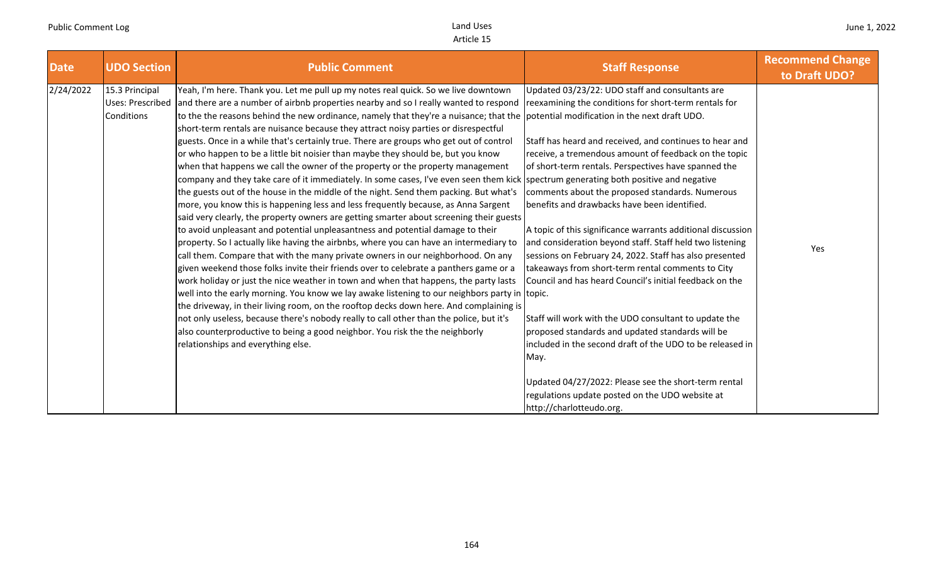| <b>Date</b> | <b>UDO Section</b>                                      | <b>Public Comment</b>                                                                                                                                                                                                                                                                                                                                                                                                                                                                                                                                                                                                                                                                                                                                                                                                                                                                                                                                                                                                                                                                                                                                                                                                                                                                                                                                                                                                                                                                                                                                                                                                                                                                                                                                                                                                                                                                                                                                   | <b>Staff Response</b>                                                                                                                                                                                                                                                                                                                                                                                                                                                                                                                                                                                                                                                                                                                                                                                                                                                                                                                                                                                                  | <b>Recommend Change</b><br>to Draft UDO? |
|-------------|---------------------------------------------------------|---------------------------------------------------------------------------------------------------------------------------------------------------------------------------------------------------------------------------------------------------------------------------------------------------------------------------------------------------------------------------------------------------------------------------------------------------------------------------------------------------------------------------------------------------------------------------------------------------------------------------------------------------------------------------------------------------------------------------------------------------------------------------------------------------------------------------------------------------------------------------------------------------------------------------------------------------------------------------------------------------------------------------------------------------------------------------------------------------------------------------------------------------------------------------------------------------------------------------------------------------------------------------------------------------------------------------------------------------------------------------------------------------------------------------------------------------------------------------------------------------------------------------------------------------------------------------------------------------------------------------------------------------------------------------------------------------------------------------------------------------------------------------------------------------------------------------------------------------------------------------------------------------------------------------------------------------------|------------------------------------------------------------------------------------------------------------------------------------------------------------------------------------------------------------------------------------------------------------------------------------------------------------------------------------------------------------------------------------------------------------------------------------------------------------------------------------------------------------------------------------------------------------------------------------------------------------------------------------------------------------------------------------------------------------------------------------------------------------------------------------------------------------------------------------------------------------------------------------------------------------------------------------------------------------------------------------------------------------------------|------------------------------------------|
| 2/24/2022   | 15.3 Principal<br><b>Uses: Prescribed</b><br>Conditions | Yeah, I'm here. Thank you. Let me pull up my notes real quick. So we live downtown<br>and there are a number of airbnb properties nearby and so I really wanted to respond<br>to the the reasons behind the new ordinance, namely that they're a nuisance; that the potential modification in the next draft UDO.<br>short-term rentals are nuisance because they attract noisy parties or disrespectful<br>guests. Once in a while that's certainly true. There are groups who get out of control<br>or who happen to be a little bit noisier than maybe they should be, but you know<br>when that happens we call the owner of the property or the property management<br>company and they take care of it immediately. In some cases, I've even seen them kick spectrum generating both positive and negative<br>the guests out of the house in the middle of the night. Send them packing. But what's<br>more, you know this is happening less and less frequently because, as Anna Sargent<br>said very clearly, the property owners are getting smarter about screening their guests<br>to avoid unpleasant and potential unpleasantness and potential damage to their<br>property. So I actually like having the airbnbs, where you can have an intermediary to<br>call them. Compare that with the many private owners in our neighborhood. On any<br>given weekend those folks invite their friends over to celebrate a panthers game or a<br>work holiday or just the nice weather in town and when that happens, the party lasts<br>well into the early morning. You know we lay awake listening to our neighbors party in topic.<br>the driveway, in their living room, on the rooftop decks down here. And complaining is<br>not only useless, because there's nobody really to call other than the police, but it's<br>also counterproductive to being a good neighbor. You risk the the neighborly<br>relationships and everything else. | Updated 03/23/22: UDO staff and consultants are<br>reexamining the conditions for short-term rentals for<br>Staff has heard and received, and continues to hear and<br>receive, a tremendous amount of feedback on the topic<br>of short-term rentals. Perspectives have spanned the<br>comments about the proposed standards. Numerous<br>benefits and drawbacks have been identified.<br>A topic of this significance warrants additional discussion<br>and consideration beyond staff. Staff held two listening<br>sessions on February 24, 2022. Staff has also presented<br>takeaways from short-term rental comments to City<br>Council and has heard Council's initial feedback on the<br>Staff will work with the UDO consultant to update the<br>proposed standards and updated standards will be<br>included in the second draft of the UDO to be released in<br>May.<br>Updated 04/27/2022: Please see the short-term rental<br>regulations update posted on the UDO website at<br>http://charlotteudo.org. | Yes                                      |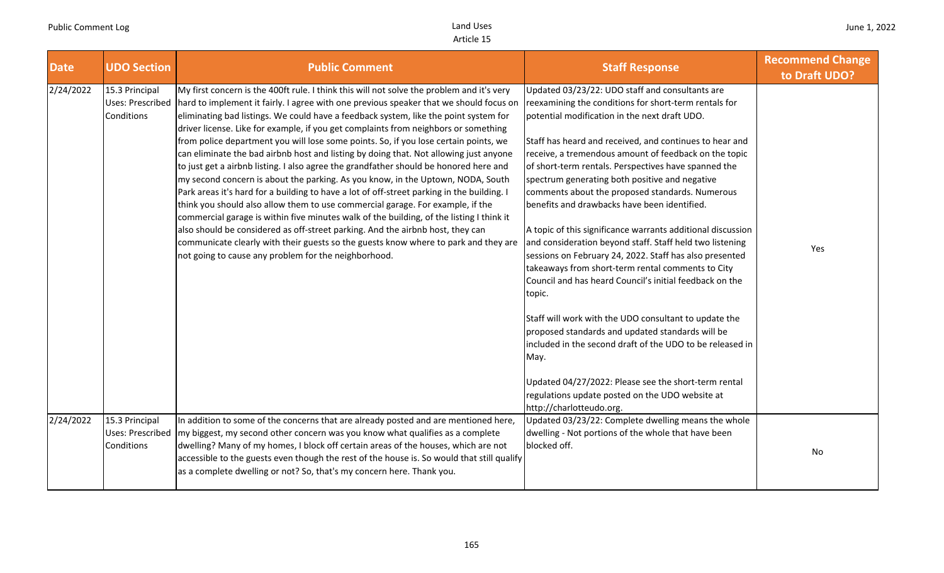| <b>Date</b> | <b>UDO Section</b>                                      | <b>Public Comment</b>                                                                                                                                                                                                                                                                                                                                                                                                                                                                                                                                                                                                                                                                                                                                                                                                                                                                                                                                                                                                                                                                                                                                                                                                                        | <b>Staff Response</b>                                                                                                                                                                                                                                                                                                                                                                                                                                                                                                                                                                                                                                                                                                                                                                            | <b>Recommend Change</b><br>to Draft UDO? |
|-------------|---------------------------------------------------------|----------------------------------------------------------------------------------------------------------------------------------------------------------------------------------------------------------------------------------------------------------------------------------------------------------------------------------------------------------------------------------------------------------------------------------------------------------------------------------------------------------------------------------------------------------------------------------------------------------------------------------------------------------------------------------------------------------------------------------------------------------------------------------------------------------------------------------------------------------------------------------------------------------------------------------------------------------------------------------------------------------------------------------------------------------------------------------------------------------------------------------------------------------------------------------------------------------------------------------------------|--------------------------------------------------------------------------------------------------------------------------------------------------------------------------------------------------------------------------------------------------------------------------------------------------------------------------------------------------------------------------------------------------------------------------------------------------------------------------------------------------------------------------------------------------------------------------------------------------------------------------------------------------------------------------------------------------------------------------------------------------------------------------------------------------|------------------------------------------|
| 2/24/2022   | 15.3 Principal<br><b>Uses: Prescribed</b><br>Conditions | My first concern is the 400ft rule. I think this will not solve the problem and it's very<br>hard to implement it fairly. I agree with one previous speaker that we should focus on<br>eliminating bad listings. We could have a feedback system, like the point system for<br>driver license. Like for example, if you get complaints from neighbors or something<br>from police department you will lose some points. So, if you lose certain points, we<br>can eliminate the bad airbnb host and listing by doing that. Not allowing just anyone<br>to just get a airbnb listing. I also agree the grandfather should be honored here and<br>my second concern is about the parking. As you know, in the Uptown, NODA, South<br>Park areas it's hard for a building to have a lot of off-street parking in the building. I<br>think you should also allow them to use commercial garage. For example, if the<br>commercial garage is within five minutes walk of the building, of the listing I think it<br>also should be considered as off-street parking. And the airbnb host, they can<br>communicate clearly with their guests so the guests know where to park and they are<br>not going to cause any problem for the neighborhood. | Updated 03/23/22: UDO staff and consultants are<br>reexamining the conditions for short-term rentals for<br>potential modification in the next draft UDO.<br>Staff has heard and received, and continues to hear and<br>receive, a tremendous amount of feedback on the topic<br>of short-term rentals. Perspectives have spanned the<br>spectrum generating both positive and negative<br>comments about the proposed standards. Numerous<br>benefits and drawbacks have been identified.<br>A topic of this significance warrants additional discussion<br>and consideration beyond staff. Staff held two listening<br>sessions on February 24, 2022. Staff has also presented<br>takeaways from short-term rental comments to City<br>Council and has heard Council's initial feedback on the | Yes                                      |
|             |                                                         |                                                                                                                                                                                                                                                                                                                                                                                                                                                                                                                                                                                                                                                                                                                                                                                                                                                                                                                                                                                                                                                                                                                                                                                                                                              | topic.<br>Staff will work with the UDO consultant to update the<br>proposed standards and updated standards will be<br>included in the second draft of the UDO to be released in<br>May.<br>Updated 04/27/2022: Please see the short-term rental<br>regulations update posted on the UDO website at<br>http://charlotteudo.org.                                                                                                                                                                                                                                                                                                                                                                                                                                                                  |                                          |
| 2/24/2022   | 15.3 Principal<br>Uses: Prescribed<br>Conditions        | In addition to some of the concerns that are already posted and are mentioned here,<br>my biggest, my second other concern was you know what qualifies as a complete<br>dwelling? Many of my homes, I block off certain areas of the houses, which are not<br>accessible to the guests even though the rest of the house is. So would that still qualify<br>as a complete dwelling or not? So, that's my concern here. Thank you.                                                                                                                                                                                                                                                                                                                                                                                                                                                                                                                                                                                                                                                                                                                                                                                                            | Updated 03/23/22: Complete dwelling means the whole<br>dwelling - Not portions of the whole that have been<br>blocked off.                                                                                                                                                                                                                                                                                                                                                                                                                                                                                                                                                                                                                                                                       | No                                       |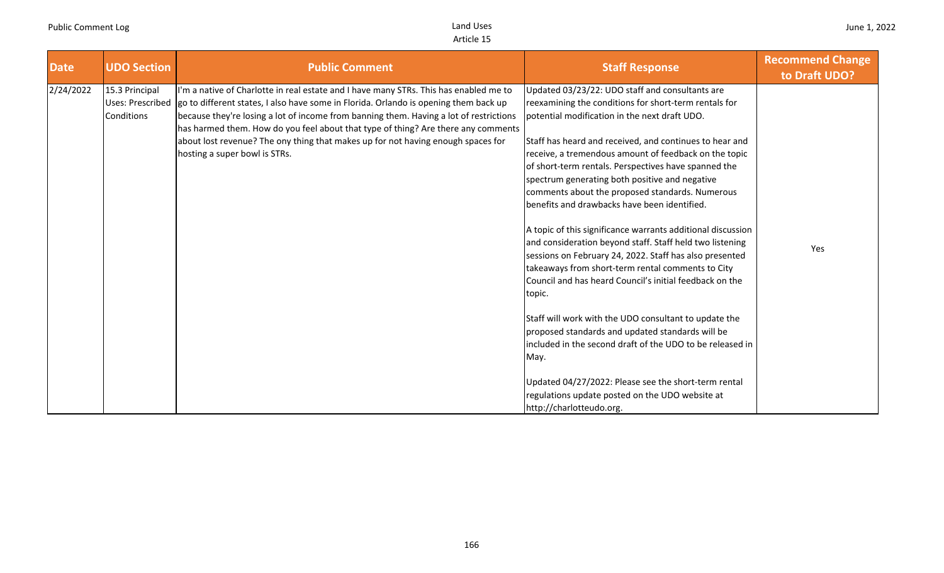| <b>Date</b> | <b>UDO Section</b>                                      | <b>Public Comment</b>                                                                                                                                                                                                                                                                                                                                                                                                                                                             | <b>Staff Response</b>                                                                                                                                                                                                                                                                                                                                                                                                                                                                                                                                                                                                                                                                                                                 | <b>Recommend Change</b><br>to Draft UDO? |
|-------------|---------------------------------------------------------|-----------------------------------------------------------------------------------------------------------------------------------------------------------------------------------------------------------------------------------------------------------------------------------------------------------------------------------------------------------------------------------------------------------------------------------------------------------------------------------|---------------------------------------------------------------------------------------------------------------------------------------------------------------------------------------------------------------------------------------------------------------------------------------------------------------------------------------------------------------------------------------------------------------------------------------------------------------------------------------------------------------------------------------------------------------------------------------------------------------------------------------------------------------------------------------------------------------------------------------|------------------------------------------|
| 2/24/2022   | 15.3 Principal<br><b>Uses: Prescribed</b><br>Conditions | I'm a native of Charlotte in real estate and I have many STRs. This has enabled me to<br>go to different states, I also have some in Florida. Orlando is opening them back up<br>because they're losing a lot of income from banning them. Having a lot of restrictions<br>has harmed them. How do you feel about that type of thing? Are there any comments<br>about lost revenue? The ony thing that makes up for not having enough spaces for<br>hosting a super bowl is STRs. | Updated 03/23/22: UDO staff and consultants are<br>reexamining the conditions for short-term rentals for<br>potential modification in the next draft UDO.<br>Staff has heard and received, and continues to hear and<br>receive, a tremendous amount of feedback on the topic<br>of short-term rentals. Perspectives have spanned the<br>spectrum generating both positive and negative<br>comments about the proposed standards. Numerous<br>benefits and drawbacks have been identified.<br>A topic of this significance warrants additional discussion<br>and consideration beyond staff. Staff held two listening<br>sessions on February 24, 2022. Staff has also presented<br>takeaways from short-term rental comments to City | Yes                                      |
|             |                                                         |                                                                                                                                                                                                                                                                                                                                                                                                                                                                                   | Council and has heard Council's initial feedback on the<br>topic.<br>Staff will work with the UDO consultant to update the<br>proposed standards and updated standards will be<br>included in the second draft of the UDO to be released in<br>May.<br>Updated 04/27/2022: Please see the short-term rental<br>regulations update posted on the UDO website at<br>http://charlotteudo.org.                                                                                                                                                                                                                                                                                                                                            |                                          |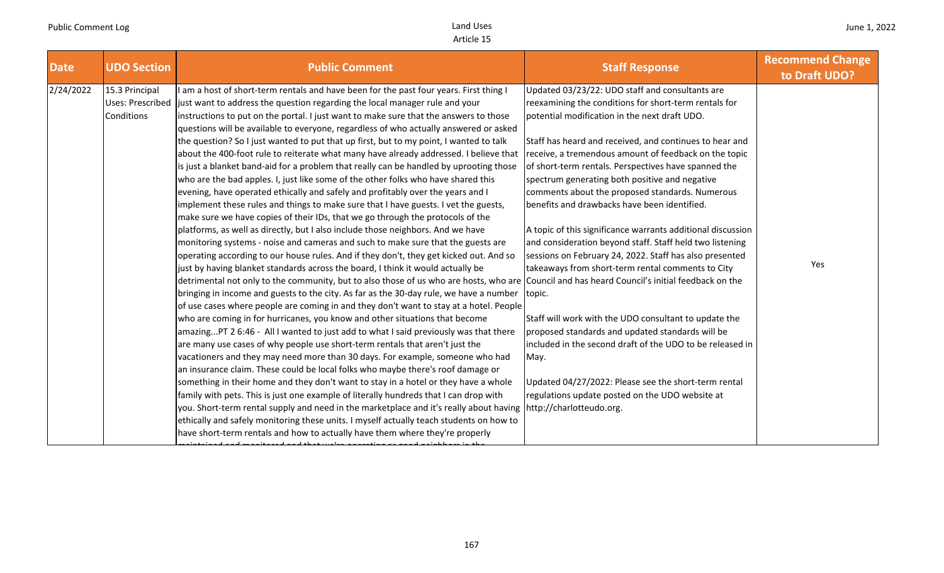| <b>Date</b><br><b>UDO Section</b>                             | <b>Public Comment</b>                                                                                                                                                                                                                                                                                                                                                                                                                                                                                                                                                                                                                                                                                                                                                                                                                                                                                                                                                                                                                                                                                                                                                                                                                                                                                                                                                                                                                                                                                                                                                                                                                                                                                                                                                                                                                                                                                                                                                                                                                                                                                                                                                                                                                                                                                                                                                                                                                                                                                                                                                                 | <b>Staff Response</b>                                                                                                                                                                                                                                                                                                                                                                                                                                                                                                                                                                                                                                                                                                                                                                                                                                                                                                                                                                                                                        | <b>Recommend Change</b><br>to Draft UDO? |
|---------------------------------------------------------------|---------------------------------------------------------------------------------------------------------------------------------------------------------------------------------------------------------------------------------------------------------------------------------------------------------------------------------------------------------------------------------------------------------------------------------------------------------------------------------------------------------------------------------------------------------------------------------------------------------------------------------------------------------------------------------------------------------------------------------------------------------------------------------------------------------------------------------------------------------------------------------------------------------------------------------------------------------------------------------------------------------------------------------------------------------------------------------------------------------------------------------------------------------------------------------------------------------------------------------------------------------------------------------------------------------------------------------------------------------------------------------------------------------------------------------------------------------------------------------------------------------------------------------------------------------------------------------------------------------------------------------------------------------------------------------------------------------------------------------------------------------------------------------------------------------------------------------------------------------------------------------------------------------------------------------------------------------------------------------------------------------------------------------------------------------------------------------------------------------------------------------------------------------------------------------------------------------------------------------------------------------------------------------------------------------------------------------------------------------------------------------------------------------------------------------------------------------------------------------------------------------------------------------------------------------------------------------------|----------------------------------------------------------------------------------------------------------------------------------------------------------------------------------------------------------------------------------------------------------------------------------------------------------------------------------------------------------------------------------------------------------------------------------------------------------------------------------------------------------------------------------------------------------------------------------------------------------------------------------------------------------------------------------------------------------------------------------------------------------------------------------------------------------------------------------------------------------------------------------------------------------------------------------------------------------------------------------------------------------------------------------------------|------------------------------------------|
| 15.3 Principal<br>2/24/2022<br>Uses: Prescribed<br>Conditions | am a host of short-term rentals and have been for the past four years. First thing I<br>just want to address the question regarding the local manager rule and your<br>instructions to put on the portal. I just want to make sure that the answers to those<br>questions will be available to everyone, regardless of who actually answered or asked<br>the question? So I just wanted to put that up first, but to my point, I wanted to talk<br>about the 400-foot rule to reiterate what many have already addressed. I believe that<br>is just a blanket band-aid for a problem that really can be handled by uprooting those<br>who are the bad apples. I, just like some of the other folks who have shared this<br>evening, have operated ethically and safely and profitably over the years and I<br>implement these rules and things to make sure that I have guests. I vet the guests,<br>make sure we have copies of their IDs, that we go through the protocols of the<br>platforms, as well as directly, but I also include those neighbors. And we have<br>monitoring systems - noise and cameras and such to make sure that the guests are<br>operating according to our house rules. And if they don't, they get kicked out. And so<br>just by having blanket standards across the board, I think it would actually be<br>detrimental not only to the community, but to also those of us who are hosts, who are Council and has heard Council's initial feedback on the<br>bringing in income and guests to the city. As far as the 30-day rule, we have a number<br>of use cases where people are coming in and they don't want to stay at a hotel. People<br>who are coming in for hurricanes, you know and other situations that become<br>amazingPT 2 6:46 - All I wanted to just add to what I said previously was that there<br>are many use cases of why people use short-term rentals that aren't just the<br>vacationers and they may need more than 30 days. For example, someone who had<br>an insurance claim. These could be local folks who maybe there's roof damage or<br>something in their home and they don't want to stay in a hotel or they have a whole<br>family with pets. This is just one example of literally hundreds that I can drop with<br>you. Short-term rental supply and need in the marketplace and it's really about having http://charlotteudo.org.<br>ethically and safely monitoring these units. I myself actually teach students on how to<br>have short-term rentals and how to actually have them where they're properly | Updated 03/23/22: UDO staff and consultants are<br>reexamining the conditions for short-term rentals for<br>potential modification in the next draft UDO.<br>Staff has heard and received, and continues to hear and<br>receive, a tremendous amount of feedback on the topic<br>of short-term rentals. Perspectives have spanned the<br>spectrum generating both positive and negative<br>comments about the proposed standards. Numerous<br>benefits and drawbacks have been identified.<br>A topic of this significance warrants additional discussion<br>and consideration beyond staff. Staff held two listening<br>sessions on February 24, 2022. Staff has also presented<br>takeaways from short-term rental comments to City<br>topic.<br>Staff will work with the UDO consultant to update the<br>proposed standards and updated standards will be<br>included in the second draft of the UDO to be released in<br>May.<br>Updated 04/27/2022: Please see the short-term rental<br>regulations update posted on the UDO website at | Yes                                      |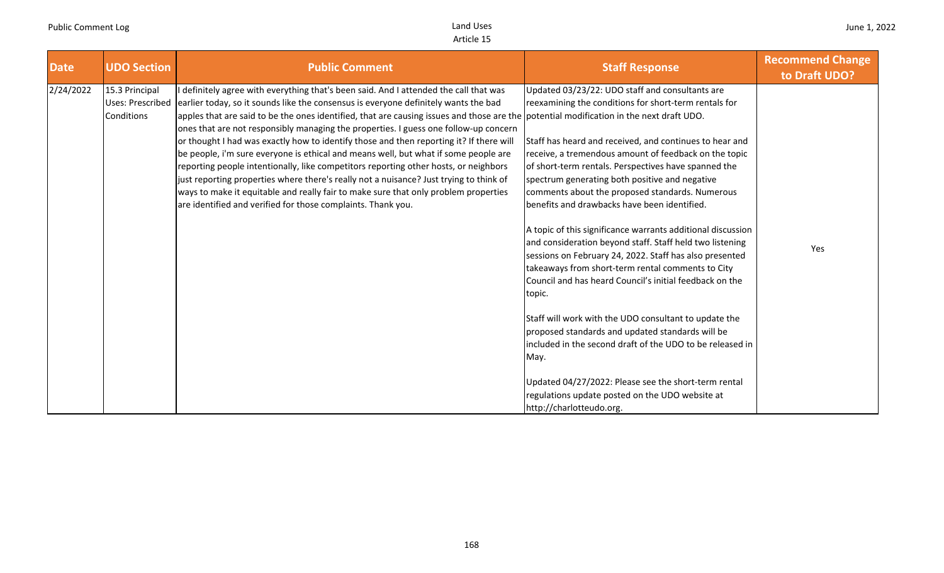| <b>Date</b> | <b>UDO Section</b>                                      | <b>Public Comment</b>                                                                                                                                                                                                                                                                                                                                                                                                                                                                                                                                                                                                                                                                                                                                                                                                                                                                                                                    | <b>Staff Response</b>                                                                                                                                                                                                                                                                                                                                                                                                                                                                                                                                                                                                                                                                                                                                                                                                                                                                                                                                                                                                                                                              | <b>Recommend Change</b><br>to Draft UDO? |
|-------------|---------------------------------------------------------|------------------------------------------------------------------------------------------------------------------------------------------------------------------------------------------------------------------------------------------------------------------------------------------------------------------------------------------------------------------------------------------------------------------------------------------------------------------------------------------------------------------------------------------------------------------------------------------------------------------------------------------------------------------------------------------------------------------------------------------------------------------------------------------------------------------------------------------------------------------------------------------------------------------------------------------|------------------------------------------------------------------------------------------------------------------------------------------------------------------------------------------------------------------------------------------------------------------------------------------------------------------------------------------------------------------------------------------------------------------------------------------------------------------------------------------------------------------------------------------------------------------------------------------------------------------------------------------------------------------------------------------------------------------------------------------------------------------------------------------------------------------------------------------------------------------------------------------------------------------------------------------------------------------------------------------------------------------------------------------------------------------------------------|------------------------------------------|
| 2/24/2022   | 15.3 Principal<br>Uses: Prescribed<br><b>Conditions</b> | definitely agree with everything that's been said. And I attended the call that was<br>earlier today, so it sounds like the consensus is everyone definitely wants the bad<br>apples that are said to be the ones identified, that are causing issues and those are the potential modification in the next draft UDO.<br>ones that are not responsibly managing the properties. I guess one follow-up concern<br>or thought I had was exactly how to identify those and then reporting it? If there will<br>be people, i'm sure everyone is ethical and means well, but what if some people are<br>reporting people intentionally, like competitors reporting other hosts, or neighbors<br>just reporting properties where there's really not a nuisance? Just trying to think of<br>ways to make it equitable and really fair to make sure that only problem properties<br>are identified and verified for those complaints. Thank you. | Updated 03/23/22: UDO staff and consultants are<br>reexamining the conditions for short-term rentals for<br>Staff has heard and received, and continues to hear and<br>receive, a tremendous amount of feedback on the topic<br>of short-term rentals. Perspectives have spanned the<br>spectrum generating both positive and negative<br>comments about the proposed standards. Numerous<br>benefits and drawbacks have been identified.<br>A topic of this significance warrants additional discussion<br>and consideration beyond staff. Staff held two listening<br>sessions on February 24, 2022. Staff has also presented<br>takeaways from short-term rental comments to City<br>Council and has heard Council's initial feedback on the<br>topic.<br>Staff will work with the UDO consultant to update the<br>proposed standards and updated standards will be<br>included in the second draft of the UDO to be released in<br>May.<br>Updated 04/27/2022: Please see the short-term rental<br>regulations update posted on the UDO website at<br>http://charlotteudo.org. | Yes                                      |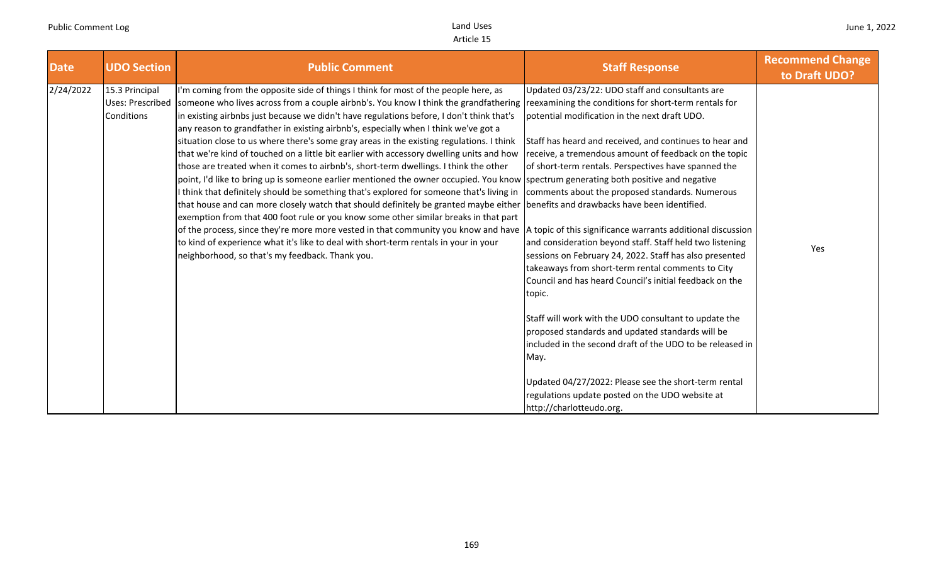| <b>Date</b> | <b>UDO Section</b>                                             | <b>Public Comment</b>                                                                                                                                                                                                                                                                                                                                                                                                                                                                                                                                                                                                                                                                                                                                                                                                                                                                                                                                                                                                                                                                                                                                                                                                                                                                               | <b>Staff Response</b>                                                                                                                                                                                                                                                                                                                                                                                                                                                                                                                                                                                                                                                                                                                                                                                                                                                                                                                                                                                                                                                             | <b>Recommend Change</b><br>to Draft UDO? |
|-------------|----------------------------------------------------------------|-----------------------------------------------------------------------------------------------------------------------------------------------------------------------------------------------------------------------------------------------------------------------------------------------------------------------------------------------------------------------------------------------------------------------------------------------------------------------------------------------------------------------------------------------------------------------------------------------------------------------------------------------------------------------------------------------------------------------------------------------------------------------------------------------------------------------------------------------------------------------------------------------------------------------------------------------------------------------------------------------------------------------------------------------------------------------------------------------------------------------------------------------------------------------------------------------------------------------------------------------------------------------------------------------------|-----------------------------------------------------------------------------------------------------------------------------------------------------------------------------------------------------------------------------------------------------------------------------------------------------------------------------------------------------------------------------------------------------------------------------------------------------------------------------------------------------------------------------------------------------------------------------------------------------------------------------------------------------------------------------------------------------------------------------------------------------------------------------------------------------------------------------------------------------------------------------------------------------------------------------------------------------------------------------------------------------------------------------------------------------------------------------------|------------------------------------------|
| 2/24/2022   | 15.3 Principal<br><b>Uses: Prescribed</b><br><b>Conditions</b> | I'm coming from the opposite side of things I think for most of the people here, as<br>someone who lives across from a couple airbnb's. You know I think the grandfathering<br>in existing airbnbs just because we didn't have regulations before, I don't think that's<br>any reason to grandfather in existing airbnb's, especially when I think we've got a<br>situation close to us where there's some gray areas in the existing regulations. I think<br>that we're kind of touched on a little bit earlier with accessory dwelling units and how<br>those are treated when it comes to airbnb's, short-term dwellings. I think the other<br>point, I'd like to bring up is someone earlier mentioned the owner occupied. You know spectrum generating both positive and negative<br>I think that definitely should be something that's explored for someone that's living in<br>that house and can more closely watch that should definitely be granted maybe either<br>exemption from that 400 foot rule or you know some other similar breaks in that part<br>of the process, since they're more more vested in that community you know and have<br>to kind of experience what it's like to deal with short-term rentals in your in your<br>neighborhood, so that's my feedback. Thank you. | Updated 03/23/22: UDO staff and consultants are<br>reexamining the conditions for short-term rentals for<br>potential modification in the next draft UDO.<br>Staff has heard and received, and continues to hear and<br>receive, a tremendous amount of feedback on the topic<br>of short-term rentals. Perspectives have spanned the<br>comments about the proposed standards. Numerous<br>benefits and drawbacks have been identified.<br>A topic of this significance warrants additional discussion<br>and consideration beyond staff. Staff held two listening<br>sessions on February 24, 2022. Staff has also presented<br>takeaways from short-term rental comments to City<br>Council and has heard Council's initial feedback on the<br>topic.<br>Staff will work with the UDO consultant to update the<br>proposed standards and updated standards will be<br>included in the second draft of the UDO to be released in<br>May.<br>Updated 04/27/2022: Please see the short-term rental<br>regulations update posted on the UDO website at<br>http://charlotteudo.org. | Yes                                      |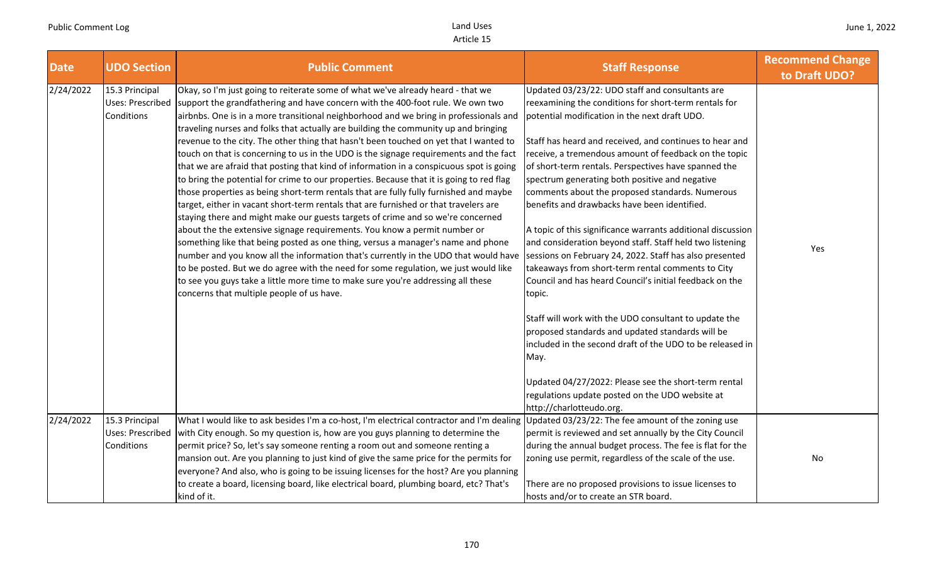| <b>Date</b> | <b>UDO Section</b>                                      | <b>Public Comment</b>                                                                                                                                                                                                                                                                                                                                                                                                                                                                                                                                                                                                                                                                                                                                                                                                                                                                                                                                                                                                                                                                                                                                                                                                                                                                                                                                                                                                                                                          | <b>Staff Response</b>                                                                                                                                                                                                                                                                                                                                                                                                                                                                                                                                                                                                                                                                                                                                                                                      | <b>Recommend Change</b><br>to Draft UDO? |
|-------------|---------------------------------------------------------|--------------------------------------------------------------------------------------------------------------------------------------------------------------------------------------------------------------------------------------------------------------------------------------------------------------------------------------------------------------------------------------------------------------------------------------------------------------------------------------------------------------------------------------------------------------------------------------------------------------------------------------------------------------------------------------------------------------------------------------------------------------------------------------------------------------------------------------------------------------------------------------------------------------------------------------------------------------------------------------------------------------------------------------------------------------------------------------------------------------------------------------------------------------------------------------------------------------------------------------------------------------------------------------------------------------------------------------------------------------------------------------------------------------------------------------------------------------------------------|------------------------------------------------------------------------------------------------------------------------------------------------------------------------------------------------------------------------------------------------------------------------------------------------------------------------------------------------------------------------------------------------------------------------------------------------------------------------------------------------------------------------------------------------------------------------------------------------------------------------------------------------------------------------------------------------------------------------------------------------------------------------------------------------------------|------------------------------------------|
| 2/24/2022   | 15.3 Principal<br>Uses: Prescribed<br>Conditions        | Okay, so I'm just going to reiterate some of what we've already heard - that we<br>support the grandfathering and have concern with the 400-foot rule. We own two<br>airbnbs. One is in a more transitional neighborhood and we bring in professionals and<br>traveling nurses and folks that actually are building the community up and bringing<br>revenue to the city. The other thing that hasn't been touched on yet that I wanted to<br>touch on that is concerning to us in the UDO is the signage requirements and the fact<br>that we are afraid that posting that kind of information in a conspicuous spot is going<br>to bring the potential for crime to our properties. Because that it is going to red flag<br>those properties as being short-term rentals that are fully fully furnished and maybe<br>target, either in vacant short-term rentals that are furnished or that travelers are<br>staying there and might make our guests targets of crime and so we're concerned<br>about the the extensive signage requirements. You know a permit number or<br>something like that being posted as one thing, versus a manager's name and phone<br>number and you know all the information that's currently in the UDO that would have<br>to be posted. But we do agree with the need for some regulation, we just would like<br>to see you guys take a little more time to make sure you're addressing all these<br>concerns that multiple people of us have. | Updated 03/23/22: UDO staff and consultants are<br>reexamining the conditions for short-term rentals for<br>potential modification in the next draft UDO.<br>Staff has heard and received, and continues to hear and<br>receive, a tremendous amount of feedback on the topic<br>of short-term rentals. Perspectives have spanned the<br>spectrum generating both positive and negative<br>comments about the proposed standards. Numerous<br>benefits and drawbacks have been identified.<br>A topic of this significance warrants additional discussion<br>and consideration beyond staff. Staff held two listening<br>sessions on February 24, 2022. Staff has also presented<br>takeaways from short-term rental comments to City<br>Council and has heard Council's initial feedback on the<br>topic. | Yes                                      |
|             |                                                         |                                                                                                                                                                                                                                                                                                                                                                                                                                                                                                                                                                                                                                                                                                                                                                                                                                                                                                                                                                                                                                                                                                                                                                                                                                                                                                                                                                                                                                                                                | Staff will work with the UDO consultant to update the<br>proposed standards and updated standards will be<br>included in the second draft of the UDO to be released in<br>May.<br>Updated 04/27/2022: Please see the short-term rental<br>regulations update posted on the UDO website at<br>http://charlotteudo.org.                                                                                                                                                                                                                                                                                                                                                                                                                                                                                      |                                          |
| 2/24/2022   | 15.3 Principal<br><b>Uses: Prescribed</b><br>Conditions | What I would like to ask besides I'm a co-host, I'm electrical contractor and I'm dealing Updated 03/23/22: The fee amount of the zoning use<br>with City enough. So my question is, how are you guys planning to determine the<br>permit price? So, let's say someone renting a room out and someone renting a<br>mansion out. Are you planning to just kind of give the same price for the permits for<br>everyone? And also, who is going to be issuing licenses for the host? Are you planning<br>to create a board, licensing board, like electrical board, plumbing board, etc? That's<br>kind of it.                                                                                                                                                                                                                                                                                                                                                                                                                                                                                                                                                                                                                                                                                                                                                                                                                                                                    | permit is reviewed and set annually by the City Council<br>during the annual budget process. The fee is flat for the<br>zoning use permit, regardless of the scale of the use.<br>There are no proposed provisions to issue licenses to<br>hosts and/or to create an STR board.                                                                                                                                                                                                                                                                                                                                                                                                                                                                                                                            | No                                       |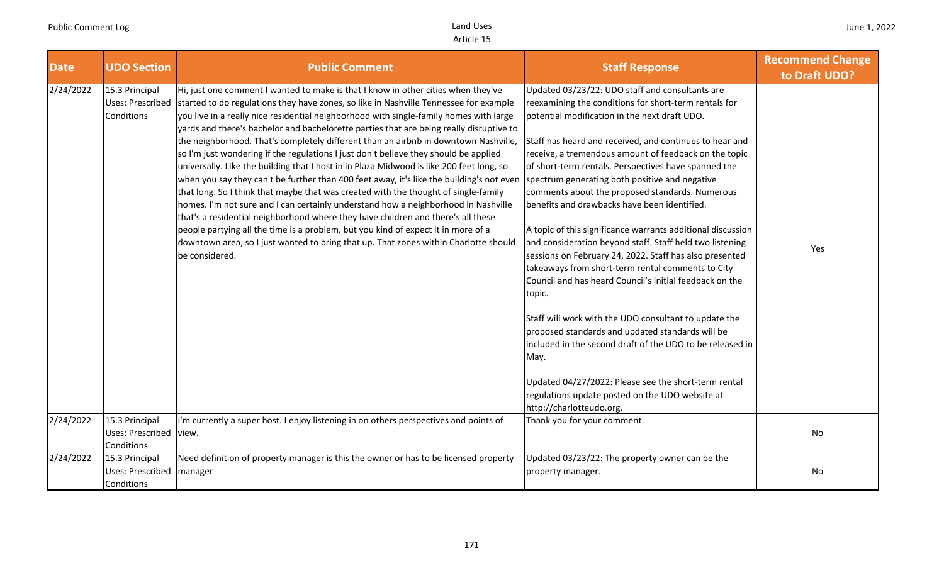| <b>Date</b> | <b>UDO Section</b>                                     | <b>Public Comment</b>                                                                                                                                                                                                                                                                                                                                                                                                                                                                                                                                                                                                                                                                                                                                                                                                                                                                                                                                                                                                                                                                                                                                                                                  | <b>Staff Response</b>                                                                                                                                                                                                                                                                                                                                                                                                                                                                                                                                                                                                                                                                                                                                                                                                                                                                                                                                                                                                                                                                                                               | <b>Recommend Change</b><br>to Draft UDO? |
|-------------|--------------------------------------------------------|--------------------------------------------------------------------------------------------------------------------------------------------------------------------------------------------------------------------------------------------------------------------------------------------------------------------------------------------------------------------------------------------------------------------------------------------------------------------------------------------------------------------------------------------------------------------------------------------------------------------------------------------------------------------------------------------------------------------------------------------------------------------------------------------------------------------------------------------------------------------------------------------------------------------------------------------------------------------------------------------------------------------------------------------------------------------------------------------------------------------------------------------------------------------------------------------------------|-------------------------------------------------------------------------------------------------------------------------------------------------------------------------------------------------------------------------------------------------------------------------------------------------------------------------------------------------------------------------------------------------------------------------------------------------------------------------------------------------------------------------------------------------------------------------------------------------------------------------------------------------------------------------------------------------------------------------------------------------------------------------------------------------------------------------------------------------------------------------------------------------------------------------------------------------------------------------------------------------------------------------------------------------------------------------------------------------------------------------------------|------------------------------------------|
| 2/24/2022   | 15.3 Principal<br>Uses: Prescribed<br>Conditions       | Hi, just one comment I wanted to make is that I know in other cities when they've<br>started to do regulations they have zones, so like in Nashville Tennessee for example<br>you live in a really nice residential neighborhood with single-family homes with large<br>yards and there's bachelor and bachelorette parties that are being really disruptive to<br>the neighborhood. That's completely different than an airbnb in downtown Nashville,<br>so I'm just wondering if the regulations I just don't believe they should be applied<br>universally. Like the building that I host in in Plaza Midwood is like 200 feet long, so<br>when you say they can't be further than 400 feet away, it's like the building's not even<br>that long. So I think that maybe that was created with the thought of single-family<br>homes. I'm not sure and I can certainly understand how a neighborhood in Nashville<br>that's a residential neighborhood where they have children and there's all these<br>people partying all the time is a problem, but you kind of expect it in more of a<br>downtown area, so I just wanted to bring that up. That zones within Charlotte should<br>be considered. | Updated 03/23/22: UDO staff and consultants are<br>reexamining the conditions for short-term rentals for<br>potential modification in the next draft UDO.<br>Staff has heard and received, and continues to hear and<br>receive, a tremendous amount of feedback on the topic<br>of short-term rentals. Perspectives have spanned the<br>spectrum generating both positive and negative<br>comments about the proposed standards. Numerous<br>benefits and drawbacks have been identified.<br>A topic of this significance warrants additional discussion<br>and consideration beyond staff. Staff held two listening<br>sessions on February 24, 2022. Staff has also presented<br>takeaways from short-term rental comments to City<br>Council and has heard Council's initial feedback on the<br>topic.<br>Staff will work with the UDO consultant to update the<br>proposed standards and updated standards will be<br>included in the second draft of the UDO to be released in<br>May.<br>Updated 04/27/2022: Please see the short-term rental<br>regulations update posted on the UDO website at<br>http://charlotteudo.org. | Yes                                      |
| 2/24/2022   | 15.3 Principal<br>Uses: Prescribed view.<br>Conditions | I'm currently a super host. I enjoy listening in on others perspectives and points of                                                                                                                                                                                                                                                                                                                                                                                                                                                                                                                                                                                                                                                                                                                                                                                                                                                                                                                                                                                                                                                                                                                  | Thank you for your comment.                                                                                                                                                                                                                                                                                                                                                                                                                                                                                                                                                                                                                                                                                                                                                                                                                                                                                                                                                                                                                                                                                                         | No                                       |
| 2/24/2022   | 15.3 Principal<br>Uses: Prescribed<br>Conditions       | Need definition of property manager is this the owner or has to be licensed property<br>manager                                                                                                                                                                                                                                                                                                                                                                                                                                                                                                                                                                                                                                                                                                                                                                                                                                                                                                                                                                                                                                                                                                        | Updated 03/23/22: The property owner can be the<br>property manager.                                                                                                                                                                                                                                                                                                                                                                                                                                                                                                                                                                                                                                                                                                                                                                                                                                                                                                                                                                                                                                                                | No                                       |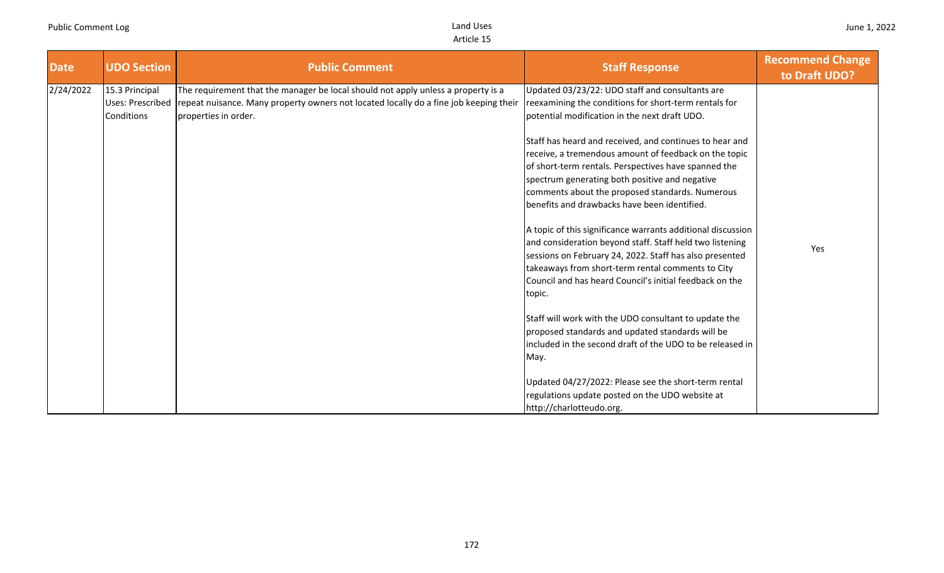| <b>Date</b> | <b>UDO Section</b>                               | <b>Public Comment</b>                                                                                                                                                                              | <b>Staff Response</b>                                                                                                                                                                                                                                                                                                                                                                                           | <b>Recommend Change</b><br>to Draft UDO? |
|-------------|--------------------------------------------------|----------------------------------------------------------------------------------------------------------------------------------------------------------------------------------------------------|-----------------------------------------------------------------------------------------------------------------------------------------------------------------------------------------------------------------------------------------------------------------------------------------------------------------------------------------------------------------------------------------------------------------|------------------------------------------|
| 2/24/2022   | 15.3 Principal<br>Uses: Prescribed<br>Conditions | The requirement that the manager be local should not apply unless a property is a<br>repeat nuisance. Many property owners not located locally do a fine job keeping their<br>properties in order. | Updated 03/23/22: UDO staff and consultants are<br>reexamining the conditions for short-term rentals for<br>potential modification in the next draft UDO.<br>Staff has heard and received, and continues to hear and<br>receive, a tremendous amount of feedback on the topic<br>of short-term rentals. Perspectives have spanned the<br>spectrum generating both positive and negative                         |                                          |
|             |                                                  |                                                                                                                                                                                                    | comments about the proposed standards. Numerous<br>benefits and drawbacks have been identified.<br>A topic of this significance warrants additional discussion<br>and consideration beyond staff. Staff held two listening<br>sessions on February 24, 2022. Staff has also presented<br>takeaways from short-term rental comments to City<br>Council and has heard Council's initial feedback on the<br>topic. | Yes                                      |
|             |                                                  |                                                                                                                                                                                                    | Staff will work with the UDO consultant to update the<br>proposed standards and updated standards will be<br>included in the second draft of the UDO to be released in<br>May.<br>Updated 04/27/2022: Please see the short-term rental                                                                                                                                                                          |                                          |
|             |                                                  |                                                                                                                                                                                                    | regulations update posted on the UDO website at<br>http://charlotteudo.org.                                                                                                                                                                                                                                                                                                                                     |                                          |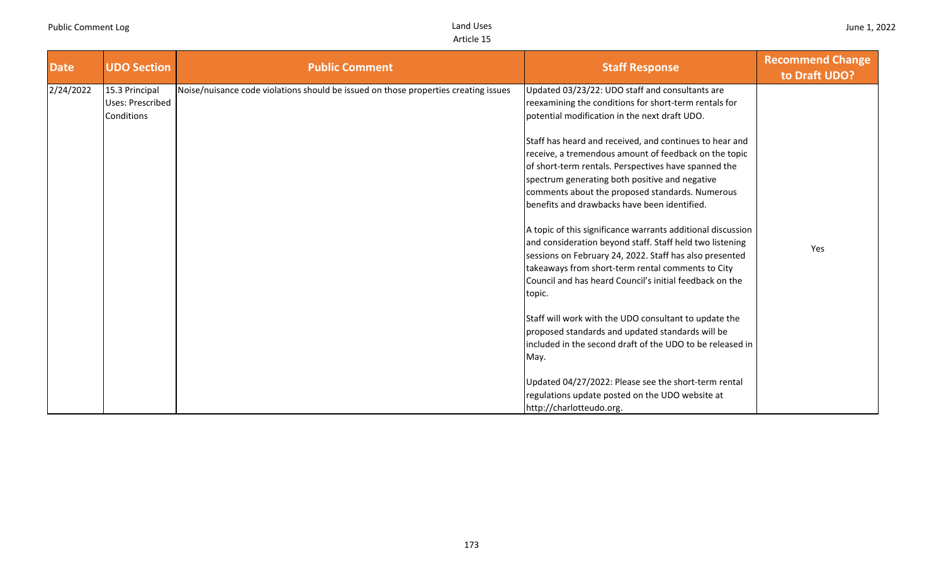| <b>Date</b> | <b>UDO Section</b>                               | <b>Public Comment</b>                                                               | <b>Staff Response</b>                                                                                                                                                                                                                                                                                                         | <b>Recommend Change</b><br>to Draft UDO? |
|-------------|--------------------------------------------------|-------------------------------------------------------------------------------------|-------------------------------------------------------------------------------------------------------------------------------------------------------------------------------------------------------------------------------------------------------------------------------------------------------------------------------|------------------------------------------|
| 2/24/2022   | 15.3 Principal<br>Uses: Prescribed<br>Conditions | Noise/nuisance code violations should be issued on those properties creating issues | Updated 03/23/22: UDO staff and consultants are<br>reexamining the conditions for short-term rentals for<br>potential modification in the next draft UDO.                                                                                                                                                                     |                                          |
|             |                                                  |                                                                                     | Staff has heard and received, and continues to hear and<br>receive, a tremendous amount of feedback on the topic<br>of short-term rentals. Perspectives have spanned the<br>spectrum generating both positive and negative<br>comments about the proposed standards. Numerous<br>benefits and drawbacks have been identified. |                                          |
|             |                                                  |                                                                                     | A topic of this significance warrants additional discussion<br>and consideration beyond staff. Staff held two listening<br>sessions on February 24, 2022. Staff has also presented<br>takeaways from short-term rental comments to City<br>Council and has heard Council's initial feedback on the<br>topic.                  | Yes                                      |
|             |                                                  |                                                                                     | Staff will work with the UDO consultant to update the<br>proposed standards and updated standards will be<br>included in the second draft of the UDO to be released in<br>May.                                                                                                                                                |                                          |
|             |                                                  |                                                                                     | Updated 04/27/2022: Please see the short-term rental<br>regulations update posted on the UDO website at<br>http://charlotteudo.org.                                                                                                                                                                                           |                                          |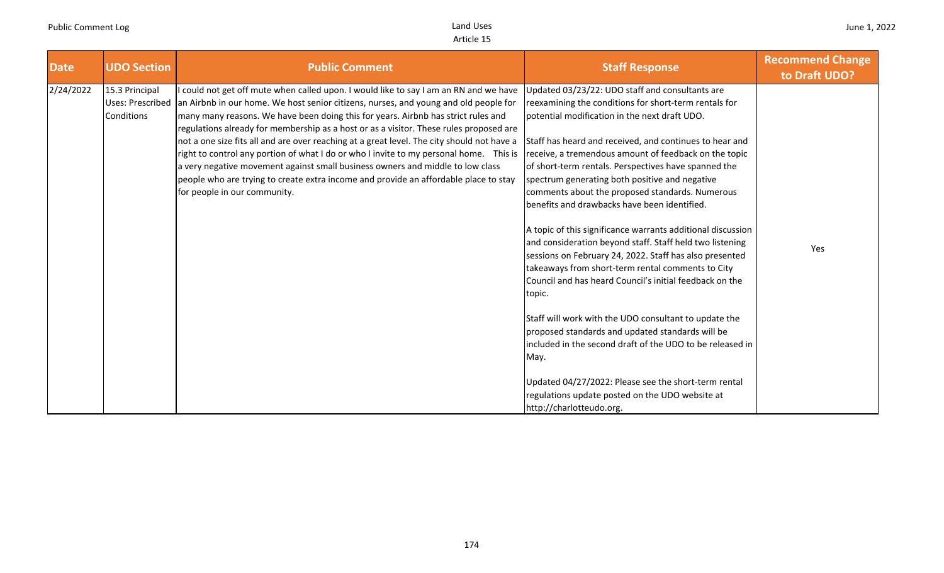| <b>Date</b> | <b>UDO Section</b>                                      | <b>Public Comment</b>                                                                                                                                                                                                                                                                                                                                                                                                                                                                                                                                                                                                                                                                                                                                        | <b>Staff Response</b>                                                                                                                                                                                                                                                                                                                                                                                                                                                                                                                                                                                                                                                                                                                                                                                                                                                                                                                                                                                                                                                                                   | <b>Recommend Change</b><br>to Draft UDO? |
|-------------|---------------------------------------------------------|--------------------------------------------------------------------------------------------------------------------------------------------------------------------------------------------------------------------------------------------------------------------------------------------------------------------------------------------------------------------------------------------------------------------------------------------------------------------------------------------------------------------------------------------------------------------------------------------------------------------------------------------------------------------------------------------------------------------------------------------------------------|---------------------------------------------------------------------------------------------------------------------------------------------------------------------------------------------------------------------------------------------------------------------------------------------------------------------------------------------------------------------------------------------------------------------------------------------------------------------------------------------------------------------------------------------------------------------------------------------------------------------------------------------------------------------------------------------------------------------------------------------------------------------------------------------------------------------------------------------------------------------------------------------------------------------------------------------------------------------------------------------------------------------------------------------------------------------------------------------------------|------------------------------------------|
| 2/24/2022   | 15.3 Principal<br><b>Uses: Prescribed</b><br>Conditions | could not get off mute when called upon. I would like to say I am an RN and we have<br>an Airbnb in our home. We host senior citizens, nurses, and young and old people for<br>many many reasons. We have been doing this for years. Airbnb has strict rules and<br>regulations already for membership as a host or as a visitor. These rules proposed are<br>not a one size fits all and are over reaching at a great level. The city should not have a<br>right to control any portion of what I do or who I invite to my personal home. This is<br>a very negative movement against small business owners and middle to low class<br>people who are trying to create extra income and provide an affordable place to stay<br>for people in our community. | Updated 03/23/22: UDO staff and consultants are<br>reexamining the conditions for short-term rentals for<br>potential modification in the next draft UDO.<br>Staff has heard and received, and continues to hear and<br>receive, a tremendous amount of feedback on the topic<br>of short-term rentals. Perspectives have spanned the<br>spectrum generating both positive and negative<br>comments about the proposed standards. Numerous<br>benefits and drawbacks have been identified.<br>A topic of this significance warrants additional discussion<br>and consideration beyond staff. Staff held two listening<br>sessions on February 24, 2022. Staff has also presented<br>takeaways from short-term rental comments to City<br>Council and has heard Council's initial feedback on the<br>topic.<br>Staff will work with the UDO consultant to update the<br>proposed standards and updated standards will be<br>included in the second draft of the UDO to be released in<br>May.<br>Updated 04/27/2022: Please see the short-term rental<br>regulations update posted on the UDO website at | Yes                                      |
|             |                                                         |                                                                                                                                                                                                                                                                                                                                                                                                                                                                                                                                                                                                                                                                                                                                                              | http://charlotteudo.org.                                                                                                                                                                                                                                                                                                                                                                                                                                                                                                                                                                                                                                                                                                                                                                                                                                                                                                                                                                                                                                                                                |                                          |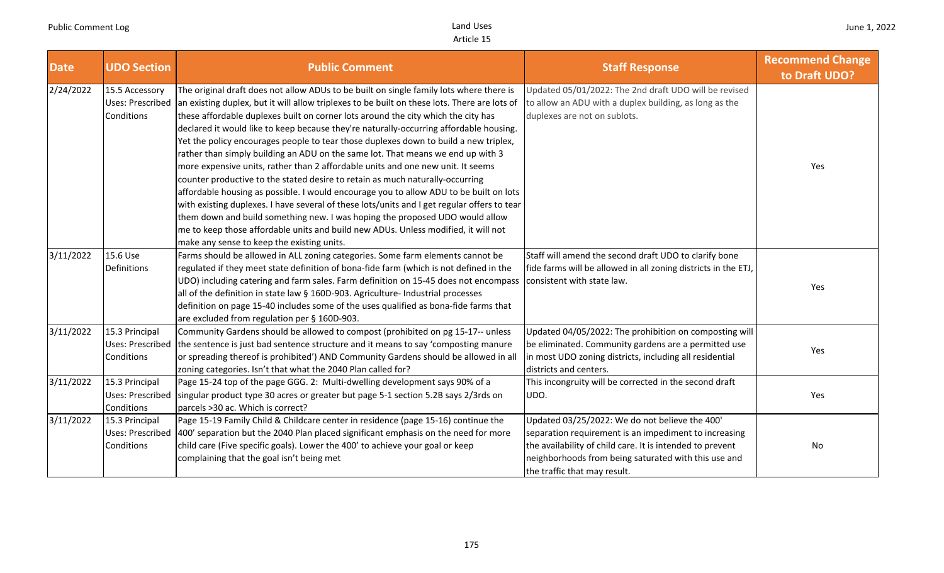| <b>Date</b> | <b>UDO Section</b>                                      | <b>Public Comment</b>                                                                                                                                                                                                                                                                                                                                                                                                                                                                                                                                                                                                                                                                                                                                                                                                                                                                                                                                                                                                                                                                                                              | <b>Staff Response</b>                                                                                                                                                                                                                                        | <b>Recommend Change</b><br>to Draft UDO? |
|-------------|---------------------------------------------------------|------------------------------------------------------------------------------------------------------------------------------------------------------------------------------------------------------------------------------------------------------------------------------------------------------------------------------------------------------------------------------------------------------------------------------------------------------------------------------------------------------------------------------------------------------------------------------------------------------------------------------------------------------------------------------------------------------------------------------------------------------------------------------------------------------------------------------------------------------------------------------------------------------------------------------------------------------------------------------------------------------------------------------------------------------------------------------------------------------------------------------------|--------------------------------------------------------------------------------------------------------------------------------------------------------------------------------------------------------------------------------------------------------------|------------------------------------------|
| 2/24/2022   | 15.5 Accessory<br><b>Uses: Prescribed</b><br>Conditions | The original draft does not allow ADUs to be built on single family lots where there is<br>an existing duplex, but it will allow triplexes to be built on these lots. There are lots of<br>these affordable duplexes built on corner lots around the city which the city has<br>declared it would like to keep because they're naturally-occurring affordable housing.<br>Yet the policy encourages people to tear those duplexes down to build a new triplex,<br>rather than simply building an ADU on the same lot. That means we end up with 3<br>more expensive units, rather than 2 affordable units and one new unit. It seems<br>counter productive to the stated desire to retain as much naturally-occurring<br>affordable housing as possible. I would encourage you to allow ADU to be built on lots<br>with existing duplexes. I have several of these lots/units and I get regular offers to tear<br>them down and build something new. I was hoping the proposed UDO would allow<br>me to keep those affordable units and build new ADUs. Unless modified, it will not<br>make any sense to keep the existing units. | Updated 05/01/2022: The 2nd draft UDO will be revised<br>to allow an ADU with a duplex building, as long as the<br>duplexes are not on sublots.                                                                                                              | Yes                                      |
| 3/11/2022   | 15.6 Use<br>Definitions                                 | Farms should be allowed in ALL zoning categories. Some farm elements cannot be<br>regulated if they meet state definition of bona-fide farm (which is not defined in the<br>UDO) including catering and farm sales. Farm definition on 15-45 does not encompass<br>all of the definition in state law § 160D-903. Agriculture- Industrial processes<br>definition on page 15-40 includes some of the uses qualified as bona-fide farms that<br>are excluded from regulation per § 160D-903.                                                                                                                                                                                                                                                                                                                                                                                                                                                                                                                                                                                                                                        | Staff will amend the second draft UDO to clarify bone<br>fide farms will be allowed in all zoning districts in the ETJ,<br>consistent with state law.                                                                                                        | Yes                                      |
| 3/11/2022   | 15.3 Principal<br>Uses: Prescribed<br>Conditions        | Community Gardens should be allowed to compost (prohibited on pg 15-17-- unless<br>the sentence is just bad sentence structure and it means to say 'composting manure<br>or spreading thereof is prohibited') AND Community Gardens should be allowed in all<br>zoning categories. Isn't that what the 2040 Plan called for?                                                                                                                                                                                                                                                                                                                                                                                                                                                                                                                                                                                                                                                                                                                                                                                                       | Updated 04/05/2022: The prohibition on composting will<br>be eliminated. Community gardens are a permitted use<br>in most UDO zoning districts, including all residential<br>districts and centers.                                                          | Yes                                      |
| 3/11/2022   | 15.3 Principal<br><b>Uses: Prescribed</b><br>Conditions | Page 15-24 top of the page GGG. 2: Multi-dwelling development says 90% of a<br>singular product type 30 acres or greater but page 5-1 section 5.2B says 2/3rds on<br>parcels > 30 ac. Which is correct?                                                                                                                                                                                                                                                                                                                                                                                                                                                                                                                                                                                                                                                                                                                                                                                                                                                                                                                            | This incongruity will be corrected in the second draft<br>UDO.                                                                                                                                                                                               | Yes                                      |
| 3/11/2022   | 15.3 Principal<br>Uses: Prescribed<br>Conditions        | Page 15-19 Family Child & Childcare center in residence (page 15-16) continue the<br>400' separation but the 2040 Plan placed significant emphasis on the need for more<br>child care (Five specific goals). Lower the 400' to achieve your goal or keep<br>complaining that the goal isn't being met                                                                                                                                                                                                                                                                                                                                                                                                                                                                                                                                                                                                                                                                                                                                                                                                                              | Updated 03/25/2022: We do not believe the 400'<br>separation requirement is an impediment to increasing<br>the availability of child care. It is intended to prevent<br>neighborhoods from being saturated with this use and<br>the traffic that may result. | No                                       |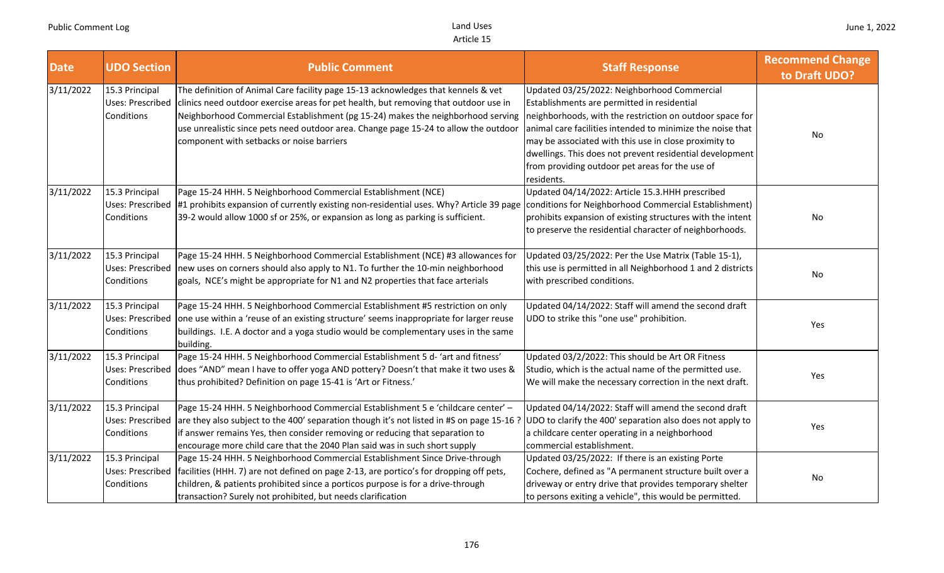| <b>Date</b> | <b>UDO Section</b>                                      | <b>Public Comment</b>                                                                                                                                                                                                                                                                                                                                                                             | <b>Staff Response</b>                                                                                                                                                                                                                                                                                                                                                                                      | <b>Recommend Change</b><br>to Draft UDO? |
|-------------|---------------------------------------------------------|---------------------------------------------------------------------------------------------------------------------------------------------------------------------------------------------------------------------------------------------------------------------------------------------------------------------------------------------------------------------------------------------------|------------------------------------------------------------------------------------------------------------------------------------------------------------------------------------------------------------------------------------------------------------------------------------------------------------------------------------------------------------------------------------------------------------|------------------------------------------|
| 3/11/2022   | 15.3 Principal<br>Uses: Prescribed<br>Conditions        | The definition of Animal Care facility page 15-13 acknowledges that kennels & vet<br>clinics need outdoor exercise areas for pet health, but removing that outdoor use in<br>Neighborhood Commercial Establishment (pg 15-24) makes the neighborhood serving<br>use unrealistic since pets need outdoor area. Change page 15-24 to allow the outdoor<br>component with setbacks or noise barriers | Updated 03/25/2022: Neighborhood Commercial<br>Establishments are permitted in residential<br>neighborhoods, with the restriction on outdoor space for<br>animal care facilities intended to minimize the noise that<br>may be associated with this use in close proximity to<br>dwellings. This does not prevent residential development<br>from providing outdoor pet areas for the use of<br>residents. | No                                       |
| 3/11/2022   | 15.3 Principal<br>Uses: Prescribed<br>Conditions        | Page 15-24 HHH. 5 Neighborhood Commercial Establishment (NCE)<br>#1 prohibits expansion of currently existing non-residential uses. Why? Article 39 page<br>39-2 would allow 1000 sf or 25%, or expansion as long as parking is sufficient.                                                                                                                                                       | Updated 04/14/2022: Article 15.3.HHH prescribed<br>conditions for Neighborhood Commercial Establishment)<br>prohibits expansion of existing structures with the intent<br>to preserve the residential character of neighborhoods.                                                                                                                                                                          | No                                       |
| 3/11/2022   | 15.3 Principal<br>Uses: Prescribed<br>Conditions        | Page 15-24 HHH. 5 Neighborhood Commercial Establishment (NCE) #3 allowances for<br>new uses on corners should also apply to N1. To further the 10-min neighborhood<br>goals, NCE's might be appropriate for N1 and N2 properties that face arterials                                                                                                                                              | Updated 03/25/2022: Per the Use Matrix (Table 15-1),<br>this use is permitted in all Neighborhood 1 and 2 districts<br>with prescribed conditions.                                                                                                                                                                                                                                                         | No                                       |
| 3/11/2022   | 15.3 Principal<br>Uses: Prescribed<br>Conditions        | Page 15-24 HHH. 5 Neighborhood Commercial Establishment #5 restriction on only<br>one use within a 'reuse of an existing structure' seems inappropriate for larger reuse<br>buildings. I.E. A doctor and a yoga studio would be complementary uses in the same<br>building.                                                                                                                       | Updated 04/14/2022: Staff will amend the second draft<br>UDO to strike this "one use" prohibition.                                                                                                                                                                                                                                                                                                         | Yes                                      |
| 3/11/2022   | 15.3 Principal<br>Uses: Prescribed<br>Conditions        | Page 15-24 HHH. 5 Neighborhood Commercial Establishment 5 d-'art and fitness'<br>does "AND" mean I have to offer yoga AND pottery? Doesn't that make it two uses &<br>thus prohibited? Definition on page 15-41 is 'Art or Fitness.'                                                                                                                                                              | Updated 03/2/2022: This should be Art OR Fitness<br>Studio, which is the actual name of the permitted use.<br>We will make the necessary correction in the next draft.                                                                                                                                                                                                                                     | Yes                                      |
| 3/11/2022   | 15.3 Principal<br><b>Uses: Prescribed</b><br>Conditions | Page 15-24 HHH. 5 Neighborhood Commercial Establishment 5 e 'childcare center' -<br>are they also subject to the 400' separation though it's not listed in #S on page 15-16 ?<br>if answer remains Yes, then consider removing or reducing that separation to<br>encourage more child care that the 2040 Plan said was in such short supply                                                       | Updated 04/14/2022: Staff will amend the second draft<br>UDO to clarify the 400' separation also does not apply to<br>a childcare center operating in a neighborhood<br>commercial establishment.                                                                                                                                                                                                          | Yes                                      |
| 3/11/2022   | 15.3 Principal<br><b>Uses: Prescribed</b><br>Conditions | Page 15-24 HHH. 5 Neighborhood Commercial Establishment Since Drive-through<br> facilities (HHH. 7) are not defined on page 2-13, are portico's for dropping off pets,<br>children, & patients prohibited since a porticos purpose is for a drive-through<br>transaction? Surely not prohibited, but needs clarification                                                                          | Updated 03/25/2022: If there is an existing Porte<br>Cochere, defined as "A permanent structure built over a<br>driveway or entry drive that provides temporary shelter<br>to persons exiting a vehicle", this would be permitted.                                                                                                                                                                         | No                                       |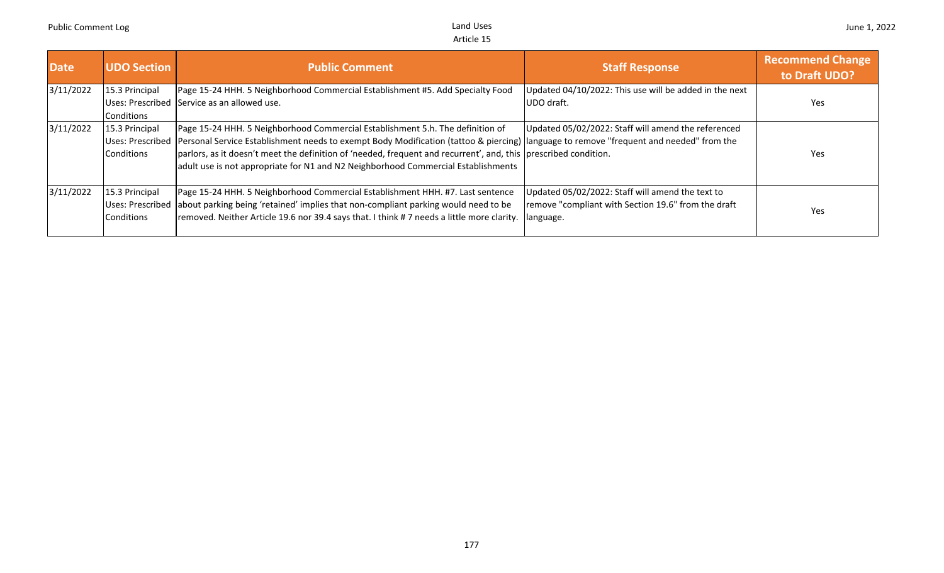| <b>Date</b> | <b>UDO Section</b>                                      | <b>Public Comment</b>                                                                                                                                                                                                                                                                                                                                                                                                                             | <b>Staff Response</b>                                                                                                  | <b>Recommend Change</b><br>to Draft UDO? |
|-------------|---------------------------------------------------------|---------------------------------------------------------------------------------------------------------------------------------------------------------------------------------------------------------------------------------------------------------------------------------------------------------------------------------------------------------------------------------------------------------------------------------------------------|------------------------------------------------------------------------------------------------------------------------|------------------------------------------|
| 3/11/2022   | 15.3 Principal<br>Conditions                            | Page 15-24 HHH. 5 Neighborhood Commercial Establishment #5. Add Specialty Food<br>Uses: Prescribed Service as an allowed use.                                                                                                                                                                                                                                                                                                                     | Updated 04/10/2022: This use will be added in the next<br>UDO draft.                                                   | Yes                                      |
| 3/11/2022   | 15.3 Principal<br>Conditions                            | Page 15-24 HHH. 5 Neighborhood Commercial Establishment 5.h. The definition of<br>Uses: Prescribed Personal Service Establishment needs to exempt Body Modification (tattoo & piercing) language to remove "frequent and needed" from the<br>parlors, as it doesn't meet the definition of 'needed, frequent and recurrent', and, this prescribed condition.<br>adult use is not appropriate for N1 and N2 Neighborhood Commercial Establishments | Updated 05/02/2022: Staff will amend the referenced                                                                    | <b>Yes</b>                               |
| 3/11/2022   | 15.3 Principal<br><b>Uses: Prescribed</b><br>Conditions | Page 15-24 HHH. 5 Neighborhood Commercial Establishment HHH. #7. Last sentence<br>about parking being 'retained' implies that non-compliant parking would need to be<br> removed. Neither Article 19.6 nor 39.4 says that. I think # 7 needs a little more clarity.                                                                                                                                                                               | Updated 05/02/2022: Staff will amend the text to<br>remove "compliant with Section 19.6" from the draft<br>. language. | <b>Yes</b>                               |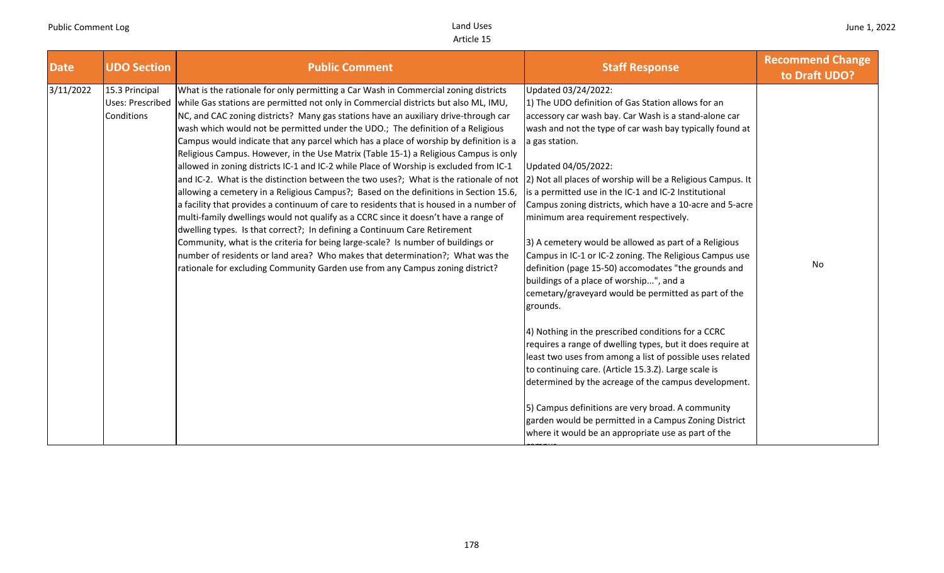| <b>Date</b> | <b>UDO Section</b>                               | <b>Public Comment</b>                                                                                                                                                                                                                                                                                                                                                                                                                                                                                                                                                                                                                                                                                                                                                                                                                                                                                                                                                                                                                                                                                                                                                                                                                                                                                                                  | <b>Staff Response</b>                                                                                                                                                                                                                                                                                                                                                                                                                                                                                                                                                                                                                                                                                                                                                                                                                                                                                                                                                                                                                                                                                                                                                                                                                  | <b>Recommend Change</b><br>to Draft UDO? |
|-------------|--------------------------------------------------|----------------------------------------------------------------------------------------------------------------------------------------------------------------------------------------------------------------------------------------------------------------------------------------------------------------------------------------------------------------------------------------------------------------------------------------------------------------------------------------------------------------------------------------------------------------------------------------------------------------------------------------------------------------------------------------------------------------------------------------------------------------------------------------------------------------------------------------------------------------------------------------------------------------------------------------------------------------------------------------------------------------------------------------------------------------------------------------------------------------------------------------------------------------------------------------------------------------------------------------------------------------------------------------------------------------------------------------|----------------------------------------------------------------------------------------------------------------------------------------------------------------------------------------------------------------------------------------------------------------------------------------------------------------------------------------------------------------------------------------------------------------------------------------------------------------------------------------------------------------------------------------------------------------------------------------------------------------------------------------------------------------------------------------------------------------------------------------------------------------------------------------------------------------------------------------------------------------------------------------------------------------------------------------------------------------------------------------------------------------------------------------------------------------------------------------------------------------------------------------------------------------------------------------------------------------------------------------|------------------------------------------|
| 3/11/2022   | 15.3 Principal<br>Uses: Prescribed<br>Conditions | What is the rationale for only permitting a Car Wash in Commercial zoning districts<br>while Gas stations are permitted not only in Commercial districts but also ML, IMU,<br>NC, and CAC zoning districts? Many gas stations have an auxiliary drive-through car<br>wash which would not be permitted under the UDO.; The definition of a Religious<br>Campus would indicate that any parcel which has a place of worship by definition is a<br>Religious Campus. However, in the Use Matrix (Table 15-1) a Religious Campus is only<br>allowed in zoning districts IC-1 and IC-2 while Place of Worship is excluded from IC-1<br>and IC-2. What is the distinction between the two uses?; What is the rationale of not<br>allowing a cemetery in a Religious Campus?; Based on the definitions in Section 15.6,<br>a facility that provides a continuum of care to residents that is housed in a number of<br>multi-family dwellings would not qualify as a CCRC since it doesn't have a range of<br>dwelling types. Is that correct?; In defining a Continuum Care Retirement<br>Community, what is the criteria for being large-scale? Is number of buildings or<br>number of residents or land area? Who makes that determination?; What was the<br>rationale for excluding Community Garden use from any Campus zoning district? | Updated 03/24/2022:<br>1) The UDO definition of Gas Station allows for an<br>accessory car wash bay. Car Wash is a stand-alone car<br>wash and not the type of car wash bay typically found at<br>a gas station.<br>Updated 04/05/2022:<br>2) Not all places of worship will be a Religious Campus. It<br>is a permitted use in the IC-1 and IC-2 Institutional<br>Campus zoning districts, which have a 10-acre and 5-acre<br>minimum area requirement respectively.<br>3) A cemetery would be allowed as part of a Religious<br>Campus in IC-1 or IC-2 zoning. The Religious Campus use<br>definition (page 15-50) accomodates "the grounds and<br>buildings of a place of worship", and a<br>cemetary/graveyard would be permitted as part of the<br>grounds.<br>4) Nothing in the prescribed conditions for a CCRC<br>requires a range of dwelling types, but it does require at<br>least two uses from among a list of possible uses related<br>to continuing care. (Article 15.3.Z). Large scale is<br>determined by the acreage of the campus development.<br>5) Campus definitions are very broad. A community<br>garden would be permitted in a Campus Zoning District<br>where it would be an appropriate use as part of the | No                                       |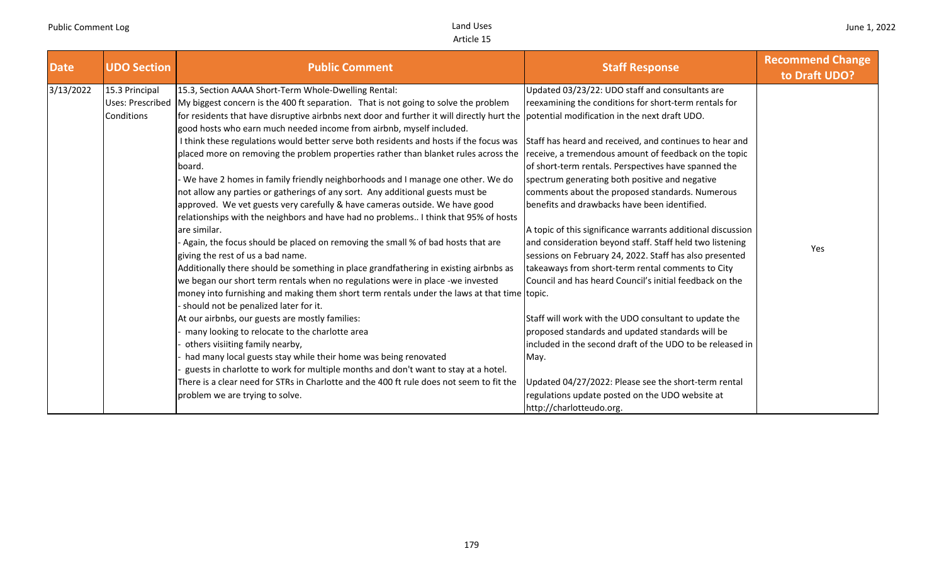| 15.3 Principal<br>Updated 03/23/22: UDO staff and consultants are<br>15.3, Section AAAA Short-Term Whole-Dwelling Rental:<br>Uses: Prescribed My biggest concern is the 400 ft separation. That is not going to solve the problem<br>reexamining the conditions for short-term rentals for<br>for residents that have disruptive airbnbs next door and further it will directly hurt the potential modification in the next draft UDO.<br>Conditions<br>good hosts who earn much needed income from airbnb, myself included.<br>I think these regulations would better serve both residents and hosts if the focus was<br>Staff has heard and received, and continues to hear and<br>placed more on removing the problem properties rather than blanket rules across the<br>receive, a tremendous amount of feedback on the topic<br>of short-term rentals. Perspectives have spanned the<br>board.<br>We have 2 homes in family friendly neighborhoods and I manage one other. We do<br>spectrum generating both positive and negative<br>not allow any parties or gatherings of any sort. Any additional guests must be<br>comments about the proposed standards. Numerous<br>approved. We vet guests very carefully & have cameras outside. We have good<br>benefits and drawbacks have been identified.<br>relationships with the neighbors and have had no problems I think that 95% of hosts<br>are similar.<br>A topic of this significance warrants additional discussion<br>Again, the focus should be placed on removing the small % of bad hosts that are<br>and consideration beyond staff. Staff held two listening<br>Yes<br>giving the rest of us a bad name.<br>sessions on February 24, 2022. Staff has also presented<br>Additionally there should be something in place grandfathering in existing airbnbs as<br>takeaways from short-term rental comments to City<br>we began our short term rentals when no regulations were in place -we invested<br>Council and has heard Council's initial feedback on the<br>money into furnishing and making them short term rentals under the laws at that time topic.<br>should not be penalized later for it.<br>Staff will work with the UDO consultant to update the<br>At our airbnbs, our guests are mostly families:<br>proposed standards and updated standards will be<br>many looking to relocate to the charlotte area<br>others visiiting family nearby,<br>included in the second draft of the UDO to be released in<br>had many local guests stay while their home was being renovated<br>May.<br>guests in charlotte to work for multiple months and don't want to stay at a hotel. | <b>Date</b> | <b>UDO Section</b> | <b>Public Comment</b> | <b>Staff Response</b> | <b>Recommend Change</b><br>to Draft UDO? |
|---------------------------------------------------------------------------------------------------------------------------------------------------------------------------------------------------------------------------------------------------------------------------------------------------------------------------------------------------------------------------------------------------------------------------------------------------------------------------------------------------------------------------------------------------------------------------------------------------------------------------------------------------------------------------------------------------------------------------------------------------------------------------------------------------------------------------------------------------------------------------------------------------------------------------------------------------------------------------------------------------------------------------------------------------------------------------------------------------------------------------------------------------------------------------------------------------------------------------------------------------------------------------------------------------------------------------------------------------------------------------------------------------------------------------------------------------------------------------------------------------------------------------------------------------------------------------------------------------------------------------------------------------------------------------------------------------------------------------------------------------------------------------------------------------------------------------------------------------------------------------------------------------------------------------------------------------------------------------------------------------------------------------------------------------------------------------------------------------------------------------------------------------------------------------------------------------------------------------------------------------------------------------------------------------------------------------------------------------------------------------------------------------------------------------------------------------------------------------------------------------------------------------------------------------------------------------------------------------------------------------------------------------------------|-------------|--------------------|-----------------------|-----------------------|------------------------------------------|
| There is a clear need for STRs in Charlotte and the 400 ft rule does not seem to fit the<br>Updated 04/27/2022: Please see the short-term rental<br>regulations update posted on the UDO website at<br>problem we are trying to solve.<br>http://charlotteudo.org.                                                                                                                                                                                                                                                                                                                                                                                                                                                                                                                                                                                                                                                                                                                                                                                                                                                                                                                                                                                                                                                                                                                                                                                                                                                                                                                                                                                                                                                                                                                                                                                                                                                                                                                                                                                                                                                                                                                                                                                                                                                                                                                                                                                                                                                                                                                                                                                            | 3/13/2022   |                    |                       |                       |                                          |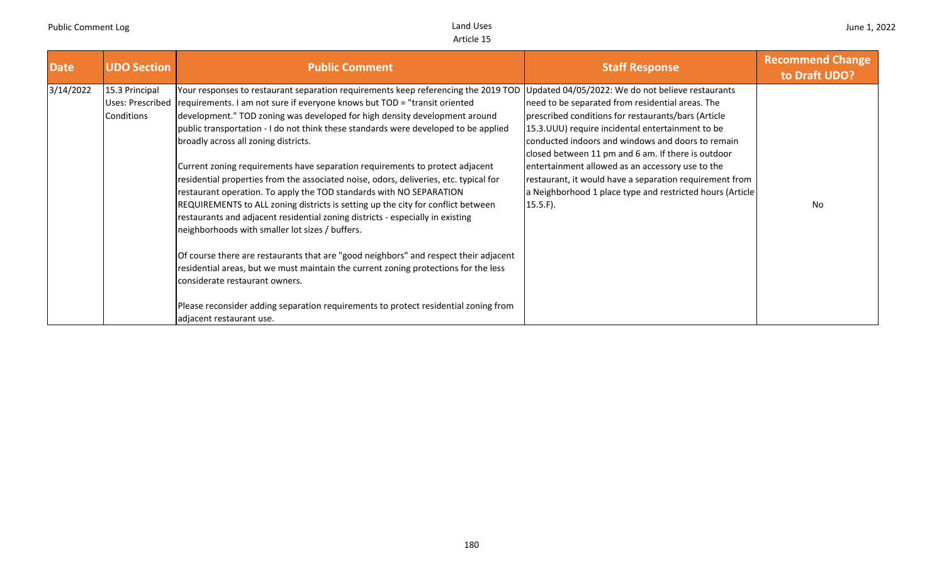| <b>Date</b> | <b>UDO Section</b>                               | <b>Public Comment</b>                                                                                                                                                                                                                                                                                                                                                                                                                                                                                                                                                                                                                                                                                                                                                                                                                                                                                                                                                                                                                                                                                                                                                                      | <b>Staff Response</b>                                                                                                                                                                                                                                                                                                                                                                                                                                                                                                   | <b>Recommend Change</b><br>to Draft UDO? |
|-------------|--------------------------------------------------|--------------------------------------------------------------------------------------------------------------------------------------------------------------------------------------------------------------------------------------------------------------------------------------------------------------------------------------------------------------------------------------------------------------------------------------------------------------------------------------------------------------------------------------------------------------------------------------------------------------------------------------------------------------------------------------------------------------------------------------------------------------------------------------------------------------------------------------------------------------------------------------------------------------------------------------------------------------------------------------------------------------------------------------------------------------------------------------------------------------------------------------------------------------------------------------------|-------------------------------------------------------------------------------------------------------------------------------------------------------------------------------------------------------------------------------------------------------------------------------------------------------------------------------------------------------------------------------------------------------------------------------------------------------------------------------------------------------------------------|------------------------------------------|
| 3/14/2022   | 15.3 Principal<br>Uses: Prescribed<br>Conditions | Your responses to restaurant separation requirements keep referencing the 2019 TOD<br>requirements. I am not sure if everyone knows but TOD = "transit oriented"<br>development." TOD zoning was developed for high density development around<br>public transportation - I do not think these standards were developed to be applied<br>broadly across all zoning districts.<br>Current zoning requirements have separation requirements to protect adjacent<br>residential properties from the associated noise, odors, deliveries, etc. typical for<br>restaurant operation. To apply the TOD standards with NO SEPARATION<br>REQUIREMENTS to ALL zoning districts is setting up the city for conflict between<br>restaurants and adjacent residential zoning districts - especially in existing<br>neighborhoods with smaller lot sizes / buffers.<br>Of course there are restaurants that are "good neighbors" and respect their adjacent<br>residential areas, but we must maintain the current zoning protections for the less<br>considerate restaurant owners.<br>Please reconsider adding separation requirements to protect residential zoning from<br>adjacent restaurant use. | Updated 04/05/2022: We do not believe restaurants<br>need to be separated from residential areas. The<br>prescribed conditions for restaurants/bars (Article<br>15.3. UUU) require incidental entertainment to be<br>conducted indoors and windows and doors to remain<br>closed between 11 pm and 6 am. If there is outdoor<br>entertainment allowed as an accessory use to the<br>restaurant, it would have a separation requirement from<br>a Neighborhood 1 place type and restricted hours (Article<br>$15.5.F$ ). | No                                       |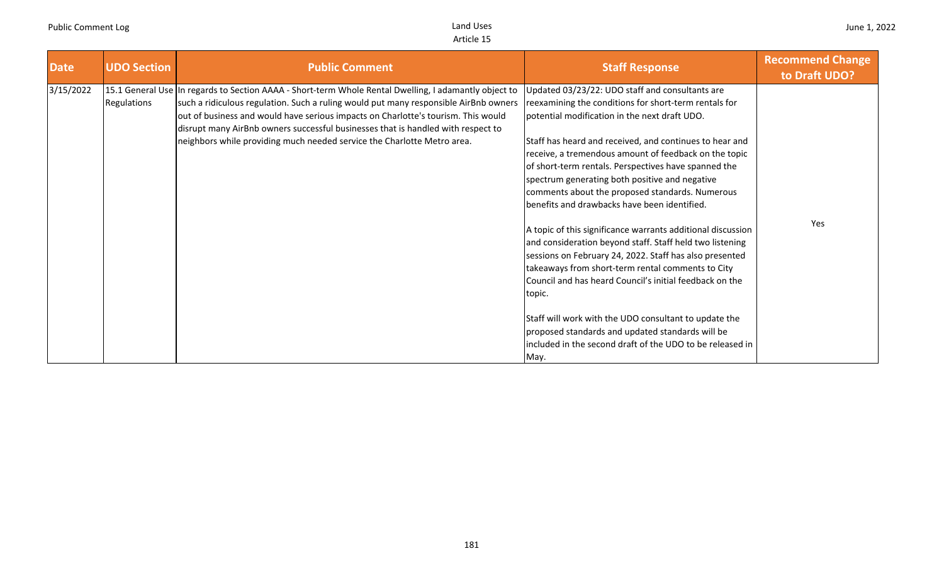| <b>Date</b> | <b>UDO Section</b> | <b>Public Comment</b>                                                                                                                                                                                                                                                                                                                                                                                                                             | <b>Staff Response</b>                                                                                                                                                                                                                                                                                                                                                                                                                                                                          | <b>Recommend Change</b><br>to Draft UDO? |
|-------------|--------------------|---------------------------------------------------------------------------------------------------------------------------------------------------------------------------------------------------------------------------------------------------------------------------------------------------------------------------------------------------------------------------------------------------------------------------------------------------|------------------------------------------------------------------------------------------------------------------------------------------------------------------------------------------------------------------------------------------------------------------------------------------------------------------------------------------------------------------------------------------------------------------------------------------------------------------------------------------------|------------------------------------------|
| 3/15/2022   | Regulations        | 15.1 General Use In regards to Section AAAA - Short-term Whole Rental Dwelling, I adamantly object to<br>such a ridiculous regulation. Such a ruling would put many responsible AirBnb owners<br>out of business and would have serious impacts on Charlotte's tourism. This would<br>disrupt many AirBnb owners successful businesses that is handled with respect to<br>neighbors while providing much needed service the Charlotte Metro area. | Updated 03/23/22: UDO staff and consultants are<br>reexamining the conditions for short-term rentals for<br>potential modification in the next draft UDO.<br>Staff has heard and received, and continues to hear and<br>receive, a tremendous amount of feedback on the topic<br>of short-term rentals. Perspectives have spanned the<br>spectrum generating both positive and negative<br>comments about the proposed standards. Numerous<br>benefits and drawbacks have been identified.     |                                          |
|             |                    |                                                                                                                                                                                                                                                                                                                                                                                                                                                   | A topic of this significance warrants additional discussion<br>and consideration beyond staff. Staff held two listening<br>sessions on February 24, 2022. Staff has also presented<br>takeaways from short-term rental comments to City<br>Council and has heard Council's initial feedback on the<br>topic.<br>Staff will work with the UDO consultant to update the<br>proposed standards and updated standards will be<br>included in the second draft of the UDO to be released in<br>May. | Yes                                      |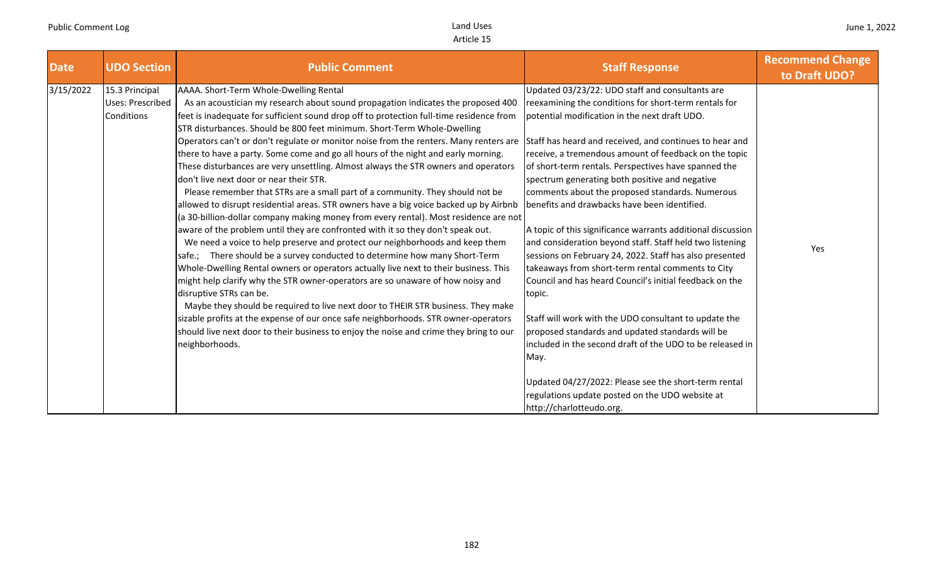| <b>Date</b> | <b>UDO Section</b>                               | <b>Public Comment</b>                                                                                                                                                                                                                                                                                                                                                                                                                                                                                                                                                                                                                                                                                                                                                                                                                                                                                                                                                                                                                                                                                                                                                                                                                                                                                                                                                                                                                                                                                                                                                                                                         | <b>Staff Response</b>                                                                                                                                                                                                                                                                                                                                                                                                                                                                                                                                                                                                                                                                                                                                                                                                                                                                                                                                                                                                                                                                                                               | <b>Recommend Change</b><br>to Draft UDO? |
|-------------|--------------------------------------------------|-------------------------------------------------------------------------------------------------------------------------------------------------------------------------------------------------------------------------------------------------------------------------------------------------------------------------------------------------------------------------------------------------------------------------------------------------------------------------------------------------------------------------------------------------------------------------------------------------------------------------------------------------------------------------------------------------------------------------------------------------------------------------------------------------------------------------------------------------------------------------------------------------------------------------------------------------------------------------------------------------------------------------------------------------------------------------------------------------------------------------------------------------------------------------------------------------------------------------------------------------------------------------------------------------------------------------------------------------------------------------------------------------------------------------------------------------------------------------------------------------------------------------------------------------------------------------------------------------------------------------------|-------------------------------------------------------------------------------------------------------------------------------------------------------------------------------------------------------------------------------------------------------------------------------------------------------------------------------------------------------------------------------------------------------------------------------------------------------------------------------------------------------------------------------------------------------------------------------------------------------------------------------------------------------------------------------------------------------------------------------------------------------------------------------------------------------------------------------------------------------------------------------------------------------------------------------------------------------------------------------------------------------------------------------------------------------------------------------------------------------------------------------------|------------------------------------------|
| 3/15/2022   | 15.3 Principal<br>Uses: Prescribed<br>Conditions | AAAA. Short-Term Whole-Dwelling Rental<br>As an acoustician my research about sound propagation indicates the proposed 400<br>feet is inadequate for sufficient sound drop off to protection full-time residence from<br>STR disturbances. Should be 800 feet minimum. Short-Term Whole-Dwelling<br>Operators can't or don't regulate or monitor noise from the renters. Many renters are<br>there to have a party. Some come and go all hours of the night and early morning.<br>These disturbances are very unsettling. Almost always the STR owners and operators<br>don't live next door or near their STR.<br>Please remember that STRs are a small part of a community. They should not be<br>allowed to disrupt residential areas. STR owners have a big voice backed up by Airbnb<br>(a 30-billion-dollar company making money from every rental). Most residence are not<br>aware of the problem until they are confronted with it so they don't speak out.<br>We need a voice to help preserve and protect our neighborhoods and keep them<br>safe.; There should be a survey conducted to determine how many Short-Term<br>Whole-Dwelling Rental owners or operators actually live next to their business. This<br>might help clarify why the STR owner-operators are so unaware of how noisy and<br>disruptive STRs can be.<br>Maybe they should be required to live next door to THEIR STR business. They make<br>sizable profits at the expense of our once safe neighborhoods. STR owner-operators<br>should live next door to their business to enjoy the noise and crime they bring to our<br>neighborhoods. | Updated 03/23/22: UDO staff and consultants are<br>reexamining the conditions for short-term rentals for<br>potential modification in the next draft UDO.<br>Staff has heard and received, and continues to hear and<br>receive, a tremendous amount of feedback on the topic<br>of short-term rentals. Perspectives have spanned the<br>spectrum generating both positive and negative<br>comments about the proposed standards. Numerous<br>benefits and drawbacks have been identified.<br>A topic of this significance warrants additional discussion<br>and consideration beyond staff. Staff held two listening<br>sessions on February 24, 2022. Staff has also presented<br>takeaways from short-term rental comments to City<br>Council and has heard Council's initial feedback on the<br>topic.<br>Staff will work with the UDO consultant to update the<br>proposed standards and updated standards will be<br>included in the second draft of the UDO to be released in<br>May.<br>Updated 04/27/2022: Please see the short-term rental<br>regulations update posted on the UDO website at<br>http://charlotteudo.org. | Yes                                      |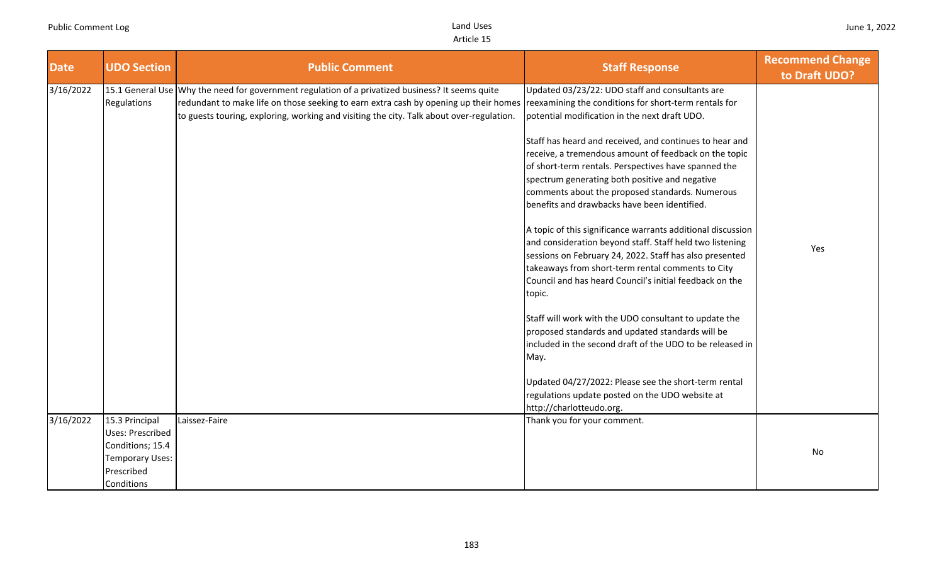| <b>Date</b> | <b>UDO Section</b>                                | <b>Public Comment</b>                                                                                                                                                                                                                                                                | <b>Staff Response</b>                                                                                                                                                                                                                                                                                                                                                                                                                                                                                                                                     | <b>Recommend Change</b><br>to Draft UDO? |
|-------------|---------------------------------------------------|--------------------------------------------------------------------------------------------------------------------------------------------------------------------------------------------------------------------------------------------------------------------------------------|-----------------------------------------------------------------------------------------------------------------------------------------------------------------------------------------------------------------------------------------------------------------------------------------------------------------------------------------------------------------------------------------------------------------------------------------------------------------------------------------------------------------------------------------------------------|------------------------------------------|
| 3/16/2022   | Regulations                                       | 15.1 General Use Why the need for government regulation of a privatized business? It seems quite<br>redundant to make life on those seeking to earn extra cash by opening up their homes<br>to guests touring, exploring, working and visiting the city. Talk about over-regulation. | Updated 03/23/22: UDO staff and consultants are<br>reexamining the conditions for short-term rentals for<br>potential modification in the next draft UDO.<br>Staff has heard and received, and continues to hear and<br>receive, a tremendous amount of feedback on the topic<br>of short-term rentals. Perspectives have spanned the<br>spectrum generating both positive and negative<br>comments about the proposed standards. Numerous<br>benefits and drawbacks have been identified.<br>A topic of this significance warrants additional discussion |                                          |
|             |                                                   |                                                                                                                                                                                                                                                                                      | and consideration beyond staff. Staff held two listening<br>sessions on February 24, 2022. Staff has also presented<br>takeaways from short-term rental comments to City<br>Council and has heard Council's initial feedback on the<br>topic.                                                                                                                                                                                                                                                                                                             | Yes                                      |
|             |                                                   |                                                                                                                                                                                                                                                                                      | Staff will work with the UDO consultant to update the<br>proposed standards and updated standards will be<br>included in the second draft of the UDO to be released in<br>May.                                                                                                                                                                                                                                                                                                                                                                            |                                          |
|             |                                                   |                                                                                                                                                                                                                                                                                      | Updated 04/27/2022: Please see the short-term rental<br>regulations update posted on the UDO website at<br>http://charlotteudo.org.                                                                                                                                                                                                                                                                                                                                                                                                                       |                                          |
| 3/16/2022   | 15.3 Principal<br><b>Uses: Prescribed</b>         | Laissez-Faire                                                                                                                                                                                                                                                                        | Thank you for your comment.                                                                                                                                                                                                                                                                                                                                                                                                                                                                                                                               |                                          |
|             | Conditions; 15.4<br>Temporary Uses:<br>Prescribed |                                                                                                                                                                                                                                                                                      |                                                                                                                                                                                                                                                                                                                                                                                                                                                                                                                                                           | No                                       |
|             | Conditions                                        |                                                                                                                                                                                                                                                                                      |                                                                                                                                                                                                                                                                                                                                                                                                                                                                                                                                                           |                                          |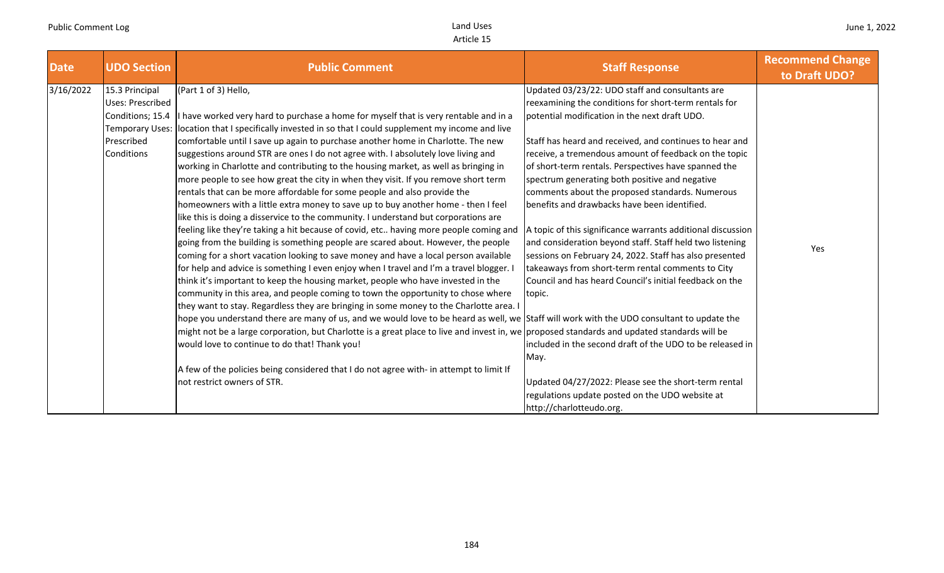| <b>Date</b> | <b>UDO Section</b>     | <b>Public Comment</b>                                                                                                                       | <b>Staff Response</b>                                       | <b>Recommend Change</b><br>to Draft UDO? |
|-------------|------------------------|---------------------------------------------------------------------------------------------------------------------------------------------|-------------------------------------------------------------|------------------------------------------|
| 3/16/2022   | 15.3 Principal         | (Part 1 of 3) Hello,                                                                                                                        | Updated 03/23/22: UDO staff and consultants are             |                                          |
|             | Uses: Prescribed       |                                                                                                                                             | reexamining the conditions for short-term rentals for       |                                          |
|             | Conditions; 15.4       | If have worked very hard to purchase a home for myself that is very rentable and in a                                                       | potential modification in the next draft UDO.               |                                          |
|             | <b>Temporary Uses:</b> | location that I specifically invested in so that I could supplement my income and live                                                      |                                                             |                                          |
|             | Prescribed             | comfortable until I save up again to purchase another home in Charlotte. The new                                                            | Staff has heard and received, and continues to hear and     |                                          |
|             | Conditions             | suggestions around STR are ones I do not agree with. I absolutely love living and                                                           | receive, a tremendous amount of feedback on the topic       |                                          |
|             |                        | working in Charlotte and contributing to the housing market, as well as bringing in                                                         | of short-term rentals. Perspectives have spanned the        |                                          |
|             |                        | more people to see how great the city in when they visit. If you remove short term                                                          | spectrum generating both positive and negative              |                                          |
|             |                        | rentals that can be more affordable for some people and also provide the                                                                    | comments about the proposed standards. Numerous             |                                          |
|             |                        | homeowners with a little extra money to save up to buy another home - then I feel                                                           | benefits and drawbacks have been identified.                |                                          |
|             |                        | like this is doing a disservice to the community. I understand but corporations are                                                         |                                                             |                                          |
|             |                        | feeling like they're taking a hit because of covid, etc having more people coming and                                                       | A topic of this significance warrants additional discussion |                                          |
|             |                        | going from the building is something people are scared about. However, the people                                                           | and consideration beyond staff. Staff held two listening    | Yes                                      |
|             |                        | coming for a short vacation looking to save money and have a local person available                                                         | sessions on February 24, 2022. Staff has also presented     |                                          |
|             |                        | for help and advice is something I even enjoy when I travel and I'm a travel blogger.                                                       | takeaways from short-term rental comments to City           |                                          |
|             |                        | think it's important to keep the housing market, people who have invested in the                                                            | Council and has heard Council's initial feedback on the     |                                          |
|             |                        | community in this area, and people coming to town the opportunity to chose where                                                            | topic.                                                      |                                          |
|             |                        | they want to stay. Regardless they are bringing in some money to the Charlotte area. I                                                      |                                                             |                                          |
|             |                        | hope you understand there are many of us, and we would love to be heard as well, we Staff will work with the UDO consultant to update the   |                                                             |                                          |
|             |                        | might not be a large corporation, but Charlotte is a great place to live and invest in, we proposed standards and updated standards will be |                                                             |                                          |
|             |                        | would love to continue to do that! Thank you!                                                                                               | included in the second draft of the UDO to be released in   |                                          |
|             |                        |                                                                                                                                             | May.                                                        |                                          |
|             |                        | A few of the policies being considered that I do not agree with- in attempt to limit If                                                     |                                                             |                                          |
|             |                        | not restrict owners of STR.                                                                                                                 | Updated 04/27/2022: Please see the short-term rental        |                                          |
|             |                        |                                                                                                                                             | regulations update posted on the UDO website at             |                                          |
|             |                        |                                                                                                                                             | http://charlotteudo.org.                                    |                                          |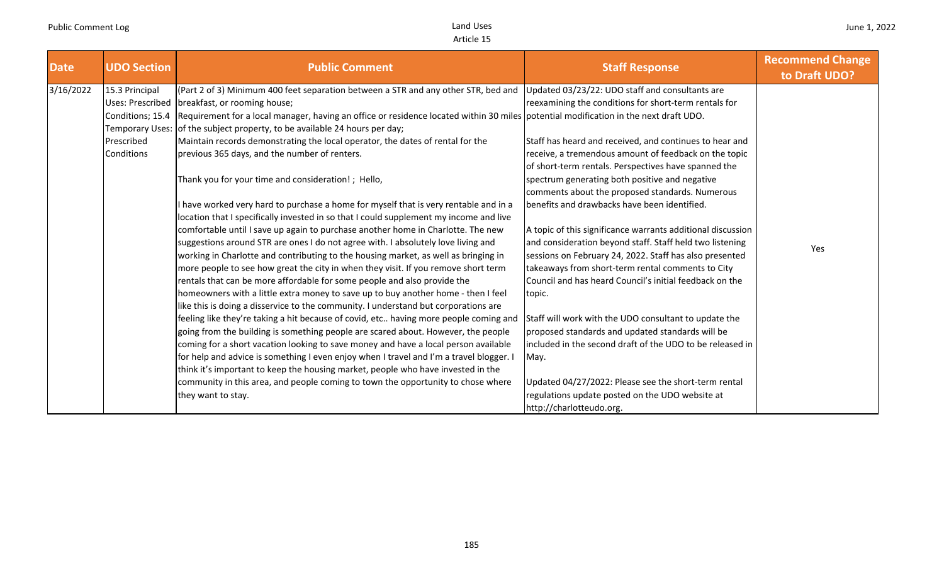| <b>Date</b> | <b>UDO Section</b> | <b>Public Comment</b>                                                                                                                                 | <b>Staff Response</b>                                       | <b>Recommend Change</b><br>to Draft UDO? |
|-------------|--------------------|-------------------------------------------------------------------------------------------------------------------------------------------------------|-------------------------------------------------------------|------------------------------------------|
| 3/16/2022   | 15.3 Principal     | (Part 2 of 3) Minimum 400 feet separation between a STR and any other STR, bed and                                                                    | Updated 03/23/22: UDO staff and consultants are             |                                          |
|             |                    | Uses: Prescribed   breakfast, or rooming house;                                                                                                       | reexamining the conditions for short-term rentals for       |                                          |
|             |                    | Conditions; 15.4 Requirement for a local manager, having an office or residence located within 30 miles potential modification in the next draft UDO. |                                                             |                                          |
|             |                    | Temporary Uses: of the subject property, to be available 24 hours per day;                                                                            |                                                             |                                          |
|             | Prescribed         | Maintain records demonstrating the local operator, the dates of rental for the                                                                        | Staff has heard and received, and continues to hear and     |                                          |
|             | Conditions         | previous 365 days, and the number of renters.                                                                                                         | receive, a tremendous amount of feedback on the topic       |                                          |
|             |                    |                                                                                                                                                       | of short-term rentals. Perspectives have spanned the        |                                          |
|             |                    | Thank you for your time and consideration! ; Hello,                                                                                                   | spectrum generating both positive and negative              |                                          |
|             |                    |                                                                                                                                                       | comments about the proposed standards. Numerous             |                                          |
|             |                    | I have worked very hard to purchase a home for myself that is very rentable and in a                                                                  | benefits and drawbacks have been identified.                |                                          |
|             |                    | location that I specifically invested in so that I could supplement my income and live                                                                |                                                             |                                          |
|             |                    | comfortable until I save up again to purchase another home in Charlotte. The new                                                                      | A topic of this significance warrants additional discussion |                                          |
|             |                    | suggestions around STR are ones I do not agree with. I absolutely love living and                                                                     | and consideration beyond staff. Staff held two listening    | Yes                                      |
|             |                    | working in Charlotte and contributing to the housing market, as well as bringing in                                                                   | sessions on February 24, 2022. Staff has also presented     |                                          |
|             |                    | more people to see how great the city in when they visit. If you remove short term                                                                    | takeaways from short-term rental comments to City           |                                          |
|             |                    | rentals that can be more affordable for some people and also provide the                                                                              | Council and has heard Council's initial feedback on the     |                                          |
|             |                    | homeowners with a little extra money to save up to buy another home - then I feel                                                                     | topic.                                                      |                                          |
|             |                    | like this is doing a disservice to the community. I understand but corporations are                                                                   |                                                             |                                          |
|             |                    | feeling like they're taking a hit because of covid, etc having more people coming and                                                                 | Staff will work with the UDO consultant to update the       |                                          |
|             |                    | going from the building is something people are scared about. However, the people                                                                     | proposed standards and updated standards will be            |                                          |
|             |                    | coming for a short vacation looking to save money and have a local person available                                                                   | included in the second draft of the UDO to be released in   |                                          |
|             |                    | for help and advice is something I even enjoy when I travel and I'm a travel blogger. I                                                               | May.                                                        |                                          |
|             |                    | think it's important to keep the housing market, people who have invested in the                                                                      |                                                             |                                          |
|             |                    | community in this area, and people coming to town the opportunity to chose where                                                                      | Updated 04/27/2022: Please see the short-term rental        |                                          |
|             |                    | they want to stay.                                                                                                                                    | regulations update posted on the UDO website at             |                                          |
|             |                    |                                                                                                                                                       | http://charlotteudo.org.                                    |                                          |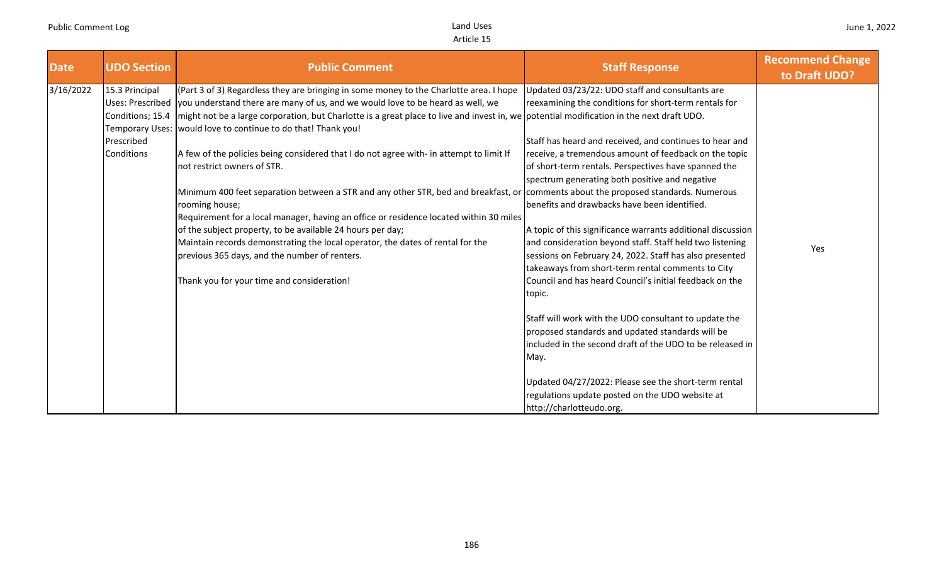| <b>Date</b> | <b>UDO Section</b>                                                                | <b>Public Comment</b>                                                                                                                                                                                                                                                                                                                                                                                                                                                                                                                                                                                                                                                                                                                                                                                                                                                                                                                                              | <b>Staff Response</b>                                                                                                                                                                                                                                                                                                                                                                                                                                                                                                                                                                                                                                                                                                                                                                                                                                                                                                                                                                               | <b>Recommend Change</b><br>to Draft UDO? |
|-------------|-----------------------------------------------------------------------------------|--------------------------------------------------------------------------------------------------------------------------------------------------------------------------------------------------------------------------------------------------------------------------------------------------------------------------------------------------------------------------------------------------------------------------------------------------------------------------------------------------------------------------------------------------------------------------------------------------------------------------------------------------------------------------------------------------------------------------------------------------------------------------------------------------------------------------------------------------------------------------------------------------------------------------------------------------------------------|-----------------------------------------------------------------------------------------------------------------------------------------------------------------------------------------------------------------------------------------------------------------------------------------------------------------------------------------------------------------------------------------------------------------------------------------------------------------------------------------------------------------------------------------------------------------------------------------------------------------------------------------------------------------------------------------------------------------------------------------------------------------------------------------------------------------------------------------------------------------------------------------------------------------------------------------------------------------------------------------------------|------------------------------------------|
| 3/16/2022   | 15.3 Principal<br>Conditions; 15.4<br>Temporary Uses:<br>Prescribed<br>Conditions | (Part 3 of 3) Regardless they are bringing in some money to the Charlotte area. I hope<br>Uses: Prescribed you understand there are many of us, and we would love to be heard as well, we<br>Imight not be a large corporation, but Charlotte is a great place to live and invest in, we potential modification in the next draft UDO.<br>would love to continue to do that! Thank you!<br>A few of the policies being considered that I do not agree with- in attempt to limit If<br>not restrict owners of STR.<br>Minimum 400 feet separation between a STR and any other STR, bed and breakfast, or<br>rooming house;<br>Requirement for a local manager, having an office or residence located within 30 miles<br>of the subject property, to be available 24 hours per day;<br>Maintain records demonstrating the local operator, the dates of rental for the<br>previous 365 days, and the number of renters.<br>Thank you for your time and consideration! | Updated 03/23/22: UDO staff and consultants are<br>reexamining the conditions for short-term rentals for<br>Staff has heard and received, and continues to hear and<br>receive, a tremendous amount of feedback on the topic<br>of short-term rentals. Perspectives have spanned the<br>spectrum generating both positive and negative<br>comments about the proposed standards. Numerous<br>benefits and drawbacks have been identified.<br>A topic of this significance warrants additional discussion<br>and consideration beyond staff. Staff held two listening<br>sessions on February 24, 2022. Staff has also presented<br>takeaways from short-term rental comments to City<br>Council and has heard Council's initial feedback on the<br>topic.<br>Staff will work with the UDO consultant to update the<br>proposed standards and updated standards will be<br>included in the second draft of the UDO to be released in<br>May.<br>Updated 04/27/2022: Please see the short-term rental | Yes                                      |
|             |                                                                                   |                                                                                                                                                                                                                                                                                                                                                                                                                                                                                                                                                                                                                                                                                                                                                                                                                                                                                                                                                                    | regulations update posted on the UDO website at<br>http://charlotteudo.org.                                                                                                                                                                                                                                                                                                                                                                                                                                                                                                                                                                                                                                                                                                                                                                                                                                                                                                                         |                                          |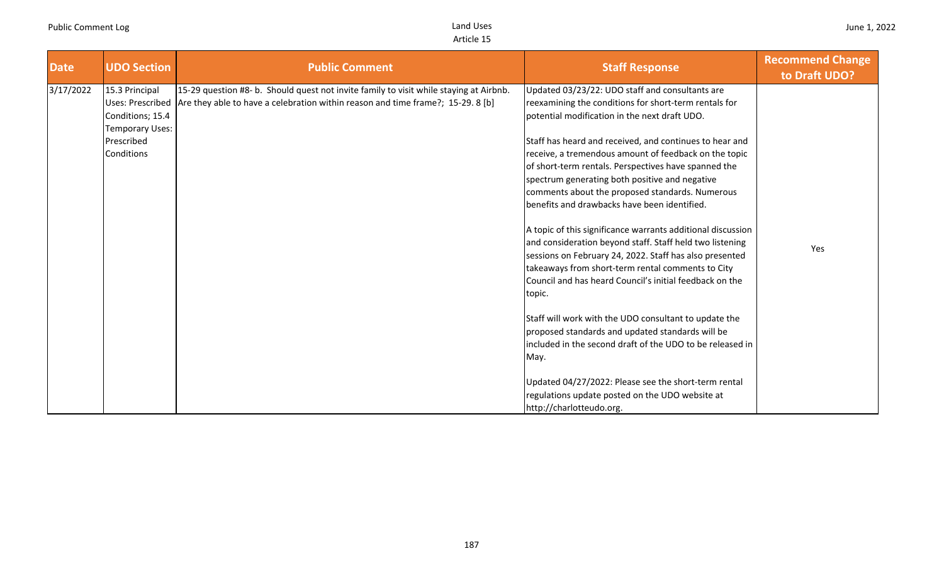|                                                                                                                                                                                                                                                                                                                                                                                                                                                                                                                                                                                                                                                                                                                                                                                                                                                                                                                                                                                                                                                                                                                                                                                                                                                                                                                                                                                                                                 | to Draft UDO? |
|---------------------------------------------------------------------------------------------------------------------------------------------------------------------------------------------------------------------------------------------------------------------------------------------------------------------------------------------------------------------------------------------------------------------------------------------------------------------------------------------------------------------------------------------------------------------------------------------------------------------------------------------------------------------------------------------------------------------------------------------------------------------------------------------------------------------------------------------------------------------------------------------------------------------------------------------------------------------------------------------------------------------------------------------------------------------------------------------------------------------------------------------------------------------------------------------------------------------------------------------------------------------------------------------------------------------------------------------------------------------------------------------------------------------------------|---------------|
| 3/17/2022<br>15.3 Principal<br>15-29 question #8- b. Should quest not invite family to visit while staying at Airbnb.<br>Updated 03/23/22: UDO staff and consultants are<br>Are they able to have a celebration within reason and time frame?; 15-29. 8 [b]<br>reexamining the conditions for short-term rentals for<br><b>Uses: Prescribed</b><br>Conditions; 15.4<br>potential modification in the next draft UDO.<br><b>Temporary Uses:</b><br>Prescribed<br>Staff has heard and received, and continues to hear and<br>Conditions<br>receive, a tremendous amount of feedback on the topic<br>of short-term rentals. Perspectives have spanned the<br>spectrum generating both positive and negative<br>comments about the proposed standards. Numerous<br>benefits and drawbacks have been identified.<br>A topic of this significance warrants additional discussion<br>and consideration beyond staff. Staff held two listening<br>Yes<br>sessions on February 24, 2022. Staff has also presented<br>takeaways from short-term rental comments to City<br>Council and has heard Council's initial feedback on the<br>topic.<br>Staff will work with the UDO consultant to update the<br>proposed standards and updated standards will be<br>included in the second draft of the UDO to be released in<br>May.<br>Updated 04/27/2022: Please see the short-term rental<br>regulations update posted on the UDO website at |               |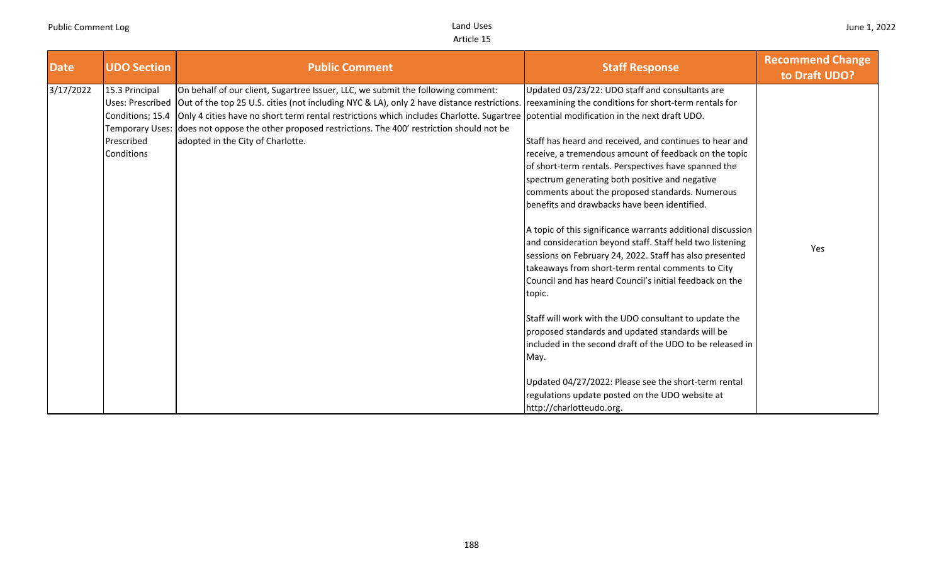| <b>Date</b> | <b>UDO Section</b>                                                                                           | <b>Public Comment</b>                                                                                                                                                                                                                                                                                                                                                                                                                                                                                      | <b>Staff Response</b>                                                                                                                                                                                                                                                                                                                                                                                                                                                                                                                                                                                                                                                                                                                                                                                                                                                                                                                                                                                                     | <b>Recommend Change</b><br>to Draft UDO? |
|-------------|--------------------------------------------------------------------------------------------------------------|------------------------------------------------------------------------------------------------------------------------------------------------------------------------------------------------------------------------------------------------------------------------------------------------------------------------------------------------------------------------------------------------------------------------------------------------------------------------------------------------------------|---------------------------------------------------------------------------------------------------------------------------------------------------------------------------------------------------------------------------------------------------------------------------------------------------------------------------------------------------------------------------------------------------------------------------------------------------------------------------------------------------------------------------------------------------------------------------------------------------------------------------------------------------------------------------------------------------------------------------------------------------------------------------------------------------------------------------------------------------------------------------------------------------------------------------------------------------------------------------------------------------------------------------|------------------------------------------|
| 3/17/2022   | 15.3 Principal<br><b>Uses: Prescribed</b><br>Conditions; 15.4<br>Temporary Uses:<br>Prescribed<br>Conditions | On behalf of our client, Sugartree Issuer, LLC, we submit the following comment:<br>Out of the top 25 U.S. cities (not including NYC & LA), only 2 have distance restrictions. reexamining the conditions for short-term rentals for<br>Only 4 cities have no short term rental restrictions which includes Charlotte. Sugartree potential modification in the next draft UDO.<br>does not oppose the other proposed restrictions. The 400' restriction should not be<br>adopted in the City of Charlotte. | Updated 03/23/22: UDO staff and consultants are<br>Staff has heard and received, and continues to hear and<br>receive, a tremendous amount of feedback on the topic<br>of short-term rentals. Perspectives have spanned the<br>spectrum generating both positive and negative<br>comments about the proposed standards. Numerous<br>benefits and drawbacks have been identified.<br>A topic of this significance warrants additional discussion<br>and consideration beyond staff. Staff held two listening<br>sessions on February 24, 2022. Staff has also presented<br>takeaways from short-term rental comments to City<br>Council and has heard Council's initial feedback on the<br>topic.<br>Staff will work with the UDO consultant to update the<br>proposed standards and updated standards will be<br>included in the second draft of the UDO to be released in<br>May.<br>Updated 04/27/2022: Please see the short-term rental<br>regulations update posted on the UDO website at<br>http://charlotteudo.org. | Yes                                      |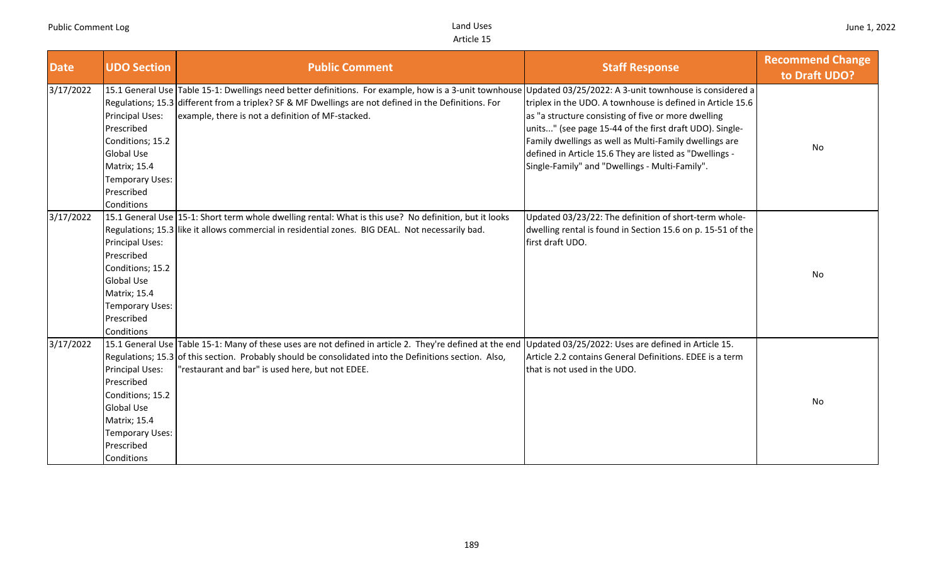| <b>Date</b> | <b>UDO Section</b>                                                                                                                                  | <b>Public Comment</b>                                                                                                                                                                                                                                                                                                       | <b>Staff Response</b>                                                                                                                                                                                                                                                                                                                               | <b>Recommend Change</b><br>to Draft UDO? |
|-------------|-----------------------------------------------------------------------------------------------------------------------------------------------------|-----------------------------------------------------------------------------------------------------------------------------------------------------------------------------------------------------------------------------------------------------------------------------------------------------------------------------|-----------------------------------------------------------------------------------------------------------------------------------------------------------------------------------------------------------------------------------------------------------------------------------------------------------------------------------------------------|------------------------------------------|
| 3/17/2022   | Principal Uses:<br>Prescribed<br>Conditions; 15.2<br><b>Global Use</b><br><b>Matrix; 15.4</b><br>Temporary Uses:<br>Prescribed<br>Conditions        | 15.1 General Use Table 15-1: Dwellings need better definitions. For example, how is a 3-unit townhouse Updated 03/25/2022: A 3-unit townhouse is considered a<br>Regulations; 15.3 different from a triplex? SF & MF Dwellings are not defined in the Definitions. For<br>example, there is not a definition of MF-stacked. | triplex in the UDO. A townhouse is defined in Article 15.6<br>as "a structure consisting of five or more dwelling<br>units" (see page 15-44 of the first draft UDO). Single-<br>Family dwellings as well as Multi-Family dwellings are<br>defined in Article 15.6 They are listed as "Dwellings -<br>Single-Family" and "Dwellings - Multi-Family". | No                                       |
| 3/17/2022   | Principal Uses:<br>Prescribed<br>Conditions; 15.2<br><b>Global Use</b><br><b>Matrix; 15.4</b><br><b>Temporary Uses:</b><br>Prescribed<br>Conditions | 15.1 General Use 15-1: Short term whole dwelling rental: What is this use? No definition, but it looks<br>Regulations; 15.3 like it allows commercial in residential zones. BIG DEAL. Not necessarily bad.                                                                                                                  | Updated 03/23/22: The definition of short-term whole-<br>dwelling rental is found in Section 15.6 on p. 15-51 of the<br>first draft UDO.                                                                                                                                                                                                            | No                                       |
| 3/17/2022   | Principal Uses:<br>Prescribed<br>Conditions; 15.2<br><b>Global Use</b><br><b>Matrix; 15.4</b><br>Temporary Uses:<br>Prescribed<br>Conditions        | 15.1 General Use Table 15-1: Many of these uses are not defined in article 2. They're defined at the end Updated 03/25/2022: Uses are defined in Article 15.<br>Regulations; 15.3 of this section. Probably should be consolidated into the Definitions section. Also,<br>"restaurant and bar" is used here, but not EDEE.  | Article 2.2 contains General Definitions. EDEE is a term<br>that is not used in the UDO.                                                                                                                                                                                                                                                            | No                                       |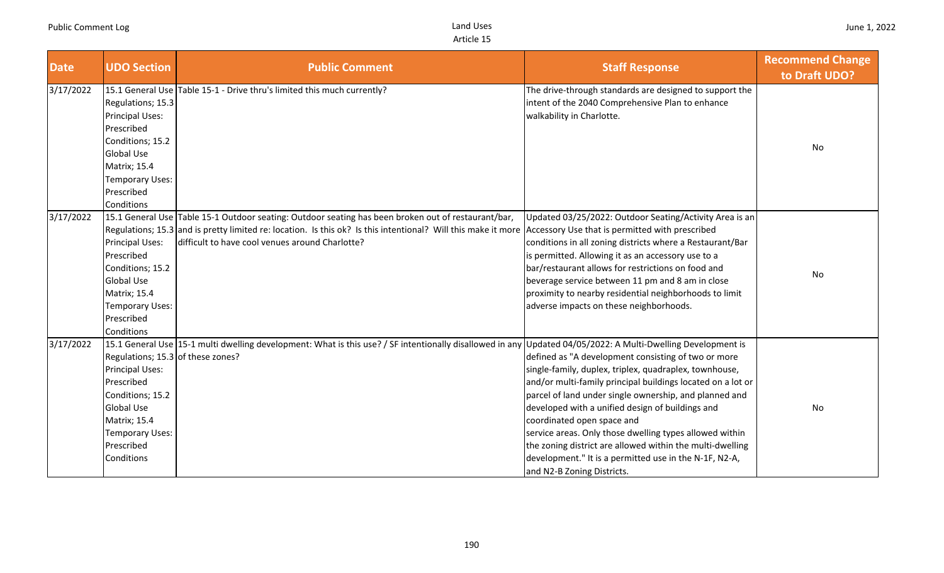| <b>Date</b> | <b>UDO Section</b>                                                                                                                                                                        | <b>Public Comment</b>                                                                                                                                                                                                                                                                                                   | <b>Staff Response</b>                                                                                                                                                                                                                                                                                                                                                                                                                                                                                                                    | <b>Recommend Change</b><br>to Draft UDO? |
|-------------|-------------------------------------------------------------------------------------------------------------------------------------------------------------------------------------------|-------------------------------------------------------------------------------------------------------------------------------------------------------------------------------------------------------------------------------------------------------------------------------------------------------------------------|------------------------------------------------------------------------------------------------------------------------------------------------------------------------------------------------------------------------------------------------------------------------------------------------------------------------------------------------------------------------------------------------------------------------------------------------------------------------------------------------------------------------------------------|------------------------------------------|
| 3/17/2022   | Regulations; 15.3<br>Principal Uses:<br>Prescribed<br>Conditions; 15.2<br><b>Global Use</b><br><b>Matrix</b> ; 15.4<br>Temporary Uses:<br>Prescribed<br>Conditions                        | 15.1 General Use Table 15-1 - Drive thru's limited this much currently?                                                                                                                                                                                                                                                 | The drive-through standards are designed to support the<br>intent of the 2040 Comprehensive Plan to enhance<br>walkability in Charlotte.                                                                                                                                                                                                                                                                                                                                                                                                 | No                                       |
| 3/17/2022   | <b>Principal Uses:</b><br>Prescribed<br>Conditions; 15.2<br><b>Global Use</b><br>Matrix; 15.4<br><b>Temporary Uses:</b><br>Prescribed<br>Conditions                                       | 15.1 General Use Table 15-1 Outdoor seating: Outdoor seating has been broken out of restaurant/bar,<br>Regulations; 15.3 and is pretty limited re: location. Is this ok? Is this intentional? Will this make it more Accessory Use that is permitted with prescribed<br>difficult to have cool venues around Charlotte? | Updated 03/25/2022: Outdoor Seating/Activity Area is an<br>conditions in all zoning districts where a Restaurant/Bar<br>is permitted. Allowing it as an accessory use to a<br>bar/restaurant allows for restrictions on food and<br>beverage service between 11 pm and 8 am in close<br>proximity to nearby residential neighborhoods to limit<br>adverse impacts on these neighborhoods.                                                                                                                                                | No                                       |
| 3/17/2022   | Regulations; 15.3 of these zones?<br><b>Principal Uses:</b><br>Prescribed<br>Conditions; 15.2<br><b>Global Use</b><br><b>Matrix</b> ; 15.4<br>Temporary Uses:<br>Prescribed<br>Conditions | 15.1 General Use 15-1 multi dwelling development: What is this use? / SF intentionally disallowed in any Updated 04/05/2022: A Multi-Dwelling Development is                                                                                                                                                            | defined as "A development consisting of two or more<br>single-family, duplex, triplex, quadraplex, townhouse,<br>and/or multi-family principal buildings located on a lot or<br>parcel of land under single ownership, and planned and<br>developed with a unified design of buildings and<br>coordinated open space and<br>service areas. Only those dwelling types allowed within<br>the zoning district are allowed within the multi-dwelling<br>development." It is a permitted use in the N-1F, N2-A,<br>and N2-B Zoning Districts. | No                                       |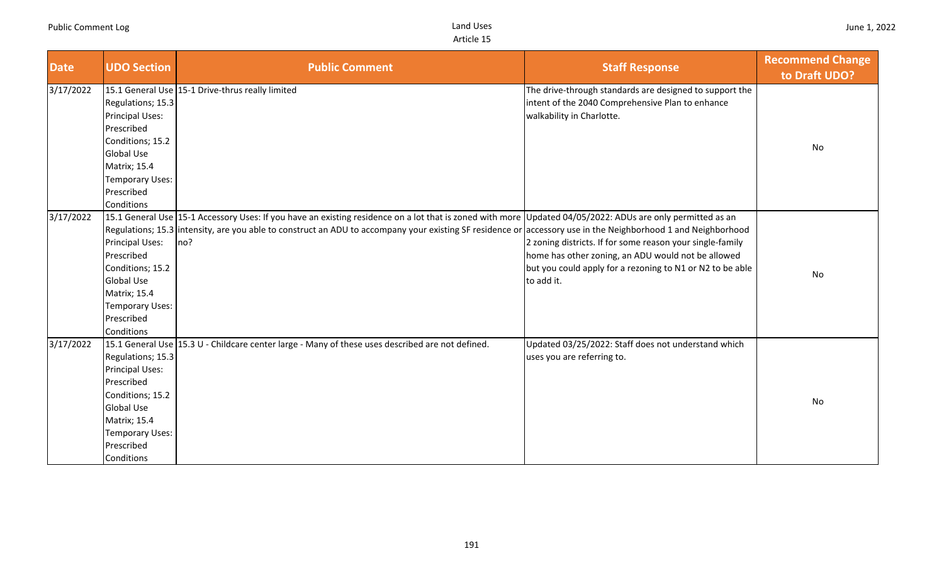| <b>Date</b> | <b>UDO Section</b>                                                                                                                                                | <b>Public Comment</b>                                                                                                                                                                                                                                                                                                              | <b>Staff Response</b>                                                                                                                                                                      | <b>Recommend Change</b><br>to Draft UDO? |
|-------------|-------------------------------------------------------------------------------------------------------------------------------------------------------------------|------------------------------------------------------------------------------------------------------------------------------------------------------------------------------------------------------------------------------------------------------------------------------------------------------------------------------------|--------------------------------------------------------------------------------------------------------------------------------------------------------------------------------------------|------------------------------------------|
| 3/17/2022   | Regulations; 15.3<br>Principal Uses:<br>Prescribed<br>Conditions; 15.2<br><b>Global Use</b><br>Matrix; 15.4<br><b>Temporary Uses:</b><br>Prescribed<br>Conditions | 15.1 General Use 15-1 Drive-thrus really limited                                                                                                                                                                                                                                                                                   | The drive-through standards are designed to support the<br>intent of the 2040 Comprehensive Plan to enhance<br>walkability in Charlotte.                                                   | No                                       |
| 3/17/2022   | Principal Uses:<br>Prescribed<br>Conditions; 15.2<br><b>Global Use</b><br>Matrix; 15.4<br><b>Temporary Uses:</b><br>Prescribed<br>Conditions                      | 15.1 General Use 15-1 Accessory Uses: If you have an existing residence on a lot that is zoned with more Updated 04/05/2022: ADUs are only permitted as an<br>Regulations; 15.3 intensity, are you able to construct an ADU to accompany your existing SF residence or accessory use in the Neighborhood 1 and Neighborhood<br>no? | 2 zoning districts. If for some reason your single-family<br>home has other zoning, an ADU would not be allowed<br>but you could apply for a rezoning to N1 or N2 to be able<br>to add it. | No                                       |
| 3/17/2022   | Regulations; 15.3<br>Principal Uses:<br>Prescribed<br>Conditions; 15.2<br><b>Global Use</b><br>Matrix; 15.4<br><b>Temporary Uses:</b><br>Prescribed<br>Conditions | 15.1 General Use 15.3 U - Childcare center large - Many of these uses described are not defined.                                                                                                                                                                                                                                   | Updated 03/25/2022: Staff does not understand which<br>uses you are referring to.                                                                                                          | No                                       |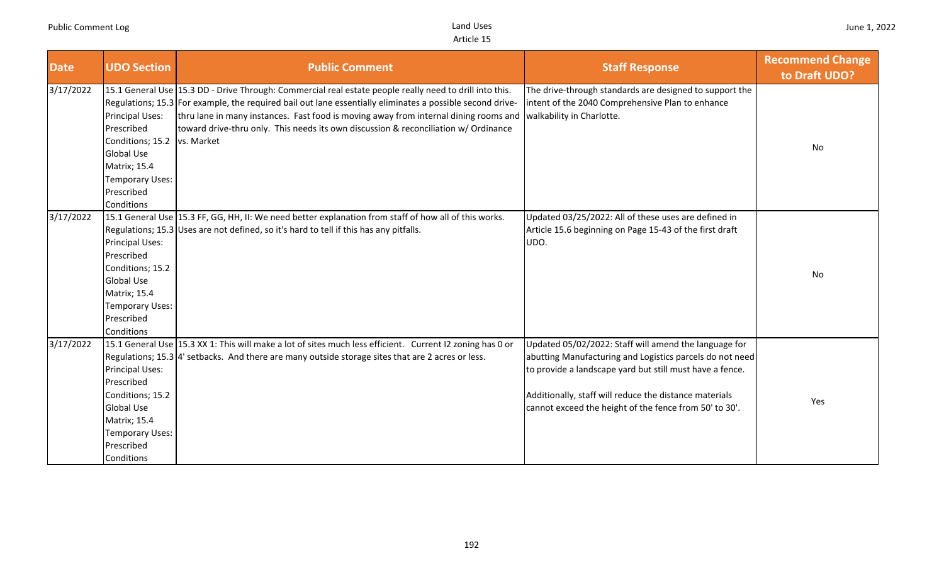| <b>Date</b> | <b>UDO Section</b>                                                                                                                                  | <b>Public Comment</b>                                                                                                                                                                                                                                                                                                                                                                                                         | <b>Staff Response</b>                                                                                                                                                                                                                                                                             | <b>Recommend Change</b><br>to Draft UDO? |
|-------------|-----------------------------------------------------------------------------------------------------------------------------------------------------|-------------------------------------------------------------------------------------------------------------------------------------------------------------------------------------------------------------------------------------------------------------------------------------------------------------------------------------------------------------------------------------------------------------------------------|---------------------------------------------------------------------------------------------------------------------------------------------------------------------------------------------------------------------------------------------------------------------------------------------------|------------------------------------------|
| 3/17/2022   | Principal Uses:<br>Prescribed<br>Conditions; 15.2   vs. Market<br>Global Use<br>Matrix; 15.4<br><b>Temporary Uses:</b><br>Prescribed<br>Conditions  | 15.1 General Use 15.3 DD - Drive Through: Commercial real estate people really need to drill into this.<br>Regulations; 15.3 For example, the required bail out lane essentially eliminates a possible second drive-<br>thru lane in many instances. Fast food is moving away from internal dining rooms and walkability in Charlotte.<br>toward drive-thru only. This needs its own discussion & reconciliation w/ Ordinance | The drive-through standards are designed to support the<br>intent of the 2040 Comprehensive Plan to enhance                                                                                                                                                                                       | No                                       |
| 3/17/2022   | <b>Principal Uses:</b><br>Prescribed<br>Conditions; 15.2<br><b>Global Use</b><br>Matrix; 15.4<br><b>Temporary Uses:</b><br>Prescribed<br>Conditions | 15.1 General Use 15.3 FF, GG, HH, II: We need better explanation from staff of how all of this works.<br>Regulations; 15.3 Uses are not defined, so it's hard to tell if this has any pitfalls.                                                                                                                                                                                                                               | Updated 03/25/2022: All of these uses are defined in<br>Article 15.6 beginning on Page 15-43 of the first draft<br>UDO.                                                                                                                                                                           | No                                       |
| 3/17/2022   | <b>Principal Uses:</b><br>Prescribed<br>Conditions; 15.2<br><b>Global Use</b><br>Matrix; 15.4<br>Temporary Uses:<br>Prescribed<br>Conditions        | 15.1 General Use 15.3 XX 1: This will make a lot of sites much less efficient. Current I2 zoning has 0 or<br>Regulations; $15.3\, 4$ ' setbacks. And there are many outside storage sites that are 2 acres or less.                                                                                                                                                                                                           | Updated 05/02/2022: Staff will amend the language for<br>abutting Manufacturing and Logistics parcels do not need<br>to provide a landscape yard but still must have a fence.<br>Additionally, staff will reduce the distance materials<br>cannot exceed the height of the fence from 50' to 30'. | Yes                                      |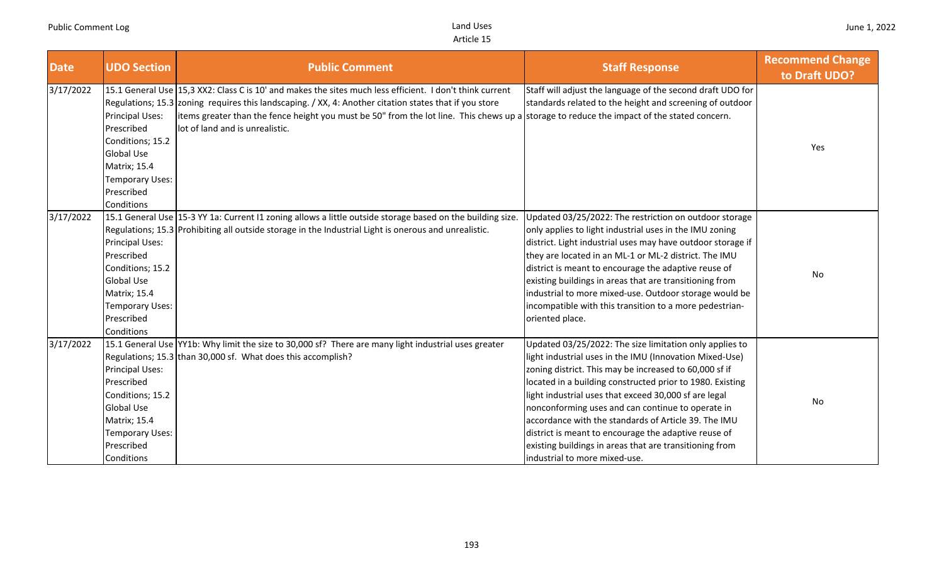| <b>Date</b> | <b>UDO Section</b>                                                                                                                           | <b>Public Comment</b>                                                                                                                                                                                                                                                                                                                                                                               | <b>Staff Response</b>                                                                                                                                                                                                                                                                                                                                                                                                                                                                                                                                               | <b>Recommend Change</b><br>to Draft UDO? |
|-------------|----------------------------------------------------------------------------------------------------------------------------------------------|-----------------------------------------------------------------------------------------------------------------------------------------------------------------------------------------------------------------------------------------------------------------------------------------------------------------------------------------------------------------------------------------------------|---------------------------------------------------------------------------------------------------------------------------------------------------------------------------------------------------------------------------------------------------------------------------------------------------------------------------------------------------------------------------------------------------------------------------------------------------------------------------------------------------------------------------------------------------------------------|------------------------------------------|
| 3/17/2022   | Principal Uses:<br>Prescribed<br>Conditions; 15.2<br><b>Global Use</b><br><b>Matrix; 15.4</b><br>Temporary Uses:<br>Prescribed<br>Conditions | 15.1 General Use 15,3 XX2: Class C is 10' and makes the sites much less efficient. I don't think current<br>Regulations; 15.3 zoning requires this landscaping. / XX, 4: Another citation states that if you store<br>items greater than the fence height you must be 50" from the lot line. This chews up a storage to reduce the impact of the stated concern.<br>lot of land and is unrealistic. | Staff will adjust the language of the second draft UDO for<br>standards related to the height and screening of outdoor                                                                                                                                                                                                                                                                                                                                                                                                                                              | Yes                                      |
| 3/17/2022   | Principal Uses:<br>Prescribed<br>Conditions; 15.2<br><b>Global Use</b><br><b>Matrix; 15.4</b><br>Temporary Uses:<br>Prescribed<br>Conditions | 15.1 General Use 15-3 YY 1a: Current I1 zoning allows a little outside storage based on the building size.<br>Regulations; 15.3 Prohibiting all outside storage in the Industrial Light is onerous and unrealistic.                                                                                                                                                                                 | Updated 03/25/2022: The restriction on outdoor storage<br>only applies to light industrial uses in the IMU zoning<br>district. Light industrial uses may have outdoor storage if<br>they are located in an ML-1 or ML-2 district. The IMU<br>district is meant to encourage the adaptive reuse of<br>existing buildings in areas that are transitioning from<br>industrial to more mixed-use. Outdoor storage would be<br>incompatible with this transition to a more pedestrian-<br>oriented place.                                                                | No                                       |
| 3/17/2022   | Principal Uses:<br>Prescribed<br>Conditions; 15.2<br><b>Global Use</b><br><b>Matrix; 15.4</b><br>Temporary Uses:<br>Prescribed<br>Conditions | 15.1 General Use YY1b: Why limit the size to 30,000 sf? There are many light industrial uses greater<br>Regulations; 15.3 than 30,000 sf. What does this accomplish?                                                                                                                                                                                                                                | Updated 03/25/2022: The size limitation only applies to<br>light industrial uses in the IMU (Innovation Mixed-Use)<br>zoning district. This may be increased to 60,000 sf if<br>located in a building constructed prior to 1980. Existing<br>light industrial uses that exceed 30,000 sf are legal<br>nonconforming uses and can continue to operate in<br>accordance with the standards of Article 39. The IMU<br>district is meant to encourage the adaptive reuse of<br>existing buildings in areas that are transitioning from<br>industrial to more mixed-use. | No                                       |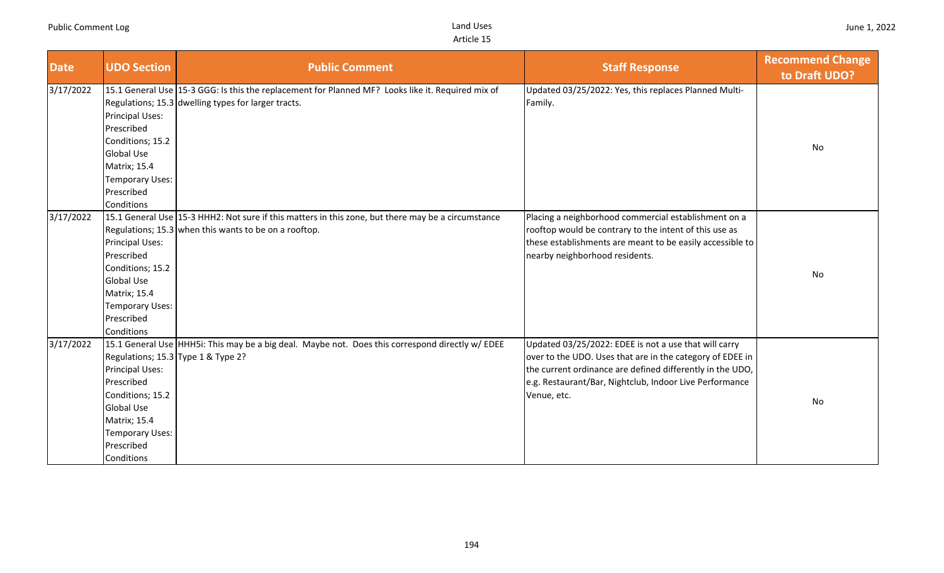| <b>Date</b> | <b>UDO Section</b>                                                                                                                           | <b>Public Comment</b>                                                                                                                                       | <b>Staff Response</b>                                                                                                                                                                                                                                     | <b>Recommend Change</b><br>to Draft UDO? |
|-------------|----------------------------------------------------------------------------------------------------------------------------------------------|-------------------------------------------------------------------------------------------------------------------------------------------------------------|-----------------------------------------------------------------------------------------------------------------------------------------------------------------------------------------------------------------------------------------------------------|------------------------------------------|
| 3/17/2022   | <b>Principal Uses:</b><br>Prescribed<br>Conditions; 15.2<br><b>Global Use</b><br>Matrix; 15.4<br>Temporary Uses:<br>Prescribed<br>Conditions | 15.1 General Use 15-3 GGG: Is this the replacement for Planned MF? Looks like it. Required mix of<br>Regulations; 15.3 dwelling types for larger tracts.    | Updated 03/25/2022: Yes, this replaces Planned Multi-<br>Family.                                                                                                                                                                                          | <b>No</b>                                |
| 3/17/2022   | Principal Uses:<br>Prescribed<br>Conditions; 15.2<br><b>Global Use</b><br>Matrix; 15.4<br>Temporary Uses:<br>Prescribed<br>Conditions        | 15.1 General Use 15-3 HHH2: Not sure if this matters in this zone, but there may be a circumstance<br>Regulations; 15.3 when this wants to be on a rooftop. | Placing a neighborhood commercial establishment on a<br>rooftop would be contrary to the intent of this use as<br>these establishments are meant to be easily accessible to<br>nearby neighborhood residents.                                             | No                                       |
| 3/17/2022   | <b>Principal Uses:</b><br>Prescribed<br>Conditions; 15.2<br><b>Global Use</b><br>Matrix; 15.4<br>Temporary Uses:<br>Prescribed<br>Conditions | 15.1 General Use HHH5i: This may be a big deal. Maybe not. Does this correspond directly w/ EDEE<br>Regulations; 15.3 Type 1 & Type 2?                      | Updated 03/25/2022: EDEE is not a use that will carry<br>over to the UDO. Uses that are in the category of EDEE in<br>the current ordinance are defined differently in the UDO,<br>e.g. Restaurant/Bar, Nightclub, Indoor Live Performance<br>Venue, etc. | No                                       |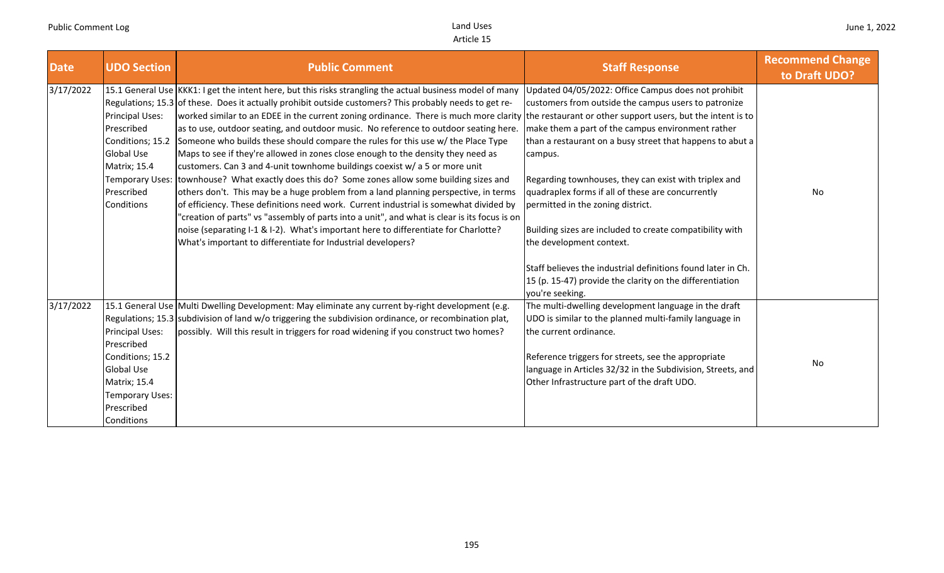| <b>Date</b> | <b>UDO Section</b>                                                                                                                    | <b>Public Comment</b>                                                                                                                                                                                                                                                                                                                                                                                                                                                                                                                                                                                                                                                                                                                                                                                                                                                                                                                                                                                                                                                                                                                                                                                | <b>Staff Response</b>                                                                                                                                                                                                                                                                                                                                                                                                                                                                                                                                                                                                                                                                             | <b>Recommend Change</b><br>to Draft UDO? |
|-------------|---------------------------------------------------------------------------------------------------------------------------------------|------------------------------------------------------------------------------------------------------------------------------------------------------------------------------------------------------------------------------------------------------------------------------------------------------------------------------------------------------------------------------------------------------------------------------------------------------------------------------------------------------------------------------------------------------------------------------------------------------------------------------------------------------------------------------------------------------------------------------------------------------------------------------------------------------------------------------------------------------------------------------------------------------------------------------------------------------------------------------------------------------------------------------------------------------------------------------------------------------------------------------------------------------------------------------------------------------|---------------------------------------------------------------------------------------------------------------------------------------------------------------------------------------------------------------------------------------------------------------------------------------------------------------------------------------------------------------------------------------------------------------------------------------------------------------------------------------------------------------------------------------------------------------------------------------------------------------------------------------------------------------------------------------------------|------------------------------------------|
| 3/17/2022   | Principal Uses:<br>Prescribed<br>Conditions; 15.2<br><b>Global Use</b><br>Matrix; 15.4<br>Prescribed<br>Conditions                    | 15.1 General Use KKK1: I get the intent here, but this risks strangling the actual business model of many<br>Regulations; 15.3 of these. Does it actually prohibit outside customers? This probably needs to get re-<br>worked similar to an EDEE in the current zoning ordinance. There is much more clarity<br>as to use, outdoor seating, and outdoor music. No reference to outdoor seating here.<br>Someone who builds these should compare the rules for this use w/ the Place Type<br>Maps to see if they're allowed in zones close enough to the density they need as<br>customers. Can 3 and 4-unit townhome buildings coexist w/ a 5 or more unit<br>Temporary Uses: townhouse? What exactly does this do? Some zones allow some building sizes and<br>others don't. This may be a huge problem from a land planning perspective, in terms<br>of efficiency. These definitions need work. Current industrial is somewhat divided by<br>'creation of parts" vs "assembly of parts into a unit", and what is clear is its focus is on<br>noise (separating I-1 & I-2). What's important here to differentiate for Charlotte?<br>What's important to differentiate for Industrial developers? | Updated 04/05/2022: Office Campus does not prohibit<br>customers from outside the campus users to patronize<br>the restaurant or other support users, but the intent is to<br>make them a part of the campus environment rather<br>than a restaurant on a busy street that happens to abut a<br>campus.<br>Regarding townhouses, they can exist with triplex and<br>quadraplex forms if all of these are concurrently<br>permitted in the zoning district.<br>Building sizes are included to create compatibility with<br>the development context.<br>Staff believes the industrial definitions found later in Ch.<br>15 (p. 15-47) provide the clarity on the differentiation<br>you're seeking. | No                                       |
| 3/17/2022   | Principal Uses:<br>Prescribed<br>Conditions; 15.2<br><b>Global Use</b><br>Matrix; 15.4<br>Temporary Uses:<br>Prescribed<br>Conditions | 15.1 General Use Multi Dwelling Development: May eliminate any current by-right development (e.g.<br>Regulations; 15.3 subdivision of land $w/o$ triggering the subdivision ordinance, or recombination plat,<br>possibly. Will this result in triggers for road widening if you construct two homes?                                                                                                                                                                                                                                                                                                                                                                                                                                                                                                                                                                                                                                                                                                                                                                                                                                                                                                | The multi-dwelling development language in the draft<br>UDO is similar to the planned multi-family language in<br>the current ordinance.<br>Reference triggers for streets, see the appropriate<br>language in Articles 32/32 in the Subdivision, Streets, and<br>Other Infrastructure part of the draft UDO.                                                                                                                                                                                                                                                                                                                                                                                     | No                                       |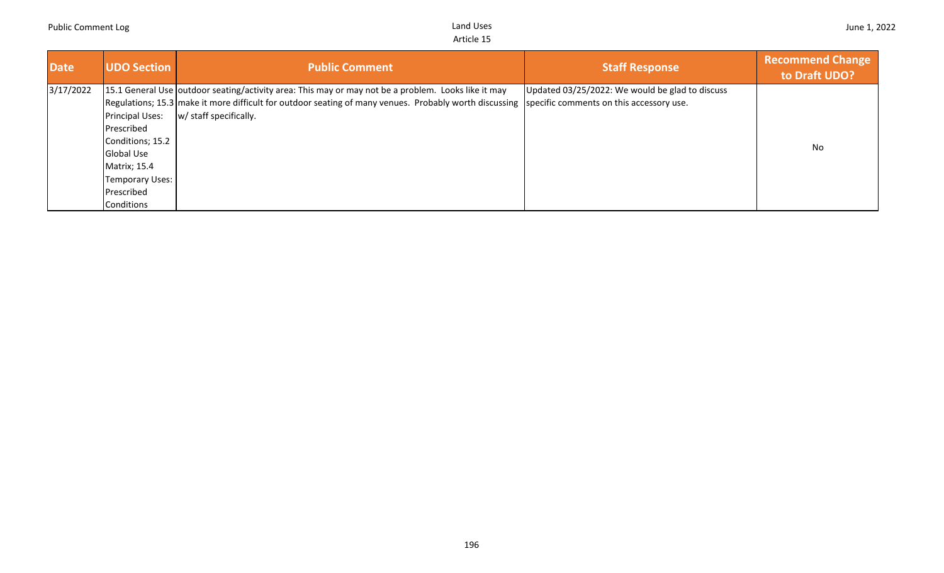|  | June 1, 2022 |
|--|--------------|
|  |              |

| Date/     | <b>UDO Section</b>   | <b>Public Comment</b>                                                                                                                           | <b>Staff Response</b>                           | <b>Recommend Change</b><br>to Draft UDO? |
|-----------|----------------------|-------------------------------------------------------------------------------------------------------------------------------------------------|-------------------------------------------------|------------------------------------------|
| 3/17/2022 |                      | 15.1 General Use outdoor seating/activity area: This may or may not be a problem. Looks like it may                                             | Updated 03/25/2022: We would be glad to discuss |                                          |
|           |                      | Regulations; 15.3 make it more difficult for outdoor seating of many venues. Probably worth discussing specific comments on this accessory use. |                                                 |                                          |
|           | Principal Uses:      | w/ staff specifically.                                                                                                                          |                                                 |                                          |
|           | <b>Prescribed</b>    |                                                                                                                                                 |                                                 |                                          |
|           | Conditions; 15.2     |                                                                                                                                                 |                                                 | No.                                      |
|           | Global Use           |                                                                                                                                                 |                                                 |                                          |
|           | <b>Matrix</b> ; 15.4 |                                                                                                                                                 |                                                 |                                          |
|           | Temporary Uses:      |                                                                                                                                                 |                                                 |                                          |
|           | Prescribed           |                                                                                                                                                 |                                                 |                                          |
|           | Conditions           |                                                                                                                                                 |                                                 |                                          |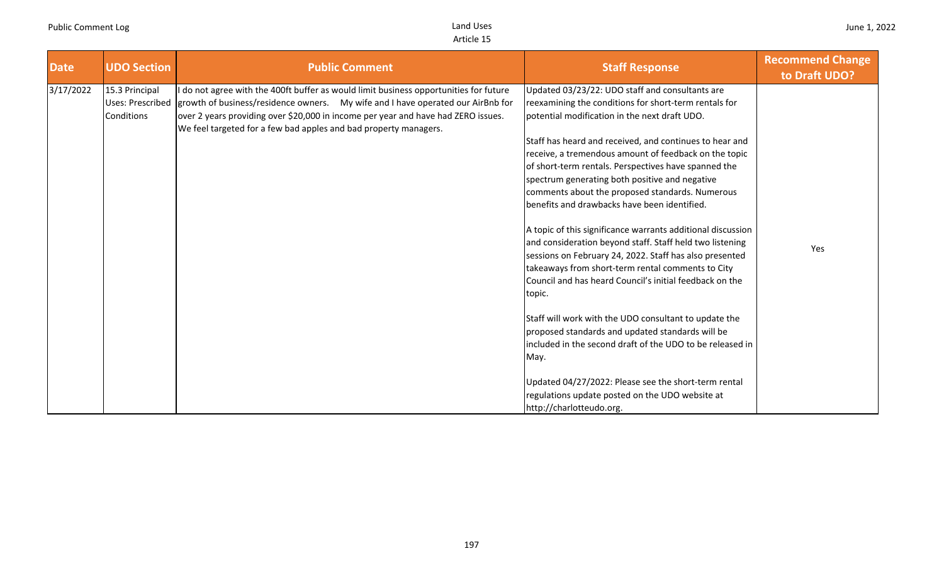| <b>Date</b> | <b>UDO Section</b>                                             | <b>Public Comment</b>                                                                                                                                                                                                                                                                                                            | <b>Staff Response</b>                                                                                                                                                                                                                                                                                                                                                                                                                                                                                                                                                                                                                                                                                                                                                                                                                                                                                                                                                                                                                                                                                   | <b>Recommend Change</b><br>to Draft UDO? |
|-------------|----------------------------------------------------------------|----------------------------------------------------------------------------------------------------------------------------------------------------------------------------------------------------------------------------------------------------------------------------------------------------------------------------------|---------------------------------------------------------------------------------------------------------------------------------------------------------------------------------------------------------------------------------------------------------------------------------------------------------------------------------------------------------------------------------------------------------------------------------------------------------------------------------------------------------------------------------------------------------------------------------------------------------------------------------------------------------------------------------------------------------------------------------------------------------------------------------------------------------------------------------------------------------------------------------------------------------------------------------------------------------------------------------------------------------------------------------------------------------------------------------------------------------|------------------------------------------|
| 3/17/2022   | 15.3 Principal<br><b>Uses: Prescribed</b><br><b>Conditions</b> | do not agree with the 400ft buffer as would limit business opportunities for future<br>growth of business/residence owners.  My wife and I have operated our AirBnb for<br>over 2 years providing over \$20,000 in income per year and have had ZERO issues.<br>We feel targeted for a few bad apples and bad property managers. | Updated 03/23/22: UDO staff and consultants are<br>reexamining the conditions for short-term rentals for<br>potential modification in the next draft UDO.<br>Staff has heard and received, and continues to hear and<br>receive, a tremendous amount of feedback on the topic<br>of short-term rentals. Perspectives have spanned the<br>spectrum generating both positive and negative<br>comments about the proposed standards. Numerous<br>benefits and drawbacks have been identified.<br>A topic of this significance warrants additional discussion<br>and consideration beyond staff. Staff held two listening<br>sessions on February 24, 2022. Staff has also presented<br>takeaways from short-term rental comments to City<br>Council and has heard Council's initial feedback on the<br>topic.<br>Staff will work with the UDO consultant to update the<br>proposed standards and updated standards will be<br>included in the second draft of the UDO to be released in<br>May.<br>Updated 04/27/2022: Please see the short-term rental<br>regulations update posted on the UDO website at | Yes                                      |
|             |                                                                |                                                                                                                                                                                                                                                                                                                                  | http://charlotteudo.org.                                                                                                                                                                                                                                                                                                                                                                                                                                                                                                                                                                                                                                                                                                                                                                                                                                                                                                                                                                                                                                                                                |                                          |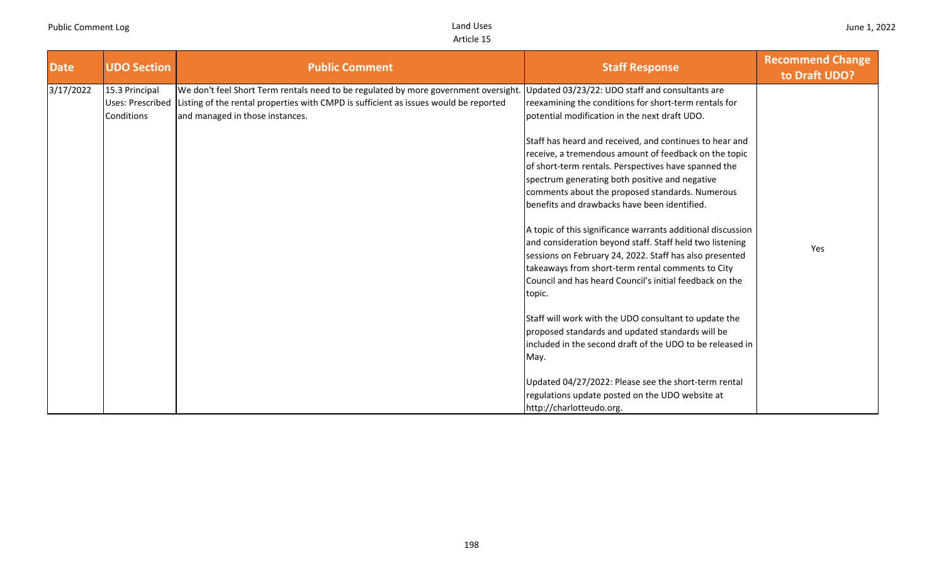| 3/17/2022<br>We don't feel Short Term rentals need to be regulated by more government oversight.<br>15.3 Principal<br>Updated 03/23/22: UDO staff and consultants are                                                                                                                                                                                                                                                                                                                                                                                                                                                                                                                                                                                                                                                                                                                                                                                                                                                                                                                                                                                                                                                                                       | <b>Date</b> | <b>UDO Section</b> | <b>Public Comment</b> | <b>Staff Response</b> | <b>Recommend Change</b><br>to Draft UDO? |
|-------------------------------------------------------------------------------------------------------------------------------------------------------------------------------------------------------------------------------------------------------------------------------------------------------------------------------------------------------------------------------------------------------------------------------------------------------------------------------------------------------------------------------------------------------------------------------------------------------------------------------------------------------------------------------------------------------------------------------------------------------------------------------------------------------------------------------------------------------------------------------------------------------------------------------------------------------------------------------------------------------------------------------------------------------------------------------------------------------------------------------------------------------------------------------------------------------------------------------------------------------------|-------------|--------------------|-----------------------|-----------------------|------------------------------------------|
| <b>Uses: Prescribed</b><br>Listing of the rental properties with CMPD is sufficient as issues would be reported<br>reexamining the conditions for short-term rentals for<br>Conditions<br>and managed in those instances.<br>potential modification in the next draft UDO.<br>Staff has heard and received, and continues to hear and<br>receive, a tremendous amount of feedback on the topic<br>of short-term rentals. Perspectives have spanned the<br>spectrum generating both positive and negative<br>comments about the proposed standards. Numerous<br>benefits and drawbacks have been identified.<br>A topic of this significance warrants additional discussion<br>and consideration beyond staff. Staff held two listening<br>Yes<br>sessions on February 24, 2022. Staff has also presented<br>takeaways from short-term rental comments to City<br>Council and has heard Council's initial feedback on the<br>topic.<br>Staff will work with the UDO consultant to update the<br>proposed standards and updated standards will be<br>included in the second draft of the UDO to be released in<br>May.<br>Updated 04/27/2022: Please see the short-term rental<br>regulations update posted on the UDO website at<br>http://charlotteudo.org. |             |                    |                       |                       |                                          |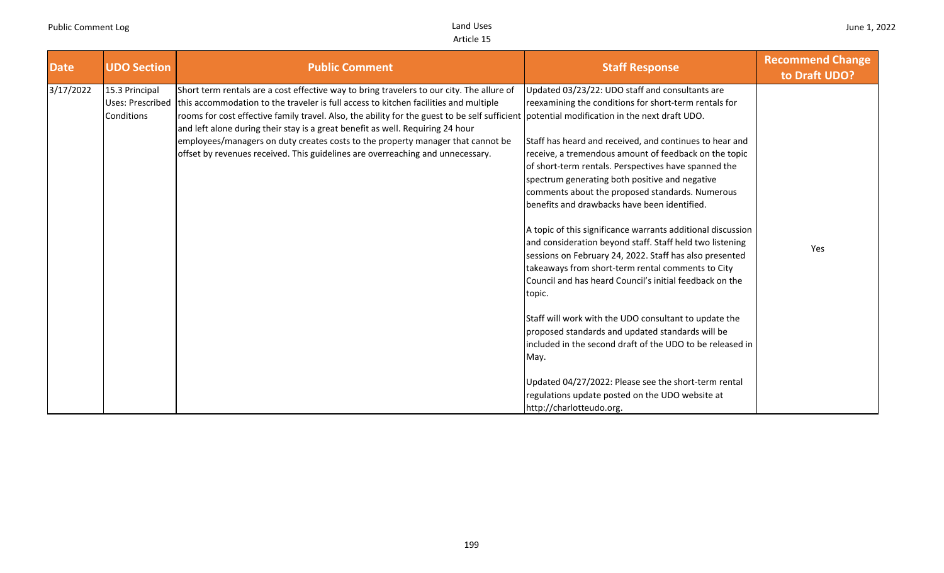| <b>Date</b> | <b>UDO Section</b>           | <b>Public Comment</b>                                                                                                                                                                                                                                                                                                                                                                                                                                                                                                                                                                                    | <b>Staff Response</b>                                                                                                                                                                                                                                                                                                                                                                                                                                                                                                                                                                                                                                                                                                                                                                                                                                                                                                                                                                                                                                                              | <b>Recommend Change</b><br>to Draft UDO? |
|-------------|------------------------------|----------------------------------------------------------------------------------------------------------------------------------------------------------------------------------------------------------------------------------------------------------------------------------------------------------------------------------------------------------------------------------------------------------------------------------------------------------------------------------------------------------------------------------------------------------------------------------------------------------|------------------------------------------------------------------------------------------------------------------------------------------------------------------------------------------------------------------------------------------------------------------------------------------------------------------------------------------------------------------------------------------------------------------------------------------------------------------------------------------------------------------------------------------------------------------------------------------------------------------------------------------------------------------------------------------------------------------------------------------------------------------------------------------------------------------------------------------------------------------------------------------------------------------------------------------------------------------------------------------------------------------------------------------------------------------------------------|------------------------------------------|
| 3/17/2022   | 15.3 Principal<br>Conditions | Short term rentals are a cost effective way to bring travelers to our city. The allure of<br>Uses: Prescribed this accommodation to the traveler is full access to kitchen facilities and multiple<br>rooms for cost effective family travel. Also, the ability for the guest to be self sufficient potential modification in the next draft UDO.<br>and left alone during their stay is a great benefit as well. Requiring 24 hour<br>employees/managers on duty creates costs to the property manager that cannot be<br>offset by revenues received. This guidelines are overreaching and unnecessary. | Updated 03/23/22: UDO staff and consultants are<br>reexamining the conditions for short-term rentals for<br>Staff has heard and received, and continues to hear and<br>receive, a tremendous amount of feedback on the topic<br>of short-term rentals. Perspectives have spanned the<br>spectrum generating both positive and negative<br>comments about the proposed standards. Numerous<br>benefits and drawbacks have been identified.<br>A topic of this significance warrants additional discussion<br>and consideration beyond staff. Staff held two listening<br>sessions on February 24, 2022. Staff has also presented<br>takeaways from short-term rental comments to City<br>Council and has heard Council's initial feedback on the<br>topic.<br>Staff will work with the UDO consultant to update the<br>proposed standards and updated standards will be<br>included in the second draft of the UDO to be released in<br>May.<br>Updated 04/27/2022: Please see the short-term rental<br>regulations update posted on the UDO website at<br>http://charlotteudo.org. | Yes                                      |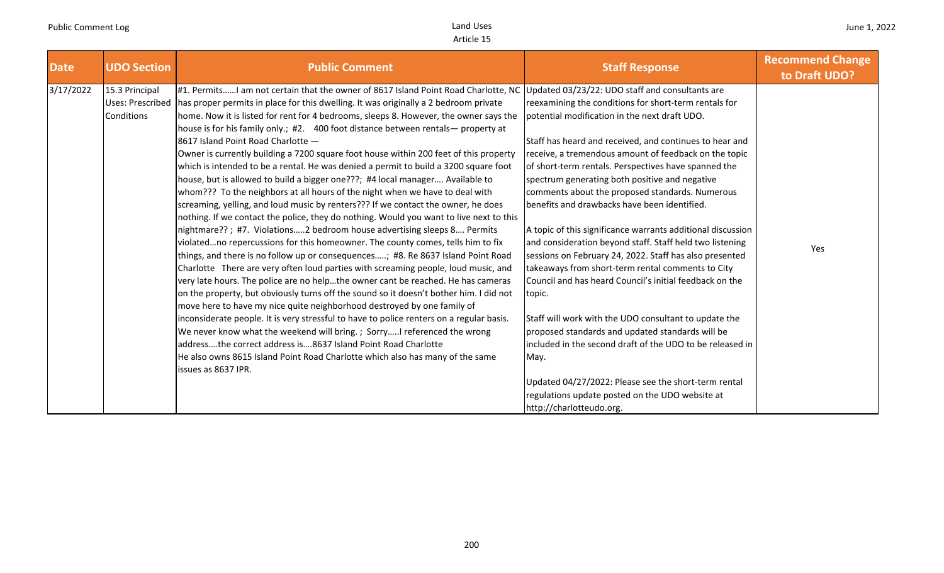| <b>Date</b> | <b>UDO Section</b>                                      | <b>Public Comment</b>                                                                                                                                                                                                                                                                                                                                                                                                                                                                                                                                                                                                                                                                                                                                                                                                                                                                                                                                                                                                                                                                                                                                                                                                                                                                                                                                                                                                                                                                                                                                                                                                                                                                                                                                                                                                                                                              | <b>Staff Response</b>                                                                                                                                                                                                                                                                                                                                                                                                                                                                                                                                                                                                                                                                                                                                                                                                                                                                                                                                                                                                                                                                                                               | <b>Recommend Change</b><br>to Draft UDO? |
|-------------|---------------------------------------------------------|------------------------------------------------------------------------------------------------------------------------------------------------------------------------------------------------------------------------------------------------------------------------------------------------------------------------------------------------------------------------------------------------------------------------------------------------------------------------------------------------------------------------------------------------------------------------------------------------------------------------------------------------------------------------------------------------------------------------------------------------------------------------------------------------------------------------------------------------------------------------------------------------------------------------------------------------------------------------------------------------------------------------------------------------------------------------------------------------------------------------------------------------------------------------------------------------------------------------------------------------------------------------------------------------------------------------------------------------------------------------------------------------------------------------------------------------------------------------------------------------------------------------------------------------------------------------------------------------------------------------------------------------------------------------------------------------------------------------------------------------------------------------------------------------------------------------------------------------------------------------------------|-------------------------------------------------------------------------------------------------------------------------------------------------------------------------------------------------------------------------------------------------------------------------------------------------------------------------------------------------------------------------------------------------------------------------------------------------------------------------------------------------------------------------------------------------------------------------------------------------------------------------------------------------------------------------------------------------------------------------------------------------------------------------------------------------------------------------------------------------------------------------------------------------------------------------------------------------------------------------------------------------------------------------------------------------------------------------------------------------------------------------------------|------------------------------------------|
| 3/17/2022   | 15.3 Principal<br><b>Uses: Prescribed</b><br>Conditions | #1. PermitsI am not certain that the owner of 8617 Island Point Road Charlotte, NC<br>has proper permits in place for this dwelling. It was originally a 2 bedroom private<br>home. Now it is listed for rent for 4 bedrooms, sleeps 8. However, the owner says the<br>house is for his family only.; #2. 400 foot distance between rentals— property at<br>8617 Island Point Road Charlotte -<br>Owner is currently building a 7200 square foot house within 200 feet of this property<br>which is intended to be a rental. He was denied a permit to build a 3200 square foot<br>house, but is allowed to build a bigger one???; #4 local manager Available to<br>whom??? To the neighbors at all hours of the night when we have to deal with<br>screaming, yelling, and loud music by renters??? If we contact the owner, he does<br>nothing. If we contact the police, they do nothing. Would you want to live next to this<br>nightmare??; #7. Violations2 bedroom house advertising sleeps 8 Permits<br>violatedno repercussions for this homeowner. The county comes, tells him to fix<br>things, and there is no follow up or consequences; #8. Re 8637 Island Point Road<br>Charlotte There are very often loud parties with screaming people, loud music, and<br>very late hours. The police are no helpthe owner cant be reached. He has cameras<br>on the property, but obviously turns off the sound so it doesn't bother him. I did not<br>move here to have my nice quite neighborhood destroyed by one family of<br>inconsiderate people. It is very stressful to have to police renters on a regular basis.<br>We never know what the weekend will bring. ; SorryI referenced the wrong<br>addressthe correct address is8637 Island Point Road Charlotte<br>He also owns 8615 Island Point Road Charlotte which also has many of the same<br>issues as 8637 IPR. | Updated 03/23/22: UDO staff and consultants are<br>reexamining the conditions for short-term rentals for<br>potential modification in the next draft UDO.<br>Staff has heard and received, and continues to hear and<br>receive, a tremendous amount of feedback on the topic<br>of short-term rentals. Perspectives have spanned the<br>spectrum generating both positive and negative<br>comments about the proposed standards. Numerous<br>benefits and drawbacks have been identified.<br>A topic of this significance warrants additional discussion<br>and consideration beyond staff. Staff held two listening<br>sessions on February 24, 2022. Staff has also presented<br>takeaways from short-term rental comments to City<br>Council and has heard Council's initial feedback on the<br>topic.<br>Staff will work with the UDO consultant to update the<br>proposed standards and updated standards will be<br>included in the second draft of the UDO to be released in<br>May.<br>Updated 04/27/2022: Please see the short-term rental<br>regulations update posted on the UDO website at<br>http://charlotteudo.org. | Yes                                      |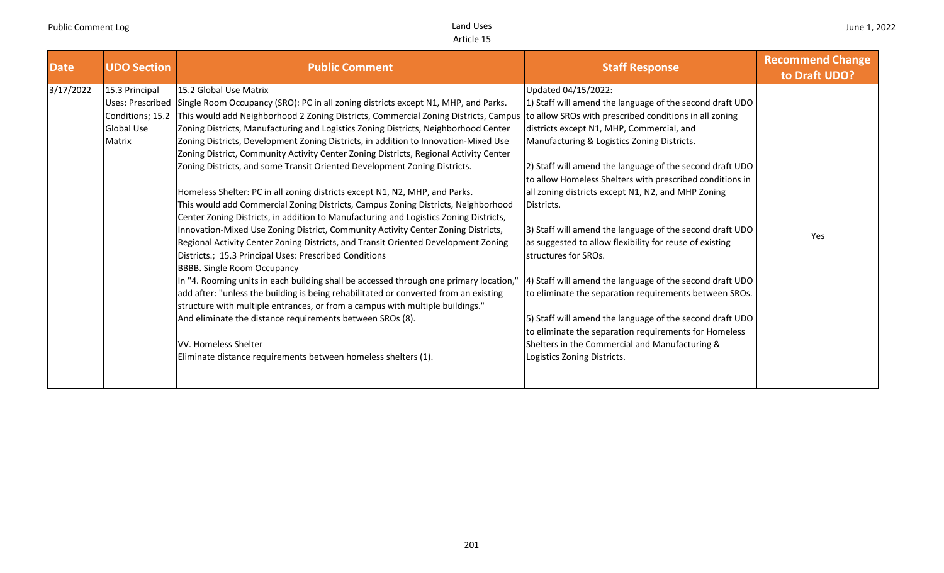| <b>Date</b> | <b>UDO Section</b>                                                                           | <b>Public Comment</b>                                                                                                                                                                                                                                                                                                                                                                                                                    | <b>Staff Response</b>                                                                                                                                                                                                                   | <b>Recommend Change</b><br>to Draft UDO? |
|-------------|----------------------------------------------------------------------------------------------|------------------------------------------------------------------------------------------------------------------------------------------------------------------------------------------------------------------------------------------------------------------------------------------------------------------------------------------------------------------------------------------------------------------------------------------|-----------------------------------------------------------------------------------------------------------------------------------------------------------------------------------------------------------------------------------------|------------------------------------------|
| 3/17/2022   | 15.3 Principal<br><b>Uses: Prescribed</b><br>Conditions; 15.2<br><b>Global Use</b><br>Matrix | 15.2 Global Use Matrix<br>Single Room Occupancy (SRO): PC in all zoning districts except N1, MHP, and Parks.<br>This would add Neighborhood 2 Zoning Districts, Commercial Zoning Districts, Campus to allow SROs with prescribed conditions in all zoning<br>Zoning Districts, Manufacturing and Logistics Zoning Districts, Neighborhood Center<br>Zoning Districts, Development Zoning Districts, in addition to Innovation-Mixed Use | Updated 04/15/2022:<br>1) Staff will amend the language of the second draft UDO<br>districts except N1, MHP, Commercial, and<br>Manufacturing & Logistics Zoning Districts.                                                             |                                          |
|             |                                                                                              | Zoning District, Community Activity Center Zoning Districts, Regional Activity Center<br>Zoning Districts, and some Transit Oriented Development Zoning Districts.<br>Homeless Shelter: PC in all zoning districts except N1, N2, MHP, and Parks.<br>This would add Commercial Zoning Districts, Campus Zoning Districts, Neighborhood                                                                                                   | 2) Staff will amend the language of the second draft UDO<br>to allow Homeless Shelters with prescribed conditions in<br>all zoning districts except N1, N2, and MHP Zoning<br>Districts.                                                |                                          |
|             |                                                                                              | Center Zoning Districts, in addition to Manufacturing and Logistics Zoning Districts,<br>Innovation-Mixed Use Zoning District, Community Activity Center Zoning Districts,<br>Regional Activity Center Zoning Districts, and Transit Oriented Development Zoning<br>Districts.; 15.3 Principal Uses: Prescribed Conditions<br><b>BBBB.</b> Single Room Occupancy                                                                         | 3) Staff will amend the language of the second draft UDO<br>as suggested to allow flexibility for reuse of existing<br>structures for SROs.                                                                                             | Yes                                      |
|             |                                                                                              | In "4. Rooming units in each building shall be accessed through one primary location,"<br>add after: "unless the building is being rehabilitated or converted from an existing<br>structure with multiple entrances, or from a campus with multiple buildings."<br>And eliminate the distance requirements between SROs (8).                                                                                                             | 4) Staff will amend the language of the second draft UDO<br>to eliminate the separation requirements between SROs.<br>5) Staff will amend the language of the second draft UDO<br>to eliminate the separation requirements for Homeless |                                          |
|             |                                                                                              | VV. Homeless Shelter<br>Eliminate distance requirements between homeless shelters (1).                                                                                                                                                                                                                                                                                                                                                   | Shelters in the Commercial and Manufacturing &<br>Logistics Zoning Districts.                                                                                                                                                           |                                          |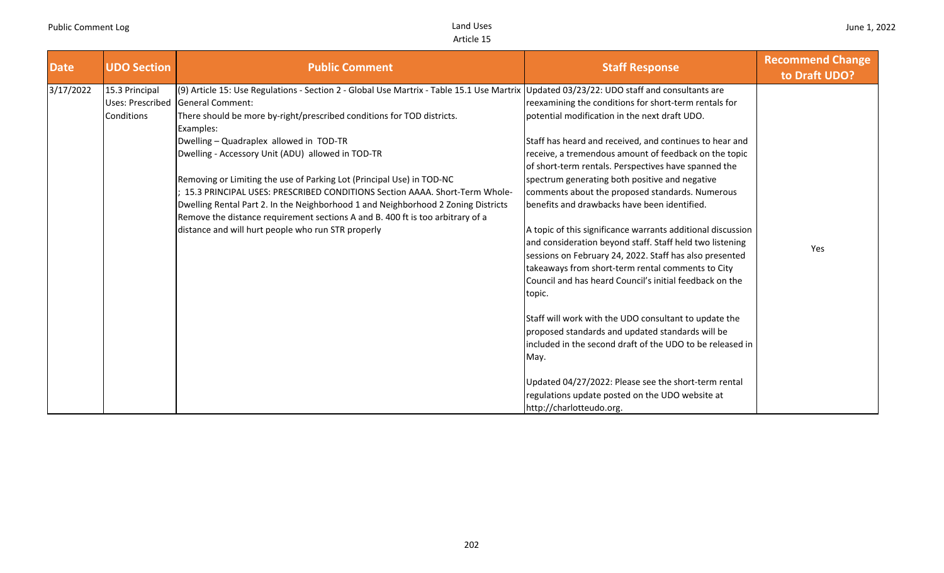| <b>Date</b> | <b>UDO Section</b>                               | <b>Public Comment</b>                                                                                                                                                                                                                                                                                                                                                                                                                                                                                                                                                                                                                                                                                                                           | <b>Staff Response</b>                                                                                                                                                                                                                                                                                                                                                                                                                                                                                                                                                                                                                                                                                                                                                                                                                                                                                                                                                                                                                                                            | <b>Recommend Change</b><br>to Draft UDO? |
|-------------|--------------------------------------------------|-------------------------------------------------------------------------------------------------------------------------------------------------------------------------------------------------------------------------------------------------------------------------------------------------------------------------------------------------------------------------------------------------------------------------------------------------------------------------------------------------------------------------------------------------------------------------------------------------------------------------------------------------------------------------------------------------------------------------------------------------|----------------------------------------------------------------------------------------------------------------------------------------------------------------------------------------------------------------------------------------------------------------------------------------------------------------------------------------------------------------------------------------------------------------------------------------------------------------------------------------------------------------------------------------------------------------------------------------------------------------------------------------------------------------------------------------------------------------------------------------------------------------------------------------------------------------------------------------------------------------------------------------------------------------------------------------------------------------------------------------------------------------------------------------------------------------------------------|------------------------------------------|
| 3/17/2022   | 15.3 Principal<br>Uses: Prescribed<br>Conditions | (9) Article 15: Use Regulations - Section 2 - Global Use Martrix - Table 15.1 Use Martrix Updated 03/23/22: UDO staff and consultants are<br><b>General Comment:</b><br>There should be more by-right/prescribed conditions for TOD districts.<br>Examples:<br>Dwelling - Quadraplex allowed in TOD-TR<br>Dwelling - Accessory Unit (ADU) allowed in TOD-TR<br>Removing or Limiting the use of Parking Lot (Principal Use) in TOD-NC<br>15.3 PRINCIPAL USES: PRESCRIBED CONDITIONS Section AAAA. Short-Term Whole-<br>Dwelling Rental Part 2. In the Neighborhood 1 and Neighborhood 2 Zoning Districts<br>Remove the distance requirement sections A and B. 400 ft is too arbitrary of a<br>distance and will hurt people who run STR properly | reexamining the conditions for short-term rentals for<br>potential modification in the next draft UDO.<br>Staff has heard and received, and continues to hear and<br>receive, a tremendous amount of feedback on the topic<br>of short-term rentals. Perspectives have spanned the<br>spectrum generating both positive and negative<br>comments about the proposed standards. Numerous<br>benefits and drawbacks have been identified.<br>A topic of this significance warrants additional discussion<br>and consideration beyond staff. Staff held two listening<br>sessions on February 24, 2022. Staff has also presented<br>takeaways from short-term rental comments to City<br>Council and has heard Council's initial feedback on the<br>topic.<br>Staff will work with the UDO consultant to update the<br>proposed standards and updated standards will be<br>included in the second draft of the UDO to be released in<br>May.<br>Updated 04/27/2022: Please see the short-term rental<br>regulations update posted on the UDO website at<br>http://charlotteudo.org. | Yes                                      |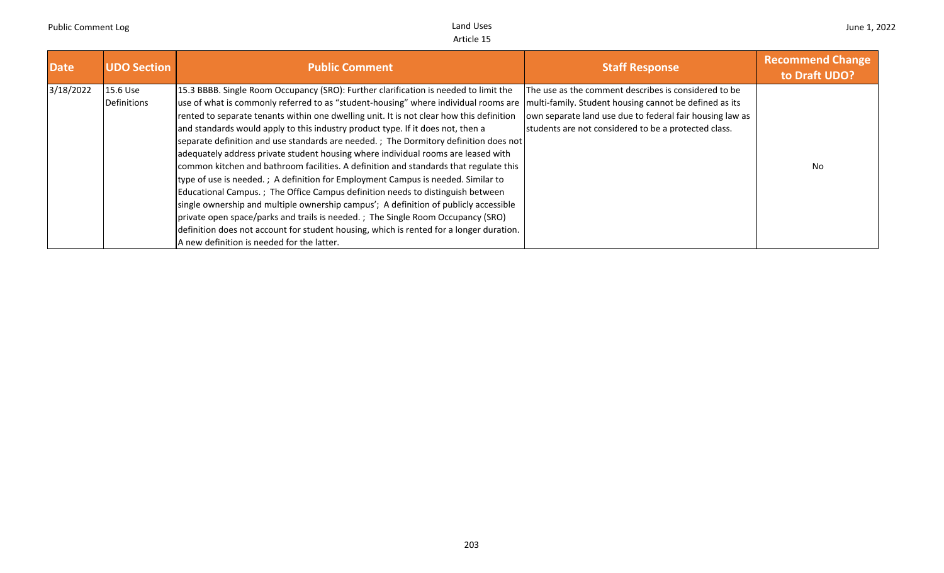| <b>Date</b> | <b>UDO Section</b>      | <b>Public Comment</b>                                                                                                                                                                                                                                                                                                                                                                                                                                                                                                                                                                                                                                                                                                                                                                                                                                                                                                                                                                                                                                                                                                      | <b>Staff Response</b>                                                                                                                                                                                                              | <b>Recommend Change</b><br>to Draft UDO? |
|-------------|-------------------------|----------------------------------------------------------------------------------------------------------------------------------------------------------------------------------------------------------------------------------------------------------------------------------------------------------------------------------------------------------------------------------------------------------------------------------------------------------------------------------------------------------------------------------------------------------------------------------------------------------------------------------------------------------------------------------------------------------------------------------------------------------------------------------------------------------------------------------------------------------------------------------------------------------------------------------------------------------------------------------------------------------------------------------------------------------------------------------------------------------------------------|------------------------------------------------------------------------------------------------------------------------------------------------------------------------------------------------------------------------------------|------------------------------------------|
| 3/18/2022   | 15.6 Use<br>Definitions | 15.3 BBBB. Single Room Occupancy (SRO): Further clarification is needed to limit the<br>use of what is commonly referred to as "student-housing" where individual rooms are<br>rented to separate tenants within one dwelling unit. It is not clear how this definition<br>and standards would apply to this industry product type. If it does not, then a<br>separate definition and use standards are needed.; The Dormitory definition does not<br>adequately address private student housing where individual rooms are leased with<br>common kitchen and bathroom facilities. A definition and standards that regulate this<br>type of use is needed.; A definition for Employment Campus is needed. Similar to<br>Educational Campus.; The Office Campus definition needs to distinguish between<br>single ownership and multiple ownership campus'; A definition of publicly accessible<br>private open space/parks and trails is needed.; The Single Room Occupancy (SRO)<br>definition does not account for student housing, which is rented for a longer duration.<br>A new definition is needed for the latter. | The use as the comment describes is considered to be<br>multi-family. Student housing cannot be defined as its<br>own separate land use due to federal fair housing law as<br>students are not considered to be a protected class. | No                                       |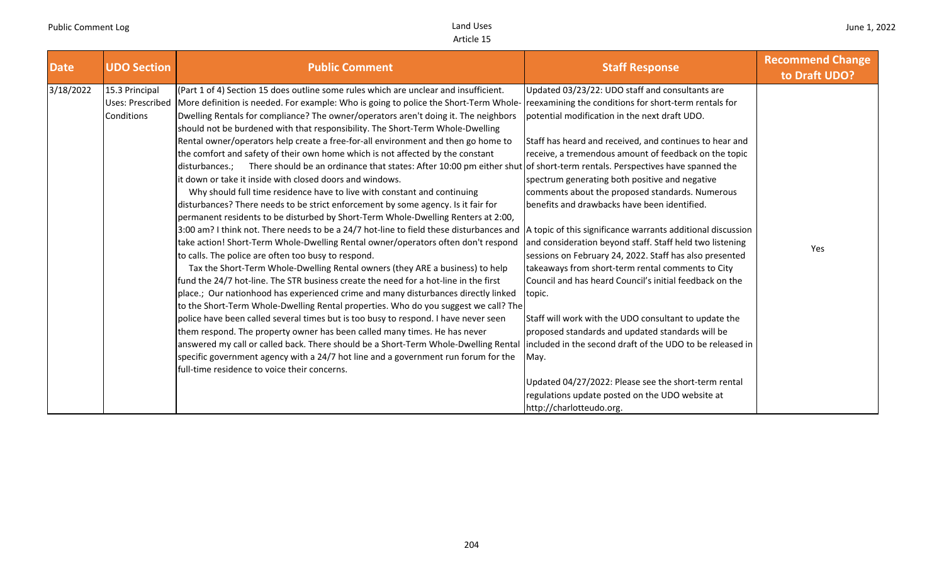| <b>Date</b> | <b>UDO Section</b>                                      | <b>Public Comment</b>                                                                                                                                                                                                                                                                                                                                                                                                                                                                                                                                                                                                                                                                                                                                                                                                                                                                                                                                                                                                                                                                                                                                                                                                                                                                                                                                                                                                                                                                                                                                                                                                                                                                                                                                                                                                                                                                                                                                                                                                                                 | <b>Staff Response</b>                                                                                                                                                                                                                                                                                                                                                                                                                                                                                                                                                                                                                                                                                                                                                                                                                                                                                                                                                                                        | <b>Recommend Change</b><br>to Draft UDO? |
|-------------|---------------------------------------------------------|-------------------------------------------------------------------------------------------------------------------------------------------------------------------------------------------------------------------------------------------------------------------------------------------------------------------------------------------------------------------------------------------------------------------------------------------------------------------------------------------------------------------------------------------------------------------------------------------------------------------------------------------------------------------------------------------------------------------------------------------------------------------------------------------------------------------------------------------------------------------------------------------------------------------------------------------------------------------------------------------------------------------------------------------------------------------------------------------------------------------------------------------------------------------------------------------------------------------------------------------------------------------------------------------------------------------------------------------------------------------------------------------------------------------------------------------------------------------------------------------------------------------------------------------------------------------------------------------------------------------------------------------------------------------------------------------------------------------------------------------------------------------------------------------------------------------------------------------------------------------------------------------------------------------------------------------------------------------------------------------------------------------------------------------------------|--------------------------------------------------------------------------------------------------------------------------------------------------------------------------------------------------------------------------------------------------------------------------------------------------------------------------------------------------------------------------------------------------------------------------------------------------------------------------------------------------------------------------------------------------------------------------------------------------------------------------------------------------------------------------------------------------------------------------------------------------------------------------------------------------------------------------------------------------------------------------------------------------------------------------------------------------------------------------------------------------------------|------------------------------------------|
| 3/18/2022   | 15.3 Principal<br><b>Uses: Prescribed</b><br>Conditions | (Part 1 of 4) Section 15 does outline some rules which are unclear and insufficient.<br>More definition is needed. For example: Who is going to police the Short-Term Whole-<br>Dwelling Rentals for compliance? The owner/operators aren't doing it. The neighbors<br>should not be burdened with that responsibility. The Short-Term Whole-Dwelling<br>Rental owner/operators help create a free-for-all environment and then go home to<br>the comfort and safety of their own home which is not affected by the constant<br>disturbances.; There should be an ordinance that states: After 10:00 pm either shut of short-term rentals. Perspectives have spanned the<br>it down or take it inside with closed doors and windows.<br>Why should full time residence have to live with constant and continuing<br>disturbances? There needs to be strict enforcement by some agency. Is it fair for<br>permanent residents to be disturbed by Short-Term Whole-Dwelling Renters at 2:00,<br>3:00 am? I think not. There needs to be a 24/7 hot-line to field these disturbances and  A topic of this significance warrants additional discussion<br>take action! Short-Term Whole-Dwelling Rental owner/operators often don't respond<br>to calls. The police are often too busy to respond.<br>Tax the Short-Term Whole-Dwelling Rental owners (they ARE a business) to help<br>fund the 24/7 hot-line. The STR business create the need for a hot-line in the first<br>place.; Our nationhood has experienced crime and many disturbances directly linked<br>to the Short-Term Whole-Dwelling Rental properties. Who do you suggest we call? The<br>police have been called several times but is too busy to respond. I have never seen<br>them respond. The property owner has been called many times. He has never<br>answered my call or called back. There should be a Short-Term Whole-Dwelling Rental<br>specific government agency with a 24/7 hot line and a government run forum for the<br>full-time residence to voice their concerns. | Updated 03/23/22: UDO staff and consultants are<br>reexamining the conditions for short-term rentals for<br>potential modification in the next draft UDO.<br>Staff has heard and received, and continues to hear and<br>receive, a tremendous amount of feedback on the topic<br>spectrum generating both positive and negative<br>comments about the proposed standards. Numerous<br>benefits and drawbacks have been identified.<br>and consideration beyond staff. Staff held two listening<br>sessions on February 24, 2022. Staff has also presented<br>takeaways from short-term rental comments to City<br>Council and has heard Council's initial feedback on the<br>topic.<br>Staff will work with the UDO consultant to update the<br>proposed standards and updated standards will be<br>included in the second draft of the UDO to be released in<br>May.<br>Updated 04/27/2022: Please see the short-term rental<br>regulations update posted on the UDO website at<br>http://charlotteudo.org. | Yes                                      |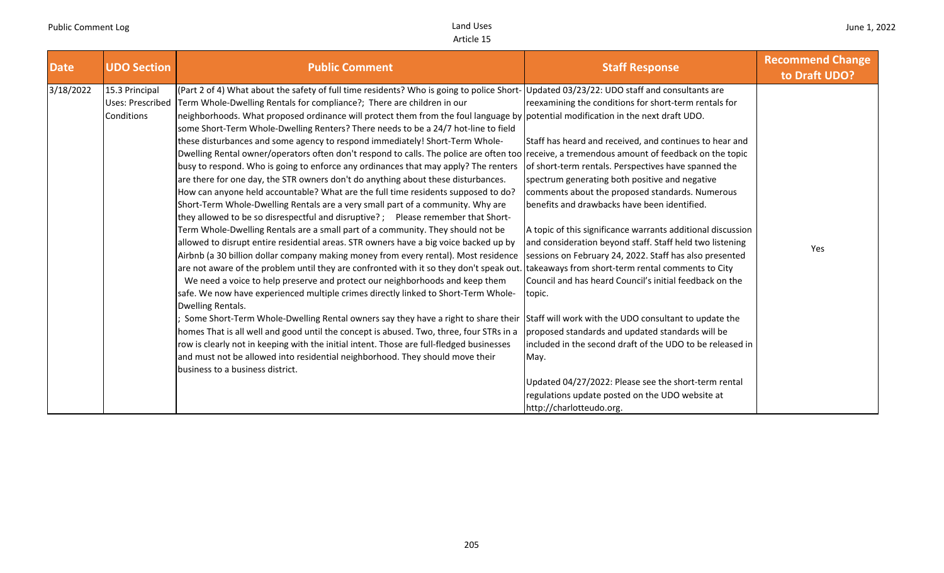| <b>Date</b> | <b>UDO Section</b>                               | <b>Public Comment</b>                                                                                                                                                                                                                                                                                                                                                                                                                                                                                                                                                                                                                                                                                                                                                                                                                                                                                                                                                                                                                                                                                                                                                                                                                                                                                                                                                                                                                                                                                                                                                                                                                                                                                                                                                                                                                                                                                                                                                                                                                                                                                                                                                                   | <b>Staff Response</b>                                                                                                                                                                                                                                                                                                                                                                                                                                                                                                                                                                                                                                                                                                                                                                                                                                    | <b>Recommend Change</b><br>to Draft UDO? |
|-------------|--------------------------------------------------|-----------------------------------------------------------------------------------------------------------------------------------------------------------------------------------------------------------------------------------------------------------------------------------------------------------------------------------------------------------------------------------------------------------------------------------------------------------------------------------------------------------------------------------------------------------------------------------------------------------------------------------------------------------------------------------------------------------------------------------------------------------------------------------------------------------------------------------------------------------------------------------------------------------------------------------------------------------------------------------------------------------------------------------------------------------------------------------------------------------------------------------------------------------------------------------------------------------------------------------------------------------------------------------------------------------------------------------------------------------------------------------------------------------------------------------------------------------------------------------------------------------------------------------------------------------------------------------------------------------------------------------------------------------------------------------------------------------------------------------------------------------------------------------------------------------------------------------------------------------------------------------------------------------------------------------------------------------------------------------------------------------------------------------------------------------------------------------------------------------------------------------------------------------------------------------------|----------------------------------------------------------------------------------------------------------------------------------------------------------------------------------------------------------------------------------------------------------------------------------------------------------------------------------------------------------------------------------------------------------------------------------------------------------------------------------------------------------------------------------------------------------------------------------------------------------------------------------------------------------------------------------------------------------------------------------------------------------------------------------------------------------------------------------------------------------|------------------------------------------|
| 3/18/2022   | 15.3 Principal<br>Uses: Prescribed<br>Conditions | (Part 2 of 4) What about the safety of full time residents? Who is going to police Short- Updated 03/23/22: UDO staff and consultants are<br>Term Whole-Dwelling Rentals for compliance?; There are children in our<br>neighborhoods. What proposed ordinance will protect them from the foul language by potential modification in the next draft UDO.<br>some Short-Term Whole-Dwelling Renters? There needs to be a 24/7 hot-line to field<br>these disturbances and some agency to respond immediately! Short-Term Whole-<br>Dwelling Rental owner/operators often don't respond to calls. The police are often too receive, a tremendous amount of feedback on the topic<br>busy to respond. Who is going to enforce any ordinances that may apply? The renters<br>are there for one day, the STR owners don't do anything about these disturbances.<br>How can anyone held accountable? What are the full time residents supposed to do?<br>Short-Term Whole-Dwelling Rentals are a very small part of a community. Why are<br>they allowed to be so disrespectful and disruptive?; Please remember that Short-<br>Term Whole-Dwelling Rentals are a small part of a community. They should not be<br>allowed to disrupt entire residential areas. STR owners have a big voice backed up by<br>Airbnb (a 30 billion dollar company making money from every rental). Most residence<br>are not aware of the problem until they are confronted with it so they don't speak out. takeaways from short-term rental comments to City<br>We need a voice to help preserve and protect our neighborhoods and keep them<br>safe. We now have experienced multiple crimes directly linked to Short-Term Whole-<br>Dwelling Rentals.<br>Some Short-Term Whole-Dwelling Rental owners say they have a right to share their Staff will work with the UDO consultant to update the<br>homes That is all well and good until the concept is abused. Two, three, four STRs in a<br>row is clearly not in keeping with the initial intent. Those are full-fledged businesses<br>and must not be allowed into residential neighborhood. They should move their<br>business to a business district. | reexamining the conditions for short-term rentals for<br>Staff has heard and received, and continues to hear and<br>of short-term rentals. Perspectives have spanned the<br>spectrum generating both positive and negative<br>comments about the proposed standards. Numerous<br>benefits and drawbacks have been identified.<br>A topic of this significance warrants additional discussion<br>and consideration beyond staff. Staff held two listening<br>sessions on February 24, 2022. Staff has also presented<br>Council and has heard Council's initial feedback on the<br>topic.<br>proposed standards and updated standards will be<br>included in the second draft of the UDO to be released in<br>May.<br>Updated 04/27/2022: Please see the short-term rental<br>regulations update posted on the UDO website at<br>http://charlotteudo.org. | Yes                                      |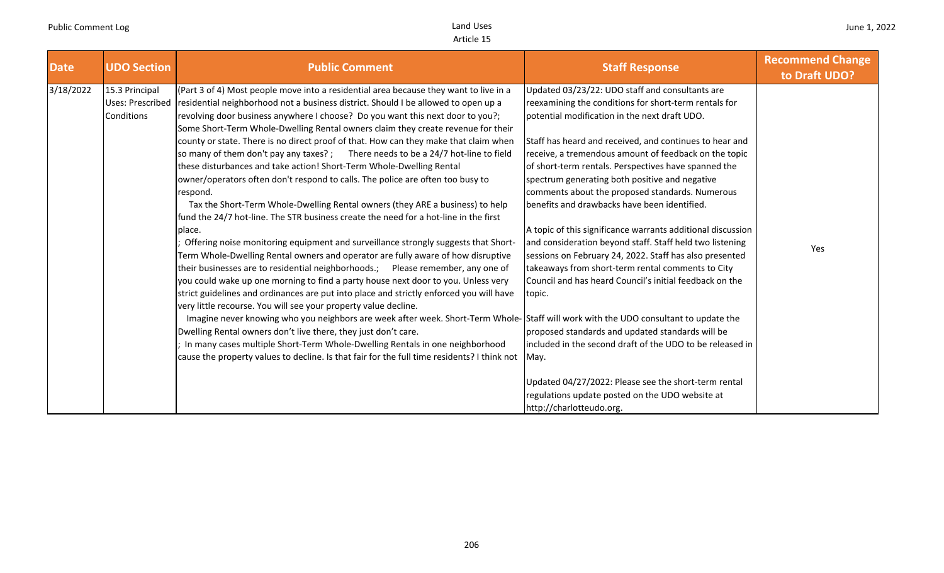| <b>Date</b> | <b>UDO Section</b>                                      | <b>Public Comment</b>                                                                                                                                                                                                                                                                                                                                                                                                                                                                                                                                                                                                                                                                                                                                                                                                                                                                                                                                                                                                                                                                                                                                                                                                                                                                                                                                                                                                                                                                                                                                                                                                                                                                                                                                                                          | <b>Staff Response</b>                                                                                                                                                                                                                                                                                                                                                                                                                                                                                                                                                                                                                                                                                                                                                                                                                                                                                                                                                                                                                                                      | <b>Recommend Change</b><br>to Draft UDO? |
|-------------|---------------------------------------------------------|------------------------------------------------------------------------------------------------------------------------------------------------------------------------------------------------------------------------------------------------------------------------------------------------------------------------------------------------------------------------------------------------------------------------------------------------------------------------------------------------------------------------------------------------------------------------------------------------------------------------------------------------------------------------------------------------------------------------------------------------------------------------------------------------------------------------------------------------------------------------------------------------------------------------------------------------------------------------------------------------------------------------------------------------------------------------------------------------------------------------------------------------------------------------------------------------------------------------------------------------------------------------------------------------------------------------------------------------------------------------------------------------------------------------------------------------------------------------------------------------------------------------------------------------------------------------------------------------------------------------------------------------------------------------------------------------------------------------------------------------------------------------------------------------|----------------------------------------------------------------------------------------------------------------------------------------------------------------------------------------------------------------------------------------------------------------------------------------------------------------------------------------------------------------------------------------------------------------------------------------------------------------------------------------------------------------------------------------------------------------------------------------------------------------------------------------------------------------------------------------------------------------------------------------------------------------------------------------------------------------------------------------------------------------------------------------------------------------------------------------------------------------------------------------------------------------------------------------------------------------------------|------------------------------------------|
| 3/18/2022   | 15.3 Principal<br><b>Uses: Prescribed</b><br>Conditions | (Part 3 of 4) Most people move into a residential area because they want to live in a<br>residential neighborhood not a business district. Should I be allowed to open up a<br>revolving door business anywhere I choose? Do you want this next door to you?;<br>Some Short-Term Whole-Dwelling Rental owners claim they create revenue for their<br>county or state. There is no direct proof of that. How can they make that claim when<br>so many of them don't pay any taxes?; There needs to be a 24/7 hot-line to field<br>these disturbances and take action! Short-Term Whole-Dwelling Rental<br>owner/operators often don't respond to calls. The police are often too busy to<br>respond.<br>Tax the Short-Term Whole-Dwelling Rental owners (they ARE a business) to help<br>fund the 24/7 hot-line. The STR business create the need for a hot-line in the first<br>place.<br>Offering noise monitoring equipment and surveillance strongly suggests that Short-<br>Term Whole-Dwelling Rental owners and operator are fully aware of how disruptive<br>their businesses are to residential neighborhoods.; Please remember, any one of<br>you could wake up one morning to find a party house next door to you. Unless very<br>strict guidelines and ordinances are put into place and strictly enforced you will have<br>very little recourse. You will see your property value decline.<br>Imagine never knowing who you neighbors are week after week. Short-Term Whole-Staff will work with the UDO consultant to update the<br>Dwelling Rental owners don't live there, they just don't care.<br>In many cases multiple Short-Term Whole-Dwelling Rentals in one neighborhood<br>cause the property values to decline. Is that fair for the full time residents? I think not | Updated 03/23/22: UDO staff and consultants are<br>reexamining the conditions for short-term rentals for<br>potential modification in the next draft UDO.<br>Staff has heard and received, and continues to hear and<br>receive, a tremendous amount of feedback on the topic<br>of short-term rentals. Perspectives have spanned the<br>spectrum generating both positive and negative<br>comments about the proposed standards. Numerous<br>benefits and drawbacks have been identified.<br>A topic of this significance warrants additional discussion<br>and consideration beyond staff. Staff held two listening<br>sessions on February 24, 2022. Staff has also presented<br>takeaways from short-term rental comments to City<br>Council and has heard Council's initial feedback on the<br>topic.<br>proposed standards and updated standards will be<br>included in the second draft of the UDO to be released in<br>May.<br>Updated 04/27/2022: Please see the short-term rental<br>regulations update posted on the UDO website at<br>http://charlotteudo.org. | Yes                                      |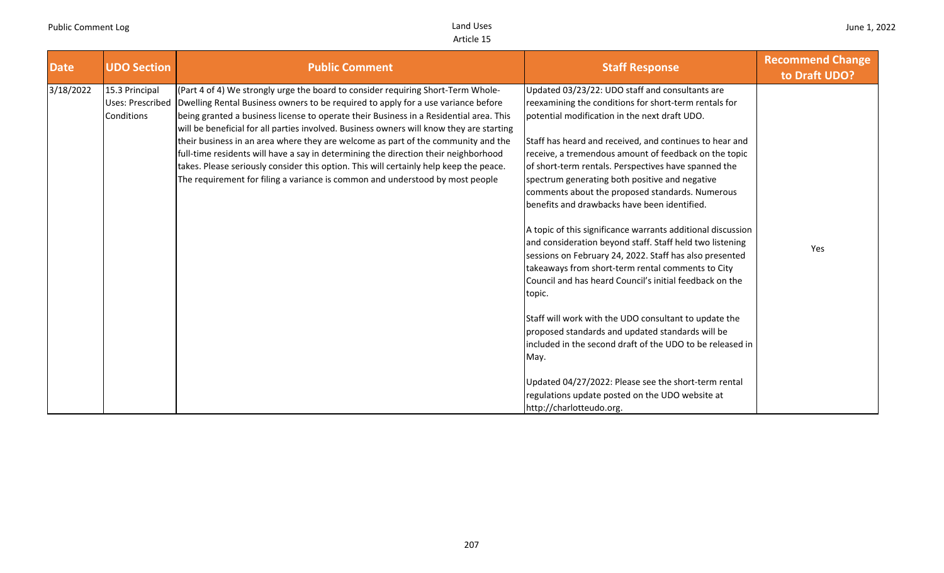| <b>Date</b> | <b>UDO Section</b>                                      | <b>Public Comment</b>                                                                                                                                                                                                                                                                                                                                                                                                                                                                                                                                                                                                                                                                                              | <b>Staff Response</b>                                                                                                                                                                                                                                                                                                                                                                                                                                                                      | <b>Recommend Change</b><br>to Draft UDO? |
|-------------|---------------------------------------------------------|--------------------------------------------------------------------------------------------------------------------------------------------------------------------------------------------------------------------------------------------------------------------------------------------------------------------------------------------------------------------------------------------------------------------------------------------------------------------------------------------------------------------------------------------------------------------------------------------------------------------------------------------------------------------------------------------------------------------|--------------------------------------------------------------------------------------------------------------------------------------------------------------------------------------------------------------------------------------------------------------------------------------------------------------------------------------------------------------------------------------------------------------------------------------------------------------------------------------------|------------------------------------------|
| 3/18/2022   | 15.3 Principal<br><b>Uses: Prescribed</b><br>Conditions | (Part 4 of 4) We strongly urge the board to consider requiring Short-Term Whole-<br>Dwelling Rental Business owners to be required to apply for a use variance before<br>being granted a business license to operate their Business in a Residential area. This<br>will be beneficial for all parties involved. Business owners will know they are starting<br>their business in an area where they are welcome as part of the community and the<br>full-time residents will have a say in determining the direction their neighborhood<br>takes. Please seriously consider this option. This will certainly help keep the peace.<br>The requirement for filing a variance is common and understood by most people | Updated 03/23/22: UDO staff and consultants are<br>reexamining the conditions for short-term rentals for<br>potential modification in the next draft UDO.<br>Staff has heard and received, and continues to hear and<br>receive, a tremendous amount of feedback on the topic<br>of short-term rentals. Perspectives have spanned the<br>spectrum generating both positive and negative<br>comments about the proposed standards. Numerous<br>benefits and drawbacks have been identified. |                                          |
|             |                                                         |                                                                                                                                                                                                                                                                                                                                                                                                                                                                                                                                                                                                                                                                                                                    | A topic of this significance warrants additional discussion<br>and consideration beyond staff. Staff held two listening<br>sessions on February 24, 2022. Staff has also presented<br>takeaways from short-term rental comments to City<br>Council and has heard Council's initial feedback on the<br>topic.                                                                                                                                                                               | Yes                                      |
|             |                                                         |                                                                                                                                                                                                                                                                                                                                                                                                                                                                                                                                                                                                                                                                                                                    | Staff will work with the UDO consultant to update the<br>proposed standards and updated standards will be<br>included in the second draft of the UDO to be released in<br>May.                                                                                                                                                                                                                                                                                                             |                                          |
|             |                                                         |                                                                                                                                                                                                                                                                                                                                                                                                                                                                                                                                                                                                                                                                                                                    | Updated 04/27/2022: Please see the short-term rental<br>regulations update posted on the UDO website at<br>http://charlotteudo.org.                                                                                                                                                                                                                                                                                                                                                        |                                          |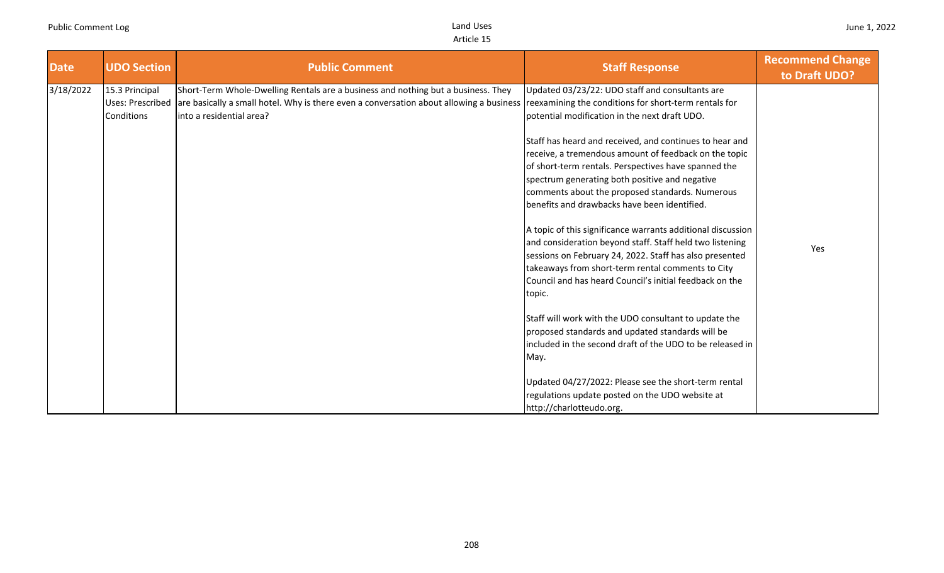| <b>Date</b> | <b>UDO Section</b>                                      | <b>Public Comment</b>                                                                                                                                                                                                                                          | <b>Staff Response</b>                                                                                                                                                                                                                                                                                                                                                                                                                                                                                                                                                                                                                                                        | <b>Recommend Change</b><br>to Draft UDO? |
|-------------|---------------------------------------------------------|----------------------------------------------------------------------------------------------------------------------------------------------------------------------------------------------------------------------------------------------------------------|------------------------------------------------------------------------------------------------------------------------------------------------------------------------------------------------------------------------------------------------------------------------------------------------------------------------------------------------------------------------------------------------------------------------------------------------------------------------------------------------------------------------------------------------------------------------------------------------------------------------------------------------------------------------------|------------------------------------------|
| 3/18/2022   | 15.3 Principal<br><b>Uses: Prescribed</b><br>Conditions | Short-Term Whole-Dwelling Rentals are a business and nothing but a business. They<br>are basically a small hotel. Why is there even a conversation about allowing a business reexamining the conditions for short-term rentals for<br>into a residential area? | Updated 03/23/22: UDO staff and consultants are<br>potential modification in the next draft UDO.<br>Staff has heard and received, and continues to hear and<br>receive, a tremendous amount of feedback on the topic<br>of short-term rentals. Perspectives have spanned the<br>spectrum generating both positive and negative<br>comments about the proposed standards. Numerous<br>benefits and drawbacks have been identified.<br>A topic of this significance warrants additional discussion<br>and consideration beyond staff. Staff held two listening<br>sessions on February 24, 2022. Staff has also presented<br>takeaways from short-term rental comments to City | Yes                                      |
|             |                                                         |                                                                                                                                                                                                                                                                | Council and has heard Council's initial feedback on the<br>topic.<br>Staff will work with the UDO consultant to update the<br>proposed standards and updated standards will be<br>included in the second draft of the UDO to be released in<br>May.<br>Updated 04/27/2022: Please see the short-term rental<br>regulations update posted on the UDO website at<br>http://charlotteudo.org.                                                                                                                                                                                                                                                                                   |                                          |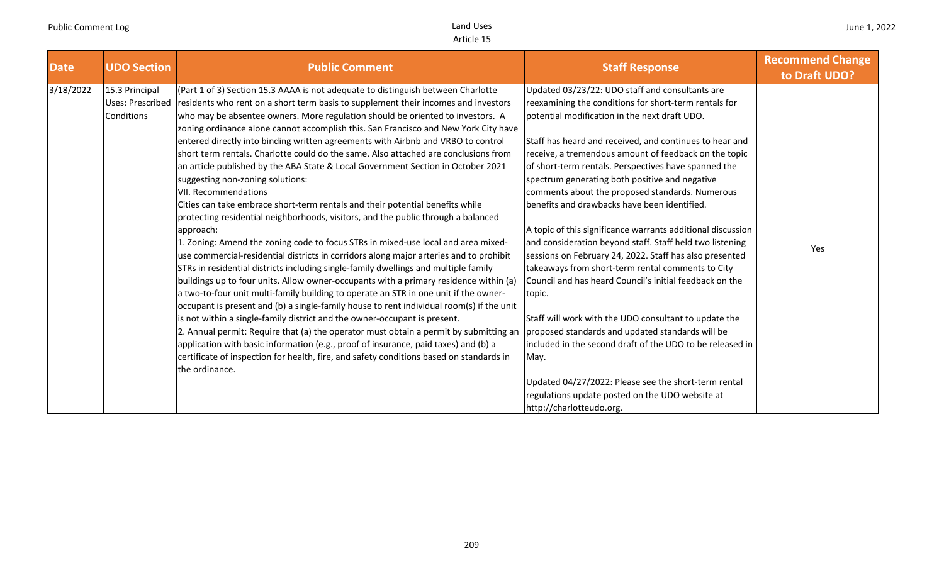| <b>Date</b> | <b>UDO Section</b>                               | <b>Public Comment</b>                                                                                                                                                                                                                                                                                                                                                                                                                                                                                                                                                                                                                                                                                                                                                                                                                                                                                                                                                                                                                                                                                                                                                                                                                                                                                                                                                                                                                                                                                                                                                                                                                                                                                                                                                                             | <b>Staff Response</b>                                                                                                                                                                                                                                                                                                                                                                                                                                                                                                                                                                                                                                                                                                                                                                                                                                                                                                                                                                                                                                                                                                               | <b>Recommend Change</b><br>to Draft UDO? |
|-------------|--------------------------------------------------|---------------------------------------------------------------------------------------------------------------------------------------------------------------------------------------------------------------------------------------------------------------------------------------------------------------------------------------------------------------------------------------------------------------------------------------------------------------------------------------------------------------------------------------------------------------------------------------------------------------------------------------------------------------------------------------------------------------------------------------------------------------------------------------------------------------------------------------------------------------------------------------------------------------------------------------------------------------------------------------------------------------------------------------------------------------------------------------------------------------------------------------------------------------------------------------------------------------------------------------------------------------------------------------------------------------------------------------------------------------------------------------------------------------------------------------------------------------------------------------------------------------------------------------------------------------------------------------------------------------------------------------------------------------------------------------------------------------------------------------------------------------------------------------------------|-------------------------------------------------------------------------------------------------------------------------------------------------------------------------------------------------------------------------------------------------------------------------------------------------------------------------------------------------------------------------------------------------------------------------------------------------------------------------------------------------------------------------------------------------------------------------------------------------------------------------------------------------------------------------------------------------------------------------------------------------------------------------------------------------------------------------------------------------------------------------------------------------------------------------------------------------------------------------------------------------------------------------------------------------------------------------------------------------------------------------------------|------------------------------------------|
| 3/18/2022   | 15.3 Principal<br>Uses: Prescribed<br>Conditions | (Part 1 of 3) Section 15.3 AAAA is not adequate to distinguish between Charlotte<br>residents who rent on a short term basis to supplement their incomes and investors<br>who may be absentee owners. More regulation should be oriented to investors. A<br>zoning ordinance alone cannot accomplish this. San Francisco and New York City have<br>entered directly into binding written agreements with Airbnb and VRBO to control<br>short term rentals. Charlotte could do the same. Also attached are conclusions from<br>an article published by the ABA State & Local Government Section in October 2021<br>suggesting non-zoning solutions:<br><b>VII. Recommendations</b><br>Cities can take embrace short-term rentals and their potential benefits while<br>protecting residential neighborhoods, visitors, and the public through a balanced<br>approach:<br>1. Zoning: Amend the zoning code to focus STRs in mixed-use local and area mixed-<br>use commercial-residential districts in corridors along major arteries and to prohibit<br>STRs in residential districts including single-family dwellings and multiple family<br>buildings up to four units. Allow owner-occupants with a primary residence within (a)<br>a two-to-four unit multi-family building to operate an STR in one unit if the owner-<br>occupant is present and (b) a single-family house to rent individual room(s) if the unit<br>is not within a single-family district and the owner-occupant is present.<br>2. Annual permit: Require that (a) the operator must obtain a permit by submitting an<br>application with basic information (e.g., proof of insurance, paid taxes) and (b) a<br>certificate of inspection for health, fire, and safety conditions based on standards in<br>the ordinance. | Updated 03/23/22: UDO staff and consultants are<br>reexamining the conditions for short-term rentals for<br>potential modification in the next draft UDO.<br>Staff has heard and received, and continues to hear and<br>receive, a tremendous amount of feedback on the topic<br>of short-term rentals. Perspectives have spanned the<br>spectrum generating both positive and negative<br>comments about the proposed standards. Numerous<br>benefits and drawbacks have been identified.<br>A topic of this significance warrants additional discussion<br>and consideration beyond staff. Staff held two listening<br>sessions on February 24, 2022. Staff has also presented<br>takeaways from short-term rental comments to City<br>Council and has heard Council's initial feedback on the<br>topic.<br>Staff will work with the UDO consultant to update the<br>proposed standards and updated standards will be<br>included in the second draft of the UDO to be released in<br>May.<br>Updated 04/27/2022: Please see the short-term rental<br>regulations update posted on the UDO website at<br>http://charlotteudo.org. | Yes                                      |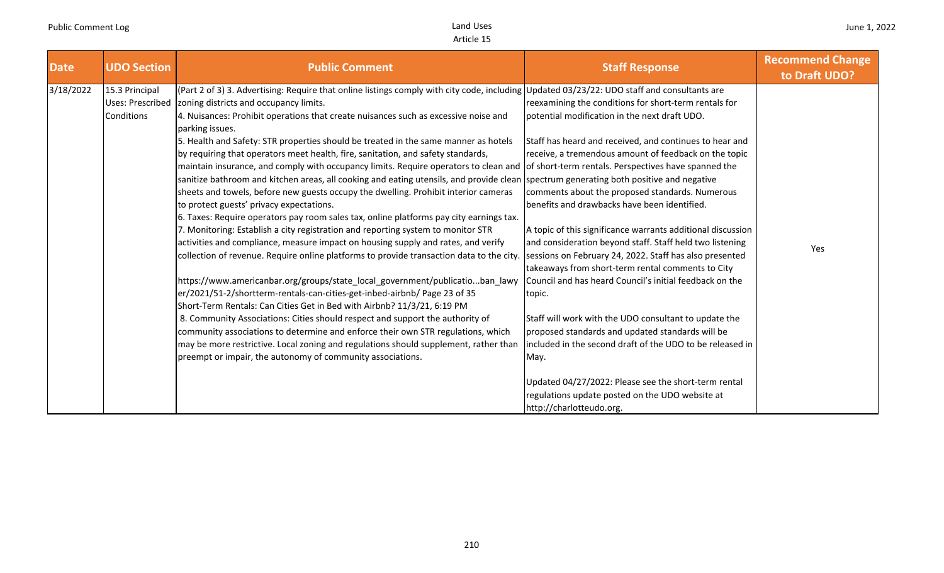| <b>Date</b> | <b>UDO Section</b>                                             | <b>Public Comment</b>                                                                                                                                                                                                                                                                                                                                                                                                                                                                                                                                                                                                                                                                         | <b>Staff Response</b>                                                                                                                                                                                                                   | <b>Recommend Change</b><br>to Draft UDO? |
|-------------|----------------------------------------------------------------|-----------------------------------------------------------------------------------------------------------------------------------------------------------------------------------------------------------------------------------------------------------------------------------------------------------------------------------------------------------------------------------------------------------------------------------------------------------------------------------------------------------------------------------------------------------------------------------------------------------------------------------------------------------------------------------------------|-----------------------------------------------------------------------------------------------------------------------------------------------------------------------------------------------------------------------------------------|------------------------------------------|
| 3/18/2022   | 15.3 Principal<br><b>Uses: Prescribed</b><br><b>Conditions</b> | (Part 2 of 3) 3. Advertising: Require that online listings comply with city code, including Updated 03/23/22: UDO staff and consultants are<br>zoning districts and occupancy limits.<br>4. Nuisances: Prohibit operations that create nuisances such as excessive noise and<br>parking issues.                                                                                                                                                                                                                                                                                                                                                                                               | reexamining the conditions for short-term rentals for<br>potential modification in the next draft UDO.                                                                                                                                  |                                          |
|             |                                                                | 5. Health and Safety: STR properties should be treated in the same manner as hotels<br>by requiring that operators meet health, fire, sanitation, and safety standards,<br>maintain insurance, and comply with occupancy limits. Require operators to clean and of short-term rentals. Perspectives have spanned the<br>sanitize bathroom and kitchen areas, all cooking and eating utensils, and provide clean spectrum generating both positive and negative<br>sheets and towels, before new guests occupy the dwelling. Prohibit interior cameras<br>to protect guests' privacy expectations.<br>[6. Taxes: Require operators pay room sales tax, online platforms pay city earnings tax. | Staff has heard and received, and continues to hear and<br>receive, a tremendous amount of feedback on the topic<br>comments about the proposed standards. Numerous<br>benefits and drawbacks have been identified.                     |                                          |
|             |                                                                | 7. Monitoring: Establish a city registration and reporting system to monitor STR<br>activities and compliance, measure impact on housing supply and rates, and verify<br>collection of revenue. Require online platforms to provide transaction data to the city.                                                                                                                                                                                                                                                                                                                                                                                                                             | A topic of this significance warrants additional discussion<br>and consideration beyond staff. Staff held two listening<br>sessions on February 24, 2022. Staff has also presented<br>takeaways from short-term rental comments to City | Yes                                      |
|             |                                                                | https://www.americanbar.org/groups/state_local_government/publicatioban_lawy<br>er/2021/51-2/shortterm-rentals-can-cities-get-inbed-airbnb/ Page 23 of 35<br>Short-Term Rentals: Can Cities Get in Bed with Airbnb? 11/3/21, 6:19 PM                                                                                                                                                                                                                                                                                                                                                                                                                                                          | Council and has heard Council's initial feedback on the<br>topic.                                                                                                                                                                       |                                          |
|             |                                                                | 8. Community Associations: Cities should respect and support the authority of<br>community associations to determine and enforce their own STR regulations, which<br>may be more restrictive. Local zoning and regulations should supplement, rather than<br>preempt or impair, the autonomy of community associations.                                                                                                                                                                                                                                                                                                                                                                       | Staff will work with the UDO consultant to update the<br>proposed standards and updated standards will be<br>included in the second draft of the UDO to be released in<br>May.                                                          |                                          |
|             |                                                                |                                                                                                                                                                                                                                                                                                                                                                                                                                                                                                                                                                                                                                                                                               | Updated 04/27/2022: Please see the short-term rental<br>regulations update posted on the UDO website at<br>http://charlotteudo.org.                                                                                                     |                                          |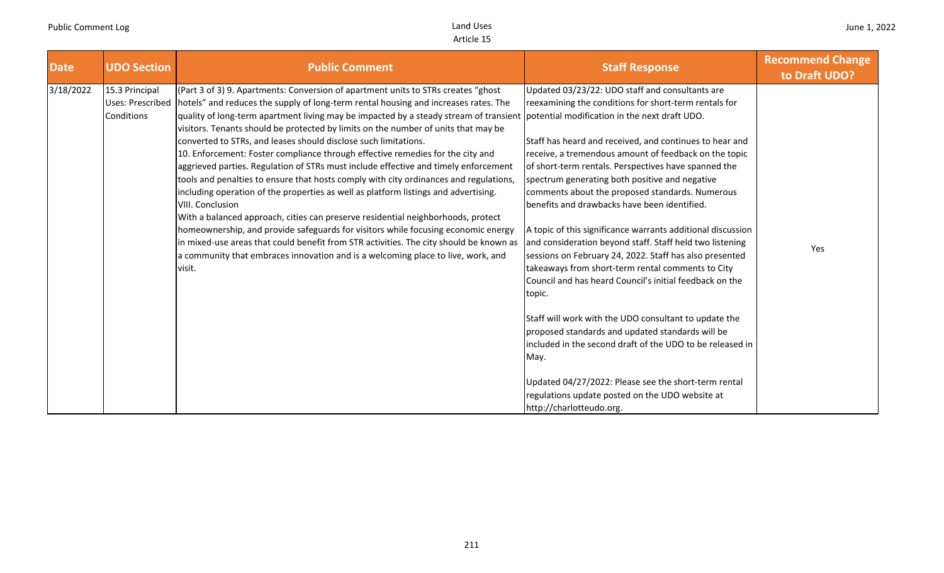| <b>Date</b> | <b>UDO Section</b>                               | <b>Public Comment</b>                                                                                                                                                                                                                                                                                                                                                                                                                                                                                                                                                                                                                                                                                                                                                                                                                                                                                                                                                                                                                                                                                                                                                                                                  | <b>Staff Response</b>                                                                                                                                                                                                                                                                                                                                                                                                                                                                                                                                                                                                                                                                                                                                                                                                                                                                                                                                                                                                                                                              | <b>Recommend Change</b><br>to Draft UDO? |
|-------------|--------------------------------------------------|------------------------------------------------------------------------------------------------------------------------------------------------------------------------------------------------------------------------------------------------------------------------------------------------------------------------------------------------------------------------------------------------------------------------------------------------------------------------------------------------------------------------------------------------------------------------------------------------------------------------------------------------------------------------------------------------------------------------------------------------------------------------------------------------------------------------------------------------------------------------------------------------------------------------------------------------------------------------------------------------------------------------------------------------------------------------------------------------------------------------------------------------------------------------------------------------------------------------|------------------------------------------------------------------------------------------------------------------------------------------------------------------------------------------------------------------------------------------------------------------------------------------------------------------------------------------------------------------------------------------------------------------------------------------------------------------------------------------------------------------------------------------------------------------------------------------------------------------------------------------------------------------------------------------------------------------------------------------------------------------------------------------------------------------------------------------------------------------------------------------------------------------------------------------------------------------------------------------------------------------------------------------------------------------------------------|------------------------------------------|
| 3/18/2022   | 15.3 Principal<br>Uses: Prescribed<br>Conditions | (Part 3 of 3) 9. Apartments: Conversion of apartment units to STRs creates "ghost<br>hotels" and reduces the supply of long-term rental housing and increases rates. The<br>quality of long-term apartment living may be impacted by a steady stream of transient potential modification in the next draft UDO.<br>visitors. Tenants should be protected by limits on the number of units that may be<br>converted to STRs, and leases should disclose such limitations.<br>10. Enforcement: Foster compliance through effective remedies for the city and<br>aggrieved parties. Regulation of STRs must include effective and timely enforcement<br>tools and penalties to ensure that hosts comply with city ordinances and regulations,<br>including operation of the properties as well as platform listings and advertising.<br>VIII. Conclusion<br>With a balanced approach, cities can preserve residential neighborhoods, protect<br>homeownership, and provide safeguards for visitors while focusing economic energy<br>in mixed-use areas that could benefit from STR activities. The city should be known as<br>a community that embraces innovation and is a welcoming place to live, work, and<br>visit. | Updated 03/23/22: UDO staff and consultants are<br>reexamining the conditions for short-term rentals for<br>Staff has heard and received, and continues to hear and<br>receive, a tremendous amount of feedback on the topic<br>of short-term rentals. Perspectives have spanned the<br>spectrum generating both positive and negative<br>comments about the proposed standards. Numerous<br>benefits and drawbacks have been identified.<br>A topic of this significance warrants additional discussion<br>and consideration beyond staff. Staff held two listening<br>sessions on February 24, 2022. Staff has also presented<br>takeaways from short-term rental comments to City<br>Council and has heard Council's initial feedback on the<br>topic.<br>Staff will work with the UDO consultant to update the<br>proposed standards and updated standards will be<br>included in the second draft of the UDO to be released in<br>May.<br>Updated 04/27/2022: Please see the short-term rental<br>regulations update posted on the UDO website at<br>http://charlotteudo.org. | Yes                                      |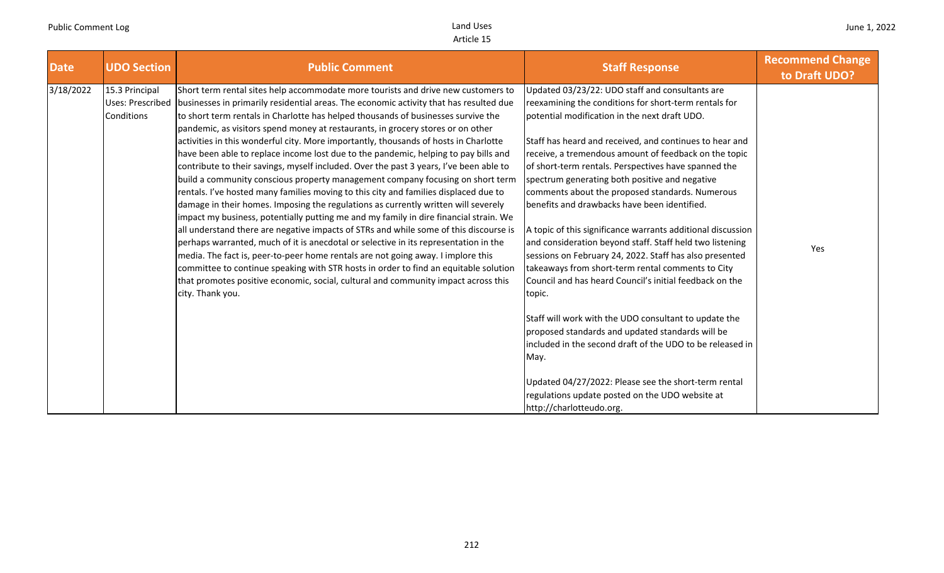| <b>Date</b> | <b>UDO Section</b>                                      | <b>Public Comment</b>                                                                                                                                                                                                                                                                                                                                                                                                                                                                                                                                                                                                                                                                                                                                                                                                                                                                                                                                                                                                                                                                                                                                                                                                                                                                                                                                                                                                                                        | <b>Staff Response</b>                                                                                                                                                                                                                                                                                                                                                                                                                                                                                                                                                                                                                                                                                                                                                                                                                                                                                                                                                                                                                                                                                                               | <b>Recommend Change</b><br>to Draft UDO? |
|-------------|---------------------------------------------------------|--------------------------------------------------------------------------------------------------------------------------------------------------------------------------------------------------------------------------------------------------------------------------------------------------------------------------------------------------------------------------------------------------------------------------------------------------------------------------------------------------------------------------------------------------------------------------------------------------------------------------------------------------------------------------------------------------------------------------------------------------------------------------------------------------------------------------------------------------------------------------------------------------------------------------------------------------------------------------------------------------------------------------------------------------------------------------------------------------------------------------------------------------------------------------------------------------------------------------------------------------------------------------------------------------------------------------------------------------------------------------------------------------------------------------------------------------------------|-------------------------------------------------------------------------------------------------------------------------------------------------------------------------------------------------------------------------------------------------------------------------------------------------------------------------------------------------------------------------------------------------------------------------------------------------------------------------------------------------------------------------------------------------------------------------------------------------------------------------------------------------------------------------------------------------------------------------------------------------------------------------------------------------------------------------------------------------------------------------------------------------------------------------------------------------------------------------------------------------------------------------------------------------------------------------------------------------------------------------------------|------------------------------------------|
| 3/18/2022   | 15.3 Principal<br><b>Uses: Prescribed</b><br>Conditions | Short term rental sites help accommodate more tourists and drive new customers to<br>businesses in primarily residential areas. The economic activity that has resulted due<br>to short term rentals in Charlotte has helped thousands of businesses survive the<br>pandemic, as visitors spend money at restaurants, in grocery stores or on other<br>activities in this wonderful city. More importantly, thousands of hosts in Charlotte<br>have been able to replace income lost due to the pandemic, helping to pay bills and<br>contribute to their savings, myself included. Over the past 3 years, I've been able to<br>build a community conscious property management company focusing on short term<br>rentals. I've hosted many families moving to this city and families displaced due to<br>damage in their homes. Imposing the regulations as currently written will severely<br>impact my business, potentially putting me and my family in dire financial strain. We<br>all understand there are negative impacts of STRs and while some of this discourse is<br>perhaps warranted, much of it is anecdotal or selective in its representation in the<br>media. The fact is, peer-to-peer home rentals are not going away. I implore this<br>committee to continue speaking with STR hosts in order to find an equitable solution<br>that promotes positive economic, social, cultural and community impact across this<br>city. Thank you. | Updated 03/23/22: UDO staff and consultants are<br>reexamining the conditions for short-term rentals for<br>potential modification in the next draft UDO.<br>Staff has heard and received, and continues to hear and<br>receive, a tremendous amount of feedback on the topic<br>of short-term rentals. Perspectives have spanned the<br>spectrum generating both positive and negative<br>comments about the proposed standards. Numerous<br>benefits and drawbacks have been identified.<br>A topic of this significance warrants additional discussion<br>and consideration beyond staff. Staff held two listening<br>sessions on February 24, 2022. Staff has also presented<br>takeaways from short-term rental comments to City<br>Council and has heard Council's initial feedback on the<br>topic.<br>Staff will work with the UDO consultant to update the<br>proposed standards and updated standards will be<br>included in the second draft of the UDO to be released in<br>May.<br>Updated 04/27/2022: Please see the short-term rental<br>regulations update posted on the UDO website at<br>http://charlotteudo.org. | Yes                                      |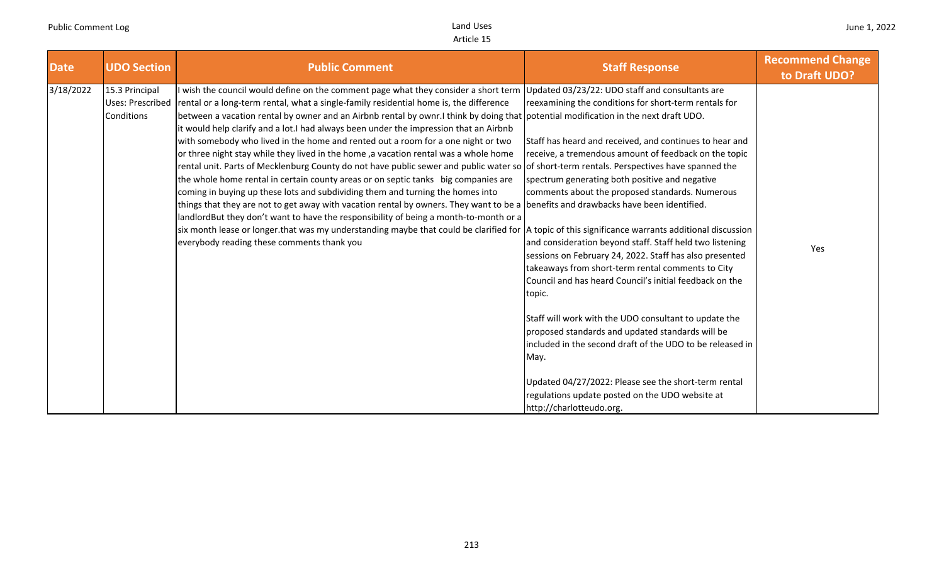| <b>Date</b> | <b>UDO Section</b>                                      | <b>Public Comment</b>                                                                                                                                                                                                                                                                                                                                                                                                                                                                                                                                                                                                                                                                                                                                                                                                                                                                                                                                                                                                                                                                                                                                                                                                                                                                                                                             | <b>Staff Response</b>                                                                                                                                                                                                                                                                                                                                                                                                                                                                                                                                                                                                                                                                                                                                                                                                                                                                                       | <b>Recommend Change</b><br>to Draft UDO? |
|-------------|---------------------------------------------------------|---------------------------------------------------------------------------------------------------------------------------------------------------------------------------------------------------------------------------------------------------------------------------------------------------------------------------------------------------------------------------------------------------------------------------------------------------------------------------------------------------------------------------------------------------------------------------------------------------------------------------------------------------------------------------------------------------------------------------------------------------------------------------------------------------------------------------------------------------------------------------------------------------------------------------------------------------------------------------------------------------------------------------------------------------------------------------------------------------------------------------------------------------------------------------------------------------------------------------------------------------------------------------------------------------------------------------------------------------|-------------------------------------------------------------------------------------------------------------------------------------------------------------------------------------------------------------------------------------------------------------------------------------------------------------------------------------------------------------------------------------------------------------------------------------------------------------------------------------------------------------------------------------------------------------------------------------------------------------------------------------------------------------------------------------------------------------------------------------------------------------------------------------------------------------------------------------------------------------------------------------------------------------|------------------------------------------|
| 3/18/2022   | 15.3 Principal<br><b>Uses: Prescribed</b><br>Conditions | wish the council would define on the comment page what they consider a short term<br>rental or a long-term rental, what a single-family residential home is, the difference<br>between a vacation rental by owner and an Airbnb rental by ownr.I think by doing that potential modification in the next draft UDO.<br>it would help clarify and a lot.I had always been under the impression that an Airbnb<br>with somebody who lived in the home and rented out a room for a one night or two<br>or three night stay while they lived in the home, a vacation rental was a whole home<br>rental unit. Parts of Mecklenburg County do not have public sewer and public water so of short-term rentals. Perspectives have spanned the<br>the whole home rental in certain county areas or on septic tanks big companies are<br>coming in buying up these lots and subdividing them and turning the homes into<br>things that they are not to get away with vacation rental by owners. They want to be a benefits and drawbacks have been identified.<br>landlordBut they don't want to have the responsibility of being a month-to-month or a<br>six month lease or longer that was my understanding maybe that could be clarified for  A topic of this significance warrants additional discussion<br>everybody reading these comments thank you | Updated 03/23/22: UDO staff and consultants are<br>reexamining the conditions for short-term rentals for<br>Staff has heard and received, and continues to hear and<br>receive, a tremendous amount of feedback on the topic<br>spectrum generating both positive and negative<br>comments about the proposed standards. Numerous<br>and consideration beyond staff. Staff held two listening<br>sessions on February 24, 2022. Staff has also presented<br>takeaways from short-term rental comments to City<br>Council and has heard Council's initial feedback on the<br>topic.<br>Staff will work with the UDO consultant to update the<br>proposed standards and updated standards will be<br>included in the second draft of the UDO to be released in<br>May.<br>Updated 04/27/2022: Please see the short-term rental<br>regulations update posted on the UDO website at<br>http://charlotteudo.org. | Yes                                      |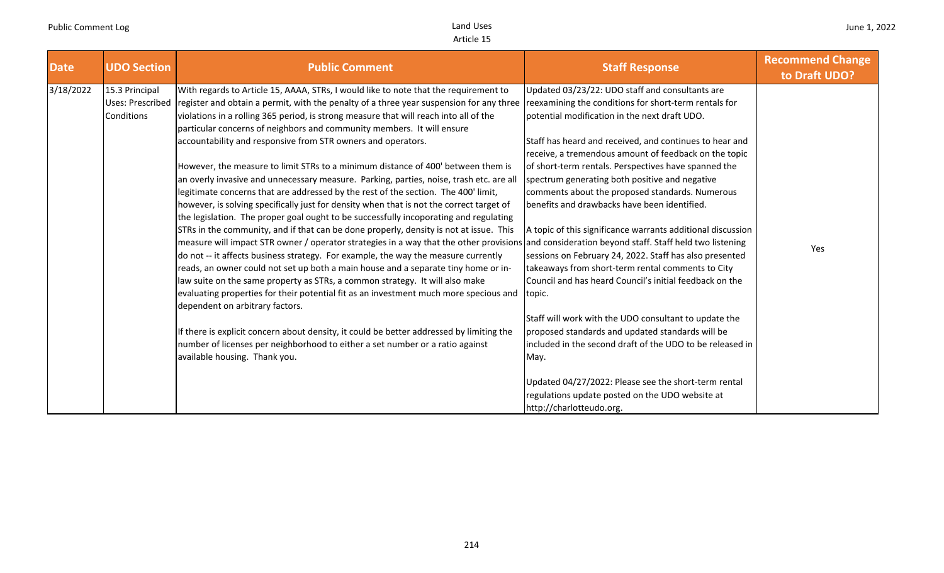| <b>Date</b><br><b>UDO Section</b>                             | <b>Public Comment</b>                                                                                                                                                                                                                                                                                                                                                                                                                                                                                                                                                                                                                                                                                                                                                                                                                                                                                                                                                                                                                                                                                                                                                                                                                                                                                                                                                                                                                                                                                                                                                                                                                                                                                                           | <b>Staff Response</b>                                                                                                                                                                                                                                                                                                                                                                                                                                                                                                                                                                                                                                                                                                                                                                                                                                                                                                                                                                                                                                                   | <b>Recommend Change</b><br>to Draft UDO? |
|---------------------------------------------------------------|---------------------------------------------------------------------------------------------------------------------------------------------------------------------------------------------------------------------------------------------------------------------------------------------------------------------------------------------------------------------------------------------------------------------------------------------------------------------------------------------------------------------------------------------------------------------------------------------------------------------------------------------------------------------------------------------------------------------------------------------------------------------------------------------------------------------------------------------------------------------------------------------------------------------------------------------------------------------------------------------------------------------------------------------------------------------------------------------------------------------------------------------------------------------------------------------------------------------------------------------------------------------------------------------------------------------------------------------------------------------------------------------------------------------------------------------------------------------------------------------------------------------------------------------------------------------------------------------------------------------------------------------------------------------------------------------------------------------------------|-------------------------------------------------------------------------------------------------------------------------------------------------------------------------------------------------------------------------------------------------------------------------------------------------------------------------------------------------------------------------------------------------------------------------------------------------------------------------------------------------------------------------------------------------------------------------------------------------------------------------------------------------------------------------------------------------------------------------------------------------------------------------------------------------------------------------------------------------------------------------------------------------------------------------------------------------------------------------------------------------------------------------------------------------------------------------|------------------------------------------|
| 3/18/2022<br>15.3 Principal<br>Uses: Prescribed<br>Conditions | With regards to Article 15, AAAA, STRs, I would like to note that the requirement to<br>register and obtain a permit, with the penalty of a three year suspension for any three<br>violations in a rolling 365 period, is strong measure that will reach into all of the<br>particular concerns of neighbors and community members. It will ensure<br>accountability and responsive from STR owners and operators.<br>However, the measure to limit STRs to a minimum distance of 400' between them is<br>an overly invasive and unnecessary measure. Parking, parties, noise, trash etc. are all<br>legitimate concerns that are addressed by the rest of the section. The 400' limit,<br>however, is solving specifically just for density when that is not the correct target of<br>the legislation. The proper goal ought to be successfully incoporating and regulating<br>STRs in the community, and if that can be done properly, density is not at issue. This<br>measure will impact STR owner / operator strategies in a way that the other provisions and consideration beyond staff. Staff held two listening<br>do not -- it affects business strategy. For example, the way the measure currently<br>reads, an owner could not set up both a main house and a separate tiny home or in-<br>law suite on the same property as STRs, a common strategy. It will also make<br>evaluating properties for their potential fit as an investment much more specious and<br>dependent on arbitrary factors.<br>If there is explicit concern about density, it could be better addressed by limiting the<br>number of licenses per neighborhood to either a set number or a ratio against<br>available housing. Thank you. | Updated 03/23/22: UDO staff and consultants are<br>reexamining the conditions for short-term rentals for<br>potential modification in the next draft UDO.<br>Staff has heard and received, and continues to hear and<br>receive, a tremendous amount of feedback on the topic<br>of short-term rentals. Perspectives have spanned the<br>spectrum generating both positive and negative<br>comments about the proposed standards. Numerous<br>benefits and drawbacks have been identified.<br>A topic of this significance warrants additional discussion<br>sessions on February 24, 2022. Staff has also presented<br>takeaways from short-term rental comments to City<br>Council and has heard Council's initial feedback on the<br>topic.<br>Staff will work with the UDO consultant to update the<br>proposed standards and updated standards will be<br>included in the second draft of the UDO to be released in<br>May.<br>Updated 04/27/2022: Please see the short-term rental<br>regulations update posted on the UDO website at<br>http://charlotteudo.org. | Yes                                      |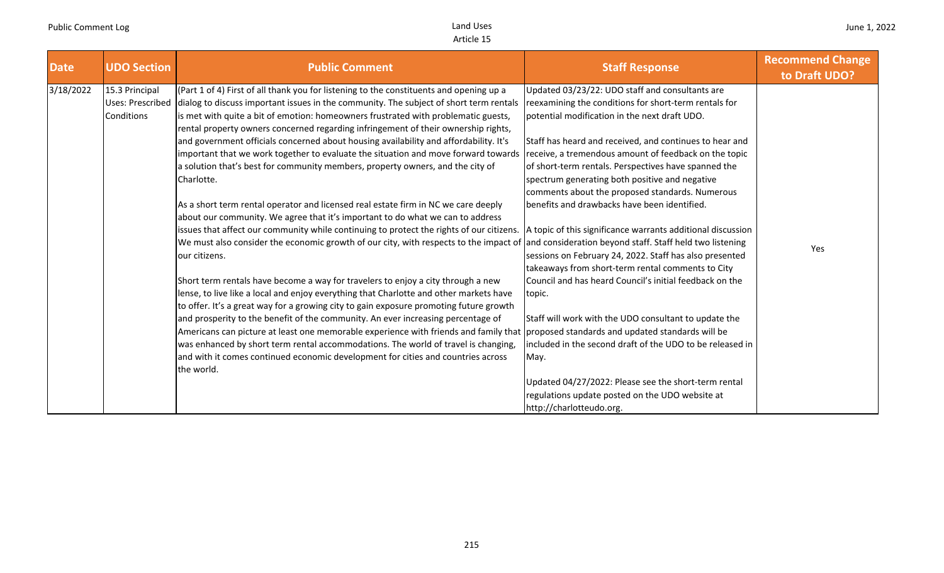| <b>Date</b><br><b>UDO Section</b>                                    | <b>Public Comment</b>                                                                                                                                                                                                                                                                                                                                                                                                                                                                                                                                                                                                                                                                                                                                                                                                                                                                                                                                                                                                                                                                                                                                                                                                                                                                                                                                                                                                                                                                                                                                                                                                                                                                                                                                                                                                                        | <b>Staff Response</b>                                                                                                                                                                                                                                                                                                                                                                                                                                                                                                                                                                                                                                                                                                                                                                                                                                                                                                                                | <b>Recommend Change</b><br>to Draft UDO? |
|----------------------------------------------------------------------|----------------------------------------------------------------------------------------------------------------------------------------------------------------------------------------------------------------------------------------------------------------------------------------------------------------------------------------------------------------------------------------------------------------------------------------------------------------------------------------------------------------------------------------------------------------------------------------------------------------------------------------------------------------------------------------------------------------------------------------------------------------------------------------------------------------------------------------------------------------------------------------------------------------------------------------------------------------------------------------------------------------------------------------------------------------------------------------------------------------------------------------------------------------------------------------------------------------------------------------------------------------------------------------------------------------------------------------------------------------------------------------------------------------------------------------------------------------------------------------------------------------------------------------------------------------------------------------------------------------------------------------------------------------------------------------------------------------------------------------------------------------------------------------------------------------------------------------------|------------------------------------------------------------------------------------------------------------------------------------------------------------------------------------------------------------------------------------------------------------------------------------------------------------------------------------------------------------------------------------------------------------------------------------------------------------------------------------------------------------------------------------------------------------------------------------------------------------------------------------------------------------------------------------------------------------------------------------------------------------------------------------------------------------------------------------------------------------------------------------------------------------------------------------------------------|------------------------------------------|
| 3/18/2022<br>15.3 Principal<br><b>Uses: Prescribed</b><br>Conditions | (Part 1 of 4) First of all thank you for listening to the constituents and opening up a<br>dialog to discuss important issues in the community. The subject of short term rentals<br>is met with quite a bit of emotion: homeowners frustrated with problematic guests,<br>rental property owners concerned regarding infringement of their ownership rights,<br>and government officials concerned about housing availability and affordability. It's<br>important that we work together to evaluate the situation and move forward towards<br>a solution that's best for community members, property owners, and the city of<br>Charlotte.<br>As a short term rental operator and licensed real estate firm in NC we care deeply<br>about our community. We agree that it's important to do what we can to address<br>issues that affect our community while continuing to protect the rights of our citizens. A topic of this significance warrants additional discussion<br>We must also consider the economic growth of our city, with respects to the impact of and consideration beyond staff. Staff held two listening<br>our citizens.<br>Short term rentals have become a way for travelers to enjoy a city through a new<br>lense, to live like a local and enjoy everything that Charlotte and other markets have<br>to offer. It's a great way for a growing city to gain exposure promoting future growth<br>and prosperity to the benefit of the community. An ever increasing percentage of<br>Americans can picture at least one memorable experience with friends and family that proposed standards and updated standards will be<br>was enhanced by short term rental accommodations. The world of travel is changing,<br>and with it comes continued economic development for cities and countries across<br>the world. | Updated 03/23/22: UDO staff and consultants are<br>reexamining the conditions for short-term rentals for<br>potential modification in the next draft UDO.<br>Staff has heard and received, and continues to hear and<br>receive, a tremendous amount of feedback on the topic<br>of short-term rentals. Perspectives have spanned the<br>spectrum generating both positive and negative<br>comments about the proposed standards. Numerous<br>benefits and drawbacks have been identified.<br>sessions on February 24, 2022. Staff has also presented<br>takeaways from short-term rental comments to City<br>Council and has heard Council's initial feedback on the<br>topic.<br>Staff will work with the UDO consultant to update the<br>included in the second draft of the UDO to be released in<br>May.<br>Updated 04/27/2022: Please see the short-term rental<br>regulations update posted on the UDO website at<br>http://charlotteudo.org. | Yes                                      |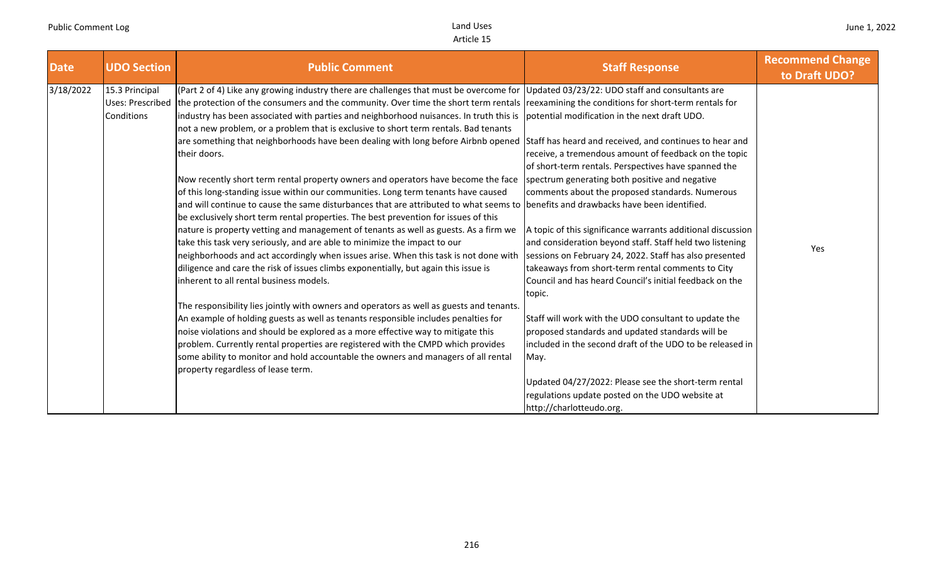| <b>Date</b> | <b>UDO Section</b>                               | <b>Public Comment</b>                                                                                                                                                                                                                                                                                                                                                                                                                                                                                                                                                                                                                                                                                                                                                                                                                                                                                                                                                                                                                                                                                                                                                                                                                                                                                                                                                                                                                                                                                                                                                                                                                                                                                                                                                                                                                                                                                                | <b>Staff Response</b>                                                                                                                                                                                                                                                                                                                                                                                                                                                                                                                                                                                                                                                                                                                                                                                                                                                                                                  | <b>Recommend Change</b><br>to Draft UDO? |
|-------------|--------------------------------------------------|----------------------------------------------------------------------------------------------------------------------------------------------------------------------------------------------------------------------------------------------------------------------------------------------------------------------------------------------------------------------------------------------------------------------------------------------------------------------------------------------------------------------------------------------------------------------------------------------------------------------------------------------------------------------------------------------------------------------------------------------------------------------------------------------------------------------------------------------------------------------------------------------------------------------------------------------------------------------------------------------------------------------------------------------------------------------------------------------------------------------------------------------------------------------------------------------------------------------------------------------------------------------------------------------------------------------------------------------------------------------------------------------------------------------------------------------------------------------------------------------------------------------------------------------------------------------------------------------------------------------------------------------------------------------------------------------------------------------------------------------------------------------------------------------------------------------------------------------------------------------------------------------------------------------|------------------------------------------------------------------------------------------------------------------------------------------------------------------------------------------------------------------------------------------------------------------------------------------------------------------------------------------------------------------------------------------------------------------------------------------------------------------------------------------------------------------------------------------------------------------------------------------------------------------------------------------------------------------------------------------------------------------------------------------------------------------------------------------------------------------------------------------------------------------------------------------------------------------------|------------------------------------------|
| 3/18/2022   | 15.3 Principal<br>Uses: Prescribed<br>Conditions | (Part 2 of 4) Like any growing industry there are challenges that must be overcome for Updated 03/23/22: UDO staff and consultants are<br>the protection of the consumers and the community. Over time the short term rentals reexamining the conditions for short-term rentals for<br>industry has been associated with parties and neighborhood nuisances. In truth this is potential modification in the next draft UDO.<br>not a new problem, or a problem that is exclusive to short term rentals. Bad tenants<br>are something that neighborhoods have been dealing with long before Airbnb opened<br>their doors.<br>Now recently short term rental property owners and operators have become the face<br>of this long-standing issue within our communities. Long term tenants have caused<br>and will continue to cause the same disturbances that are attributed to what seems to benefits and drawbacks have been identified.<br>be exclusively short term rental properties. The best prevention for issues of this<br>nature is property vetting and management of tenants as well as guests. As a firm we<br>take this task very seriously, and are able to minimize the impact to our<br>neighborhoods and act accordingly when issues arise. When this task is not done with<br>diligence and care the risk of issues climbs exponentially, but again this issue is<br>inherent to all rental business models.<br>The responsibility lies jointly with owners and operators as well as guests and tenants.<br>An example of holding guests as well as tenants responsible includes penalties for<br>noise violations and should be explored as a more effective way to mitigate this<br>problem. Currently rental properties are registered with the CMPD which provides<br>some ability to monitor and hold accountable the owners and managers of all rental<br>property regardless of lease term. | Staff has heard and received, and continues to hear and<br>receive, a tremendous amount of feedback on the topic<br>of short-term rentals. Perspectives have spanned the<br>spectrum generating both positive and negative<br>comments about the proposed standards. Numerous<br>A topic of this significance warrants additional discussion<br>and consideration beyond staff. Staff held two listening<br>sessions on February 24, 2022. Staff has also presented<br>takeaways from short-term rental comments to City<br>Council and has heard Council's initial feedback on the<br>topic.<br>Staff will work with the UDO consultant to update the<br>proposed standards and updated standards will be<br>included in the second draft of the UDO to be released in<br>May.<br>Updated 04/27/2022: Please see the short-term rental<br>regulations update posted on the UDO website at<br>http://charlotteudo.org. | Yes                                      |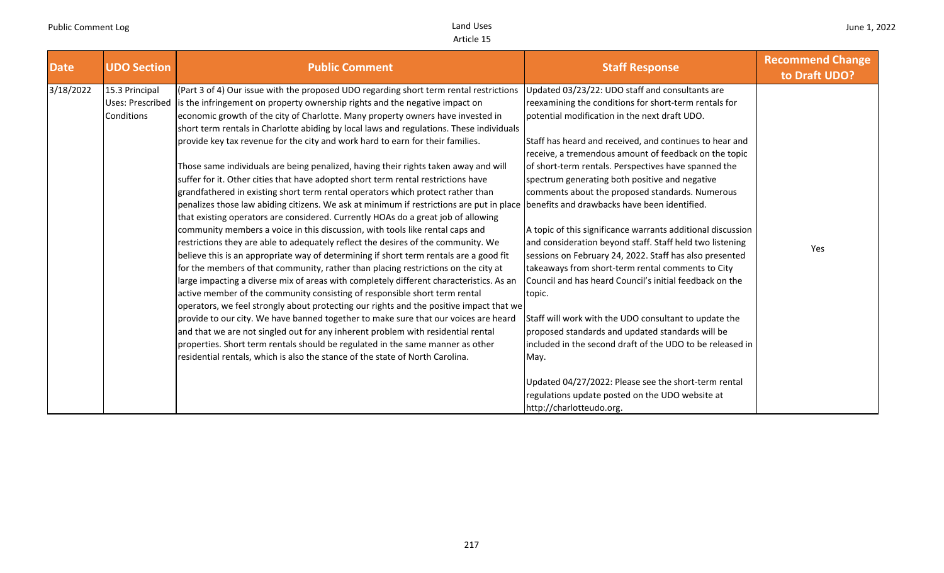| <b>Date</b> | <b>UDO Section</b>           | <b>Public Comment</b>                                                                                                                                                                                                                                                                                                                                                                                                                                                                                                                                                                                                                                                                                                                                                                                                                                                                                                                                                                                                                                                                                                                                                                                                                                                                                                                                                                                                                                                                                                                                                                                                                                                                                                                                                                                                                                                           | <b>Staff Response</b>                                                                                                                                                                                                                                                                                                                                                                                                                                                                                                                                                                                                                                                                                                                                                                                                                                                                                                                                                                                                                                                                                                               | <b>Recommend Change</b><br>to Draft UDO? |
|-------------|------------------------------|---------------------------------------------------------------------------------------------------------------------------------------------------------------------------------------------------------------------------------------------------------------------------------------------------------------------------------------------------------------------------------------------------------------------------------------------------------------------------------------------------------------------------------------------------------------------------------------------------------------------------------------------------------------------------------------------------------------------------------------------------------------------------------------------------------------------------------------------------------------------------------------------------------------------------------------------------------------------------------------------------------------------------------------------------------------------------------------------------------------------------------------------------------------------------------------------------------------------------------------------------------------------------------------------------------------------------------------------------------------------------------------------------------------------------------------------------------------------------------------------------------------------------------------------------------------------------------------------------------------------------------------------------------------------------------------------------------------------------------------------------------------------------------------------------------------------------------------------------------------------------------|-------------------------------------------------------------------------------------------------------------------------------------------------------------------------------------------------------------------------------------------------------------------------------------------------------------------------------------------------------------------------------------------------------------------------------------------------------------------------------------------------------------------------------------------------------------------------------------------------------------------------------------------------------------------------------------------------------------------------------------------------------------------------------------------------------------------------------------------------------------------------------------------------------------------------------------------------------------------------------------------------------------------------------------------------------------------------------------------------------------------------------------|------------------------------------------|
| 3/18/2022   | 15.3 Principal<br>Conditions | (Part 3 of 4) Our issue with the proposed UDO regarding short term rental restrictions<br>Uses: Prescribed is the infringement on property ownership rights and the negative impact on<br>economic growth of the city of Charlotte. Many property owners have invested in<br>short term rentals in Charlotte abiding by local laws and regulations. These individuals<br>provide key tax revenue for the city and work hard to earn for their families.<br>Those same individuals are being penalized, having their rights taken away and will<br>suffer for it. Other cities that have adopted short term rental restrictions have<br>grandfathered in existing short term rental operators which protect rather than<br>penalizes those law abiding citizens. We ask at minimum if restrictions are put in place<br>that existing operators are considered. Currently HOAs do a great job of allowing<br>community members a voice in this discussion, with tools like rental caps and<br>restrictions they are able to adequately reflect the desires of the community. We<br>believe this is an appropriate way of determining if short term rentals are a good fit<br>for the members of that community, rather than placing restrictions on the city at<br>large impacting a diverse mix of areas with completely different characteristics. As an<br>active member of the community consisting of responsible short term rental<br>operators, we feel strongly about protecting our rights and the positive impact that we<br>provide to our city. We have banned together to make sure that our voices are heard<br>and that we are not singled out for any inherent problem with residential rental<br>properties. Short term rentals should be regulated in the same manner as other<br>residential rentals, which is also the stance of the state of North Carolina. | Updated 03/23/22: UDO staff and consultants are<br>reexamining the conditions for short-term rentals for<br>potential modification in the next draft UDO.<br>Staff has heard and received, and continues to hear and<br>receive, a tremendous amount of feedback on the topic<br>of short-term rentals. Perspectives have spanned the<br>spectrum generating both positive and negative<br>comments about the proposed standards. Numerous<br>benefits and drawbacks have been identified.<br>A topic of this significance warrants additional discussion<br>and consideration beyond staff. Staff held two listening<br>sessions on February 24, 2022. Staff has also presented<br>takeaways from short-term rental comments to City<br>Council and has heard Council's initial feedback on the<br>topic.<br>Staff will work with the UDO consultant to update the<br>proposed standards and updated standards will be<br>included in the second draft of the UDO to be released in<br>May.<br>Updated 04/27/2022: Please see the short-term rental<br>regulations update posted on the UDO website at<br>http://charlotteudo.org. | Yes                                      |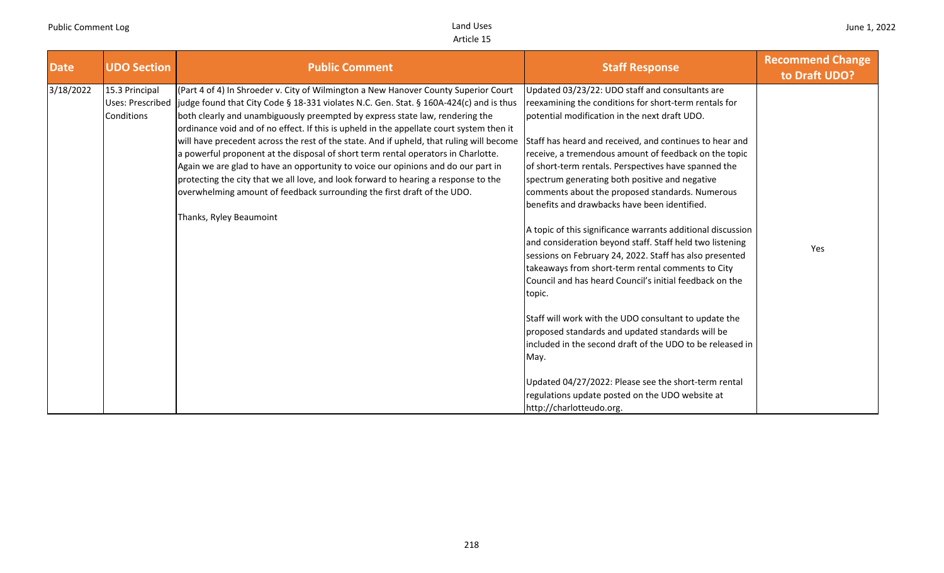| <b>Date</b> | <b>UDO Section</b>           | <b>Public Comment</b>                                                                                                                                                                                                                                                                                                                                                                                                                                                                                                                                                                                                                                                                                                                                                                                                                          | <b>Staff Response</b>                                                                                                                                                                                                                                                                                                                                                                                                                                                                                                                                                                                                                                                                                                                                                                                                                                                                                                                                                                                                                                                                                                               | <b>Recommend Change</b><br>to Draft UDO? |
|-------------|------------------------------|------------------------------------------------------------------------------------------------------------------------------------------------------------------------------------------------------------------------------------------------------------------------------------------------------------------------------------------------------------------------------------------------------------------------------------------------------------------------------------------------------------------------------------------------------------------------------------------------------------------------------------------------------------------------------------------------------------------------------------------------------------------------------------------------------------------------------------------------|-------------------------------------------------------------------------------------------------------------------------------------------------------------------------------------------------------------------------------------------------------------------------------------------------------------------------------------------------------------------------------------------------------------------------------------------------------------------------------------------------------------------------------------------------------------------------------------------------------------------------------------------------------------------------------------------------------------------------------------------------------------------------------------------------------------------------------------------------------------------------------------------------------------------------------------------------------------------------------------------------------------------------------------------------------------------------------------------------------------------------------------|------------------------------------------|
| 3/18/2022   | 15.3 Principal<br>Conditions | (Part 4 of 4) In Shroeder v. City of Wilmington a New Hanover County Superior Court<br>Uses: Prescribed ljudge found that City Code § 18-331 violates N.C. Gen. Stat. § 160A-424(c) and is thus<br>both clearly and unambiguously preempted by express state law, rendering the<br>ordinance void and of no effect. If this is upheld in the appellate court system then it<br>will have precedent across the rest of the state. And if upheld, that ruling will become<br>a powerful proponent at the disposal of short term rental operators in Charlotte.<br>Again we are glad to have an opportunity to voice our opinions and do our part in<br>protecting the city that we all love, and look forward to hearing a response to the<br>overwhelming amount of feedback surrounding the first draft of the UDO.<br>Thanks, Ryley Beaumoint | Updated 03/23/22: UDO staff and consultants are<br>reexamining the conditions for short-term rentals for<br>potential modification in the next draft UDO.<br>Staff has heard and received, and continues to hear and<br>receive, a tremendous amount of feedback on the topic<br>of short-term rentals. Perspectives have spanned the<br>spectrum generating both positive and negative<br>comments about the proposed standards. Numerous<br>benefits and drawbacks have been identified.<br>A topic of this significance warrants additional discussion<br>and consideration beyond staff. Staff held two listening<br>sessions on February 24, 2022. Staff has also presented<br>takeaways from short-term rental comments to City<br>Council and has heard Council's initial feedback on the<br>topic.<br>Staff will work with the UDO consultant to update the<br>proposed standards and updated standards will be<br>included in the second draft of the UDO to be released in<br>May.<br>Updated 04/27/2022: Please see the short-term rental<br>regulations update posted on the UDO website at<br>http://charlotteudo.org. | Yes                                      |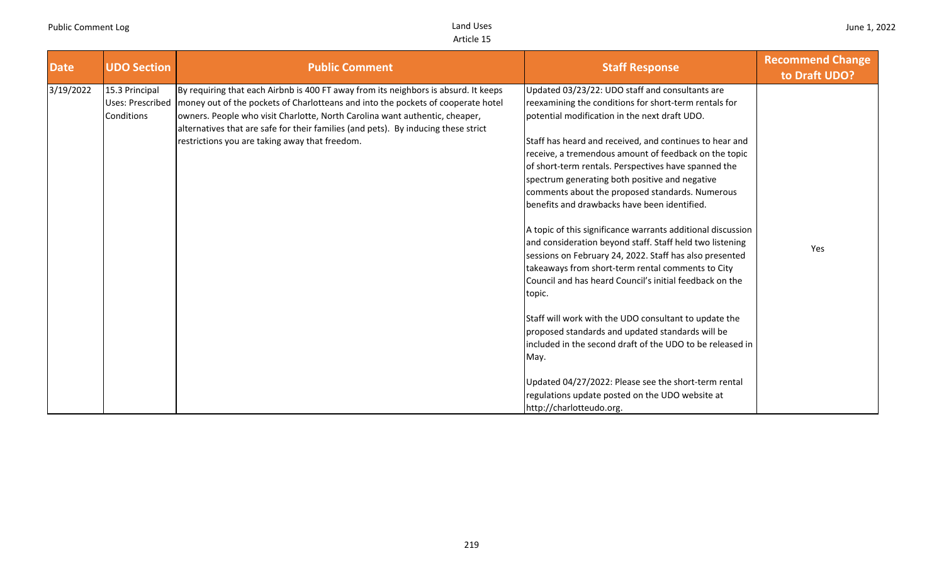| <b>Date</b> | <b>UDO Section</b>                               | <b>Public Comment</b>                                                                                                                                                                                                                                                                                                                                                                          | <b>Staff Response</b>                                                                                                                                                                                                                                                                                                                                                                                                                                                                                                                                                                                                                                                                                                                                                                                                                                                                                                                                                                         | <b>Recommend Change</b><br>to Draft UDO? |
|-------------|--------------------------------------------------|------------------------------------------------------------------------------------------------------------------------------------------------------------------------------------------------------------------------------------------------------------------------------------------------------------------------------------------------------------------------------------------------|-----------------------------------------------------------------------------------------------------------------------------------------------------------------------------------------------------------------------------------------------------------------------------------------------------------------------------------------------------------------------------------------------------------------------------------------------------------------------------------------------------------------------------------------------------------------------------------------------------------------------------------------------------------------------------------------------------------------------------------------------------------------------------------------------------------------------------------------------------------------------------------------------------------------------------------------------------------------------------------------------|------------------------------------------|
| 3/19/2022   | 15.3 Principal<br>Uses: Prescribed<br>Conditions | By requiring that each Airbnb is 400 FT away from its neighbors is absurd. It keeps<br>money out of the pockets of Charlotteans and into the pockets of cooperate hotel<br>owners. People who visit Charlotte, North Carolina want authentic, cheaper,<br>alternatives that are safe for their families (and pets). By inducing these strict<br>restrictions you are taking away that freedom. | Updated 03/23/22: UDO staff and consultants are<br>reexamining the conditions for short-term rentals for<br>potential modification in the next draft UDO.<br>Staff has heard and received, and continues to hear and<br>receive, a tremendous amount of feedback on the topic<br>of short-term rentals. Perspectives have spanned the<br>spectrum generating both positive and negative<br>comments about the proposed standards. Numerous<br>benefits and drawbacks have been identified.<br>A topic of this significance warrants additional discussion<br>and consideration beyond staff. Staff held two listening<br>sessions on February 24, 2022. Staff has also presented<br>takeaways from short-term rental comments to City<br>Council and has heard Council's initial feedback on the<br>topic.<br>Staff will work with the UDO consultant to update the<br>proposed standards and updated standards will be<br>lincluded in the second draft of the UDO to be released in<br>May. | Yes                                      |
|             |                                                  |                                                                                                                                                                                                                                                                                                                                                                                                | Updated 04/27/2022: Please see the short-term rental<br>regulations update posted on the UDO website at<br>http://charlotteudo.org.                                                                                                                                                                                                                                                                                                                                                                                                                                                                                                                                                                                                                                                                                                                                                                                                                                                           |                                          |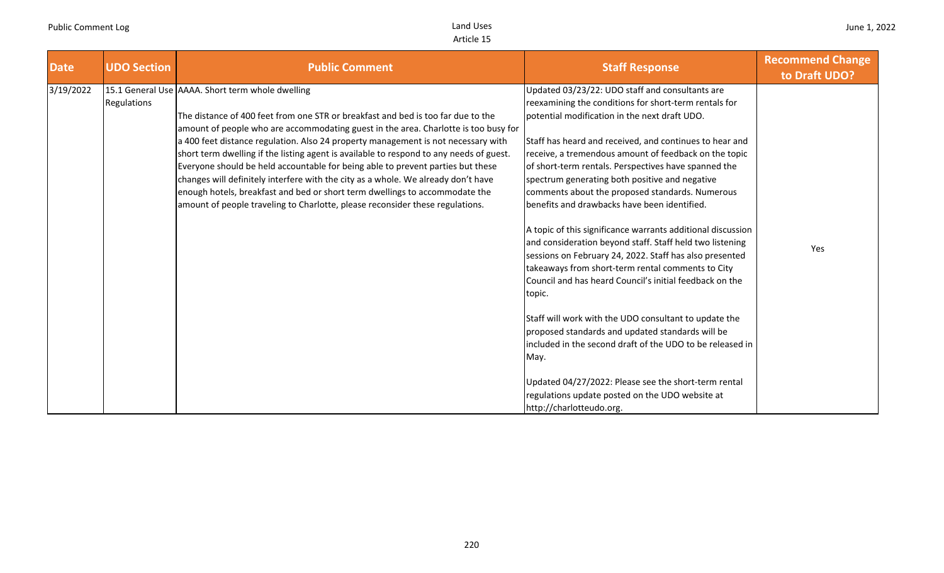| <b>Date</b> | <b>UDO Section</b> | <b>Public Comment</b>                                                                                                                                                                                                                                                                                                                                                                                                                                                                                                                                                                                                                                                                                                                               | <b>Staff Response</b>                                                                                                                                                                                                                                                                                                                                                                                                                                                                                                                                                                                                                                                                                                                                                                                      | <b>Recommend Change</b><br>to Draft UDO? |
|-------------|--------------------|-----------------------------------------------------------------------------------------------------------------------------------------------------------------------------------------------------------------------------------------------------------------------------------------------------------------------------------------------------------------------------------------------------------------------------------------------------------------------------------------------------------------------------------------------------------------------------------------------------------------------------------------------------------------------------------------------------------------------------------------------------|------------------------------------------------------------------------------------------------------------------------------------------------------------------------------------------------------------------------------------------------------------------------------------------------------------------------------------------------------------------------------------------------------------------------------------------------------------------------------------------------------------------------------------------------------------------------------------------------------------------------------------------------------------------------------------------------------------------------------------------------------------------------------------------------------------|------------------------------------------|
| 3/19/2022   | Regulations        | 15.1 General Use AAAA. Short term whole dwelling<br>The distance of 400 feet from one STR or breakfast and bed is too far due to the<br>amount of people who are accommodating guest in the area. Charlotte is too busy for<br>a 400 feet distance regulation. Also 24 property management is not necessary with<br>short term dwelling if the listing agent is available to respond to any needs of guest.<br>Everyone should be held accountable for being able to prevent parties but these<br>changes will definitely interfere with the city as a whole. We already don't have<br>enough hotels, breakfast and bed or short term dwellings to accommodate the<br>amount of people traveling to Charlotte, please reconsider these regulations. | Updated 03/23/22: UDO staff and consultants are<br>reexamining the conditions for short-term rentals for<br>potential modification in the next draft UDO.<br>Staff has heard and received, and continues to hear and<br>receive, a tremendous amount of feedback on the topic<br>of short-term rentals. Perspectives have spanned the<br>spectrum generating both positive and negative<br>comments about the proposed standards. Numerous<br>benefits and drawbacks have been identified.<br>A topic of this significance warrants additional discussion<br>and consideration beyond staff. Staff held two listening<br>sessions on February 24, 2022. Staff has also presented<br>takeaways from short-term rental comments to City<br>Council and has heard Council's initial feedback on the<br>topic. | Yes                                      |
|             |                    |                                                                                                                                                                                                                                                                                                                                                                                                                                                                                                                                                                                                                                                                                                                                                     | Staff will work with the UDO consultant to update the<br>proposed standards and updated standards will be<br>included in the second draft of the UDO to be released in<br>May.<br>Updated 04/27/2022: Please see the short-term rental<br>regulations update posted on the UDO website at<br>http://charlotteudo.org.                                                                                                                                                                                                                                                                                                                                                                                                                                                                                      |                                          |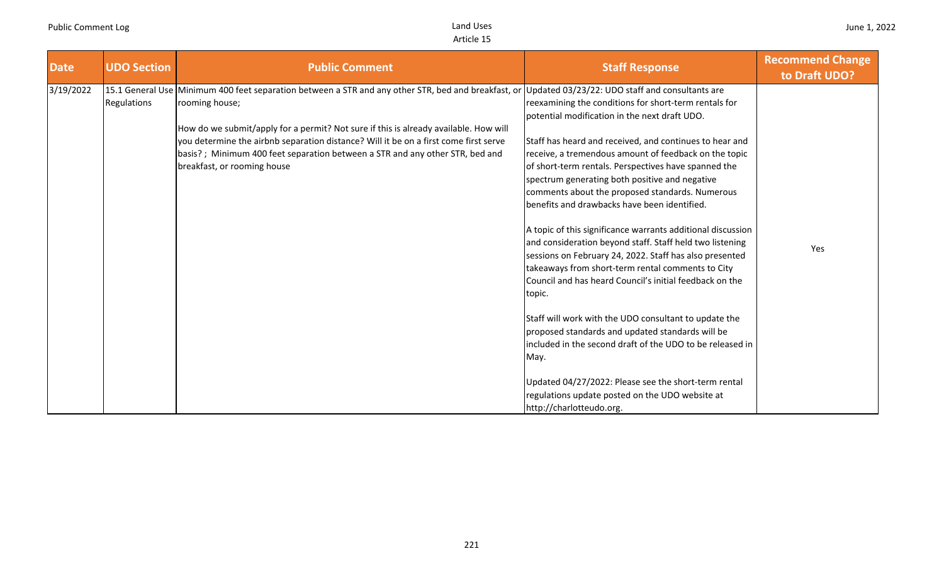| <b>Date</b> | <b>UDO Section</b> | <b>Public Comment</b>                                                                                                                                                                                                                                                                                                                                                                                                | <b>Staff Response</b>                                                                                                                                                                                                                                                                                                                                                                                                                                                                                                                                                                                                                                                                                                                                                                                                                                                                                                                                                                        | <b>Recommend Change</b><br>to Draft UDO? |
|-------------|--------------------|----------------------------------------------------------------------------------------------------------------------------------------------------------------------------------------------------------------------------------------------------------------------------------------------------------------------------------------------------------------------------------------------------------------------|----------------------------------------------------------------------------------------------------------------------------------------------------------------------------------------------------------------------------------------------------------------------------------------------------------------------------------------------------------------------------------------------------------------------------------------------------------------------------------------------------------------------------------------------------------------------------------------------------------------------------------------------------------------------------------------------------------------------------------------------------------------------------------------------------------------------------------------------------------------------------------------------------------------------------------------------------------------------------------------------|------------------------------------------|
| 3/19/2022   | Regulations        | 15.1 General Use Minimum 400 feet separation between a STR and any other STR, bed and breakfast, or<br>rooming house;<br>How do we submit/apply for a permit? Not sure if this is already available. How will<br>you determine the airbnb separation distance? Will it be on a first come first serve<br>basis?; Minimum 400 feet separation between a STR and any other STR, bed and<br>breakfast, or rooming house | Updated 03/23/22: UDO staff and consultants are<br>reexamining the conditions for short-term rentals for<br>potential modification in the next draft UDO.<br>Staff has heard and received, and continues to hear and<br>receive, a tremendous amount of feedback on the topic<br>of short-term rentals. Perspectives have spanned the<br>spectrum generating both positive and negative<br>comments about the proposed standards. Numerous<br>benefits and drawbacks have been identified.<br>A topic of this significance warrants additional discussion<br>and consideration beyond staff. Staff held two listening<br>sessions on February 24, 2022. Staff has also presented<br>takeaways from short-term rental comments to City<br>Council and has heard Council's initial feedback on the<br>topic.<br>Staff will work with the UDO consultant to update the<br>proposed standards and updated standards will be<br>included in the second draft of the UDO to be released in<br>May. | Yes                                      |
|             |                    |                                                                                                                                                                                                                                                                                                                                                                                                                      | Updated 04/27/2022: Please see the short-term rental<br>regulations update posted on the UDO website at<br>http://charlotteudo.org.                                                                                                                                                                                                                                                                                                                                                                                                                                                                                                                                                                                                                                                                                                                                                                                                                                                          |                                          |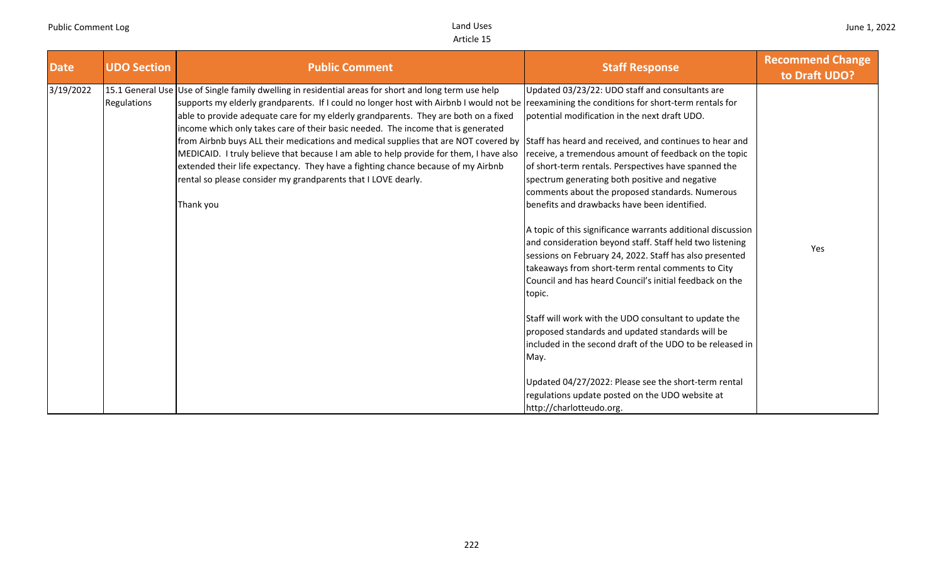| <b>UDO Section</b> | <b>Public Comment</b>                                                                                                                                          | <b>Staff Response</b>                                                                                                                                                                                                                                                                                                                                                                                                                                                                                                                                                                                                                                                                                                                                                                                                                                                                                                                                                               | <b>Recommend Change</b><br>to Draft UDO?                                                                                                                                                                                                                                                                                |
|--------------------|----------------------------------------------------------------------------------------------------------------------------------------------------------------|-------------------------------------------------------------------------------------------------------------------------------------------------------------------------------------------------------------------------------------------------------------------------------------------------------------------------------------------------------------------------------------------------------------------------------------------------------------------------------------------------------------------------------------------------------------------------------------------------------------------------------------------------------------------------------------------------------------------------------------------------------------------------------------------------------------------------------------------------------------------------------------------------------------------------------------------------------------------------------------|-------------------------------------------------------------------------------------------------------------------------------------------------------------------------------------------------------------------------------------------------------------------------------------------------------------------------|
| Regulations        | income which only takes care of their basic needed. The income that is generated<br>rental so please consider my grandparents that I LOVE dearly.<br>Thank you | Updated 03/23/22: UDO staff and consultants are<br>potential modification in the next draft UDO.<br>receive, a tremendous amount of feedback on the topic<br>of short-term rentals. Perspectives have spanned the<br>spectrum generating both positive and negative<br>comments about the proposed standards. Numerous<br>benefits and drawbacks have been identified.<br>A topic of this significance warrants additional discussion<br>and consideration beyond staff. Staff held two listening<br>sessions on February 24, 2022. Staff has also presented<br>takeaways from short-term rental comments to City<br>Council and has heard Council's initial feedback on the<br>topic.<br>Staff will work with the UDO consultant to update the<br>proposed standards and updated standards will be<br>included in the second draft of the UDO to be released in<br>May.<br>Updated 04/27/2022: Please see the short-term rental<br>regulations update posted on the UDO website at | Yes                                                                                                                                                                                                                                                                                                                     |
|                    |                                                                                                                                                                | 15.1 General Use Use of Single family dwelling in residential areas for short and long term use help<br>able to provide adequate care for my elderly grandparents. They are both on a fixed<br>MEDICAID. I truly believe that because I am able to help provide for them, I have also<br>extended their life expectancy. They have a fighting chance because of my Airbnb                                                                                                                                                                                                                                                                                                                                                                                                                                                                                                                                                                                                           | supports my elderly grandparents. If I could no longer host with Airbnb I would not be reexamining the conditions for short-term rentals for<br>from Airbnb buys ALL their medications and medical supplies that are NOT covered by Staff has heard and received, and continues to hear and<br>http://charlotteudo.org. |